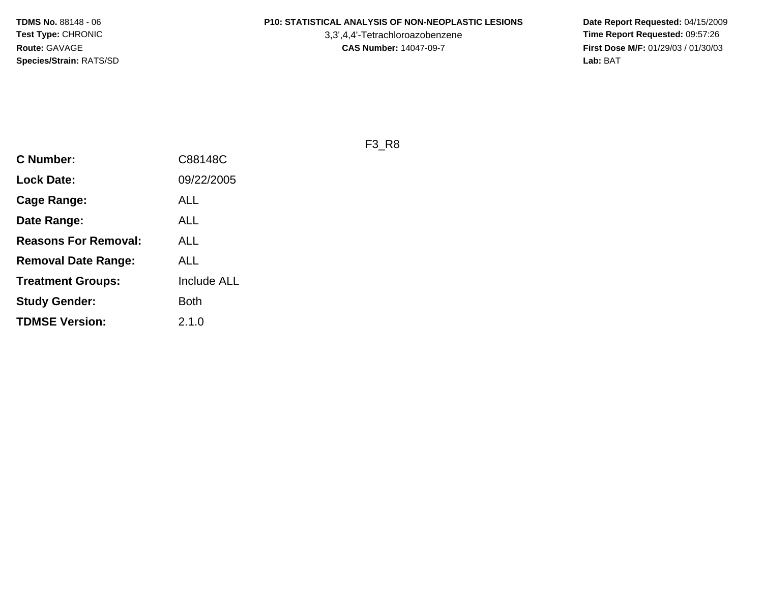#### **P10: STATISTICAL ANALYSIS OF NON-NEOPLASTIC LESIONS**

3,3',4,4'-Tetrachloroazobenzene

 **Date Report Requested:** 04/15/2009 **Time Report Requested:** 09:57:26 **First Dose M/F:** 01/29/03 / 01/30/03<br>Lab: BAT **Lab:** BAT

F3\_R8

| 09/22/2005<br><b>Lock Date:</b>                |
|------------------------------------------------|
|                                                |
| ALL<br><b>Cage Range:</b>                      |
| ALL<br>Date Range:                             |
| <b>Reasons For Removal:</b><br>ALL             |
| <b>Removal Date Range:</b><br>ALL              |
| <b>Include ALL</b><br><b>Treatment Groups:</b> |
| <b>Study Gender:</b><br><b>Both</b>            |
| <b>TDMSE Version:</b><br>2.1.0                 |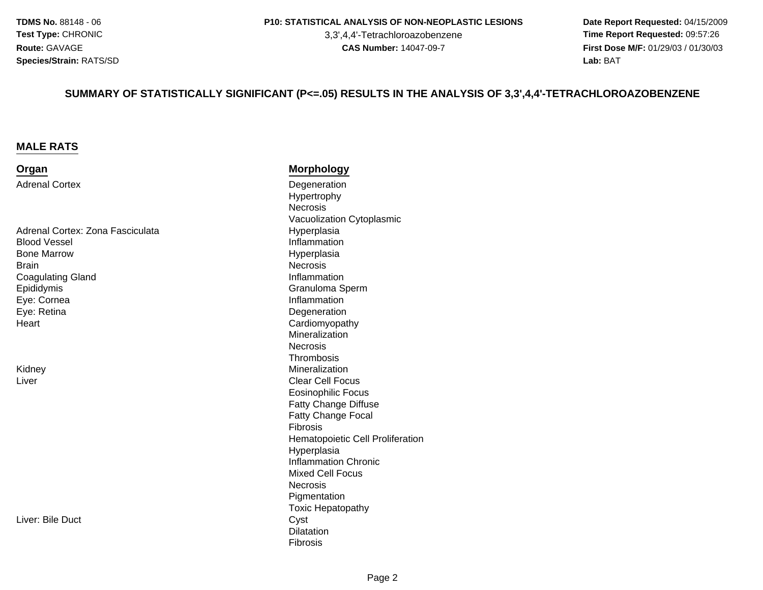3,3',4,4'-Tetrachloroazobenzene

 **Date Report Requested:** 04/15/2009 **Time Report Requested:** 09:57:26 **First Dose M/F:** 01/29/03 / 01/30/03<br>Lab: BAT **Lab:** BAT

#### **SUMMARY OF STATISTICALLY SIGNIFICANT (P<=.05) RESULTS IN THE ANALYSIS OF 3,3',4,4'-TETRACHLOROAZOBENZENE**

#### **MALE RATS**

#### **Organ**Adrenal Cortex

| Adrenal Cortex: Zona Fasciculata | Hyperplasia     |
|----------------------------------|-----------------|
| <b>Blood Vessel</b>              | Inflammatio     |
| <b>Bone Marrow</b>               | Hyperplasia     |
| Brain                            | <b>Necrosis</b> |
| Coagulating Gland                | Inflammatio     |
| Epididymis                       | Granuloma       |
| Eye: Cornea                      | Inflammatio     |
| Eye: Retina                      | Degeneratic     |
| Heart                            | Cardiomyop      |
|                                  |                 |

KidneyLiver

#### **Morphology**

**Degeneration**  Hypertrophy**Necrosis**  Vacuolization Cytoplasmic Hyperplasia Inflammation Inflammation Granuloma Sperm Inflammation **Degeneration**  CardiomyopathyMineralization**Necrosis**  Thrombosisy **Mineralization** r **Clear Cell Focus**  Eosinophilic Focus Fatty Change Diffuse Fatty Change FocalFibrosis Hematopoietic Cell ProliferationHyperplasia Inflammation ChronicMixed Cell Focus**Necrosis**  Pigmentation Toxic Hepatopathyt Cyst **Dilatation** Fibrosis

Liver: Bile Duct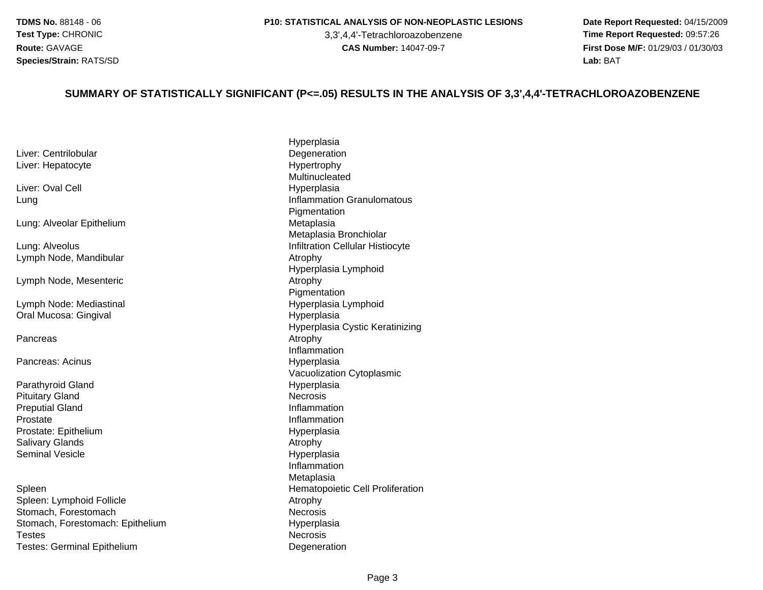#### **P10: STATISTICAL ANALYSIS OF NON-NEOPLASTIC LESIONS**

3,3',4,4'-Tetrachloroazobenzene

 **Date Report Requested:** 04/15/2009 **Time Report Requested:** 09:57:26 **First Dose M/F:** 01/29/03 / 01/30/03<br>Lab: BAT **Lab:** BAT

#### **SUMMARY OF STATISTICALLY SIGNIFICANT (P<=.05) RESULTS IN THE ANALYSIS OF 3,3',4,4'-TETRACHLOROAZOBENZENE**

| Liver: Centrilobular |  |
|----------------------|--|
| Liver: Hepatocyte    |  |
| Liver: Oval Cell     |  |

Lung

Lung: Alveolar Epithelium

Lung: AlveolusLymph Node, Mandibular

Lymph Node, Mesenteric

Lymph Node: MediastinalOral Mucosa: Gingival

Pancreas

Pancreas: Acinus

Parathyroid GlandPituitary Glandd **Necrosis** Preputial GlandProstateProstate: EpitheliumSalivary GlandsSeminal Vesicle

SpleenSpleen: Lymphoid FollicleStomach, ForestomachStomach, Forestomach: Epithelium**Testes** s **Necrosis** Testes: Germinal Epithelium

Hyperplasiar **Degeneration** e **Hypertrophy** Multinucleated Hyperplasiag<br>Inflammation Granulomatous Pigmentation Metaplasia Metaplasia Bronchiolars **Samuel Community Community** Infiltration Cellular Histiocyte Atrophy Hyperplasia Lymphoid Atrophy **Pigmentation**  Hyperplasia Lymphoid**Hyperplasia**  Hyperplasia Cystic Keratinizings and the contract of the contract of the contract of the contract of the contract of the contract of the contract of the contract of the contract of the contract of the contract of the contract of the contract of the cont Inflammation Hyperplasia Vacuolization CytoplasmicHyperplasia<br>Necrosis Inflammation Inflammation Hyperplasia<br>Atrophy s Atrophy Hyperplasia InflammationMetaplasian Mematopoietic Cell Proliferation Atrophy Necrosis Hyperplasia<br>Necrosis **Degeneration**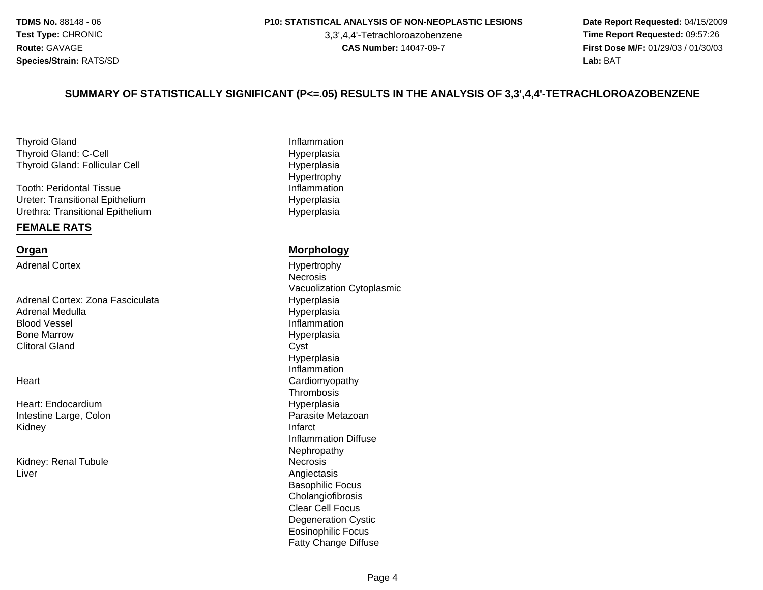#### **P10: STATISTICAL ANALYSIS OF NON-NEOPLASTIC LESIONS**

3,3',4,4'-Tetrachloroazobenzene

 **Date Report Requested:** 04/15/2009 **Time Report Requested:** 09:57:26 **First Dose M/F:** 01/29/03 / 01/30/03<br>Lab: BAT **Lab:** BAT

#### **SUMMARY OF STATISTICALLY SIGNIFICANT (P<=.05) RESULTS IN THE ANALYSIS OF 3,3',4,4'-TETRACHLOROAZOBENZENE**

Thyroid GlandThyroid Gland: C-CellThyroid Gland: Follicular Cell

Tooth: Peridontal TissueUreter: Transitional EpitheliumUrethra: Transitional Epithelium

#### **FEMALE RATS**

#### **Organ**

Adrenal Cortex

Adrenal Cortex: Zona FasciculataAdrenal MedullaBlood Vessel Hyperplasia Bone MarrowClitoral Glandd Cyst

**Heart** 

Heart: EndocardiumIntestine Large, ColonKidneyy and the contract of the contract of the contract of the contract of the contract of the contract of the contract of the contract of the contract of the contract of the contract of the contract of the contract of the cont

Kidney: Renal TubuleLiver

 Inflammation Hyperplasia Hyperplasia Hypertrophye Inflammation Hyperplasia Hyperplasia

#### **Morphology**

 Hypertrophy **Necrosis**  Vacuolization Cytoplasmic Hyperplasia Hyperplasia InflammationHyperplasia Inflammationt and the contract of the contract of the contract of the contract of  $\sim$  Cardiomyopathy **Thrombosis**  Hyperplasia Parasite Metazoan<br>Infarct Inflammation DiffuseNephropathy Necrosis Angiectasis Basophilic Focus Cholangiofibrosis Clear Cell Focus Degeneration CysticEosinophilic FocusFatty Change Diffuse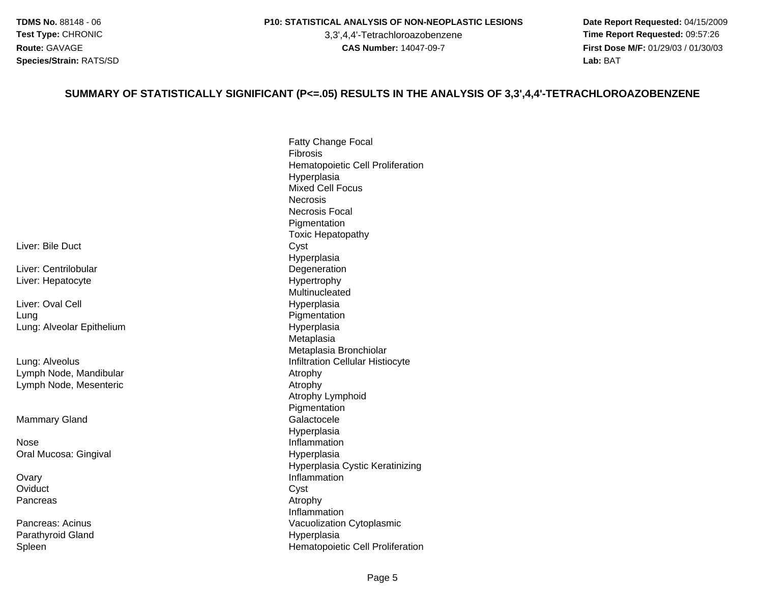3,3',4,4'-Tetrachloroazobenzene

 **Date Report Requested:** 04/15/2009 **Time Report Requested:** 09:57:26 **First Dose M/F:** 01/29/03 / 01/30/03<br>Lab: BAT **Lab:** BAT

#### **SUMMARY OF STATISTICALLY SIGNIFICANT (P<=.05) RESULTS IN THE ANALYSIS OF 3,3',4,4'-TETRACHLOROAZOBENZENE**

Liver: Bile Duct

Liver: CentrilobularLiver: Hepatocyte

Liver: Oval Cell Pigmentation LungLung: Alveolar Epithelium

Lung: AlveolusLymph Node, MandibularLymph Node, Mesenteric

Mammary Gland

e Inflammation and the Inflammation NoseOral Mucosa: Gingival

**Ovary Oviduct** Pancreas

Pancreas: AcinusParathyroid GlandSpleen

Fatty Change FocalFibrosis Hematopoietic Cell ProliferationHyperplasia Mixed Cell Focus**Necrosis**  Necrosis Focal**Pigmentation**  Toxic Hepatopathyt Cyst Hyperplasiar **Degeneration** e **Hypertrophy** Multinucleated Hyperplasia Hyperplasia Metaplasia Metaplasia Bronchiolars **Samuel Community Community** Infiltration Cellular Histiocyte Atrophyc Atrophy Atrophy Lymphoid**Pigmentation** d Galactocele Hyperplasia Hyperplasia Hyperplasia Cystic KeratinizingInflammation<br>Cyst t to the contract of the contract of the contract of the contract of the contract of the contract of the contract of the contract of the contract of the contract of the contract of the contract of the contract of the contr s and the contract of the contract of the contract of the contract of the contract of the contract of the contract of the contract of the contract of the contract of the contract of the contract of the contract of the cont Inflammations **Supplement Contract Contract Contract Contract Contract Contract Contract Contract Contract Contract Contract Contract Contract Contract Contract Contract Contract Contract Contract Contract Contract Contract Contract C**  Hyperplasia Hematopoietic Cell Proliferation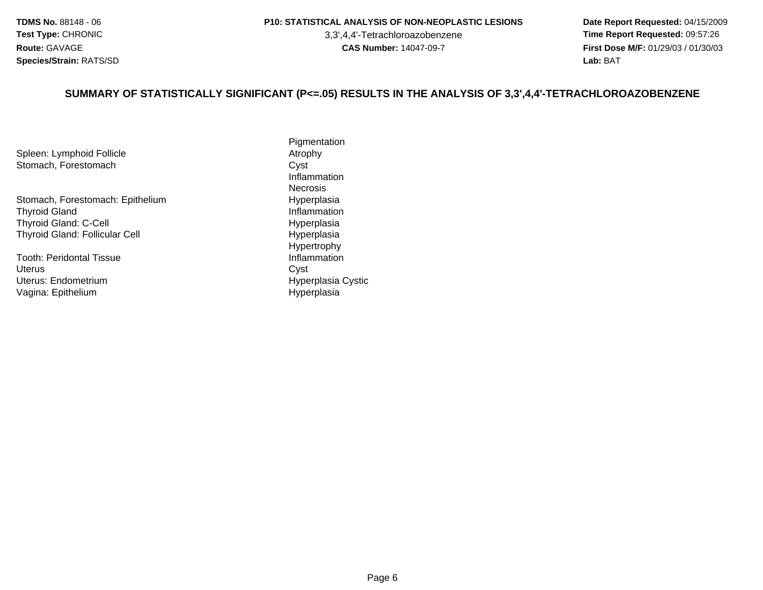#### **P10: STATISTICAL ANALYSIS OF NON-NEOPLASTIC LESIONS**

3,3',4,4'-Tetrachloroazobenzene

 **Date Report Requested:** 04/15/2009 **Time Report Requested:** 09:57:26 **First Dose M/F:** 01/29/03 / 01/30/03<br>Lab: BAT **Lab:** BAT

#### **SUMMARY OF STATISTICALLY SIGNIFICANT (P<=.05) RESULTS IN THE ANALYSIS OF 3,3',4,4'-TETRACHLOROAZOBENZENE**

Spleen: Lymphoid FollicleStomach, Forestomach

Stomach, Forestomach: EpitheliumThyroid GlandThyroid Gland: C-CellThyroid Gland: Follicular Cell

Tooth: Peridontal TissueUteruss Cyst Uterus: EndometriumVagina: Epithelium

PigmentationAtrophy<br>Cyst h Cyst InflammationNecrosis Hyperplasia Inflammation Hyperplasia Hyperplasia Hypertrophye Inflammation Hyperplasia Cystic **Hyperplasia**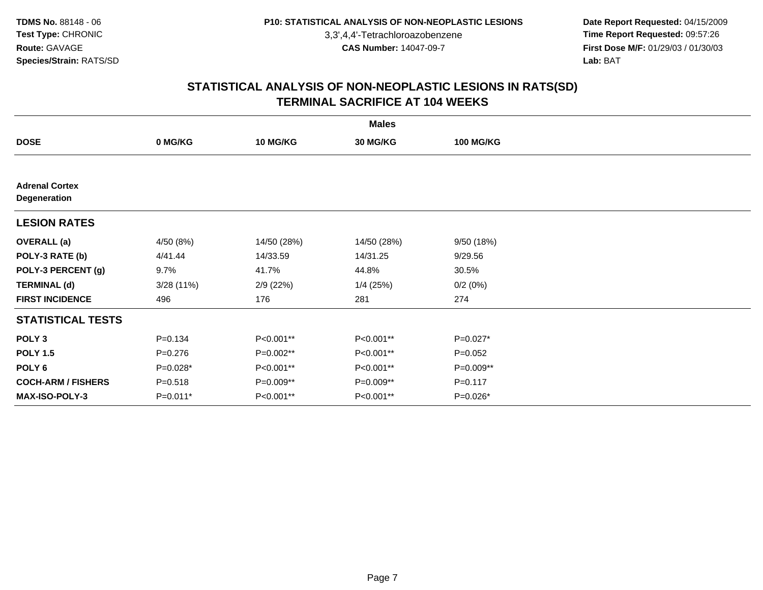**Date Report Requested:** 04/15/2009 **Time Report Requested:** 09:57:26 **First Dose M/F:** 01/29/03 / 01/30/03<br>Lab: BAT **Lab:** BAT

| <b>Males</b>                                 |             |                 |                 |                  |  |  |
|----------------------------------------------|-------------|-----------------|-----------------|------------------|--|--|
| <b>DOSE</b>                                  | 0 MG/KG     | <b>10 MG/KG</b> | <b>30 MG/KG</b> | <b>100 MG/KG</b> |  |  |
|                                              |             |                 |                 |                  |  |  |
| <b>Adrenal Cortex</b><br><b>Degeneration</b> |             |                 |                 |                  |  |  |
| <b>LESION RATES</b>                          |             |                 |                 |                  |  |  |
| <b>OVERALL</b> (a)                           | 4/50 (8%)   | 14/50 (28%)     | 14/50 (28%)     | 9/50(18%)        |  |  |
| POLY-3 RATE (b)                              | 4/41.44     | 14/33.59        | 14/31.25        | 9/29.56          |  |  |
| POLY-3 PERCENT (g)                           | 9.7%        | 41.7%           | 44.8%           | 30.5%            |  |  |
| <b>TERMINAL (d)</b>                          | 3/28(11%)   | 2/9(22%)        | $1/4$ (25%)     | 0/2(0%)          |  |  |
| <b>FIRST INCIDENCE</b>                       | 496         | 176             | 281             | 274              |  |  |
| <b>STATISTICAL TESTS</b>                     |             |                 |                 |                  |  |  |
| POLY <sub>3</sub>                            | $P = 0.134$ | P<0.001**       | P<0.001**       | $P=0.027*$       |  |  |
| <b>POLY 1.5</b>                              | $P = 0.276$ | P=0.002**       | P<0.001**       | $P = 0.052$      |  |  |
| POLY <sub>6</sub>                            | $P=0.028*$  | P<0.001**       | P<0.001**       | P=0.009**        |  |  |
| <b>COCH-ARM / FISHERS</b>                    | $P = 0.518$ | P=0.009**       | P=0.009**       | $P = 0.117$      |  |  |
| <b>MAX-ISO-POLY-3</b>                        | $P=0.011*$  | P<0.001**       | P<0.001**       | $P=0.026*$       |  |  |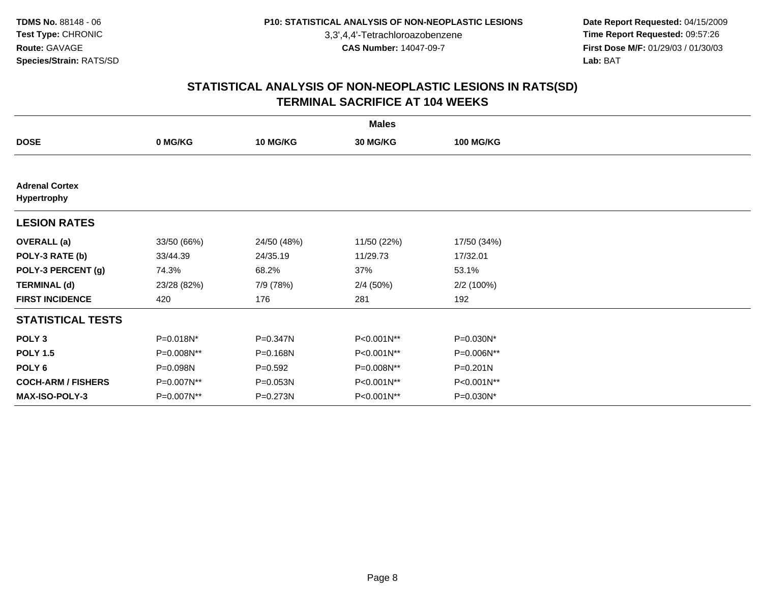**Date Report Requested:** 04/15/2009 **Time Report Requested:** 09:57:26 **First Dose M/F:** 01/29/03 / 01/30/03<br>Lab: BAT **Lab:** BAT

| <b>Males</b>                         |             |                 |             |                  |  |  |
|--------------------------------------|-------------|-----------------|-------------|------------------|--|--|
| <b>DOSE</b>                          | 0 MG/KG     | <b>10 MG/KG</b> | 30 MG/KG    | <b>100 MG/KG</b> |  |  |
|                                      |             |                 |             |                  |  |  |
| <b>Adrenal Cortex</b><br>Hypertrophy |             |                 |             |                  |  |  |
| <b>LESION RATES</b>                  |             |                 |             |                  |  |  |
| <b>OVERALL</b> (a)                   | 33/50 (66%) | 24/50 (48%)     | 11/50 (22%) | 17/50 (34%)      |  |  |
| POLY-3 RATE (b)                      | 33/44.39    | 24/35.19        | 11/29.73    | 17/32.01         |  |  |
| POLY-3 PERCENT (g)                   | 74.3%       | 68.2%           | 37%         | 53.1%            |  |  |
| <b>TERMINAL (d)</b>                  | 23/28 (82%) | 7/9 (78%)       | 2/4(50%)    | 2/2(100%)        |  |  |
| <b>FIRST INCIDENCE</b>               | 420         | 176             | 281         | 192              |  |  |
| <b>STATISTICAL TESTS</b>             |             |                 |             |                  |  |  |
| POLY <sub>3</sub>                    | P=0.018N*   | P=0.347N        | P<0.001N**  | P=0.030N*        |  |  |
| <b>POLY 1.5</b>                      | P=0.008N**  | P=0.168N        | P<0.001N**  | P=0.006N**       |  |  |
| POLY <sub>6</sub>                    | P=0.098N    | $P = 0.592$     | P=0.008N**  | $P = 0.201N$     |  |  |
| <b>COCH-ARM / FISHERS</b>            | P=0.007N**  | P=0.053N        | P<0.001N**  | P<0.001N**       |  |  |
| <b>MAX-ISO-POLY-3</b>                | P=0.007N**  | P=0.273N        | P<0.001N**  | P=0.030N*        |  |  |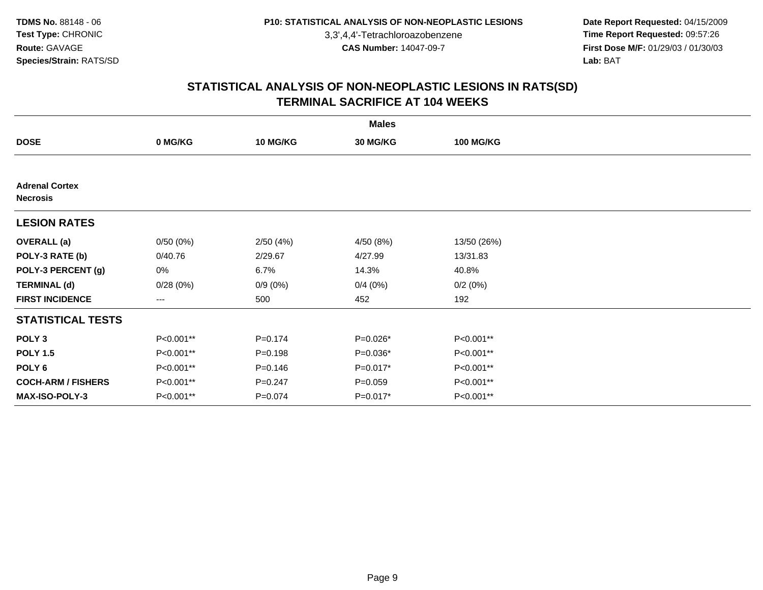**Date Report Requested:** 04/15/2009 **Time Report Requested:** 09:57:26 **First Dose M/F:** 01/29/03 / 01/30/03<br>Lab: BAT **Lab:** BAT

|                                          |                   |                 | <b>Males</b>    |                  |  |
|------------------------------------------|-------------------|-----------------|-----------------|------------------|--|
| <b>DOSE</b>                              | 0 MG/KG           | <b>10 MG/KG</b> | <b>30 MG/KG</b> | <b>100 MG/KG</b> |  |
|                                          |                   |                 |                 |                  |  |
| <b>Adrenal Cortex</b><br><b>Necrosis</b> |                   |                 |                 |                  |  |
| <b>LESION RATES</b>                      |                   |                 |                 |                  |  |
| <b>OVERALL</b> (a)                       | 0/50(0%)          | 2/50(4%)        | 4/50 (8%)       | 13/50 (26%)      |  |
| POLY-3 RATE (b)                          | 0/40.76           | 2/29.67         | 4/27.99         | 13/31.83         |  |
| POLY-3 PERCENT (g)                       | 0%                | 6.7%            | 14.3%           | 40.8%            |  |
| <b>TERMINAL (d)</b>                      | 0/28(0%)          | $0/9(0\%)$      | 0/4(0%)         | 0/2(0%)          |  |
| <b>FIRST INCIDENCE</b>                   | $\qquad \qquad -$ | 500             | 452             | 192              |  |
| <b>STATISTICAL TESTS</b>                 |                   |                 |                 |                  |  |
| POLY <sub>3</sub>                        | P<0.001**         | $P = 0.174$     | P=0.026*        | P<0.001**        |  |
| <b>POLY 1.5</b>                          | P<0.001**         | $P = 0.198$     | $P=0.036*$      | P<0.001**        |  |
| POLY <sub>6</sub>                        | P<0.001**         | $P = 0.146$     | P=0.017*        | P<0.001**        |  |
| <b>COCH-ARM / FISHERS</b>                | P<0.001**         | $P = 0.247$     | $P = 0.059$     | P<0.001**        |  |
| <b>MAX-ISO-POLY-3</b>                    | P<0.001**         | $P = 0.074$     | $P=0.017*$      | P<0.001**        |  |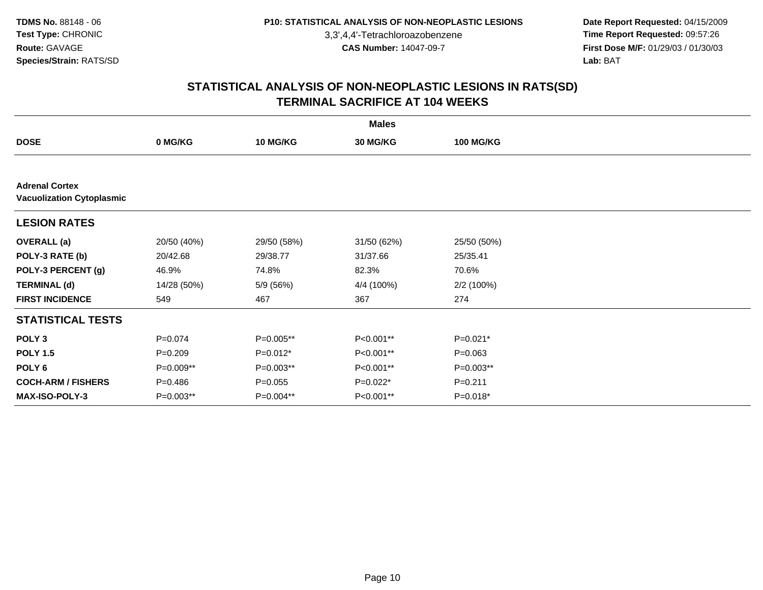**Date Report Requested:** 04/15/2009 **Time Report Requested:** 09:57:26 **First Dose M/F:** 01/29/03 / 01/30/03<br>Lab: BAT **Lab:** BAT

|                                                           |             |                 | <b>Males</b> |                  |  |
|-----------------------------------------------------------|-------------|-----------------|--------------|------------------|--|
| <b>DOSE</b>                                               | 0 MG/KG     | <b>10 MG/KG</b> | 30 MG/KG     | <b>100 MG/KG</b> |  |
|                                                           |             |                 |              |                  |  |
| <b>Adrenal Cortex</b><br><b>Vacuolization Cytoplasmic</b> |             |                 |              |                  |  |
| <b>LESION RATES</b>                                       |             |                 |              |                  |  |
| <b>OVERALL</b> (a)                                        | 20/50 (40%) | 29/50 (58%)     | 31/50 (62%)  | 25/50 (50%)      |  |
| POLY-3 RATE (b)                                           | 20/42.68    | 29/38.77        | 31/37.66     | 25/35.41         |  |
| POLY-3 PERCENT (g)                                        | 46.9%       | 74.8%           | 82.3%        | 70.6%            |  |
| <b>TERMINAL (d)</b>                                       | 14/28 (50%) | 5/9 (56%)       | 4/4 (100%)   | 2/2 (100%)       |  |
| <b>FIRST INCIDENCE</b>                                    | 549         | 467             | 367          | 274              |  |
| <b>STATISTICAL TESTS</b>                                  |             |                 |              |                  |  |
| POLY <sub>3</sub>                                         | $P = 0.074$ | P=0.005**       | P<0.001**    | $P=0.021*$       |  |
| <b>POLY 1.5</b>                                           | $P = 0.209$ | $P=0.012*$      | P<0.001**    | $P = 0.063$      |  |
| POLY 6                                                    | P=0.009**   | P=0.003**       | P<0.001**    | P=0.003**        |  |
| <b>COCH-ARM / FISHERS</b>                                 | $P = 0.486$ | $P = 0.055$     | P=0.022*     | $P = 0.211$      |  |
| <b>MAX-ISO-POLY-3</b>                                     | P=0.003**   | P=0.004**       | P<0.001**    | $P=0.018*$       |  |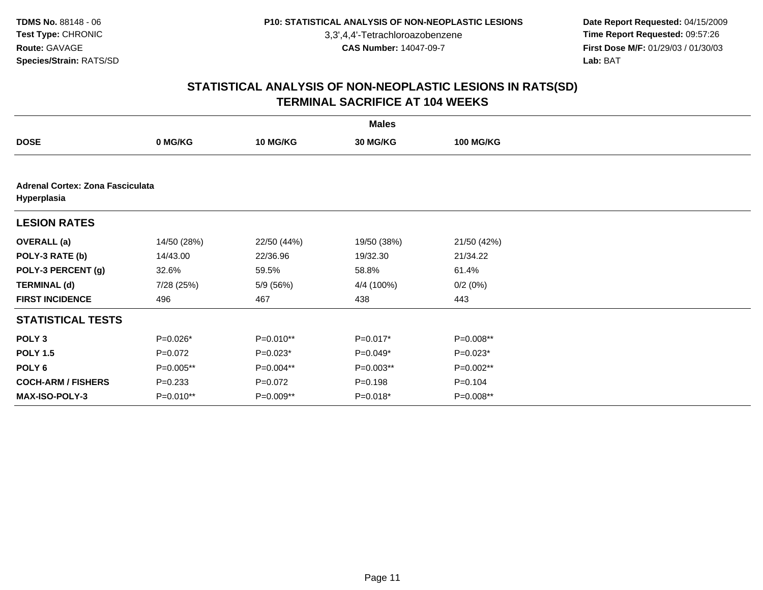**Date Report Requested:** 04/15/2009 **Time Report Requested:** 09:57:26 **First Dose M/F:** 01/29/03 / 01/30/03<br>Lab: BAT **Lab:** BAT

|                                                 |             |             | <b>Males</b> |                  |  |
|-------------------------------------------------|-------------|-------------|--------------|------------------|--|
| <b>DOSE</b>                                     | 0 MG/KG     | 10 MG/KG    | 30 MG/KG     | <b>100 MG/KG</b> |  |
|                                                 |             |             |              |                  |  |
| Adrenal Cortex: Zona Fasciculata<br>Hyperplasia |             |             |              |                  |  |
| <b>LESION RATES</b>                             |             |             |              |                  |  |
| <b>OVERALL</b> (a)                              | 14/50 (28%) | 22/50 (44%) | 19/50 (38%)  | 21/50 (42%)      |  |
| POLY-3 RATE (b)                                 | 14/43.00    | 22/36.96    | 19/32.30     | 21/34.22         |  |
| POLY-3 PERCENT (g)                              | 32.6%       | 59.5%       | 58.8%        | 61.4%            |  |
| <b>TERMINAL (d)</b>                             | 7/28 (25%)  | 5/9 (56%)   | 4/4 (100%)   | 0/2(0%)          |  |
| <b>FIRST INCIDENCE</b>                          | 496         | 467         | 438          | 443              |  |
| <b>STATISTICAL TESTS</b>                        |             |             |              |                  |  |
| POLY <sub>3</sub>                               | P=0.026*    | P=0.010**   | $P=0.017*$   | P=0.008**        |  |
| <b>POLY 1.5</b>                                 | $P=0.072$   | $P=0.023*$  | $P=0.049*$   | $P=0.023*$       |  |
| POLY 6                                          | P=0.005**   | P=0.004**   | P=0.003**    | P=0.002**        |  |
| <b>COCH-ARM / FISHERS</b>                       | $P = 0.233$ | $P=0.072$   | $P = 0.198$  | $P = 0.104$      |  |
| <b>MAX-ISO-POLY-3</b>                           | $P=0.010**$ | P=0.009**   | $P=0.018*$   | $P=0.008**$      |  |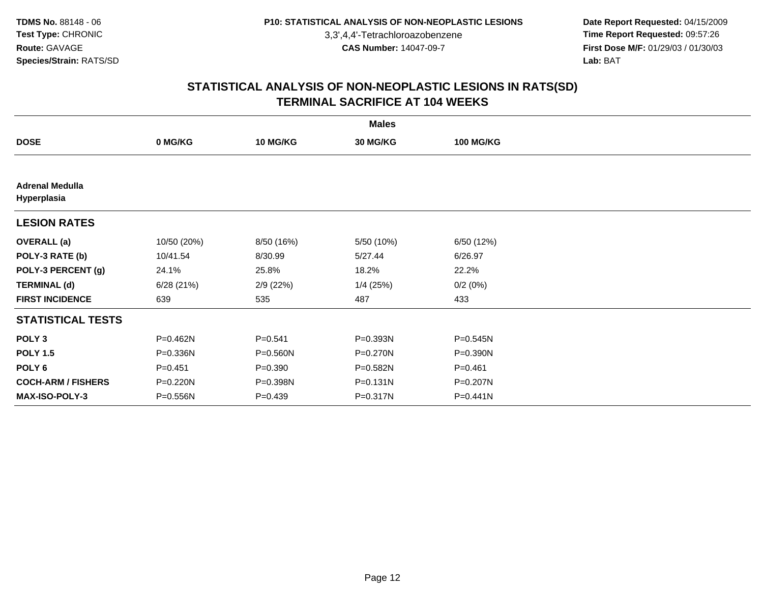**Date Report Requested:** 04/15/2009 **Time Report Requested:** 09:57:26 **First Dose M/F:** 01/29/03 / 01/30/03<br>Lab: BAT **Lab:** BAT

|                                       |             |                 | <b>Males</b> |                  |  |
|---------------------------------------|-------------|-----------------|--------------|------------------|--|
| <b>DOSE</b>                           | 0 MG/KG     | <b>10 MG/KG</b> | 30 MG/KG     | <b>100 MG/KG</b> |  |
|                                       |             |                 |              |                  |  |
| <b>Adrenal Medulla</b><br>Hyperplasia |             |                 |              |                  |  |
| <b>LESION RATES</b>                   |             |                 |              |                  |  |
| <b>OVERALL</b> (a)                    | 10/50 (20%) | 8/50 (16%)      | 5/50 (10%)   | 6/50 (12%)       |  |
| POLY-3 RATE (b)                       | 10/41.54    | 8/30.99         | 5/27.44      | 6/26.97          |  |
| POLY-3 PERCENT (g)                    | 24.1%       | 25.8%           | 18.2%        | 22.2%            |  |
| <b>TERMINAL (d)</b>                   | 6/28(21%)   | 2/9(22%)        | $1/4$ (25%)  | 0/2(0%)          |  |
| <b>FIRST INCIDENCE</b>                | 639         | 535             | 487          | 433              |  |
| <b>STATISTICAL TESTS</b>              |             |                 |              |                  |  |
| POLY <sub>3</sub>                     | P=0.462N    | $P = 0.541$     | P=0.393N     | $P = 0.545N$     |  |
| <b>POLY 1.5</b>                       | P=0.336N    | P=0.560N        | P=0.270N     | P=0.390N         |  |
| POLY <sub>6</sub>                     | $P = 0.451$ | $P = 0.390$     | P=0.582N     | $P = 0.461$      |  |
| <b>COCH-ARM / FISHERS</b>             | P=0.220N    | P=0.398N        | P=0.131N     | P=0.207N         |  |
| <b>MAX-ISO-POLY-3</b>                 | P=0.556N    | $P = 0.439$     | P=0.317N     | $P = 0.441N$     |  |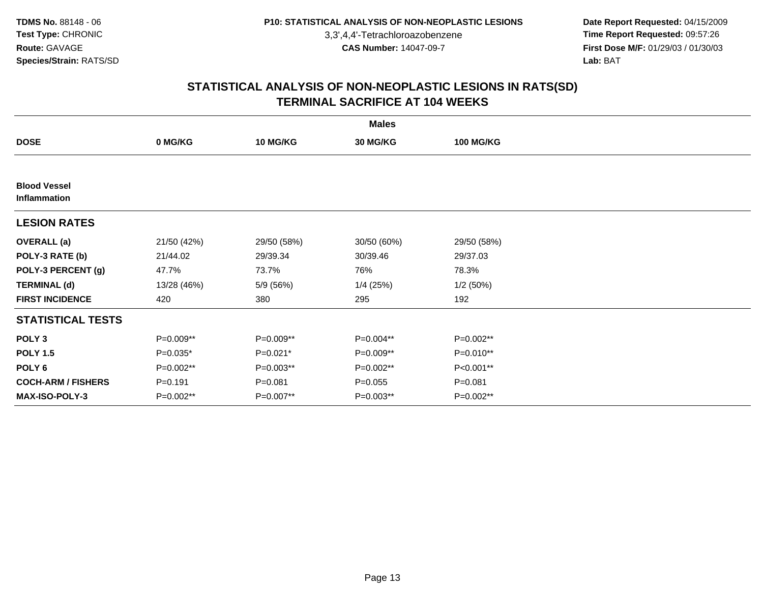**Date Report Requested:** 04/15/2009 **Time Report Requested:** 09:57:26 **First Dose M/F:** 01/29/03 / 01/30/03<br>Lab: BAT **Lab:** BAT

|                                     |             |                 | <b>Males</b> |                  |  |
|-------------------------------------|-------------|-----------------|--------------|------------------|--|
| <b>DOSE</b>                         | 0 MG/KG     | <b>10 MG/KG</b> | 30 MG/KG     | <b>100 MG/KG</b> |  |
|                                     |             |                 |              |                  |  |
| <b>Blood Vessel</b><br>Inflammation |             |                 |              |                  |  |
| <b>LESION RATES</b>                 |             |                 |              |                  |  |
| <b>OVERALL</b> (a)                  | 21/50 (42%) | 29/50 (58%)     | 30/50 (60%)  | 29/50 (58%)      |  |
| POLY-3 RATE (b)                     | 21/44.02    | 29/39.34        | 30/39.46     | 29/37.03         |  |
| POLY-3 PERCENT (g)                  | 47.7%       | 73.7%           | 76%          | 78.3%            |  |
| <b>TERMINAL (d)</b>                 | 13/28 (46%) | 5/9 (56%)       | $1/4$ (25%)  | 1/2(50%)         |  |
| <b>FIRST INCIDENCE</b>              | 420         | 380             | 295          | 192              |  |
| <b>STATISTICAL TESTS</b>            |             |                 |              |                  |  |
| POLY <sub>3</sub>                   | P=0.009**   | P=0.009**       | $P=0.004**$  | P=0.002**        |  |
| <b>POLY 1.5</b>                     | $P=0.035*$  | $P=0.021*$      | P=0.009**    | P=0.010**        |  |
| POLY <sub>6</sub>                   | P=0.002**   | P=0.003**       | P=0.002**    | P<0.001**        |  |
| <b>COCH-ARM / FISHERS</b>           | $P = 0.191$ | $P = 0.081$     | $P = 0.055$  | $P = 0.081$      |  |
| <b>MAX-ISO-POLY-3</b>               | P=0.002**   | P=0.007**       | P=0.003**    | P=0.002**        |  |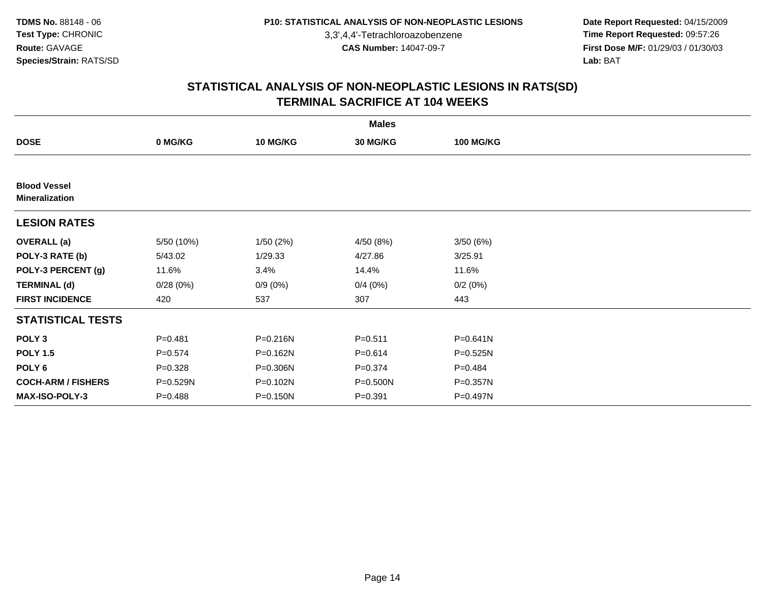**Date Report Requested:** 04/15/2009 **Time Report Requested:** 09:57:26 **First Dose M/F:** 01/29/03 / 01/30/03<br>Lab: BAT **Lab:** BAT

|                                              |             |                 | <b>Males</b>    |                  |  |
|----------------------------------------------|-------------|-----------------|-----------------|------------------|--|
| <b>DOSE</b>                                  | 0 MG/KG     | <b>10 MG/KG</b> | <b>30 MG/KG</b> | <b>100 MG/KG</b> |  |
|                                              |             |                 |                 |                  |  |
| <b>Blood Vessel</b><br><b>Mineralization</b> |             |                 |                 |                  |  |
| <b>LESION RATES</b>                          |             |                 |                 |                  |  |
| <b>OVERALL</b> (a)                           | 5/50 (10%)  | 1/50(2%)        | 4/50 (8%)       | 3/50(6%)         |  |
| POLY-3 RATE (b)                              | 5/43.02     | 1/29.33         | 4/27.86         | 3/25.91          |  |
| POLY-3 PERCENT (g)                           | 11.6%       | 3.4%            | 14.4%           | 11.6%            |  |
| <b>TERMINAL (d)</b>                          | 0/28(0%)    | $0/9(0\%)$      | 0/4(0%)         | 0/2(0%)          |  |
| <b>FIRST INCIDENCE</b>                       | 420         | 537             | 307             | 443              |  |
| <b>STATISTICAL TESTS</b>                     |             |                 |                 |                  |  |
| POLY <sub>3</sub>                            | $P = 0.481$ | P=0.216N        | $P = 0.511$     | $P = 0.641N$     |  |
| <b>POLY 1.5</b>                              | $P = 0.574$ | P=0.162N        | $P = 0.614$     | $P = 0.525N$     |  |
| POLY <sub>6</sub>                            | $P = 0.328$ | P=0.306N        | $P = 0.374$     | $P=0.484$        |  |
| <b>COCH-ARM / FISHERS</b>                    | P=0.529N    | P=0.102N        | P=0.500N        | P=0.357N         |  |
| <b>MAX-ISO-POLY-3</b>                        | $P = 0.488$ | P=0.150N        | $P = 0.391$     | P=0.497N         |  |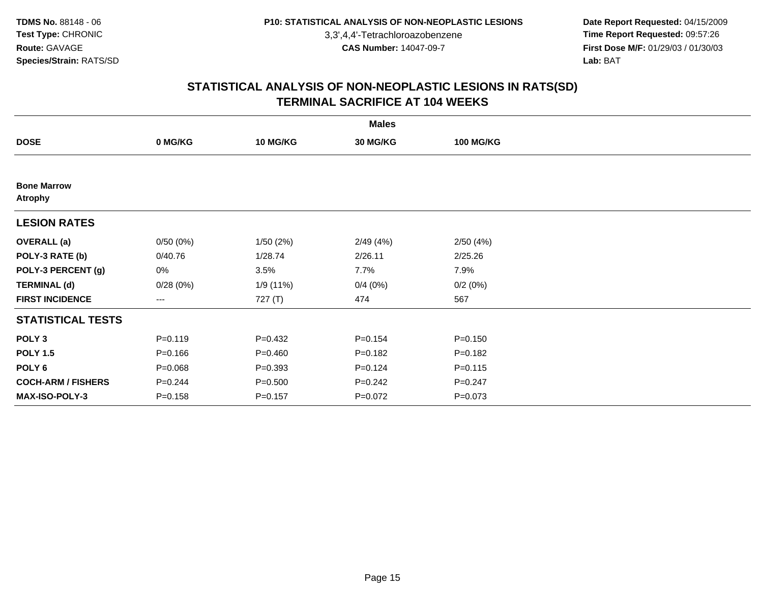**Date Report Requested:** 04/15/2009 **Time Report Requested:** 09:57:26 **First Dose M/F:** 01/29/03 / 01/30/03<br>Lab: BAT **Lab:** BAT

|                                      |             |                 | <b>Males</b>    |                  |  |
|--------------------------------------|-------------|-----------------|-----------------|------------------|--|
| <b>DOSE</b>                          | 0 MG/KG     | <b>10 MG/KG</b> | <b>30 MG/KG</b> | <b>100 MG/KG</b> |  |
|                                      |             |                 |                 |                  |  |
| <b>Bone Marrow</b><br><b>Atrophy</b> |             |                 |                 |                  |  |
| <b>LESION RATES</b>                  |             |                 |                 |                  |  |
| <b>OVERALL</b> (a)                   | 0/50(0%)    | 1/50(2%)        | 2/49(4%)        | 2/50(4%)         |  |
| POLY-3 RATE (b)                      | 0/40.76     | 1/28.74         | 2/26.11         | 2/25.26          |  |
| POLY-3 PERCENT (g)                   | 0%          | 3.5%            | 7.7%            | 7.9%             |  |
| <b>TERMINAL (d)</b>                  | 0/28(0%)    | 1/9(11%)        | 0/4(0%)         | 0/2(0%)          |  |
| <b>FIRST INCIDENCE</b>               | $--$        | 727 (T)         | 474             | 567              |  |
| <b>STATISTICAL TESTS</b>             |             |                 |                 |                  |  |
| POLY <sub>3</sub>                    | $P = 0.119$ | $P=0.432$       | $P = 0.154$     | $P = 0.150$      |  |
| <b>POLY 1.5</b>                      | $P = 0.166$ | $P = 0.460$     | $P = 0.182$     | $P = 0.182$      |  |
| POLY <sub>6</sub>                    | $P = 0.068$ | $P = 0.393$     | $P = 0.124$     | $P = 0.115$      |  |
| <b>COCH-ARM / FISHERS</b>            | $P = 0.244$ | $P = 0.500$     | $P = 0.242$     | $P = 0.247$      |  |
| MAX-ISO-POLY-3                       | $P = 0.158$ | $P = 0.157$     | $P=0.072$       | $P = 0.073$      |  |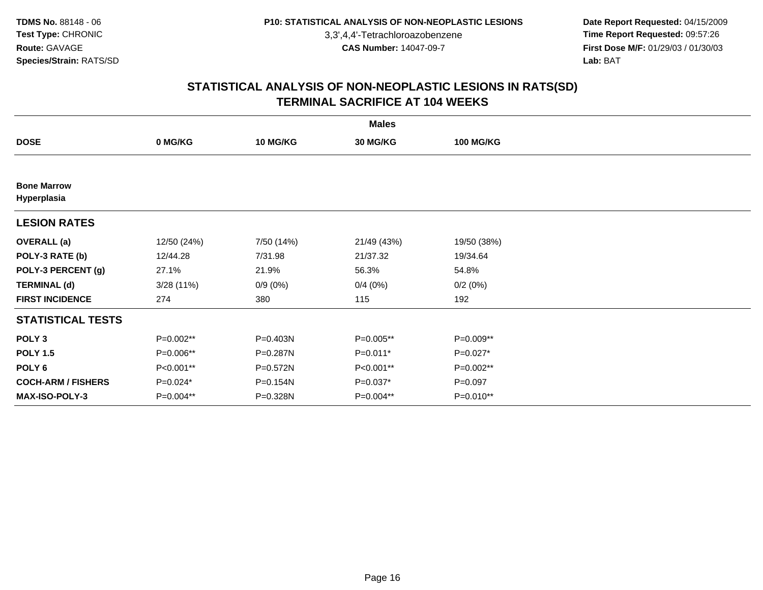**Date Report Requested:** 04/15/2009 **Time Report Requested:** 09:57:26 **First Dose M/F:** 01/29/03 / 01/30/03<br>Lab: BAT **Lab:** BAT

|                                   | <b>Males</b> |                 |                 |                  |  |  |  |  |
|-----------------------------------|--------------|-----------------|-----------------|------------------|--|--|--|--|
| <b>DOSE</b>                       | 0 MG/KG      | <b>10 MG/KG</b> | <b>30 MG/KG</b> | <b>100 MG/KG</b> |  |  |  |  |
|                                   |              |                 |                 |                  |  |  |  |  |
| <b>Bone Marrow</b><br>Hyperplasia |              |                 |                 |                  |  |  |  |  |
| <b>LESION RATES</b>               |              |                 |                 |                  |  |  |  |  |
| <b>OVERALL</b> (a)                | 12/50 (24%)  | 7/50 (14%)      | 21/49 (43%)     | 19/50 (38%)      |  |  |  |  |
| POLY-3 RATE (b)                   | 12/44.28     | 7/31.98         | 21/37.32        | 19/34.64         |  |  |  |  |
| POLY-3 PERCENT (g)                | 27.1%        | 21.9%           | 56.3%           | 54.8%            |  |  |  |  |
| <b>TERMINAL (d)</b>               | 3/28(11%)    | $0/9(0\%)$      | 0/4(0%)         | 0/2(0%)          |  |  |  |  |
| <b>FIRST INCIDENCE</b>            | 274          | 380             | 115             | 192              |  |  |  |  |
| <b>STATISTICAL TESTS</b>          |              |                 |                 |                  |  |  |  |  |
| POLY <sub>3</sub>                 | P=0.002**    | P=0.403N        | P=0.005**       | P=0.009**        |  |  |  |  |
| <b>POLY 1.5</b>                   | P=0.006**    | P=0.287N        | $P=0.011*$      | $P=0.027*$       |  |  |  |  |
| POLY <sub>6</sub>                 | P<0.001**    | P=0.572N        | P<0.001**       | P=0.002**        |  |  |  |  |
| <b>COCH-ARM / FISHERS</b>         | P=0.024*     | P=0.154N        | P=0.037*        | $P = 0.097$      |  |  |  |  |
| <b>MAX-ISO-POLY-3</b>             | P=0.004**    | P=0.328N        | P=0.004**       | P=0.010**        |  |  |  |  |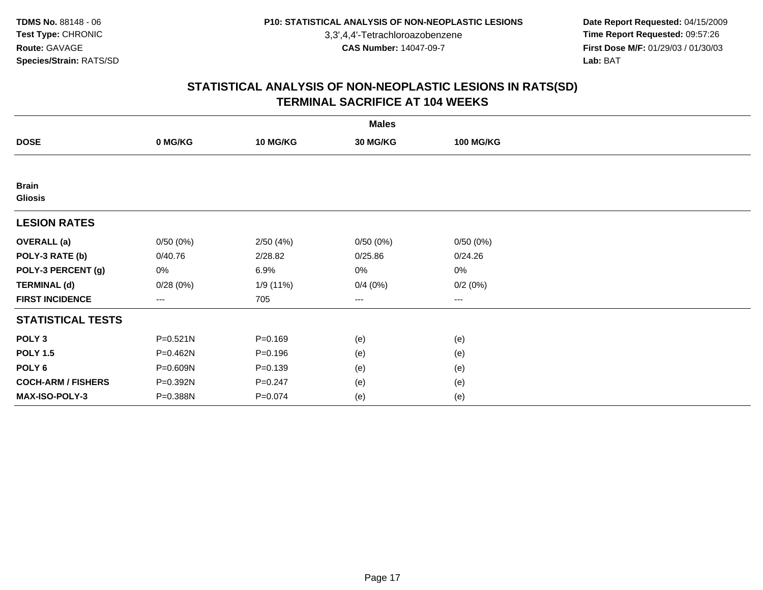**Date Report Requested:** 04/15/2009 **Time Report Requested:** 09:57:26 **First Dose M/F:** 01/29/03 / 01/30/03<br>Lab: BAT **Lab:** BAT

| <b>Males</b>                   |                        |                 |                 |                        |  |  |  |
|--------------------------------|------------------------|-----------------|-----------------|------------------------|--|--|--|
| <b>DOSE</b>                    | 0 MG/KG                | <b>10 MG/KG</b> | <b>30 MG/KG</b> | <b>100 MG/KG</b>       |  |  |  |
|                                |                        |                 |                 |                        |  |  |  |
| <b>Brain</b><br><b>Gliosis</b> |                        |                 |                 |                        |  |  |  |
| <b>LESION RATES</b>            |                        |                 |                 |                        |  |  |  |
| <b>OVERALL</b> (a)             | 0/50(0%)               | 2/50(4%)        | 0/50(0%)        | 0/50(0%)               |  |  |  |
| POLY-3 RATE (b)                | 0/40.76                | 2/28.82         | 0/25.86         | 0/24.26                |  |  |  |
| POLY-3 PERCENT (g)             | 0%                     | 6.9%            | 0%              | 0%                     |  |  |  |
| <b>TERMINAL (d)</b>            | 0/28(0%)               | 1/9 (11%)       | 0/4(0%)         | 0/2(0%)                |  |  |  |
| <b>FIRST INCIDENCE</b>         | $\qquad \qquad \cdots$ | 705             | ---             | $\qquad \qquad \cdots$ |  |  |  |
| <b>STATISTICAL TESTS</b>       |                        |                 |                 |                        |  |  |  |
| POLY <sub>3</sub>              | $P = 0.521N$           | $P = 0.169$     | (e)             | (e)                    |  |  |  |
| <b>POLY 1.5</b>                | $P = 0.462N$           | $P = 0.196$     | (e)             | (e)                    |  |  |  |
| POLY <sub>6</sub>              | P=0.609N               | $P = 0.139$     | (e)             | (e)                    |  |  |  |
| <b>COCH-ARM / FISHERS</b>      | P=0.392N               | $P = 0.247$     | (e)             | (e)                    |  |  |  |
| <b>MAX-ISO-POLY-3</b>          | P=0.388N               | $P = 0.074$     | (e)             | (e)                    |  |  |  |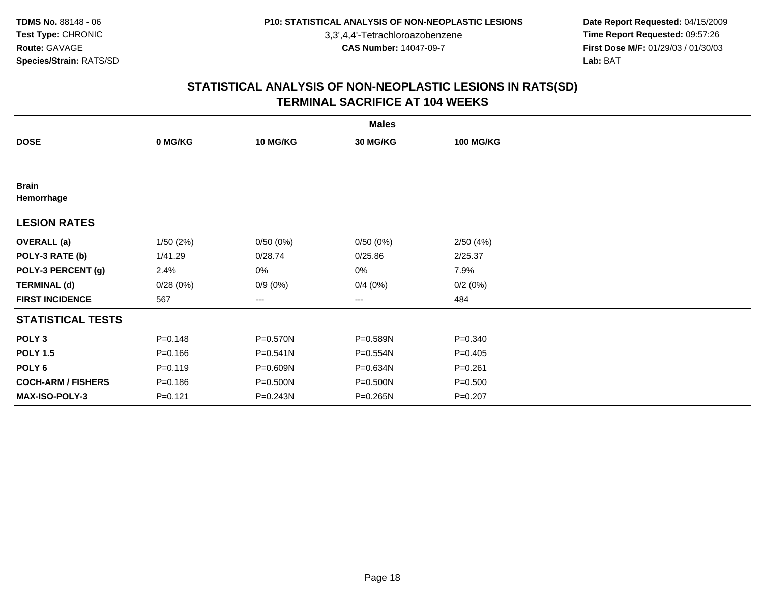**Date Report Requested:** 04/15/2009 **Time Report Requested:** 09:57:26 **First Dose M/F:** 01/29/03 / 01/30/03<br>Lab: BAT **Lab:** BAT

|                            |             |                 | <b>Males</b>    |                  |  |
|----------------------------|-------------|-----------------|-----------------|------------------|--|
| <b>DOSE</b>                | 0 MG/KG     | <b>10 MG/KG</b> | <b>30 MG/KG</b> | <b>100 MG/KG</b> |  |
|                            |             |                 |                 |                  |  |
| <b>Brain</b><br>Hemorrhage |             |                 |                 |                  |  |
| <b>LESION RATES</b>        |             |                 |                 |                  |  |
| <b>OVERALL</b> (a)         | 1/50(2%)    | 0/50(0%)        | 0/50(0%)        | 2/50(4%)         |  |
| POLY-3 RATE (b)            | 1/41.29     | 0/28.74         | 0/25.86         | 2/25.37          |  |
| POLY-3 PERCENT (g)         | 2.4%        | 0%              | 0%              | 7.9%             |  |
| <b>TERMINAL (d)</b>        | 0/28(0%)    | $0/9(0\%)$      | 0/4(0%)         | 0/2(0%)          |  |
| <b>FIRST INCIDENCE</b>     | 567         | ---             | ---             | 484              |  |
| <b>STATISTICAL TESTS</b>   |             |                 |                 |                  |  |
| POLY <sub>3</sub>          | $P = 0.148$ | P=0.570N        | P=0.589N        | $P = 0.340$      |  |
| <b>POLY 1.5</b>            | $P = 0.166$ | $P = 0.541N$    | P=0.554N        | $P=0.405$        |  |
| POLY <sub>6</sub>          | $P = 0.119$ | P=0.609N        | P=0.634N        | $P = 0.261$      |  |
| <b>COCH-ARM / FISHERS</b>  | $P = 0.186$ | P=0.500N        | P=0.500N        | $P = 0.500$      |  |
| <b>MAX-ISO-POLY-3</b>      | $P = 0.121$ | P=0.243N        | P=0.265N        | $P=0.207$        |  |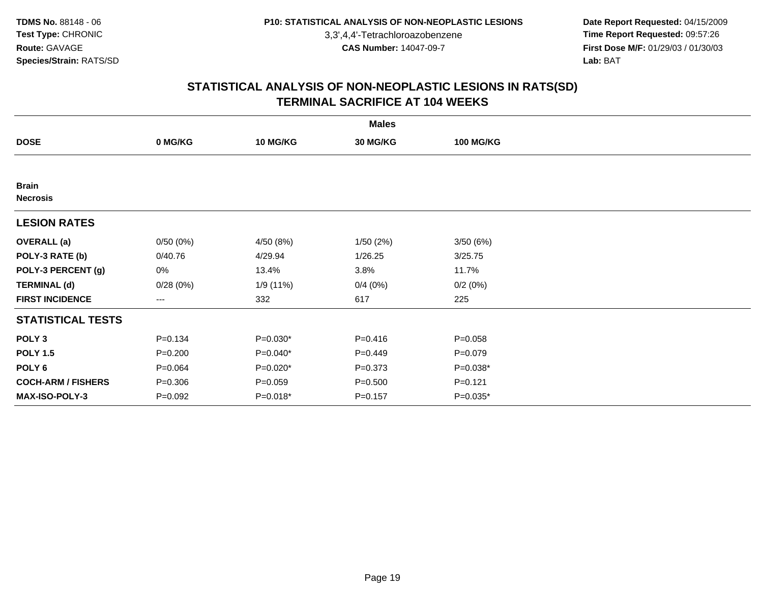**Date Report Requested:** 04/15/2009 **Time Report Requested:** 09:57:26 **First Dose M/F:** 01/29/03 / 01/30/03<br>Lab: BAT **Lab:** BAT

|                                 |                   |                 | <b>Males</b> |                  |  |
|---------------------------------|-------------------|-----------------|--------------|------------------|--|
| <b>DOSE</b>                     | 0 MG/KG           | <b>10 MG/KG</b> | 30 MG/KG     | <b>100 MG/KG</b> |  |
|                                 |                   |                 |              |                  |  |
| <b>Brain</b><br><b>Necrosis</b> |                   |                 |              |                  |  |
| <b>LESION RATES</b>             |                   |                 |              |                  |  |
| <b>OVERALL</b> (a)              | 0/50(0%)          | 4/50 (8%)       | 1/50(2%)     | 3/50(6%)         |  |
| POLY-3 RATE (b)                 | 0/40.76           | 4/29.94         | 1/26.25      | 3/25.75          |  |
| POLY-3 PERCENT (g)              | 0%                | 13.4%           | 3.8%         | 11.7%            |  |
| <b>TERMINAL (d)</b>             | 0/28(0%)          | 1/9(11%)        | 0/4(0%)      | 0/2(0%)          |  |
| <b>FIRST INCIDENCE</b>          | $\qquad \qquad -$ | 332             | 617          | 225              |  |
| <b>STATISTICAL TESTS</b>        |                   |                 |              |                  |  |
| POLY <sub>3</sub>               | $P = 0.134$       | $P=0.030*$      | $P = 0.416$  | $P = 0.058$      |  |
| <b>POLY 1.5</b>                 | $P = 0.200$       | $P=0.040*$      | $P=0.449$    | $P = 0.079$      |  |
| POLY <sub>6</sub>               | $P = 0.064$       | $P=0.020*$      | $P = 0.373$  | P=0.038*         |  |
| <b>COCH-ARM / FISHERS</b>       | $P = 0.306$       | $P = 0.059$     | $P = 0.500$  | $P = 0.121$      |  |
| <b>MAX-ISO-POLY-3</b>           | $P = 0.092$       | $P=0.018*$      | $P = 0.157$  | $P=0.035*$       |  |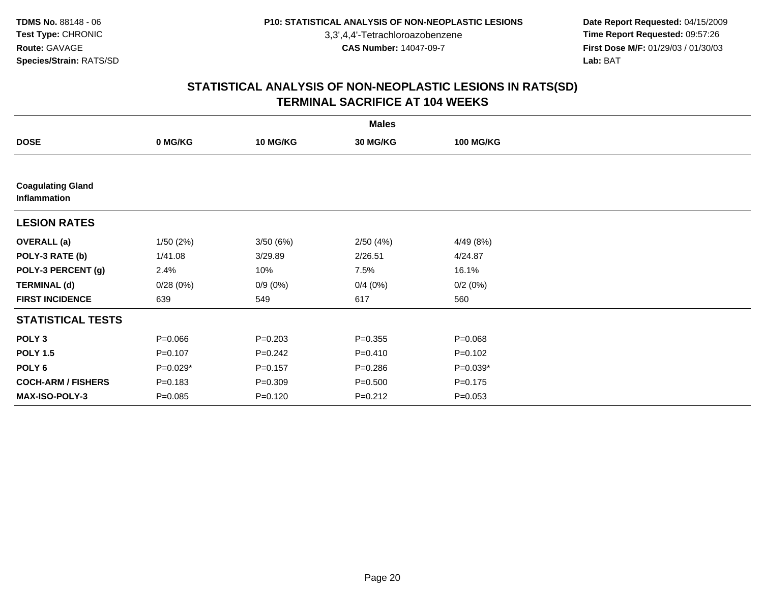**Date Report Requested:** 04/15/2009 **Time Report Requested:** 09:57:26 **First Dose M/F:** 01/29/03 / 01/30/03<br>Lab: BAT **Lab:** BAT

|                                          |             |                 | <b>Males</b> |                  |  |
|------------------------------------------|-------------|-----------------|--------------|------------------|--|
| <b>DOSE</b>                              | 0 MG/KG     | <b>10 MG/KG</b> | 30 MG/KG     | <b>100 MG/KG</b> |  |
|                                          |             |                 |              |                  |  |
| <b>Coagulating Gland</b><br>Inflammation |             |                 |              |                  |  |
| <b>LESION RATES</b>                      |             |                 |              |                  |  |
| <b>OVERALL</b> (a)                       | 1/50(2%)    | 3/50(6%)        | 2/50(4%)     | 4/49 (8%)        |  |
| POLY-3 RATE (b)                          | 1/41.08     | 3/29.89         | 2/26.51      | 4/24.87          |  |
| POLY-3 PERCENT (g)                       | 2.4%        | 10%             | 7.5%         | 16.1%            |  |
| <b>TERMINAL (d)</b>                      | 0/28(0%)    | $0/9(0\%)$      | 0/4(0%)      | 0/2(0%)          |  |
| <b>FIRST INCIDENCE</b>                   | 639         | 549             | 617          | 560              |  |
| <b>STATISTICAL TESTS</b>                 |             |                 |              |                  |  |
| POLY <sub>3</sub>                        | $P = 0.066$ | $P = 0.203$     | $P = 0.355$  | $P = 0.068$      |  |
| <b>POLY 1.5</b>                          | $P = 0.107$ | $P = 0.242$     | $P = 0.410$  | $P = 0.102$      |  |
| POLY <sub>6</sub>                        | $P=0.029*$  | $P=0.157$       | $P = 0.286$  | P=0.039*         |  |
| <b>COCH-ARM / FISHERS</b>                | $P = 0.183$ | $P = 0.309$     | $P = 0.500$  | $P = 0.175$      |  |
| MAX-ISO-POLY-3                           | $P = 0.085$ | $P = 0.120$     | $P = 0.212$  | $P = 0.053$      |  |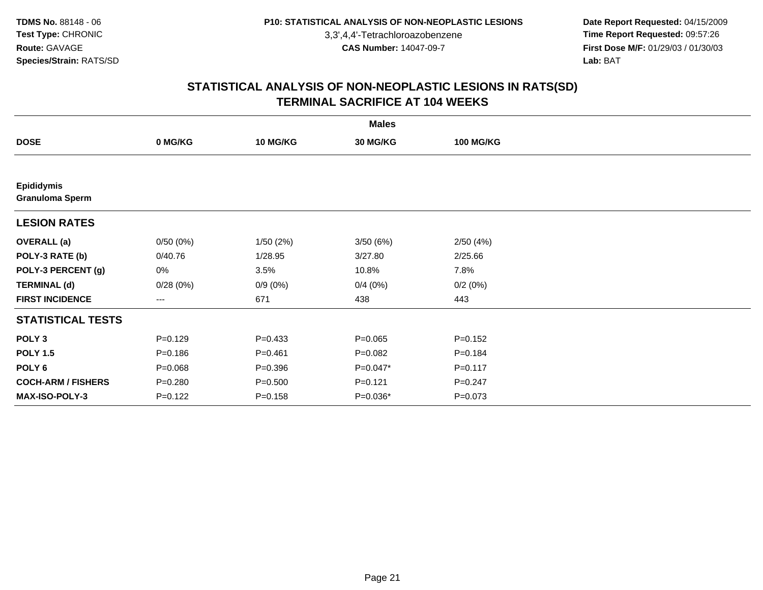**Date Report Requested:** 04/15/2009 **Time Report Requested:** 09:57:26 **First Dose M/F:** 01/29/03 / 01/30/03<br>Lab: BAT **Lab:** BAT

|                                             |             |                 | <b>Males</b>    |                  |  |
|---------------------------------------------|-------------|-----------------|-----------------|------------------|--|
| <b>DOSE</b>                                 | 0 MG/KG     | <b>10 MG/KG</b> | <b>30 MG/KG</b> | <b>100 MG/KG</b> |  |
|                                             |             |                 |                 |                  |  |
| <b>Epididymis</b><br><b>Granuloma Sperm</b> |             |                 |                 |                  |  |
| <b>LESION RATES</b>                         |             |                 |                 |                  |  |
| <b>OVERALL</b> (a)                          | 0/50(0%)    | 1/50(2%)        | 3/50(6%)        | 2/50(4%)         |  |
| POLY-3 RATE (b)                             | 0/40.76     | 1/28.95         | 3/27.80         | 2/25.66          |  |
| POLY-3 PERCENT (g)                          | 0%          | 3.5%            | 10.8%           | 7.8%             |  |
| <b>TERMINAL (d)</b>                         | 0/28(0%)    | $0/9(0\%)$      | 0/4(0%)         | 0/2(0%)          |  |
| <b>FIRST INCIDENCE</b>                      | $--$        | 671             | 438             | 443              |  |
| <b>STATISTICAL TESTS</b>                    |             |                 |                 |                  |  |
| POLY <sub>3</sub>                           | $P=0.129$   | $P = 0.433$     | $P=0.065$       | $P = 0.152$      |  |
| <b>POLY 1.5</b>                             | $P = 0.186$ | $P = 0.461$     | $P = 0.082$     | $P = 0.184$      |  |
| POLY <sub>6</sub>                           | $P = 0.068$ | $P = 0.396$     | P=0.047*        | $P = 0.117$      |  |
| <b>COCH-ARM / FISHERS</b>                   | $P = 0.280$ | $P = 0.500$     | $P=0.121$       | $P = 0.247$      |  |
| MAX-ISO-POLY-3                              | $P = 0.122$ | $P = 0.158$     | P=0.036*        | $P = 0.073$      |  |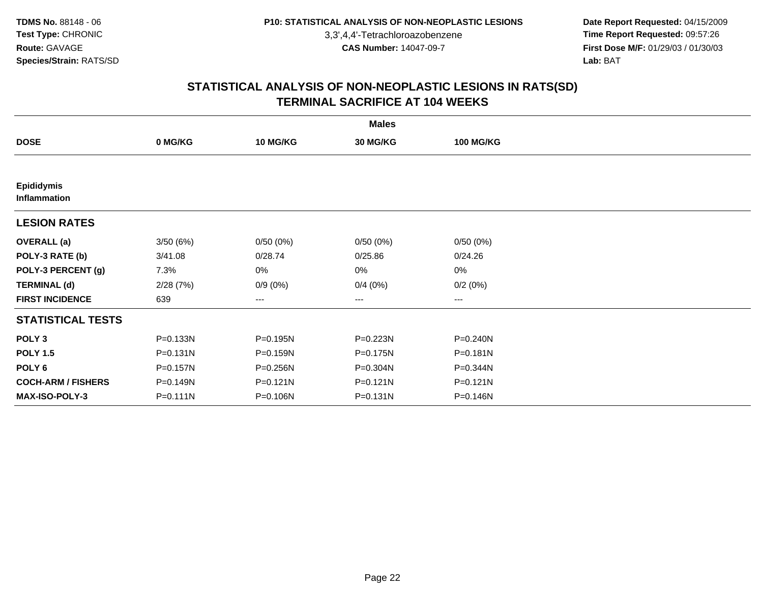**Date Report Requested:** 04/15/2009 **Time Report Requested:** 09:57:26 **First Dose M/F:** 01/29/03 / 01/30/03<br>Lab: BAT **Lab:** BAT

| <b>Males</b>                      |              |              |          |                  |  |  |  |
|-----------------------------------|--------------|--------------|----------|------------------|--|--|--|
| <b>DOSE</b>                       | 0 MG/KG      | 10 MG/KG     | 30 MG/KG | <b>100 MG/KG</b> |  |  |  |
|                                   |              |              |          |                  |  |  |  |
| <b>Epididymis</b><br>Inflammation |              |              |          |                  |  |  |  |
| <b>LESION RATES</b>               |              |              |          |                  |  |  |  |
| <b>OVERALL</b> (a)                | 3/50(6%)     | 0/50(0%)     | 0/50(0%) | 0/50(0%)         |  |  |  |
| POLY-3 RATE (b)                   | 3/41.08      | 0/28.74      | 0/25.86  | 0/24.26          |  |  |  |
| POLY-3 PERCENT (g)                | 7.3%         | 0%           | 0%       | 0%               |  |  |  |
| <b>TERMINAL (d)</b>               | 2/28(7%)     | $0/9(0\%)$   | 0/4(0%)  | 0/2(0%)          |  |  |  |
| <b>FIRST INCIDENCE</b>            | 639          | ---          | ---      | ---              |  |  |  |
| <b>STATISTICAL TESTS</b>          |              |              |          |                  |  |  |  |
| POLY <sub>3</sub>                 | P=0.133N     | P=0.195N     | P=0.223N | $P = 0.240N$     |  |  |  |
| <b>POLY 1.5</b>                   | $P = 0.131N$ | P=0.159N     | P=0.175N | P=0.181N         |  |  |  |
| POLY <sub>6</sub>                 | $P = 0.157N$ | P=0.256N     | P=0.304N | P=0.344N         |  |  |  |
| <b>COCH-ARM / FISHERS</b>         | P=0.149N     | $P = 0.121N$ | P=0.121N | $P = 0.121N$     |  |  |  |
| <b>MAX-ISO-POLY-3</b>             | $P = 0.111N$ | P=0.106N     | P=0.131N | P=0.146N         |  |  |  |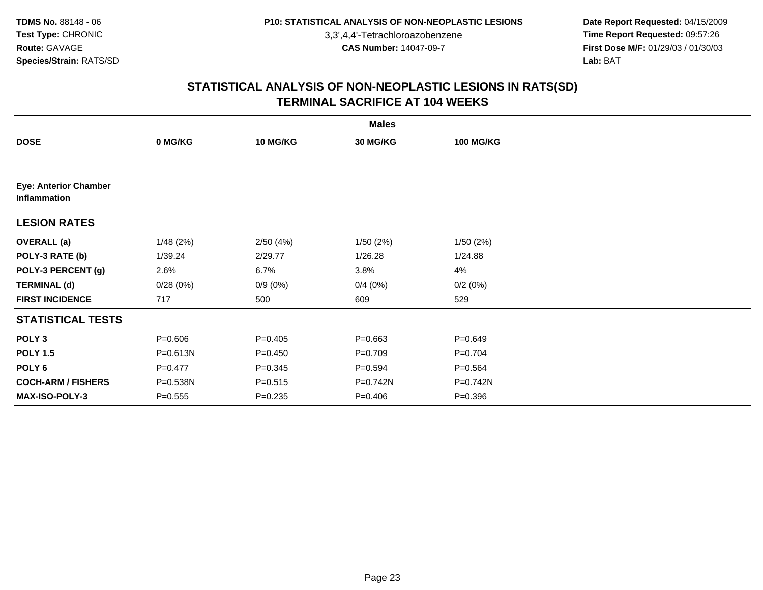**Date Report Requested:** 04/15/2009 **Time Report Requested:** 09:57:26 **First Dose M/F:** 01/29/03 / 01/30/03<br>Lab: BAT **Lab:** BAT

|                                              |             |                 | <b>Males</b>    |                  |  |
|----------------------------------------------|-------------|-----------------|-----------------|------------------|--|
| <b>DOSE</b>                                  | 0 MG/KG     | <b>10 MG/KG</b> | <b>30 MG/KG</b> | <b>100 MG/KG</b> |  |
|                                              |             |                 |                 |                  |  |
| <b>Eye: Anterior Chamber</b><br>Inflammation |             |                 |                 |                  |  |
| <b>LESION RATES</b>                          |             |                 |                 |                  |  |
| <b>OVERALL</b> (a)                           | 1/48(2%)    | 2/50(4%)        | 1/50(2%)        | 1/50(2%)         |  |
| POLY-3 RATE (b)                              | 1/39.24     | 2/29.77         | 1/26.28         | 1/24.88          |  |
| POLY-3 PERCENT (g)                           | 2.6%        | 6.7%            | 3.8%            | 4%               |  |
| <b>TERMINAL (d)</b>                          | 0/28(0%)    | $0/9(0\%)$      | 0/4(0%)         | 0/2(0%)          |  |
| <b>FIRST INCIDENCE</b>                       | 717         | 500             | 609             | 529              |  |
| <b>STATISTICAL TESTS</b>                     |             |                 |                 |                  |  |
| POLY <sub>3</sub>                            | $P = 0.606$ | $P=0.405$       | $P = 0.663$     | $P = 0.649$      |  |
| <b>POLY 1.5</b>                              | P=0.613N    | $P=0.450$       | $P=0.709$       | $P=0.704$        |  |
| POLY 6                                       | $P = 0.477$ | $P = 0.345$     | $P = 0.594$     | $P = 0.564$      |  |
| <b>COCH-ARM / FISHERS</b>                    | P=0.538N    | $P = 0.515$     | P=0.742N        | P=0.742N         |  |
| MAX-ISO-POLY-3                               | $P = 0.555$ | $P = 0.235$     | $P = 0.406$     | $P = 0.396$      |  |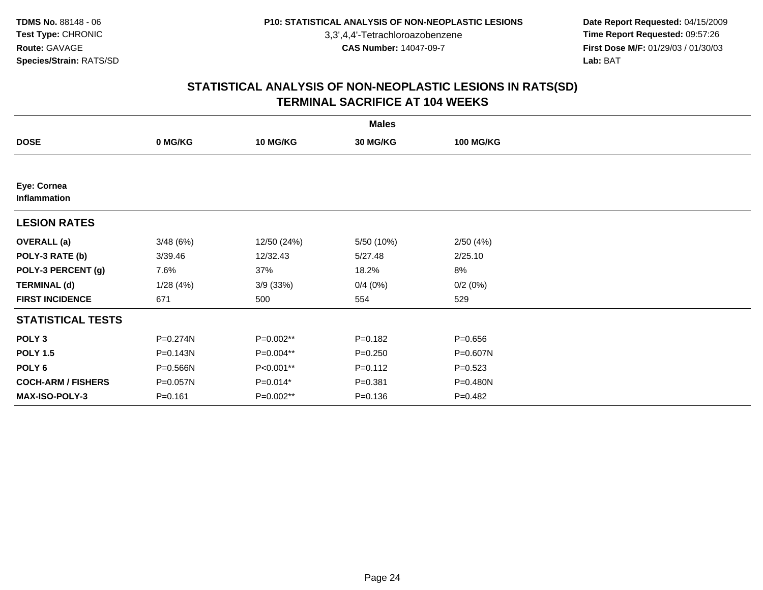**Date Report Requested:** 04/15/2009 **Time Report Requested:** 09:57:26 **First Dose M/F:** 01/29/03 / 01/30/03<br>Lab: BAT **Lab:** BAT

|                             |              |                 | <b>Males</b>    |                  |  |
|-----------------------------|--------------|-----------------|-----------------|------------------|--|
| <b>DOSE</b>                 | 0 MG/KG      | <b>10 MG/KG</b> | <b>30 MG/KG</b> | <b>100 MG/KG</b> |  |
|                             |              |                 |                 |                  |  |
| Eye: Cornea<br>Inflammation |              |                 |                 |                  |  |
| <b>LESION RATES</b>         |              |                 |                 |                  |  |
| <b>OVERALL</b> (a)          | 3/48(6%)     | 12/50 (24%)     | 5/50 (10%)      | 2/50(4%)         |  |
| POLY-3 RATE (b)             | 3/39.46      | 12/32.43        | 5/27.48         | 2/25.10          |  |
| POLY-3 PERCENT (g)          | 7.6%         | 37%             | 18.2%           | 8%               |  |
| <b>TERMINAL (d)</b>         | 1/28(4%)     | 3/9(33%)        | 0/4(0%)         | 0/2(0%)          |  |
| <b>FIRST INCIDENCE</b>      | 671          | 500             | 554             | 529              |  |
| <b>STATISTICAL TESTS</b>    |              |                 |                 |                  |  |
| POLY <sub>3</sub>           | P=0.274N     | P=0.002**       | $P = 0.182$     | $P = 0.656$      |  |
| <b>POLY 1.5</b>             | $P = 0.143N$ | P=0.004**       | $P = 0.250$     | P=0.607N         |  |
| POLY <sub>6</sub>           | P=0.566N     | P<0.001**       | $P = 0.112$     | $P = 0.523$      |  |
| <b>COCH-ARM / FISHERS</b>   | P=0.057N     | $P=0.014*$      | $P = 0.381$     | P=0.480N         |  |
| <b>MAX-ISO-POLY-3</b>       | $P = 0.161$  | $P=0.002**$     | $P = 0.136$     | $P = 0.482$      |  |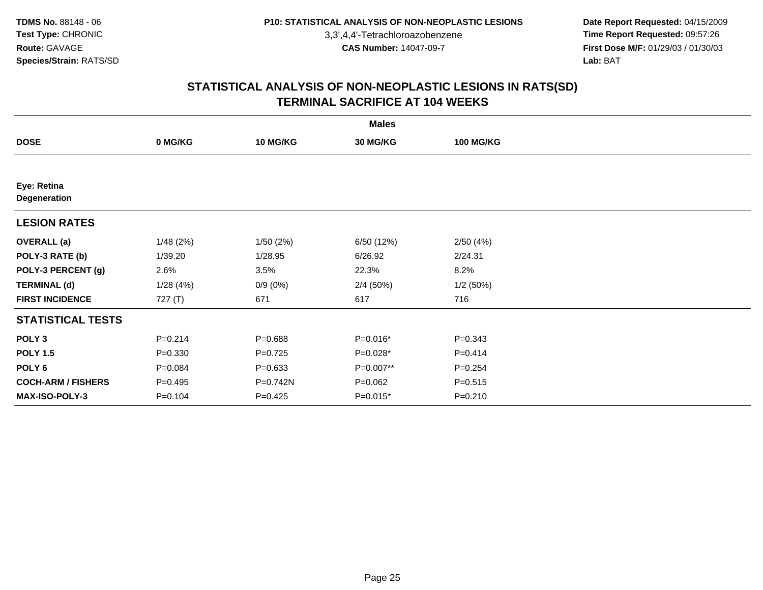**Date Report Requested:** 04/15/2009 **Time Report Requested:** 09:57:26 **First Dose M/F:** 01/29/03 / 01/30/03<br>Lab: BAT **Lab:** BAT

|                             |             |                 | <b>Males</b>    |                  |  |
|-----------------------------|-------------|-----------------|-----------------|------------------|--|
| <b>DOSE</b>                 | 0 MG/KG     | <b>10 MG/KG</b> | <b>30 MG/KG</b> | <b>100 MG/KG</b> |  |
|                             |             |                 |                 |                  |  |
| Eye: Retina<br>Degeneration |             |                 |                 |                  |  |
| <b>LESION RATES</b>         |             |                 |                 |                  |  |
| <b>OVERALL</b> (a)          | 1/48(2%)    | 1/50(2%)        | 6/50 (12%)      | 2/50(4%)         |  |
| POLY-3 RATE (b)             | 1/39.20     | 1/28.95         | 6/26.92         | 2/24.31          |  |
| POLY-3 PERCENT (g)          | 2.6%        | 3.5%            | 22.3%           | 8.2%             |  |
| <b>TERMINAL (d)</b>         | 1/28(4%)    | $0/9(0\%)$      | 2/4(50%)        | 1/2(50%)         |  |
| <b>FIRST INCIDENCE</b>      | 727 (T)     | 671             | 617             | 716              |  |
| <b>STATISTICAL TESTS</b>    |             |                 |                 |                  |  |
| POLY <sub>3</sub>           | $P = 0.214$ | $P = 0.688$     | P=0.016*        | $P = 0.343$      |  |
| <b>POLY 1.5</b>             | $P = 0.330$ | $P=0.725$       | $P=0.028*$      | $P=0.414$        |  |
| POLY <sub>6</sub>           | $P = 0.084$ | $P = 0.633$     | P=0.007**       | $P = 0.254$      |  |
| <b>COCH-ARM / FISHERS</b>   | $P=0.495$   | P=0.742N        | $P = 0.062$     | $P = 0.515$      |  |
| <b>MAX-ISO-POLY-3</b>       | $P = 0.104$ | $P=0.425$       | $P=0.015*$      | $P = 0.210$      |  |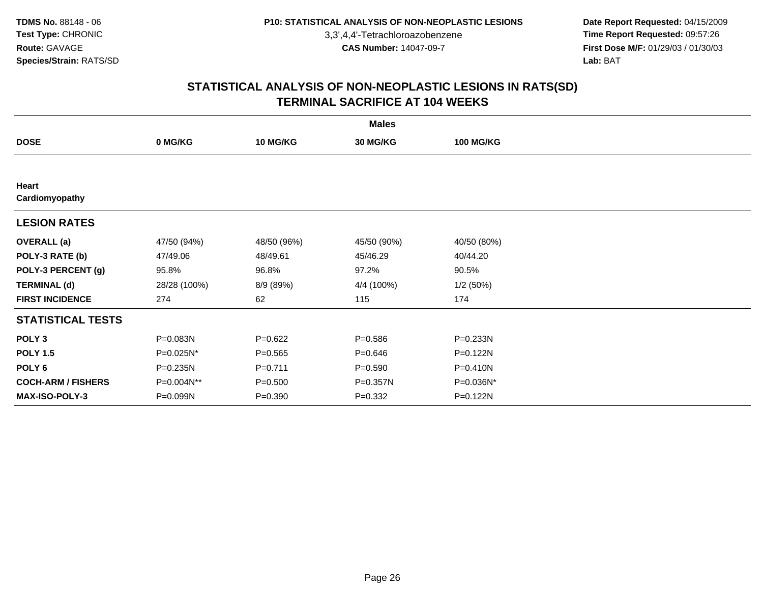**Date Report Requested:** 04/15/2009 **Time Report Requested:** 09:57:26 **First Dose M/F:** 01/29/03 / 01/30/03<br>Lab: BAT **Lab:** BAT

| <b>Males</b>              |              |                 |             |                  |  |  |  |
|---------------------------|--------------|-----------------|-------------|------------------|--|--|--|
| <b>DOSE</b>               | 0 MG/KG      | <b>10 MG/KG</b> | 30 MG/KG    | <b>100 MG/KG</b> |  |  |  |
|                           |              |                 |             |                  |  |  |  |
| Heart                     |              |                 |             |                  |  |  |  |
| Cardiomyopathy            |              |                 |             |                  |  |  |  |
| <b>LESION RATES</b>       |              |                 |             |                  |  |  |  |
| <b>OVERALL</b> (a)        | 47/50 (94%)  | 48/50 (96%)     | 45/50 (90%) | 40/50 (80%)      |  |  |  |
| POLY-3 RATE (b)           | 47/49.06     | 48/49.61        | 45/46.29    | 40/44.20         |  |  |  |
| POLY-3 PERCENT (g)        | 95.8%        | 96.8%           | 97.2%       | 90.5%            |  |  |  |
| <b>TERMINAL (d)</b>       | 28/28 (100%) | 8/9 (89%)       | 4/4 (100%)  | 1/2(50%)         |  |  |  |
| <b>FIRST INCIDENCE</b>    | 274          | 62              | 115         | 174              |  |  |  |
| <b>STATISTICAL TESTS</b>  |              |                 |             |                  |  |  |  |
| POLY <sub>3</sub>         | P=0.083N     | $P=0.622$       | $P = 0.586$ | $P = 0.233N$     |  |  |  |
| <b>POLY 1.5</b>           | P=0.025N*    | $P = 0.565$     | $P = 0.646$ | P=0.122N         |  |  |  |
| POLY <sub>6</sub>         | P=0.235N     | $P = 0.711$     | $P = 0.590$ | $P = 0.410N$     |  |  |  |
| <b>COCH-ARM / FISHERS</b> | P=0.004N**   | $P = 0.500$     | P=0.357N    | P=0.036N*        |  |  |  |
| <b>MAX-ISO-POLY-3</b>     | P=0.099N     | $P = 0.390$     | $P = 0.332$ | P=0.122N         |  |  |  |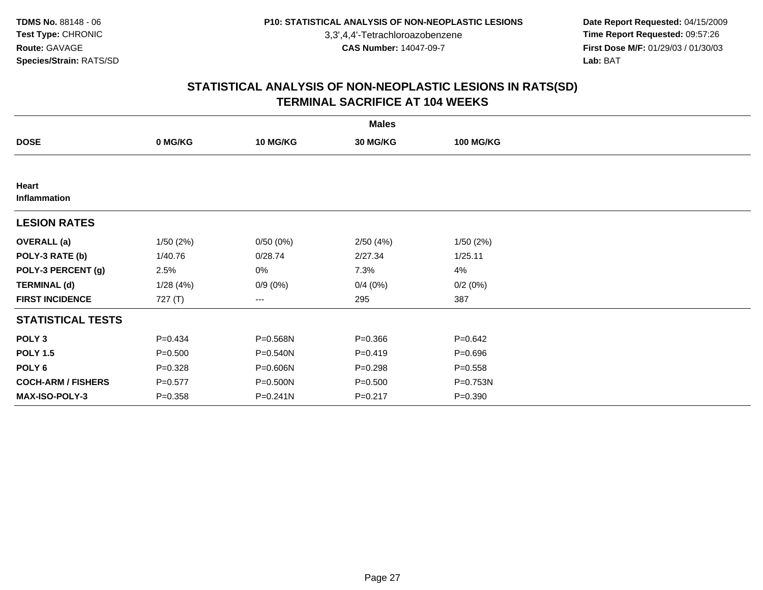**Date Report Requested:** 04/15/2009 **Time Report Requested:** 09:57:26 **First Dose M/F:** 01/29/03 / 01/30/03<br>Lab: BAT **Lab:** BAT

| <b>Males</b>              |             |                 |             |                  |  |  |  |
|---------------------------|-------------|-----------------|-------------|------------------|--|--|--|
| <b>DOSE</b>               | 0 MG/KG     | <b>10 MG/KG</b> | 30 MG/KG    | <b>100 MG/KG</b> |  |  |  |
|                           |             |                 |             |                  |  |  |  |
| Heart<br>Inflammation     |             |                 |             |                  |  |  |  |
| <b>LESION RATES</b>       |             |                 |             |                  |  |  |  |
| <b>OVERALL</b> (a)        | 1/50(2%)    | 0/50(0%)        | 2/50(4%)    | 1/50(2%)         |  |  |  |
| POLY-3 RATE (b)           | 1/40.76     | 0/28.74         | 2/27.34     | 1/25.11          |  |  |  |
| POLY-3 PERCENT (g)        | 2.5%        | 0%              | 7.3%        | 4%               |  |  |  |
| <b>TERMINAL (d)</b>       | 1/28(4%)    | $0/9(0\%)$      | 0/4(0%)     | 0/2(0%)          |  |  |  |
| <b>FIRST INCIDENCE</b>    | 727 (T)     | ---             | 295         | 387              |  |  |  |
| <b>STATISTICAL TESTS</b>  |             |                 |             |                  |  |  |  |
| POLY <sub>3</sub>         | $P=0.434$   | P=0.568N        | $P = 0.366$ | $P = 0.642$      |  |  |  |
| <b>POLY 1.5</b>           | $P = 0.500$ | P=0.540N        | $P = 0.419$ | $P = 0.696$      |  |  |  |
| POLY <sub>6</sub>         | $P = 0.328$ | P=0.606N        | $P = 0.298$ | $P = 0.558$      |  |  |  |
| <b>COCH-ARM / FISHERS</b> | $P = 0.577$ | P=0.500N        | $P = 0.500$ | P=0.753N         |  |  |  |
| <b>MAX-ISO-POLY-3</b>     | $P = 0.358$ | P=0.241N        | $P = 0.217$ | $P = 0.390$      |  |  |  |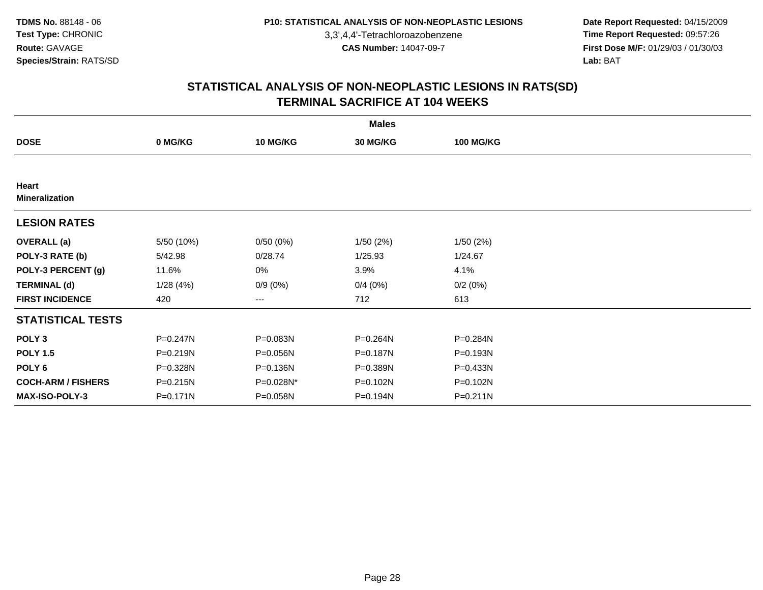**Date Report Requested:** 04/15/2009 **Time Report Requested:** 09:57:26 **First Dose M/F:** 01/29/03 / 01/30/03<br>Lab: BAT **Lab:** BAT

| <b>Males</b>                   |              |                   |          |                  |  |  |
|--------------------------------|--------------|-------------------|----------|------------------|--|--|
| <b>DOSE</b>                    | 0 MG/KG      | <b>10 MG/KG</b>   | 30 MG/KG | <b>100 MG/KG</b> |  |  |
|                                |              |                   |          |                  |  |  |
| Heart<br><b>Mineralization</b> |              |                   |          |                  |  |  |
| <b>LESION RATES</b>            |              |                   |          |                  |  |  |
| <b>OVERALL</b> (a)             | 5/50 (10%)   | 0/50(0%)          | 1/50(2%) | 1/50(2%)         |  |  |
| POLY-3 RATE (b)                | 5/42.98      | 0/28.74           | 1/25.93  | 1/24.67          |  |  |
| POLY-3 PERCENT (g)             | 11.6%        | 0%                | 3.9%     | 4.1%             |  |  |
| <b>TERMINAL (d)</b>            | 1/28(4%)     | $0/9(0\%)$        | 0/4(0%)  | 0/2(0%)          |  |  |
| <b>FIRST INCIDENCE</b>         | 420          | $\qquad \qquad -$ | 712      | 613              |  |  |
| <b>STATISTICAL TESTS</b>       |              |                   |          |                  |  |  |
| POLY <sub>3</sub>              | $P = 0.247N$ | P=0.083N          | P=0.264N | P=0.284N         |  |  |
| <b>POLY 1.5</b>                | $P = 0.219N$ | P=0.056N          | P=0.187N | P=0.193N         |  |  |
| POLY <sub>6</sub>              | P=0.328N     | P=0.136N          | P=0.389N | P=0.433N         |  |  |
| <b>COCH-ARM / FISHERS</b>      | $P = 0.215N$ | P=0.028N*         | P=0.102N | P=0.102N         |  |  |
| MAX-ISO-POLY-3                 | $P = 0.171N$ | P=0.058N          | P=0.194N | $P = 0.211N$     |  |  |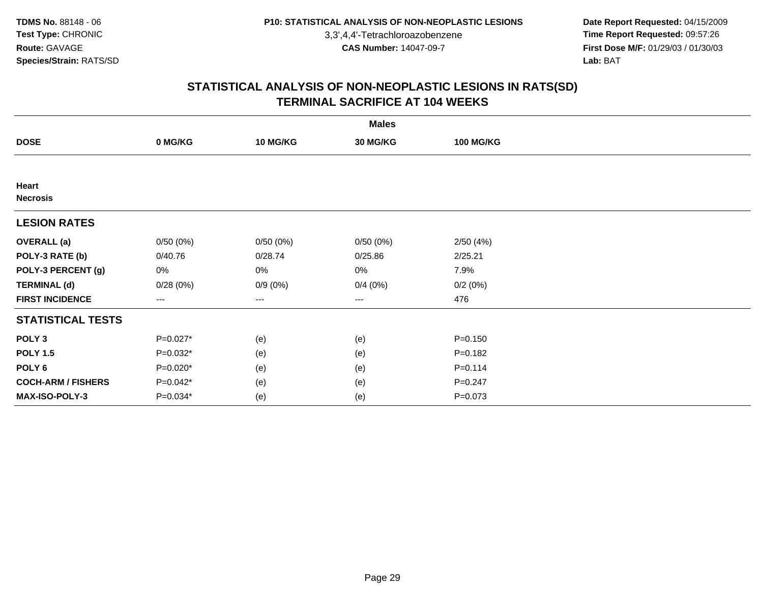**Date Report Requested:** 04/15/2009 **Time Report Requested:** 09:57:26 **First Dose M/F:** 01/29/03 / 01/30/03<br>Lab: BAT **Lab:** BAT

| <b>Males</b>              |                   |                   |                 |                  |  |  |
|---------------------------|-------------------|-------------------|-----------------|------------------|--|--|
| <b>DOSE</b>               | 0 MG/KG           | <b>10 MG/KG</b>   | <b>30 MG/KG</b> | <b>100 MG/KG</b> |  |  |
|                           |                   |                   |                 |                  |  |  |
| Heart<br><b>Necrosis</b>  |                   |                   |                 |                  |  |  |
| <b>LESION RATES</b>       |                   |                   |                 |                  |  |  |
| <b>OVERALL</b> (a)        | 0/50(0%)          | 0/50(0%)          | 0/50(0%)        | 2/50(4%)         |  |  |
| POLY-3 RATE (b)           | 0/40.76           | 0/28.74           | 0/25.86         | 2/25.21          |  |  |
| POLY-3 PERCENT (g)        | 0%                | $0\%$             | 0%              | 7.9%             |  |  |
| <b>TERMINAL (d)</b>       | 0/28(0%)          | $0/9(0\%)$        | 0/4(0%)         | 0/2(0%)          |  |  |
| <b>FIRST INCIDENCE</b>    | $\qquad \qquad -$ | $\qquad \qquad -$ | ---             | 476              |  |  |
| <b>STATISTICAL TESTS</b>  |                   |                   |                 |                  |  |  |
| POLY <sub>3</sub>         | $P=0.027*$        | (e)               | (e)             | $P = 0.150$      |  |  |
| <b>POLY 1.5</b>           | $P=0.032*$        | (e)               | (e)             | $P=0.182$        |  |  |
| POLY <sub>6</sub>         | $P=0.020*$        | (e)               | (e)             | $P = 0.114$      |  |  |
| <b>COCH-ARM / FISHERS</b> | $P=0.042*$        | (e)               | (e)             | $P = 0.247$      |  |  |
| MAX-ISO-POLY-3            | $P=0.034*$        | (e)               | (e)             | $P = 0.073$      |  |  |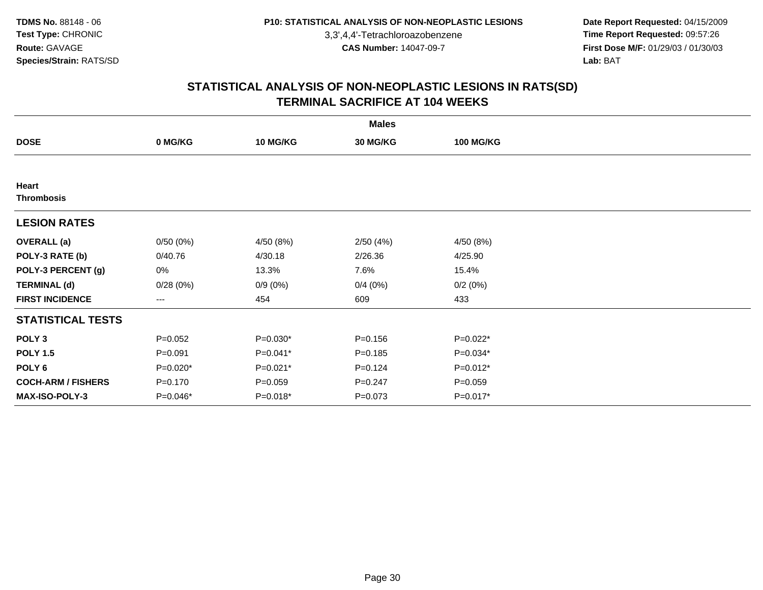**Date Report Requested:** 04/15/2009 **Time Report Requested:** 09:57:26 **First Dose M/F:** 01/29/03 / 01/30/03<br>Lab: BAT **Lab:** BAT

|                            |                        |             | <b>Males</b> |                  |  |
|----------------------------|------------------------|-------------|--------------|------------------|--|
| <b>DOSE</b>                | 0 MG/KG                | 10 MG/KG    | 30 MG/KG     | <b>100 MG/KG</b> |  |
|                            |                        |             |              |                  |  |
| Heart<br><b>Thrombosis</b> |                        |             |              |                  |  |
| <b>LESION RATES</b>        |                        |             |              |                  |  |
| <b>OVERALL</b> (a)         | 0/50(0%)               | 4/50 (8%)   | 2/50(4%)     | 4/50 (8%)        |  |
| POLY-3 RATE (b)            | 0/40.76                | 4/30.18     | 2/26.36      | 4/25.90          |  |
| POLY-3 PERCENT (g)         | 0%                     | 13.3%       | 7.6%         | 15.4%            |  |
| <b>TERMINAL (d)</b>        | 0/28(0%)               | $0/9(0\%)$  | 0/4(0%)      | 0/2(0%)          |  |
| <b>FIRST INCIDENCE</b>     | $\qquad \qquad \cdots$ | 454         | 609          | 433              |  |
| <b>STATISTICAL TESTS</b>   |                        |             |              |                  |  |
| POLY <sub>3</sub>          | $P = 0.052$            | $P=0.030*$  | $P = 0.156$  | $P=0.022*$       |  |
| <b>POLY 1.5</b>            | $P = 0.091$            | $P=0.041*$  | $P = 0.185$  | $P=0.034*$       |  |
| POLY <sub>6</sub>          | P=0.020*               | $P=0.021*$  | $P=0.124$    | $P=0.012*$       |  |
| <b>COCH-ARM / FISHERS</b>  | $P = 0.170$            | $P = 0.059$ | $P = 0.247$  | $P=0.059$        |  |
| MAX-ISO-POLY-3             | P=0.046*               | P=0.018*    | $P = 0.073$  | $P=0.017*$       |  |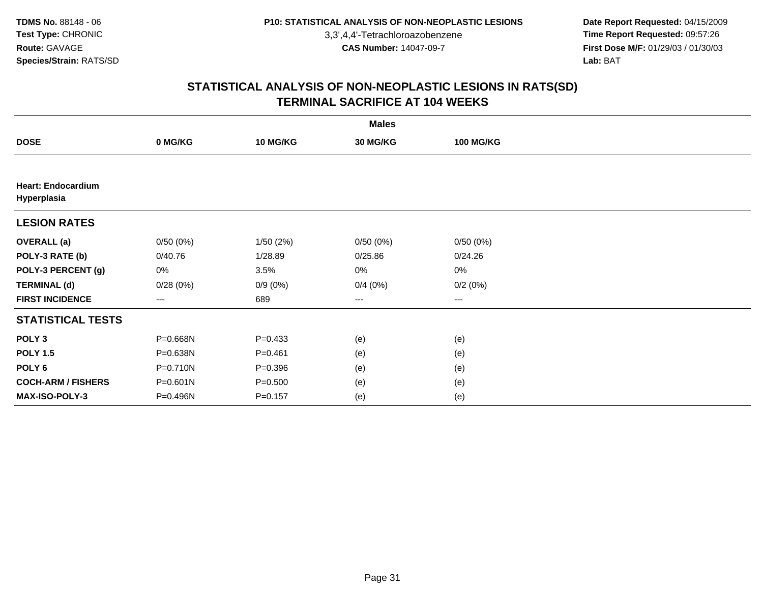**Date Report Requested:** 04/15/2009 **Time Report Requested:** 09:57:26 **First Dose M/F:** 01/29/03 / 01/30/03<br>Lab: BAT **Lab:** BAT

|                                          |              |                 | <b>Males</b>    |                  |  |
|------------------------------------------|--------------|-----------------|-----------------|------------------|--|
| <b>DOSE</b>                              | 0 MG/KG      | <b>10 MG/KG</b> | <b>30 MG/KG</b> | <b>100 MG/KG</b> |  |
|                                          |              |                 |                 |                  |  |
| <b>Heart: Endocardium</b><br>Hyperplasia |              |                 |                 |                  |  |
| <b>LESION RATES</b>                      |              |                 |                 |                  |  |
| <b>OVERALL</b> (a)                       | 0/50(0%)     | 1/50(2%)        | 0/50(0%)        | 0/50(0%)         |  |
| POLY-3 RATE (b)                          | 0/40.76      | 1/28.89         | 0/25.86         | 0/24.26          |  |
| POLY-3 PERCENT (g)                       | 0%           | 3.5%            | 0%              | 0%               |  |
| <b>TERMINAL (d)</b>                      | 0/28(0%)     | $0/9(0\%)$      | 0/4(0%)         | 0/2(0%)          |  |
| <b>FIRST INCIDENCE</b>                   | $--$         | 689             | ---             | $--$             |  |
| <b>STATISTICAL TESTS</b>                 |              |                 |                 |                  |  |
| POLY <sub>3</sub>                        | P=0.668N     | $P=0.433$       | (e)             | (e)              |  |
| <b>POLY 1.5</b>                          | P=0.638N     | $P = 0.461$     | (e)             | (e)              |  |
| POLY <sub>6</sub>                        | P=0.710N     | $P = 0.396$     | (e)             | (e)              |  |
| <b>COCH-ARM / FISHERS</b>                | $P = 0.601N$ | $P = 0.500$     | (e)             | (e)              |  |
| MAX-ISO-POLY-3                           | P=0.496N     | $P = 0.157$     | (e)             | (e)              |  |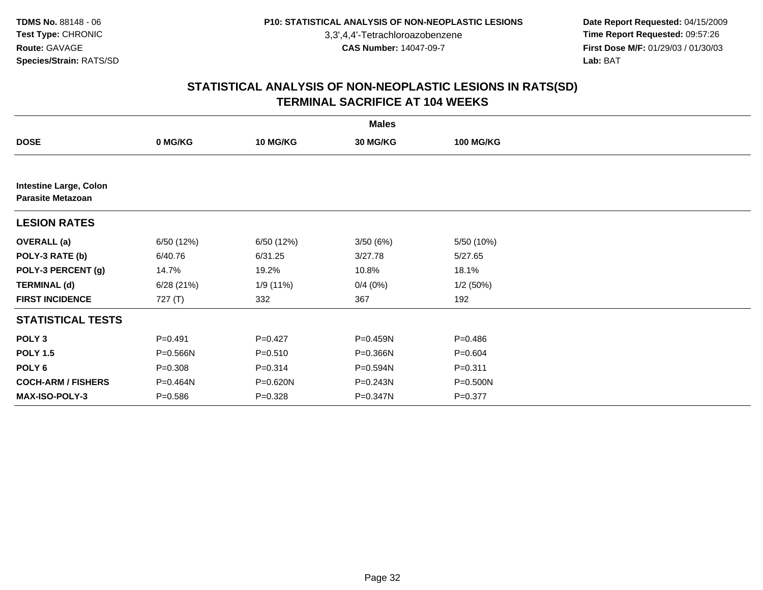**Date Report Requested:** 04/15/2009 **Time Report Requested:** 09:57:26 **First Dose M/F:** 01/29/03 / 01/30/03<br>Lab: BAT **Lab:** BAT

|                                                           |             |                 | <b>Males</b> |                  |  |
|-----------------------------------------------------------|-------------|-----------------|--------------|------------------|--|
| <b>DOSE</b>                                               | 0 MG/KG     | <b>10 MG/KG</b> | 30 MG/KG     | <b>100 MG/KG</b> |  |
|                                                           |             |                 |              |                  |  |
| <b>Intestine Large, Colon</b><br><b>Parasite Metazoan</b> |             |                 |              |                  |  |
| <b>LESION RATES</b>                                       |             |                 |              |                  |  |
| <b>OVERALL</b> (a)                                        | 6/50 (12%)  | 6/50 (12%)      | 3/50(6%)     | 5/50 (10%)       |  |
| POLY-3 RATE (b)                                           | 6/40.76     | 6/31.25         | 3/27.78      | 5/27.65          |  |
| POLY-3 PERCENT (g)                                        | 14.7%       | 19.2%           | 10.8%        | 18.1%            |  |
| <b>TERMINAL (d)</b>                                       | 6/28(21%)   | 1/9(11%)        | 0/4(0%)      | 1/2(50%)         |  |
| <b>FIRST INCIDENCE</b>                                    | 727 (T)     | 332             | 367          | 192              |  |
| <b>STATISTICAL TESTS</b>                                  |             |                 |              |                  |  |
| POLY <sub>3</sub>                                         | $P = 0.491$ | $P=0.427$       | P=0.459N     | $P = 0.486$      |  |
| <b>POLY 1.5</b>                                           | P=0.566N    | $P = 0.510$     | P=0.366N     | $P=0.604$        |  |
| POLY 6                                                    | $P = 0.308$ | $P = 0.314$     | P=0.594N     | $P = 0.311$      |  |
| <b>COCH-ARM / FISHERS</b>                                 | P=0.464N    | P=0.620N        | P=0.243N     | P=0.500N         |  |
| <b>MAX-ISO-POLY-3</b>                                     | $P = 0.586$ | $P = 0.328$     | P=0.347N     | $P = 0.377$      |  |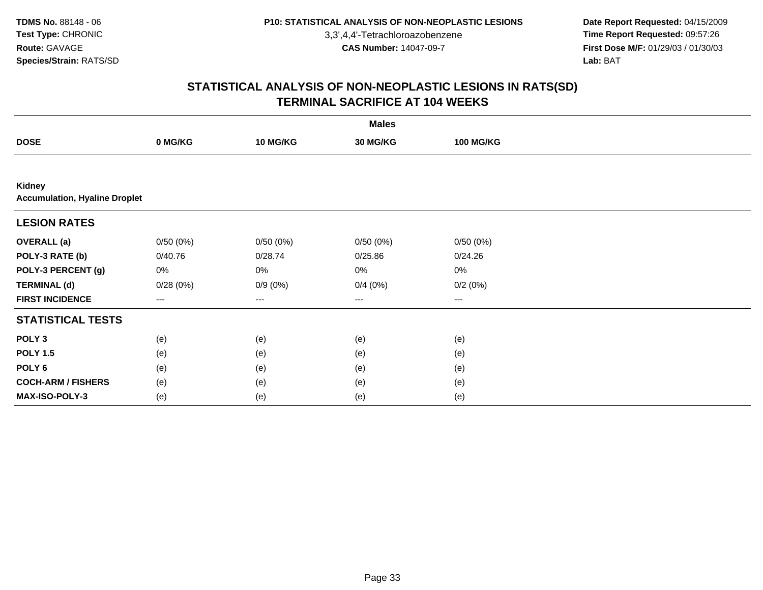**Date Report Requested:** 04/15/2009 **Time Report Requested:** 09:57:26 **First Dose M/F:** 01/29/03 / 01/30/03<br>Lab: BAT **Lab:** BAT

| <b>Males</b>                                   |          |                 |          |                  |  |  |
|------------------------------------------------|----------|-----------------|----------|------------------|--|--|
| <b>DOSE</b>                                    | 0 MG/KG  | <b>10 MG/KG</b> | 30 MG/KG | <b>100 MG/KG</b> |  |  |
|                                                |          |                 |          |                  |  |  |
| Kidney<br><b>Accumulation, Hyaline Droplet</b> |          |                 |          |                  |  |  |
| <b>LESION RATES</b>                            |          |                 |          |                  |  |  |
| <b>OVERALL (a)</b>                             | 0/50(0%) | 0/50(0%)        | 0/50(0%) | 0/50(0%)         |  |  |
| POLY-3 RATE (b)                                | 0/40.76  | 0/28.74         | 0/25.86  | 0/24.26          |  |  |
| POLY-3 PERCENT (g)                             | 0%       | 0%              | 0%       | 0%               |  |  |
| <b>TERMINAL (d)</b>                            | 0/28(0%) | $0/9(0\%)$      | 0/4(0%)  | 0/2(0%)          |  |  |
| <b>FIRST INCIDENCE</b>                         | $---$    | $---$           | ---      | $---$            |  |  |
| <b>STATISTICAL TESTS</b>                       |          |                 |          |                  |  |  |
| POLY <sub>3</sub>                              | (e)      | (e)             | (e)      | (e)              |  |  |
| <b>POLY 1.5</b>                                | (e)      | (e)             | (e)      | (e)              |  |  |
| POLY <sub>6</sub>                              | (e)      | (e)             | (e)      | (e)              |  |  |
| <b>COCH-ARM / FISHERS</b>                      | (e)      | (e)             | (e)      | (e)              |  |  |
| <b>MAX-ISO-POLY-3</b>                          | (e)      | (e)             | (e)      | (e)              |  |  |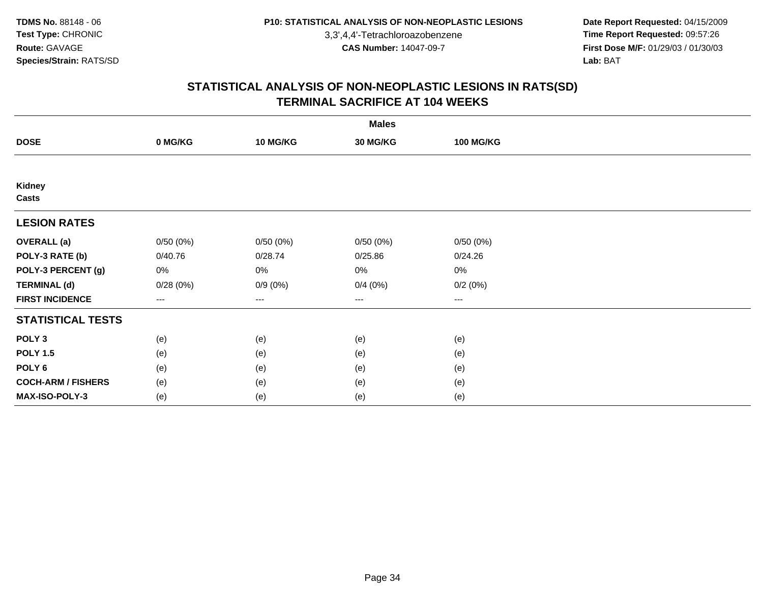**Date Report Requested:** 04/15/2009 **Time Report Requested:** 09:57:26 **First Dose M/F:** 01/29/03 / 01/30/03<br>Lab: BAT **Lab:** BAT

| <b>Males</b>              |          |            |          |                  |  |  |
|---------------------------|----------|------------|----------|------------------|--|--|
| <b>DOSE</b>               | 0 MG/KG  | 10 MG/KG   | 30 MG/KG | <b>100 MG/KG</b> |  |  |
|                           |          |            |          |                  |  |  |
| <b>Kidney</b>             |          |            |          |                  |  |  |
| Casts                     |          |            |          |                  |  |  |
| <b>LESION RATES</b>       |          |            |          |                  |  |  |
| <b>OVERALL</b> (a)        | 0/50(0%) | 0/50(0%)   | 0/50(0%) | 0/50(0%)         |  |  |
| POLY-3 RATE (b)           | 0/40.76  | 0/28.74    | 0/25.86  | 0/24.26          |  |  |
| POLY-3 PERCENT (g)        | 0%       | 0%         | 0%       | 0%               |  |  |
| <b>TERMINAL (d)</b>       | 0/28(0%) | $0/9(0\%)$ | 0/4(0%)  | 0/2(0%)          |  |  |
| <b>FIRST INCIDENCE</b>    | $--$     | $---$      | ---      | $---$            |  |  |
| <b>STATISTICAL TESTS</b>  |          |            |          |                  |  |  |
| POLY <sub>3</sub>         | (e)      | (e)        | (e)      | (e)              |  |  |
| <b>POLY 1.5</b>           | (e)      | (e)        | (e)      | (e)              |  |  |
| POLY <sub>6</sub>         | (e)      | (e)        | (e)      | (e)              |  |  |
| <b>COCH-ARM / FISHERS</b> | (e)      | (e)        | (e)      | (e)              |  |  |
| MAX-ISO-POLY-3            | (e)      | (e)        | (e)      | (e)              |  |  |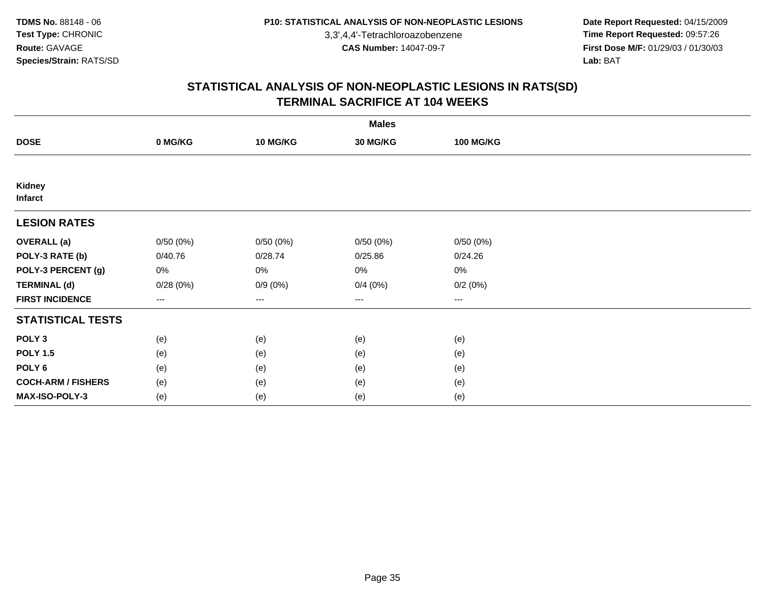**Date Report Requested:** 04/15/2009 **Time Report Requested:** 09:57:26 **First Dose M/F:** 01/29/03 / 01/30/03<br>Lab: BAT **Lab:** BAT

| <b>Males</b>                    |                        |            |                 |                   |  |  |
|---------------------------------|------------------------|------------|-----------------|-------------------|--|--|
| <b>DOSE</b>                     | 0 MG/KG                | 10 MG/KG   | <b>30 MG/KG</b> | <b>100 MG/KG</b>  |  |  |
|                                 |                        |            |                 |                   |  |  |
| <b>Kidney</b><br><b>Infarct</b> |                        |            |                 |                   |  |  |
| <b>LESION RATES</b>             |                        |            |                 |                   |  |  |
| <b>OVERALL</b> (a)              | 0/50(0%)               | 0/50(0%)   | 0/50(0%)        | 0/50(0%)          |  |  |
| POLY-3 RATE (b)                 | 0/40.76                | 0/28.74    | 0/25.86         | 0/24.26           |  |  |
| POLY-3 PERCENT (g)              | 0%                     | 0%         | 0%              | 0%                |  |  |
| <b>TERMINAL (d)</b>             | 0/28(0%)               | $0/9(0\%)$ | 0/4(0%)         | 0/2(0%)           |  |  |
| <b>FIRST INCIDENCE</b>          | $\qquad \qquad \cdots$ | $---$      | ---             | $\qquad \qquad -$ |  |  |
| <b>STATISTICAL TESTS</b>        |                        |            |                 |                   |  |  |
| POLY <sub>3</sub>               | (e)                    | (e)        | (e)             | (e)               |  |  |
| <b>POLY 1.5</b>                 | (e)                    | (e)        | (e)             | (e)               |  |  |
| POLY <sub>6</sub>               | (e)                    | (e)        | (e)             | (e)               |  |  |
| <b>COCH-ARM / FISHERS</b>       | (e)                    | (e)        | (e)             | (e)               |  |  |
| MAX-ISO-POLY-3                  | (e)                    | (e)        | (e)             | (e)               |  |  |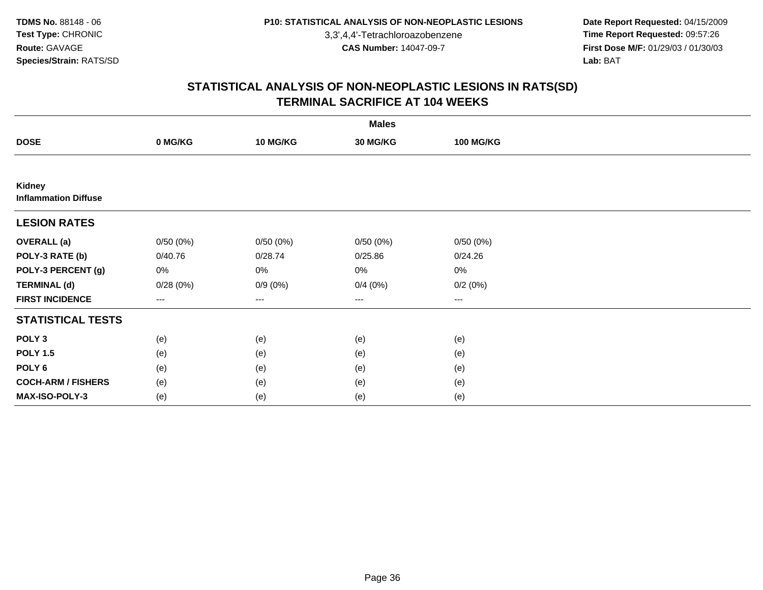**Date Report Requested:** 04/15/2009 **Time Report Requested:** 09:57:26 **First Dose M/F:** 01/29/03 / 01/30/03<br>Lab: BAT **Lab:** BAT

| <b>Males</b>                          |                        |            |          |                  |  |  |
|---------------------------------------|------------------------|------------|----------|------------------|--|--|
| <b>DOSE</b>                           | 0 MG/KG                | 10 MG/KG   | 30 MG/KG | <b>100 MG/KG</b> |  |  |
|                                       |                        |            |          |                  |  |  |
| Kidney<br><b>Inflammation Diffuse</b> |                        |            |          |                  |  |  |
| <b>LESION RATES</b>                   |                        |            |          |                  |  |  |
| <b>OVERALL</b> (a)                    | 0/50(0%)               | 0/50(0%)   | 0/50(0%) | 0/50(0%)         |  |  |
| POLY-3 RATE (b)                       | 0/40.76                | 0/28.74    | 0/25.86  | 0/24.26          |  |  |
| POLY-3 PERCENT (g)                    | 0%                     | 0%         | 0%       | 0%               |  |  |
| <b>TERMINAL (d)</b>                   | 0/28(0%)               | $0/9(0\%)$ | 0/4(0%)  | 0/2(0%)          |  |  |
| <b>FIRST INCIDENCE</b>                | $\qquad \qquad \cdots$ | ---        | ---      | $--$             |  |  |
| <b>STATISTICAL TESTS</b>              |                        |            |          |                  |  |  |
| POLY <sub>3</sub>                     | (e)                    | (e)        | (e)      | (e)              |  |  |
| <b>POLY 1.5</b>                       | (e)                    | (e)        | (e)      | (e)              |  |  |
| POLY <sub>6</sub>                     | (e)                    | (e)        | (e)      | (e)              |  |  |
| <b>COCH-ARM / FISHERS</b>             | (e)                    | (e)        | (e)      | (e)              |  |  |
| MAX-ISO-POLY-3                        | (e)                    | (e)        | (e)      | (e)              |  |  |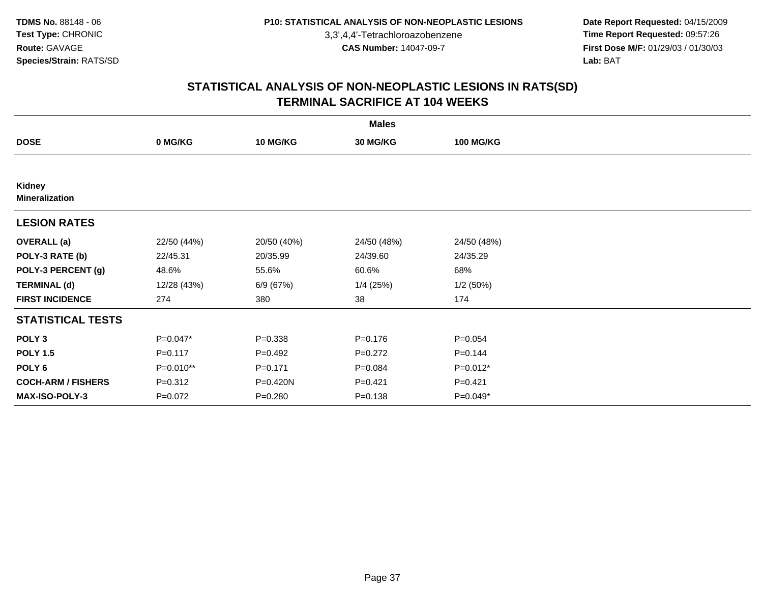**Date Report Requested:** 04/15/2009 **Time Report Requested:** 09:57:26 **First Dose M/F:** 01/29/03 / 01/30/03<br>Lab: BAT **Lab:** BAT

| <b>Males</b>                    |             |                 |                 |                  |  |  |  |
|---------------------------------|-------------|-----------------|-----------------|------------------|--|--|--|
| <b>DOSE</b>                     | 0 MG/KG     | <b>10 MG/KG</b> | <b>30 MG/KG</b> | <b>100 MG/KG</b> |  |  |  |
|                                 |             |                 |                 |                  |  |  |  |
| Kidney<br><b>Mineralization</b> |             |                 |                 |                  |  |  |  |
| <b>LESION RATES</b>             |             |                 |                 |                  |  |  |  |
| <b>OVERALL</b> (a)              | 22/50 (44%) | 20/50 (40%)     | 24/50 (48%)     | 24/50 (48%)      |  |  |  |
| POLY-3 RATE (b)                 | 22/45.31    | 20/35.99        | 24/39.60        | 24/35.29         |  |  |  |
| POLY-3 PERCENT (g)              | 48.6%       | 55.6%           | 60.6%           | 68%              |  |  |  |
| <b>TERMINAL (d)</b>             | 12/28 (43%) | 6/9 (67%)       | $1/4$ (25%)     | 1/2(50%)         |  |  |  |
| <b>FIRST INCIDENCE</b>          | 274         | 380             | 38              | 174              |  |  |  |
| <b>STATISTICAL TESTS</b>        |             |                 |                 |                  |  |  |  |
| POLY <sub>3</sub>               | P=0.047*    | $P = 0.338$     | $P = 0.176$     | $P = 0.054$      |  |  |  |
| <b>POLY 1.5</b>                 | $P = 0.117$ | $P=0.492$       | $P=0.272$       | $P = 0.144$      |  |  |  |
| POLY <sub>6</sub>               | P=0.010**   | $P = 0.171$     | $P = 0.084$     | $P=0.012*$       |  |  |  |
| <b>COCH-ARM / FISHERS</b>       | $P = 0.312$ | P=0.420N        | $P=0.421$       | $P=0.421$        |  |  |  |
| <b>MAX-ISO-POLY-3</b>           | $P = 0.072$ | $P = 0.280$     | $P = 0.138$     | P=0.049*         |  |  |  |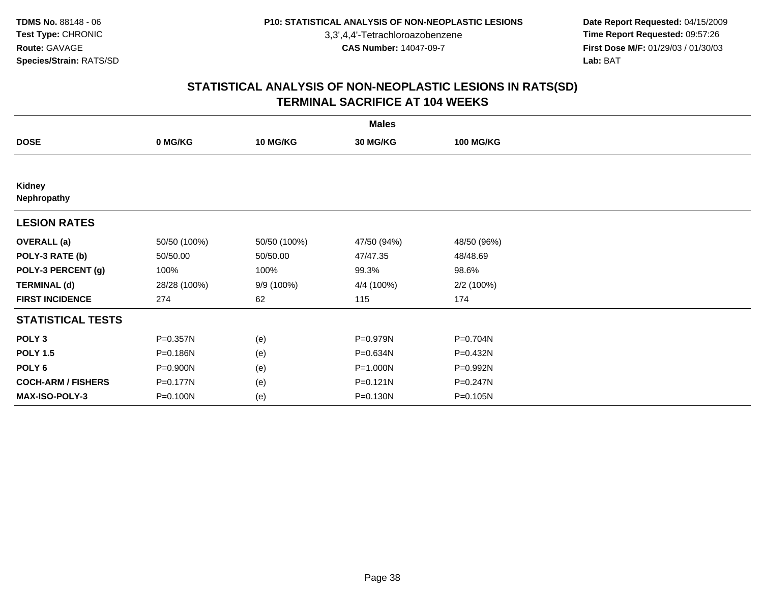**Date Report Requested:** 04/15/2009 **Time Report Requested:** 09:57:26 **First Dose M/F:** 01/29/03 / 01/30/03<br>Lab: BAT **Lab:** BAT

| <b>Males</b>              |              |                 |             |                  |  |  |  |
|---------------------------|--------------|-----------------|-------------|------------------|--|--|--|
| <b>DOSE</b>               | 0 MG/KG      | <b>10 MG/KG</b> | 30 MG/KG    | <b>100 MG/KG</b> |  |  |  |
|                           |              |                 |             |                  |  |  |  |
| Kidney<br>Nephropathy     |              |                 |             |                  |  |  |  |
| <b>LESION RATES</b>       |              |                 |             |                  |  |  |  |
| <b>OVERALL</b> (a)        | 50/50 (100%) | 50/50 (100%)    | 47/50 (94%) | 48/50 (96%)      |  |  |  |
| POLY-3 RATE (b)           | 50/50.00     | 50/50.00        | 47/47.35    | 48/48.69         |  |  |  |
| POLY-3 PERCENT (g)        | 100%         | 100%            | 99.3%       | 98.6%            |  |  |  |
| <b>TERMINAL (d)</b>       | 28/28 (100%) | 9/9 (100%)      | 4/4 (100%)  | 2/2(100%)        |  |  |  |
| <b>FIRST INCIDENCE</b>    | 274          | 62              | 115         | 174              |  |  |  |
| <b>STATISTICAL TESTS</b>  |              |                 |             |                  |  |  |  |
| POLY <sub>3</sub>         | P=0.357N     | (e)             | P=0.979N    | P=0.704N         |  |  |  |
| <b>POLY 1.5</b>           | P=0.186N     | (e)             | P=0.634N    | P=0.432N         |  |  |  |
| POLY <sub>6</sub>         | P=0.900N     | (e)             | P=1.000N    | P=0.992N         |  |  |  |
| <b>COCH-ARM / FISHERS</b> | P=0.177N     | (e)             | P=0.121N    | $P = 0.247N$     |  |  |  |
| <b>MAX-ISO-POLY-3</b>     | P=0.100N     | (e)             | P=0.130N    | P=0.105N         |  |  |  |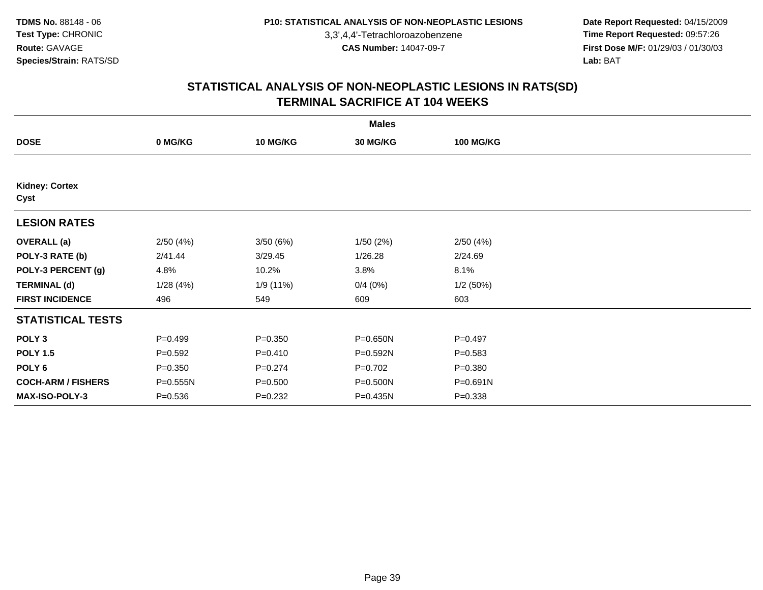**Date Report Requested:** 04/15/2009 **Time Report Requested:** 09:57:26 **First Dose M/F:** 01/29/03 / 01/30/03<br>Lab: BAT **Lab:** BAT

|                               |             |                 | <b>Males</b> |                  |  |
|-------------------------------|-------------|-----------------|--------------|------------------|--|
| <b>DOSE</b>                   | 0 MG/KG     | <b>10 MG/KG</b> | 30 MG/KG     | <b>100 MG/KG</b> |  |
|                               |             |                 |              |                  |  |
| <b>Kidney: Cortex</b><br>Cyst |             |                 |              |                  |  |
| <b>LESION RATES</b>           |             |                 |              |                  |  |
| <b>OVERALL</b> (a)            | 2/50(4%)    | 3/50(6%)        | 1/50(2%)     | 2/50(4%)         |  |
| POLY-3 RATE (b)               | 2/41.44     | 3/29.45         | 1/26.28      | 2/24.69          |  |
| POLY-3 PERCENT (g)            | 4.8%        | 10.2%           | 3.8%         | 8.1%             |  |
| <b>TERMINAL (d)</b>           | 1/28(4%)    | 1/9(11%)        | 0/4(0%)      | 1/2(50%)         |  |
| <b>FIRST INCIDENCE</b>        | 496         | 549             | 609          | 603              |  |
| <b>STATISTICAL TESTS</b>      |             |                 |              |                  |  |
| POLY <sub>3</sub>             | $P=0.499$   | $P = 0.350$     | P=0.650N     | $P=0.497$        |  |
| <b>POLY 1.5</b>               | $P=0.592$   | $P = 0.410$     | P=0.592N     | $P = 0.583$      |  |
| POLY <sub>6</sub>             | $P = 0.350$ | $P = 0.274$     | $P=0.702$    | $P = 0.380$      |  |
| <b>COCH-ARM / FISHERS</b>     | P=0.555N    | $P = 0.500$     | P=0.500N     | P=0.691N         |  |
| MAX-ISO-POLY-3                | $P = 0.536$ | $P = 0.232$     | P=0.435N     | $P = 0.338$      |  |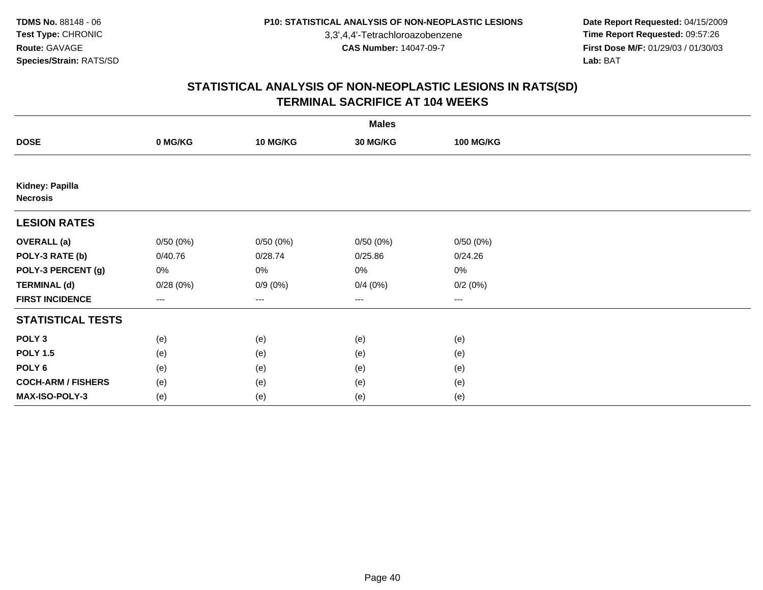**Date Report Requested:** 04/15/2009 **Time Report Requested:** 09:57:26 **First Dose M/F:** 01/29/03 / 01/30/03<br>Lab: BAT **Lab:** BAT

| <b>Males</b>                       |                   |                   |          |                  |  |  |  |  |
|------------------------------------|-------------------|-------------------|----------|------------------|--|--|--|--|
| <b>DOSE</b>                        | 0 MG/KG           | <b>10 MG/KG</b>   | 30 MG/KG | <b>100 MG/KG</b> |  |  |  |  |
|                                    |                   |                   |          |                  |  |  |  |  |
| Kidney: Papilla<br><b>Necrosis</b> |                   |                   |          |                  |  |  |  |  |
| <b>LESION RATES</b>                |                   |                   |          |                  |  |  |  |  |
| <b>OVERALL</b> (a)                 | 0/50(0%)          | 0/50(0%)          | 0/50(0%) | 0/50(0%)         |  |  |  |  |
| POLY-3 RATE (b)                    | 0/40.76           | 0/28.74           | 0/25.86  | 0/24.26          |  |  |  |  |
| POLY-3 PERCENT (g)                 | 0%                | 0%                | 0%       | 0%               |  |  |  |  |
| <b>TERMINAL (d)</b>                | 0/28(0%)          | $0/9(0\%)$        | 0/4(0%)  | 0/2(0%)          |  |  |  |  |
| <b>FIRST INCIDENCE</b>             | $\qquad \qquad -$ | $\qquad \qquad -$ | ---      | $--$             |  |  |  |  |
| <b>STATISTICAL TESTS</b>           |                   |                   |          |                  |  |  |  |  |
| POLY <sub>3</sub>                  | (e)               | (e)               | (e)      | (e)              |  |  |  |  |
| <b>POLY 1.5</b>                    | (e)               | (e)               | (e)      | (e)              |  |  |  |  |
| POLY <sub>6</sub>                  | (e)               | (e)               | (e)      | (e)              |  |  |  |  |
| <b>COCH-ARM / FISHERS</b>          | (e)               | (e)               | (e)      | (e)              |  |  |  |  |
| MAX-ISO-POLY-3                     | (e)               | (e)               | (e)      | (e)              |  |  |  |  |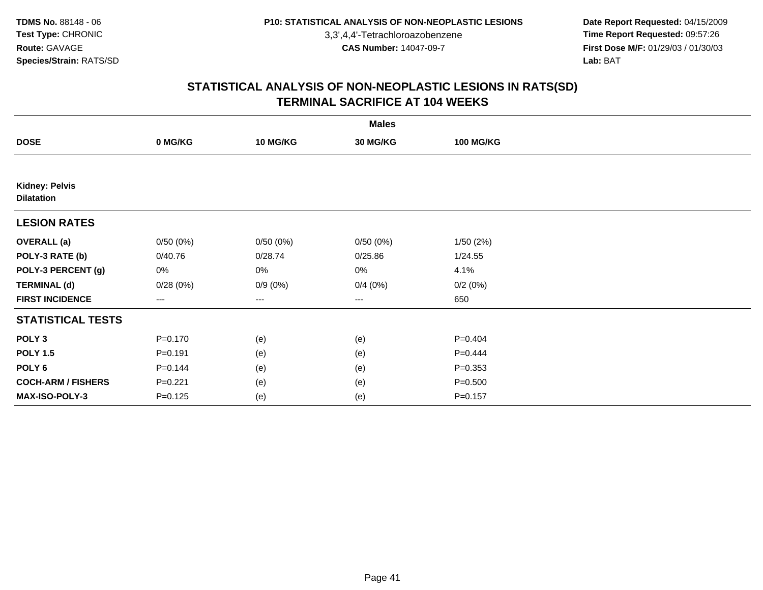**Date Report Requested:** 04/15/2009 **Time Report Requested:** 09:57:26 **First Dose M/F:** 01/29/03 / 01/30/03<br>Lab: BAT **Lab:** BAT

|                                            | <b>Males</b>           |            |          |                  |  |  |  |  |
|--------------------------------------------|------------------------|------------|----------|------------------|--|--|--|--|
| <b>DOSE</b>                                | 0 MG/KG                | 10 MG/KG   | 30 MG/KG | <b>100 MG/KG</b> |  |  |  |  |
|                                            |                        |            |          |                  |  |  |  |  |
| <b>Kidney: Pelvis</b><br><b>Dilatation</b> |                        |            |          |                  |  |  |  |  |
| <b>LESION RATES</b>                        |                        |            |          |                  |  |  |  |  |
| <b>OVERALL</b> (a)                         | 0/50(0%)               | 0/50(0%)   | 0/50(0%) | 1/50(2%)         |  |  |  |  |
| POLY-3 RATE (b)                            | 0/40.76                | 0/28.74    | 0/25.86  | 1/24.55          |  |  |  |  |
| POLY-3 PERCENT (g)                         | 0%                     | 0%         | 0%       | 4.1%             |  |  |  |  |
| <b>TERMINAL (d)</b>                        | 0/28(0%)               | $0/9(0\%)$ | 0/4(0%)  | 0/2(0%)          |  |  |  |  |
| <b>FIRST INCIDENCE</b>                     | $\qquad \qquad \cdots$ | ---        | ---      | 650              |  |  |  |  |
| <b>STATISTICAL TESTS</b>                   |                        |            |          |                  |  |  |  |  |
| POLY <sub>3</sub>                          | $P = 0.170$            | (e)        | (e)      | $P=0.404$        |  |  |  |  |
| <b>POLY 1.5</b>                            | $P = 0.191$            | (e)        | (e)      | $P=0.444$        |  |  |  |  |
| POLY <sub>6</sub>                          | $P = 0.144$            | (e)        | (e)      | $P = 0.353$      |  |  |  |  |
| <b>COCH-ARM / FISHERS</b>                  | $P = 0.221$            | (e)        | (e)      | $P = 0.500$      |  |  |  |  |
| <b>MAX-ISO-POLY-3</b>                      | $P = 0.125$            | (e)        | (e)      | $P = 0.157$      |  |  |  |  |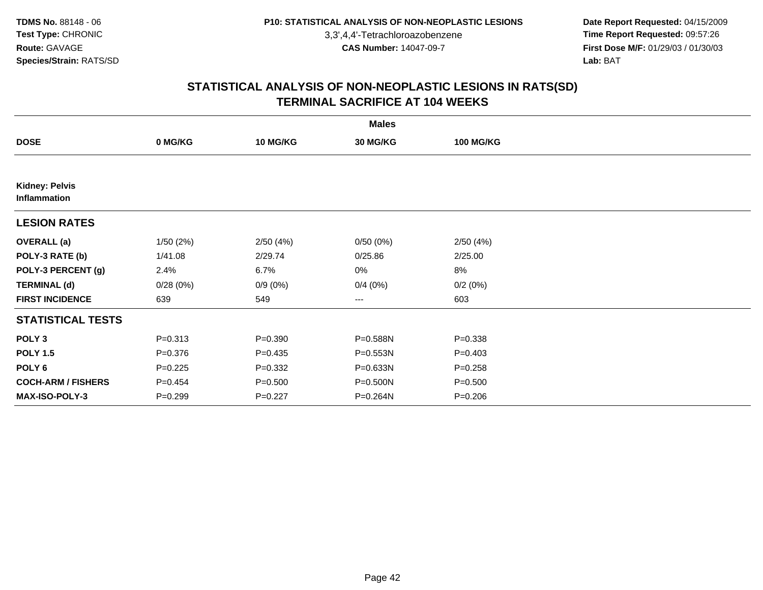**Date Report Requested:** 04/15/2009 **Time Report Requested:** 09:57:26 **First Dose M/F:** 01/29/03 / 01/30/03<br>Lab: BAT **Lab:** BAT

|                                       | <b>Males</b> |                 |                 |                  |  |  |  |  |  |
|---------------------------------------|--------------|-----------------|-----------------|------------------|--|--|--|--|--|
| <b>DOSE</b>                           | 0 MG/KG      | <b>10 MG/KG</b> | <b>30 MG/KG</b> | <b>100 MG/KG</b> |  |  |  |  |  |
|                                       |              |                 |                 |                  |  |  |  |  |  |
| <b>Kidney: Pelvis</b><br>Inflammation |              |                 |                 |                  |  |  |  |  |  |
| <b>LESION RATES</b>                   |              |                 |                 |                  |  |  |  |  |  |
| <b>OVERALL</b> (a)                    | 1/50(2%)     | 2/50(4%)        | 0/50(0%)        | 2/50(4%)         |  |  |  |  |  |
| POLY-3 RATE (b)                       | 1/41.08      | 2/29.74         | 0/25.86         | 2/25.00          |  |  |  |  |  |
| POLY-3 PERCENT (g)                    | 2.4%         | 6.7%            | 0%              | 8%               |  |  |  |  |  |
| <b>TERMINAL (d)</b>                   | 0/28(0%)     | $0/9(0\%)$      | 0/4(0%)         | 0/2(0%)          |  |  |  |  |  |
| <b>FIRST INCIDENCE</b>                | 639          | 549             | ---             | 603              |  |  |  |  |  |
| <b>STATISTICAL TESTS</b>              |              |                 |                 |                  |  |  |  |  |  |
| POLY <sub>3</sub>                     | $P = 0.313$  | $P = 0.390$     | P=0.588N        | $P = 0.338$      |  |  |  |  |  |
| <b>POLY 1.5</b>                       | $P = 0.376$  | $P=0.435$       | $P = 0.553N$    | $P=0.403$        |  |  |  |  |  |
| POLY <sub>6</sub>                     | $P=0.225$    | $P = 0.332$     | P=0.633N        | $P = 0.258$      |  |  |  |  |  |
| <b>COCH-ARM / FISHERS</b>             | $P=0.454$    | $P = 0.500$     | P=0.500N        | $P = 0.500$      |  |  |  |  |  |
| MAX-ISO-POLY-3                        | $P = 0.299$  | $P=0.227$       | P=0.264N        | $P = 0.206$      |  |  |  |  |  |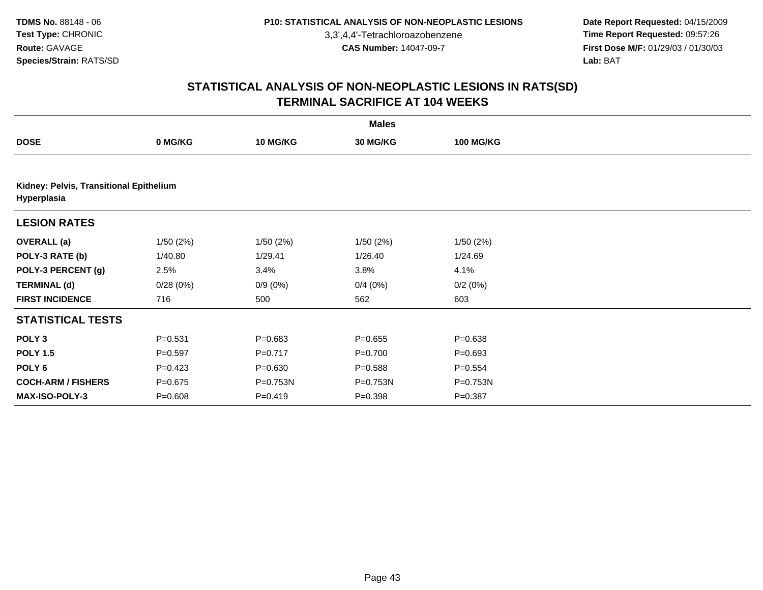**Date Report Requested:** 04/15/2009 **Time Report Requested:** 09:57:26 **First Dose M/F:** 01/29/03 / 01/30/03<br>Lab: BAT **Lab:** BAT

| <b>Males</b>                                           |             |                 |             |                  |  |  |  |  |
|--------------------------------------------------------|-------------|-----------------|-------------|------------------|--|--|--|--|
| <b>DOSE</b>                                            | 0 MG/KG     | <b>10 MG/KG</b> | 30 MG/KG    | <b>100 MG/KG</b> |  |  |  |  |
|                                                        |             |                 |             |                  |  |  |  |  |
| Kidney: Pelvis, Transitional Epithelium<br>Hyperplasia |             |                 |             |                  |  |  |  |  |
| <b>LESION RATES</b>                                    |             |                 |             |                  |  |  |  |  |
| <b>OVERALL</b> (a)                                     | 1/50(2%)    | 1/50(2%)        | 1/50(2%)    | 1/50(2%)         |  |  |  |  |
| POLY-3 RATE (b)                                        | 1/40.80     | 1/29.41         | 1/26.40     | 1/24.69          |  |  |  |  |
| POLY-3 PERCENT (g)                                     | 2.5%        | 3.4%            | 3.8%        | 4.1%             |  |  |  |  |
| <b>TERMINAL (d)</b>                                    | 0/28(0%)    | $0/9(0\%)$      | 0/4(0%)     | 0/2(0%)          |  |  |  |  |
| <b>FIRST INCIDENCE</b>                                 | 716         | 500             | 562         | 603              |  |  |  |  |
| <b>STATISTICAL TESTS</b>                               |             |                 |             |                  |  |  |  |  |
| POLY <sub>3</sub>                                      | $P = 0.531$ | $P = 0.683$     | $P=0.655$   | $P = 0.638$      |  |  |  |  |
| <b>POLY 1.5</b>                                        | $P = 0.597$ | $P=0.717$       | $P = 0.700$ | $P = 0.693$      |  |  |  |  |
| POLY 6                                                 | $P=0.423$   | $P = 0.630$     | $P = 0.588$ | $P = 0.554$      |  |  |  |  |
| <b>COCH-ARM / FISHERS</b>                              | $P = 0.675$ | P=0.753N        | P=0.753N    | P=0.753N         |  |  |  |  |
| <b>MAX-ISO-POLY-3</b>                                  | $P = 0.608$ | $P = 0.419$     | $P = 0.398$ | $P = 0.387$      |  |  |  |  |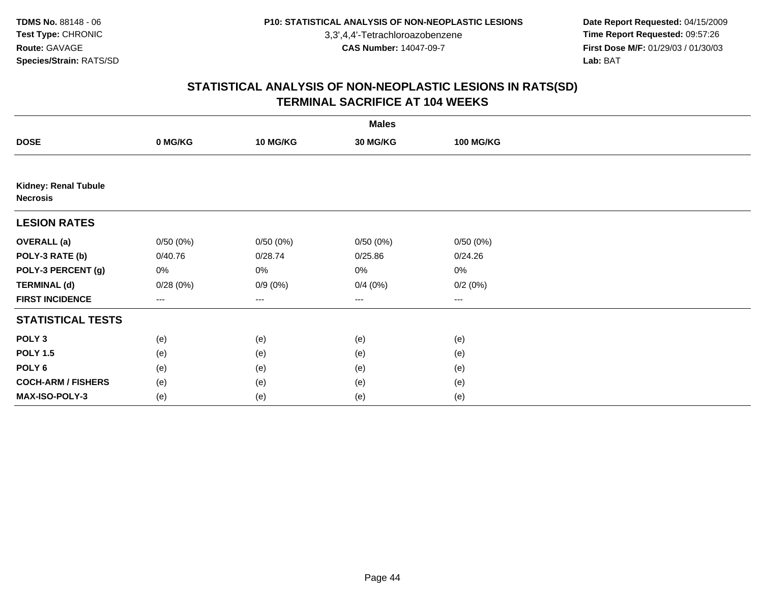**Date Report Requested:** 04/15/2009 **Time Report Requested:** 09:57:26 **First Dose M/F:** 01/29/03 / 01/30/03<br>Lab: BAT **Lab:** BAT

| <b>Males</b>                            |          |            |          |                  |  |  |  |  |
|-----------------------------------------|----------|------------|----------|------------------|--|--|--|--|
| <b>DOSE</b>                             | 0 MG/KG  | 10 MG/KG   | 30 MG/KG | <b>100 MG/KG</b> |  |  |  |  |
|                                         |          |            |          |                  |  |  |  |  |
| Kidney: Renal Tubule<br><b>Necrosis</b> |          |            |          |                  |  |  |  |  |
| <b>LESION RATES</b>                     |          |            |          |                  |  |  |  |  |
| <b>OVERALL</b> (a)                      | 0/50(0%) | 0/50(0%)   | 0/50(0%) | 0/50(0%)         |  |  |  |  |
| POLY-3 RATE (b)                         | 0/40.76  | 0/28.74    | 0/25.86  | 0/24.26          |  |  |  |  |
| POLY-3 PERCENT (g)                      | 0%       | $0\%$      | $0\%$    | 0%               |  |  |  |  |
| <b>TERMINAL (d)</b>                     | 0/28(0%) | $0/9(0\%)$ | 0/4(0%)  | 0/2(0%)          |  |  |  |  |
| <b>FIRST INCIDENCE</b>                  | $---$    | ---        | ---      | $---$            |  |  |  |  |
| <b>STATISTICAL TESTS</b>                |          |            |          |                  |  |  |  |  |
| POLY <sub>3</sub>                       | (e)      | (e)        | (e)      | (e)              |  |  |  |  |
| <b>POLY 1.5</b>                         | (e)      | (e)        | (e)      | (e)              |  |  |  |  |
| POLY <sub>6</sub>                       | (e)      | (e)        | (e)      | (e)              |  |  |  |  |
| <b>COCH-ARM / FISHERS</b>               | (e)      | (e)        | (e)      | (e)              |  |  |  |  |
| MAX-ISO-POLY-3                          | (e)      | (e)        | (e)      | (e)              |  |  |  |  |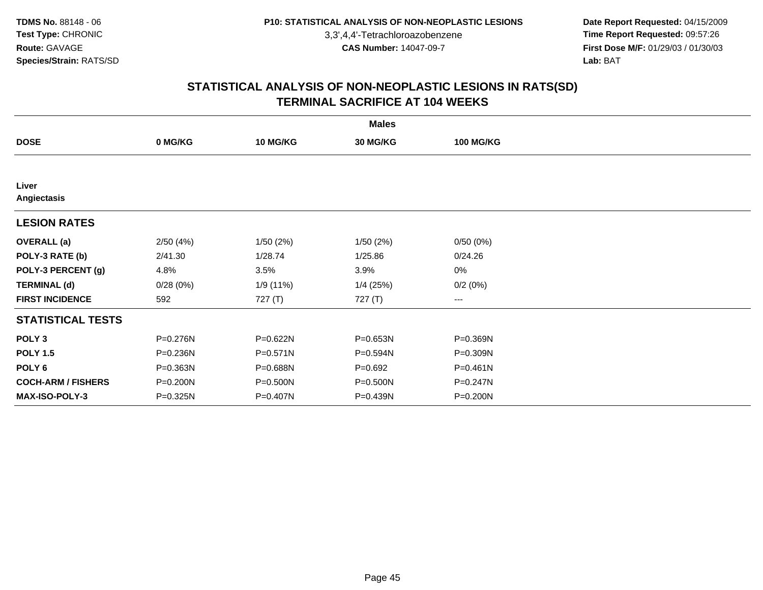**Date Report Requested:** 04/15/2009 **Time Report Requested:** 09:57:26 **First Dose M/F:** 01/29/03 / 01/30/03<br>Lab: BAT **Lab:** BAT

| <b>Males</b>              |          |           |              |                        |  |  |  |  |
|---------------------------|----------|-----------|--------------|------------------------|--|--|--|--|
| <b>DOSE</b>               | 0 MG/KG  | 10 MG/KG  | 30 MG/KG     | <b>100 MG/KG</b>       |  |  |  |  |
|                           |          |           |              |                        |  |  |  |  |
| Liver<br>Angiectasis      |          |           |              |                        |  |  |  |  |
| <b>LESION RATES</b>       |          |           |              |                        |  |  |  |  |
| <b>OVERALL</b> (a)        | 2/50(4%) | 1/50(2%)  | 1/50(2%)     | 0/50(0%)               |  |  |  |  |
| POLY-3 RATE (b)           | 2/41.30  | 1/28.74   | 1/25.86      | 0/24.26                |  |  |  |  |
| POLY-3 PERCENT (g)        | 4.8%     | 3.5%      | 3.9%         | 0%                     |  |  |  |  |
| <b>TERMINAL (d)</b>       | 0/28(0%) | 1/9 (11%) | $1/4$ (25%)  | 0/2(0%)                |  |  |  |  |
| <b>FIRST INCIDENCE</b>    | 592      | 727 (T)   | 727 (T)      | $\qquad \qquad \cdots$ |  |  |  |  |
| <b>STATISTICAL TESTS</b>  |          |           |              |                        |  |  |  |  |
| POLY <sub>3</sub>         | P=0.276N | P=0.622N  | $P = 0.653N$ | P=0.369N               |  |  |  |  |
| <b>POLY 1.5</b>           | P=0.236N | P=0.571N  | P=0.594N     | P=0.309N               |  |  |  |  |
| POLY <sub>6</sub>         | P=0.363N | P=0.688N  | $P=0.692$    | $P = 0.461N$           |  |  |  |  |
| <b>COCH-ARM / FISHERS</b> | P=0.200N | P=0.500N  | P=0.500N     | P=0.247N               |  |  |  |  |
| <b>MAX-ISO-POLY-3</b>     | P=0.325N | P=0.407N  | P=0.439N     | P=0.200N               |  |  |  |  |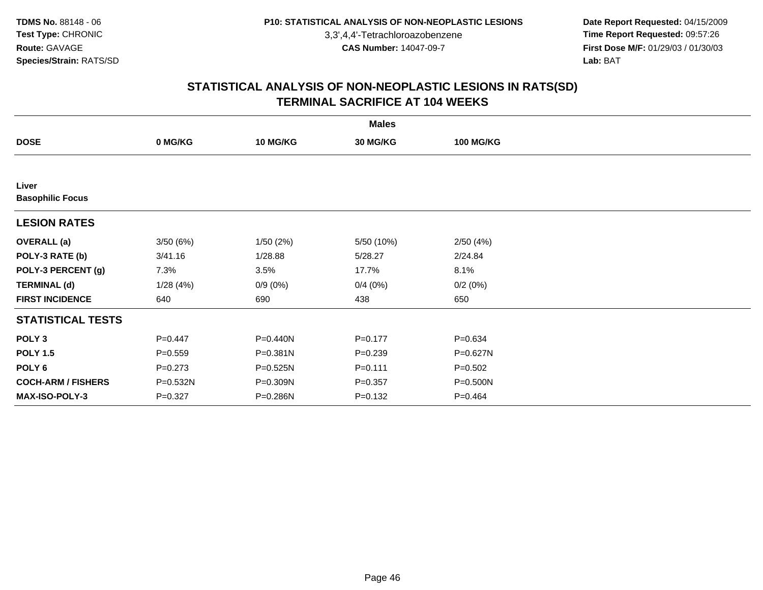**Date Report Requested:** 04/15/2009 **Time Report Requested:** 09:57:26 **First Dose M/F:** 01/29/03 / 01/30/03<br>Lab: BAT **Lab:** BAT

|                                  |             |                 | <b>Males</b>    |                  |  |
|----------------------------------|-------------|-----------------|-----------------|------------------|--|
| <b>DOSE</b>                      | 0 MG/KG     | <b>10 MG/KG</b> | <b>30 MG/KG</b> | <b>100 MG/KG</b> |  |
|                                  |             |                 |                 |                  |  |
| Liver<br><b>Basophilic Focus</b> |             |                 |                 |                  |  |
| <b>LESION RATES</b>              |             |                 |                 |                  |  |
| <b>OVERALL</b> (a)               | 3/50(6%)    | 1/50(2%)        | 5/50 (10%)      | 2/50(4%)         |  |
| POLY-3 RATE (b)                  | 3/41.16     | 1/28.88         | 5/28.27         | 2/24.84          |  |
| POLY-3 PERCENT (g)               | 7.3%        | 3.5%            | 17.7%           | 8.1%             |  |
| <b>TERMINAL (d)</b>              | 1/28(4%)    | $0/9(0\%)$      | 0/4(0%)         | 0/2(0%)          |  |
| <b>FIRST INCIDENCE</b>           | 640         | 690             | 438             | 650              |  |
| <b>STATISTICAL TESTS</b>         |             |                 |                 |                  |  |
| POLY <sub>3</sub>                | $P=0.447$   | P=0.440N        | $P = 0.177$     | $P = 0.634$      |  |
| <b>POLY 1.5</b>                  | $P = 0.559$ | P=0.381N        | $P = 0.239$     | P=0.627N         |  |
| POLY <sub>6</sub>                | $P = 0.273$ | P=0.525N        | $P = 0.111$     | $P = 0.502$      |  |
| <b>COCH-ARM / FISHERS</b>        | P=0.532N    | P=0.309N        | $P = 0.357$     | P=0.500N         |  |
| MAX-ISO-POLY-3                   | $P = 0.327$ | P=0.286N        | $P = 0.132$     | $P=0.464$        |  |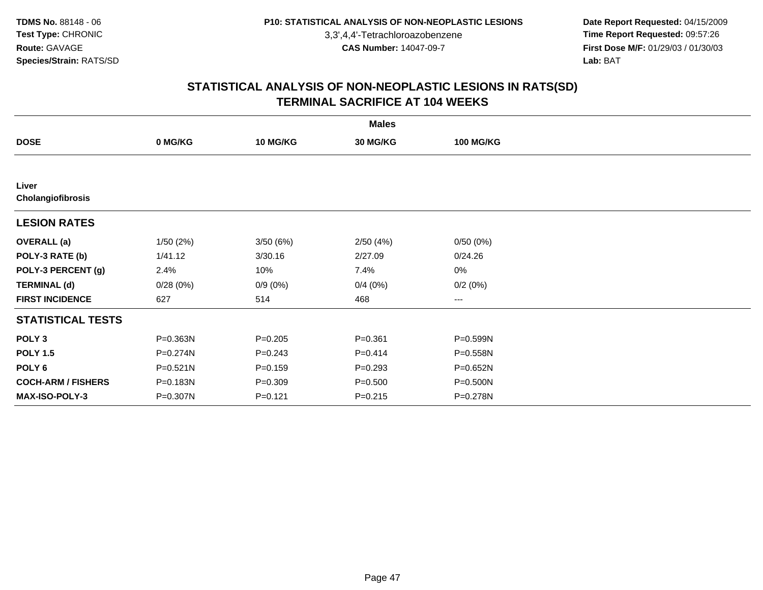**Date Report Requested:** 04/15/2009 **Time Report Requested:** 09:57:26 **First Dose M/F:** 01/29/03 / 01/30/03<br>Lab: BAT **Lab:** BAT

| <b>Males</b>               |              |                 |             |                  |  |  |  |  |
|----------------------------|--------------|-----------------|-------------|------------------|--|--|--|--|
| <b>DOSE</b>                | 0 MG/KG      | <b>10 MG/KG</b> | 30 MG/KG    | <b>100 MG/KG</b> |  |  |  |  |
|                            |              |                 |             |                  |  |  |  |  |
| Liver<br>Cholangiofibrosis |              |                 |             |                  |  |  |  |  |
| <b>LESION RATES</b>        |              |                 |             |                  |  |  |  |  |
| <b>OVERALL</b> (a)         | 1/50(2%)     | 3/50(6%)        | 2/50(4%)    | 0/50(0%)         |  |  |  |  |
| POLY-3 RATE (b)            | 1/41.12      | 3/30.16         | 2/27.09     | 0/24.26          |  |  |  |  |
| POLY-3 PERCENT (g)         | 2.4%         | 10%             | 7.4%        | 0%               |  |  |  |  |
| <b>TERMINAL (d)</b>        | 0/28(0%)     | $0/9(0\%)$      | 0/4(0%)     | 0/2(0%)          |  |  |  |  |
| <b>FIRST INCIDENCE</b>     | 627          | 514             | 468         | $--$             |  |  |  |  |
| <b>STATISTICAL TESTS</b>   |              |                 |             |                  |  |  |  |  |
| POLY <sub>3</sub>          | P=0.363N     | $P = 0.205$     | $P = 0.361$ | P=0.599N         |  |  |  |  |
| <b>POLY 1.5</b>            | P=0.274N     | $P = 0.243$     | $P = 0.414$ | P=0.558N         |  |  |  |  |
| POLY <sub>6</sub>          | $P = 0.521N$ | $P = 0.159$     | $P = 0.293$ | P=0.652N         |  |  |  |  |
| <b>COCH-ARM / FISHERS</b>  | P=0.183N     | $P = 0.309$     | $P = 0.500$ | P=0.500N         |  |  |  |  |
| <b>MAX-ISO-POLY-3</b>      | P=0.307N     | $P = 0.121$     | $P = 0.215$ | P=0.278N         |  |  |  |  |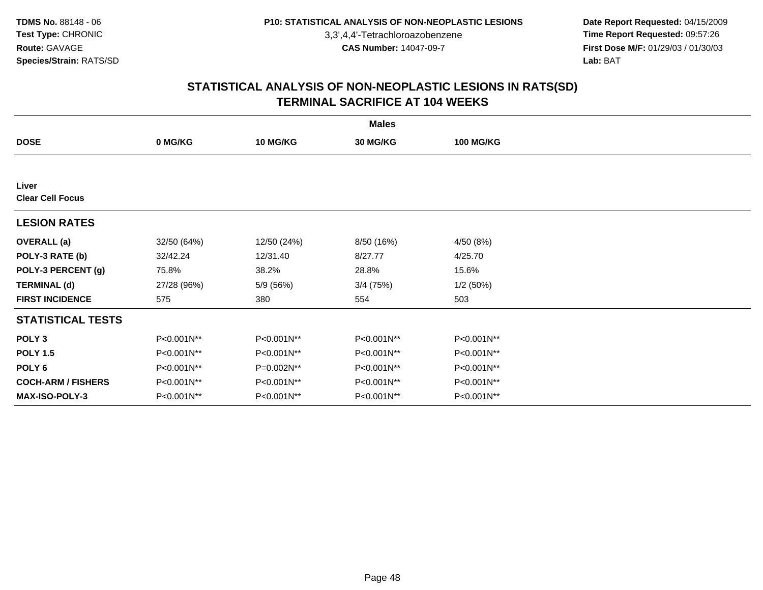**Date Report Requested:** 04/15/2009 **Time Report Requested:** 09:57:26 **First Dose M/F:** 01/29/03 / 01/30/03<br>Lab: BAT **Lab:** BAT

|                           | <b>Males</b> |                 |             |                  |  |  |  |  |
|---------------------------|--------------|-----------------|-------------|------------------|--|--|--|--|
| <b>DOSE</b>               | 0 MG/KG      | <b>10 MG/KG</b> | 30 MG/KG    | <b>100 MG/KG</b> |  |  |  |  |
|                           |              |                 |             |                  |  |  |  |  |
| Liver                     |              |                 |             |                  |  |  |  |  |
| <b>Clear Cell Focus</b>   |              |                 |             |                  |  |  |  |  |
| <b>LESION RATES</b>       |              |                 |             |                  |  |  |  |  |
| <b>OVERALL</b> (a)        | 32/50 (64%)  | 12/50 (24%)     | 8/50 (16%)  | 4/50 (8%)        |  |  |  |  |
| POLY-3 RATE (b)           | 32/42.24     | 12/31.40        | 8/27.77     | 4/25.70          |  |  |  |  |
| POLY-3 PERCENT (g)        | 75.8%        | 38.2%           | 28.8%       | 15.6%            |  |  |  |  |
| <b>TERMINAL (d)</b>       | 27/28 (96%)  | 5/9 (56%)       | $3/4$ (75%) | 1/2(50%)         |  |  |  |  |
| <b>FIRST INCIDENCE</b>    | 575          | 380             | 554         | 503              |  |  |  |  |
| <b>STATISTICAL TESTS</b>  |              |                 |             |                  |  |  |  |  |
| POLY <sub>3</sub>         | P<0.001N**   | P<0.001N**      | P<0.001N**  | P<0.001N**       |  |  |  |  |
| <b>POLY 1.5</b>           | P<0.001N**   | P<0.001N**      | P<0.001N**  | P<0.001N**       |  |  |  |  |
| POLY <sub>6</sub>         | P<0.001N**   | P=0.002N**      | P<0.001N**  | P<0.001N**       |  |  |  |  |
| <b>COCH-ARM / FISHERS</b> | P<0.001N**   | P<0.001N**      | P<0.001N**  | P<0.001N**       |  |  |  |  |
| <b>MAX-ISO-POLY-3</b>     | P<0.001N**   | P<0.001N**      | P<0.001N**  | P<0.001N**       |  |  |  |  |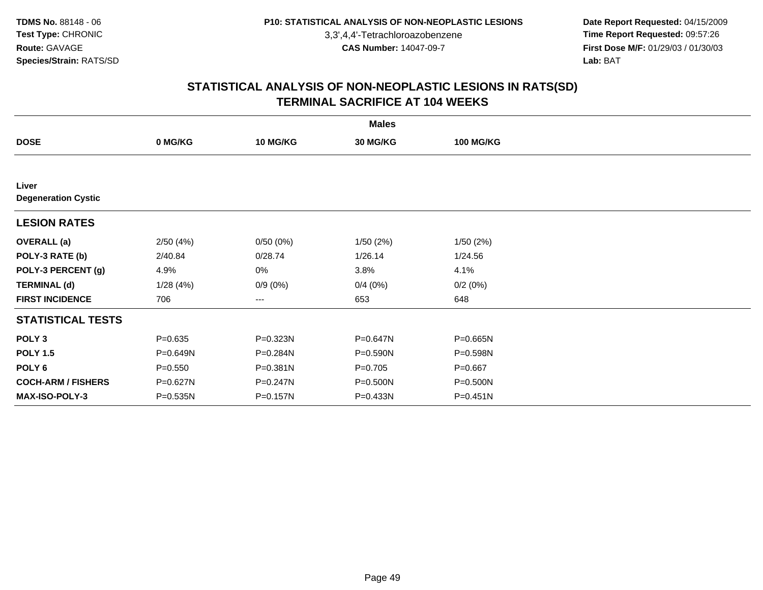**Date Report Requested:** 04/15/2009 **Time Report Requested:** 09:57:26 **First Dose M/F:** 01/29/03 / 01/30/03<br>Lab: BAT **Lab:** BAT

|                            | <b>Males</b> |                 |              |                  |  |  |  |  |
|----------------------------|--------------|-----------------|--------------|------------------|--|--|--|--|
| <b>DOSE</b>                | 0 MG/KG      | <b>10 MG/KG</b> | 30 MG/KG     | <b>100 MG/KG</b> |  |  |  |  |
|                            |              |                 |              |                  |  |  |  |  |
| Liver                      |              |                 |              |                  |  |  |  |  |
| <b>Degeneration Cystic</b> |              |                 |              |                  |  |  |  |  |
| <b>LESION RATES</b>        |              |                 |              |                  |  |  |  |  |
| <b>OVERALL (a)</b>         | 2/50(4%)     | 0/50(0%)        | 1/50(2%)     | 1/50(2%)         |  |  |  |  |
| POLY-3 RATE (b)            | 2/40.84      | 0/28.74         | 1/26.14      | 1/24.56          |  |  |  |  |
| POLY-3 PERCENT (g)         | 4.9%         | $0\%$           | 3.8%         | 4.1%             |  |  |  |  |
| <b>TERMINAL (d)</b>        | 1/28(4%)     | $0/9(0\%)$      | 0/4(0%)      | 0/2(0%)          |  |  |  |  |
| <b>FIRST INCIDENCE</b>     | 706          | ---             | 653          | 648              |  |  |  |  |
| <b>STATISTICAL TESTS</b>   |              |                 |              |                  |  |  |  |  |
| POLY <sub>3</sub>          | $P = 0.635$  | P=0.323N        | P=0.647N     | P=0.665N         |  |  |  |  |
| <b>POLY 1.5</b>            | P=0.649N     | P=0.284N        | $P = 0.590N$ | P=0.598N         |  |  |  |  |
| POLY <sub>6</sub>          | $P = 0.550$  | P=0.381N        | $P=0.705$    | $P = 0.667$      |  |  |  |  |
| <b>COCH-ARM / FISHERS</b>  | P=0.627N     | P=0.247N        | P=0.500N     | P=0.500N         |  |  |  |  |
| MAX-ISO-POLY-3             | $P = 0.535N$ | P=0.157N        | P=0.433N     | $P = 0.451N$     |  |  |  |  |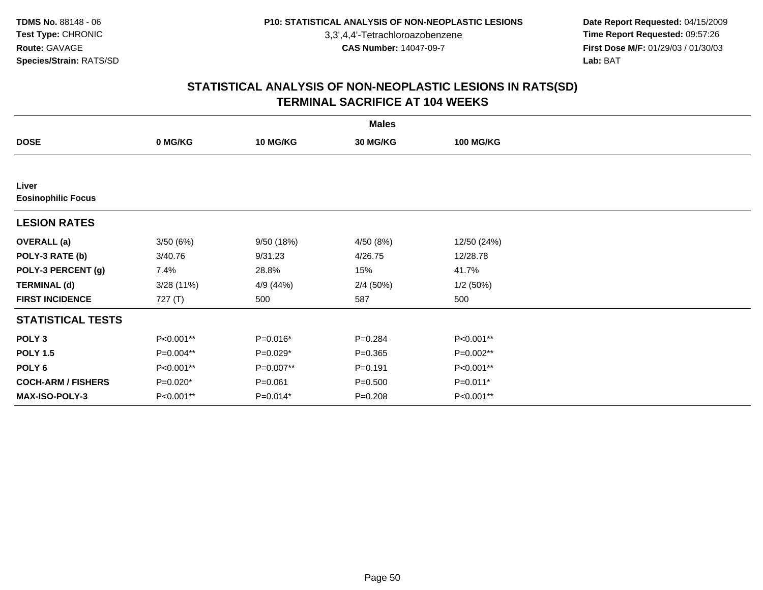**Date Report Requested:** 04/15/2009 **Time Report Requested:** 09:57:26 **First Dose M/F:** 01/29/03 / 01/30/03<br>Lab: BAT **Lab:** BAT

|                                    |           |             | <b>Males</b> |                  |  |
|------------------------------------|-----------|-------------|--------------|------------------|--|
| <b>DOSE</b>                        | 0 MG/KG   | 10 MG/KG    | 30 MG/KG     | <b>100 MG/KG</b> |  |
|                                    |           |             |              |                  |  |
| Liver<br><b>Eosinophilic Focus</b> |           |             |              |                  |  |
| <b>LESION RATES</b>                |           |             |              |                  |  |
| <b>OVERALL</b> (a)                 | 3/50(6%)  | 9/50 (18%)  | 4/50 (8%)    | 12/50 (24%)      |  |
| POLY-3 RATE (b)                    | 3/40.76   | 9/31.23     | 4/26.75      | 12/28.78         |  |
| POLY-3 PERCENT (g)                 | 7.4%      | 28.8%       | 15%          | 41.7%            |  |
| <b>TERMINAL (d)</b>                | 3/28(11%) | 4/9 (44%)   | 2/4(50%)     | 1/2(50%)         |  |
| <b>FIRST INCIDENCE</b>             | 727 (T)   | 500         | 587          | 500              |  |
| <b>STATISTICAL TESTS</b>           |           |             |              |                  |  |
| POLY <sub>3</sub>                  | P<0.001** | $P=0.016*$  | $P=0.284$    | P<0.001**        |  |
| <b>POLY 1.5</b>                    | P=0.004** | $P=0.029*$  | $P = 0.365$  | P=0.002**        |  |
| POLY <sub>6</sub>                  | P<0.001** | P=0.007**   | $P = 0.191$  | P<0.001**        |  |
| <b>COCH-ARM / FISHERS</b>          | P=0.020*  | $P = 0.061$ | $P = 0.500$  | $P=0.011*$       |  |
| MAX-ISO-POLY-3                     | P<0.001** | P=0.014*    | $P = 0.208$  | P<0.001**        |  |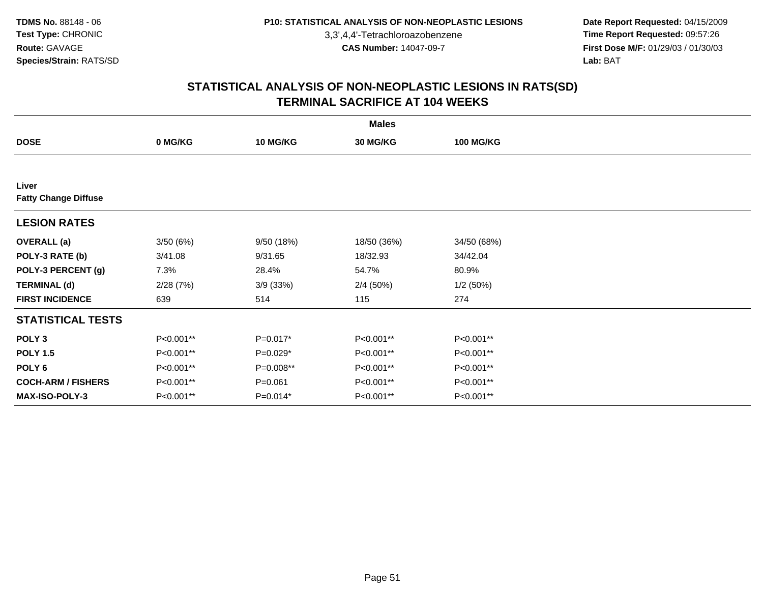**Date Report Requested:** 04/15/2009 **Time Report Requested:** 09:57:26 **First Dose M/F:** 01/29/03 / 01/30/03<br>Lab: BAT **Lab:** BAT

|                                      | <b>Males</b> |                 |                 |                  |  |  |  |
|--------------------------------------|--------------|-----------------|-----------------|------------------|--|--|--|
| <b>DOSE</b>                          | 0 MG/KG      | <b>10 MG/KG</b> | <b>30 MG/KG</b> | <b>100 MG/KG</b> |  |  |  |
|                                      |              |                 |                 |                  |  |  |  |
| Liver<br><b>Fatty Change Diffuse</b> |              |                 |                 |                  |  |  |  |
| <b>LESION RATES</b>                  |              |                 |                 |                  |  |  |  |
| <b>OVERALL</b> (a)                   | 3/50(6%)     | 9/50 (18%)      | 18/50 (36%)     | 34/50 (68%)      |  |  |  |
| POLY-3 RATE (b)                      | 3/41.08      | 9/31.65         | 18/32.93        | 34/42.04         |  |  |  |
| POLY-3 PERCENT (g)                   | 7.3%         | 28.4%           | 54.7%           | 80.9%            |  |  |  |
| <b>TERMINAL (d)</b>                  | 2/28(7%)     | 3/9(33%)        | 2/4(50%)        | 1/2(50%)         |  |  |  |
| <b>FIRST INCIDENCE</b>               | 639          | 514             | 115             | 274              |  |  |  |
| <b>STATISTICAL TESTS</b>             |              |                 |                 |                  |  |  |  |
| POLY <sub>3</sub>                    | P<0.001**    | P=0.017*        | P<0.001**       | P<0.001**        |  |  |  |
| <b>POLY 1.5</b>                      | P<0.001**    | $P=0.029*$      | P<0.001**       | P<0.001**        |  |  |  |
| POLY <sub>6</sub>                    | P<0.001**    | P=0.008**       | P<0.001**       | P<0.001**        |  |  |  |
| <b>COCH-ARM / FISHERS</b>            | P<0.001**    | $P = 0.061$     | P<0.001**       | P<0.001**        |  |  |  |
| <b>MAX-ISO-POLY-3</b>                | P<0.001**    | P=0.014*        | P<0.001**       | P<0.001**        |  |  |  |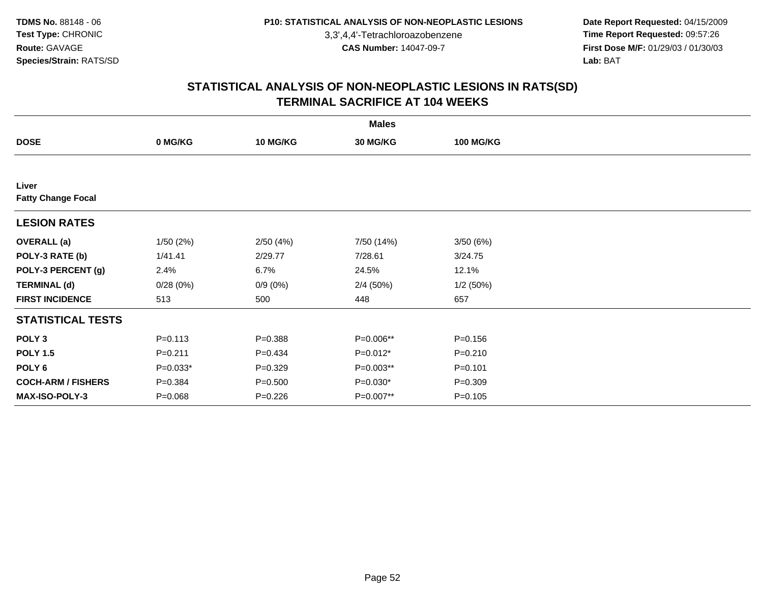**Date Report Requested:** 04/15/2009 **Time Report Requested:** 09:57:26 **First Dose M/F:** 01/29/03 / 01/30/03<br>Lab: BAT **Lab:** BAT

|                                    |             |                 | <b>Males</b>    |                  |  |
|------------------------------------|-------------|-----------------|-----------------|------------------|--|
| <b>DOSE</b>                        | 0 MG/KG     | <b>10 MG/KG</b> | <b>30 MG/KG</b> | <b>100 MG/KG</b> |  |
|                                    |             |                 |                 |                  |  |
| Liver<br><b>Fatty Change Focal</b> |             |                 |                 |                  |  |
| <b>LESION RATES</b>                |             |                 |                 |                  |  |
| <b>OVERALL</b> (a)                 | 1/50(2%)    | 2/50(4%)        | 7/50 (14%)      | 3/50(6%)         |  |
| POLY-3 RATE (b)                    | 1/41.41     | 2/29.77         | 7/28.61         | 3/24.75          |  |
| POLY-3 PERCENT (g)                 | 2.4%        | 6.7%            | 24.5%           | 12.1%            |  |
| <b>TERMINAL (d)</b>                | 0/28(0%)    | $0/9(0\%)$      | 2/4(50%)        | 1/2(50%)         |  |
| <b>FIRST INCIDENCE</b>             | 513         | 500             | 448             | 657              |  |
| <b>STATISTICAL TESTS</b>           |             |                 |                 |                  |  |
| POLY <sub>3</sub>                  | $P = 0.113$ | $P = 0.388$     | P=0.006**       | $P = 0.156$      |  |
| <b>POLY 1.5</b>                    | $P = 0.211$ | $P=0.434$       | $P=0.012*$      | $P = 0.210$      |  |
| POLY <sub>6</sub>                  | $P=0.033*$  | $P = 0.329$     | P=0.003**       | $P = 0.101$      |  |
| <b>COCH-ARM / FISHERS</b>          | $P = 0.384$ | $P = 0.500$     | $P=0.030*$      | $P = 0.309$      |  |
| MAX-ISO-POLY-3                     | $P = 0.068$ | $P = 0.226$     | P=0.007**       | $P = 0.105$      |  |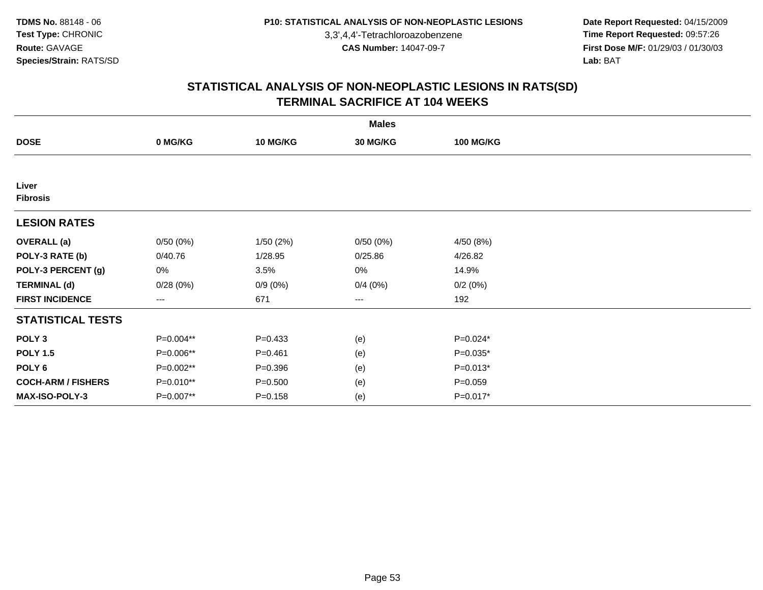**Date Report Requested:** 04/15/2009 **Time Report Requested:** 09:57:26 **First Dose M/F:** 01/29/03 / 01/30/03<br>Lab: BAT **Lab:** BAT

| <b>Males</b>              |           |                 |                 |                  |  |  |  |
|---------------------------|-----------|-----------------|-----------------|------------------|--|--|--|
| <b>DOSE</b>               | 0 MG/KG   | <b>10 MG/KG</b> | <b>30 MG/KG</b> | <b>100 MG/KG</b> |  |  |  |
|                           |           |                 |                 |                  |  |  |  |
| Liver<br><b>Fibrosis</b>  |           |                 |                 |                  |  |  |  |
| <b>LESION RATES</b>       |           |                 |                 |                  |  |  |  |
| <b>OVERALL</b> (a)        | 0/50(0%)  | 1/50(2%)        | 0/50(0%)        | 4/50 (8%)        |  |  |  |
| POLY-3 RATE (b)           | 0/40.76   | 1/28.95         | 0/25.86         | 4/26.82          |  |  |  |
| POLY-3 PERCENT (g)        | 0%        | 3.5%            | 0%              | 14.9%            |  |  |  |
| <b>TERMINAL (d)</b>       | 0/28(0%)  | $0/9(0\%)$      | 0/4(0%)         | 0/2(0%)          |  |  |  |
| <b>FIRST INCIDENCE</b>    | $---$     | 671             | ---             | 192              |  |  |  |
| <b>STATISTICAL TESTS</b>  |           |                 |                 |                  |  |  |  |
| POLY <sub>3</sub>         | P=0.004** | $P = 0.433$     | (e)             | $P=0.024*$       |  |  |  |
| <b>POLY 1.5</b>           | P=0.006** | $P = 0.461$     | (e)             | $P=0.035*$       |  |  |  |
| POLY <sub>6</sub>         | P=0.002** | $P = 0.396$     | (e)             | $P=0.013*$       |  |  |  |
| <b>COCH-ARM / FISHERS</b> | P=0.010** | $P = 0.500$     | (e)             | $P=0.059$        |  |  |  |
| <b>MAX-ISO-POLY-3</b>     | P=0.007** | $P = 0.158$     | (e)             | $P=0.017*$       |  |  |  |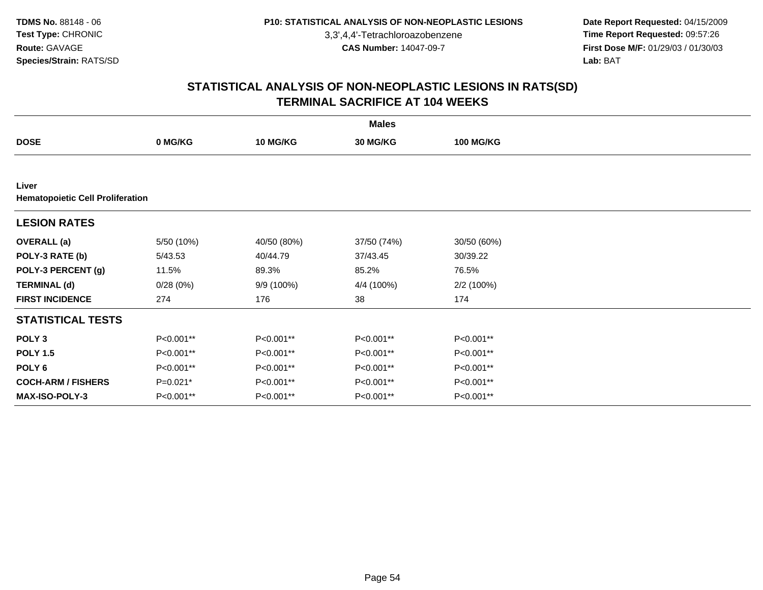**Date Report Requested:** 04/15/2009 **Time Report Requested:** 09:57:26 **First Dose M/F:** 01/29/03 / 01/30/03<br>Lab: BAT **Lab:** BAT

|                                                  | <b>Males</b> |                 |             |                  |  |  |  |
|--------------------------------------------------|--------------|-----------------|-------------|------------------|--|--|--|
| <b>DOSE</b>                                      | 0 MG/KG      | <b>10 MG/KG</b> | 30 MG/KG    | <b>100 MG/KG</b> |  |  |  |
|                                                  |              |                 |             |                  |  |  |  |
| Liver<br><b>Hematopoietic Cell Proliferation</b> |              |                 |             |                  |  |  |  |
| <b>LESION RATES</b>                              |              |                 |             |                  |  |  |  |
| <b>OVERALL</b> (a)                               | 5/50 (10%)   | 40/50 (80%)     | 37/50 (74%) | 30/50 (60%)      |  |  |  |
| POLY-3 RATE (b)                                  | 5/43.53      | 40/44.79        | 37/43.45    | 30/39.22         |  |  |  |
| POLY-3 PERCENT (g)                               | 11.5%        | 89.3%           | 85.2%       | 76.5%            |  |  |  |
| <b>TERMINAL (d)</b>                              | 0/28(0%)     | 9/9 (100%)      | 4/4 (100%)  | 2/2 (100%)       |  |  |  |
| <b>FIRST INCIDENCE</b>                           | 274          | 176             | 38          | 174              |  |  |  |
| <b>STATISTICAL TESTS</b>                         |              |                 |             |                  |  |  |  |
| POLY <sub>3</sub>                                | P<0.001**    | P<0.001**       | P<0.001**   | P<0.001**        |  |  |  |
| <b>POLY 1.5</b>                                  | P<0.001**    | P<0.001**       | P<0.001**   | P<0.001**        |  |  |  |
| POLY <sub>6</sub>                                | P<0.001**    | P<0.001**       | P<0.001**   | P<0.001**        |  |  |  |
| <b>COCH-ARM / FISHERS</b>                        | $P=0.021*$   | P<0.001**       | P<0.001**   | P<0.001**        |  |  |  |
| <b>MAX-ISO-POLY-3</b>                            | P<0.001**    | P<0.001**       | P<0.001**   | P<0.001**        |  |  |  |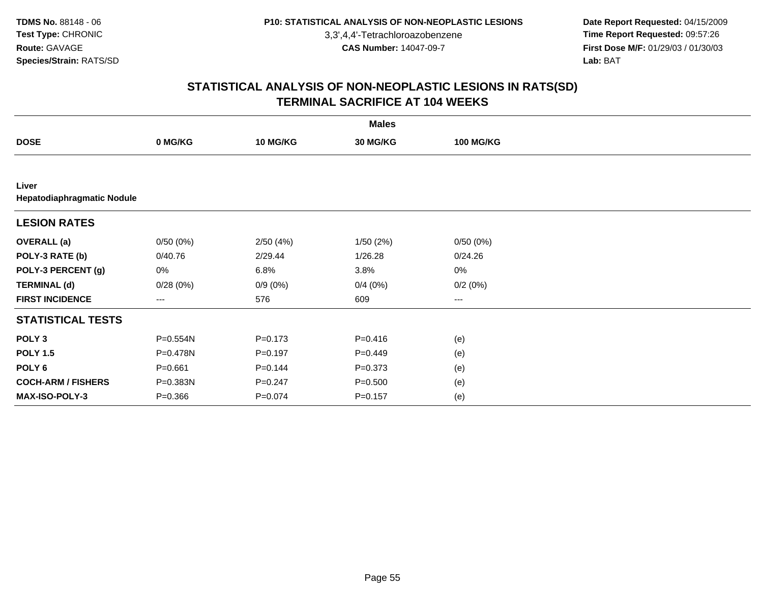**Date Report Requested:** 04/15/2009 **Time Report Requested:** 09:57:26 **First Dose M/F:** 01/29/03 / 01/30/03<br>Lab: BAT **Lab:** BAT

| <b>Males</b>                        |                   |                 |             |                  |  |  |  |
|-------------------------------------|-------------------|-----------------|-------------|------------------|--|--|--|
| <b>DOSE</b>                         | 0 MG/KG           | <b>10 MG/KG</b> | 30 MG/KG    | <b>100 MG/KG</b> |  |  |  |
|                                     |                   |                 |             |                  |  |  |  |
| Liver<br>Hepatodiaphragmatic Nodule |                   |                 |             |                  |  |  |  |
| <b>LESION RATES</b>                 |                   |                 |             |                  |  |  |  |
| <b>OVERALL</b> (a)                  | 0/50(0%)          | 2/50(4%)        | 1/50(2%)    | 0/50(0%)         |  |  |  |
| POLY-3 RATE (b)                     | 0/40.76           | 2/29.44         | 1/26.28     | 0/24.26          |  |  |  |
| POLY-3 PERCENT (g)                  | 0%                | 6.8%            | 3.8%        | 0%               |  |  |  |
| <b>TERMINAL (d)</b>                 | 0/28(0%)          | $0/9(0\%)$      | 0/4(0%)     | 0/2(0%)          |  |  |  |
| <b>FIRST INCIDENCE</b>              | $\qquad \qquad -$ | 576             | 609         | $--$             |  |  |  |
| <b>STATISTICAL TESTS</b>            |                   |                 |             |                  |  |  |  |
| POLY <sub>3</sub>                   | P=0.554N          | $P = 0.173$     | $P = 0.416$ | (e)              |  |  |  |
| <b>POLY 1.5</b>                     | P=0.478N          | $P = 0.197$     | $P=0.449$   | (e)              |  |  |  |
| POLY <sub>6</sub>                   | $P = 0.661$       | $P = 0.144$     | $P = 0.373$ | (e)              |  |  |  |
| <b>COCH-ARM / FISHERS</b>           | P=0.383N          | $P = 0.247$     | $P = 0.500$ | (e)              |  |  |  |
| MAX-ISO-POLY-3                      | $P = 0.366$       | $P = 0.074$     | $P = 0.157$ | (e)              |  |  |  |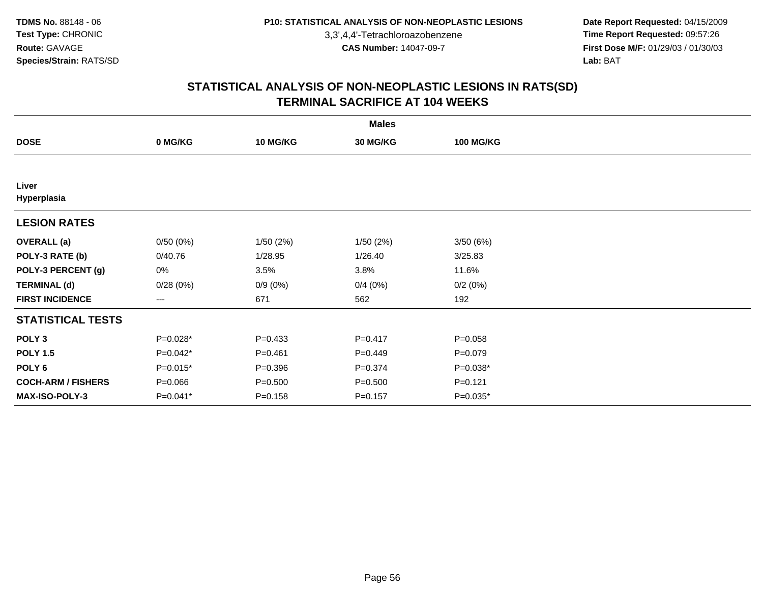**Date Report Requested:** 04/15/2009 **Time Report Requested:** 09:57:26 **First Dose M/F:** 01/29/03 / 01/30/03<br>Lab: BAT **Lab:** BAT

|                           | <b>Males</b> |                 |                 |                  |  |  |  |  |
|---------------------------|--------------|-----------------|-----------------|------------------|--|--|--|--|
| <b>DOSE</b>               | 0 MG/KG      | <b>10 MG/KG</b> | <b>30 MG/KG</b> | <b>100 MG/KG</b> |  |  |  |  |
|                           |              |                 |                 |                  |  |  |  |  |
| Liver<br>Hyperplasia      |              |                 |                 |                  |  |  |  |  |
| <b>LESION RATES</b>       |              |                 |                 |                  |  |  |  |  |
| <b>OVERALL</b> (a)        | 0/50(0%)     | 1/50(2%)        | 1/50(2%)        | 3/50(6%)         |  |  |  |  |
| POLY-3 RATE (b)           | 0/40.76      | 1/28.95         | 1/26.40         | 3/25.83          |  |  |  |  |
| POLY-3 PERCENT (g)        | 0%           | 3.5%            | 3.8%            | 11.6%            |  |  |  |  |
| <b>TERMINAL (d)</b>       | 0/28(0%)     | $0/9(0\%)$      | 0/4(0%)         | 0/2(0%)          |  |  |  |  |
| <b>FIRST INCIDENCE</b>    | $---$        | 671             | 562             | 192              |  |  |  |  |
| <b>STATISTICAL TESTS</b>  |              |                 |                 |                  |  |  |  |  |
| POLY <sub>3</sub>         | P=0.028*     | $P = 0.433$     | $P = 0.417$     | $P = 0.058$      |  |  |  |  |
| <b>POLY 1.5</b>           | $P=0.042*$   | $P = 0.461$     | $P=0.449$       | $P=0.079$        |  |  |  |  |
| POLY <sub>6</sub>         | $P=0.015*$   | $P = 0.396$     | $P = 0.374$     | $P=0.038*$       |  |  |  |  |
| <b>COCH-ARM / FISHERS</b> | $P = 0.066$  | $P = 0.500$     | $P = 0.500$     | $P = 0.121$      |  |  |  |  |
| MAX-ISO-POLY-3            | P=0.041*     | $P = 0.158$     | $P = 0.157$     | $P=0.035*$       |  |  |  |  |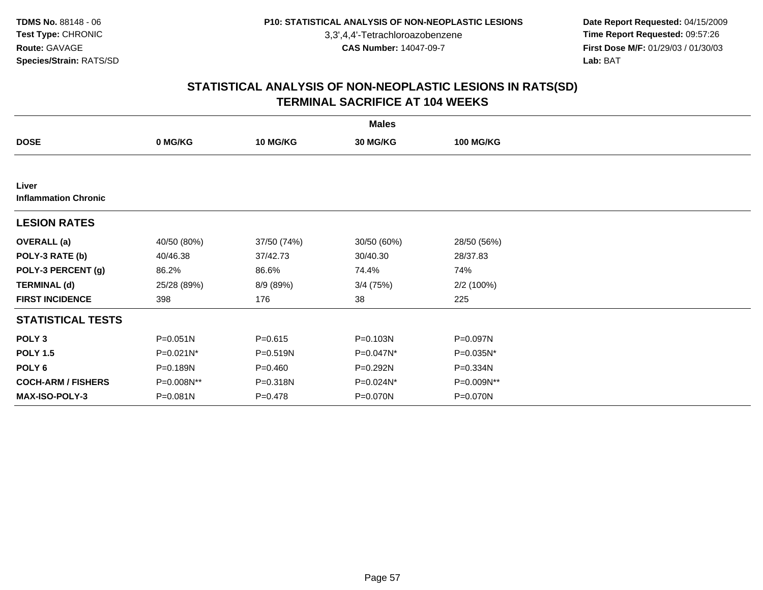**Date Report Requested:** 04/15/2009 **Time Report Requested:** 09:57:26 **First Dose M/F:** 01/29/03 / 01/30/03<br>Lab: BAT **Lab:** BAT

|                                      | <b>Males</b> |                 |                 |                  |  |  |  |  |
|--------------------------------------|--------------|-----------------|-----------------|------------------|--|--|--|--|
| <b>DOSE</b>                          | 0 MG/KG      | <b>10 MG/KG</b> | <b>30 MG/KG</b> | <b>100 MG/KG</b> |  |  |  |  |
|                                      |              |                 |                 |                  |  |  |  |  |
| Liver<br><b>Inflammation Chronic</b> |              |                 |                 |                  |  |  |  |  |
| <b>LESION RATES</b>                  |              |                 |                 |                  |  |  |  |  |
| <b>OVERALL</b> (a)                   | 40/50 (80%)  | 37/50 (74%)     | 30/50 (60%)     | 28/50 (56%)      |  |  |  |  |
| POLY-3 RATE (b)                      | 40/46.38     | 37/42.73        | 30/40.30        | 28/37.83         |  |  |  |  |
| POLY-3 PERCENT (g)                   | 86.2%        | 86.6%           | 74.4%           | 74%              |  |  |  |  |
| <b>TERMINAL (d)</b>                  | 25/28 (89%)  | 8/9 (89%)       | $3/4$ (75%)     | 2/2(100%)        |  |  |  |  |
| <b>FIRST INCIDENCE</b>               | 398          | 176             | 38              | 225              |  |  |  |  |
| <b>STATISTICAL TESTS</b>             |              |                 |                 |                  |  |  |  |  |
| POLY <sub>3</sub>                    | $P = 0.051N$ | $P = 0.615$     | P=0.103N        | P=0.097N         |  |  |  |  |
| <b>POLY 1.5</b>                      | P=0.021N*    | $P = 0.519N$    | P=0.047N*       | P=0.035N*        |  |  |  |  |
| POLY <sub>6</sub>                    | P=0.189N     | $P=0.460$       | P=0.292N        | P=0.334N         |  |  |  |  |
| <b>COCH-ARM / FISHERS</b>            | P=0.008N**   | P=0.318N        | P=0.024N*       | P=0.009N**       |  |  |  |  |
| <b>MAX-ISO-POLY-3</b>                | P=0.081N     | $P=0.478$       | P=0.070N        | P=0.070N         |  |  |  |  |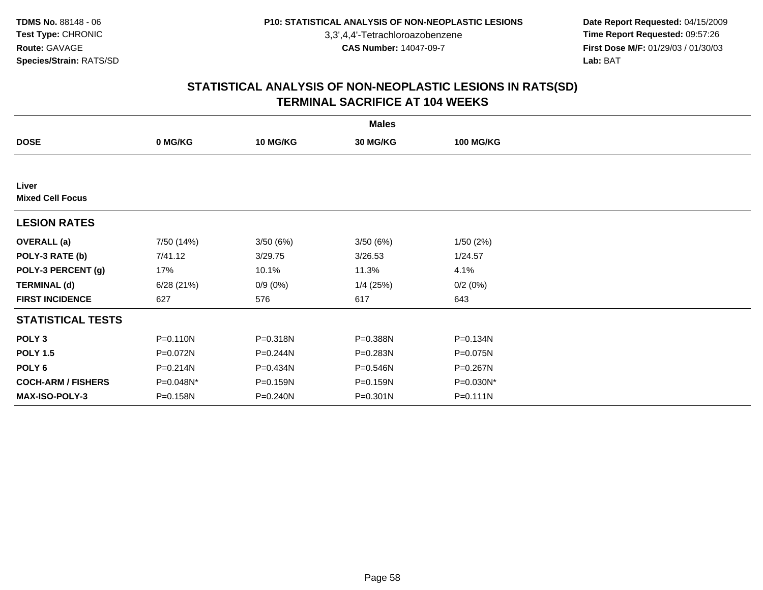**Date Report Requested:** 04/15/2009 **Time Report Requested:** 09:57:26 **First Dose M/F:** 01/29/03 / 01/30/03<br>Lab: BAT **Lab:** BAT

| <b>Males</b>                     |              |                 |                 |                  |  |  |  |
|----------------------------------|--------------|-----------------|-----------------|------------------|--|--|--|
| <b>DOSE</b>                      | 0 MG/KG      | <b>10 MG/KG</b> | <b>30 MG/KG</b> | <b>100 MG/KG</b> |  |  |  |
|                                  |              |                 |                 |                  |  |  |  |
| Liver<br><b>Mixed Cell Focus</b> |              |                 |                 |                  |  |  |  |
| <b>LESION RATES</b>              |              |                 |                 |                  |  |  |  |
| <b>OVERALL</b> (a)               | 7/50 (14%)   | 3/50(6%)        | 3/50(6%)        | 1/50(2%)         |  |  |  |
| POLY-3 RATE (b)                  | 7/41.12      | 3/29.75         | 3/26.53         | 1/24.57          |  |  |  |
| POLY-3 PERCENT (g)               | 17%          | 10.1%           | 11.3%           | 4.1%             |  |  |  |
| <b>TERMINAL (d)</b>              | 6/28(21%)    | $0/9(0\%)$      | $1/4$ (25%)     | 0/2(0%)          |  |  |  |
| <b>FIRST INCIDENCE</b>           | 627          | 576             | 617             | 643              |  |  |  |
| <b>STATISTICAL TESTS</b>         |              |                 |                 |                  |  |  |  |
| POLY <sub>3</sub>                | P=0.110N     | P=0.318N        | P=0.388N        | P=0.134N         |  |  |  |
| <b>POLY 1.5</b>                  | P=0.072N     | P=0.244N        | P=0.283N        | P=0.075N         |  |  |  |
| POLY <sub>6</sub>                | $P = 0.214N$ | P=0.434N        | P=0.546N        | P=0.267N         |  |  |  |
| <b>COCH-ARM / FISHERS</b>        | P=0.048N*    | P=0.159N        | P=0.159N        | P=0.030N*        |  |  |  |
| <b>MAX-ISO-POLY-3</b>            | P=0.158N     | P=0.240N        | $P = 0.301N$    | $P = 0.111N$     |  |  |  |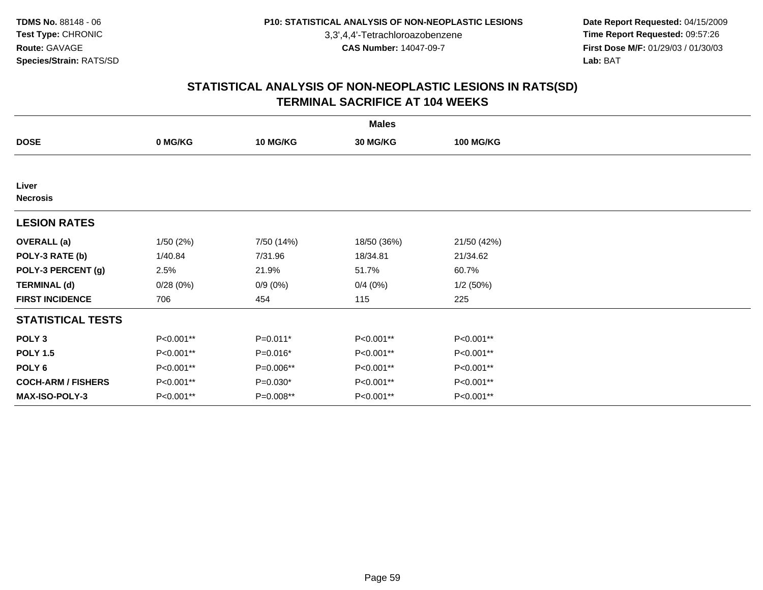**Date Report Requested:** 04/15/2009 **Time Report Requested:** 09:57:26 **First Dose M/F:** 01/29/03 / 01/30/03<br>Lab: BAT **Lab:** BAT

| <b>Males</b>              |           |                 |                 |                  |  |  |
|---------------------------|-----------|-----------------|-----------------|------------------|--|--|
| <b>DOSE</b>               | 0 MG/KG   | <b>10 MG/KG</b> | <b>30 MG/KG</b> | <b>100 MG/KG</b> |  |  |
|                           |           |                 |                 |                  |  |  |
| Liver<br><b>Necrosis</b>  |           |                 |                 |                  |  |  |
| <b>LESION RATES</b>       |           |                 |                 |                  |  |  |
| <b>OVERALL</b> (a)        | 1/50(2%)  | 7/50 (14%)      | 18/50 (36%)     | 21/50 (42%)      |  |  |
| POLY-3 RATE (b)           | 1/40.84   | 7/31.96         | 18/34.81        | 21/34.62         |  |  |
| POLY-3 PERCENT (g)        | 2.5%      | 21.9%           | 51.7%           | 60.7%            |  |  |
| <b>TERMINAL (d)</b>       | 0/28(0%)  | $0/9(0\%)$      | 0/4(0%)         | 1/2(50%)         |  |  |
| <b>FIRST INCIDENCE</b>    | 706       | 454             | 115             | 225              |  |  |
| <b>STATISTICAL TESTS</b>  |           |                 |                 |                  |  |  |
| POLY <sub>3</sub>         | P<0.001** | P=0.011*        | P<0.001**       | P<0.001**        |  |  |
| <b>POLY 1.5</b>           | P<0.001** | P=0.016*        | P<0.001**       | P<0.001**        |  |  |
| POLY <sub>6</sub>         | P<0.001** | P=0.006**       | P<0.001**       | P<0.001**        |  |  |
| <b>COCH-ARM / FISHERS</b> | P<0.001** | $P=0.030*$      | P<0.001**       | P<0.001**        |  |  |
| <b>MAX-ISO-POLY-3</b>     | P<0.001** | P=0.008**       | P<0.001**       | P<0.001**        |  |  |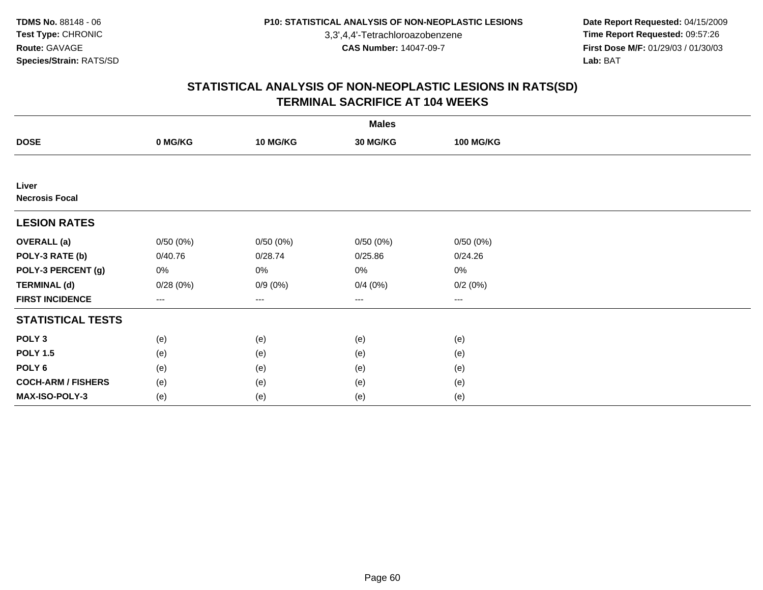**Date Report Requested:** 04/15/2009 **Time Report Requested:** 09:57:26 **First Dose M/F:** 01/29/03 / 01/30/03<br>Lab: BAT **Lab:** BAT

|                                | <b>Males</b>           |            |          |                  |  |  |  |  |
|--------------------------------|------------------------|------------|----------|------------------|--|--|--|--|
| <b>DOSE</b>                    | 0 MG/KG                | 10 MG/KG   | 30 MG/KG | <b>100 MG/KG</b> |  |  |  |  |
|                                |                        |            |          |                  |  |  |  |  |
| Liver<br><b>Necrosis Focal</b> |                        |            |          |                  |  |  |  |  |
| <b>LESION RATES</b>            |                        |            |          |                  |  |  |  |  |
| <b>OVERALL</b> (a)             | 0/50(0%)               | 0/50(0%)   | 0/50(0%) | 0/50(0%)         |  |  |  |  |
| POLY-3 RATE (b)                | 0/40.76                | 0/28.74    | 0/25.86  | 0/24.26          |  |  |  |  |
| POLY-3 PERCENT (g)             | 0%                     | 0%         | 0%       | 0%               |  |  |  |  |
| <b>TERMINAL (d)</b>            | 0/28(0%)               | $0/9(0\%)$ | 0/4(0%)  | 0/2(0%)          |  |  |  |  |
| <b>FIRST INCIDENCE</b>         | $\qquad \qquad \cdots$ | ---        | ---      | $--$             |  |  |  |  |
| <b>STATISTICAL TESTS</b>       |                        |            |          |                  |  |  |  |  |
| POLY <sub>3</sub>              | (e)                    | (e)        | (e)      | (e)              |  |  |  |  |
| <b>POLY 1.5</b>                | (e)                    | (e)        | (e)      | (e)              |  |  |  |  |
| POLY <sub>6</sub>              | (e)                    | (e)        | (e)      | (e)              |  |  |  |  |
| <b>COCH-ARM / FISHERS</b>      | (e)                    | (e)        | (e)      | (e)              |  |  |  |  |
| MAX-ISO-POLY-3                 | (e)                    | (e)        | (e)      | (e)              |  |  |  |  |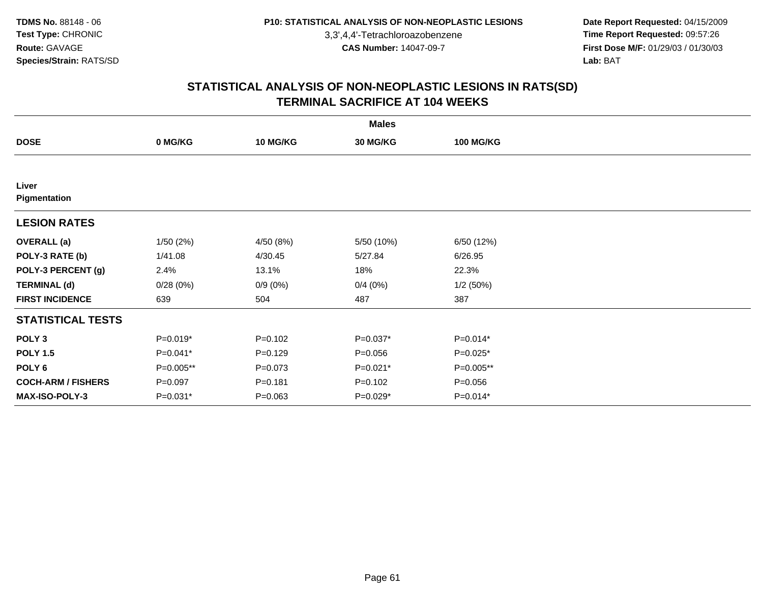**Date Report Requested:** 04/15/2009 **Time Report Requested:** 09:57:26 **First Dose M/F:** 01/29/03 / 01/30/03<br>Lab: BAT **Lab:** BAT

|                           |             |                 | <b>Males</b>    |                  |  |
|---------------------------|-------------|-----------------|-----------------|------------------|--|
| <b>DOSE</b>               | 0 MG/KG     | <b>10 MG/KG</b> | <b>30 MG/KG</b> | <b>100 MG/KG</b> |  |
|                           |             |                 |                 |                  |  |
| Liver<br>Pigmentation     |             |                 |                 |                  |  |
| <b>LESION RATES</b>       |             |                 |                 |                  |  |
| <b>OVERALL</b> (a)        | 1/50(2%)    | 4/50 (8%)       | 5/50 (10%)      | 6/50 (12%)       |  |
| POLY-3 RATE (b)           | 1/41.08     | 4/30.45         | 5/27.84         | 6/26.95          |  |
| POLY-3 PERCENT (g)        | 2.4%        | 13.1%           | 18%             | 22.3%            |  |
| <b>TERMINAL (d)</b>       | 0/28(0%)    | $0/9(0\%)$      | 0/4(0%)         | 1/2(50%)         |  |
| <b>FIRST INCIDENCE</b>    | 639         | 504             | 487             | 387              |  |
| <b>STATISTICAL TESTS</b>  |             |                 |                 |                  |  |
| POLY <sub>3</sub>         | $P=0.019*$  | $P = 0.102$     | P=0.037*        | $P=0.014*$       |  |
| <b>POLY 1.5</b>           | $P=0.041*$  | $P=0.129$       | $P = 0.056$     | $P=0.025*$       |  |
| POLY <sub>6</sub>         | P=0.005**   | $P = 0.073$     | P=0.021*        | P=0.005**        |  |
| <b>COCH-ARM / FISHERS</b> | $P = 0.097$ | $P = 0.181$     | $P = 0.102$     | $P = 0.056$      |  |
| <b>MAX-ISO-POLY-3</b>     | $P=0.031*$  | $P = 0.063$     | $P=0.029*$      | $P=0.014*$       |  |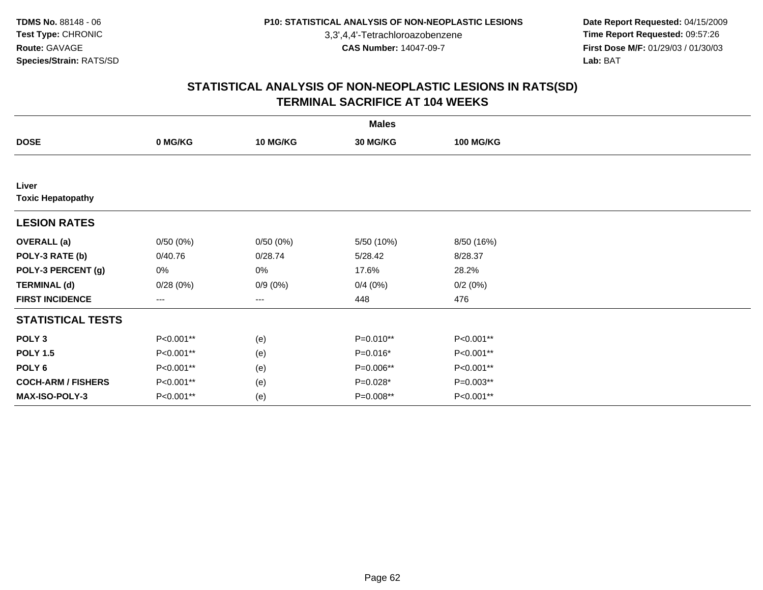**Date Report Requested:** 04/15/2009 **Time Report Requested:** 09:57:26 **First Dose M/F:** 01/29/03 / 01/30/03<br>Lab: BAT **Lab:** BAT

|                           |           |                 | <b>Males</b> |                  |  |
|---------------------------|-----------|-----------------|--------------|------------------|--|
| <b>DOSE</b>               | 0 MG/KG   | <b>10 MG/KG</b> | 30 MG/KG     | <b>100 MG/KG</b> |  |
|                           |           |                 |              |                  |  |
| Liver                     |           |                 |              |                  |  |
| <b>Toxic Hepatopathy</b>  |           |                 |              |                  |  |
| <b>LESION RATES</b>       |           |                 |              |                  |  |
| <b>OVERALL</b> (a)        | 0/50(0%)  | 0/50(0%)        | 5/50 (10%)   | 8/50 (16%)       |  |
| POLY-3 RATE (b)           | 0/40.76   | 0/28.74         | 5/28.42      | 8/28.37          |  |
| POLY-3 PERCENT (g)        | 0%        | 0%              | 17.6%        | 28.2%            |  |
| <b>TERMINAL (d)</b>       | 0/28(0%)  | $0/9(0\%)$      | 0/4(0%)      | 0/2(0%)          |  |
| <b>FIRST INCIDENCE</b>    | $---$     | ---             | 448          | 476              |  |
| <b>STATISTICAL TESTS</b>  |           |                 |              |                  |  |
| POLY <sub>3</sub>         | P<0.001** | (e)             | P=0.010**    | P<0.001**        |  |
| <b>POLY 1.5</b>           | P<0.001** | (e)             | P=0.016*     | P<0.001**        |  |
| POLY <sub>6</sub>         | P<0.001** | (e)             | P=0.006**    | P<0.001**        |  |
| <b>COCH-ARM / FISHERS</b> | P<0.001** | (e)             | P=0.028*     | P=0.003**        |  |
| <b>MAX-ISO-POLY-3</b>     | P<0.001** | (e)             | P=0.008**    | P<0.001**        |  |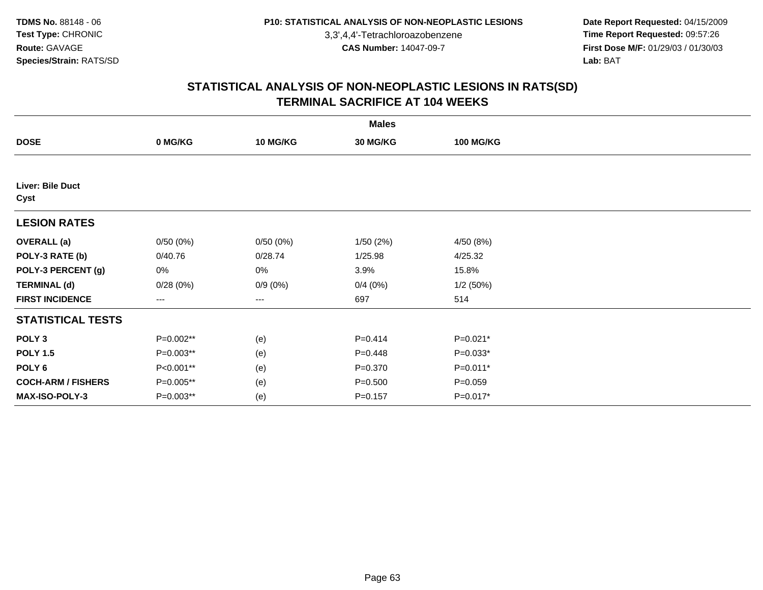**Date Report Requested:** 04/15/2009 **Time Report Requested:** 09:57:26 **First Dose M/F:** 01/29/03 / 01/30/03<br>Lab: BAT **Lab:** BAT

| <b>Males</b>              |           |                 |                 |                  |  |  |
|---------------------------|-----------|-----------------|-----------------|------------------|--|--|
| <b>DOSE</b>               | 0 MG/KG   | <b>10 MG/KG</b> | <b>30 MG/KG</b> | <b>100 MG/KG</b> |  |  |
|                           |           |                 |                 |                  |  |  |
| Liver: Bile Duct<br>Cyst  |           |                 |                 |                  |  |  |
| <b>LESION RATES</b>       |           |                 |                 |                  |  |  |
| <b>OVERALL</b> (a)        | 0/50(0%)  | 0/50(0%)        | 1/50(2%)        | 4/50(8%)         |  |  |
| POLY-3 RATE (b)           | 0/40.76   | 0/28.74         | 1/25.98         | 4/25.32          |  |  |
| POLY-3 PERCENT (g)        | 0%        | 0%              | 3.9%            | 15.8%            |  |  |
| <b>TERMINAL (d)</b>       | 0/28(0%)  | $0/9(0\%)$      | 0/4(0%)         | 1/2(50%)         |  |  |
| <b>FIRST INCIDENCE</b>    | $---$     | $---$           | 697             | 514              |  |  |
| <b>STATISTICAL TESTS</b>  |           |                 |                 |                  |  |  |
| POLY <sub>3</sub>         | P=0.002** | (e)             | $P=0.414$       | $P=0.021*$       |  |  |
| <b>POLY 1.5</b>           | P=0.003** | (e)             | $P=0.448$       | $P=0.033*$       |  |  |
| POLY <sub>6</sub>         | P<0.001** | (e)             | $P = 0.370$     | $P=0.011*$       |  |  |
| <b>COCH-ARM / FISHERS</b> | P=0.005** | (e)             | $P = 0.500$     | $P = 0.059$      |  |  |
| MAX-ISO-POLY-3            | P=0.003** | (e)             | $P = 0.157$     | $P=0.017*$       |  |  |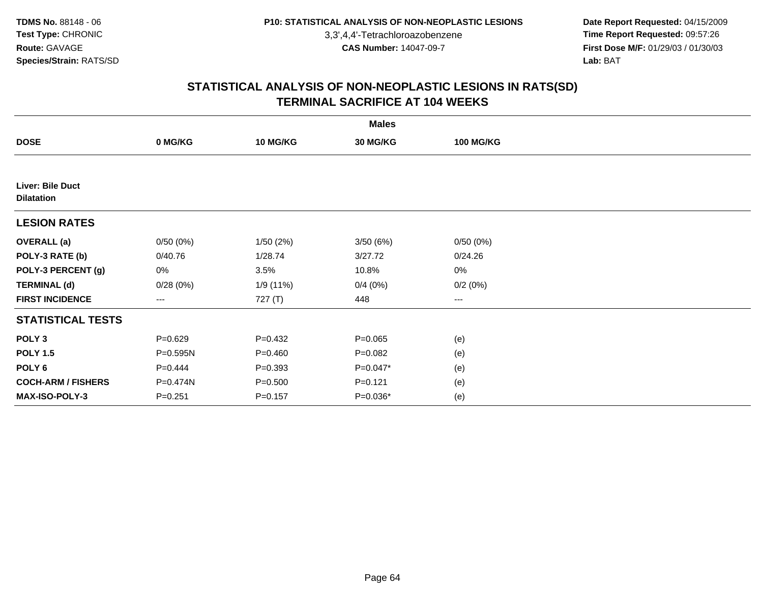**Date Report Requested:** 04/15/2009 **Time Report Requested:** 09:57:26 **First Dose M/F:** 01/29/03 / 01/30/03<br>Lab: BAT **Lab:** BAT

|                                       |             |                 | <b>Males</b>    |                  |  |
|---------------------------------------|-------------|-----------------|-----------------|------------------|--|
| <b>DOSE</b>                           | 0 MG/KG     | <b>10 MG/KG</b> | <b>30 MG/KG</b> | <b>100 MG/KG</b> |  |
|                                       |             |                 |                 |                  |  |
| Liver: Bile Duct<br><b>Dilatation</b> |             |                 |                 |                  |  |
| <b>LESION RATES</b>                   |             |                 |                 |                  |  |
| <b>OVERALL</b> (a)                    | 0/50(0%)    | 1/50(2%)        | 3/50(6%)        | 0/50(0%)         |  |
| POLY-3 RATE (b)                       | 0/40.76     | 1/28.74         | 3/27.72         | 0/24.26          |  |
| POLY-3 PERCENT (g)                    | 0%          | 3.5%            | 10.8%           | 0%               |  |
| <b>TERMINAL (d)</b>                   | 0/28(0%)    | 1/9 (11%)       | 0/4(0%)         | 0/2(0%)          |  |
| <b>FIRST INCIDENCE</b>                | $--$        | 727(T)          | 448             | ---              |  |
| <b>STATISTICAL TESTS</b>              |             |                 |                 |                  |  |
| POLY <sub>3</sub>                     | $P=0.629$   | $P=0.432$       | $P=0.065$       | (e)              |  |
| <b>POLY 1.5</b>                       | P=0.595N    | $P=0.460$       | $P = 0.082$     | (e)              |  |
| POLY <sub>6</sub>                     | $P=0.444$   | $P = 0.393$     | P=0.047*        | (e)              |  |
| <b>COCH-ARM / FISHERS</b>             | P=0.474N    | $P = 0.500$     | $P=0.121$       | (e)              |  |
| <b>MAX-ISO-POLY-3</b>                 | $P = 0.251$ | $P = 0.157$     | P=0.036*        | (e)              |  |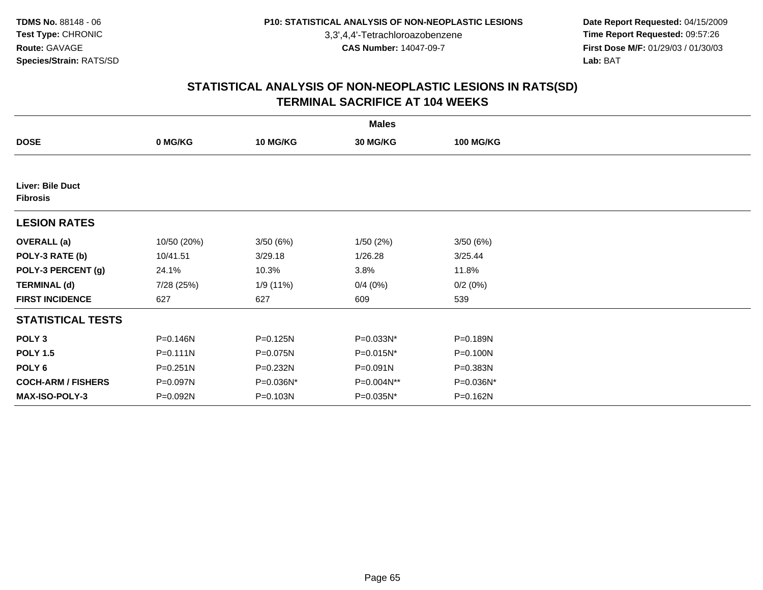**Date Report Requested:** 04/15/2009 **Time Report Requested:** 09:57:26 **First Dose M/F:** 01/29/03 / 01/30/03<br>Lab: BAT **Lab:** BAT

|                                            |              |                 | <b>Males</b>    |                  |  |
|--------------------------------------------|--------------|-----------------|-----------------|------------------|--|
| <b>DOSE</b>                                | 0 MG/KG      | <b>10 MG/KG</b> | <b>30 MG/KG</b> | <b>100 MG/KG</b> |  |
|                                            |              |                 |                 |                  |  |
| <b>Liver: Bile Duct</b><br><b>Fibrosis</b> |              |                 |                 |                  |  |
| <b>LESION RATES</b>                        |              |                 |                 |                  |  |
| <b>OVERALL</b> (a)                         | 10/50 (20%)  | 3/50(6%)        | 1/50(2%)        | 3/50(6%)         |  |
| POLY-3 RATE (b)                            | 10/41.51     | 3/29.18         | 1/26.28         | 3/25.44          |  |
| POLY-3 PERCENT (g)                         | 24.1%        | 10.3%           | 3.8%            | 11.8%            |  |
| <b>TERMINAL (d)</b>                        | 7/28 (25%)   | 1/9 (11%)       | 0/4(0%)         | 0/2(0%)          |  |
| <b>FIRST INCIDENCE</b>                     | 627          | 627             | 609             | 539              |  |
| <b>STATISTICAL TESTS</b>                   |              |                 |                 |                  |  |
| POLY <sub>3</sub>                          | P=0.146N     | P=0.125N        | P=0.033N*       | P=0.189N         |  |
| <b>POLY 1.5</b>                            | $P = 0.111N$ | $P = 0.075N$    | $P=0.015N*$     | $P = 0.100N$     |  |
| POLY <sub>6</sub>                          | $P = 0.251N$ | P=0.232N        | P=0.091N        | P=0.383N         |  |
| <b>COCH-ARM / FISHERS</b>                  | P=0.097N     | P=0.036N*       | P=0.004N**      | P=0.036N*        |  |
| <b>MAX-ISO-POLY-3</b>                      | P=0.092N     | P=0.103N        | P=0.035N*       | P=0.162N         |  |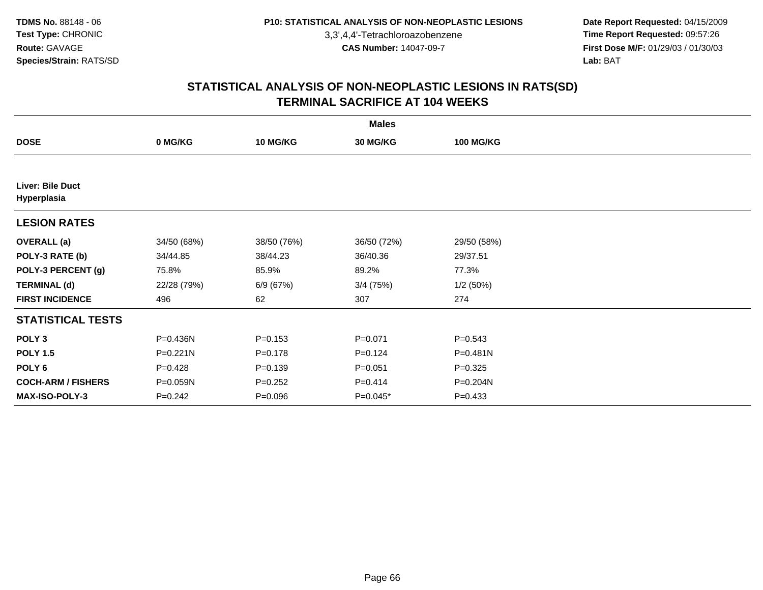**Date Report Requested:** 04/15/2009 **Time Report Requested:** 09:57:26 **First Dose M/F:** 01/29/03 / 01/30/03<br>Lab: BAT **Lab:** BAT

|                                        |              |                 | <b>Males</b>    |                  |  |
|----------------------------------------|--------------|-----------------|-----------------|------------------|--|
| <b>DOSE</b>                            | 0 MG/KG      | <b>10 MG/KG</b> | <b>30 MG/KG</b> | <b>100 MG/KG</b> |  |
|                                        |              |                 |                 |                  |  |
| <b>Liver: Bile Duct</b><br>Hyperplasia |              |                 |                 |                  |  |
| <b>LESION RATES</b>                    |              |                 |                 |                  |  |
| <b>OVERALL</b> (a)                     | 34/50 (68%)  | 38/50 (76%)     | 36/50 (72%)     | 29/50 (58%)      |  |
| POLY-3 RATE (b)                        | 34/44.85     | 38/44.23        | 36/40.36        | 29/37.51         |  |
| POLY-3 PERCENT (g)                     | 75.8%        | 85.9%           | 89.2%           | 77.3%            |  |
| <b>TERMINAL (d)</b>                    | 22/28 (79%)  | 6/9 (67%)       | 3/4(75%)        | 1/2(50%)         |  |
| <b>FIRST INCIDENCE</b>                 | 496          | 62              | 307             | 274              |  |
| <b>STATISTICAL TESTS</b>               |              |                 |                 |                  |  |
| POLY <sub>3</sub>                      | P=0.436N     | $P = 0.153$     | $P = 0.071$     | $P = 0.543$      |  |
| <b>POLY 1.5</b>                        | $P = 0.221N$ | $P = 0.178$     | $P = 0.124$     | P=0.481N         |  |
| POLY <sub>6</sub>                      | $P=0.428$    | $P = 0.139$     | $P = 0.051$     | $P = 0.325$      |  |
| <b>COCH-ARM / FISHERS</b>              | P=0.059N     | $P = 0.252$     | $P = 0.414$     | P=0.204N         |  |
| <b>MAX-ISO-POLY-3</b>                  | $P=0.242$    | $P = 0.096$     | $P=0.045*$      | $P = 0.433$      |  |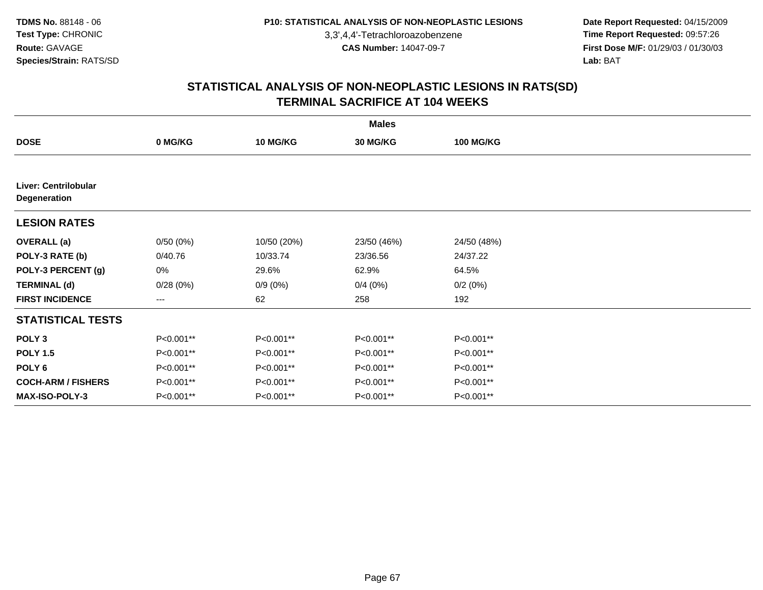**Date Report Requested:** 04/15/2009 **Time Report Requested:** 09:57:26 **First Dose M/F:** 01/29/03 / 01/30/03<br>Lab: BAT **Lab:** BAT

|                                      | <b>Males</b> |             |             |                  |  |  |  |
|--------------------------------------|--------------|-------------|-------------|------------------|--|--|--|
| <b>DOSE</b>                          | 0 MG/KG      | 10 MG/KG    | 30 MG/KG    | <b>100 MG/KG</b> |  |  |  |
|                                      |              |             |             |                  |  |  |  |
| Liver: Centrilobular<br>Degeneration |              |             |             |                  |  |  |  |
| <b>LESION RATES</b>                  |              |             |             |                  |  |  |  |
| <b>OVERALL</b> (a)                   | 0/50(0%)     | 10/50 (20%) | 23/50 (46%) | 24/50 (48%)      |  |  |  |
| POLY-3 RATE (b)                      | 0/40.76      | 10/33.74    | 23/36.56    | 24/37.22         |  |  |  |
| POLY-3 PERCENT (g)                   | 0%           | 29.6%       | 62.9%       | 64.5%            |  |  |  |
| <b>TERMINAL (d)</b>                  | 0/28(0%)     | $0/9(0\%)$  | 0/4(0%)     | 0/2(0%)          |  |  |  |
| <b>FIRST INCIDENCE</b>               | $--$         | 62          | 258         | 192              |  |  |  |
| <b>STATISTICAL TESTS</b>             |              |             |             |                  |  |  |  |
| POLY <sub>3</sub>                    | P<0.001**    | P<0.001**   | P<0.001**   | P<0.001**        |  |  |  |
| <b>POLY 1.5</b>                      | P<0.001**    | P<0.001**   | P<0.001**   | P<0.001**        |  |  |  |
| POLY <sub>6</sub>                    | P<0.001**    | P<0.001**   | P<0.001**   | P<0.001**        |  |  |  |
| <b>COCH-ARM / FISHERS</b>            | P<0.001**    | P<0.001**   | P<0.001**   | P<0.001**        |  |  |  |
| <b>MAX-ISO-POLY-3</b>                | P<0.001**    | P<0.001**   | P<0.001**   | P<0.001**        |  |  |  |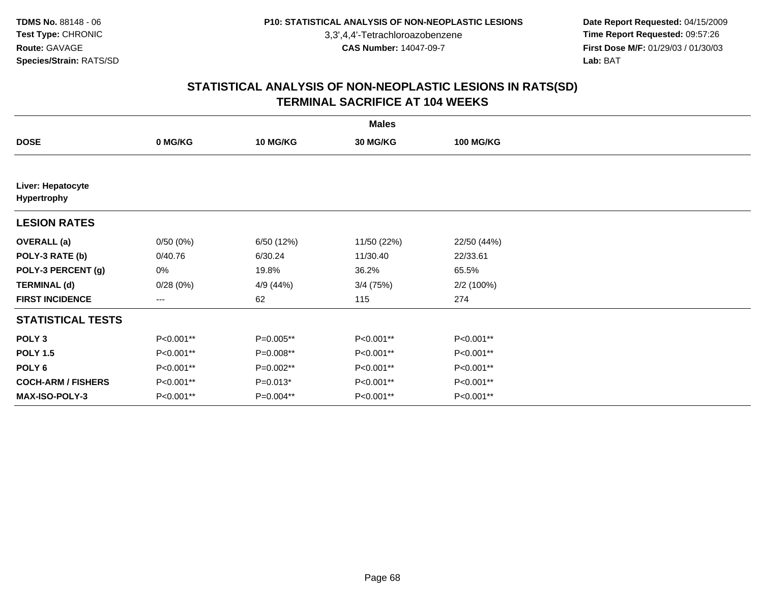**Date Report Requested:** 04/15/2009 **Time Report Requested:** 09:57:26 **First Dose M/F:** 01/29/03 / 01/30/03<br>Lab: BAT **Lab:** BAT

|                                         | <b>Males</b>      |                 |             |                  |  |  |  |
|-----------------------------------------|-------------------|-----------------|-------------|------------------|--|--|--|
| <b>DOSE</b>                             | 0 MG/KG           | <b>10 MG/KG</b> | 30 MG/KG    | <b>100 MG/KG</b> |  |  |  |
|                                         |                   |                 |             |                  |  |  |  |
| Liver: Hepatocyte<br><b>Hypertrophy</b> |                   |                 |             |                  |  |  |  |
| <b>LESION RATES</b>                     |                   |                 |             |                  |  |  |  |
| <b>OVERALL</b> (a)                      | 0/50(0%)          | 6/50 (12%)      | 11/50 (22%) | 22/50 (44%)      |  |  |  |
| POLY-3 RATE (b)                         | 0/40.76           | 6/30.24         | 11/30.40    | 22/33.61         |  |  |  |
| POLY-3 PERCENT (g)                      | 0%                | 19.8%           | 36.2%       | 65.5%            |  |  |  |
| <b>TERMINAL (d)</b>                     | 0/28(0%)          | 4/9 (44%)       | $3/4$ (75%) | 2/2 (100%)       |  |  |  |
| <b>FIRST INCIDENCE</b>                  | $\qquad \qquad -$ | 62              | 115         | 274              |  |  |  |
| <b>STATISTICAL TESTS</b>                |                   |                 |             |                  |  |  |  |
| POLY <sub>3</sub>                       | P<0.001**         | P=0.005**       | P<0.001**   | P<0.001**        |  |  |  |
| <b>POLY 1.5</b>                         | P<0.001**         | P=0.008**       | P<0.001**   | P<0.001**        |  |  |  |
| POLY <sub>6</sub>                       | P<0.001**         | P=0.002**       | P<0.001**   | P<0.001**        |  |  |  |
| <b>COCH-ARM / FISHERS</b>               | P<0.001**         | $P=0.013*$      | P<0.001**   | P<0.001**        |  |  |  |
| MAX-ISO-POLY-3                          | P<0.001**         | P=0.004**       | P<0.001**   | P<0.001**        |  |  |  |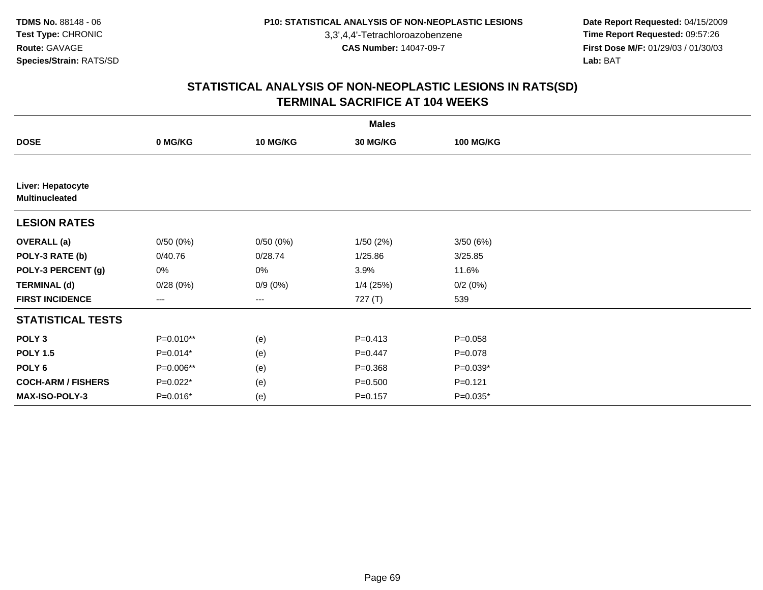**Date Report Requested:** 04/15/2009 **Time Report Requested:** 09:57:26 **First Dose M/F:** 01/29/03 / 01/30/03<br>Lab: BAT **Lab:** BAT

|                                            |                   |                   | <b>Males</b>    |                  |  |
|--------------------------------------------|-------------------|-------------------|-----------------|------------------|--|
| <b>DOSE</b>                                | 0 MG/KG           | <b>10 MG/KG</b>   | <b>30 MG/KG</b> | <b>100 MG/KG</b> |  |
|                                            |                   |                   |                 |                  |  |
| Liver: Hepatocyte<br><b>Multinucleated</b> |                   |                   |                 |                  |  |
| <b>LESION RATES</b>                        |                   |                   |                 |                  |  |
| <b>OVERALL</b> (a)                         | 0/50(0%)          | 0/50(0%)          | 1/50(2%)        | 3/50(6%)         |  |
| POLY-3 RATE (b)                            | 0/40.76           | 0/28.74           | 1/25.86         | 3/25.85          |  |
| POLY-3 PERCENT (g)                         | 0%                | 0%                | 3.9%            | 11.6%            |  |
| <b>TERMINAL (d)</b>                        | 0/28(0%)          | $0/9(0\%)$        | $1/4$ (25%)     | 0/2(0%)          |  |
| <b>FIRST INCIDENCE</b>                     | $\qquad \qquad -$ | $\qquad \qquad -$ | 727 $(T)$       | 539              |  |
| <b>STATISTICAL TESTS</b>                   |                   |                   |                 |                  |  |
| POLY <sub>3</sub>                          | P=0.010**         | (e)               | $P = 0.413$     | $P = 0.058$      |  |
| <b>POLY 1.5</b>                            | $P=0.014*$        | (e)               | $P=0.447$       | $P = 0.078$      |  |
| POLY <sub>6</sub>                          | P=0.006**         | (e)               | $P = 0.368$     | $P=0.039*$       |  |
| <b>COCH-ARM / FISHERS</b>                  | $P=0.022*$        | (e)               | $P = 0.500$     | $P = 0.121$      |  |
| MAX-ISO-POLY-3                             | $P=0.016*$        | (e)               | $P = 0.157$     | $P=0.035*$       |  |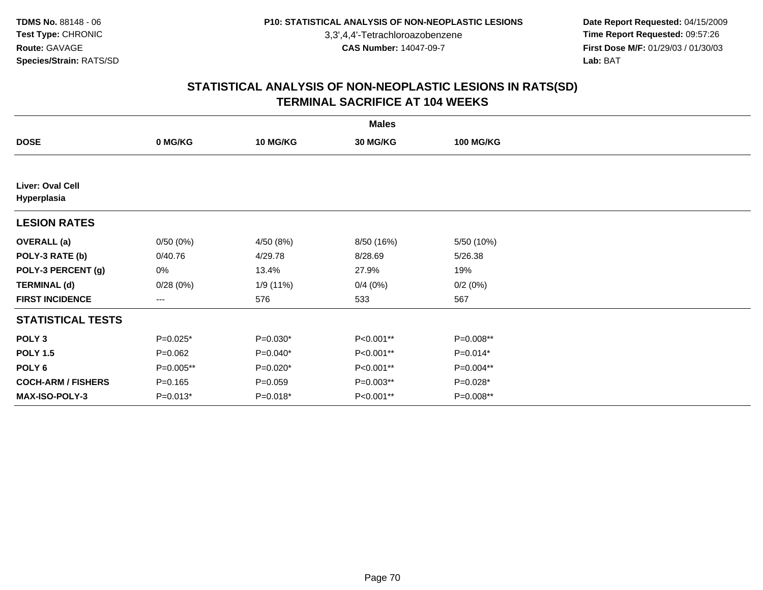**Date Report Requested:** 04/15/2009 **Time Report Requested:** 09:57:26 **First Dose M/F:** 01/29/03 / 01/30/03<br>Lab: BAT **Lab:** BAT

|                                 |                        |                 | <b>Males</b>    |                  |  |
|---------------------------------|------------------------|-----------------|-----------------|------------------|--|
| <b>DOSE</b>                     | 0 MG/KG                | <b>10 MG/KG</b> | <b>30 MG/KG</b> | <b>100 MG/KG</b> |  |
|                                 |                        |                 |                 |                  |  |
| Liver: Oval Cell<br>Hyperplasia |                        |                 |                 |                  |  |
| <b>LESION RATES</b>             |                        |                 |                 |                  |  |
| <b>OVERALL</b> (a)              | 0/50(0%)               | 4/50 (8%)       | 8/50 (16%)      | 5/50 (10%)       |  |
| POLY-3 RATE (b)                 | 0/40.76                | 4/29.78         | 8/28.69         | 5/26.38          |  |
| POLY-3 PERCENT (g)              | 0%                     | 13.4%           | 27.9%           | 19%              |  |
| <b>TERMINAL (d)</b>             | 0/28(0%)               | 1/9(11%)        | 0/4(0%)         | 0/2(0%)          |  |
| <b>FIRST INCIDENCE</b>          | $\qquad \qquad \cdots$ | 576             | 533             | 567              |  |
| <b>STATISTICAL TESTS</b>        |                        |                 |                 |                  |  |
| POLY <sub>3</sub>               | $P=0.025*$             | $P=0.030*$      | P<0.001**       | P=0.008**        |  |
| <b>POLY 1.5</b>                 | $P=0.062$              | $P=0.040*$      | P<0.001**       | $P=0.014*$       |  |
| POLY <sub>6</sub>               | P=0.005**              | $P=0.020*$      | P<0.001**       | P=0.004**        |  |
| <b>COCH-ARM / FISHERS</b>       | $P = 0.165$            | $P = 0.059$     | P=0.003**       | $P=0.028*$       |  |
| <b>MAX-ISO-POLY-3</b>           | $P=0.013*$             | P=0.018*        | P<0.001**       | P=0.008**        |  |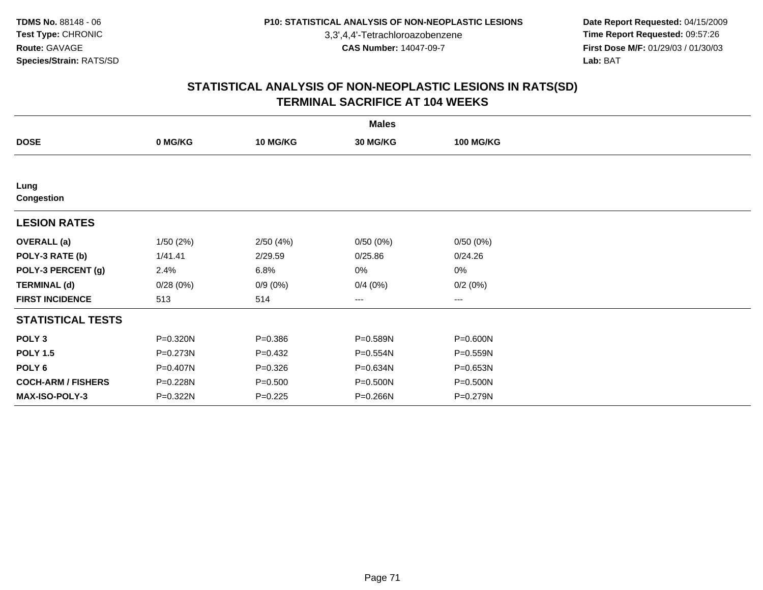**Date Report Requested:** 04/15/2009 **Time Report Requested:** 09:57:26 **First Dose M/F:** 01/29/03 / 01/30/03<br>Lab: BAT **Lab:** BAT

|                           |              |                 | <b>Males</b>    |                  |  |
|---------------------------|--------------|-----------------|-----------------|------------------|--|
| <b>DOSE</b>               | 0 MG/KG      | <b>10 MG/KG</b> | <b>30 MG/KG</b> | <b>100 MG/KG</b> |  |
|                           |              |                 |                 |                  |  |
| Lung<br>Congestion        |              |                 |                 |                  |  |
| <b>LESION RATES</b>       |              |                 |                 |                  |  |
| <b>OVERALL</b> (a)        | 1/50(2%)     | 2/50(4%)        | 0/50(0%)        | 0/50(0%)         |  |
| POLY-3 RATE (b)           | 1/41.41      | 2/29.59         | 0/25.86         | 0/24.26          |  |
| POLY-3 PERCENT (g)        | 2.4%         | 6.8%            | 0%              | 0%               |  |
| <b>TERMINAL (d)</b>       | 0/28(0%)     | $0/9(0\%)$      | 0/4(0%)         | 0/2(0%)          |  |
| <b>FIRST INCIDENCE</b>    | 513          | 514             | ---             | ---              |  |
| <b>STATISTICAL TESTS</b>  |              |                 |                 |                  |  |
| POLY <sub>3</sub>         | P=0.320N     | $P = 0.386$     | P=0.589N        | P=0.600N         |  |
| <b>POLY 1.5</b>           | $P = 0.273N$ | $P=0.432$       | P=0.554N        | P=0.559N         |  |
| POLY <sub>6</sub>         | P=0.407N     | $P = 0.326$     | P=0.634N        | P=0.653N         |  |
| <b>COCH-ARM / FISHERS</b> | P=0.228N     | $P = 0.500$     | P=0.500N        | P=0.500N         |  |
| <b>MAX-ISO-POLY-3</b>     | P=0.322N     | $P=0.225$       | P=0.266N        | P=0.279N         |  |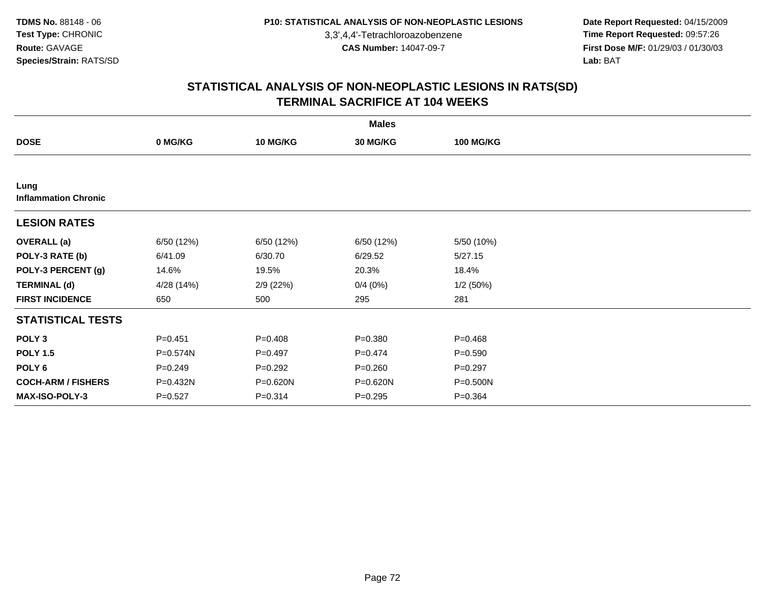**Date Report Requested:** 04/15/2009 **Time Report Requested:** 09:57:26 **First Dose M/F:** 01/29/03 / 01/30/03<br>Lab: BAT **Lab:** BAT

|                                     |             |                 | <b>Males</b> |                  |  |
|-------------------------------------|-------------|-----------------|--------------|------------------|--|
| <b>DOSE</b>                         | 0 MG/KG     | <b>10 MG/KG</b> | 30 MG/KG     | <b>100 MG/KG</b> |  |
|                                     |             |                 |              |                  |  |
| Lung<br><b>Inflammation Chronic</b> |             |                 |              |                  |  |
| <b>LESION RATES</b>                 |             |                 |              |                  |  |
| <b>OVERALL</b> (a)                  | 6/50 (12%)  | 6/50 (12%)      | 6/50 (12%)   | 5/50 (10%)       |  |
| POLY-3 RATE (b)                     | 6/41.09     | 6/30.70         | 6/29.52      | 5/27.15          |  |
| POLY-3 PERCENT (g)                  | 14.6%       | 19.5%           | 20.3%        | 18.4%            |  |
| <b>TERMINAL (d)</b>                 | 4/28 (14%)  | 2/9(22%)        | 0/4(0%)      | 1/2(50%)         |  |
| <b>FIRST INCIDENCE</b>              | 650         | 500             | 295          | 281              |  |
| <b>STATISTICAL TESTS</b>            |             |                 |              |                  |  |
| POLY <sub>3</sub>                   | $P = 0.451$ | $P=0.408$       | $P = 0.380$  | $P=0.468$        |  |
| <b>POLY 1.5</b>                     | P=0.574N    | $P=0.497$       | $P=0.474$    | $P = 0.590$      |  |
| POLY <sub>6</sub>                   | $P = 0.249$ | $P=0.292$       | $P = 0.260$  | $P = 0.297$      |  |
| <b>COCH-ARM / FISHERS</b>           | P=0.432N    | P=0.620N        | P=0.620N     | P=0.500N         |  |
| <b>MAX-ISO-POLY-3</b>               | $P = 0.527$ | $P = 0.314$     | $P=0.295$    | $P = 0.364$      |  |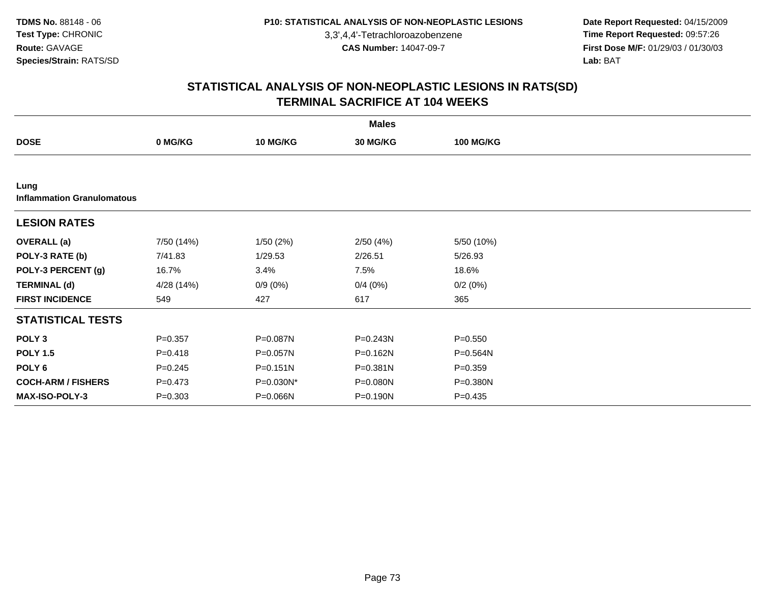**Date Report Requested:** 04/15/2009 **Time Report Requested:** 09:57:26 **First Dose M/F:** 01/29/03 / 01/30/03<br>Lab: BAT **Lab:** BAT

|                                           |             |                 | <b>Males</b> |                  |  |
|-------------------------------------------|-------------|-----------------|--------------|------------------|--|
| <b>DOSE</b>                               | 0 MG/KG     | <b>10 MG/KG</b> | 30 MG/KG     | <b>100 MG/KG</b> |  |
|                                           |             |                 |              |                  |  |
| Lung<br><b>Inflammation Granulomatous</b> |             |                 |              |                  |  |
| <b>LESION RATES</b>                       |             |                 |              |                  |  |
| <b>OVERALL</b> (a)                        | 7/50 (14%)  | 1/50(2%)        | 2/50(4%)     | 5/50 (10%)       |  |
| POLY-3 RATE (b)                           | 7/41.83     | 1/29.53         | 2/26.51      | 5/26.93          |  |
| POLY-3 PERCENT (g)                        | 16.7%       | 3.4%            | 7.5%         | 18.6%            |  |
| <b>TERMINAL (d)</b>                       | 4/28 (14%)  | $0/9(0\%)$      | 0/4(0%)      | 0/2(0%)          |  |
| <b>FIRST INCIDENCE</b>                    | 549         | 427             | 617          | 365              |  |
| <b>STATISTICAL TESTS</b>                  |             |                 |              |                  |  |
| POLY <sub>3</sub>                         | $P = 0.357$ | P=0.087N        | P=0.243N     | $P = 0.550$      |  |
| <b>POLY 1.5</b>                           | $P = 0.418$ | P=0.057N        | P=0.162N     | P=0.564N         |  |
| POLY <sub>6</sub>                         | $P = 0.245$ | $P = 0.151N$    | P=0.381N     | $P = 0.359$      |  |
| <b>COCH-ARM / FISHERS</b>                 | $P=0.473$   | P=0.030N*       | P=0.080N     | P=0.380N         |  |
| <b>MAX-ISO-POLY-3</b>                     | $P = 0.303$ | P=0.066N        | P=0.190N     | $P = 0.435$      |  |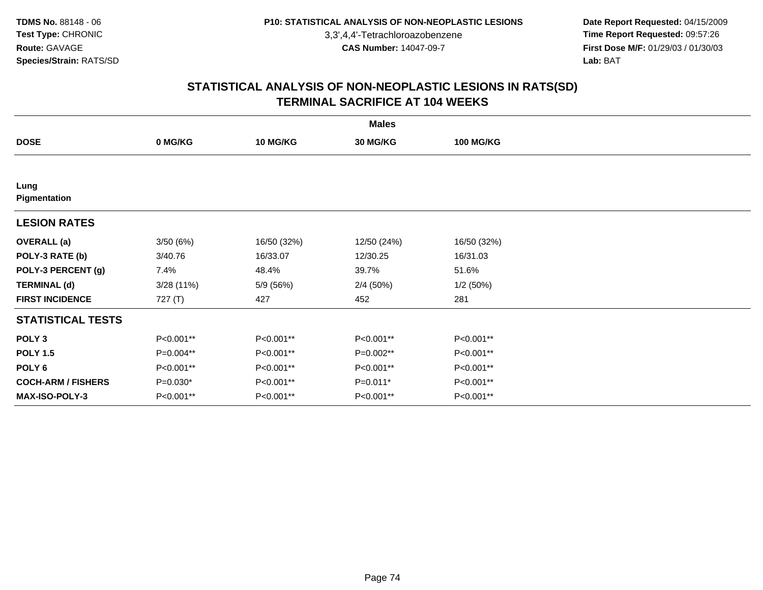**Date Report Requested:** 04/15/2009 **Time Report Requested:** 09:57:26 **First Dose M/F:** 01/29/03 / 01/30/03<br>Lab: BAT **Lab:** BAT

|                           | <b>Males</b> |                 |             |                  |  |  |  |
|---------------------------|--------------|-----------------|-------------|------------------|--|--|--|
| <b>DOSE</b>               | 0 MG/KG      | <b>10 MG/KG</b> | 30 MG/KG    | <b>100 MG/KG</b> |  |  |  |
|                           |              |                 |             |                  |  |  |  |
| Lung<br>Pigmentation      |              |                 |             |                  |  |  |  |
| <b>LESION RATES</b>       |              |                 |             |                  |  |  |  |
| <b>OVERALL</b> (a)        | 3/50(6%)     | 16/50 (32%)     | 12/50 (24%) | 16/50 (32%)      |  |  |  |
| POLY-3 RATE (b)           | 3/40.76      | 16/33.07        | 12/30.25    | 16/31.03         |  |  |  |
| POLY-3 PERCENT (g)        | 7.4%         | 48.4%           | 39.7%       | 51.6%            |  |  |  |
| <b>TERMINAL (d)</b>       | 3/28(11%)    | 5/9 (56%)       | 2/4(50%)    | 1/2(50%)         |  |  |  |
| <b>FIRST INCIDENCE</b>    | 727 (T)      | 427             | 452         | 281              |  |  |  |
| <b>STATISTICAL TESTS</b>  |              |                 |             |                  |  |  |  |
| POLY <sub>3</sub>         | P<0.001**    | P<0.001**       | P<0.001**   | P<0.001**        |  |  |  |
| <b>POLY 1.5</b>           | P=0.004**    | P<0.001**       | P=0.002**   | P<0.001**        |  |  |  |
| POLY <sub>6</sub>         | P<0.001**    | P<0.001**       | P<0.001**   | P<0.001**        |  |  |  |
| <b>COCH-ARM / FISHERS</b> | $P=0.030*$   | P<0.001**       | $P=0.011*$  | P<0.001**        |  |  |  |
| MAX-ISO-POLY-3            | P<0.001**    | P<0.001**       | P<0.001**   | P<0.001**        |  |  |  |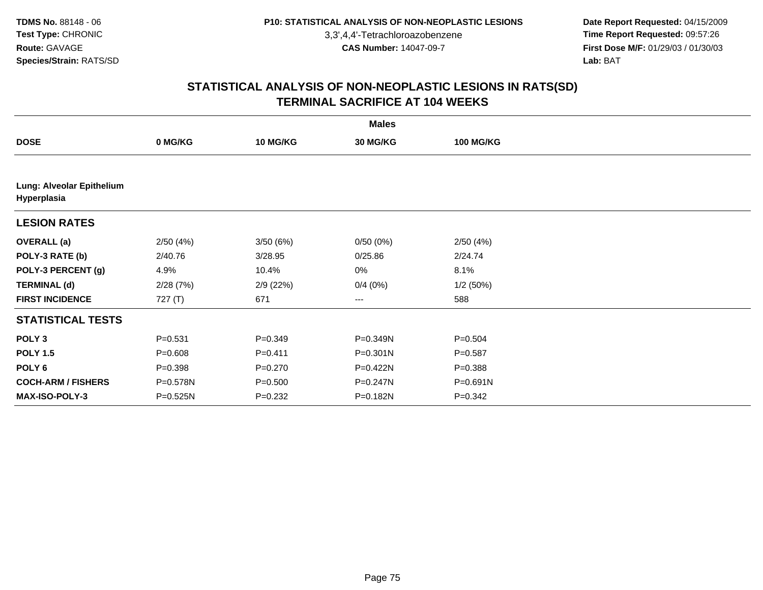**Date Report Requested:** 04/15/2009 **Time Report Requested:** 09:57:26 **First Dose M/F:** 01/29/03 / 01/30/03<br>Lab: BAT **Lab:** BAT

|                                          |             |                 | <b>Males</b> |                  |  |
|------------------------------------------|-------------|-----------------|--------------|------------------|--|
| <b>DOSE</b>                              | 0 MG/KG     | <b>10 MG/KG</b> | 30 MG/KG     | <b>100 MG/KG</b> |  |
|                                          |             |                 |              |                  |  |
| Lung: Alveolar Epithelium<br>Hyperplasia |             |                 |              |                  |  |
| <b>LESION RATES</b>                      |             |                 |              |                  |  |
| <b>OVERALL</b> (a)                       | 2/50(4%)    | 3/50(6%)        | 0/50(0%)     | 2/50(4%)         |  |
| POLY-3 RATE (b)                          | 2/40.76     | 3/28.95         | 0/25.86      | 2/24.74          |  |
| POLY-3 PERCENT (g)                       | 4.9%        | 10.4%           | 0%           | 8.1%             |  |
| <b>TERMINAL (d)</b>                      | 2/28(7%)    | 2/9(22%)        | 0/4(0%)      | 1/2(50%)         |  |
| <b>FIRST INCIDENCE</b>                   | 727(T)      | 671             | $\cdots$     | 588              |  |
| <b>STATISTICAL TESTS</b>                 |             |                 |              |                  |  |
| POLY <sub>3</sub>                        | $P = 0.531$ | $P = 0.349$     | P=0.349N     | $P = 0.504$      |  |
| <b>POLY 1.5</b>                          | $P = 0.608$ | $P=0.411$       | $P = 0.301N$ | $P = 0.587$      |  |
| POLY <sub>6</sub>                        | $P = 0.398$ | $P = 0.270$     | P=0.422N     | $P = 0.388$      |  |
| <b>COCH-ARM / FISHERS</b>                | P=0.578N    | $P = 0.500$     | P=0.247N     | P=0.691N         |  |
| <b>MAX-ISO-POLY-3</b>                    | P=0.525N    | $P = 0.232$     | P=0.182N     | $P = 0.342$      |  |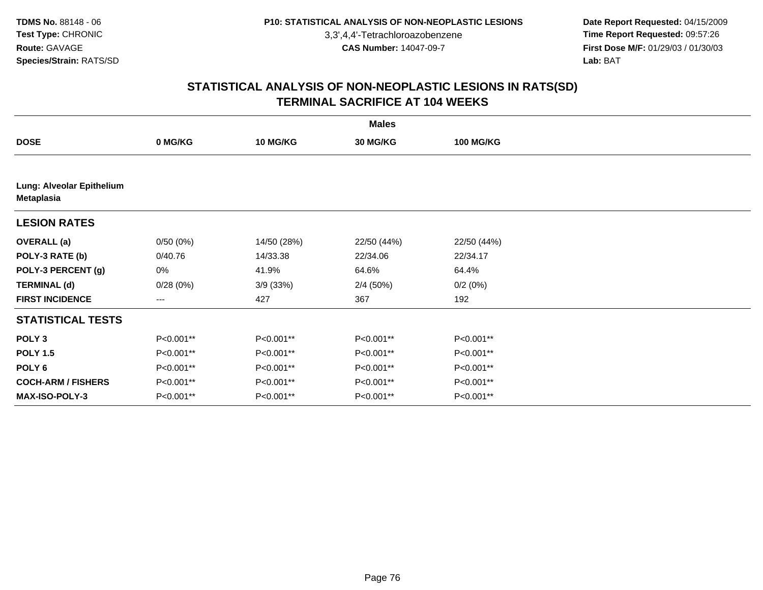**Date Report Requested:** 04/15/2009 **Time Report Requested:** 09:57:26 **First Dose M/F:** 01/29/03 / 01/30/03<br>Lab: BAT **Lab:** BAT

|                                         |           |             | <b>Males</b> |                  |  |
|-----------------------------------------|-----------|-------------|--------------|------------------|--|
| <b>DOSE</b>                             | 0 MG/KG   | 10 MG/KG    | 30 MG/KG     | <b>100 MG/KG</b> |  |
|                                         |           |             |              |                  |  |
| Lung: Alveolar Epithelium<br>Metaplasia |           |             |              |                  |  |
| <b>LESION RATES</b>                     |           |             |              |                  |  |
| <b>OVERALL</b> (a)                      | 0/50(0%)  | 14/50 (28%) | 22/50 (44%)  | 22/50 (44%)      |  |
| POLY-3 RATE (b)                         | 0/40.76   | 14/33.38    | 22/34.06     | 22/34.17         |  |
| POLY-3 PERCENT (g)                      | 0%        | 41.9%       | 64.6%        | 64.4%            |  |
| <b>TERMINAL (d)</b>                     | 0/28(0%)  | 3/9(33%)    | 2/4(50%)     | 0/2(0%)          |  |
| <b>FIRST INCIDENCE</b>                  | ---       | 427         | 367          | 192              |  |
| <b>STATISTICAL TESTS</b>                |           |             |              |                  |  |
| POLY <sub>3</sub>                       | P<0.001** | P<0.001**   | P<0.001**    | P<0.001**        |  |
| <b>POLY 1.5</b>                         | P<0.001** | P<0.001**   | P<0.001**    | P<0.001**        |  |
| POLY <sub>6</sub>                       | P<0.001** | P<0.001**   | P<0.001**    | P<0.001**        |  |
| <b>COCH-ARM / FISHERS</b>               | P<0.001** | P<0.001**   | P<0.001**    | P<0.001**        |  |
| <b>MAX-ISO-POLY-3</b>                   | P<0.001** | P<0.001**   | P<0.001**    | P<0.001**        |  |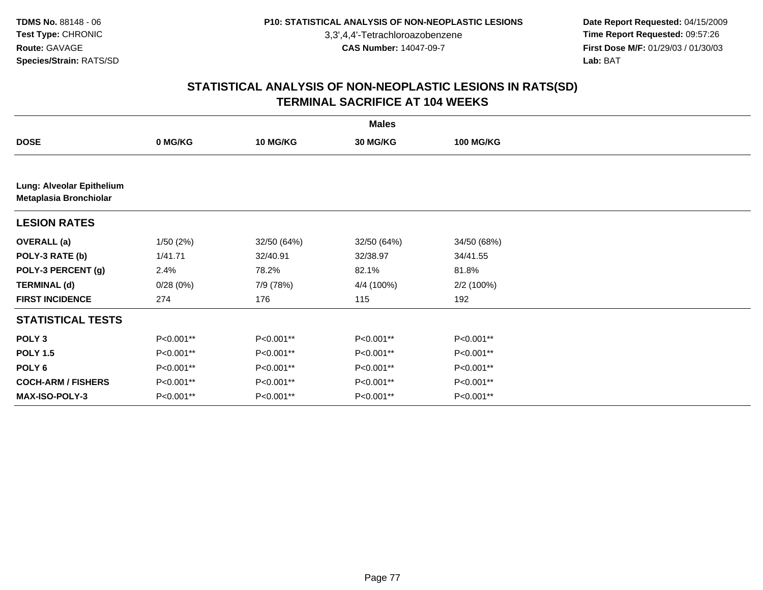**Date Report Requested:** 04/15/2009 **Time Report Requested:** 09:57:26 **First Dose M/F:** 01/29/03 / 01/30/03<br>Lab: BAT **Lab:** BAT

|                                                            | <b>Males</b> |                 |             |                  |  |  |  |
|------------------------------------------------------------|--------------|-----------------|-------------|------------------|--|--|--|
| <b>DOSE</b>                                                | 0 MG/KG      | <b>10 MG/KG</b> | 30 MG/KG    | <b>100 MG/KG</b> |  |  |  |
|                                                            |              |                 |             |                  |  |  |  |
| Lung: Alveolar Epithelium<br><b>Metaplasia Bronchiolar</b> |              |                 |             |                  |  |  |  |
| <b>LESION RATES</b>                                        |              |                 |             |                  |  |  |  |
| <b>OVERALL</b> (a)                                         | 1/50(2%)     | 32/50 (64%)     | 32/50 (64%) | 34/50 (68%)      |  |  |  |
| POLY-3 RATE (b)                                            | 1/41.71      | 32/40.91        | 32/38.97    | 34/41.55         |  |  |  |
| POLY-3 PERCENT (g)                                         | 2.4%         | 78.2%           | 82.1%       | 81.8%            |  |  |  |
| <b>TERMINAL (d)</b>                                        | 0/28(0%)     | 7/9 (78%)       | 4/4 (100%)  | 2/2 (100%)       |  |  |  |
| <b>FIRST INCIDENCE</b>                                     | 274          | 176             | 115         | 192              |  |  |  |
| <b>STATISTICAL TESTS</b>                                   |              |                 |             |                  |  |  |  |
| POLY <sub>3</sub>                                          | P<0.001**    | P<0.001**       | P<0.001**   | P<0.001**        |  |  |  |
| <b>POLY 1.5</b>                                            | P<0.001**    | P<0.001**       | P<0.001**   | P<0.001**        |  |  |  |
| POLY <sub>6</sub>                                          | P<0.001**    | P<0.001**       | P<0.001**   | P<0.001**        |  |  |  |
| <b>COCH-ARM / FISHERS</b>                                  | P<0.001**    | P<0.001**       | P<0.001**   | P<0.001**        |  |  |  |
| <b>MAX-ISO-POLY-3</b>                                      | P<0.001**    | P<0.001**       | P<0.001**   | P<0.001**        |  |  |  |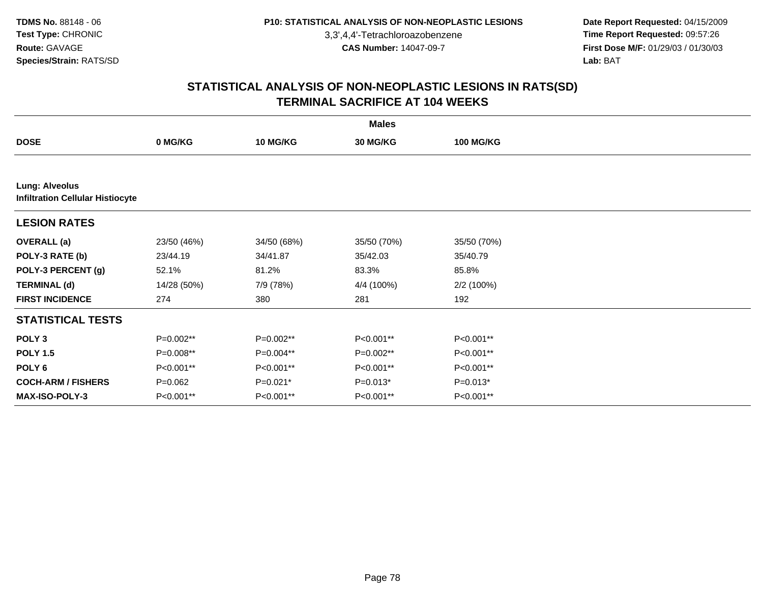**Date Report Requested:** 04/15/2009 **Time Report Requested:** 09:57:26 **First Dose M/F:** 01/29/03 / 01/30/03<br>Lab: BAT **Lab:** BAT

|                                                                  |             |                 | <b>Males</b> |                  |  |
|------------------------------------------------------------------|-------------|-----------------|--------------|------------------|--|
| <b>DOSE</b>                                                      | 0 MG/KG     | <b>10 MG/KG</b> | 30 MG/KG     | <b>100 MG/KG</b> |  |
|                                                                  |             |                 |              |                  |  |
| <b>Lung: Alveolus</b><br><b>Infiltration Cellular Histiocyte</b> |             |                 |              |                  |  |
| <b>LESION RATES</b>                                              |             |                 |              |                  |  |
| <b>OVERALL</b> (a)                                               | 23/50 (46%) | 34/50 (68%)     | 35/50 (70%)  | 35/50 (70%)      |  |
| POLY-3 RATE (b)                                                  | 23/44.19    | 34/41.87        | 35/42.03     | 35/40.79         |  |
| POLY-3 PERCENT (g)                                               | 52.1%       | 81.2%           | 83.3%        | 85.8%            |  |
| <b>TERMINAL (d)</b>                                              | 14/28 (50%) | 7/9 (78%)       | 4/4 (100%)   | 2/2 (100%)       |  |
| <b>FIRST INCIDENCE</b>                                           | 274         | 380             | 281          | 192              |  |
| <b>STATISTICAL TESTS</b>                                         |             |                 |              |                  |  |
| POLY <sub>3</sub>                                                | $P=0.002**$ | P=0.002**       | P<0.001**    | P<0.001**        |  |
| <b>POLY 1.5</b>                                                  | P=0.008**   | P=0.004**       | P=0.002**    | P<0.001**        |  |
| POLY <sub>6</sub>                                                | P<0.001**   | P<0.001**       | P<0.001**    | P<0.001**        |  |
| <b>COCH-ARM / FISHERS</b>                                        | $P=0.062$   | P=0.021*        | $P=0.013*$   | $P=0.013*$       |  |
| <b>MAX-ISO-POLY-3</b>                                            | P<0.001**   | P<0.001**       | P<0.001**    | P<0.001**        |  |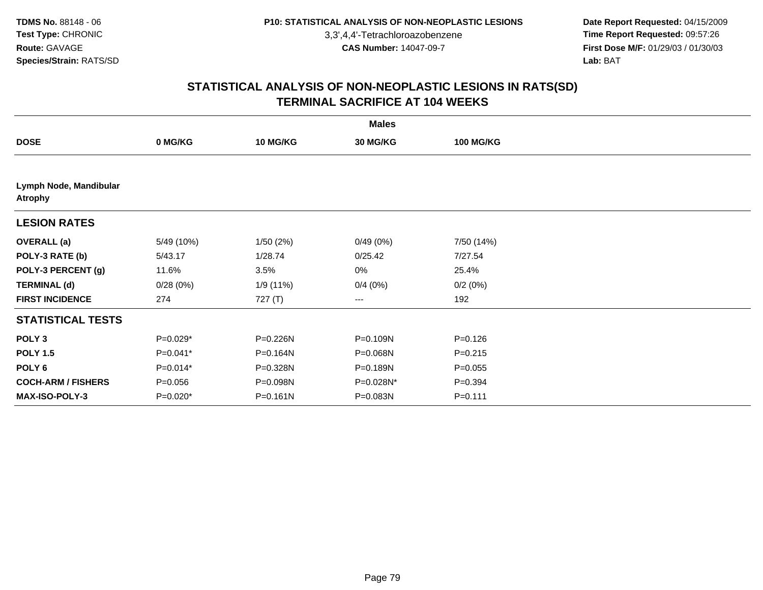**Date Report Requested:** 04/15/2009 **Time Report Requested:** 09:57:26 **First Dose M/F:** 01/29/03 / 01/30/03<br>Lab: BAT **Lab:** BAT

|                                          |             |                 | <b>Males</b>    |                  |  |
|------------------------------------------|-------------|-----------------|-----------------|------------------|--|
| <b>DOSE</b>                              | 0 MG/KG     | <b>10 MG/KG</b> | <b>30 MG/KG</b> | <b>100 MG/KG</b> |  |
|                                          |             |                 |                 |                  |  |
| Lymph Node, Mandibular<br><b>Atrophy</b> |             |                 |                 |                  |  |
| <b>LESION RATES</b>                      |             |                 |                 |                  |  |
| <b>OVERALL</b> (a)                       | 5/49 (10%)  | 1/50(2%)        | 0/49(0%)        | 7/50 (14%)       |  |
| POLY-3 RATE (b)                          | 5/43.17     | 1/28.74         | 0/25.42         | 7/27.54          |  |
| POLY-3 PERCENT (g)                       | 11.6%       | 3.5%            | 0%              | 25.4%            |  |
| <b>TERMINAL (d)</b>                      | 0/28(0%)    | 1/9 (11%)       | 0/4(0%)         | 0/2(0%)          |  |
| <b>FIRST INCIDENCE</b>                   | 274         | 727(T)          | $\cdots$        | 192              |  |
| <b>STATISTICAL TESTS</b>                 |             |                 |                 |                  |  |
| POLY <sub>3</sub>                        | P=0.029*    | P=0.226N        | P=0.109N        | $P = 0.126$      |  |
| <b>POLY 1.5</b>                          | P=0.041*    | P=0.164N        | P=0.068N        | $P = 0.215$      |  |
| POLY 6                                   | $P=0.014*$  | P=0.328N        | P=0.189N        | $P = 0.055$      |  |
| <b>COCH-ARM / FISHERS</b>                | $P = 0.056$ | P=0.098N        | P=0.028N*       | $P = 0.394$      |  |
| <b>MAX-ISO-POLY-3</b>                    | $P=0.020*$  | $P = 0.161N$    | P=0.083N        | $P = 0.111$      |  |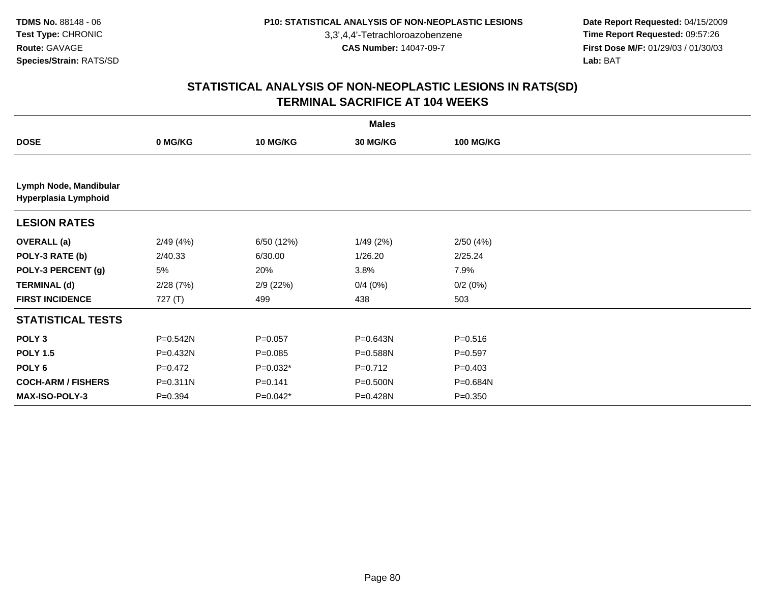**Date Report Requested:** 04/15/2009 **Time Report Requested:** 09:57:26 **First Dose M/F:** 01/29/03 / 01/30/03<br>Lab: BAT **Lab:** BAT

|                                                |             |                 | <b>Males</b> |                  |  |
|------------------------------------------------|-------------|-----------------|--------------|------------------|--|
| <b>DOSE</b>                                    | 0 MG/KG     | <b>10 MG/KG</b> | 30 MG/KG     | <b>100 MG/KG</b> |  |
|                                                |             |                 |              |                  |  |
| Lymph Node, Mandibular<br>Hyperplasia Lymphoid |             |                 |              |                  |  |
| <b>LESION RATES</b>                            |             |                 |              |                  |  |
| <b>OVERALL</b> (a)                             | 2/49(4%)    | 6/50 (12%)      | 1/49 (2%)    | 2/50(4%)         |  |
| POLY-3 RATE (b)                                | 2/40.33     | 6/30.00         | 1/26.20      | 2/25.24          |  |
| POLY-3 PERCENT (g)                             | 5%          | 20%             | 3.8%         | 7.9%             |  |
| <b>TERMINAL (d)</b>                            | 2/28(7%)    | 2/9 (22%)       | 0/4(0%)      | 0/2(0%)          |  |
| <b>FIRST INCIDENCE</b>                         | 727(T)      | 499             | 438          | 503              |  |
| <b>STATISTICAL TESTS</b>                       |             |                 |              |                  |  |
| POLY <sub>3</sub>                              | P=0.542N    | $P = 0.057$     | P=0.643N     | $P = 0.516$      |  |
| <b>POLY 1.5</b>                                | P=0.432N    | $P = 0.085$     | P=0.588N     | $P = 0.597$      |  |
| POLY <sub>6</sub>                              | $P=0.472$   | P=0.032*        | $P=0.712$    | $P = 0.403$      |  |
| <b>COCH-ARM / FISHERS</b>                      | P=0.311N    | $P = 0.141$     | P=0.500N     | P=0.684N         |  |
| <b>MAX-ISO-POLY-3</b>                          | $P = 0.394$ | P=0.042*        | P=0.428N     | $P = 0.350$      |  |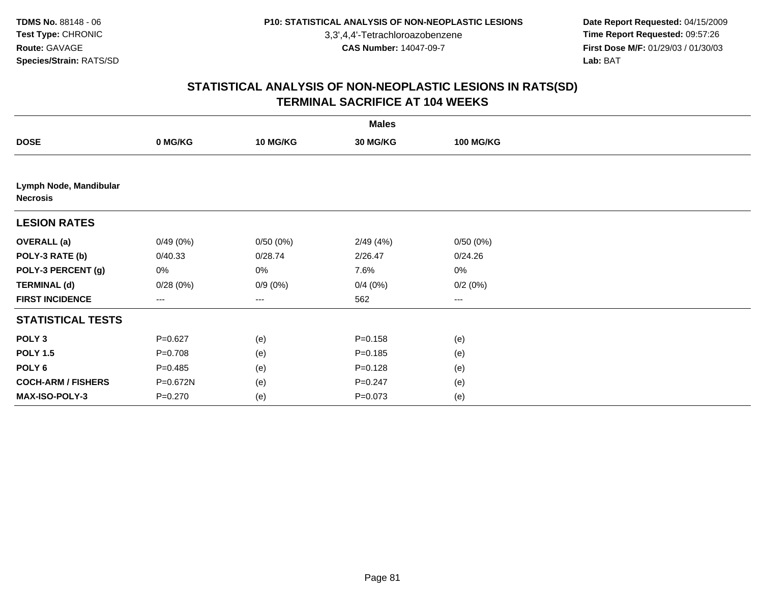**Date Report Requested:** 04/15/2009 **Time Report Requested:** 09:57:26 **First Dose M/F:** 01/29/03 / 01/30/03<br>Lab: BAT **Lab:** BAT

| <b>Males</b>                              |                   |                 |             |                        |  |  |
|-------------------------------------------|-------------------|-----------------|-------------|------------------------|--|--|
| <b>DOSE</b>                               | 0 MG/KG           | <b>10 MG/KG</b> | 30 MG/KG    | <b>100 MG/KG</b>       |  |  |
|                                           |                   |                 |             |                        |  |  |
| Lymph Node, Mandibular<br><b>Necrosis</b> |                   |                 |             |                        |  |  |
| <b>LESION RATES</b>                       |                   |                 |             |                        |  |  |
| <b>OVERALL</b> (a)                        | 0/49(0%)          | 0/50(0%)        | 2/49(4%)    | 0/50(0%)               |  |  |
| POLY-3 RATE (b)                           | 0/40.33           | 0/28.74         | 2/26.47     | 0/24.26                |  |  |
| POLY-3 PERCENT (g)                        | 0%                | 0%              | 7.6%        | $0\%$                  |  |  |
| <b>TERMINAL (d)</b>                       | 0/28(0%)          | $0/9(0\%)$      | 0/4(0%)     | 0/2(0%)                |  |  |
| <b>FIRST INCIDENCE</b>                    | $\qquad \qquad -$ | ---             | 562         | $\qquad \qquad \cdots$ |  |  |
| <b>STATISTICAL TESTS</b>                  |                   |                 |             |                        |  |  |
| POLY <sub>3</sub>                         | $P=0.627$         | (e)             | $P = 0.158$ | (e)                    |  |  |
| <b>POLY 1.5</b>                           | $P=0.708$         | (e)             | $P = 0.185$ | (e)                    |  |  |
| POLY <sub>6</sub>                         | $P = 0.485$       | (e)             | $P = 0.128$ | (e)                    |  |  |
| <b>COCH-ARM / FISHERS</b>                 | P=0.672N          | (e)             | $P = 0.247$ | (e)                    |  |  |
| MAX-ISO-POLY-3                            | $P = 0.270$       | (e)             | $P = 0.073$ | (e)                    |  |  |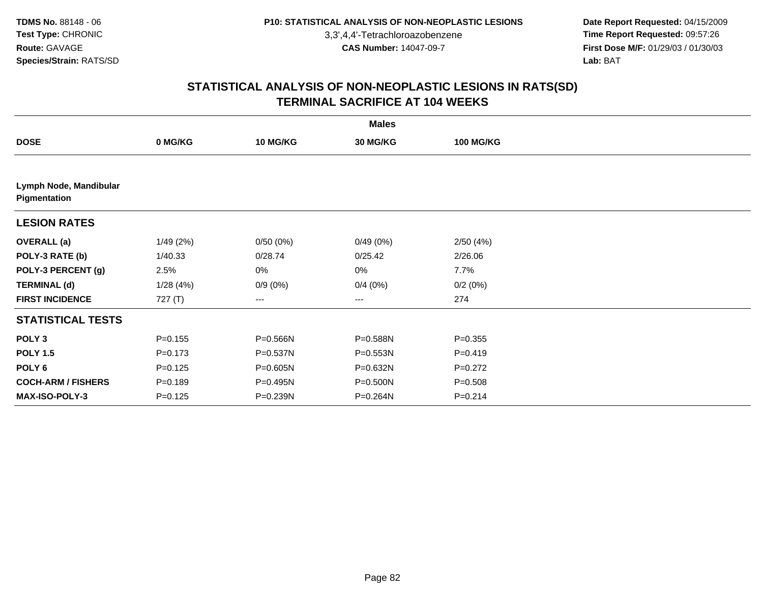**Date Report Requested:** 04/15/2009 **Time Report Requested:** 09:57:26 **First Dose M/F:** 01/29/03 / 01/30/03<br>Lab: BAT **Lab:** BAT

|                                        |             |            | <b>Males</b> |                  |  |
|----------------------------------------|-------------|------------|--------------|------------------|--|
| <b>DOSE</b>                            | 0 MG/KG     | 10 MG/KG   | 30 MG/KG     | <b>100 MG/KG</b> |  |
|                                        |             |            |              |                  |  |
| Lymph Node, Mandibular<br>Pigmentation |             |            |              |                  |  |
| <b>LESION RATES</b>                    |             |            |              |                  |  |
| <b>OVERALL</b> (a)                     | 1/49(2%)    | 0/50(0%)   | 0/49(0%)     | 2/50(4%)         |  |
| POLY-3 RATE (b)                        | 1/40.33     | 0/28.74    | 0/25.42      | 2/26.06          |  |
| POLY-3 PERCENT (g)                     | 2.5%        | 0%         | 0%           | 7.7%             |  |
| <b>TERMINAL (d)</b>                    | 1/28(4%)    | $0/9(0\%)$ | 0/4(0%)      | 0/2(0%)          |  |
| <b>FIRST INCIDENCE</b>                 | 727(T)      | ---        | $--$         | 274              |  |
| <b>STATISTICAL TESTS</b>               |             |            |              |                  |  |
| POLY <sub>3</sub>                      | $P = 0.155$ | P=0.566N   | P=0.588N     | $P = 0.355$      |  |
| <b>POLY 1.5</b>                        | $P = 0.173$ | P=0.537N   | $P = 0.553N$ | $P = 0.419$      |  |
| POLY 6                                 | $P=0.125$   | P=0.605N   | P=0.632N     | $P=0.272$        |  |
| <b>COCH-ARM / FISHERS</b>              | $P = 0.189$ | P=0.495N   | P=0.500N     | $P = 0.508$      |  |
| MAX-ISO-POLY-3                         | $P = 0.125$ | P=0.239N   | P=0.264N     | $P = 0.214$      |  |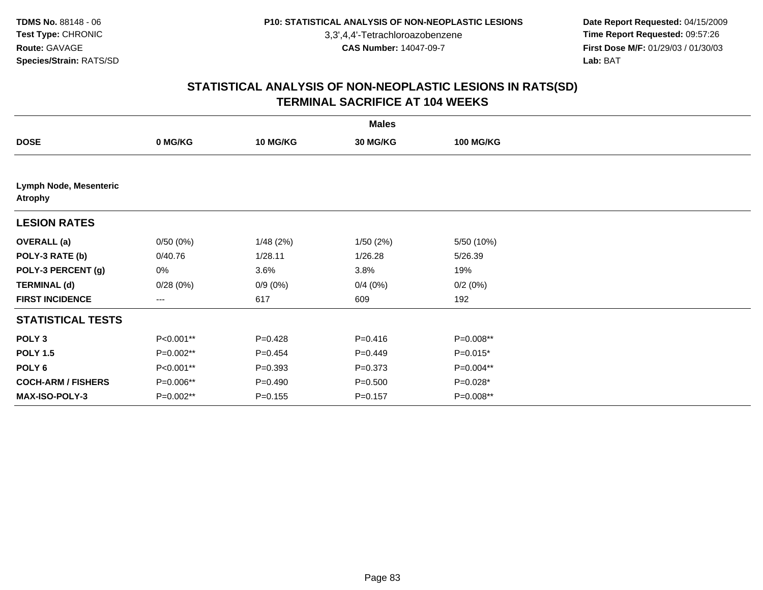**Date Report Requested:** 04/15/2009 **Time Report Requested:** 09:57:26 **First Dose M/F:** 01/29/03 / 01/30/03<br>Lab: BAT **Lab:** BAT

|                                          |           |                 | <b>Males</b> |                  |  |
|------------------------------------------|-----------|-----------------|--------------|------------------|--|
| <b>DOSE</b>                              | 0 MG/KG   | <b>10 MG/KG</b> | 30 MG/KG     | <b>100 MG/KG</b> |  |
|                                          |           |                 |              |                  |  |
| Lymph Node, Mesenteric<br><b>Atrophy</b> |           |                 |              |                  |  |
| <b>LESION RATES</b>                      |           |                 |              |                  |  |
| <b>OVERALL</b> (a)                       | 0/50(0%)  | 1/48(2%)        | 1/50(2%)     | 5/50 (10%)       |  |
| POLY-3 RATE (b)                          | 0/40.76   | 1/28.11         | 1/26.28      | 5/26.39          |  |
| POLY-3 PERCENT (g)                       | 0%        | 3.6%            | 3.8%         | 19%              |  |
| <b>TERMINAL (d)</b>                      | 0/28(0%)  | $0/9(0\%)$      | 0/4(0%)      | 0/2(0%)          |  |
| <b>FIRST INCIDENCE</b>                   | ---       | 617             | 609          | 192              |  |
| <b>STATISTICAL TESTS</b>                 |           |                 |              |                  |  |
| POLY <sub>3</sub>                        | P<0.001** | $P=0.428$       | $P = 0.416$  | P=0.008**        |  |
| <b>POLY 1.5</b>                          | P=0.002** | $P=0.454$       | $P=0.449$    | $P=0.015*$       |  |
| POLY 6                                   | P<0.001** | $P = 0.393$     | $P = 0.373$  | P=0.004**        |  |
| <b>COCH-ARM / FISHERS</b>                | P=0.006** | $P=0.490$       | $P = 0.500$  | $P=0.028*$       |  |
| MAX-ISO-POLY-3                           | P=0.002** | $P = 0.155$     | $P = 0.157$  | $P=0.008**$      |  |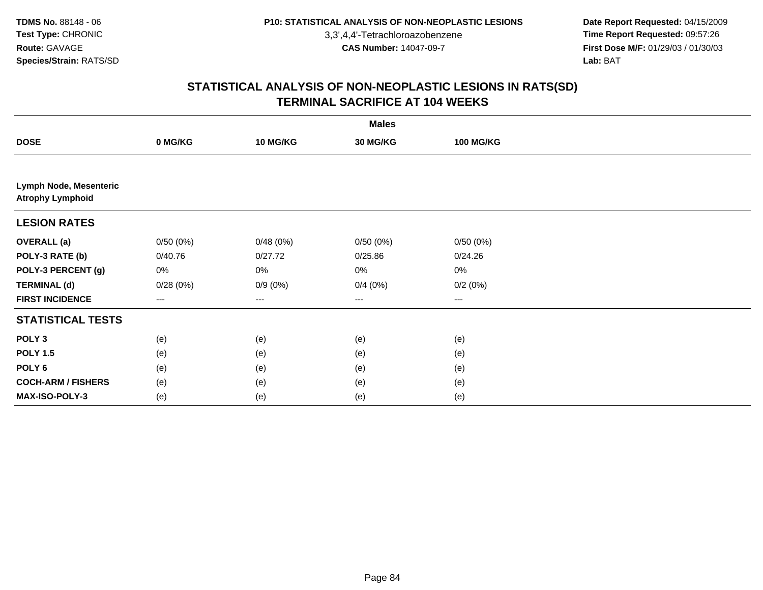**Date Report Requested:** 04/15/2009 **Time Report Requested:** 09:57:26 **First Dose M/F:** 01/29/03 / 01/30/03<br>Lab: BAT **Lab:** BAT

| <b>Males</b>                                      |          |            |                   |                  |  |  |
|---------------------------------------------------|----------|------------|-------------------|------------------|--|--|
| <b>DOSE</b>                                       | 0 MG/KG  | 10 MG/KG   | 30 MG/KG          | <b>100 MG/KG</b> |  |  |
|                                                   |          |            |                   |                  |  |  |
| Lymph Node, Mesenteric<br><b>Atrophy Lymphoid</b> |          |            |                   |                  |  |  |
| <b>LESION RATES</b>                               |          |            |                   |                  |  |  |
| <b>OVERALL</b> (a)                                | 0/50(0%) | 0/48(0%)   | 0/50(0%)          | 0/50(0%)         |  |  |
| POLY-3 RATE (b)                                   | 0/40.76  | 0/27.72    | 0/25.86           | 0/24.26          |  |  |
| POLY-3 PERCENT (g)                                | 0%       | 0%         | 0%                | $0\%$            |  |  |
| <b>TERMINAL (d)</b>                               | 0/28(0%) | $0/9(0\%)$ | 0/4(0%)           | 0/2(0%)          |  |  |
| <b>FIRST INCIDENCE</b>                            | ---      | $--$       | $\qquad \qquad -$ | $---$            |  |  |
| <b>STATISTICAL TESTS</b>                          |          |            |                   |                  |  |  |
| POLY <sub>3</sub>                                 | (e)      | (e)        | (e)               | (e)              |  |  |
| <b>POLY 1.5</b>                                   | (e)      | (e)        | (e)               | (e)              |  |  |
| POLY 6                                            | (e)      | (e)        | (e)               | (e)              |  |  |
| <b>COCH-ARM / FISHERS</b>                         | (e)      | (e)        | (e)               | (e)              |  |  |
| MAX-ISO-POLY-3                                    | (e)      | (e)        | (e)               | (e)              |  |  |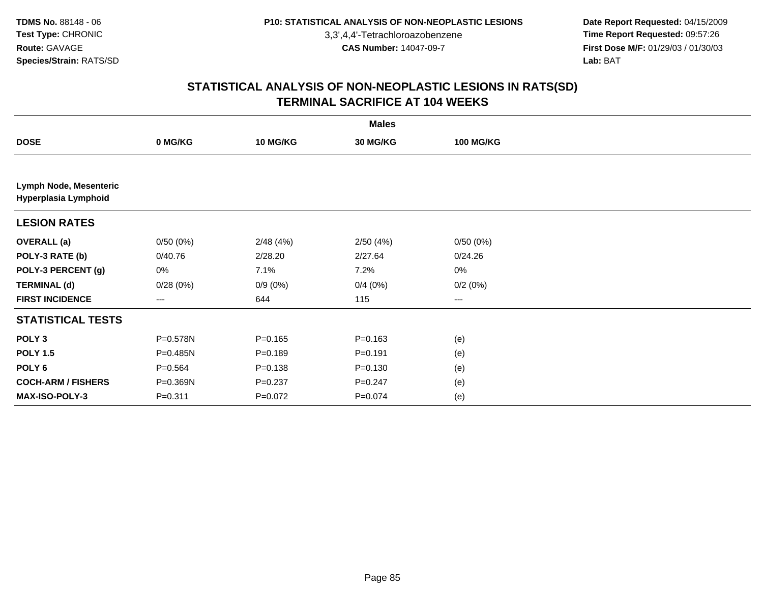**Date Report Requested:** 04/15/2009 **Time Report Requested:** 09:57:26 **First Dose M/F:** 01/29/03 / 01/30/03<br>Lab: BAT **Lab:** BAT

|                                                | <b>Males</b> |                 |             |                  |  |  |  |  |
|------------------------------------------------|--------------|-----------------|-------------|------------------|--|--|--|--|
| <b>DOSE</b>                                    | 0 MG/KG      | <b>10 MG/KG</b> | 30 MG/KG    | <b>100 MG/KG</b> |  |  |  |  |
|                                                |              |                 |             |                  |  |  |  |  |
| Lymph Node, Mesenteric<br>Hyperplasia Lymphoid |              |                 |             |                  |  |  |  |  |
| <b>LESION RATES</b>                            |              |                 |             |                  |  |  |  |  |
| <b>OVERALL</b> (a)                             | 0/50(0%)     | 2/48(4%)        | 2/50(4%)    | 0/50(0%)         |  |  |  |  |
| POLY-3 RATE (b)                                | 0/40.76      | 2/28.20         | 2/27.64     | 0/24.26          |  |  |  |  |
| POLY-3 PERCENT (g)                             | 0%           | 7.1%            | 7.2%        | $0\%$            |  |  |  |  |
| <b>TERMINAL (d)</b>                            | 0/28(0%)     | $0/9(0\%)$      | 0/4(0%)     | 0/2(0%)          |  |  |  |  |
| <b>FIRST INCIDENCE</b>                         | ---          | 644             | 115         | ---              |  |  |  |  |
| <b>STATISTICAL TESTS</b>                       |              |                 |             |                  |  |  |  |  |
| POLY <sub>3</sub>                              | P=0.578N     | $P = 0.165$     | $P = 0.163$ | (e)              |  |  |  |  |
| <b>POLY 1.5</b>                                | P=0.485N     | $P = 0.189$     | $P = 0.191$ | (e)              |  |  |  |  |
| POLY <sub>6</sub>                              | $P = 0.564$  | $P = 0.138$     | $P = 0.130$ | (e)              |  |  |  |  |
| <b>COCH-ARM / FISHERS</b>                      | P=0.369N     | $P = 0.237$     | $P = 0.247$ | (e)              |  |  |  |  |
| MAX-ISO-POLY-3                                 | $P = 0.311$  | $P=0.072$       | $P = 0.074$ | (e)              |  |  |  |  |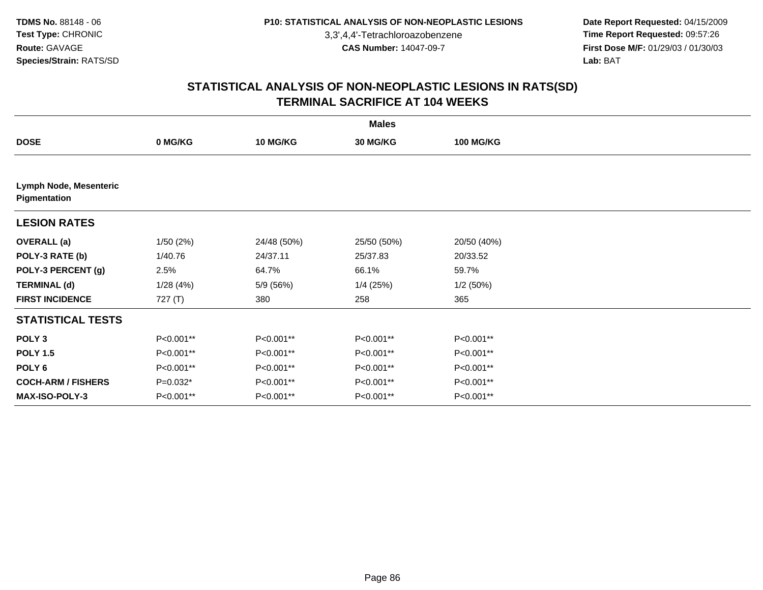**Date Report Requested:** 04/15/2009 **Time Report Requested:** 09:57:26 **First Dose M/F:** 01/29/03 / 01/30/03<br>Lab: BAT **Lab:** BAT

|                                        | <b>Males</b> |             |             |                  |  |  |  |  |
|----------------------------------------|--------------|-------------|-------------|------------------|--|--|--|--|
| <b>DOSE</b>                            | 0 MG/KG      | 10 MG/KG    | 30 MG/KG    | <b>100 MG/KG</b> |  |  |  |  |
|                                        |              |             |             |                  |  |  |  |  |
| Lymph Node, Mesenteric<br>Pigmentation |              |             |             |                  |  |  |  |  |
| <b>LESION RATES</b>                    |              |             |             |                  |  |  |  |  |
| <b>OVERALL</b> (a)                     | 1/50(2%)     | 24/48 (50%) | 25/50 (50%) | 20/50 (40%)      |  |  |  |  |
| POLY-3 RATE (b)                        | 1/40.76      | 24/37.11    | 25/37.83    | 20/33.52         |  |  |  |  |
| POLY-3 PERCENT (g)                     | 2.5%         | 64.7%       | 66.1%       | 59.7%            |  |  |  |  |
| <b>TERMINAL (d)</b>                    | 1/28(4%)     | 5/9 (56%)   | $1/4$ (25%) | 1/2(50%)         |  |  |  |  |
| <b>FIRST INCIDENCE</b>                 | 727 $(T)$    | 380         | 258         | 365              |  |  |  |  |
| <b>STATISTICAL TESTS</b>               |              |             |             |                  |  |  |  |  |
| POLY <sub>3</sub>                      | P<0.001**    | P<0.001**   | P<0.001**   | P<0.001**        |  |  |  |  |
| <b>POLY 1.5</b>                        | P<0.001**    | P<0.001**   | P<0.001**   | P<0.001**        |  |  |  |  |
| POLY <sub>6</sub>                      | P<0.001**    | P<0.001**   | P<0.001**   | P<0.001**        |  |  |  |  |
| <b>COCH-ARM / FISHERS</b>              | $P=0.032*$   | P<0.001**   | P<0.001**   | P<0.001**        |  |  |  |  |
| <b>MAX-ISO-POLY-3</b>                  | P<0.001**    | P<0.001**   | P<0.001**   | P<0.001**        |  |  |  |  |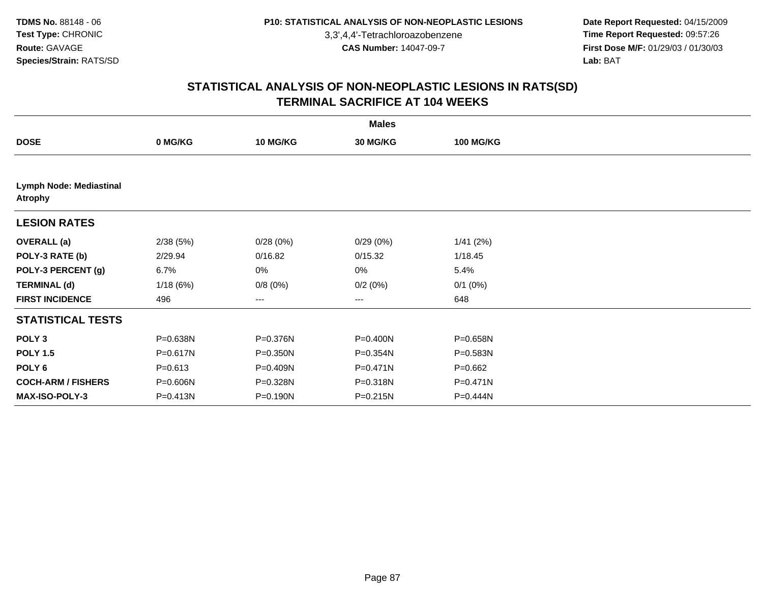**Date Report Requested:** 04/15/2009 **Time Report Requested:** 09:57:26 **First Dose M/F:** 01/29/03 / 01/30/03<br>Lab: BAT **Lab:** BAT

|                                           |             |                 | <b>Males</b>    |                  |  |
|-------------------------------------------|-------------|-----------------|-----------------|------------------|--|
| <b>DOSE</b>                               | 0 MG/KG     | <b>10 MG/KG</b> | <b>30 MG/KG</b> | <b>100 MG/KG</b> |  |
|                                           |             |                 |                 |                  |  |
| Lymph Node: Mediastinal<br><b>Atrophy</b> |             |                 |                 |                  |  |
| <b>LESION RATES</b>                       |             |                 |                 |                  |  |
| <b>OVERALL</b> (a)                        | 2/38(5%)    | 0/28(0%)        | 0/29(0%)        | 1/41(2%)         |  |
| POLY-3 RATE (b)                           | 2/29.94     | 0/16.82         | 0/15.32         | 1/18.45          |  |
| POLY-3 PERCENT (g)                        | 6.7%        | 0%              | 0%              | 5.4%             |  |
| <b>TERMINAL (d)</b>                       | 1/18(6%)    | 0/8(0%)         | 0/2(0%)         | $0/1$ $(0%)$     |  |
| <b>FIRST INCIDENCE</b>                    | 496         | ---             | ---             | 648              |  |
| <b>STATISTICAL TESTS</b>                  |             |                 |                 |                  |  |
| POLY <sub>3</sub>                         | P=0.638N    | P=0.376N        | P=0.400N        | P=0.658N         |  |
| <b>POLY 1.5</b>                           | P=0.617N    | P=0.350N        | P=0.354N        | P=0.583N         |  |
| POLY 6                                    | $P = 0.613$ | P=0.409N        | $P = 0.471N$    | $P=0.662$        |  |
| <b>COCH-ARM / FISHERS</b>                 | P=0.606N    | P=0.328N        | P=0.318N        | P=0.471N         |  |
| MAX-ISO-POLY-3                            | P=0.413N    | P=0.190N        | P=0.215N        | P=0.444N         |  |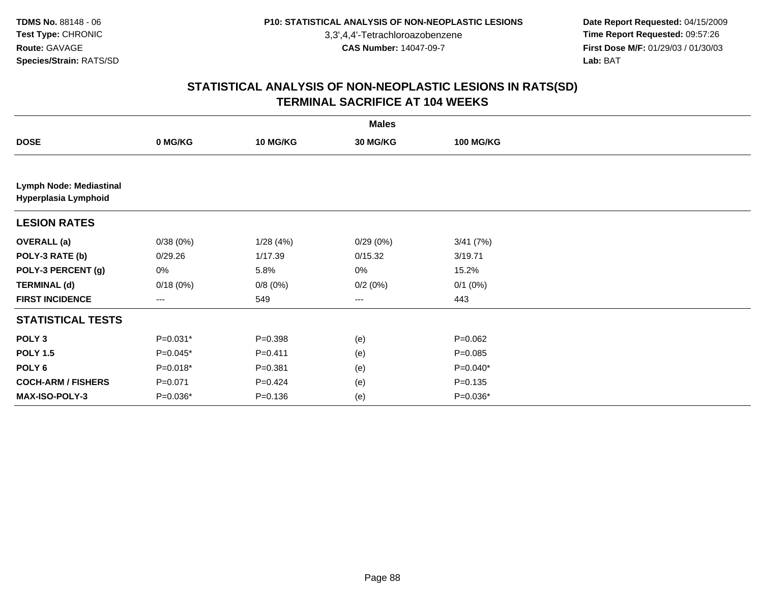**Date Report Requested:** 04/15/2009 **Time Report Requested:** 09:57:26 **First Dose M/F:** 01/29/03 / 01/30/03<br>Lab: BAT **Lab:** BAT

|                                                 |             |                 | <b>Males</b> |                  |  |
|-------------------------------------------------|-------------|-----------------|--------------|------------------|--|
| <b>DOSE</b>                                     | 0 MG/KG     | <b>10 MG/KG</b> | 30 MG/KG     | <b>100 MG/KG</b> |  |
|                                                 |             |                 |              |                  |  |
| Lymph Node: Mediastinal<br>Hyperplasia Lymphoid |             |                 |              |                  |  |
| <b>LESION RATES</b>                             |             |                 |              |                  |  |
| <b>OVERALL</b> (a)                              | 0/38(0%)    | 1/28(4%)        | 0/29(0%)     | 3/41(7%)         |  |
| POLY-3 RATE (b)                                 | 0/29.26     | 1/17.39         | 0/15.32      | 3/19.71          |  |
| POLY-3 PERCENT (g)                              | 0%          | 5.8%            | 0%           | 15.2%            |  |
| <b>TERMINAL (d)</b>                             | 0/18(0%)    | 0/8(0%)         | 0/2(0%)      | $0/1$ $(0%)$     |  |
| <b>FIRST INCIDENCE</b>                          | ---         | 549             | $--$         | 443              |  |
| <b>STATISTICAL TESTS</b>                        |             |                 |              |                  |  |
| POLY <sub>3</sub>                               | P=0.031*    | $P = 0.398$     | (e)          | $P=0.062$        |  |
| <b>POLY 1.5</b>                                 | $P=0.045*$  | $P = 0.411$     | (e)          | $P=0.085$        |  |
| POLY <sub>6</sub>                               | $P=0.018*$  | $P = 0.381$     | (e)          | $P=0.040*$       |  |
| <b>COCH-ARM / FISHERS</b>                       | $P = 0.071$ | $P=0.424$       | (e)          | $P = 0.135$      |  |
| MAX-ISO-POLY-3                                  | $P=0.036*$  | $P = 0.136$     | (e)          | $P=0.036*$       |  |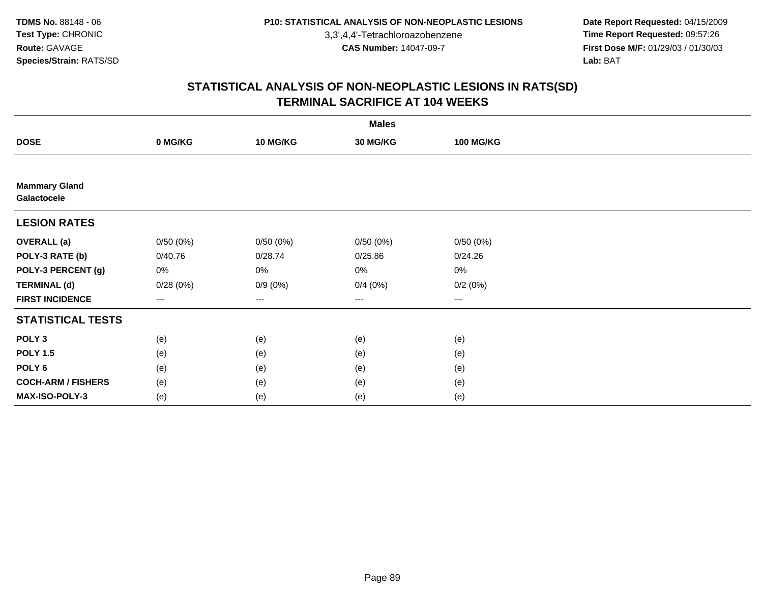**Date Report Requested:** 04/15/2009 **Time Report Requested:** 09:57:26 **First Dose M/F:** 01/29/03 / 01/30/03<br>Lab: BAT **Lab:** BAT

|                                     | <b>Males</b>           |            |          |                  |  |  |  |  |
|-------------------------------------|------------------------|------------|----------|------------------|--|--|--|--|
| <b>DOSE</b>                         | 0 MG/KG                | 10 MG/KG   | 30 MG/KG | <b>100 MG/KG</b> |  |  |  |  |
|                                     |                        |            |          |                  |  |  |  |  |
| <b>Mammary Gland</b><br>Galactocele |                        |            |          |                  |  |  |  |  |
| <b>LESION RATES</b>                 |                        |            |          |                  |  |  |  |  |
| <b>OVERALL</b> (a)                  | 0/50(0%)               | 0/50(0%)   | 0/50(0%) | 0/50(0%)         |  |  |  |  |
| POLY-3 RATE (b)                     | 0/40.76                | 0/28.74    | 0/25.86  | 0/24.26          |  |  |  |  |
| POLY-3 PERCENT (g)                  | 0%                     | 0%         | 0%       | 0%               |  |  |  |  |
| <b>TERMINAL (d)</b>                 | 0/28(0%)               | $0/9(0\%)$ | 0/4(0%)  | 0/2(0%)          |  |  |  |  |
| <b>FIRST INCIDENCE</b>              | $\qquad \qquad \cdots$ | ---        | ---      | $--$             |  |  |  |  |
| <b>STATISTICAL TESTS</b>            |                        |            |          |                  |  |  |  |  |
| POLY <sub>3</sub>                   | (e)                    | (e)        | (e)      | (e)              |  |  |  |  |
| <b>POLY 1.5</b>                     | (e)                    | (e)        | (e)      | (e)              |  |  |  |  |
| POLY <sub>6</sub>                   | (e)                    | (e)        | (e)      | (e)              |  |  |  |  |
| <b>COCH-ARM / FISHERS</b>           | (e)                    | (e)        | (e)      | (e)              |  |  |  |  |
| MAX-ISO-POLY-3                      | (e)                    | (e)        | (e)      | (e)              |  |  |  |  |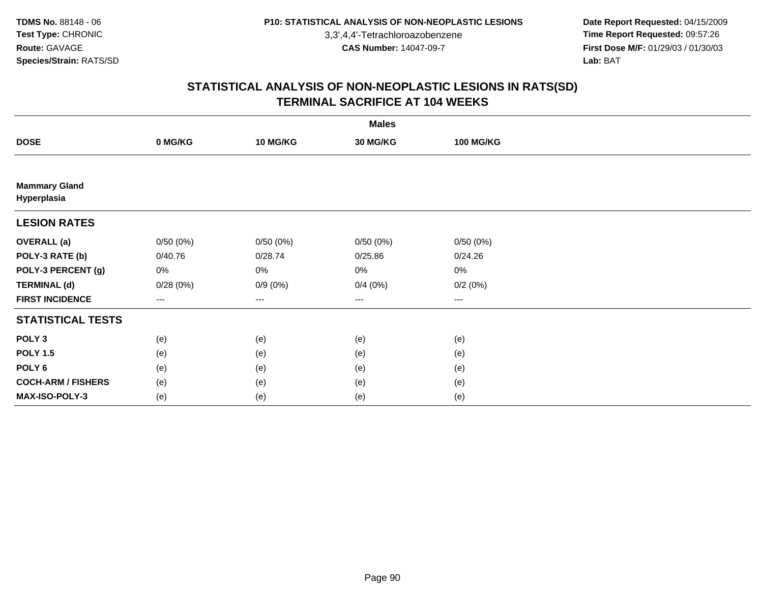**Date Report Requested:** 04/15/2009 **Time Report Requested:** 09:57:26 **First Dose M/F:** 01/29/03 / 01/30/03<br>Lab: BAT **Lab:** BAT

|                                     | <b>Males</b>           |            |          |                  |  |  |  |  |
|-------------------------------------|------------------------|------------|----------|------------------|--|--|--|--|
| <b>DOSE</b>                         | 0 MG/KG                | 10 MG/KG   | 30 MG/KG | <b>100 MG/KG</b> |  |  |  |  |
|                                     |                        |            |          |                  |  |  |  |  |
| <b>Mammary Gland</b><br>Hyperplasia |                        |            |          |                  |  |  |  |  |
| <b>LESION RATES</b>                 |                        |            |          |                  |  |  |  |  |
| <b>OVERALL</b> (a)                  | 0/50(0%)               | 0/50(0%)   | 0/50(0%) | 0/50(0%)         |  |  |  |  |
| POLY-3 RATE (b)                     | 0/40.76                | 0/28.74    | 0/25.86  | 0/24.26          |  |  |  |  |
| POLY-3 PERCENT (g)                  | 0%                     | 0%         | 0%       | 0%               |  |  |  |  |
| <b>TERMINAL (d)</b>                 | 0/28(0%)               | $0/9(0\%)$ | 0/4(0%)  | 0/2(0%)          |  |  |  |  |
| <b>FIRST INCIDENCE</b>              | $\qquad \qquad \cdots$ | ---        | ---      | $--$             |  |  |  |  |
| <b>STATISTICAL TESTS</b>            |                        |            |          |                  |  |  |  |  |
| POLY <sub>3</sub>                   | (e)                    | (e)        | (e)      | (e)              |  |  |  |  |
| <b>POLY 1.5</b>                     | (e)                    | (e)        | (e)      | (e)              |  |  |  |  |
| POLY <sub>6</sub>                   | (e)                    | (e)        | (e)      | (e)              |  |  |  |  |
| <b>COCH-ARM / FISHERS</b>           | (e)                    | (e)        | (e)      | (e)              |  |  |  |  |
| MAX-ISO-POLY-3                      | (e)                    | (e)        | (e)      | (e)              |  |  |  |  |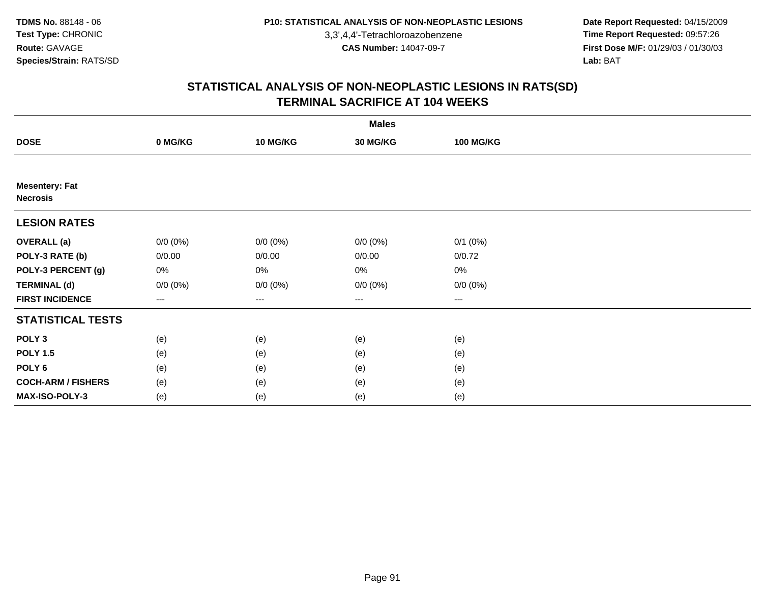**Date Report Requested:** 04/15/2009 **Time Report Requested:** 09:57:26 **First Dose M/F:** 01/29/03 / 01/30/03<br>Lab: BAT **Lab:** BAT

|                                          | <b>Males</b>           |             |             |                  |  |  |  |  |
|------------------------------------------|------------------------|-------------|-------------|------------------|--|--|--|--|
| <b>DOSE</b>                              | 0 MG/KG                | 10 MG/KG    | 30 MG/KG    | <b>100 MG/KG</b> |  |  |  |  |
|                                          |                        |             |             |                  |  |  |  |  |
| <b>Mesentery: Fat</b><br><b>Necrosis</b> |                        |             |             |                  |  |  |  |  |
| <b>LESION RATES</b>                      |                        |             |             |                  |  |  |  |  |
| <b>OVERALL</b> (a)                       | $0/0 (0\%)$            | $0/0 (0\%)$ | $0/0 (0\%)$ | $0/1$ $(0%)$     |  |  |  |  |
| POLY-3 RATE (b)                          | 0/0.00                 | 0/0.00      | 0/0.00      | 0/0.72           |  |  |  |  |
| POLY-3 PERCENT (g)                       | 0%                     | 0%          | 0%          | 0%               |  |  |  |  |
| <b>TERMINAL (d)</b>                      | $0/0 (0\%)$            | $0/0 (0\%)$ | $0/0 (0\%)$ | $0/0 (0\%)$      |  |  |  |  |
| <b>FIRST INCIDENCE</b>                   | $\qquad \qquad \cdots$ | ---         | ---         | $\cdots$         |  |  |  |  |
| <b>STATISTICAL TESTS</b>                 |                        |             |             |                  |  |  |  |  |
| POLY <sub>3</sub>                        | (e)                    | (e)         | (e)         | (e)              |  |  |  |  |
| <b>POLY 1.5</b>                          | (e)                    | (e)         | (e)         | (e)              |  |  |  |  |
| POLY <sub>6</sub>                        | (e)                    | (e)         | (e)         | (e)              |  |  |  |  |
| <b>COCH-ARM / FISHERS</b>                | (e)                    | (e)         | (e)         | (e)              |  |  |  |  |
| MAX-ISO-POLY-3                           | (e)                    | (e)         | (e)         | (e)              |  |  |  |  |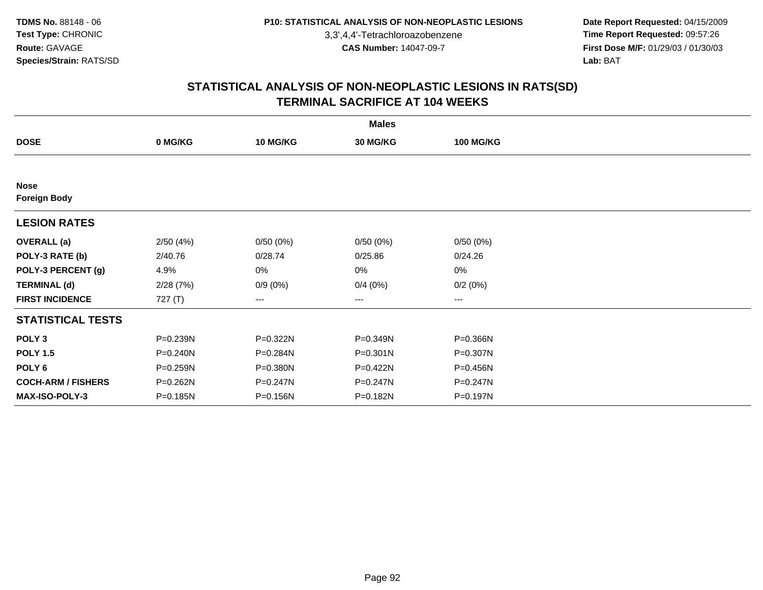**Date Report Requested:** 04/15/2009 **Time Report Requested:** 09:57:26 **First Dose M/F:** 01/29/03 / 01/30/03<br>Lab: BAT **Lab:** BAT

|                                    |              |                   | <b>Males</b> |                  |  |
|------------------------------------|--------------|-------------------|--------------|------------------|--|
| <b>DOSE</b>                        | 0 MG/KG      | <b>10 MG/KG</b>   | 30 MG/KG     | <b>100 MG/KG</b> |  |
|                                    |              |                   |              |                  |  |
| <b>Nose</b><br><b>Foreign Body</b> |              |                   |              |                  |  |
| <b>LESION RATES</b>                |              |                   |              |                  |  |
| <b>OVERALL</b> (a)                 | 2/50(4%)     | 0/50(0%)          | 0/50(0%)     | 0/50(0%)         |  |
| POLY-3 RATE (b)                    | 2/40.76      | 0/28.74           | 0/25.86      | 0/24.26          |  |
| POLY-3 PERCENT (g)                 | 4.9%         | 0%                | 0%           | 0%               |  |
| <b>TERMINAL (d)</b>                | 2/28(7%)     | $0/9(0\%)$        | 0/4(0%)      | 0/2(0%)          |  |
| <b>FIRST INCIDENCE</b>             | 727 (T)      | $\qquad \qquad -$ | ---          | $--$             |  |
| <b>STATISTICAL TESTS</b>           |              |                   |              |                  |  |
| POLY <sub>3</sub>                  | P=0.239N     | P=0.322N          | P=0.349N     | P=0.366N         |  |
| <b>POLY 1.5</b>                    | $P = 0.240N$ | P=0.284N          | $P = 0.301N$ | P=0.307N         |  |
| POLY <sub>6</sub>                  | P=0.259N     | P=0.380N          | P=0.422N     | P=0.456N         |  |
| <b>COCH-ARM / FISHERS</b>          | $P = 0.262N$ | P=0.247N          | $P = 0.247N$ | $P = 0.247N$     |  |
| <b>MAX-ISO-POLY-3</b>              | P=0.185N     | P=0.156N          | P=0.182N     | P=0.197N         |  |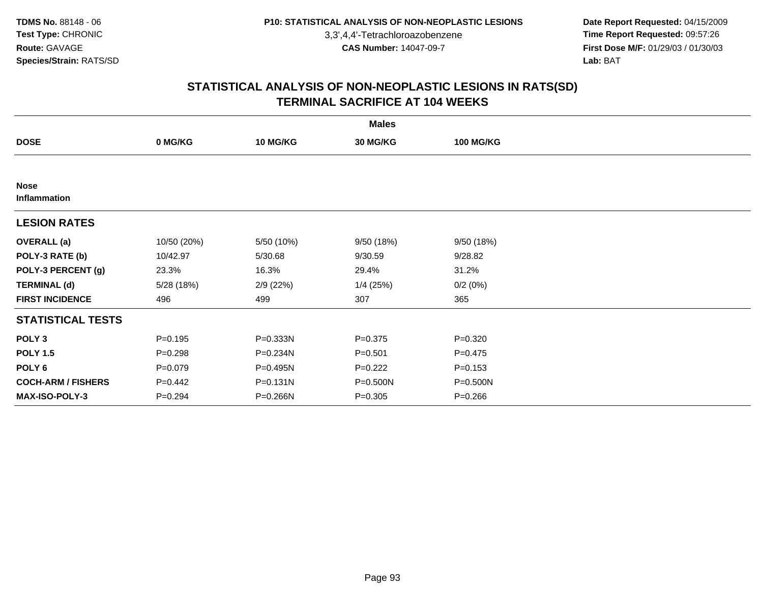**Date Report Requested:** 04/15/2009 **Time Report Requested:** 09:57:26 **First Dose M/F:** 01/29/03 / 01/30/03<br>Lab: BAT **Lab:** BAT

|                             |             |                 | <b>Males</b>    |                  |  |
|-----------------------------|-------------|-----------------|-----------------|------------------|--|
| <b>DOSE</b>                 | 0 MG/KG     | <b>10 MG/KG</b> | <b>30 MG/KG</b> | <b>100 MG/KG</b> |  |
|                             |             |                 |                 |                  |  |
| <b>Nose</b><br>Inflammation |             |                 |                 |                  |  |
| <b>LESION RATES</b>         |             |                 |                 |                  |  |
| <b>OVERALL</b> (a)          | 10/50 (20%) | 5/50 (10%)      | 9/50 (18%)      | 9/50(18%)        |  |
| POLY-3 RATE (b)             | 10/42.97    | 5/30.68         | 9/30.59         | 9/28.82          |  |
| POLY-3 PERCENT (g)          | 23.3%       | 16.3%           | 29.4%           | 31.2%            |  |
| <b>TERMINAL (d)</b>         | 5/28(18%)   | 2/9(22%)        | $1/4$ (25%)     | 0/2(0%)          |  |
| <b>FIRST INCIDENCE</b>      | 496         | 499             | 307             | 365              |  |
| <b>STATISTICAL TESTS</b>    |             |                 |                 |                  |  |
| POLY <sub>3</sub>           | $P = 0.195$ | P=0.333N        | $P = 0.375$     | $P=0.320$        |  |
| <b>POLY 1.5</b>             | $P = 0.298$ | P=0.234N        | $P = 0.501$     | $P=0.475$        |  |
| POLY <sub>6</sub>           | $P = 0.079$ | P=0.495N        | $P=0.222$       | $P = 0.153$      |  |
| <b>COCH-ARM / FISHERS</b>   | $P=0.442$   | P=0.131N        | P=0.500N        | P=0.500N         |  |
| <b>MAX-ISO-POLY-3</b>       | $P = 0.294$ | P=0.266N        | $P = 0.305$     | $P = 0.266$      |  |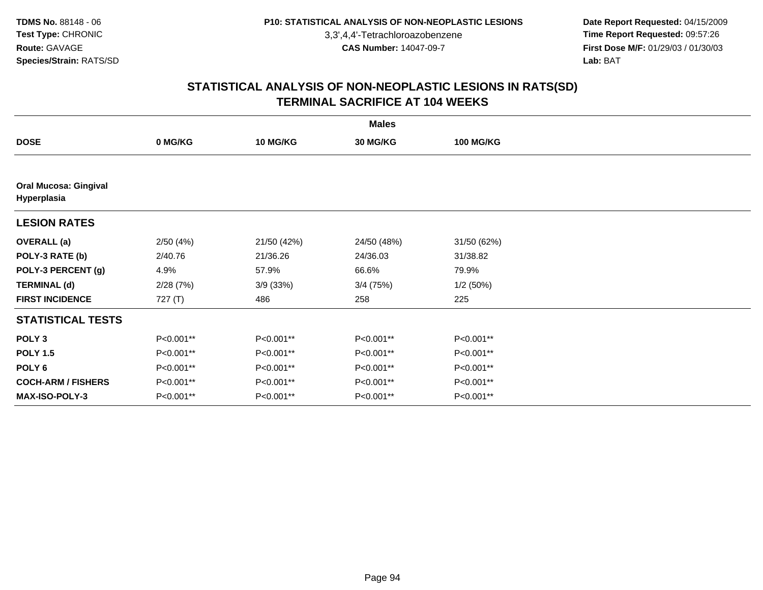**Date Report Requested:** 04/15/2009 **Time Report Requested:** 09:57:26 **First Dose M/F:** 01/29/03 / 01/30/03<br>Lab: BAT **Lab:** BAT

|                                             | <b>Males</b> |                 |             |                  |  |  |  |
|---------------------------------------------|--------------|-----------------|-------------|------------------|--|--|--|
| <b>DOSE</b>                                 | 0 MG/KG      | <b>10 MG/KG</b> | 30 MG/KG    | <b>100 MG/KG</b> |  |  |  |
|                                             |              |                 |             |                  |  |  |  |
| <b>Oral Mucosa: Gingival</b><br>Hyperplasia |              |                 |             |                  |  |  |  |
| <b>LESION RATES</b>                         |              |                 |             |                  |  |  |  |
| <b>OVERALL</b> (a)                          | 2/50(4%)     | 21/50 (42%)     | 24/50 (48%) | 31/50 (62%)      |  |  |  |
| POLY-3 RATE (b)                             | 2/40.76      | 21/36.26        | 24/36.03    | 31/38.82         |  |  |  |
| POLY-3 PERCENT (g)                          | 4.9%         | 57.9%           | 66.6%       | 79.9%            |  |  |  |
| <b>TERMINAL (d)</b>                         | 2/28(7%)     | 3/9(33%)        | 3/4 (75%)   | 1/2(50%)         |  |  |  |
| <b>FIRST INCIDENCE</b>                      | 727 (T)      | 486             | 258         | 225              |  |  |  |
| <b>STATISTICAL TESTS</b>                    |              |                 |             |                  |  |  |  |
| POLY <sub>3</sub>                           | P<0.001**    | P<0.001**       | P<0.001**   | P<0.001**        |  |  |  |
| <b>POLY 1.5</b>                             | P<0.001**    | P<0.001**       | P<0.001**   | P<0.001**        |  |  |  |
| POLY <sub>6</sub>                           | P<0.001**    | P<0.001**       | P<0.001**   | P<0.001**        |  |  |  |
| <b>COCH-ARM / FISHERS</b>                   | P<0.001**    | P<0.001**       | P<0.001**   | P<0.001**        |  |  |  |
| <b>MAX-ISO-POLY-3</b>                       | P<0.001**    | P<0.001**       | P<0.001**   | P<0.001**        |  |  |  |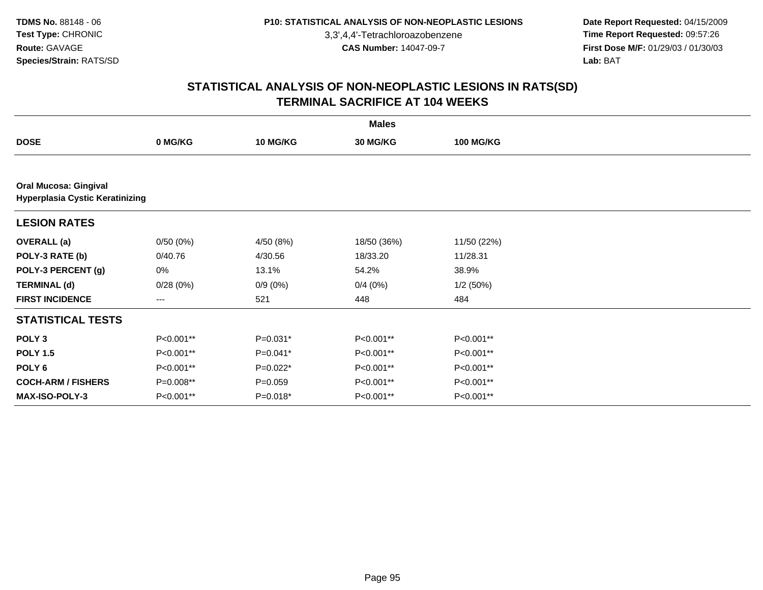**Date Report Requested:** 04/15/2009 **Time Report Requested:** 09:57:26 **First Dose M/F:** 01/29/03 / 01/30/03<br>Lab: BAT **Lab:** BAT

|                              | <b>Males</b>                           |                 |             |                  |  |  |  |  |
|------------------------------|----------------------------------------|-----------------|-------------|------------------|--|--|--|--|
| <b>DOSE</b>                  | 0 MG/KG                                | <b>10 MG/KG</b> | 30 MG/KG    | <b>100 MG/KG</b> |  |  |  |  |
|                              |                                        |                 |             |                  |  |  |  |  |
| <b>Oral Mucosa: Gingival</b> | <b>Hyperplasia Cystic Keratinizing</b> |                 |             |                  |  |  |  |  |
| <b>LESION RATES</b>          |                                        |                 |             |                  |  |  |  |  |
| <b>OVERALL</b> (a)           | 0/50(0%)                               | 4/50 (8%)       | 18/50 (36%) | 11/50 (22%)      |  |  |  |  |
| POLY-3 RATE (b)              | 0/40.76                                | 4/30.56         | 18/33.20    | 11/28.31         |  |  |  |  |
| POLY-3 PERCENT (g)           | 0%                                     | 13.1%           | 54.2%       | 38.9%            |  |  |  |  |
| <b>TERMINAL (d)</b>          | 0/28(0%)                               | $0/9(0\%)$      | 0/4(0%)     | 1/2(50%)         |  |  |  |  |
| <b>FIRST INCIDENCE</b>       | ---                                    | 521             | 448         | 484              |  |  |  |  |
| <b>STATISTICAL TESTS</b>     |                                        |                 |             |                  |  |  |  |  |
| POLY <sub>3</sub>            | P<0.001**                              | $P=0.031*$      | P<0.001**   | P<0.001**        |  |  |  |  |
| <b>POLY 1.5</b>              | P<0.001**                              | P=0.041*        | P<0.001**   | P<0.001**        |  |  |  |  |
| POLY 6                       | P<0.001**                              | $P=0.022*$      | P<0.001**   | P<0.001**        |  |  |  |  |
| <b>COCH-ARM / FISHERS</b>    | P=0.008**                              | $P = 0.059$     | P<0.001**   | P<0.001**        |  |  |  |  |
| <b>MAX-ISO-POLY-3</b>        | P<0.001**                              | $P=0.018*$      | P<0.001**   | P<0.001**        |  |  |  |  |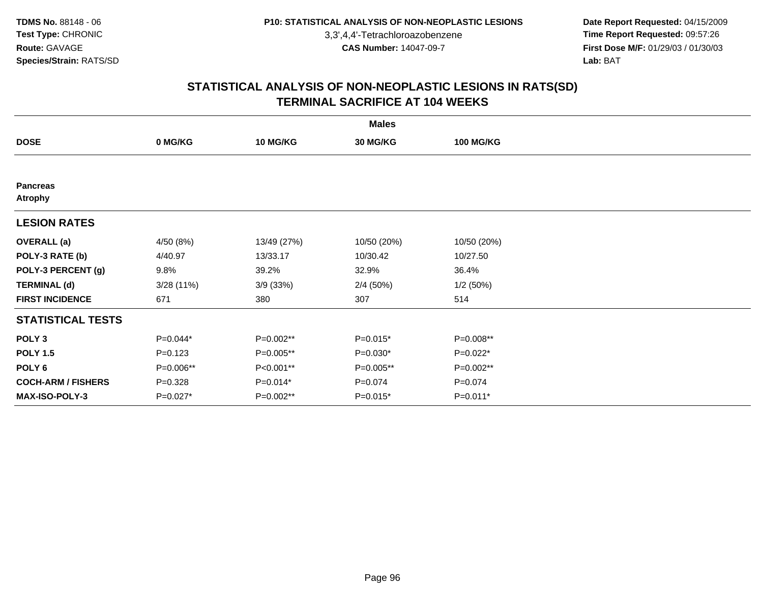**Date Report Requested:** 04/15/2009 **Time Report Requested:** 09:57:26 **First Dose M/F:** 01/29/03 / 01/30/03<br>Lab: BAT **Lab:** BAT

|                            | <b>Males</b> |                 |                 |                  |  |  |  |  |
|----------------------------|--------------|-----------------|-----------------|------------------|--|--|--|--|
| <b>DOSE</b>                | 0 MG/KG      | <b>10 MG/KG</b> | <b>30 MG/KG</b> | <b>100 MG/KG</b> |  |  |  |  |
|                            |              |                 |                 |                  |  |  |  |  |
| <b>Pancreas</b><br>Atrophy |              |                 |                 |                  |  |  |  |  |
| <b>LESION RATES</b>        |              |                 |                 |                  |  |  |  |  |
| <b>OVERALL</b> (a)         | 4/50 (8%)    | 13/49 (27%)     | 10/50 (20%)     | 10/50 (20%)      |  |  |  |  |
| POLY-3 RATE (b)            | 4/40.97      | 13/33.17        | 10/30.42        | 10/27.50         |  |  |  |  |
| POLY-3 PERCENT (g)         | 9.8%         | 39.2%           | 32.9%           | 36.4%            |  |  |  |  |
| <b>TERMINAL (d)</b>        | 3/28(11%)    | 3/9(33%)        | 2/4(50%)        | 1/2(50%)         |  |  |  |  |
| <b>FIRST INCIDENCE</b>     | 671          | 380             | 307             | 514              |  |  |  |  |
| <b>STATISTICAL TESTS</b>   |              |                 |                 |                  |  |  |  |  |
| POLY <sub>3</sub>          | P=0.044*     | P=0.002**       | $P=0.015*$      | P=0.008**        |  |  |  |  |
| <b>POLY 1.5</b>            | $P=0.123$    | P=0.005**       | $P=0.030*$      | $P=0.022*$       |  |  |  |  |
| POLY <sub>6</sub>          | P=0.006**    | P<0.001**       | P=0.005**       | P=0.002**        |  |  |  |  |
| <b>COCH-ARM / FISHERS</b>  | $P = 0.328$  | $P=0.014*$      | $P = 0.074$     | $P = 0.074$      |  |  |  |  |
| <b>MAX-ISO-POLY-3</b>      | $P=0.027*$   | P=0.002**       | $P=0.015*$      | $P=0.011*$       |  |  |  |  |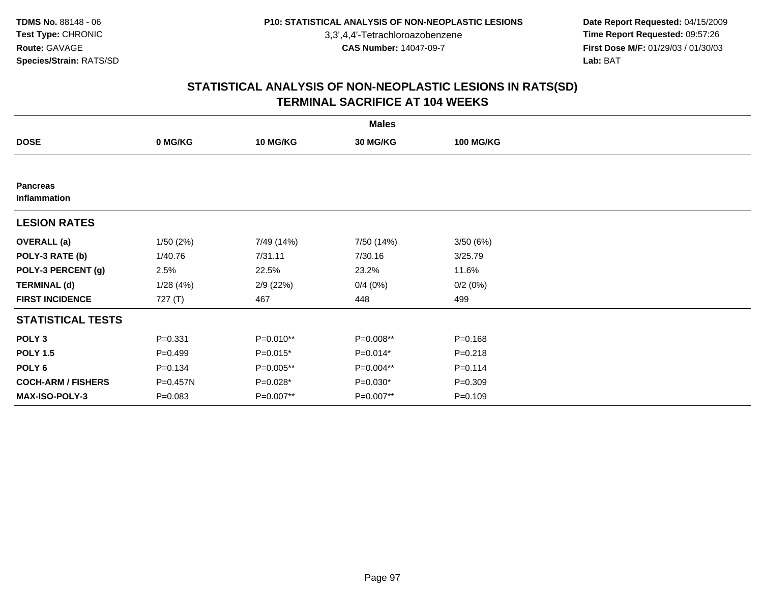**Date Report Requested:** 04/15/2009 **Time Report Requested:** 09:57:26 **First Dose M/F:** 01/29/03 / 01/30/03<br>Lab: BAT **Lab:** BAT

|                                 |             |                 | <b>Males</b>    |                  |  |
|---------------------------------|-------------|-----------------|-----------------|------------------|--|
| <b>DOSE</b>                     | 0 MG/KG     | <b>10 MG/KG</b> | <b>30 MG/KG</b> | <b>100 MG/KG</b> |  |
|                                 |             |                 |                 |                  |  |
| <b>Pancreas</b><br>Inflammation |             |                 |                 |                  |  |
| <b>LESION RATES</b>             |             |                 |                 |                  |  |
| <b>OVERALL</b> (a)              | 1/50(2%)    | 7/49 (14%)      | 7/50 (14%)      | 3/50(6%)         |  |
| POLY-3 RATE (b)                 | 1/40.76     | 7/31.11         | 7/30.16         | 3/25.79          |  |
| POLY-3 PERCENT (g)              | 2.5%        | 22.5%           | 23.2%           | 11.6%            |  |
| <b>TERMINAL (d)</b>             | 1/28(4%)    | 2/9(22%)        | 0/4(0%)         | 0/2(0%)          |  |
| <b>FIRST INCIDENCE</b>          | 727(T)      | 467             | 448             | 499              |  |
| <b>STATISTICAL TESTS</b>        |             |                 |                 |                  |  |
| POLY <sub>3</sub>               | $P = 0.331$ | P=0.010**       | P=0.008**       | $P = 0.168$      |  |
| <b>POLY 1.5</b>                 | $P=0.499$   | $P=0.015*$      | $P=0.014*$      | $P = 0.218$      |  |
| POLY <sub>6</sub>               | $P = 0.134$ | P=0.005**       | P=0.004**       | $P = 0.114$      |  |
| <b>COCH-ARM / FISHERS</b>       | P=0.457N    | P=0.028*        | $P=0.030*$      | $P = 0.309$      |  |
| <b>MAX-ISO-POLY-3</b>           | $P = 0.083$ | P=0.007**       | P=0.007**       | $P=0.109$        |  |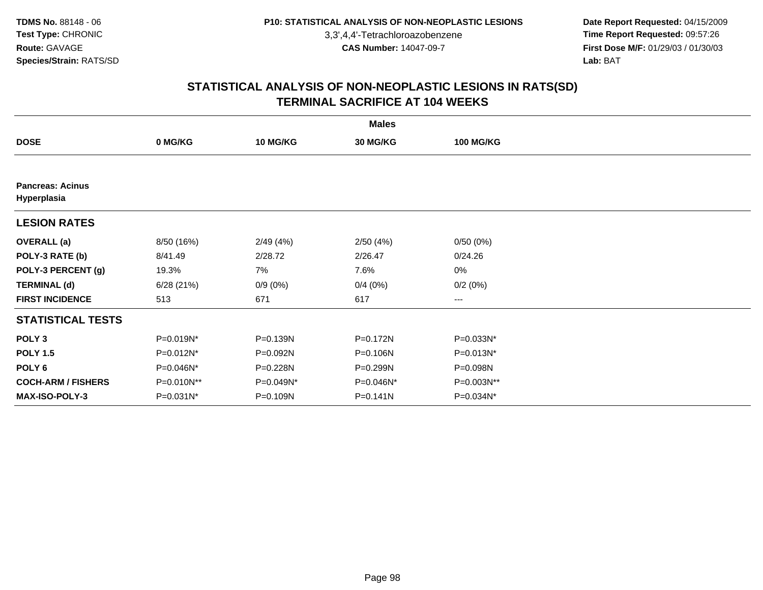**Date Report Requested:** 04/15/2009 **Time Report Requested:** 09:57:26 **First Dose M/F:** 01/29/03 / 01/30/03<br>Lab: BAT **Lab:** BAT

|                                        |                |                 | <b>Males</b>    |                  |  |
|----------------------------------------|----------------|-----------------|-----------------|------------------|--|
| <b>DOSE</b>                            | 0 MG/KG        | <b>10 MG/KG</b> | <b>30 MG/KG</b> | <b>100 MG/KG</b> |  |
|                                        |                |                 |                 |                  |  |
| <b>Pancreas: Acinus</b><br>Hyperplasia |                |                 |                 |                  |  |
| <b>LESION RATES</b>                    |                |                 |                 |                  |  |
| <b>OVERALL</b> (a)                     | 8/50 (16%)     | 2/49(4%)        | 2/50(4%)        | 0/50(0%)         |  |
| POLY-3 RATE (b)                        | 8/41.49        | 2/28.72         | 2/26.47         | 0/24.26          |  |
| POLY-3 PERCENT (g)                     | 19.3%          | 7%              | 7.6%            | 0%               |  |
| <b>TERMINAL (d)</b>                    | 6/28(21%)      | $0/9(0\%)$      | 0/4(0%)         | 0/2(0%)          |  |
| <b>FIRST INCIDENCE</b>                 | 513            | 671             | 617             | $--$             |  |
| <b>STATISTICAL TESTS</b>               |                |                 |                 |                  |  |
| POLY <sub>3</sub>                      | P=0.019N*      | P=0.139N        | P=0.172N        | P=0.033N*        |  |
| <b>POLY 1.5</b>                        | P=0.012N*      | P=0.092N        | P=0.106N        | P=0.013N*        |  |
| POLY <sub>6</sub>                      | P=0.046N*      | P=0.228N        | P=0.299N        | P=0.098N         |  |
| <b>COCH-ARM / FISHERS</b>              | P=0.010N**     | P=0.049N*       | P=0.046N*       | P=0.003N**       |  |
| <b>MAX-ISO-POLY-3</b>                  | $P = 0.031N^*$ | P=0.109N        | $P = 0.141N$    | P=0.034N*        |  |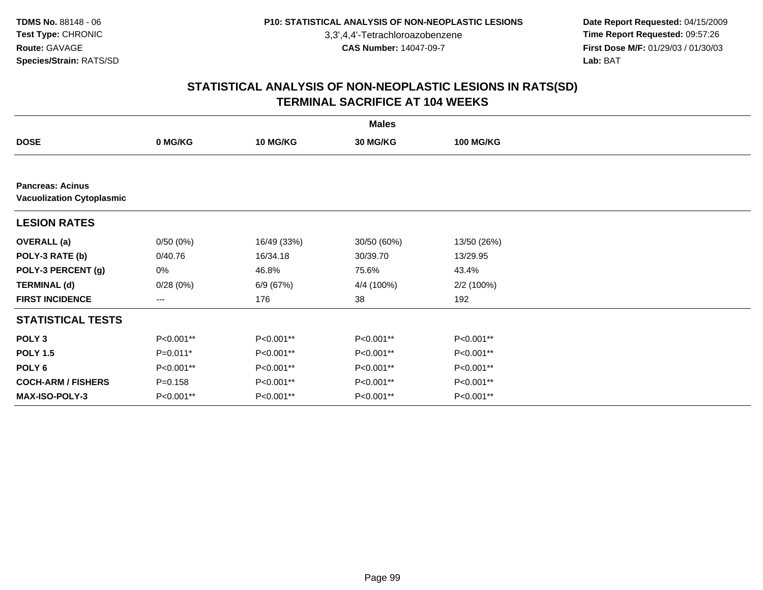**Date Report Requested:** 04/15/2009 **Time Report Requested:** 09:57:26 **First Dose M/F:** 01/29/03 / 01/30/03<br>Lab: BAT **Lab:** BAT

|                                                             | <b>Males</b> |             |             |                  |  |  |  |  |
|-------------------------------------------------------------|--------------|-------------|-------------|------------------|--|--|--|--|
| <b>DOSE</b>                                                 | 0 MG/KG      | 10 MG/KG    | 30 MG/KG    | <b>100 MG/KG</b> |  |  |  |  |
|                                                             |              |             |             |                  |  |  |  |  |
| <b>Pancreas: Acinus</b><br><b>Vacuolization Cytoplasmic</b> |              |             |             |                  |  |  |  |  |
| <b>LESION RATES</b>                                         |              |             |             |                  |  |  |  |  |
| <b>OVERALL</b> (a)                                          | 0/50(0%)     | 16/49 (33%) | 30/50 (60%) | 13/50 (26%)      |  |  |  |  |
| POLY-3 RATE (b)                                             | 0/40.76      | 16/34.18    | 30/39.70    | 13/29.95         |  |  |  |  |
| POLY-3 PERCENT (g)                                          | 0%           | 46.8%       | 75.6%       | 43.4%            |  |  |  |  |
| <b>TERMINAL (d)</b>                                         | 0/28(0%)     | 6/9 (67%)   | 4/4 (100%)  | 2/2 (100%)       |  |  |  |  |
| <b>FIRST INCIDENCE</b>                                      | ---          | 176         | 38          | 192              |  |  |  |  |
| <b>STATISTICAL TESTS</b>                                    |              |             |             |                  |  |  |  |  |
| POLY <sub>3</sub>                                           | P<0.001**    | P<0.001**   | P<0.001**   | P<0.001**        |  |  |  |  |
| <b>POLY 1.5</b>                                             | $P=0.011*$   | P<0.001**   | P<0.001**   | P<0.001**        |  |  |  |  |
| POLY <sub>6</sub>                                           | P<0.001**    | P<0.001**   | P<0.001**   | P<0.001**        |  |  |  |  |
| <b>COCH-ARM / FISHERS</b>                                   | $P = 0.158$  | P<0.001**   | P<0.001**   | P<0.001**        |  |  |  |  |
| <b>MAX-ISO-POLY-3</b>                                       | P<0.001**    | P<0.001**   | P<0.001**   | P<0.001**        |  |  |  |  |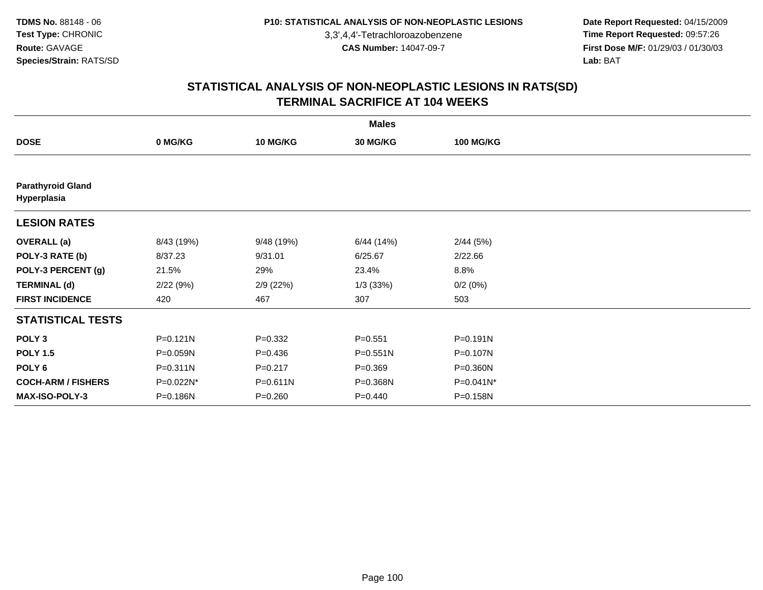**Date Report Requested:** 04/15/2009 **Time Report Requested:** 09:57:26 **First Dose M/F:** 01/29/03 / 01/30/03<br>Lab: BAT **Lab:** BAT

|                                         |              |                 | <b>Males</b>    |                  |  |
|-----------------------------------------|--------------|-----------------|-----------------|------------------|--|
| <b>DOSE</b>                             | 0 MG/KG      | <b>10 MG/KG</b> | <b>30 MG/KG</b> | <b>100 MG/KG</b> |  |
|                                         |              |                 |                 |                  |  |
| <b>Parathyroid Gland</b><br>Hyperplasia |              |                 |                 |                  |  |
| <b>LESION RATES</b>                     |              |                 |                 |                  |  |
| <b>OVERALL</b> (a)                      | 8/43 (19%)   | 9/48 (19%)      | 6/44 (14%)      | 2/44(5%)         |  |
| POLY-3 RATE (b)                         | 8/37.23      | 9/31.01         | 6/25.67         | 2/22.66          |  |
| POLY-3 PERCENT (g)                      | 21.5%        | 29%             | 23.4%           | 8.8%             |  |
| <b>TERMINAL (d)</b>                     | 2/22(9%)     | 2/9 (22%)       | 1/3(33%)        | 0/2(0%)          |  |
| <b>FIRST INCIDENCE</b>                  | 420          | 467             | 307             | 503              |  |
| <b>STATISTICAL TESTS</b>                |              |                 |                 |                  |  |
| POLY <sub>3</sub>                       | P=0.121N     | $P = 0.332$     | $P = 0.551$     | $P = 0.191N$     |  |
| <b>POLY 1.5</b>                         | P=0.059N     | $P = 0.436$     | $P = 0.551N$    | P=0.107N         |  |
| POLY <sub>6</sub>                       | $P = 0.311N$ | $P = 0.217$     | $P = 0.369$     | P=0.360N         |  |
| <b>COCH-ARM / FISHERS</b>               | P=0.022N*    | P=0.611N        | P=0.368N        | $P=0.041N^*$     |  |
| <b>MAX-ISO-POLY-3</b>                   | P=0.186N     | $P = 0.260$     | $P = 0.440$     | P=0.158N         |  |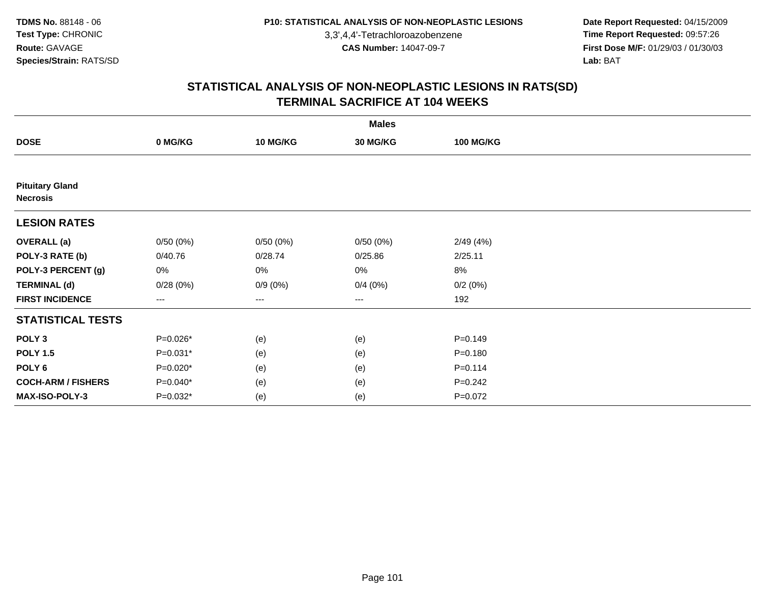**Date Report Requested:** 04/15/2009 **Time Report Requested:** 09:57:26 **First Dose M/F:** 01/29/03 / 01/30/03<br>Lab: BAT **Lab:** BAT

| <b>Males</b>                              |                   |                   |          |                  |  |  |  |
|-------------------------------------------|-------------------|-------------------|----------|------------------|--|--|--|
| <b>DOSE</b>                               | 0 MG/KG           | <b>10 MG/KG</b>   | 30 MG/KG | <b>100 MG/KG</b> |  |  |  |
|                                           |                   |                   |          |                  |  |  |  |
| <b>Pituitary Gland</b><br><b>Necrosis</b> |                   |                   |          |                  |  |  |  |
| <b>LESION RATES</b>                       |                   |                   |          |                  |  |  |  |
| <b>OVERALL</b> (a)                        | 0/50(0%)          | 0/50(0%)          | 0/50(0%) | 2/49(4%)         |  |  |  |
| POLY-3 RATE (b)                           | 0/40.76           | 0/28.74           | 0/25.86  | 2/25.11          |  |  |  |
| POLY-3 PERCENT (g)                        | 0%                | 0%                | 0%       | 8%               |  |  |  |
| <b>TERMINAL (d)</b>                       | 0/28(0%)          | $0/9(0\%)$        | 0/4(0%)  | 0/2(0%)          |  |  |  |
| <b>FIRST INCIDENCE</b>                    | $\qquad \qquad -$ | $\qquad \qquad -$ | ---      | 192              |  |  |  |
| <b>STATISTICAL TESTS</b>                  |                   |                   |          |                  |  |  |  |
| POLY <sub>3</sub>                         | P=0.026*          | (e)               | (e)      | $P = 0.149$      |  |  |  |
| <b>POLY 1.5</b>                           | $P=0.031*$        | (e)               | (e)      | $P = 0.180$      |  |  |  |
| POLY <sub>6</sub>                         | $P=0.020*$        | (e)               | (e)      | $P = 0.114$      |  |  |  |
| <b>COCH-ARM / FISHERS</b>                 | $P=0.040*$        | (e)               | (e)      | $P=0.242$        |  |  |  |
| MAX-ISO-POLY-3                            | $P=0.032*$        | (e)               | (e)      | $P=0.072$        |  |  |  |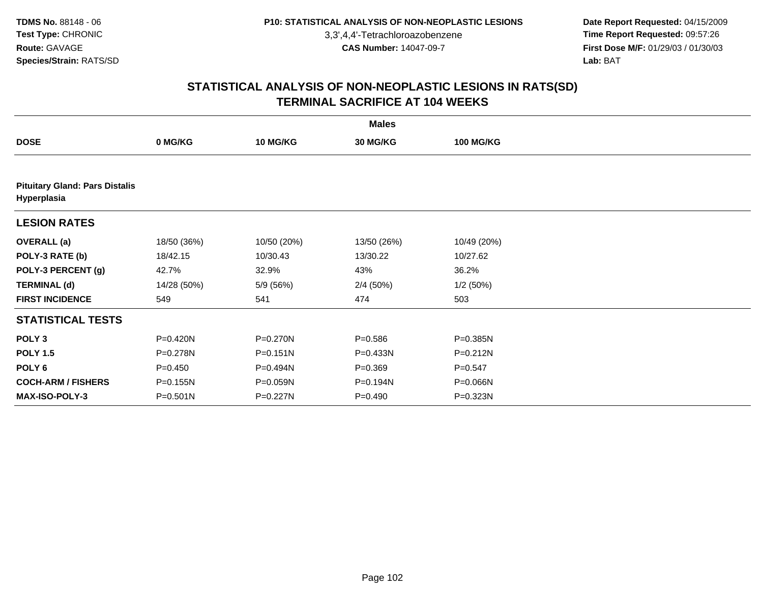**Date Report Requested:** 04/15/2009 **Time Report Requested:** 09:57:26 **First Dose M/F:** 01/29/03 / 01/30/03<br>Lab: BAT **Lab:** BAT

| <b>Males</b>                                         |             |                 |             |                  |  |  |  |
|------------------------------------------------------|-------------|-----------------|-------------|------------------|--|--|--|
| <b>DOSE</b>                                          | 0 MG/KG     | <b>10 MG/KG</b> | 30 MG/KG    | <b>100 MG/KG</b> |  |  |  |
|                                                      |             |                 |             |                  |  |  |  |
| <b>Pituitary Gland: Pars Distalis</b><br>Hyperplasia |             |                 |             |                  |  |  |  |
| <b>LESION RATES</b>                                  |             |                 |             |                  |  |  |  |
| <b>OVERALL</b> (a)                                   | 18/50 (36%) | 10/50 (20%)     | 13/50 (26%) | 10/49 (20%)      |  |  |  |
| POLY-3 RATE (b)                                      | 18/42.15    | 10/30.43        | 13/30.22    | 10/27.62         |  |  |  |
| POLY-3 PERCENT (g)                                   | 42.7%       | 32.9%           | 43%         | 36.2%            |  |  |  |
| <b>TERMINAL (d)</b>                                  | 14/28 (50%) | 5/9 (56%)       | 2/4(50%)    | 1/2(50%)         |  |  |  |
| <b>FIRST INCIDENCE</b>                               | 549         | 541             | 474         | 503              |  |  |  |
| <b>STATISTICAL TESTS</b>                             |             |                 |             |                  |  |  |  |
| POLY <sub>3</sub>                                    | P=0.420N    | P=0.270N        | $P = 0.586$ | P=0.385N         |  |  |  |
| <b>POLY 1.5</b>                                      | P=0.278N    | $P = 0.151N$    | P=0.433N    | P=0.212N         |  |  |  |
| POLY 6                                               | $P=0.450$   | P=0.494N        | $P = 0.369$ | $P = 0.547$      |  |  |  |
| <b>COCH-ARM / FISHERS</b>                            | P=0.155N    | P=0.059N        | P=0.194N    | P=0.066N         |  |  |  |
| <b>MAX-ISO-POLY-3</b>                                | P=0.501N    | P=0.227N        | $P = 0.490$ | P=0.323N         |  |  |  |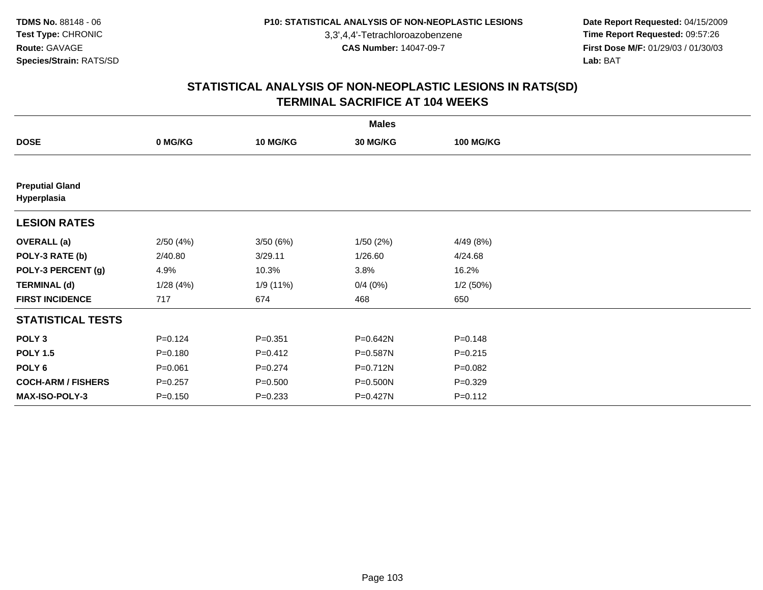**Date Report Requested:** 04/15/2009 **Time Report Requested:** 09:57:26 **First Dose M/F:** 01/29/03 / 01/30/03<br>Lab: BAT **Lab:** BAT

|                                       |             |             | <b>Males</b> |                  |  |
|---------------------------------------|-------------|-------------|--------------|------------------|--|
| <b>DOSE</b>                           | 0 MG/KG     | 10 MG/KG    | 30 MG/KG     | <b>100 MG/KG</b> |  |
|                                       |             |             |              |                  |  |
| <b>Preputial Gland</b><br>Hyperplasia |             |             |              |                  |  |
| <b>LESION RATES</b>                   |             |             |              |                  |  |
| <b>OVERALL</b> (a)                    | 2/50(4%)    | 3/50(6%)    | 1/50(2%)     | 4/49(8%)         |  |
| POLY-3 RATE (b)                       | 2/40.80     | 3/29.11     | 1/26.60      | 4/24.68          |  |
| POLY-3 PERCENT (g)                    | 4.9%        | 10.3%       | 3.8%         | 16.2%            |  |
| <b>TERMINAL (d)</b>                   | 1/28(4%)    | 1/9(11%)    | 0/4(0%)      | 1/2(50%)         |  |
| <b>FIRST INCIDENCE</b>                | 717         | 674         | 468          | 650              |  |
| <b>STATISTICAL TESTS</b>              |             |             |              |                  |  |
| POLY <sub>3</sub>                     | $P = 0.124$ | $P = 0.351$ | P=0.642N     | $P = 0.148$      |  |
| <b>POLY 1.5</b>                       | $P = 0.180$ | $P=0.412$   | P=0.587N     | $P = 0.215$      |  |
| POLY <sub>6</sub>                     | $P = 0.061$ | $P = 0.274$ | P=0.712N     | $P=0.082$        |  |
| <b>COCH-ARM / FISHERS</b>             | $P = 0.257$ | $P = 0.500$ | P=0.500N     | $P = 0.329$      |  |
| <b>MAX-ISO-POLY-3</b>                 | $P = 0.150$ | $P = 0.233$ | P=0.427N     | $P = 0.112$      |  |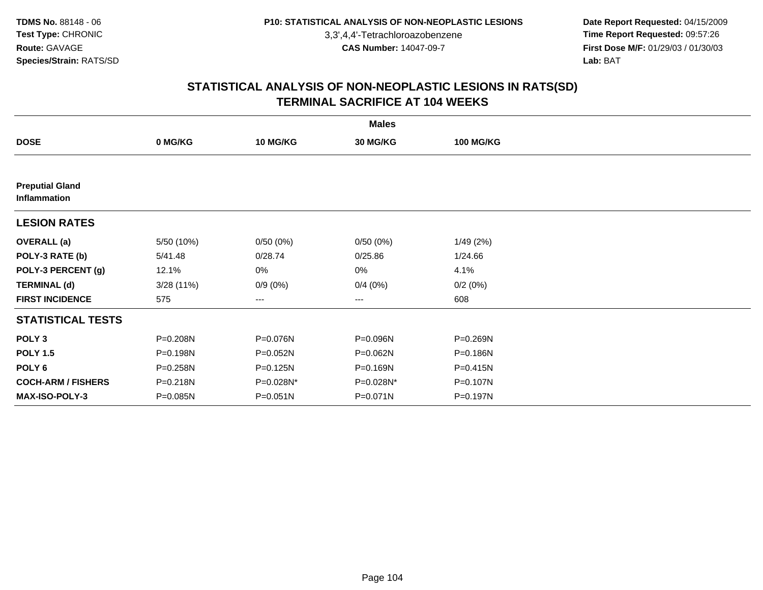**Date Report Requested:** 04/15/2009 **Time Report Requested:** 09:57:26 **First Dose M/F:** 01/29/03 / 01/30/03<br>Lab: BAT **Lab:** BAT

|                                        |            |                 | <b>Males</b>    |                  |  |
|----------------------------------------|------------|-----------------|-----------------|------------------|--|
| <b>DOSE</b>                            | 0 MG/KG    | <b>10 MG/KG</b> | <b>30 MG/KG</b> | <b>100 MG/KG</b> |  |
|                                        |            |                 |                 |                  |  |
| <b>Preputial Gland</b><br>Inflammation |            |                 |                 |                  |  |
| <b>LESION RATES</b>                    |            |                 |                 |                  |  |
| <b>OVERALL</b> (a)                     | 5/50 (10%) | 0/50(0%)        | 0/50(0%)        | 1/49(2%)         |  |
| POLY-3 RATE (b)                        | 5/41.48    | 0/28.74         | 0/25.86         | 1/24.66          |  |
| POLY-3 PERCENT (g)                     | 12.1%      | 0%              | 0%              | 4.1%             |  |
| <b>TERMINAL (d)</b>                    | 3/28(11%)  | $0/9(0\%)$      | 0/4(0%)         | 0/2(0%)          |  |
| <b>FIRST INCIDENCE</b>                 | 575        | ---             | ---             | 608              |  |
| <b>STATISTICAL TESTS</b>               |            |                 |                 |                  |  |
| POLY <sub>3</sub>                      | P=0.208N   | P=0.076N        | P=0.096N        | P=0.269N         |  |
| <b>POLY 1.5</b>                        | P=0.198N   | P=0.052N        | P=0.062N        | P=0.186N         |  |
| POLY <sub>6</sub>                      | P=0.258N   | P=0.125N        | P=0.169N        | $P = 0.415N$     |  |
| <b>COCH-ARM / FISHERS</b>              | P=0.218N   | P=0.028N*       | P=0.028N*       | P=0.107N         |  |
| <b>MAX-ISO-POLY-3</b>                  | P=0.085N   | P=0.051N        | P=0.071N        | P=0.197N         |  |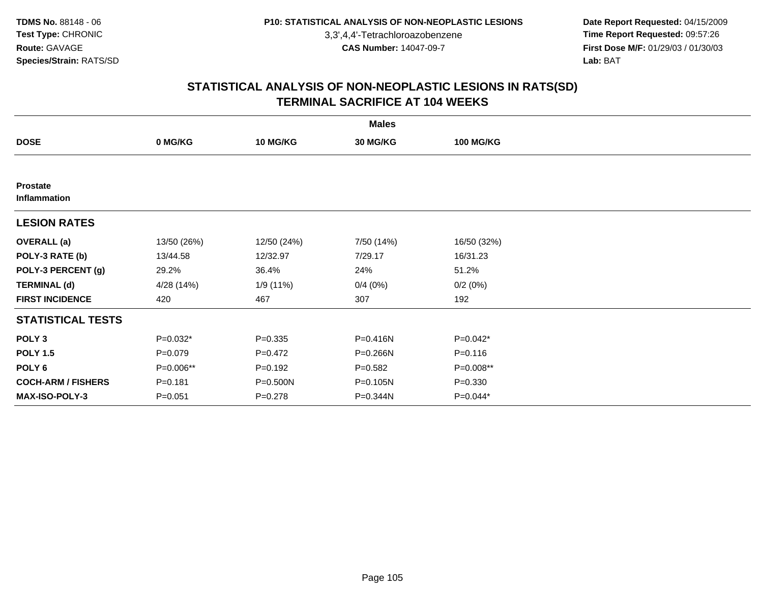**Date Report Requested:** 04/15/2009 **Time Report Requested:** 09:57:26 **First Dose M/F:** 01/29/03 / 01/30/03<br>Lab: BAT **Lab:** BAT

|                                 |             |                 | <b>Males</b>    |                  |  |
|---------------------------------|-------------|-----------------|-----------------|------------------|--|
| <b>DOSE</b>                     | 0 MG/KG     | <b>10 MG/KG</b> | <b>30 MG/KG</b> | <b>100 MG/KG</b> |  |
|                                 |             |                 |                 |                  |  |
| <b>Prostate</b><br>Inflammation |             |                 |                 |                  |  |
| <b>LESION RATES</b>             |             |                 |                 |                  |  |
| <b>OVERALL</b> (a)              | 13/50 (26%) | 12/50 (24%)     | 7/50 (14%)      | 16/50 (32%)      |  |
| POLY-3 RATE (b)                 | 13/44.58    | 12/32.97        | 7/29.17         | 16/31.23         |  |
| POLY-3 PERCENT (g)              | 29.2%       | 36.4%           | 24%             | 51.2%            |  |
| <b>TERMINAL (d)</b>             | 4/28 (14%)  | 1/9(11%)        | 0/4(0%)         | 0/2(0%)          |  |
| <b>FIRST INCIDENCE</b>          | 420         | 467             | 307             | 192              |  |
| <b>STATISTICAL TESTS</b>        |             |                 |                 |                  |  |
| POLY <sub>3</sub>               | $P=0.032*$  | $P = 0.335$     | P=0.416N        | $P=0.042*$       |  |
| <b>POLY 1.5</b>                 | $P=0.079$   | $P=0.472$       | P=0.266N        | $P = 0.116$      |  |
| POLY <sub>6</sub>               | P=0.006**   | $P=0.192$       | $P=0.582$       | P=0.008**        |  |
| <b>COCH-ARM / FISHERS</b>       | $P = 0.181$ | $P = 0.500N$    | P=0.105N        | $P = 0.330$      |  |
| <b>MAX-ISO-POLY-3</b>           | $P = 0.051$ | $P = 0.278$     | P=0.344N        | $P=0.044*$       |  |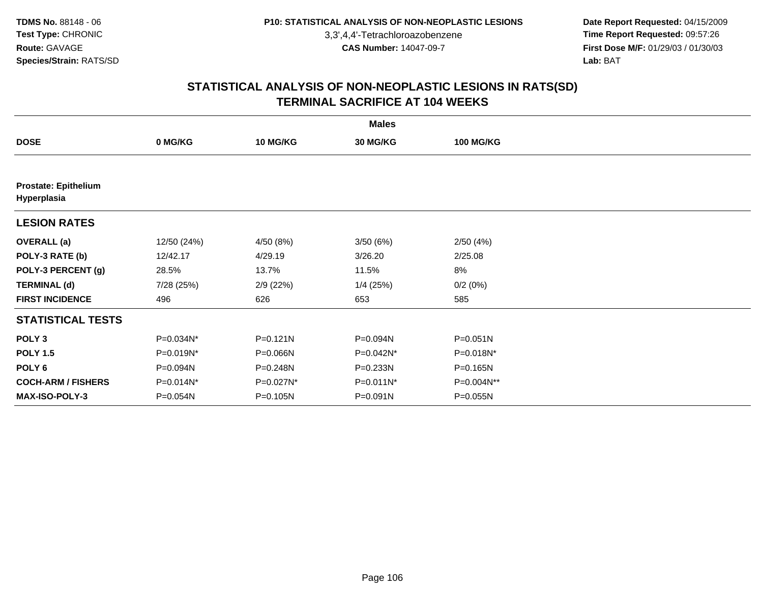**Date Report Requested:** 04/15/2009 **Time Report Requested:** 09:57:26 **First Dose M/F:** 01/29/03 / 01/30/03<br>Lab: BAT **Lab:** BAT

|                                            |             |                 | <b>Males</b>    |                  |  |
|--------------------------------------------|-------------|-----------------|-----------------|------------------|--|
| <b>DOSE</b>                                | 0 MG/KG     | <b>10 MG/KG</b> | <b>30 MG/KG</b> | <b>100 MG/KG</b> |  |
|                                            |             |                 |                 |                  |  |
| <b>Prostate: Epithelium</b><br>Hyperplasia |             |                 |                 |                  |  |
| <b>LESION RATES</b>                        |             |                 |                 |                  |  |
| <b>OVERALL</b> (a)                         | 12/50 (24%) | 4/50 (8%)       | 3/50(6%)        | 2/50(4%)         |  |
| POLY-3 RATE (b)                            | 12/42.17    | 4/29.19         | 3/26.20         | 2/25.08          |  |
| POLY-3 PERCENT (g)                         | 28.5%       | 13.7%           | 11.5%           | 8%               |  |
| <b>TERMINAL (d)</b>                        | 7/28 (25%)  | 2/9 (22%)       | $1/4$ (25%)     | 0/2(0%)          |  |
| <b>FIRST INCIDENCE</b>                     | 496         | 626             | 653             | 585              |  |
| <b>STATISTICAL TESTS</b>                   |             |                 |                 |                  |  |
| POLY <sub>3</sub>                          | P=0.034N*   | P=0.121N        | P=0.094N        | $P = 0.051N$     |  |
| <b>POLY 1.5</b>                            | P=0.019N*   | P=0.066N        | P=0.042N*       | P=0.018N*        |  |
| POLY <sub>6</sub>                          | P=0.094N    | P=0.248N        | P=0.233N        | P=0.165N         |  |
| <b>COCH-ARM / FISHERS</b>                  | P=0.014N*   | P=0.027N*       | P=0.011N*       | P=0.004N**       |  |
| <b>MAX-ISO-POLY-3</b>                      | P=0.054N    | P=0.105N        | $P = 0.091N$    | P=0.055N         |  |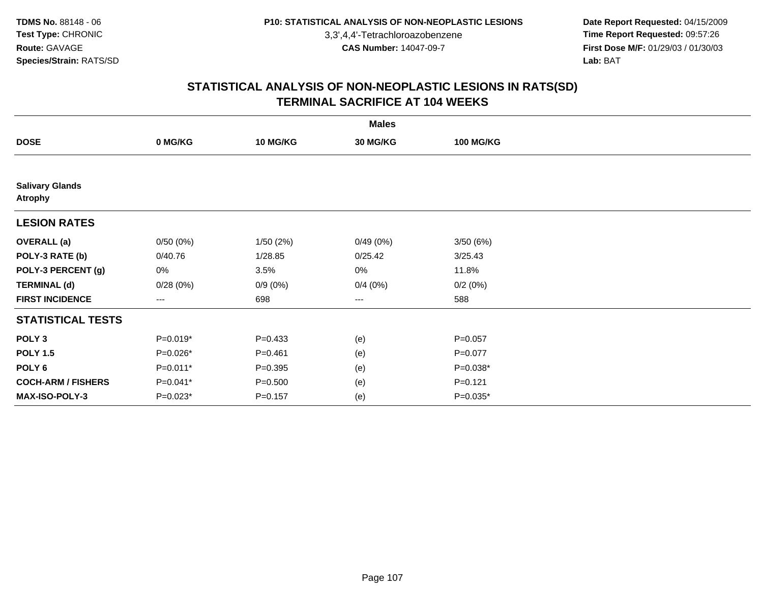**Date Report Requested:** 04/15/2009 **Time Report Requested:** 09:57:26 **First Dose M/F:** 01/29/03 / 01/30/03<br>Lab: BAT **Lab:** BAT

| <b>Males</b>                      |                        |                 |          |                  |  |  |  |
|-----------------------------------|------------------------|-----------------|----------|------------------|--|--|--|
| <b>DOSE</b>                       | 0 MG/KG                | <b>10 MG/KG</b> | 30 MG/KG | <b>100 MG/KG</b> |  |  |  |
|                                   |                        |                 |          |                  |  |  |  |
| <b>Salivary Glands</b><br>Atrophy |                        |                 |          |                  |  |  |  |
| <b>LESION RATES</b>               |                        |                 |          |                  |  |  |  |
| <b>OVERALL</b> (a)                | 0/50(0%)               | 1/50(2%)        | 0/49(0%) | 3/50(6%)         |  |  |  |
| POLY-3 RATE (b)                   | 0/40.76                | 1/28.85         | 0/25.42  | 3/25.43          |  |  |  |
| POLY-3 PERCENT (g)                | 0%                     | 3.5%            | 0%       | 11.8%            |  |  |  |
| <b>TERMINAL (d)</b>               | 0/28(0%)               | $0/9(0\%)$      | 0/4(0%)  | 0/2(0%)          |  |  |  |
| <b>FIRST INCIDENCE</b>            | $\qquad \qquad \cdots$ | 698             | ---      | 588              |  |  |  |
| <b>STATISTICAL TESTS</b>          |                        |                 |          |                  |  |  |  |
| POLY <sub>3</sub>                 | $P=0.019*$             | $P = 0.433$     | (e)      | $P = 0.057$      |  |  |  |
| <b>POLY 1.5</b>                   | P=0.026*               | $P = 0.461$     | (e)      | $P = 0.077$      |  |  |  |
| POLY <sub>6</sub>                 | P=0.011*               | $P=0.395$       | (e)      | $P=0.038*$       |  |  |  |
| <b>COCH-ARM / FISHERS</b>         | P=0.041*               | $P = 0.500$     | (e)      | $P = 0.121$      |  |  |  |
| MAX-ISO-POLY-3                    | $P=0.023*$             | $P = 0.157$     | (e)      | P=0.035*         |  |  |  |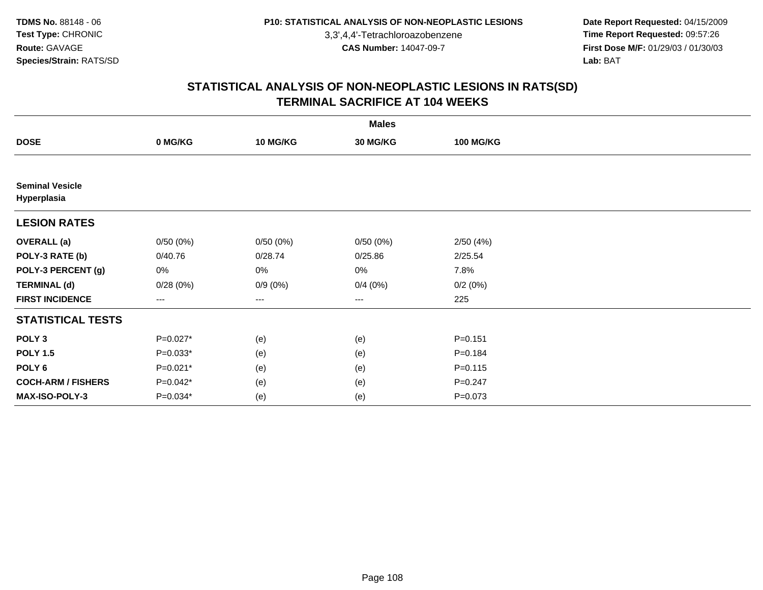**Date Report Requested:** 04/15/2009 **Time Report Requested:** 09:57:26 **First Dose M/F:** 01/29/03 / 01/30/03<br>Lab: BAT **Lab:** BAT

| <b>Males</b>                          |                        |                 |                 |                  |  |  |  |
|---------------------------------------|------------------------|-----------------|-----------------|------------------|--|--|--|
| <b>DOSE</b>                           | 0 MG/KG                | <b>10 MG/KG</b> | <b>30 MG/KG</b> | <b>100 MG/KG</b> |  |  |  |
|                                       |                        |                 |                 |                  |  |  |  |
| <b>Seminal Vesicle</b><br>Hyperplasia |                        |                 |                 |                  |  |  |  |
| <b>LESION RATES</b>                   |                        |                 |                 |                  |  |  |  |
| <b>OVERALL</b> (a)                    | 0/50(0%)               | 0/50(0%)        | 0/50(0%)        | 2/50(4%)         |  |  |  |
| POLY-3 RATE (b)                       | 0/40.76                | 0/28.74         | 0/25.86         | 2/25.54          |  |  |  |
| POLY-3 PERCENT (g)                    | 0%                     | 0%              | 0%              | 7.8%             |  |  |  |
| <b>TERMINAL (d)</b>                   | 0/28(0%)               | $0/9(0\%)$      | 0/4(0%)         | 0/2(0%)          |  |  |  |
| <b>FIRST INCIDENCE</b>                | $\qquad \qquad \cdots$ | ---             | ---             | 225              |  |  |  |
| <b>STATISTICAL TESTS</b>              |                        |                 |                 |                  |  |  |  |
| POLY <sub>3</sub>                     | $P=0.027*$             | (e)             | (e)             | $P = 0.151$      |  |  |  |
| <b>POLY 1.5</b>                       | $P=0.033*$             | (e)             | (e)             | $P = 0.184$      |  |  |  |
| POLY <sub>6</sub>                     | $P=0.021*$             | (e)             | (e)             | $P = 0.115$      |  |  |  |
| <b>COCH-ARM / FISHERS</b>             | $P=0.042*$             | (e)             | (e)             | $P = 0.247$      |  |  |  |
| <b>MAX-ISO-POLY-3</b>                 | $P=0.034*$             | (e)             | (e)             | $P = 0.073$      |  |  |  |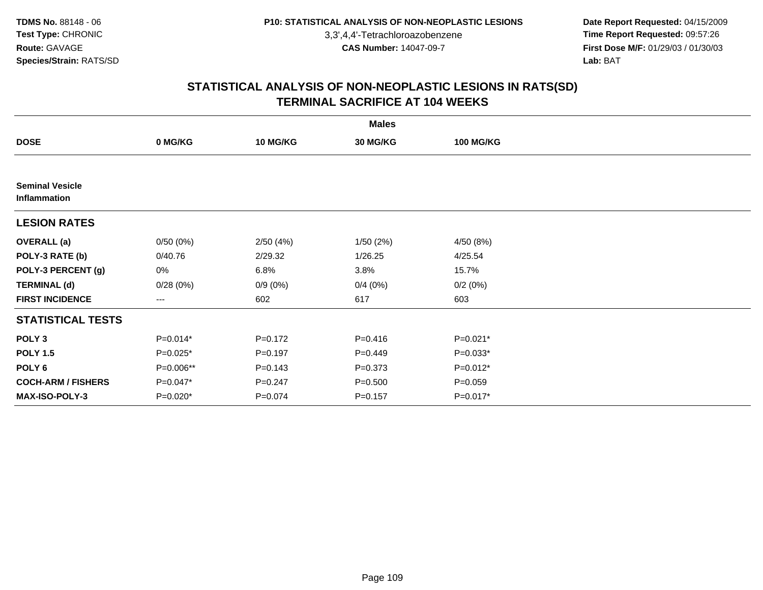**Date Report Requested:** 04/15/2009 **Time Report Requested:** 09:57:26 **First Dose M/F:** 01/29/03 / 01/30/03<br>Lab: BAT **Lab:** BAT

|                                        |            |                 | <b>Males</b>    |                  |  |
|----------------------------------------|------------|-----------------|-----------------|------------------|--|
| <b>DOSE</b>                            | 0 MG/KG    | <b>10 MG/KG</b> | <b>30 MG/KG</b> | <b>100 MG/KG</b> |  |
|                                        |            |                 |                 |                  |  |
| <b>Seminal Vesicle</b><br>Inflammation |            |                 |                 |                  |  |
| <b>LESION RATES</b>                    |            |                 |                 |                  |  |
| <b>OVERALL</b> (a)                     | 0/50(0%)   | 2/50(4%)        | 1/50(2%)        | 4/50 (8%)        |  |
| POLY-3 RATE (b)                        | 0/40.76    | 2/29.32         | 1/26.25         | 4/25.54          |  |
| POLY-3 PERCENT (g)                     | 0%         | 6.8%            | 3.8%            | 15.7%            |  |
| <b>TERMINAL (d)</b>                    | 0/28(0%)   | $0/9(0\%)$      | 0/4(0%)         | 0/2(0%)          |  |
| <b>FIRST INCIDENCE</b>                 | $---$      | 602             | 617             | 603              |  |
| <b>STATISTICAL TESTS</b>               |            |                 |                 |                  |  |
| POLY <sub>3</sub>                      | $P=0.014*$ | $P = 0.172$     | $P = 0.416$     | $P=0.021*$       |  |
| <b>POLY 1.5</b>                        | $P=0.025*$ | $P = 0.197$     | $P=0.449$       | $P=0.033*$       |  |
| POLY <sub>6</sub>                      | P=0.006**  | $P = 0.143$     | $P = 0.373$     | $P=0.012*$       |  |
| <b>COCH-ARM / FISHERS</b>              | $P=0.047*$ | $P = 0.247$     | $P = 0.500$     | $P=0.059$        |  |
| MAX-ISO-POLY-3                         | $P=0.020*$ | $P = 0.074$     | $P = 0.157$     | $P=0.017*$       |  |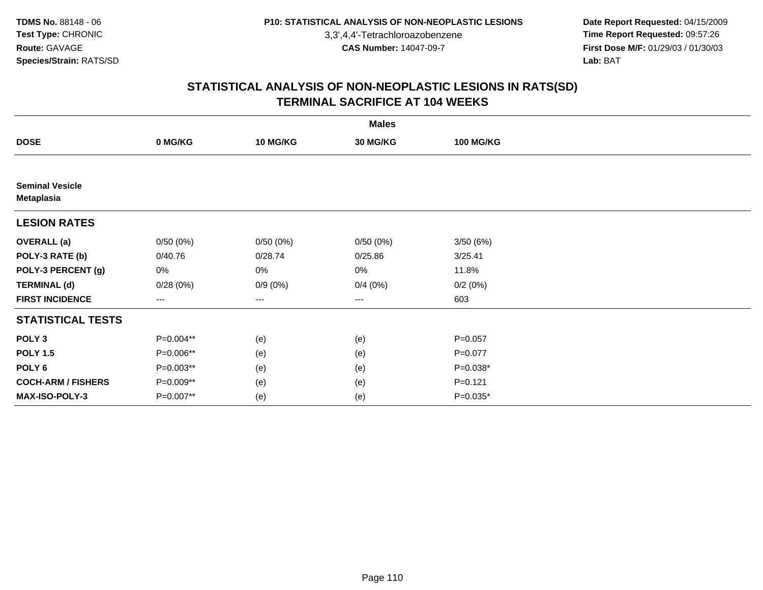**Date Report Requested:** 04/15/2009 **Time Report Requested:** 09:57:26 **First Dose M/F:** 01/29/03 / 01/30/03<br>Lab: BAT **Lab:** BAT

| <b>Males</b>                                |                   |                   |                 |                  |  |  |  |
|---------------------------------------------|-------------------|-------------------|-----------------|------------------|--|--|--|
| <b>DOSE</b>                                 | 0 MG/KG           | <b>10 MG/KG</b>   | <b>30 MG/KG</b> | <b>100 MG/KG</b> |  |  |  |
|                                             |                   |                   |                 |                  |  |  |  |
| <b>Seminal Vesicle</b><br><b>Metaplasia</b> |                   |                   |                 |                  |  |  |  |
| <b>LESION RATES</b>                         |                   |                   |                 |                  |  |  |  |
| <b>OVERALL</b> (a)                          | 0/50(0%)          | 0/50(0%)          | 0/50(0%)        | 3/50(6%)         |  |  |  |
| POLY-3 RATE (b)                             | 0/40.76           | 0/28.74           | 0/25.86         | 3/25.41          |  |  |  |
| POLY-3 PERCENT (g)                          | 0%                | $0\%$             | 0%              | 11.8%            |  |  |  |
| <b>TERMINAL (d)</b>                         | 0/28(0%)          | $0/9(0\%)$        | 0/4(0%)         | 0/2(0%)          |  |  |  |
| <b>FIRST INCIDENCE</b>                      | $\qquad \qquad -$ | $\qquad \qquad -$ | ---             | 603              |  |  |  |
| <b>STATISTICAL TESTS</b>                    |                   |                   |                 |                  |  |  |  |
| POLY <sub>3</sub>                           | P=0.004**         | (e)               | (e)             | $P = 0.057$      |  |  |  |
| <b>POLY 1.5</b>                             | P=0.006**         | (e)               | (e)             | $P=0.077$        |  |  |  |
| POLY <sub>6</sub>                           | P=0.003**         | (e)               | (e)             | $P=0.038*$       |  |  |  |
| <b>COCH-ARM / FISHERS</b>                   | P=0.009**         | (e)               | (e)             | $P = 0.121$      |  |  |  |
| <b>MAX-ISO-POLY-3</b>                       | P=0.007**         | (e)               | (e)             | $P=0.035*$       |  |  |  |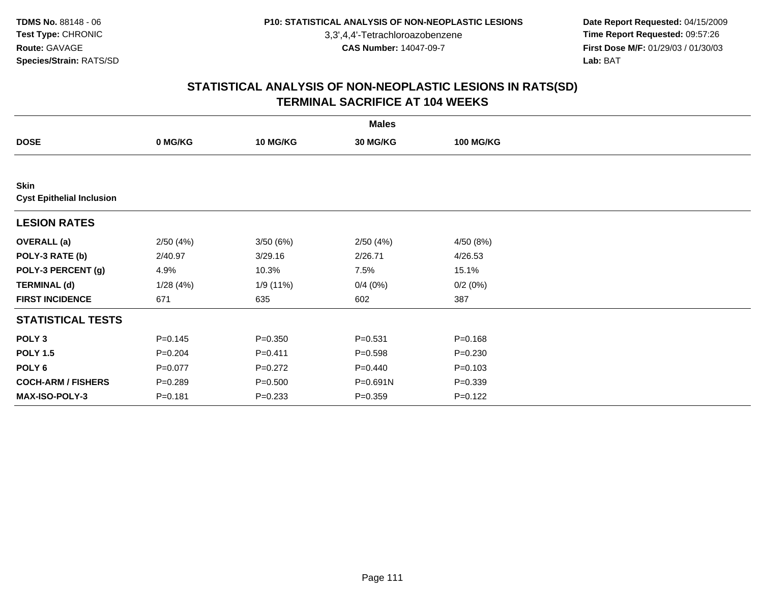**Date Report Requested:** 04/15/2009 **Time Report Requested:** 09:57:26 **First Dose M/F:** 01/29/03 / 01/30/03<br>Lab: BAT **Lab:** BAT

|                                                 |             |                 | <b>Males</b> |                  |  |
|-------------------------------------------------|-------------|-----------------|--------------|------------------|--|
| <b>DOSE</b>                                     | 0 MG/KG     | <b>10 MG/KG</b> | 30 MG/KG     | <b>100 MG/KG</b> |  |
|                                                 |             |                 |              |                  |  |
| <b>Skin</b><br><b>Cyst Epithelial Inclusion</b> |             |                 |              |                  |  |
| <b>LESION RATES</b>                             |             |                 |              |                  |  |
| <b>OVERALL</b> (a)                              | 2/50(4%)    | 3/50(6%)        | 2/50(4%)     | 4/50 (8%)        |  |
| POLY-3 RATE (b)                                 | 2/40.97     | 3/29.16         | 2/26.71      | 4/26.53          |  |
| POLY-3 PERCENT (g)                              | 4.9%        | 10.3%           | 7.5%         | 15.1%            |  |
| <b>TERMINAL (d)</b>                             | 1/28(4%)    | 1/9 (11%)       | 0/4(0%)      | 0/2(0%)          |  |
| <b>FIRST INCIDENCE</b>                          | 671         | 635             | 602          | 387              |  |
| <b>STATISTICAL TESTS</b>                        |             |                 |              |                  |  |
| POLY <sub>3</sub>                               | $P = 0.145$ | $P = 0.350$     | $P = 0.531$  | $P = 0.168$      |  |
| <b>POLY 1.5</b>                                 | $P=0.204$   | $P = 0.411$     | $P = 0.598$  | $P = 0.230$      |  |
| POLY <sub>6</sub>                               | $P=0.077$   | $P=0.272$       | $P=0.440$    | $P = 0.103$      |  |
| <b>COCH-ARM / FISHERS</b>                       | $P = 0.289$ | $P = 0.500$     | P=0.691N     | $P = 0.339$      |  |
| MAX-ISO-POLY-3                                  | $P = 0.181$ | $P = 0.233$     | $P = 0.359$  | $P = 0.122$      |  |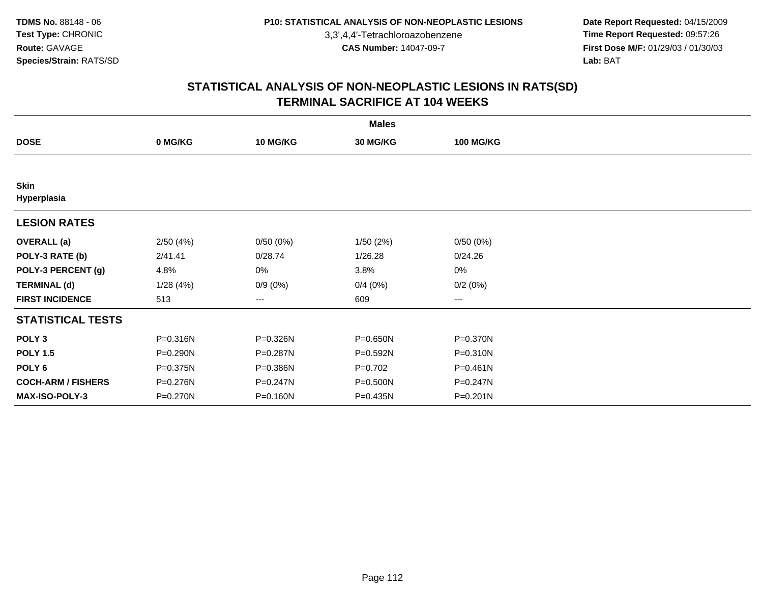**Date Report Requested:** 04/15/2009 **Time Report Requested:** 09:57:26 **First Dose M/F:** 01/29/03 / 01/30/03<br>Lab: BAT **Lab:** BAT

|                            |          |            | <b>Males</b> |                        |  |
|----------------------------|----------|------------|--------------|------------------------|--|
| <b>DOSE</b>                | 0 MG/KG  | 10 MG/KG   | 30 MG/KG     | <b>100 MG/KG</b>       |  |
|                            |          |            |              |                        |  |
| <b>Skin</b><br>Hyperplasia |          |            |              |                        |  |
| <b>LESION RATES</b>        |          |            |              |                        |  |
| <b>OVERALL</b> (a)         | 2/50(4%) | 0/50(0%)   | 1/50(2%)     | 0/50(0%)               |  |
| POLY-3 RATE (b)            | 2/41.41  | 0/28.74    | 1/26.28      | 0/24.26                |  |
| POLY-3 PERCENT (g)         | 4.8%     | 0%         | 3.8%         | 0%                     |  |
| <b>TERMINAL (d)</b>        | 1/28(4%) | $0/9(0\%)$ | 0/4(0%)      | 0/2(0%)                |  |
| <b>FIRST INCIDENCE</b>     | 513      | ---        | 609          | $\qquad \qquad \cdots$ |  |
| <b>STATISTICAL TESTS</b>   |          |            |              |                        |  |
| POLY <sub>3</sub>          | P=0.316N | P=0.326N   | P=0.650N     | P=0.370N               |  |
| <b>POLY 1.5</b>            | P=0.290N | P=0.287N   | P=0.592N     | P=0.310N               |  |
| POLY <sub>6</sub>          | P=0.375N | P=0.386N   | $P=0.702$    | P=0.461N               |  |
| <b>COCH-ARM / FISHERS</b>  | P=0.276N | P=0.247N   | P=0.500N     | P=0.247N               |  |
| <b>MAX-ISO-POLY-3</b>      | P=0.270N | P=0.160N   | P=0.435N     | P=0.201N               |  |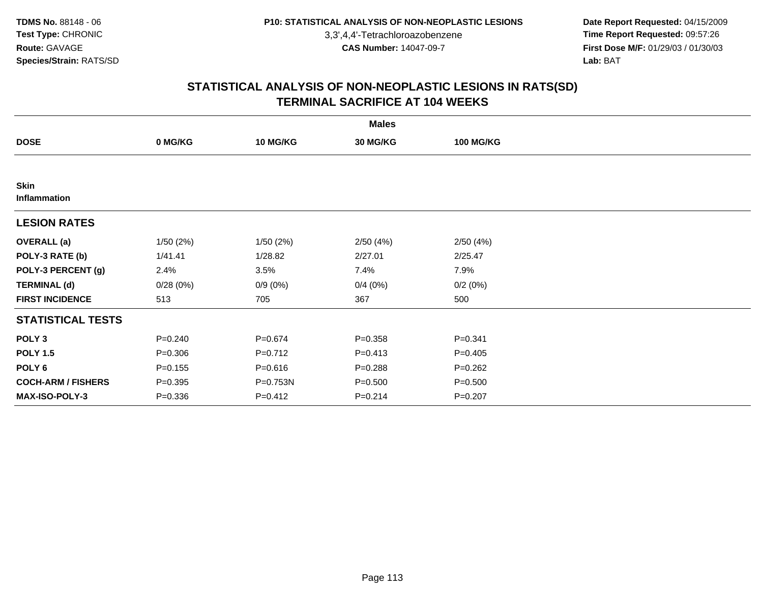**Date Report Requested:** 04/15/2009 **Time Report Requested:** 09:57:26 **First Dose M/F:** 01/29/03 / 01/30/03<br>Lab: BAT **Lab:** BAT

|                             |             |                 | <b>Males</b>    |                  |  |
|-----------------------------|-------------|-----------------|-----------------|------------------|--|
| <b>DOSE</b>                 | 0 MG/KG     | <b>10 MG/KG</b> | <b>30 MG/KG</b> | <b>100 MG/KG</b> |  |
|                             |             |                 |                 |                  |  |
| <b>Skin</b><br>Inflammation |             |                 |                 |                  |  |
| <b>LESION RATES</b>         |             |                 |                 |                  |  |
| <b>OVERALL</b> (a)          | 1/50(2%)    | 1/50(2%)        | 2/50(4%)        | 2/50(4%)         |  |
| POLY-3 RATE (b)             | 1/41.41     | 1/28.82         | 2/27.01         | 2/25.47          |  |
| POLY-3 PERCENT (g)          | 2.4%        | 3.5%            | 7.4%            | 7.9%             |  |
| <b>TERMINAL (d)</b>         | 0/28(0%)    | $0/9(0\%)$      | 0/4(0%)         | 0/2(0%)          |  |
| <b>FIRST INCIDENCE</b>      | 513         | 705             | 367             | 500              |  |
| <b>STATISTICAL TESTS</b>    |             |                 |                 |                  |  |
| POLY <sub>3</sub>           | $P = 0.240$ | $P = 0.674$     | $P = 0.358$     | $P = 0.341$      |  |
| <b>POLY 1.5</b>             | $P = 0.306$ | $P=0.712$       | $P = 0.413$     | $P=0.405$        |  |
| POLY <sub>6</sub>           | $P = 0.155$ | $P = 0.616$     | $P = 0.288$     | $P = 0.262$      |  |
| <b>COCH-ARM / FISHERS</b>   | $P=0.395$   | P=0.753N        | $P = 0.500$     | $P = 0.500$      |  |
| MAX-ISO-POLY-3              | $P = 0.336$ | $P=0.412$       | $P = 0.214$     | $P=0.207$        |  |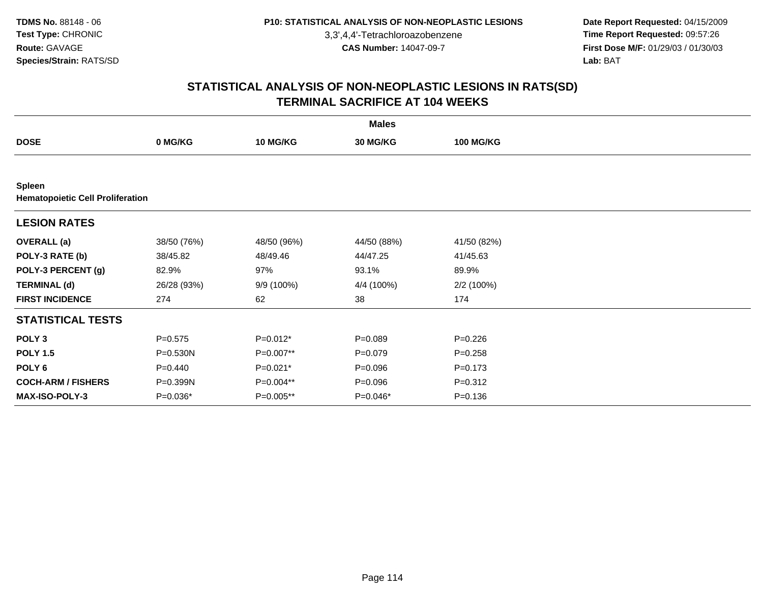**Date Report Requested:** 04/15/2009 **Time Report Requested:** 09:57:26 **First Dose M/F:** 01/29/03 / 01/30/03<br>Lab: BAT **Lab:** BAT

|                                                          | <b>Males</b> |                 |             |                  |  |  |  |  |
|----------------------------------------------------------|--------------|-----------------|-------------|------------------|--|--|--|--|
| <b>DOSE</b>                                              | 0 MG/KG      | <b>10 MG/KG</b> | 30 MG/KG    | <b>100 MG/KG</b> |  |  |  |  |
|                                                          |              |                 |             |                  |  |  |  |  |
| <b>Spleen</b><br><b>Hematopoietic Cell Proliferation</b> |              |                 |             |                  |  |  |  |  |
| <b>LESION RATES</b>                                      |              |                 |             |                  |  |  |  |  |
| <b>OVERALL</b> (a)                                       | 38/50 (76%)  | 48/50 (96%)     | 44/50 (88%) | 41/50 (82%)      |  |  |  |  |
| POLY-3 RATE (b)                                          | 38/45.82     | 48/49.46        | 44/47.25    | 41/45.63         |  |  |  |  |
| POLY-3 PERCENT (g)                                       | 82.9%        | 97%             | 93.1%       | 89.9%            |  |  |  |  |
| <b>TERMINAL (d)</b>                                      | 26/28 (93%)  | 9/9 (100%)      | 4/4 (100%)  | 2/2 (100%)       |  |  |  |  |
| <b>FIRST INCIDENCE</b>                                   | 274          | 62              | 38          | 174              |  |  |  |  |
| <b>STATISTICAL TESTS</b>                                 |              |                 |             |                  |  |  |  |  |
| POLY <sub>3</sub>                                        | $P = 0.575$  | $P=0.012*$      | $P = 0.089$ | $P=0.226$        |  |  |  |  |
| <b>POLY 1.5</b>                                          | P=0.530N     | P=0.007**       | $P = 0.079$ | $P = 0.258$      |  |  |  |  |
| POLY <sub>6</sub>                                        | $P=0.440$    | P=0.021*        | $P = 0.096$ | $P = 0.173$      |  |  |  |  |
| <b>COCH-ARM / FISHERS</b>                                | P=0.399N     | P=0.004**       | $P = 0.096$ | $P = 0.312$      |  |  |  |  |
| <b>MAX-ISO-POLY-3</b>                                    | $P=0.036*$   | P=0.005**       | P=0.046*    | $P = 0.136$      |  |  |  |  |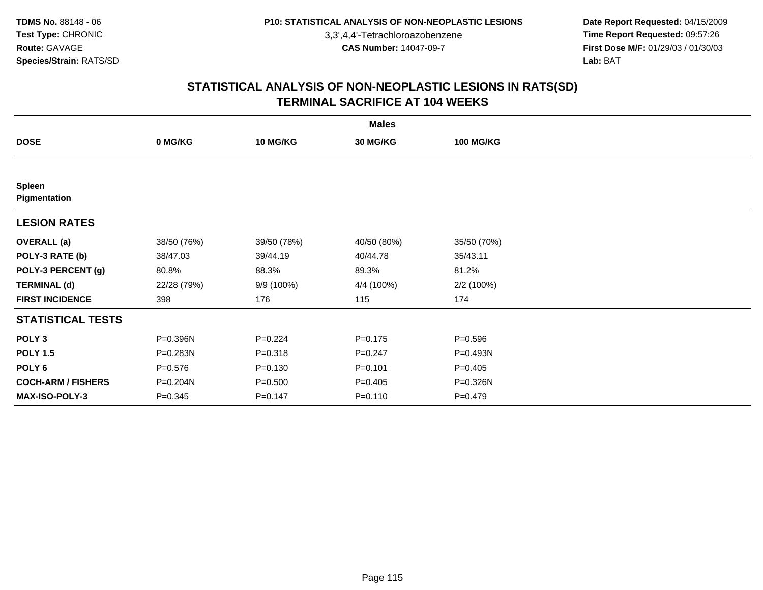**Date Report Requested:** 04/15/2009 **Time Report Requested:** 09:57:26 **First Dose M/F:** 01/29/03 / 01/30/03<br>Lab: BAT **Lab:** BAT

| <b>Males</b>                  |             |                 |             |                  |  |  |  |
|-------------------------------|-------------|-----------------|-------------|------------------|--|--|--|
| <b>DOSE</b>                   | 0 MG/KG     | <b>10 MG/KG</b> | 30 MG/KG    | <b>100 MG/KG</b> |  |  |  |
|                               |             |                 |             |                  |  |  |  |
| <b>Spleen</b><br>Pigmentation |             |                 |             |                  |  |  |  |
| <b>LESION RATES</b>           |             |                 |             |                  |  |  |  |
| <b>OVERALL (a)</b>            | 38/50 (76%) | 39/50 (78%)     | 40/50 (80%) | 35/50 (70%)      |  |  |  |
| POLY-3 RATE (b)               | 38/47.03    | 39/44.19        | 40/44.78    | 35/43.11         |  |  |  |
| POLY-3 PERCENT (g)            | 80.8%       | 88.3%           | 89.3%       | 81.2%            |  |  |  |
| <b>TERMINAL (d)</b>           | 22/28 (79%) | 9/9 (100%)      | 4/4 (100%)  | 2/2 (100%)       |  |  |  |
| <b>FIRST INCIDENCE</b>        | 398         | 176             | 115         | 174              |  |  |  |
| <b>STATISTICAL TESTS</b>      |             |                 |             |                  |  |  |  |
| POLY <sub>3</sub>             | P=0.396N    | $P=0.224$       | $P = 0.175$ | $P = 0.596$      |  |  |  |
| <b>POLY 1.5</b>               | P=0.283N    | $P = 0.318$     | $P = 0.247$ | P=0.493N         |  |  |  |
| POLY <sub>6</sub>             | $P = 0.576$ | $P = 0.130$     | $P = 0.101$ | $P = 0.405$      |  |  |  |
| <b>COCH-ARM / FISHERS</b>     | P=0.204N    | $P = 0.500$     | $P=0.405$   | P=0.326N         |  |  |  |
| <b>MAX-ISO-POLY-3</b>         | $P = 0.345$ | $P = 0.147$     | $P = 0.110$ | $P = 0.479$      |  |  |  |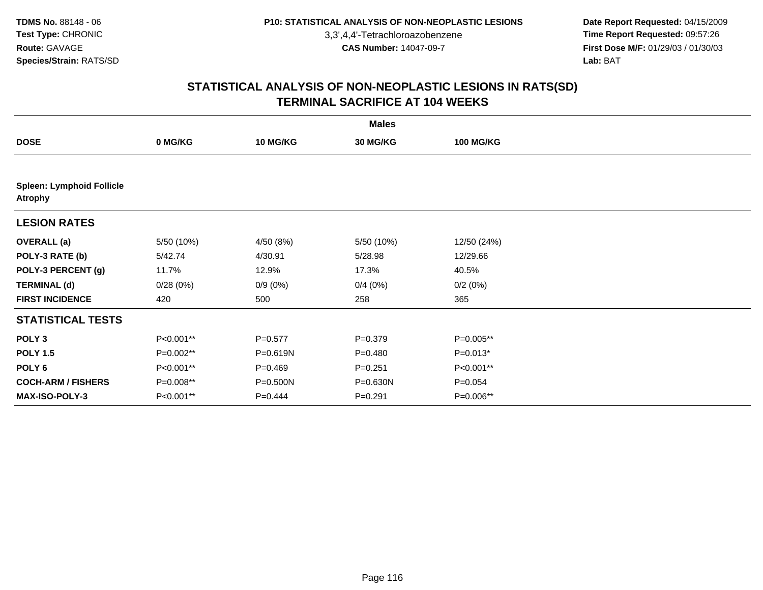**Date Report Requested:** 04/15/2009 **Time Report Requested:** 09:57:26 **First Dose M/F:** 01/29/03 / 01/30/03<br>Lab: BAT **Lab:** BAT

|                                                    |            |                 | <b>Males</b> |                  |  |
|----------------------------------------------------|------------|-----------------|--------------|------------------|--|
| <b>DOSE</b>                                        | 0 MG/KG    | <b>10 MG/KG</b> | 30 MG/KG     | <b>100 MG/KG</b> |  |
|                                                    |            |                 |              |                  |  |
| <b>Spleen: Lymphoid Follicle</b><br><b>Atrophy</b> |            |                 |              |                  |  |
| <b>LESION RATES</b>                                |            |                 |              |                  |  |
| <b>OVERALL</b> (a)                                 | 5/50 (10%) | 4/50 (8%)       | 5/50 (10%)   | 12/50 (24%)      |  |
| POLY-3 RATE (b)                                    | 5/42.74    | 4/30.91         | 5/28.98      | 12/29.66         |  |
| POLY-3 PERCENT (g)                                 | 11.7%      | 12.9%           | 17.3%        | 40.5%            |  |
| <b>TERMINAL (d)</b>                                | 0/28(0%)   | $0/9(0\%)$      | 0/4(0%)      | 0/2(0%)          |  |
| <b>FIRST INCIDENCE</b>                             | 420        | 500             | 258          | 365              |  |
| <b>STATISTICAL TESTS</b>                           |            |                 |              |                  |  |
| POLY <sub>3</sub>                                  | P<0.001**  | $P = 0.577$     | $P = 0.379$  | P=0.005**        |  |
| <b>POLY 1.5</b>                                    | P=0.002**  | P=0.619N        | $P=0.480$    | $P=0.013*$       |  |
| POLY <sub>6</sub>                                  | P<0.001**  | $P=0.469$       | $P=0.251$    | P<0.001**        |  |
| <b>COCH-ARM / FISHERS</b>                          | P=0.008**  | P=0.500N        | P=0.630N     | $P = 0.054$      |  |
| MAX-ISO-POLY-3                                     | P<0.001**  | $P=0.444$       | $P = 0.291$  | P=0.006**        |  |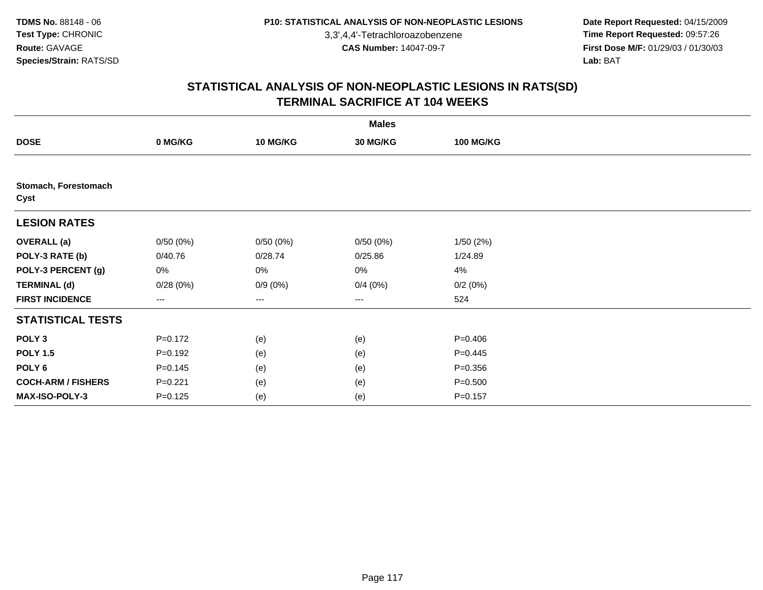**Date Report Requested:** 04/15/2009 **Time Report Requested:** 09:57:26 **First Dose M/F:** 01/29/03 / 01/30/03<br>Lab: BAT **Lab:** BAT

|                              |                   |            | <b>Males</b>    |                  |  |
|------------------------------|-------------------|------------|-----------------|------------------|--|
| <b>DOSE</b>                  | 0 MG/KG           | 10 MG/KG   | <b>30 MG/KG</b> | <b>100 MG/KG</b> |  |
|                              |                   |            |                 |                  |  |
| Stomach, Forestomach<br>Cyst |                   |            |                 |                  |  |
| <b>LESION RATES</b>          |                   |            |                 |                  |  |
| <b>OVERALL</b> (a)           | 0/50(0%)          | 0/50(0%)   | 0/50(0%)        | 1/50(2%)         |  |
| POLY-3 RATE (b)              | 0/40.76           | 0/28.74    | 0/25.86         | 1/24.89          |  |
| POLY-3 PERCENT (g)           | 0%                | 0%         | 0%              | 4%               |  |
| <b>TERMINAL (d)</b>          | 0/28(0%)          | $0/9(0\%)$ | 0/4(0%)         | 0/2(0%)          |  |
| <b>FIRST INCIDENCE</b>       | $\qquad \qquad -$ | ---        | ---             | 524              |  |
| <b>STATISTICAL TESTS</b>     |                   |            |                 |                  |  |
| POLY <sub>3</sub>            | $P=0.172$         | (e)        | (e)             | $P = 0.406$      |  |
| <b>POLY 1.5</b>              | $P = 0.192$       | (e)        | (e)             | $P=0.445$        |  |
| POLY <sub>6</sub>            | $P = 0.145$       | (e)        | (e)             | $P = 0.356$      |  |
| <b>COCH-ARM / FISHERS</b>    | $P = 0.221$       | (e)        | (e)             | $P = 0.500$      |  |
| MAX-ISO-POLY-3               | $P = 0.125$       | (e)        | (e)             | $P = 0.157$      |  |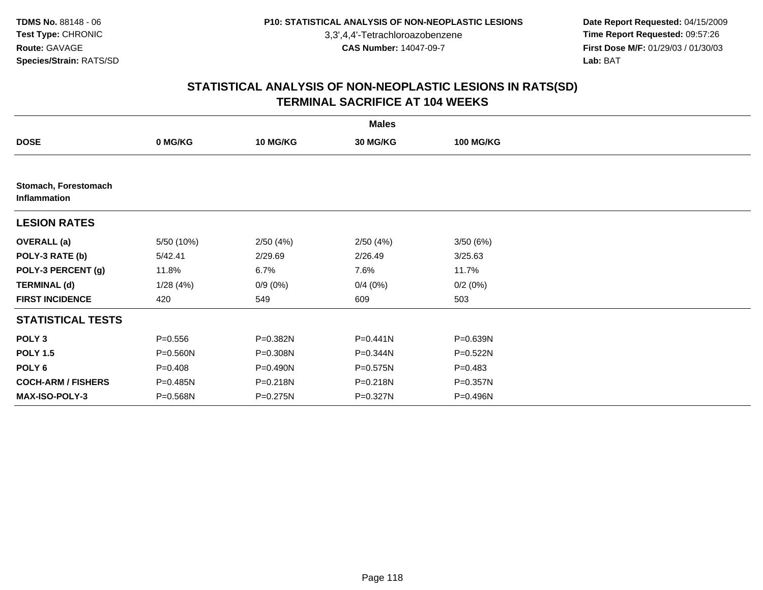**Date Report Requested:** 04/15/2009 **Time Report Requested:** 09:57:26 **First Dose M/F:** 01/29/03 / 01/30/03<br>Lab: BAT **Lab:** BAT

|                                      |             |            | <b>Males</b> |                  |  |
|--------------------------------------|-------------|------------|--------------|------------------|--|
| <b>DOSE</b>                          | 0 MG/KG     | 10 MG/KG   | 30 MG/KG     | <b>100 MG/KG</b> |  |
|                                      |             |            |              |                  |  |
| Stomach, Forestomach<br>Inflammation |             |            |              |                  |  |
| <b>LESION RATES</b>                  |             |            |              |                  |  |
| <b>OVERALL</b> (a)                   | 5/50 (10%)  | 2/50(4%)   | 2/50(4%)     | 3/50(6%)         |  |
| POLY-3 RATE (b)                      | 5/42.41     | 2/29.69    | 2/26.49      | 3/25.63          |  |
| POLY-3 PERCENT (g)                   | 11.8%       | 6.7%       | 7.6%         | 11.7%            |  |
| <b>TERMINAL (d)</b>                  | 1/28(4%)    | $0/9(0\%)$ | 0/4(0%)      | 0/2(0%)          |  |
| <b>FIRST INCIDENCE</b>               | 420         | 549        | 609          | 503              |  |
| <b>STATISTICAL TESTS</b>             |             |            |              |                  |  |
| POLY <sub>3</sub>                    | $P = 0.556$ | P=0.382N   | $P = 0.441N$ | P=0.639N         |  |
| <b>POLY 1.5</b>                      | P=0.560N    | P=0.308N   | P=0.344N     | P=0.522N         |  |
| POLY 6                               | $P=0.408$   | P=0.490N   | P=0.575N     | $P = 0.483$      |  |
| <b>COCH-ARM / FISHERS</b>            | P=0.485N    | P=0.218N   | P=0.218N     | P=0.357N         |  |
| <b>MAX-ISO-POLY-3</b>                | P=0.568N    | P=0.275N   | P=0.327N     | P=0.496N         |  |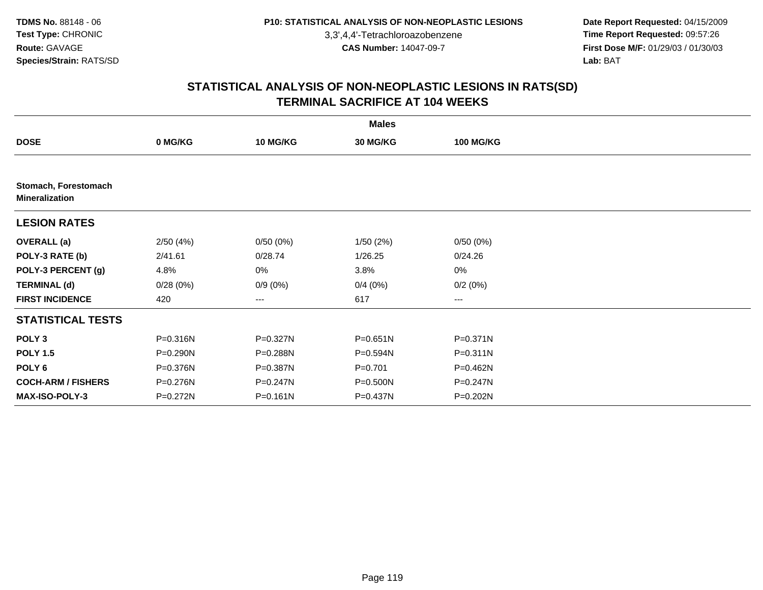**Date Report Requested:** 04/15/2009 **Time Report Requested:** 09:57:26 **First Dose M/F:** 01/29/03 / 01/30/03<br>Lab: BAT **Lab:** BAT

|                                               |          |              | <b>Males</b> |                  |  |
|-----------------------------------------------|----------|--------------|--------------|------------------|--|
| <b>DOSE</b>                                   | 0 MG/KG  | 10 MG/KG     | 30 MG/KG     | <b>100 MG/KG</b> |  |
|                                               |          |              |              |                  |  |
| Stomach, Forestomach<br><b>Mineralization</b> |          |              |              |                  |  |
| <b>LESION RATES</b>                           |          |              |              |                  |  |
| <b>OVERALL</b> (a)                            | 2/50(4%) | 0/50(0%)     | 1/50(2%)     | 0/50(0%)         |  |
| POLY-3 RATE (b)                               | 2/41.61  | 0/28.74      | 1/26.25      | 0/24.26          |  |
| POLY-3 PERCENT (g)                            | 4.8%     | 0%           | 3.8%         | 0%               |  |
| <b>TERMINAL (d)</b>                           | 0/28(0%) | $0/9(0\%)$   | 0/4(0%)      | 0/2(0%)          |  |
| <b>FIRST INCIDENCE</b>                        | 420      | ---          | 617          | ---              |  |
| <b>STATISTICAL TESTS</b>                      |          |              |              |                  |  |
| POLY <sub>3</sub>                             | P=0.316N | P=0.327N     | $P = 0.651N$ | P=0.371N         |  |
| <b>POLY 1.5</b>                               | P=0.290N | P=0.288N     | P=0.594N     | P=0.311N         |  |
| POLY 6                                        | P=0.376N | P=0.387N     | $P = 0.701$  | P=0.462N         |  |
| <b>COCH-ARM / FISHERS</b>                     | P=0.276N | P=0.247N     | P=0.500N     | P=0.247N         |  |
| <b>MAX-ISO-POLY-3</b>                         | P=0.272N | $P = 0.161N$ | P=0.437N     | P=0.202N         |  |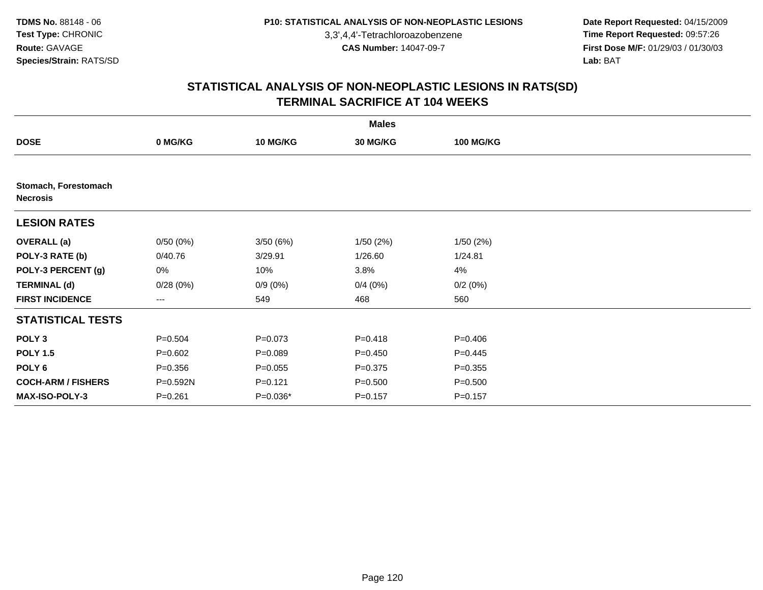**Date Report Requested:** 04/15/2009 **Time Report Requested:** 09:57:26 **First Dose M/F:** 01/29/03 / 01/30/03<br>Lab: BAT **Lab:** BAT

|                                         |             |                 | <b>Males</b> |                  |  |
|-----------------------------------------|-------------|-----------------|--------------|------------------|--|
| <b>DOSE</b>                             | 0 MG/KG     | <b>10 MG/KG</b> | 30 MG/KG     | <b>100 MG/KG</b> |  |
|                                         |             |                 |              |                  |  |
| Stomach, Forestomach<br><b>Necrosis</b> |             |                 |              |                  |  |
| <b>LESION RATES</b>                     |             |                 |              |                  |  |
| <b>OVERALL</b> (a)                      | 0/50(0%)    | 3/50(6%)        | 1/50(2%)     | 1/50(2%)         |  |
| POLY-3 RATE (b)                         | 0/40.76     | 3/29.91         | 1/26.60      | 1/24.81          |  |
| POLY-3 PERCENT (g)                      | 0%          | 10%             | 3.8%         | 4%               |  |
| <b>TERMINAL (d)</b>                     | 0/28(0%)    | $0/9(0\%)$      | 0/4(0%)      | 0/2(0%)          |  |
| <b>FIRST INCIDENCE</b>                  | ---         | 549             | 468          | 560              |  |
| <b>STATISTICAL TESTS</b>                |             |                 |              |                  |  |
| POLY <sub>3</sub>                       | $P = 0.504$ | $P = 0.073$     | $P = 0.418$  | $P=0.406$        |  |
| <b>POLY 1.5</b>                         | $P = 0.602$ | $P = 0.089$     | $P=0.450$    | $P=0.445$        |  |
| POLY 6                                  | $P = 0.356$ | $P = 0.055$     | $P = 0.375$  | $P = 0.355$      |  |
| <b>COCH-ARM / FISHERS</b>               | P=0.592N    | $P = 0.121$     | $P = 0.500$  | $P = 0.500$      |  |
| MAX-ISO-POLY-3                          | $P = 0.261$ | $P=0.036*$      | $P = 0.157$  | $P = 0.157$      |  |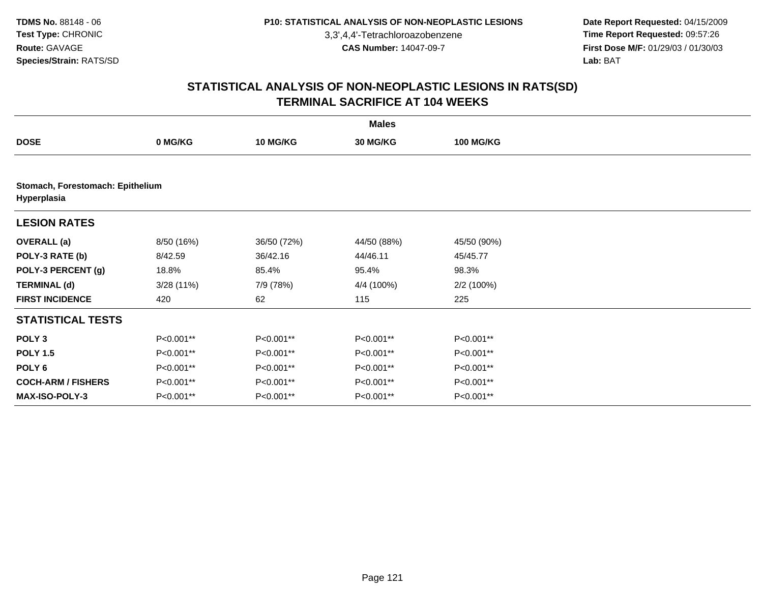**Date Report Requested:** 04/15/2009 **Time Report Requested:** 09:57:26 **First Dose M/F:** 01/29/03 / 01/30/03<br>Lab: BAT **Lab:** BAT

|                                                 | <b>Males</b> |             |                 |                  |  |  |  |  |
|-------------------------------------------------|--------------|-------------|-----------------|------------------|--|--|--|--|
| <b>DOSE</b>                                     | 0 MG/KG      | 10 MG/KG    | <b>30 MG/KG</b> | <b>100 MG/KG</b> |  |  |  |  |
|                                                 |              |             |                 |                  |  |  |  |  |
| Stomach, Forestomach: Epithelium<br>Hyperplasia |              |             |                 |                  |  |  |  |  |
| <b>LESION RATES</b>                             |              |             |                 |                  |  |  |  |  |
| <b>OVERALL</b> (a)                              | 8/50 (16%)   | 36/50 (72%) | 44/50 (88%)     | 45/50 (90%)      |  |  |  |  |
| POLY-3 RATE (b)                                 | 8/42.59      | 36/42.16    | 44/46.11        | 45/45.77         |  |  |  |  |
| POLY-3 PERCENT (g)                              | 18.8%        | 85.4%       | 95.4%           | 98.3%            |  |  |  |  |
| <b>TERMINAL (d)</b>                             | 3/28(11%)    | 7/9 (78%)   | 4/4 (100%)      | 2/2 (100%)       |  |  |  |  |
| <b>FIRST INCIDENCE</b>                          | 420          | 62          | 115             | 225              |  |  |  |  |
| <b>STATISTICAL TESTS</b>                        |              |             |                 |                  |  |  |  |  |
| POLY <sub>3</sub>                               | P<0.001**    | P<0.001**   | P<0.001**       | P<0.001**        |  |  |  |  |
| <b>POLY 1.5</b>                                 | P<0.001**    | P<0.001**   | P<0.001**       | P<0.001**        |  |  |  |  |
| POLY <sub>6</sub>                               | P<0.001**    | P<0.001**   | P<0.001**       | P<0.001**        |  |  |  |  |
| <b>COCH-ARM / FISHERS</b>                       | P<0.001**    | P<0.001**   | P<0.001**       | P<0.001**        |  |  |  |  |
| <b>MAX-ISO-POLY-3</b>                           | P<0.001**    | P<0.001**   | P<0.001**       | P<0.001**        |  |  |  |  |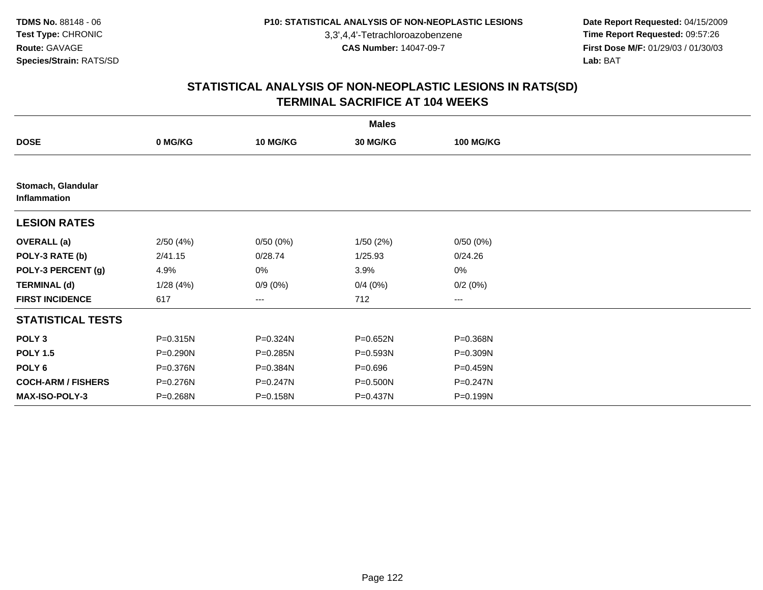**Date Report Requested:** 04/15/2009 **Time Report Requested:** 09:57:26 **First Dose M/F:** 01/29/03 / 01/30/03<br>Lab: BAT **Lab:** BAT

|                                           |          |                 | <b>Males</b> |                  |  |
|-------------------------------------------|----------|-----------------|--------------|------------------|--|
| <b>DOSE</b>                               | 0 MG/KG  | <b>10 MG/KG</b> | 30 MG/KG     | <b>100 MG/KG</b> |  |
|                                           |          |                 |              |                  |  |
| Stomach, Glandular<br><b>Inflammation</b> |          |                 |              |                  |  |
| <b>LESION RATES</b>                       |          |                 |              |                  |  |
| <b>OVERALL</b> (a)                        | 2/50(4%) | 0/50(0%)        | 1/50(2%)     | 0/50(0%)         |  |
| POLY-3 RATE (b)                           | 2/41.15  | 0/28.74         | 1/25.93      | 0/24.26          |  |
| POLY-3 PERCENT (g)                        | 4.9%     | 0%              | 3.9%         | 0%               |  |
| <b>TERMINAL (d)</b>                       | 1/28(4%) | $0/9(0\%)$      | 0/4(0%)      | 0/2(0%)          |  |
| <b>FIRST INCIDENCE</b>                    | 617      | ---             | 712          | $---$            |  |
| <b>STATISTICAL TESTS</b>                  |          |                 |              |                  |  |
| POLY <sub>3</sub>                         | P=0.315N | P=0.324N        | P=0.652N     | P=0.368N         |  |
| <b>POLY 1.5</b>                           | P=0.290N | P=0.285N        | P=0.593N     | P=0.309N         |  |
| POLY <sub>6</sub>                         | P=0.376N | P=0.384N        | $P = 0.696$  | P=0.459N         |  |
| <b>COCH-ARM / FISHERS</b>                 | P=0.276N | P=0.247N        | P=0.500N     | $P = 0.247N$     |  |
| <b>MAX-ISO-POLY-3</b>                     | P=0.268N | P=0.158N        | P=0.437N     | P=0.199N         |  |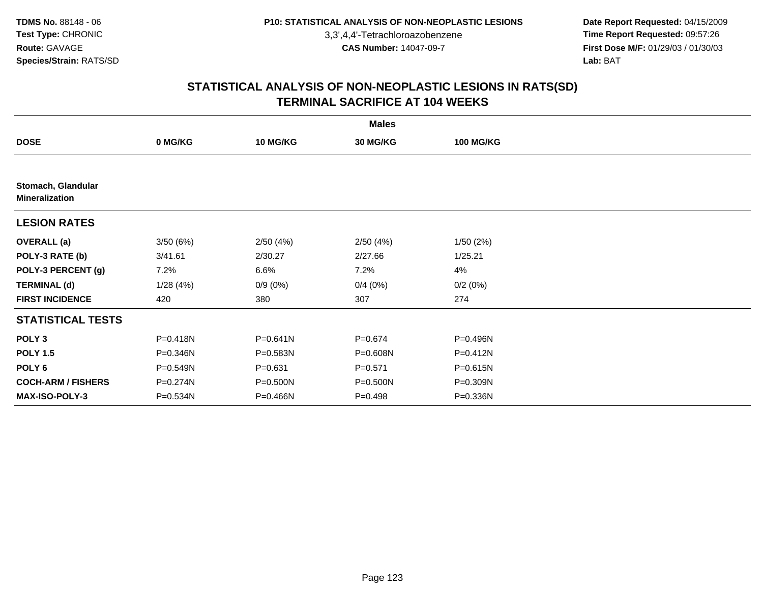**Date Report Requested:** 04/15/2009 **Time Report Requested:** 09:57:26 **First Dose M/F:** 01/29/03 / 01/30/03<br>Lab: BAT **Lab:** BAT

| <b>Males</b>                                |          |                 |                 |                  |  |  |  |  |
|---------------------------------------------|----------|-----------------|-----------------|------------------|--|--|--|--|
| <b>DOSE</b>                                 | 0 MG/KG  | <b>10 MG/KG</b> | <b>30 MG/KG</b> | <b>100 MG/KG</b> |  |  |  |  |
|                                             |          |                 |                 |                  |  |  |  |  |
| Stomach, Glandular<br><b>Mineralization</b> |          |                 |                 |                  |  |  |  |  |
| <b>LESION RATES</b>                         |          |                 |                 |                  |  |  |  |  |
| <b>OVERALL</b> (a)                          | 3/50(6%) | 2/50(4%)        | 2/50(4%)        | 1/50(2%)         |  |  |  |  |
| POLY-3 RATE (b)                             | 3/41.61  | 2/30.27         | 2/27.66         | 1/25.21          |  |  |  |  |
| POLY-3 PERCENT (g)                          | 7.2%     | 6.6%            | 7.2%            | 4%               |  |  |  |  |
| <b>TERMINAL (d)</b>                         | 1/28(4%) | $0/9(0\%)$      | 0/4(0%)         | 0/2(0%)          |  |  |  |  |
| <b>FIRST INCIDENCE</b>                      | 420      | 380             | 307             | 274              |  |  |  |  |
| <b>STATISTICAL TESTS</b>                    |          |                 |                 |                  |  |  |  |  |
| POLY <sub>3</sub>                           | P=0.418N | P=0.641N        | $P = 0.674$     | P=0.496N         |  |  |  |  |
| <b>POLY 1.5</b>                             | P=0.346N | P=0.583N        | P=0.608N        | P=0.412N         |  |  |  |  |
| POLY <sub>6</sub>                           | P=0.549N | $P = 0.631$     | $P = 0.571$     | P=0.615N         |  |  |  |  |
| <b>COCH-ARM / FISHERS</b>                   | P=0.274N | P=0.500N        | P=0.500N        | P=0.309N         |  |  |  |  |
| MAX-ISO-POLY-3                              | P=0.534N | P=0.466N        | $P = 0.498$     | P=0.336N         |  |  |  |  |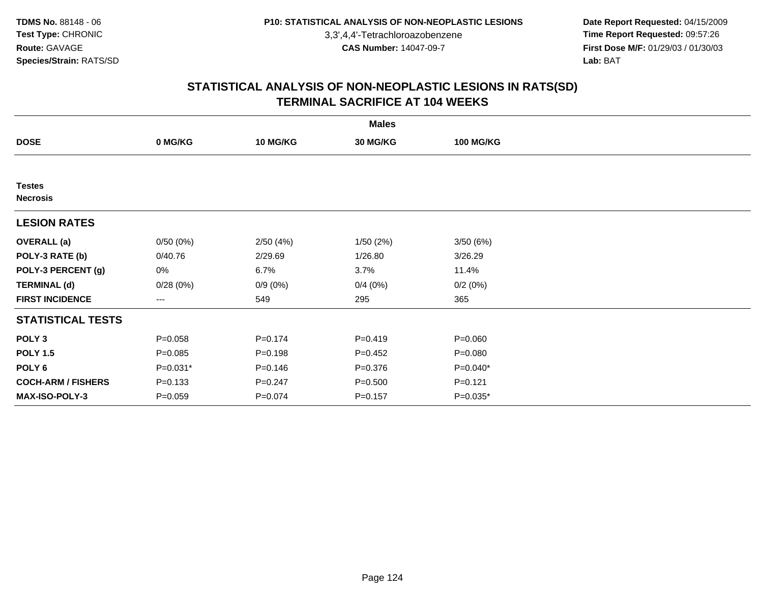**Date Report Requested:** 04/15/2009 **Time Report Requested:** 09:57:26 **First Dose M/F:** 01/29/03 / 01/30/03<br>Lab: BAT **Lab:** BAT

|                                  |             |                 | <b>Males</b>    |                  |  |
|----------------------------------|-------------|-----------------|-----------------|------------------|--|
| <b>DOSE</b>                      | 0 MG/KG     | <b>10 MG/KG</b> | <b>30 MG/KG</b> | <b>100 MG/KG</b> |  |
|                                  |             |                 |                 |                  |  |
| <b>Testes</b><br><b>Necrosis</b> |             |                 |                 |                  |  |
| <b>LESION RATES</b>              |             |                 |                 |                  |  |
| <b>OVERALL</b> (a)               | 0/50(0%)    | 2/50(4%)        | 1/50(2%)        | 3/50(6%)         |  |
| POLY-3 RATE (b)                  | 0/40.76     | 2/29.69         | 1/26.80         | 3/26.29          |  |
| POLY-3 PERCENT (g)               | 0%          | 6.7%            | 3.7%            | 11.4%            |  |
| <b>TERMINAL (d)</b>              | 0/28(0%)    | $0/9(0\%)$      | 0/4(0%)         | 0/2(0%)          |  |
| <b>FIRST INCIDENCE</b>           | $---$       | 549             | 295             | 365              |  |
| <b>STATISTICAL TESTS</b>         |             |                 |                 |                  |  |
| POLY <sub>3</sub>                | $P = 0.058$ | $P = 0.174$     | $P = 0.419$     | $P = 0.060$      |  |
| <b>POLY 1.5</b>                  | $P = 0.085$ | $P = 0.198$     | $P=0.452$       | $P = 0.080$      |  |
| POLY <sub>6</sub>                | P=0.031*    | $P = 0.146$     | $P = 0.376$     | P=0.040*         |  |
| <b>COCH-ARM / FISHERS</b>        | $P = 0.133$ | $P = 0.247$     | $P = 0.500$     | $P = 0.121$      |  |
| <b>MAX-ISO-POLY-3</b>            | $P = 0.059$ | $P = 0.074$     | $P = 0.157$     | $P=0.035*$       |  |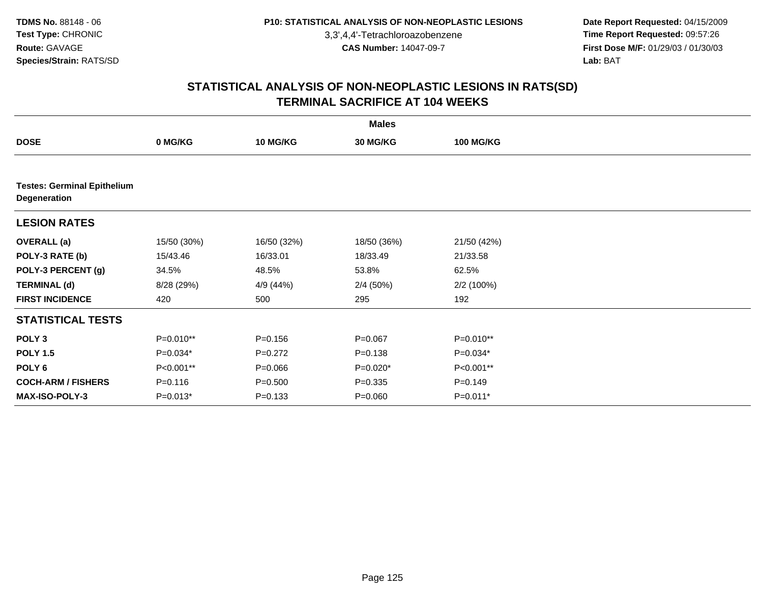**Date Report Requested:** 04/15/2009 **Time Report Requested:** 09:57:26 **First Dose M/F:** 01/29/03 / 01/30/03<br>Lab: BAT **Lab:** BAT

|                                                    | <b>Males</b> |                 |             |                  |  |  |  |  |
|----------------------------------------------------|--------------|-----------------|-------------|------------------|--|--|--|--|
| <b>DOSE</b>                                        | 0 MG/KG      | <b>10 MG/KG</b> | 30 MG/KG    | <b>100 MG/KG</b> |  |  |  |  |
|                                                    |              |                 |             |                  |  |  |  |  |
| <b>Testes: Germinal Epithelium</b><br>Degeneration |              |                 |             |                  |  |  |  |  |
| <b>LESION RATES</b>                                |              |                 |             |                  |  |  |  |  |
| <b>OVERALL</b> (a)                                 | 15/50 (30%)  | 16/50 (32%)     | 18/50 (36%) | 21/50 (42%)      |  |  |  |  |
| POLY-3 RATE (b)                                    | 15/43.46     | 16/33.01        | 18/33.49    | 21/33.58         |  |  |  |  |
| POLY-3 PERCENT (g)                                 | 34.5%        | 48.5%           | 53.8%       | 62.5%            |  |  |  |  |
| <b>TERMINAL (d)</b>                                | 8/28 (29%)   | 4/9 (44%)       | 2/4(50%)    | 2/2 (100%)       |  |  |  |  |
| <b>FIRST INCIDENCE</b>                             | 420          | 500             | 295         | 192              |  |  |  |  |
| <b>STATISTICAL TESTS</b>                           |              |                 |             |                  |  |  |  |  |
| POLY <sub>3</sub>                                  | $P=0.010**$  | $P = 0.156$     | $P=0.067$   | $P=0.010**$      |  |  |  |  |
| <b>POLY 1.5</b>                                    | P=0.034*     | $P=0.272$       | $P = 0.138$ | $P=0.034*$       |  |  |  |  |
| POLY <sub>6</sub>                                  | P<0.001**    | $P = 0.066$     | $P=0.020*$  | P<0.001**        |  |  |  |  |
| <b>COCH-ARM / FISHERS</b>                          | $P = 0.116$  | $P = 0.500$     | $P = 0.335$ | $P = 0.149$      |  |  |  |  |
| <b>MAX-ISO-POLY-3</b>                              | $P=0.013*$   | $P = 0.133$     | $P = 0.060$ | $P=0.011*$       |  |  |  |  |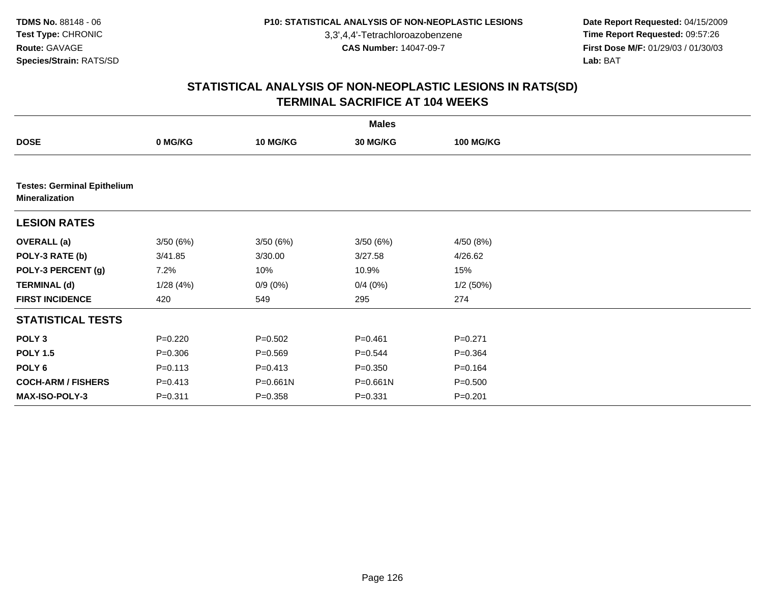**Date Report Requested:** 04/15/2009 **Time Report Requested:** 09:57:26 **First Dose M/F:** 01/29/03 / 01/30/03<br>Lab: BAT **Lab:** BAT

|                                                             |             |                 | <b>Males</b> |                  |  |
|-------------------------------------------------------------|-------------|-----------------|--------------|------------------|--|
| <b>DOSE</b>                                                 | 0 MG/KG     | <b>10 MG/KG</b> | 30 MG/KG     | <b>100 MG/KG</b> |  |
|                                                             |             |                 |              |                  |  |
| <b>Testes: Germinal Epithelium</b><br><b>Mineralization</b> |             |                 |              |                  |  |
| <b>LESION RATES</b>                                         |             |                 |              |                  |  |
| <b>OVERALL (a)</b>                                          | 3/50(6%)    | 3/50(6%)        | 3/50(6%)     | 4/50 (8%)        |  |
| POLY-3 RATE (b)                                             | 3/41.85     | 3/30.00         | 3/27.58      | 4/26.62          |  |
| POLY-3 PERCENT (g)                                          | 7.2%        | 10%             | 10.9%        | 15%              |  |
| <b>TERMINAL (d)</b>                                         | 1/28(4%)    | $0/9(0\%)$      | 0/4(0%)      | 1/2(50%)         |  |
| <b>FIRST INCIDENCE</b>                                      | 420         | 549             | 295          | 274              |  |
| <b>STATISTICAL TESTS</b>                                    |             |                 |              |                  |  |
| POLY <sub>3</sub>                                           | $P = 0.220$ | $P = 0.502$     | $P = 0.461$  | $P = 0.271$      |  |
| <b>POLY 1.5</b>                                             | $P = 0.306$ | $P = 0.569$     | $P = 0.544$  | $P = 0.364$      |  |
| POLY 6                                                      | $P = 0.113$ | $P = 0.413$     | $P = 0.350$  | $P = 0.164$      |  |
| <b>COCH-ARM / FISHERS</b>                                   | $P = 0.413$ | P=0.661N        | P=0.661N     | $P = 0.500$      |  |
| <b>MAX-ISO-POLY-3</b>                                       | $P = 0.311$ | $P = 0.358$     | $P = 0.331$  | $P = 0.201$      |  |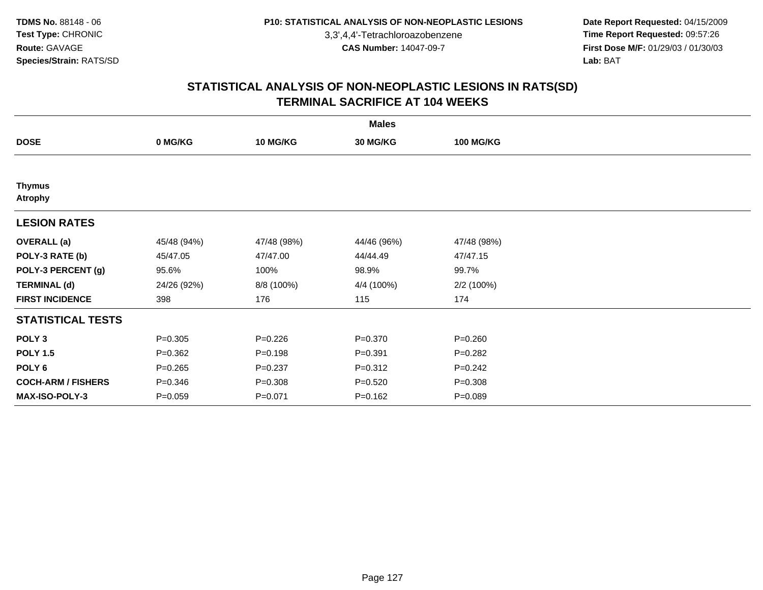**Date Report Requested:** 04/15/2009 **Time Report Requested:** 09:57:26 **First Dose M/F:** 01/29/03 / 01/30/03<br>Lab: BAT **Lab:** BAT

| <b>Males</b>                    |             |                 |                 |                  |  |  |  |
|---------------------------------|-------------|-----------------|-----------------|------------------|--|--|--|
| <b>DOSE</b>                     | 0 MG/KG     | <b>10 MG/KG</b> | <b>30 MG/KG</b> | <b>100 MG/KG</b> |  |  |  |
|                                 |             |                 |                 |                  |  |  |  |
| <b>Thymus</b><br><b>Atrophy</b> |             |                 |                 |                  |  |  |  |
| <b>LESION RATES</b>             |             |                 |                 |                  |  |  |  |
| <b>OVERALL</b> (a)              | 45/48 (94%) | 47/48 (98%)     | 44/46 (96%)     | 47/48 (98%)      |  |  |  |
| POLY-3 RATE (b)                 | 45/47.05    | 47/47.00        | 44/44.49        | 47/47.15         |  |  |  |
| POLY-3 PERCENT (g)              | 95.6%       | 100%            | 98.9%           | 99.7%            |  |  |  |
| <b>TERMINAL (d)</b>             | 24/26 (92%) | 8/8 (100%)      | 4/4 (100%)      | 2/2 (100%)       |  |  |  |
| <b>FIRST INCIDENCE</b>          | 398         | 176             | 115             | 174              |  |  |  |
| <b>STATISTICAL TESTS</b>        |             |                 |                 |                  |  |  |  |
| POLY <sub>3</sub>               | $P = 0.305$ | $P = 0.226$     | $P = 0.370$     | $P = 0.260$      |  |  |  |
| <b>POLY 1.5</b>                 | $P = 0.362$ | $P = 0.198$     | $P = 0.391$     | $P = 0.282$      |  |  |  |
| POLY <sub>6</sub>               | $P = 0.265$ | $P = 0.237$     | $P = 0.312$     | $P = 0.242$      |  |  |  |
| <b>COCH-ARM / FISHERS</b>       | $P = 0.346$ | $P = 0.308$     | $P = 0.520$     | $P = 0.308$      |  |  |  |
| <b>MAX-ISO-POLY-3</b>           | $P = 0.059$ | $P = 0.071$     | $P = 0.162$     | $P = 0.089$      |  |  |  |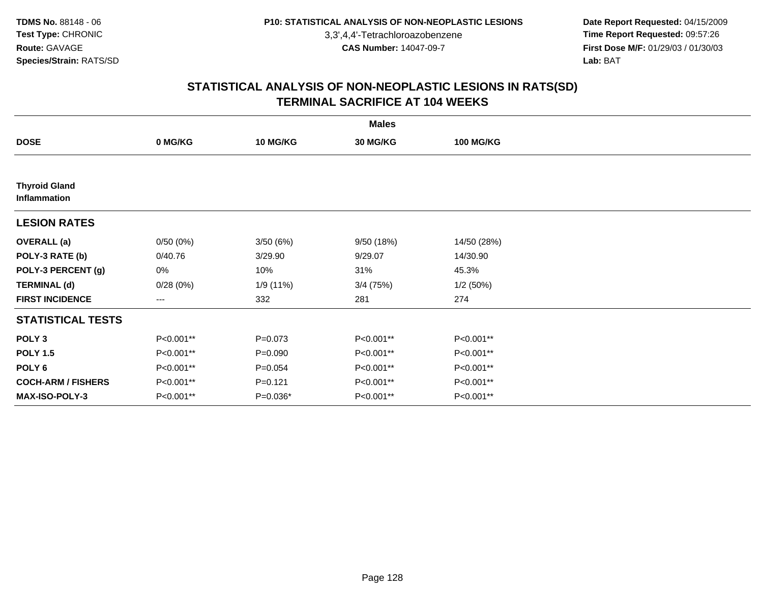**Date Report Requested:** 04/15/2009 **Time Report Requested:** 09:57:26 **First Dose M/F:** 01/29/03 / 01/30/03<br>Lab: BAT **Lab:** BAT

|                                      | <b>Males</b>           |                 |            |                  |  |  |  |  |
|--------------------------------------|------------------------|-----------------|------------|------------------|--|--|--|--|
| <b>DOSE</b>                          | 0 MG/KG                | <b>10 MG/KG</b> | 30 MG/KG   | <b>100 MG/KG</b> |  |  |  |  |
|                                      |                        |                 |            |                  |  |  |  |  |
| <b>Thyroid Gland</b><br>Inflammation |                        |                 |            |                  |  |  |  |  |
| <b>LESION RATES</b>                  |                        |                 |            |                  |  |  |  |  |
| <b>OVERALL</b> (a)                   | 0/50(0%)               | 3/50 (6%)       | 9/50 (18%) | 14/50 (28%)      |  |  |  |  |
| POLY-3 RATE (b)                      | 0/40.76                | 3/29.90         | 9/29.07    | 14/30.90         |  |  |  |  |
| POLY-3 PERCENT (g)                   | 0%                     | 10%             | 31%        | 45.3%            |  |  |  |  |
| <b>TERMINAL (d)</b>                  | 0/28(0%)               | 1/9 (11%)       | 3/4 (75%)  | 1/2(50%)         |  |  |  |  |
| <b>FIRST INCIDENCE</b>               | $\qquad \qquad \cdots$ | 332             | 281        | 274              |  |  |  |  |
| <b>STATISTICAL TESTS</b>             |                        |                 |            |                  |  |  |  |  |
| POLY <sub>3</sub>                    | P<0.001**              | $P = 0.073$     | P<0.001**  | P<0.001**        |  |  |  |  |
| <b>POLY 1.5</b>                      | P<0.001**              | $P = 0.090$     | P<0.001**  | P<0.001**        |  |  |  |  |
| POLY <sub>6</sub>                    | P<0.001**              | $P = 0.054$     | P<0.001**  | P<0.001**        |  |  |  |  |
| <b>COCH-ARM / FISHERS</b>            | P<0.001**              | $P = 0.121$     | P<0.001**  | P<0.001**        |  |  |  |  |
| <b>MAX-ISO-POLY-3</b>                | P<0.001**              | $P=0.036*$      | P<0.001**  | P<0.001**        |  |  |  |  |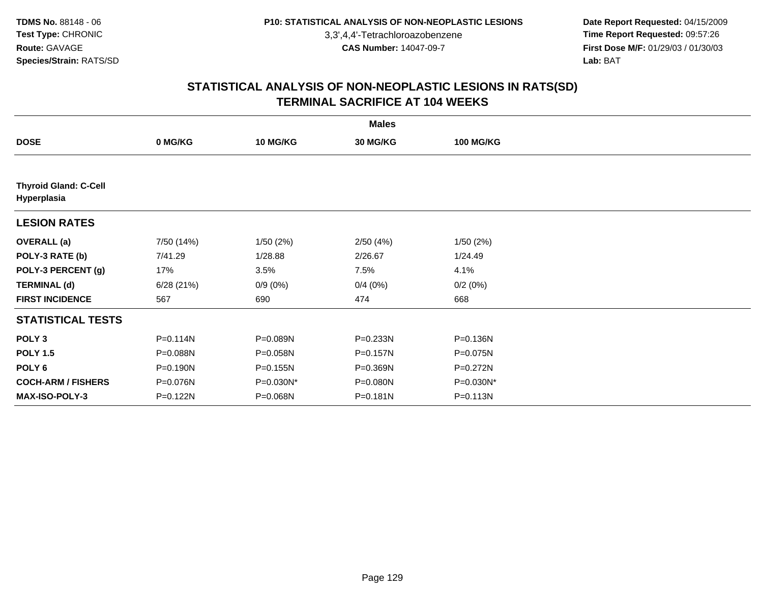**Date Report Requested:** 04/15/2009 **Time Report Requested:** 09:57:26 **First Dose M/F:** 01/29/03 / 01/30/03<br>Lab: BAT **Lab:** BAT

|                                             | <b>Males</b> |                 |                 |                  |  |  |  |  |
|---------------------------------------------|--------------|-----------------|-----------------|------------------|--|--|--|--|
| <b>DOSE</b>                                 | 0 MG/KG      | <b>10 MG/KG</b> | <b>30 MG/KG</b> | <b>100 MG/KG</b> |  |  |  |  |
|                                             |              |                 |                 |                  |  |  |  |  |
| <b>Thyroid Gland: C-Cell</b><br>Hyperplasia |              |                 |                 |                  |  |  |  |  |
| <b>LESION RATES</b>                         |              |                 |                 |                  |  |  |  |  |
| <b>OVERALL</b> (a)                          | 7/50 (14%)   | 1/50(2%)        | 2/50(4%)        | 1/50(2%)         |  |  |  |  |
| POLY-3 RATE (b)                             | 7/41.29      | 1/28.88         | 2/26.67         | 1/24.49          |  |  |  |  |
| POLY-3 PERCENT (g)                          | 17%          | 3.5%            | 7.5%            | 4.1%             |  |  |  |  |
| <b>TERMINAL (d)</b>                         | 6/28(21%)    | $0/9(0\%)$      | 0/4(0%)         | 0/2(0%)          |  |  |  |  |
| <b>FIRST INCIDENCE</b>                      | 567          | 690             | 474             | 668              |  |  |  |  |
| <b>STATISTICAL TESTS</b>                    |              |                 |                 |                  |  |  |  |  |
| POLY <sub>3</sub>                           | $P = 0.114N$ | P=0.089N        | P=0.233N        | $P = 0.136N$     |  |  |  |  |
| <b>POLY 1.5</b>                             | P=0.088N     | P=0.058N        | P=0.157N        | P=0.075N         |  |  |  |  |
| POLY 6                                      | P=0.190N     | P=0.155N        | P=0.369N        | P=0.272N         |  |  |  |  |
| <b>COCH-ARM / FISHERS</b>                   | P=0.076N     | P=0.030N*       | P=0.080N        | P=0.030N*        |  |  |  |  |
| <b>MAX-ISO-POLY-3</b>                       | P=0.122N     | P=0.068N        | P=0.181N        | P=0.113N         |  |  |  |  |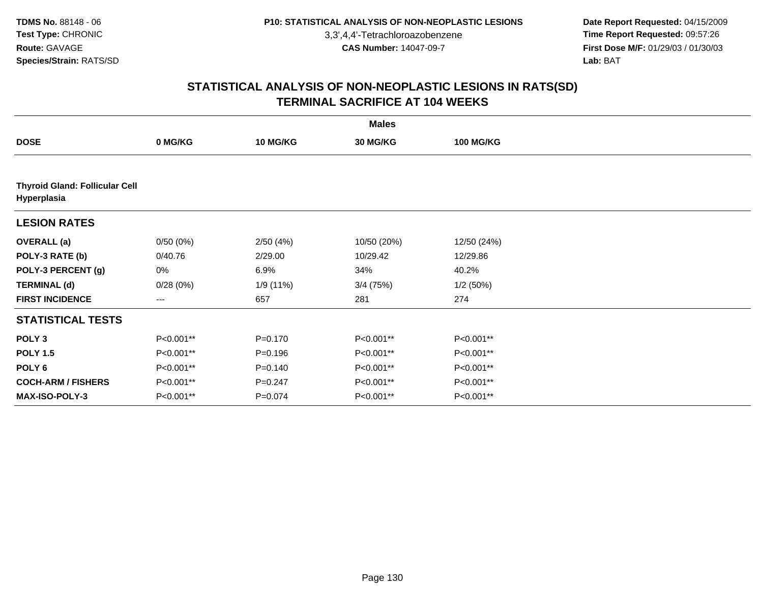**Date Report Requested:** 04/15/2009 **Time Report Requested:** 09:57:26 **First Dose M/F:** 01/29/03 / 01/30/03<br>Lab: BAT **Lab:** BAT

| <b>Males</b>                                         |           |             |             |                  |  |  |  |
|------------------------------------------------------|-----------|-------------|-------------|------------------|--|--|--|
| <b>DOSE</b>                                          | 0 MG/KG   | 10 MG/KG    | 30 MG/KG    | <b>100 MG/KG</b> |  |  |  |
|                                                      |           |             |             |                  |  |  |  |
| <b>Thyroid Gland: Follicular Cell</b><br>Hyperplasia |           |             |             |                  |  |  |  |
| <b>LESION RATES</b>                                  |           |             |             |                  |  |  |  |
| <b>OVERALL</b> (a)                                   | 0/50(0%)  | 2/50(4%)    | 10/50 (20%) | 12/50 (24%)      |  |  |  |
| POLY-3 RATE (b)                                      | 0/40.76   | 2/29.00     | 10/29.42    | 12/29.86         |  |  |  |
| POLY-3 PERCENT (g)                                   | 0%        | 6.9%        | 34%         | 40.2%            |  |  |  |
| <b>TERMINAL (d)</b>                                  | 0/28(0%)  | 1/9(11%)    | $3/4$ (75%) | 1/2(50%)         |  |  |  |
| <b>FIRST INCIDENCE</b>                               | ---       | 657         | 281         | 274              |  |  |  |
| <b>STATISTICAL TESTS</b>                             |           |             |             |                  |  |  |  |
| POLY <sub>3</sub>                                    | P<0.001** | $P = 0.170$ | P<0.001**   | P<0.001**        |  |  |  |
| <b>POLY 1.5</b>                                      | P<0.001** | $P = 0.196$ | P<0.001**   | P<0.001**        |  |  |  |
| POLY 6                                               | P<0.001** | $P = 0.140$ | P<0.001**   | P<0.001**        |  |  |  |
| <b>COCH-ARM / FISHERS</b>                            | P<0.001** | $P = 0.247$ | P<0.001**   | P<0.001**        |  |  |  |
| <b>MAX-ISO-POLY-3</b>                                | P<0.001** | $P = 0.074$ | P<0.001**   | P<0.001**        |  |  |  |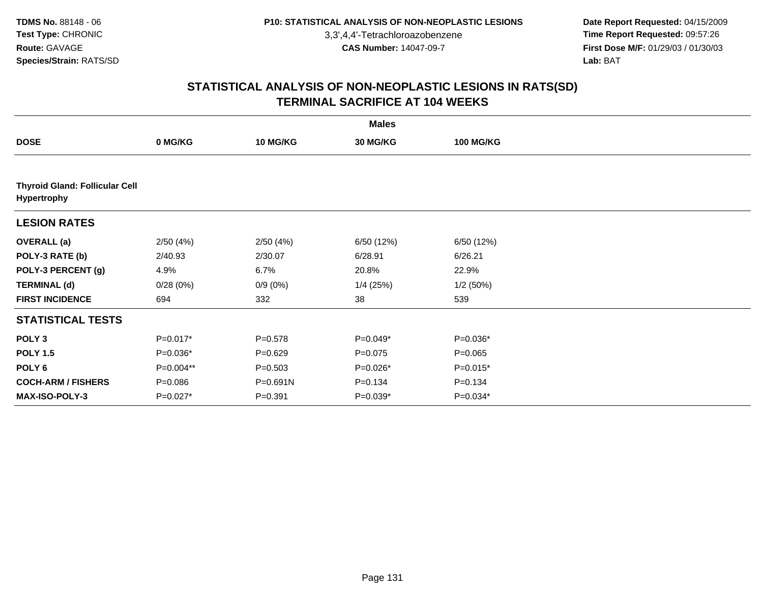**Date Report Requested:** 04/15/2009 **Time Report Requested:** 09:57:26 **First Dose M/F:** 01/29/03 / 01/30/03<br>Lab: BAT **Lab:** BAT

|                                                      | <b>Males</b> |                 |             |                  |  |  |  |  |
|------------------------------------------------------|--------------|-----------------|-------------|------------------|--|--|--|--|
| <b>DOSE</b>                                          | 0 MG/KG      | <b>10 MG/KG</b> | 30 MG/KG    | <b>100 MG/KG</b> |  |  |  |  |
|                                                      |              |                 |             |                  |  |  |  |  |
| <b>Thyroid Gland: Follicular Cell</b><br>Hypertrophy |              |                 |             |                  |  |  |  |  |
| <b>LESION RATES</b>                                  |              |                 |             |                  |  |  |  |  |
| <b>OVERALL</b> (a)                                   | 2/50(4%)     | 2/50(4%)        | 6/50 (12%)  | 6/50 (12%)       |  |  |  |  |
| POLY-3 RATE (b)                                      | 2/40.93      | 2/30.07         | 6/28.91     | 6/26.21          |  |  |  |  |
| POLY-3 PERCENT (g)                                   | 4.9%         | 6.7%            | 20.8%       | 22.9%            |  |  |  |  |
| <b>TERMINAL (d)</b>                                  | 0/28(0%)     | $0/9(0\%)$      | $1/4$ (25%) | 1/2(50%)         |  |  |  |  |
| <b>FIRST INCIDENCE</b>                               | 694          | 332             | 38          | 539              |  |  |  |  |
| <b>STATISTICAL TESTS</b>                             |              |                 |             |                  |  |  |  |  |
| POLY <sub>3</sub>                                    | $P=0.017*$   | $P = 0.578$     | $P=0.049*$  | $P=0.036*$       |  |  |  |  |
| <b>POLY 1.5</b>                                      | $P=0.036*$   | $P = 0.629$     | $P=0.075$   | $P = 0.065$      |  |  |  |  |
| POLY 6                                               | P=0.004**    | $P = 0.503$     | P=0.026*    | $P=0.015*$       |  |  |  |  |
| <b>COCH-ARM / FISHERS</b>                            | $P = 0.086$  | P=0.691N        | $P = 0.134$ | $P = 0.134$      |  |  |  |  |
| MAX-ISO-POLY-3                                       | P=0.027*     | $P = 0.391$     | $P=0.039*$  | P=0.034*         |  |  |  |  |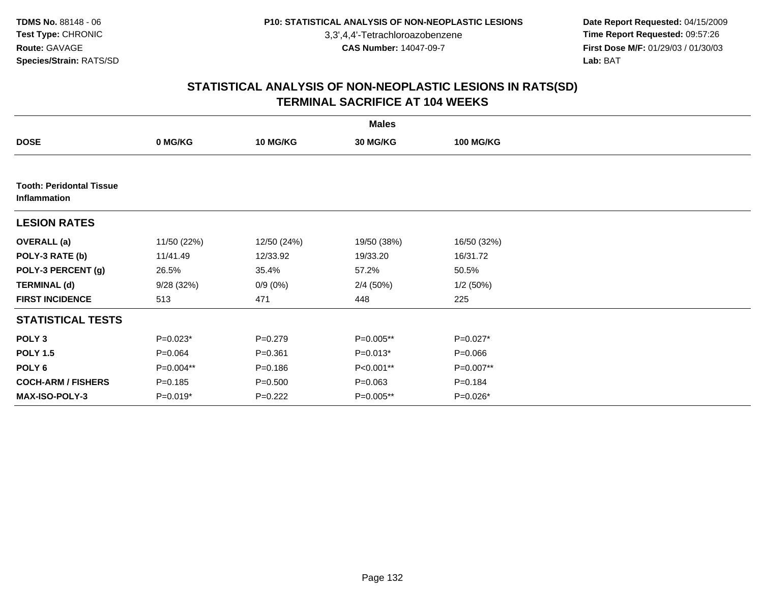**Date Report Requested:** 04/15/2009 **Time Report Requested:** 09:57:26 **First Dose M/F:** 01/29/03 / 01/30/03<br>Lab: BAT **Lab:** BAT

| <b>Males</b>                                    |             |                 |             |                  |  |  |  |
|-------------------------------------------------|-------------|-----------------|-------------|------------------|--|--|--|
| <b>DOSE</b>                                     | 0 MG/KG     | <b>10 MG/KG</b> | 30 MG/KG    | <b>100 MG/KG</b> |  |  |  |
|                                                 |             |                 |             |                  |  |  |  |
| <b>Tooth: Peridontal Tissue</b><br>Inflammation |             |                 |             |                  |  |  |  |
| <b>LESION RATES</b>                             |             |                 |             |                  |  |  |  |
| <b>OVERALL</b> (a)                              | 11/50 (22%) | 12/50 (24%)     | 19/50 (38%) | 16/50 (32%)      |  |  |  |
| POLY-3 RATE (b)                                 | 11/41.49    | 12/33.92        | 19/33.20    | 16/31.72         |  |  |  |
| POLY-3 PERCENT (g)                              | 26.5%       | 35.4%           | 57.2%       | 50.5%            |  |  |  |
| <b>TERMINAL (d)</b>                             | 9/28(32%)   | $0/9(0\%)$      | 2/4(50%)    | 1/2(50%)         |  |  |  |
| <b>FIRST INCIDENCE</b>                          | 513         | 471             | 448         | 225              |  |  |  |
| <b>STATISTICAL TESTS</b>                        |             |                 |             |                  |  |  |  |
| POLY <sub>3</sub>                               | P=0.023*    | $P = 0.279$     | P=0.005**   | $P=0.027*$       |  |  |  |
| <b>POLY 1.5</b>                                 | $P = 0.064$ | $P = 0.361$     | $P=0.013*$  | $P = 0.066$      |  |  |  |
| POLY 6                                          | P=0.004**   | $P = 0.186$     | P<0.001**   | P=0.007**        |  |  |  |
| <b>COCH-ARM / FISHERS</b>                       | $P = 0.185$ | $P = 0.500$     | $P = 0.063$ | $P = 0.184$      |  |  |  |
| <b>MAX-ISO-POLY-3</b>                           | P=0.019*    | $P=0.222$       | P=0.005**   | P=0.026*         |  |  |  |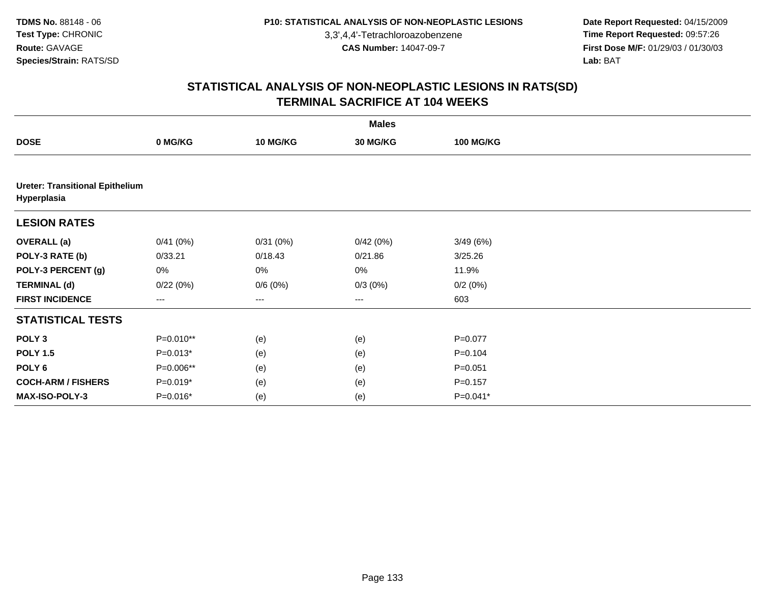**Date Report Requested:** 04/15/2009 **Time Report Requested:** 09:57:26 **First Dose M/F:** 01/29/03 / 01/30/03<br>Lab: BAT **Lab:** BAT

| <b>Males</b>                                          |             |          |                   |                  |  |  |  |
|-------------------------------------------------------|-------------|----------|-------------------|------------------|--|--|--|
| <b>DOSE</b>                                           | 0 MG/KG     | 10 MG/KG | 30 MG/KG          | <b>100 MG/KG</b> |  |  |  |
|                                                       |             |          |                   |                  |  |  |  |
| <b>Ureter: Transitional Epithelium</b><br>Hyperplasia |             |          |                   |                  |  |  |  |
| <b>LESION RATES</b>                                   |             |          |                   |                  |  |  |  |
| <b>OVERALL</b> (a)                                    | 0/41(0%)    | 0/31(0%) | 0/42(0%)          | 3/49(6%)         |  |  |  |
| POLY-3 RATE (b)                                       | 0/33.21     | 0/18.43  | 0/21.86           | 3/25.26          |  |  |  |
| POLY-3 PERCENT (g)                                    | 0%          | 0%       | 0%                | 11.9%            |  |  |  |
| <b>TERMINAL (d)</b>                                   | 0/22(0%)    | 0/6(0%)  | $0/3(0\%)$        | 0/2(0%)          |  |  |  |
| <b>FIRST INCIDENCE</b>                                | ---         | ---      | $\qquad \qquad -$ | 603              |  |  |  |
| <b>STATISTICAL TESTS</b>                              |             |          |                   |                  |  |  |  |
| POLY <sub>3</sub>                                     | $P=0.010**$ | (e)      | (e)               | $P=0.077$        |  |  |  |
| <b>POLY 1.5</b>                                       | $P=0.013*$  | (e)      | (e)               | $P=0.104$        |  |  |  |
| POLY 6                                                | P=0.006**   | (e)      | (e)               | $P = 0.051$      |  |  |  |
| <b>COCH-ARM / FISHERS</b>                             | $P=0.019*$  | (e)      | (e)               | $P = 0.157$      |  |  |  |
| MAX-ISO-POLY-3                                        | $P=0.016*$  | (e)      | (e)               | P=0.041*         |  |  |  |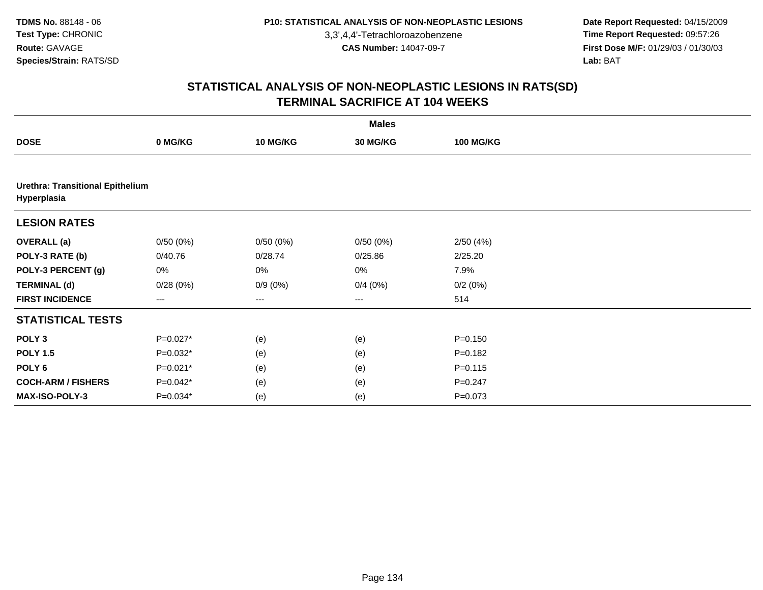**Date Report Requested:** 04/15/2009 **Time Report Requested:** 09:57:26 **First Dose M/F:** 01/29/03 / 01/30/03<br>Lab: BAT **Lab:** BAT

| <b>Males</b>              |                                         |                 |                   |                  |  |  |  |  |  |
|---------------------------|-----------------------------------------|-----------------|-------------------|------------------|--|--|--|--|--|
| <b>DOSE</b>               | 0 MG/KG                                 | <b>10 MG/KG</b> | 30 MG/KG          | <b>100 MG/KG</b> |  |  |  |  |  |
|                           |                                         |                 |                   |                  |  |  |  |  |  |
| Hyperplasia               | <b>Urethra: Transitional Epithelium</b> |                 |                   |                  |  |  |  |  |  |
| <b>LESION RATES</b>       |                                         |                 |                   |                  |  |  |  |  |  |
| <b>OVERALL</b> (a)        | 0/50(0%)                                | 0/50(0%)        | 0/50(0%)          | 2/50(4%)         |  |  |  |  |  |
| POLY-3 RATE (b)           | 0/40.76                                 | 0/28.74         | 0/25.86           | 2/25.20          |  |  |  |  |  |
| POLY-3 PERCENT (g)        | 0%                                      | 0%              | $0\%$             | 7.9%             |  |  |  |  |  |
| <b>TERMINAL (d)</b>       | 0/28(0%)                                | $0/9(0\%)$      | 0/4(0%)           | 0/2(0%)          |  |  |  |  |  |
| <b>FIRST INCIDENCE</b>    | ---                                     | ---             | $\qquad \qquad -$ | 514              |  |  |  |  |  |
| <b>STATISTICAL TESTS</b>  |                                         |                 |                   |                  |  |  |  |  |  |
| POLY <sub>3</sub>         | $P=0.027*$                              | (e)             | (e)               | $P = 0.150$      |  |  |  |  |  |
| <b>POLY 1.5</b>           | $P=0.032*$                              | (e)             | (e)               | $P = 0.182$      |  |  |  |  |  |
| POLY 6                    | $P=0.021*$                              | (e)             | (e)               | $P = 0.115$      |  |  |  |  |  |
| <b>COCH-ARM / FISHERS</b> | $P=0.042*$                              | (e)             | (e)               | $P = 0.247$      |  |  |  |  |  |
| <b>MAX-ISO-POLY-3</b>     | $P=0.034*$                              | (e)             | (e)               | $P = 0.073$      |  |  |  |  |  |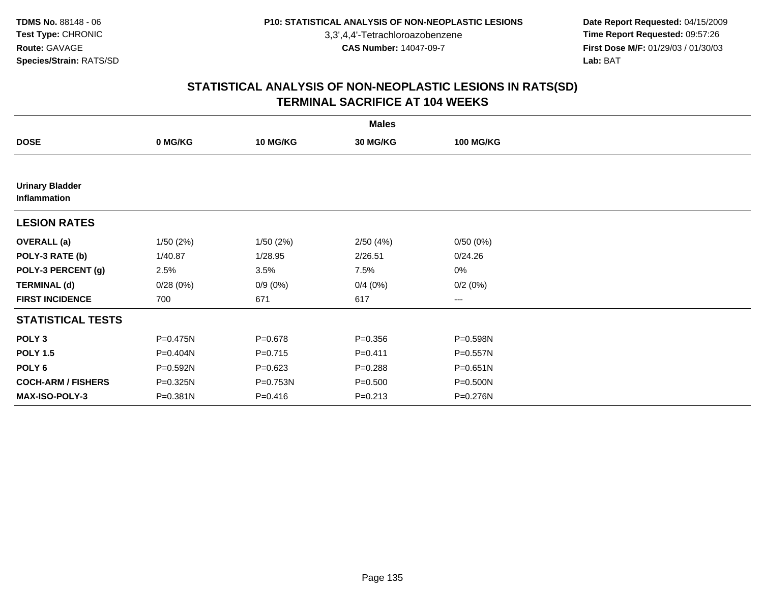**Date Report Requested:** 04/15/2009 **Time Report Requested:** 09:57:26 **First Dose M/F:** 01/29/03 / 01/30/03<br>Lab: BAT **Lab:** BAT

| <b>Males</b>                           |          |             |             |                  |  |  |  |
|----------------------------------------|----------|-------------|-------------|------------------|--|--|--|
| <b>DOSE</b>                            | 0 MG/KG  | 10 MG/KG    | 30 MG/KG    | <b>100 MG/KG</b> |  |  |  |
|                                        |          |             |             |                  |  |  |  |
| <b>Urinary Bladder</b><br>Inflammation |          |             |             |                  |  |  |  |
| <b>LESION RATES</b>                    |          |             |             |                  |  |  |  |
| <b>OVERALL</b> (a)                     | 1/50(2%) | 1/50(2%)    | 2/50(4%)    | 0/50(0%)         |  |  |  |
| POLY-3 RATE (b)                        | 1/40.87  | 1/28.95     | 2/26.51     | 0/24.26          |  |  |  |
| POLY-3 PERCENT (g)                     | 2.5%     | 3.5%        | 7.5%        | 0%               |  |  |  |
| <b>TERMINAL (d)</b>                    | 0/28(0%) | $0/9(0\%)$  | 0/4(0%)     | 0/2(0%)          |  |  |  |
| <b>FIRST INCIDENCE</b>                 | 700      | 671         | 617         | $---$            |  |  |  |
| <b>STATISTICAL TESTS</b>               |          |             |             |                  |  |  |  |
| POLY <sub>3</sub>                      | P=0.475N | $P = 0.678$ | $P = 0.356$ | P=0.598N         |  |  |  |
| <b>POLY 1.5</b>                        | P=0.404N | $P = 0.715$ | $P = 0.411$ | P=0.557N         |  |  |  |
| POLY <sub>6</sub>                      | P=0.592N | $P = 0.623$ | $P = 0.288$ | $P = 0.651N$     |  |  |  |
| <b>COCH-ARM / FISHERS</b>              | P=0.325N | P=0.753N    | $P = 0.500$ | P=0.500N         |  |  |  |
| <b>MAX-ISO-POLY-3</b>                  | P=0.381N | $P = 0.416$ | $P = 0.213$ | P=0.276N         |  |  |  |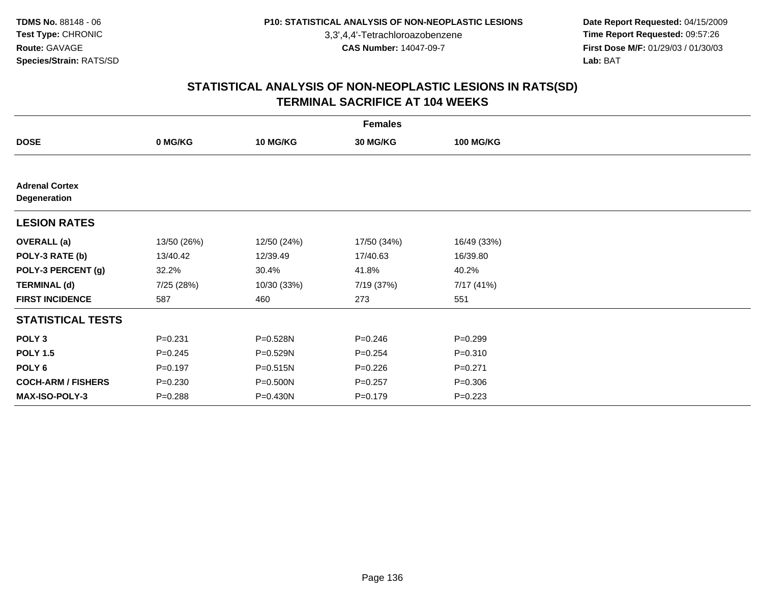**Date Report Requested:** 04/15/2009 **Time Report Requested:** 09:57:26 **First Dose M/F:** 01/29/03 / 01/30/03<br>Lab: BAT **Lab:** BAT

| <b>Females</b>                        |             |                 |                 |                  |  |  |  |
|---------------------------------------|-------------|-----------------|-----------------|------------------|--|--|--|
| <b>DOSE</b>                           | 0 MG/KG     | <b>10 MG/KG</b> | <b>30 MG/KG</b> | <b>100 MG/KG</b> |  |  |  |
|                                       |             |                 |                 |                  |  |  |  |
| <b>Adrenal Cortex</b><br>Degeneration |             |                 |                 |                  |  |  |  |
| <b>LESION RATES</b>                   |             |                 |                 |                  |  |  |  |
| <b>OVERALL</b> (a)                    | 13/50 (26%) | 12/50 (24%)     | 17/50 (34%)     | 16/49 (33%)      |  |  |  |
| POLY-3 RATE (b)                       | 13/40.42    | 12/39.49        | 17/40.63        | 16/39.80         |  |  |  |
| POLY-3 PERCENT (g)                    | 32.2%       | 30.4%           | 41.8%           | 40.2%            |  |  |  |
| <b>TERMINAL (d)</b>                   | 7/25 (28%)  | 10/30 (33%)     | 7/19 (37%)      | 7/17 (41%)       |  |  |  |
| <b>FIRST INCIDENCE</b>                | 587         | 460             | 273             | 551              |  |  |  |
| <b>STATISTICAL TESTS</b>              |             |                 |                 |                  |  |  |  |
| POLY <sub>3</sub>                     | $P = 0.231$ | P=0.528N        | $P = 0.246$     | $P=0.299$        |  |  |  |
| <b>POLY 1.5</b>                       | $P = 0.245$ | P=0.529N        | $P=0.254$       | $P = 0.310$      |  |  |  |
| POLY <sub>6</sub>                     | $P = 0.197$ | P=0.515N        | $P=0.226$       | $P = 0.271$      |  |  |  |
| <b>COCH-ARM / FISHERS</b>             | $P = 0.230$ | P=0.500N        | $P = 0.257$     | $P = 0.306$      |  |  |  |
| MAX-ISO-POLY-3                        | $P = 0.288$ | P=0.430N        | $P = 0.179$     | $P=0.223$        |  |  |  |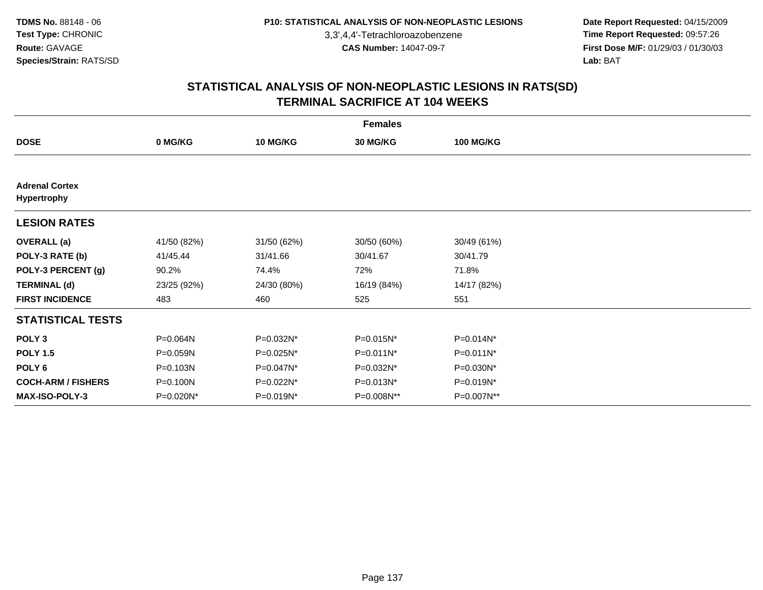**Date Report Requested:** 04/15/2009 **Time Report Requested:** 09:57:26 **First Dose M/F:** 01/29/03 / 01/30/03<br>Lab: BAT **Lab:** BAT

|                                      | <b>Females</b> |                 |                 |                  |  |  |  |  |
|--------------------------------------|----------------|-----------------|-----------------|------------------|--|--|--|--|
| <b>DOSE</b>                          | 0 MG/KG        | <b>10 MG/KG</b> | <b>30 MG/KG</b> | <b>100 MG/KG</b> |  |  |  |  |
|                                      |                |                 |                 |                  |  |  |  |  |
| <b>Adrenal Cortex</b><br>Hypertrophy |                |                 |                 |                  |  |  |  |  |
| <b>LESION RATES</b>                  |                |                 |                 |                  |  |  |  |  |
| <b>OVERALL</b> (a)                   | 41/50 (82%)    | 31/50 (62%)     | 30/50 (60%)     | 30/49 (61%)      |  |  |  |  |
| POLY-3 RATE (b)                      | 41/45.44       | 31/41.66        | 30/41.67        | 30/41.79         |  |  |  |  |
| POLY-3 PERCENT (g)                   | 90.2%          | 74.4%           | 72%             | 71.8%            |  |  |  |  |
| <b>TERMINAL (d)</b>                  | 23/25 (92%)    | 24/30 (80%)     | 16/19 (84%)     | 14/17 (82%)      |  |  |  |  |
| <b>FIRST INCIDENCE</b>               | 483            | 460             | 525             | 551              |  |  |  |  |
| <b>STATISTICAL TESTS</b>             |                |                 |                 |                  |  |  |  |  |
| POLY <sub>3</sub>                    | P=0.064N       | P=0.032N*       | P=0.015N*       | P=0.014N*        |  |  |  |  |
| <b>POLY 1.5</b>                      | P=0.059N       | P=0.025N*       | P=0.011N*       | $P=0.011N^*$     |  |  |  |  |
| POLY <sub>6</sub>                    | P=0.103N       | P=0.047N*       | P=0.032N*       | P=0.030N*        |  |  |  |  |
| <b>COCH-ARM / FISHERS</b>            | P=0.100N       | P=0.022N*       | P=0.013N*       | P=0.019N*        |  |  |  |  |
| <b>MAX-ISO-POLY-3</b>                | P=0.020N*      | P=0.019N*       | P=0.008N**      | P=0.007N**       |  |  |  |  |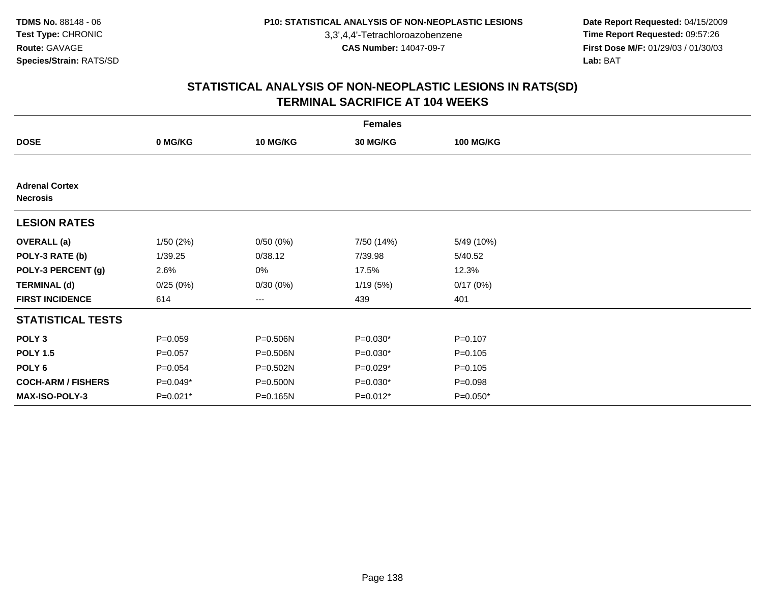**Date Report Requested:** 04/15/2009 **Time Report Requested:** 09:57:26 **First Dose M/F:** 01/29/03 / 01/30/03<br>Lab: BAT **Lab:** BAT

|                                          | <b>Females</b> |                 |            |                  |  |  |  |  |
|------------------------------------------|----------------|-----------------|------------|------------------|--|--|--|--|
| <b>DOSE</b>                              | 0 MG/KG        | <b>10 MG/KG</b> | 30 MG/KG   | <b>100 MG/KG</b> |  |  |  |  |
|                                          |                |                 |            |                  |  |  |  |  |
| <b>Adrenal Cortex</b><br><b>Necrosis</b> |                |                 |            |                  |  |  |  |  |
| <b>LESION RATES</b>                      |                |                 |            |                  |  |  |  |  |
| <b>OVERALL</b> (a)                       | 1/50(2%)       | 0/50(0%)        | 7/50 (14%) | 5/49 (10%)       |  |  |  |  |
| POLY-3 RATE (b)                          | 1/39.25        | 0/38.12         | 7/39.98    | 5/40.52          |  |  |  |  |
| POLY-3 PERCENT (g)                       | 2.6%           | 0%              | 17.5%      | 12.3%            |  |  |  |  |
| <b>TERMINAL (d)</b>                      | 0/25(0%)       | 0/30(0%)        | 1/19(5%)   | 0/17(0%)         |  |  |  |  |
| <b>FIRST INCIDENCE</b>                   | 614            | ---             | 439        | 401              |  |  |  |  |
| <b>STATISTICAL TESTS</b>                 |                |                 |            |                  |  |  |  |  |
| POLY <sub>3</sub>                        | $P = 0.059$    | P=0.506N        | $P=0.030*$ | $P = 0.107$      |  |  |  |  |
| <b>POLY 1.5</b>                          | $P = 0.057$    | P=0.506N        | $P=0.030*$ | $P = 0.105$      |  |  |  |  |
| POLY <sub>6</sub>                        | $P = 0.054$    | P=0.502N        | P=0.029*   | $P = 0.105$      |  |  |  |  |
| <b>COCH-ARM / FISHERS</b>                | P=0.049*       | P=0.500N        | $P=0.030*$ | $P = 0.098$      |  |  |  |  |
| <b>MAX-ISO-POLY-3</b>                    | $P=0.021*$     | P=0.165N        | $P=0.012*$ | $P=0.050*$       |  |  |  |  |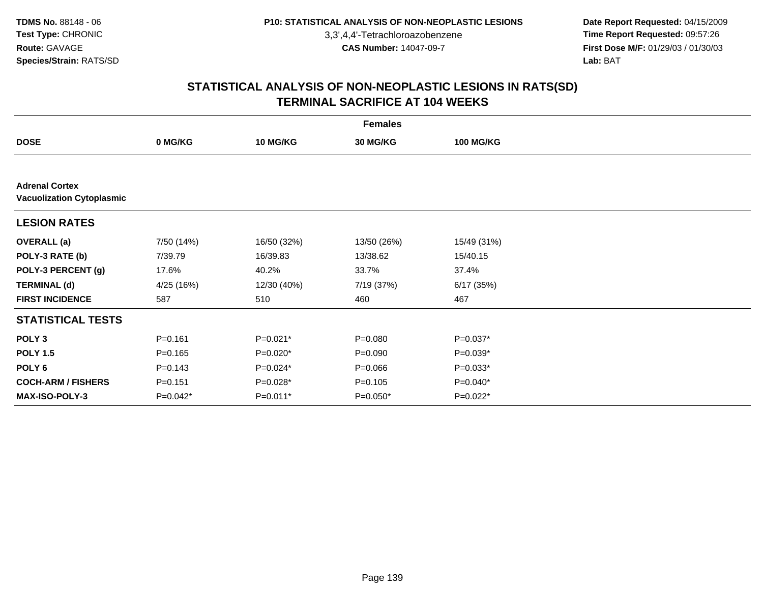**Date Report Requested:** 04/15/2009 **Time Report Requested:** 09:57:26 **First Dose M/F:** 01/29/03 / 01/30/03<br>Lab: BAT **Lab:** BAT

|                                                           | <b>Females</b> |                 |             |                  |  |  |  |  |
|-----------------------------------------------------------|----------------|-----------------|-------------|------------------|--|--|--|--|
| <b>DOSE</b>                                               | 0 MG/KG        | <b>10 MG/KG</b> | 30 MG/KG    | <b>100 MG/KG</b> |  |  |  |  |
|                                                           |                |                 |             |                  |  |  |  |  |
| <b>Adrenal Cortex</b><br><b>Vacuolization Cytoplasmic</b> |                |                 |             |                  |  |  |  |  |
| <b>LESION RATES</b>                                       |                |                 |             |                  |  |  |  |  |
| <b>OVERALL</b> (a)                                        | 7/50 (14%)     | 16/50 (32%)     | 13/50 (26%) | 15/49 (31%)      |  |  |  |  |
| POLY-3 RATE (b)                                           | 7/39.79        | 16/39.83        | 13/38.62    | 15/40.15         |  |  |  |  |
| POLY-3 PERCENT (g)                                        | 17.6%          | 40.2%           | 33.7%       | 37.4%            |  |  |  |  |
| <b>TERMINAL (d)</b>                                       | 4/25 (16%)     | 12/30 (40%)     | 7/19 (37%)  | 6/17(35%)        |  |  |  |  |
| <b>FIRST INCIDENCE</b>                                    | 587            | 510             | 460         | 467              |  |  |  |  |
| <b>STATISTICAL TESTS</b>                                  |                |                 |             |                  |  |  |  |  |
| POLY <sub>3</sub>                                         | $P = 0.161$    | $P=0.021*$      | $P = 0.080$ | $P=0.037*$       |  |  |  |  |
| <b>POLY 1.5</b>                                           | $P = 0.165$    | P=0.020*        | $P = 0.090$ | $P=0.039*$       |  |  |  |  |
| POLY <sub>6</sub>                                         | $P = 0.143$    | P=0.024*        | $P = 0.066$ | $P=0.033*$       |  |  |  |  |
| <b>COCH-ARM / FISHERS</b>                                 | $P = 0.151$    | P=0.028*        | $P = 0.105$ | $P=0.040*$       |  |  |  |  |
| <b>MAX-ISO-POLY-3</b>                                     | P=0.042*       | $P=0.011*$      | $P=0.050*$  | P=0.022*         |  |  |  |  |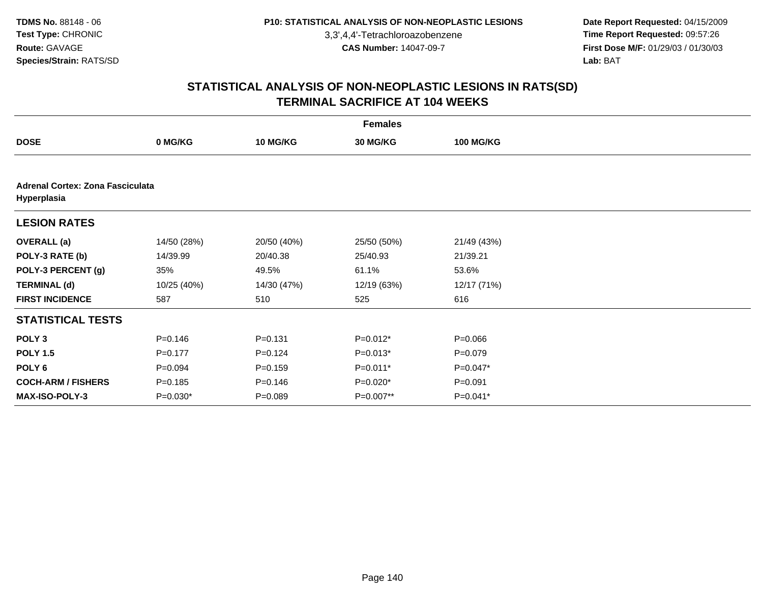**Date Report Requested:** 04/15/2009 **Time Report Requested:** 09:57:26 **First Dose M/F:** 01/29/03 / 01/30/03<br>Lab: BAT **Lab:** BAT

| <b>Females</b>                                         |             |                 |             |                  |  |  |  |
|--------------------------------------------------------|-------------|-----------------|-------------|------------------|--|--|--|
| <b>DOSE</b>                                            | 0 MG/KG     | <b>10 MG/KG</b> | 30 MG/KG    | <b>100 MG/KG</b> |  |  |  |
|                                                        |             |                 |             |                  |  |  |  |
| <b>Adrenal Cortex: Zona Fasciculata</b><br>Hyperplasia |             |                 |             |                  |  |  |  |
| <b>LESION RATES</b>                                    |             |                 |             |                  |  |  |  |
| <b>OVERALL</b> (a)                                     | 14/50 (28%) | 20/50 (40%)     | 25/50 (50%) | 21/49 (43%)      |  |  |  |
| POLY-3 RATE (b)                                        | 14/39.99    | 20/40.38        | 25/40.93    | 21/39.21         |  |  |  |
| POLY-3 PERCENT (g)                                     | 35%         | 49.5%           | 61.1%       | 53.6%            |  |  |  |
| <b>TERMINAL (d)</b>                                    | 10/25 (40%) | 14/30 (47%)     | 12/19 (63%) | 12/17 (71%)      |  |  |  |
| <b>FIRST INCIDENCE</b>                                 | 587         | 510             | 525         | 616              |  |  |  |
| <b>STATISTICAL TESTS</b>                               |             |                 |             |                  |  |  |  |
| POLY <sub>3</sub>                                      | $P = 0.146$ | $P = 0.131$     | $P=0.012*$  | $P = 0.066$      |  |  |  |
| <b>POLY 1.5</b>                                        | $P = 0.177$ | $P = 0.124$     | $P=0.013*$  | $P=0.079$        |  |  |  |
| POLY 6                                                 | $P = 0.094$ | $P = 0.159$     | $P=0.011*$  | P=0.047*         |  |  |  |
| <b>COCH-ARM / FISHERS</b>                              | $P = 0.185$ | $P = 0.146$     | $P=0.020*$  | $P = 0.091$      |  |  |  |
| <b>MAX-ISO-POLY-3</b>                                  | P=0.030*    | $P = 0.089$     | P=0.007**   | P=0.041*         |  |  |  |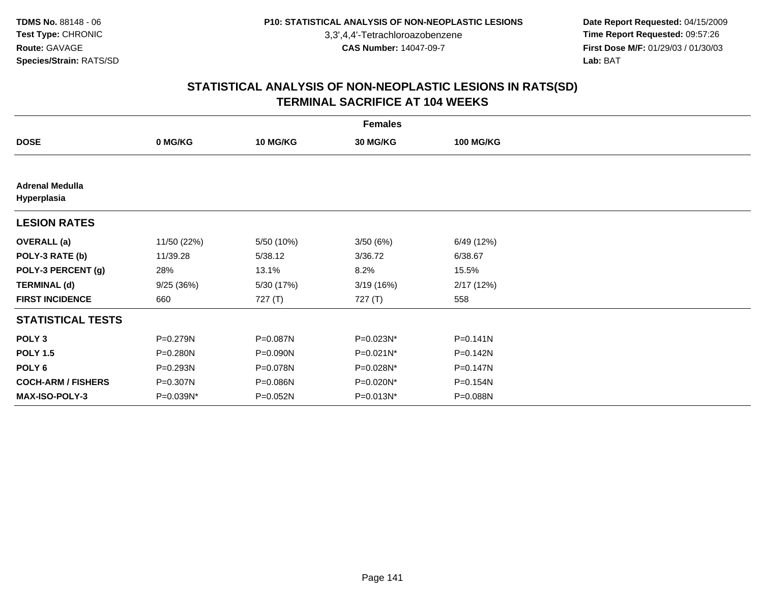**Date Report Requested:** 04/15/2009 **Time Report Requested:** 09:57:26 **First Dose M/F:** 01/29/03 / 01/30/03<br>Lab: BAT **Lab:** BAT

| <b>Females</b>                        |             |                 |                 |                  |  |  |  |
|---------------------------------------|-------------|-----------------|-----------------|------------------|--|--|--|
| <b>DOSE</b>                           | 0 MG/KG     | <b>10 MG/KG</b> | <b>30 MG/KG</b> | <b>100 MG/KG</b> |  |  |  |
|                                       |             |                 |                 |                  |  |  |  |
| <b>Adrenal Medulla</b><br>Hyperplasia |             |                 |                 |                  |  |  |  |
| <b>LESION RATES</b>                   |             |                 |                 |                  |  |  |  |
| <b>OVERALL</b> (a)                    | 11/50 (22%) | 5/50 (10%)      | 3/50(6%)        | 6/49 (12%)       |  |  |  |
| POLY-3 RATE (b)                       | 11/39.28    | 5/38.12         | 3/36.72         | 6/38.67          |  |  |  |
| POLY-3 PERCENT (g)                    | 28%         | 13.1%           | 8.2%            | 15.5%            |  |  |  |
| <b>TERMINAL (d)</b>                   | 9/25(36%)   | 5/30 (17%)      | 3/19(16%)       | 2/17(12%)        |  |  |  |
| <b>FIRST INCIDENCE</b>                | 660         | 727 (T)         | 727 (T)         | 558              |  |  |  |
| <b>STATISTICAL TESTS</b>              |             |                 |                 |                  |  |  |  |
| POLY <sub>3</sub>                     | P=0.279N    | P=0.087N        | P=0.023N*       | $P = 0.141N$     |  |  |  |
| <b>POLY 1.5</b>                       | P=0.280N    | P=0.090N        | P=0.021N*       | P=0.142N         |  |  |  |
| POLY <sub>6</sub>                     | P=0.293N    | P=0.078N        | P=0.028N*       | P=0.147N         |  |  |  |
| <b>COCH-ARM / FISHERS</b>             | P=0.307N    | P=0.086N        | P=0.020N*       | P=0.154N         |  |  |  |
| <b>MAX-ISO-POLY-3</b>                 | P=0.039N*   | P=0.052N        | P=0.013N*       | P=0.088N         |  |  |  |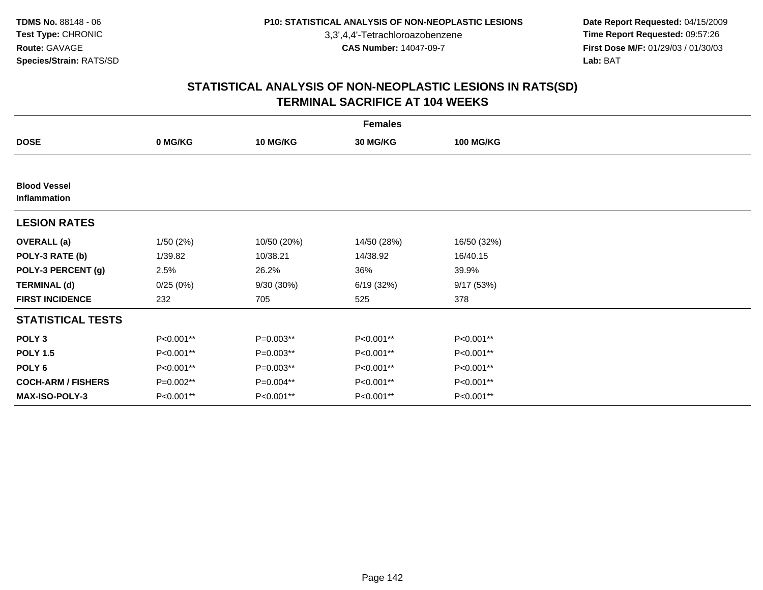**Date Report Requested:** 04/15/2009 **Time Report Requested:** 09:57:26 **First Dose M/F:** 01/29/03 / 01/30/03<br>Lab: BAT **Lab:** BAT

|                                     | <b>Females</b> |                 |             |                  |  |  |  |  |
|-------------------------------------|----------------|-----------------|-------------|------------------|--|--|--|--|
| <b>DOSE</b>                         | 0 MG/KG        | <b>10 MG/KG</b> | 30 MG/KG    | <b>100 MG/KG</b> |  |  |  |  |
|                                     |                |                 |             |                  |  |  |  |  |
| <b>Blood Vessel</b><br>Inflammation |                |                 |             |                  |  |  |  |  |
| <b>LESION RATES</b>                 |                |                 |             |                  |  |  |  |  |
| <b>OVERALL</b> (a)                  | 1/50(2%)       | 10/50 (20%)     | 14/50 (28%) | 16/50 (32%)      |  |  |  |  |
| POLY-3 RATE (b)                     | 1/39.82        | 10/38.21        | 14/38.92    | 16/40.15         |  |  |  |  |
| POLY-3 PERCENT (g)                  | 2.5%           | 26.2%           | 36%         | 39.9%            |  |  |  |  |
| <b>TERMINAL (d)</b>                 | 0/25(0%)       | 9/30 (30%)      | 6/19(32%)   | 9/17 (53%)       |  |  |  |  |
| <b>FIRST INCIDENCE</b>              | 232            | 705             | 525         | 378              |  |  |  |  |
| <b>STATISTICAL TESTS</b>            |                |                 |             |                  |  |  |  |  |
| POLY <sub>3</sub>                   | P<0.001**      | $P=0.003**$     | P<0.001**   | P<0.001**        |  |  |  |  |
| <b>POLY 1.5</b>                     | P<0.001**      | P=0.003**       | P<0.001**   | P<0.001**        |  |  |  |  |
| POLY <sub>6</sub>                   | P<0.001**      | P=0.003**       | P<0.001**   | P<0.001**        |  |  |  |  |
| <b>COCH-ARM / FISHERS</b>           | P=0.002**      | P=0.004**       | P<0.001**   | P<0.001**        |  |  |  |  |
| <b>MAX-ISO-POLY-3</b>               | P<0.001**      | P<0.001**       | P<0.001**   | P<0.001**        |  |  |  |  |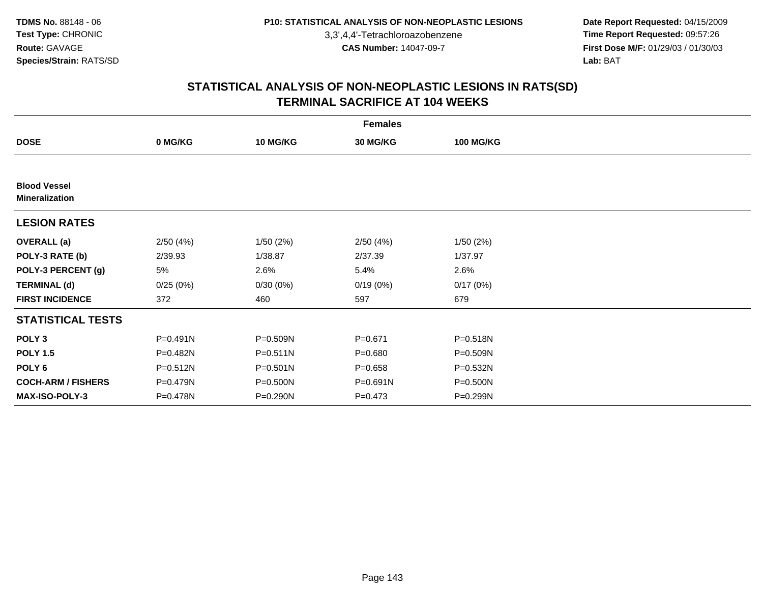**Date Report Requested:** 04/15/2009 **Time Report Requested:** 09:57:26 **First Dose M/F:** 01/29/03 / 01/30/03<br>Lab: BAT **Lab:** BAT

| <b>Females</b>                               |              |                 |                 |                  |  |  |  |
|----------------------------------------------|--------------|-----------------|-----------------|------------------|--|--|--|
| <b>DOSE</b>                                  | 0 MG/KG      | <b>10 MG/KG</b> | <b>30 MG/KG</b> | <b>100 MG/KG</b> |  |  |  |
|                                              |              |                 |                 |                  |  |  |  |
| <b>Blood Vessel</b><br><b>Mineralization</b> |              |                 |                 |                  |  |  |  |
| <b>LESION RATES</b>                          |              |                 |                 |                  |  |  |  |
| <b>OVERALL</b> (a)                           | 2/50(4%)     | 1/50(2%)        | 2/50(4%)        | 1/50(2%)         |  |  |  |
| POLY-3 RATE (b)                              | 2/39.93      | 1/38.87         | 2/37.39         | 1/37.97          |  |  |  |
| POLY-3 PERCENT (g)                           | 5%           | 2.6%            | 5.4%            | 2.6%             |  |  |  |
| <b>TERMINAL (d)</b>                          | 0/25(0%)     | 0/30(0%)        | 0/19(0%)        | 0/17(0%)         |  |  |  |
| <b>FIRST INCIDENCE</b>                       | 372          | 460             | 597             | 679              |  |  |  |
| <b>STATISTICAL TESTS</b>                     |              |                 |                 |                  |  |  |  |
| POLY <sub>3</sub>                            | $P = 0.491N$ | P=0.509N        | $P = 0.671$     | P=0.518N         |  |  |  |
| <b>POLY 1.5</b>                              | P=0.482N     | $P = 0.511N$    | $P = 0.680$     | P=0.509N         |  |  |  |
| POLY <sub>6</sub>                            | P=0.512N     | P=0.501N        | $P = 0.658$     | P=0.532N         |  |  |  |
| <b>COCH-ARM / FISHERS</b>                    | P=0.479N     | P=0.500N        | P=0.691N        | P=0.500N         |  |  |  |
| MAX-ISO-POLY-3                               | P=0.478N     | P=0.290N        | $P = 0.473$     | P=0.299N         |  |  |  |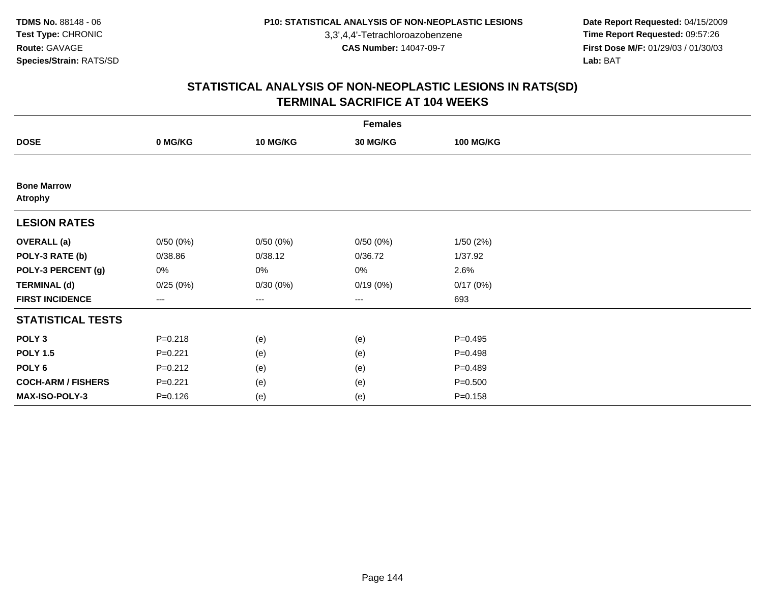**Date Report Requested:** 04/15/2009 **Time Report Requested:** 09:57:26 **First Dose M/F:** 01/29/03 / 01/30/03<br>Lab: BAT **Lab:** BAT

|                                      | <b>Females</b> |          |                 |                  |  |  |  |  |
|--------------------------------------|----------------|----------|-----------------|------------------|--|--|--|--|
| <b>DOSE</b>                          | 0 MG/KG        | 10 MG/KG | <b>30 MG/KG</b> | <b>100 MG/KG</b> |  |  |  |  |
|                                      |                |          |                 |                  |  |  |  |  |
| <b>Bone Marrow</b><br><b>Atrophy</b> |                |          |                 |                  |  |  |  |  |
| <b>LESION RATES</b>                  |                |          |                 |                  |  |  |  |  |
| <b>OVERALL</b> (a)                   | 0/50(0%)       | 0/50(0%) | 0/50(0%)        | 1/50(2%)         |  |  |  |  |
| POLY-3 RATE (b)                      | 0/38.86        | 0/38.12  | 0/36.72         | 1/37.92          |  |  |  |  |
| POLY-3 PERCENT (g)                   | 0%             | 0%       | 0%              | 2.6%             |  |  |  |  |
| <b>TERMINAL (d)</b>                  | 0/25(0%)       | 0/30(0%) | 0/19(0%)        | 0/17(0%)         |  |  |  |  |
| <b>FIRST INCIDENCE</b>               | $---$          | ---      | ---             | 693              |  |  |  |  |
| <b>STATISTICAL TESTS</b>             |                |          |                 |                  |  |  |  |  |
| POLY <sub>3</sub>                    | $P = 0.218$    | (e)      | (e)             | $P=0.495$        |  |  |  |  |
| <b>POLY 1.5</b>                      | $P = 0.221$    | (e)      | (e)             | $P=0.498$        |  |  |  |  |
| POLY <sub>6</sub>                    | $P = 0.212$    | (e)      | (e)             | $P=0.489$        |  |  |  |  |
| <b>COCH-ARM / FISHERS</b>            | $P = 0.221$    | (e)      | (e)             | $P = 0.500$      |  |  |  |  |
| <b>MAX-ISO-POLY-3</b>                | $P = 0.126$    | (e)      | (e)             | $P = 0.158$      |  |  |  |  |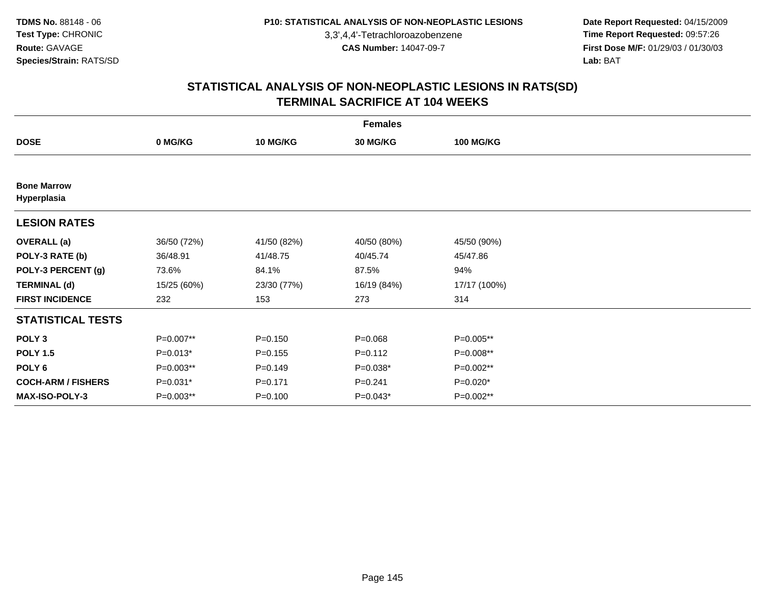**Date Report Requested:** 04/15/2009 **Time Report Requested:** 09:57:26 **First Dose M/F:** 01/29/03 / 01/30/03<br>Lab: BAT **Lab:** BAT

|                                   | <b>Females</b> |                 |                 |                  |  |  |  |  |  |
|-----------------------------------|----------------|-----------------|-----------------|------------------|--|--|--|--|--|
| <b>DOSE</b>                       | 0 MG/KG        | <b>10 MG/KG</b> | <b>30 MG/KG</b> | <b>100 MG/KG</b> |  |  |  |  |  |
|                                   |                |                 |                 |                  |  |  |  |  |  |
| <b>Bone Marrow</b><br>Hyperplasia |                |                 |                 |                  |  |  |  |  |  |
| <b>LESION RATES</b>               |                |                 |                 |                  |  |  |  |  |  |
| <b>OVERALL</b> (a)                | 36/50 (72%)    | 41/50 (82%)     | 40/50 (80%)     | 45/50 (90%)      |  |  |  |  |  |
| POLY-3 RATE (b)                   | 36/48.91       | 41/48.75        | 40/45.74        | 45/47.86         |  |  |  |  |  |
| POLY-3 PERCENT (g)                | 73.6%          | 84.1%           | 87.5%           | 94%              |  |  |  |  |  |
| <b>TERMINAL (d)</b>               | 15/25 (60%)    | 23/30 (77%)     | 16/19 (84%)     | 17/17 (100%)     |  |  |  |  |  |
| <b>FIRST INCIDENCE</b>            | 232            | 153             | 273             | 314              |  |  |  |  |  |
| <b>STATISTICAL TESTS</b>          |                |                 |                 |                  |  |  |  |  |  |
| POLY <sub>3</sub>                 | P=0.007**      | $P = 0.150$     | $P = 0.068$     | P=0.005**        |  |  |  |  |  |
| <b>POLY 1.5</b>                   | $P=0.013*$     | $P = 0.155$     | $P = 0.112$     | P=0.008**        |  |  |  |  |  |
| POLY <sub>6</sub>                 | P=0.003**      | $P = 0.149$     | P=0.038*        | P=0.002**        |  |  |  |  |  |
| <b>COCH-ARM / FISHERS</b>         | $P=0.031*$     | $P = 0.171$     | $P=0.241$       | $P=0.020*$       |  |  |  |  |  |
| <b>MAX-ISO-POLY-3</b>             | P=0.003**      | $P = 0.100$     | $P=0.043*$      | P=0.002**        |  |  |  |  |  |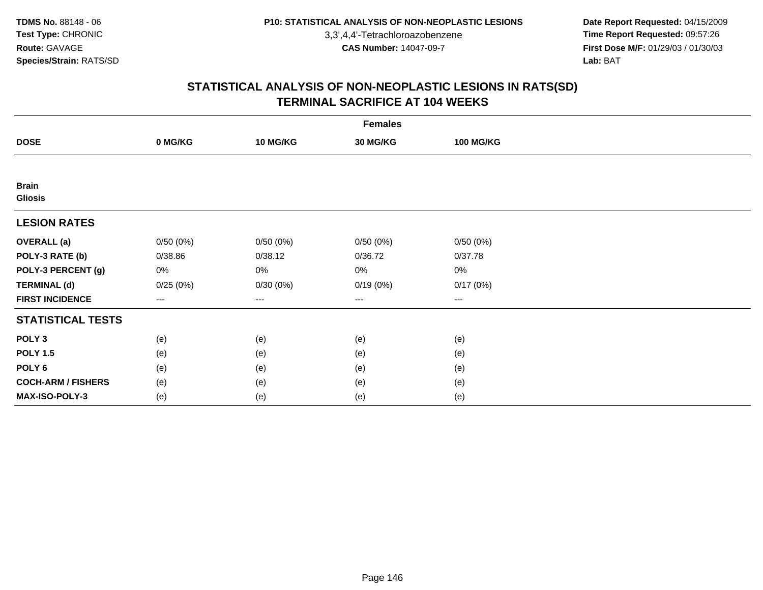**Date Report Requested:** 04/15/2009 **Time Report Requested:** 09:57:26 **First Dose M/F:** 01/29/03 / 01/30/03<br>Lab: BAT **Lab:** BAT

| <b>Females</b>                 |          |          |                 |                  |  |  |  |
|--------------------------------|----------|----------|-----------------|------------------|--|--|--|
| <b>DOSE</b>                    | 0 MG/KG  | 10 MG/KG | <b>30 MG/KG</b> | <b>100 MG/KG</b> |  |  |  |
|                                |          |          |                 |                  |  |  |  |
| <b>Brain</b><br><b>Gliosis</b> |          |          |                 |                  |  |  |  |
| <b>LESION RATES</b>            |          |          |                 |                  |  |  |  |
| <b>OVERALL</b> (a)             | 0/50(0%) | 0/50(0%) | 0/50(0%)        | 0/50(0%)         |  |  |  |
| POLY-3 RATE (b)                | 0/38.86  | 0/38.12  | 0/36.72         | 0/37.78          |  |  |  |
| POLY-3 PERCENT (g)             | 0%       | $0\%$    | 0%              | 0%               |  |  |  |
| <b>TERMINAL (d)</b>            | 0/25(0%) | 0/30(0%) | 0/19(0%)        | 0/17(0%)         |  |  |  |
| <b>FIRST INCIDENCE</b>         | $--$     | $--$     | ---             | $--$             |  |  |  |
| <b>STATISTICAL TESTS</b>       |          |          |                 |                  |  |  |  |
| POLY <sub>3</sub>              | (e)      | (e)      | (e)             | (e)              |  |  |  |
| <b>POLY 1.5</b>                | (e)      | (e)      | (e)             | (e)              |  |  |  |
| POLY <sub>6</sub>              | (e)      | (e)      | (e)             | (e)              |  |  |  |
| <b>COCH-ARM / FISHERS</b>      | (e)      | (e)      | (e)             | (e)              |  |  |  |
| MAX-ISO-POLY-3                 | (e)      | (e)      | (e)             | (e)              |  |  |  |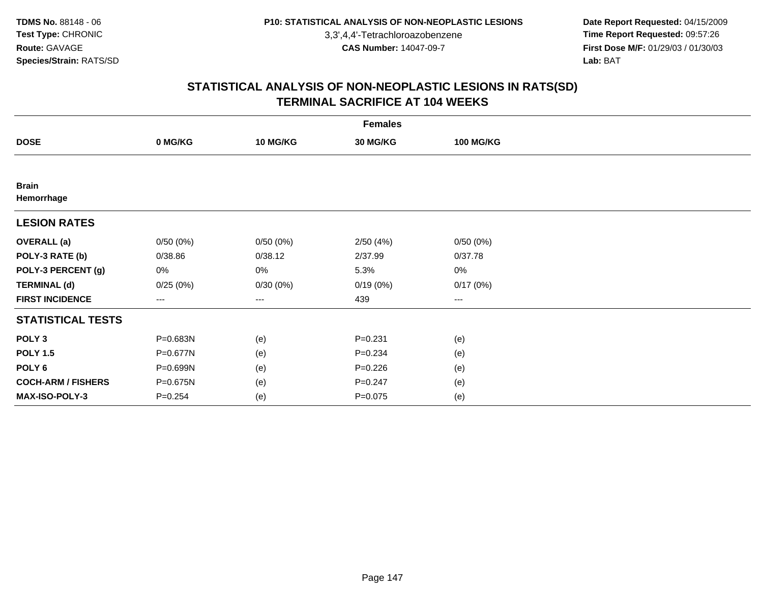**Date Report Requested:** 04/15/2009 **Time Report Requested:** 09:57:26 **First Dose M/F:** 01/29/03 / 01/30/03<br>Lab: BAT **Lab:** BAT

|                            | <b>Females</b> |                   |                 |                  |  |  |  |  |
|----------------------------|----------------|-------------------|-----------------|------------------|--|--|--|--|
| <b>DOSE</b>                | 0 MG/KG        | 10 MG/KG          | <b>30 MG/KG</b> | <b>100 MG/KG</b> |  |  |  |  |
|                            |                |                   |                 |                  |  |  |  |  |
| <b>Brain</b><br>Hemorrhage |                |                   |                 |                  |  |  |  |  |
| <b>LESION RATES</b>        |                |                   |                 |                  |  |  |  |  |
| <b>OVERALL</b> (a)         | 0/50(0%)       | 0/50(0%)          | 2/50(4%)        | 0/50(0%)         |  |  |  |  |
| POLY-3 RATE (b)            | 0/38.86        | 0/38.12           | 2/37.99         | 0/37.78          |  |  |  |  |
| POLY-3 PERCENT (g)         | 0%             | 0%                | 5.3%            | 0%               |  |  |  |  |
| <b>TERMINAL (d)</b>        | 0/25(0%)       | 0/30(0%)          | 0/19(0%)        | 0/17(0%)         |  |  |  |  |
| <b>FIRST INCIDENCE</b>     | $---$          | $\qquad \qquad -$ | 439             | $--$             |  |  |  |  |
| <b>STATISTICAL TESTS</b>   |                |                   |                 |                  |  |  |  |  |
| POLY <sub>3</sub>          | P=0.683N       | (e)               | $P = 0.231$     | (e)              |  |  |  |  |
| <b>POLY 1.5</b>            | P=0.677N       | (e)               | $P = 0.234$     | (e)              |  |  |  |  |
| POLY <sub>6</sub>          | P=0.699N       | (e)               | $P=0.226$       | (e)              |  |  |  |  |
| <b>COCH-ARM / FISHERS</b>  | P=0.675N       | (e)               | $P = 0.247$     | (e)              |  |  |  |  |
| MAX-ISO-POLY-3             | $P = 0.254$    | (e)               | $P=0.075$       | (e)              |  |  |  |  |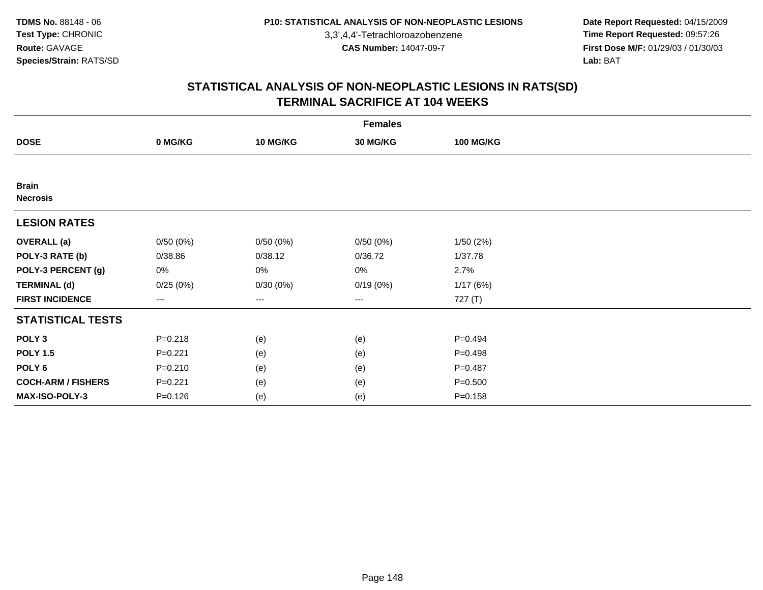**Date Report Requested:** 04/15/2009 **Time Report Requested:** 09:57:26 **First Dose M/F:** 01/29/03 / 01/30/03<br>Lab: BAT **Lab:** BAT

|                                 | <b>Females</b>    |                   |                 |                  |  |  |  |  |
|---------------------------------|-------------------|-------------------|-----------------|------------------|--|--|--|--|
| <b>DOSE</b>                     | 0 MG/KG           | <b>10 MG/KG</b>   | <b>30 MG/KG</b> | <b>100 MG/KG</b> |  |  |  |  |
|                                 |                   |                   |                 |                  |  |  |  |  |
| <b>Brain</b><br><b>Necrosis</b> |                   |                   |                 |                  |  |  |  |  |
| <b>LESION RATES</b>             |                   |                   |                 |                  |  |  |  |  |
| <b>OVERALL</b> (a)              | 0/50(0%)          | 0/50(0%)          | 0/50(0%)        | 1/50(2%)         |  |  |  |  |
| POLY-3 RATE (b)                 | 0/38.86           | 0/38.12           | 0/36.72         | 1/37.78          |  |  |  |  |
| POLY-3 PERCENT (g)              | 0%                | $0\%$             | 0%              | 2.7%             |  |  |  |  |
| <b>TERMINAL (d)</b>             | 0/25(0%)          | 0/30(0%)          | 0/19(0%)        | 1/17(6%)         |  |  |  |  |
| <b>FIRST INCIDENCE</b>          | $\qquad \qquad -$ | $\qquad \qquad -$ | ---             | 727 (T)          |  |  |  |  |
| <b>STATISTICAL TESTS</b>        |                   |                   |                 |                  |  |  |  |  |
| POLY <sub>3</sub>               | $P = 0.218$       | (e)               | (e)             | $P=0.494$        |  |  |  |  |
| <b>POLY 1.5</b>                 | $P = 0.221$       | (e)               | (e)             | $P=0.498$        |  |  |  |  |
| POLY <sub>6</sub>               | $P = 0.210$       | (e)               | (e)             | $P=0.487$        |  |  |  |  |
| <b>COCH-ARM / FISHERS</b>       | $P = 0.221$       | (e)               | (e)             | $P = 0.500$      |  |  |  |  |
| MAX-ISO-POLY-3                  | $P = 0.126$       | (e)               | (e)             | $P = 0.158$      |  |  |  |  |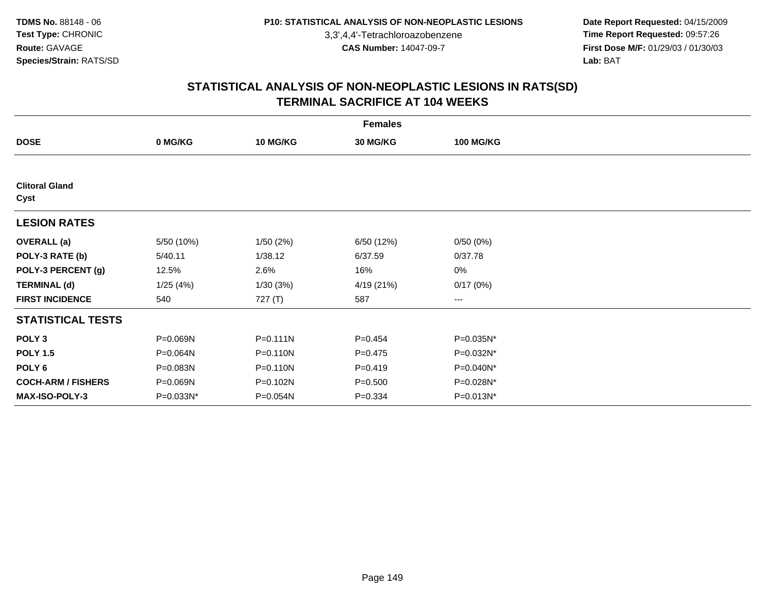**Date Report Requested:** 04/15/2009 **Time Report Requested:** 09:57:26 **First Dose M/F:** 01/29/03 / 01/30/03<br>Lab: BAT **Lab:** BAT

|                               | <b>Females</b> |                 |                 |                  |  |  |  |  |
|-------------------------------|----------------|-----------------|-----------------|------------------|--|--|--|--|
| <b>DOSE</b>                   | 0 MG/KG        | <b>10 MG/KG</b> | <b>30 MG/KG</b> | <b>100 MG/KG</b> |  |  |  |  |
|                               |                |                 |                 |                  |  |  |  |  |
| <b>Clitoral Gland</b><br>Cyst |                |                 |                 |                  |  |  |  |  |
| <b>LESION RATES</b>           |                |                 |                 |                  |  |  |  |  |
| <b>OVERALL</b> (a)            | 5/50 (10%)     | 1/50(2%)        | 6/50 (12%)      | 0/50(0%)         |  |  |  |  |
| POLY-3 RATE (b)               | 5/40.11        | 1/38.12         | 6/37.59         | 0/37.78          |  |  |  |  |
| POLY-3 PERCENT (g)            | 12.5%          | 2.6%            | 16%             | 0%               |  |  |  |  |
| <b>TERMINAL (d)</b>           | 1/25(4%)       | 1/30(3%)        | 4/19 (21%)      | 0/17(0%)         |  |  |  |  |
| <b>FIRST INCIDENCE</b>        | 540            | 727 (T)         | 587             | $--$             |  |  |  |  |
| <b>STATISTICAL TESTS</b>      |                |                 |                 |                  |  |  |  |  |
| POLY <sub>3</sub>             | P=0.069N       | $P = 0.111N$    | $P = 0.454$     | P=0.035N*        |  |  |  |  |
| <b>POLY 1.5</b>               | P=0.064N       | P=0.110N        | $P=0.475$       | P=0.032N*        |  |  |  |  |
| POLY <sub>6</sub>             | P=0.083N       | $P = 0.110N$    | $P = 0.419$     | P=0.040N*        |  |  |  |  |
| <b>COCH-ARM / FISHERS</b>     | P=0.069N       | P=0.102N        | $P = 0.500$     | P=0.028N*        |  |  |  |  |
| MAX-ISO-POLY-3                | P=0.033N*      | P=0.054N        | $P = 0.334$     | P=0.013N*        |  |  |  |  |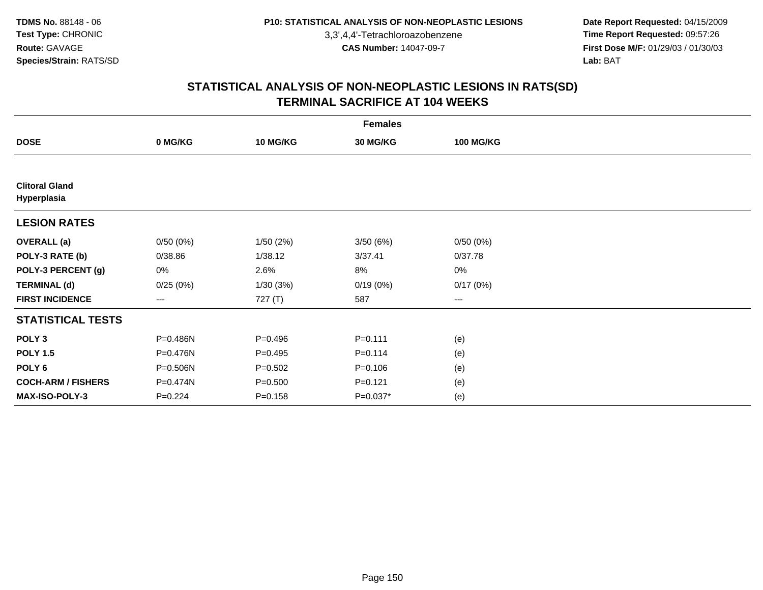**Date Report Requested:** 04/15/2009 **Time Report Requested:** 09:57:26 **First Dose M/F:** 01/29/03 / 01/30/03<br>Lab: BAT **Lab:** BAT

|                                      | <b>Females</b> |             |                 |                  |  |  |  |  |
|--------------------------------------|----------------|-------------|-----------------|------------------|--|--|--|--|
| <b>DOSE</b>                          | 0 MG/KG        | 10 MG/KG    | <b>30 MG/KG</b> | <b>100 MG/KG</b> |  |  |  |  |
|                                      |                |             |                 |                  |  |  |  |  |
| <b>Clitoral Gland</b><br>Hyperplasia |                |             |                 |                  |  |  |  |  |
| <b>LESION RATES</b>                  |                |             |                 |                  |  |  |  |  |
| <b>OVERALL</b> (a)                   | 0/50(0%)       | 1/50(2%)    | 3/50(6%)        | 0/50(0%)         |  |  |  |  |
| POLY-3 RATE (b)                      | 0/38.86        | 1/38.12     | 3/37.41         | 0/37.78          |  |  |  |  |
| POLY-3 PERCENT (g)                   | 0%             | 2.6%        | 8%              | 0%               |  |  |  |  |
| <b>TERMINAL (d)</b>                  | 0/25(0%)       | 1/30(3%)    | 0/19(0%)        | 0/17(0%)         |  |  |  |  |
| <b>FIRST INCIDENCE</b>               | $--$           | 727 (T)     | 587             | $--$             |  |  |  |  |
| <b>STATISTICAL TESTS</b>             |                |             |                 |                  |  |  |  |  |
| POLY <sub>3</sub>                    | P=0.486N       | $P = 0.496$ | $P = 0.111$     | (e)              |  |  |  |  |
| <b>POLY 1.5</b>                      | P=0.476N       | $P=0.495$   | $P = 0.114$     | (e)              |  |  |  |  |
| POLY <sub>6</sub>                    | P=0.506N       | $P = 0.502$ | $P = 0.106$     | (e)              |  |  |  |  |
| <b>COCH-ARM / FISHERS</b>            | P=0.474N       | $P = 0.500$ | $P = 0.121$     | (e)              |  |  |  |  |
| <b>MAX-ISO-POLY-3</b>                | $P = 0.224$    | $P = 0.158$ | P=0.037*        | (e)              |  |  |  |  |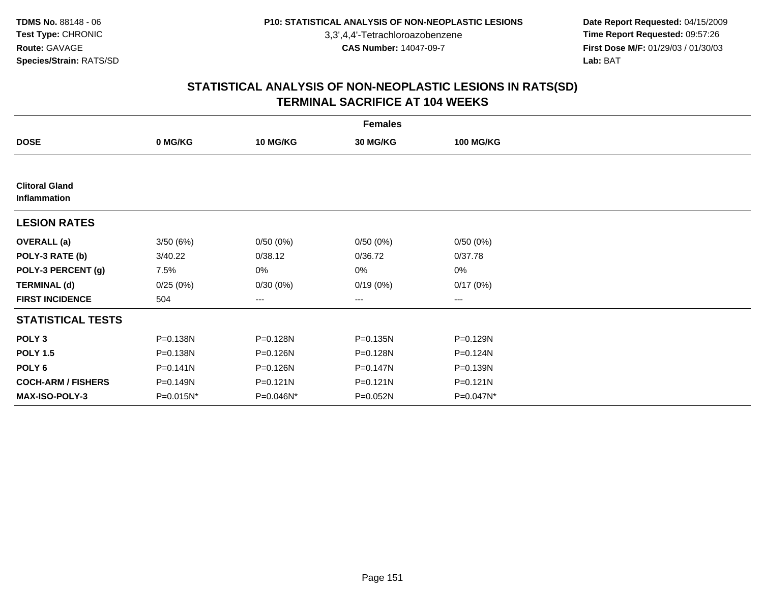**Date Report Requested:** 04/15/2009 **Time Report Requested:** 09:57:26 **First Dose M/F:** 01/29/03 / 01/30/03<br>Lab: BAT **Lab:** BAT

|                                       | <b>Females</b> |                 |                 |                  |  |  |  |  |  |
|---------------------------------------|----------------|-----------------|-----------------|------------------|--|--|--|--|--|
| <b>DOSE</b>                           | 0 MG/KG        | <b>10 MG/KG</b> | <b>30 MG/KG</b> | <b>100 MG/KG</b> |  |  |  |  |  |
|                                       |                |                 |                 |                  |  |  |  |  |  |
| <b>Clitoral Gland</b><br>Inflammation |                |                 |                 |                  |  |  |  |  |  |
| <b>LESION RATES</b>                   |                |                 |                 |                  |  |  |  |  |  |
| <b>OVERALL</b> (a)                    | 3/50(6%)       | 0/50(0%)        | 0/50(0%)        | 0/50(0%)         |  |  |  |  |  |
| POLY-3 RATE (b)                       | 3/40.22        | 0/38.12         | 0/36.72         | 0/37.78          |  |  |  |  |  |
| POLY-3 PERCENT (g)                    | 7.5%           | 0%              | 0%              | 0%               |  |  |  |  |  |
| <b>TERMINAL (d)</b>                   | 0/25(0%)       | 0/30(0%)        | 0/19(0%)        | 0/17(0%)         |  |  |  |  |  |
| <b>FIRST INCIDENCE</b>                | 504            | ---             | ---             | ---              |  |  |  |  |  |
| <b>STATISTICAL TESTS</b>              |                |                 |                 |                  |  |  |  |  |  |
| POLY <sub>3</sub>                     | P=0.138N       | P=0.128N        | P=0.135N        | P=0.129N         |  |  |  |  |  |
| <b>POLY 1.5</b>                       | P=0.138N       | P=0.126N        | P=0.128N        | P=0.124N         |  |  |  |  |  |
| POLY <sub>6</sub>                     | $P = 0.141N$   | P=0.126N        | P=0.147N        | P=0.139N         |  |  |  |  |  |
| <b>COCH-ARM / FISHERS</b>             | P=0.149N       | $P = 0.121N$    | $P = 0.121N$    | $P = 0.121N$     |  |  |  |  |  |
| <b>MAX-ISO-POLY-3</b>                 | P=0.015N*      | P=0.046N*       | P=0.052N        | P=0.047N*        |  |  |  |  |  |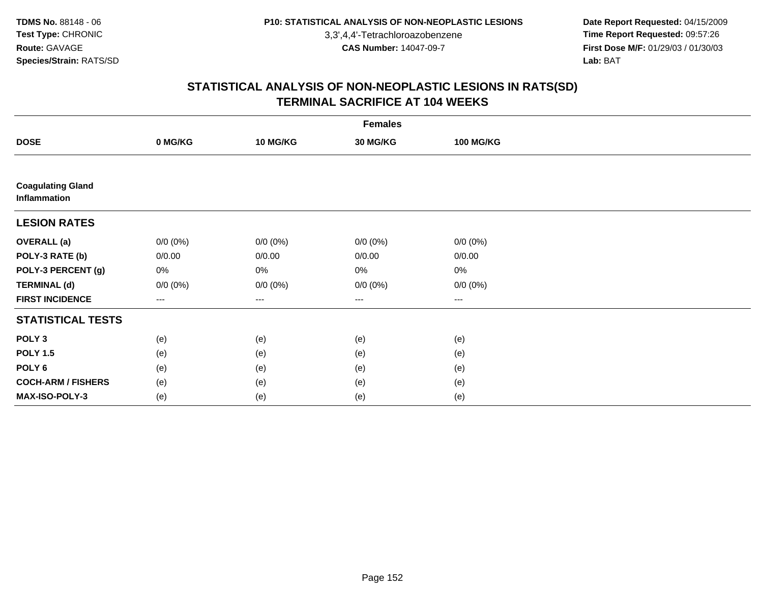**Date Report Requested:** 04/15/2009 **Time Report Requested:** 09:57:26 **First Dose M/F:** 01/29/03 / 01/30/03<br>Lab: BAT **Lab:** BAT

|                                          | <b>Females</b>         |             |             |                  |  |  |  |  |  |
|------------------------------------------|------------------------|-------------|-------------|------------------|--|--|--|--|--|
| <b>DOSE</b>                              | 0 MG/KG                | 10 MG/KG    | 30 MG/KG    | <b>100 MG/KG</b> |  |  |  |  |  |
|                                          |                        |             |             |                  |  |  |  |  |  |
| <b>Coagulating Gland</b><br>Inflammation |                        |             |             |                  |  |  |  |  |  |
| <b>LESION RATES</b>                      |                        |             |             |                  |  |  |  |  |  |
| <b>OVERALL</b> (a)                       | $0/0 (0\%)$            | $0/0 (0\%)$ | $0/0 (0\%)$ | $0/0 (0\%)$      |  |  |  |  |  |
| POLY-3 RATE (b)                          | 0/0.00                 | 0/0.00      | 0/0.00      | 0/0.00           |  |  |  |  |  |
| POLY-3 PERCENT (g)                       | 0%                     | 0%          | 0%          | 0%               |  |  |  |  |  |
| <b>TERMINAL (d)</b>                      | $0/0 (0\%)$            | $0/0 (0\%)$ | $0/0 (0\%)$ | $0/0 (0\%)$      |  |  |  |  |  |
| <b>FIRST INCIDENCE</b>                   | $\qquad \qquad \cdots$ | ---         | ---         | $\cdots$         |  |  |  |  |  |
| <b>STATISTICAL TESTS</b>                 |                        |             |             |                  |  |  |  |  |  |
| POLY <sub>3</sub>                        | (e)                    | (e)         | (e)         | (e)              |  |  |  |  |  |
| <b>POLY 1.5</b>                          | (e)                    | (e)         | (e)         | (e)              |  |  |  |  |  |
| POLY <sub>6</sub>                        | (e)                    | (e)         | (e)         | (e)              |  |  |  |  |  |
| <b>COCH-ARM / FISHERS</b>                | (e)                    | (e)         | (e)         | (e)              |  |  |  |  |  |
| MAX-ISO-POLY-3                           | (e)                    | (e)         | (e)         | (e)              |  |  |  |  |  |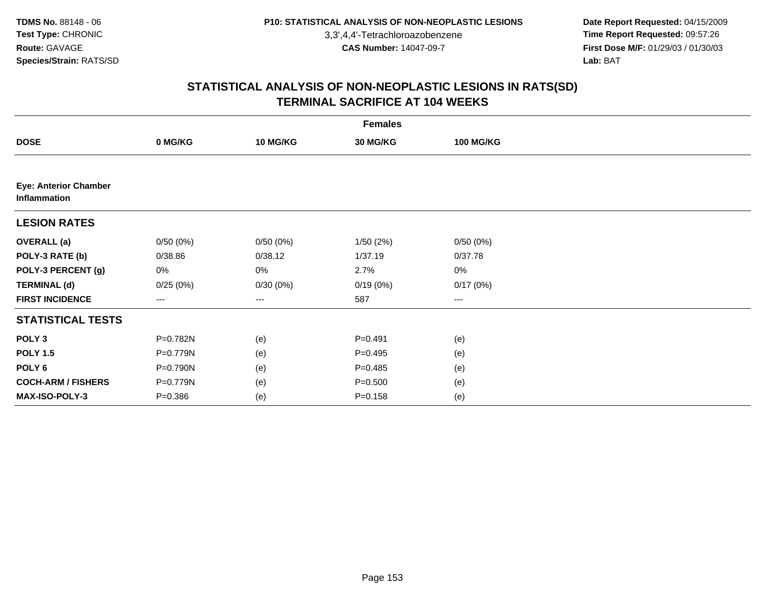**Date Report Requested:** 04/15/2009 **Time Report Requested:** 09:57:26 **First Dose M/F:** 01/29/03 / 01/30/03<br>Lab: BAT **Lab:** BAT

|                                              | <b>Females</b> |                 |             |                  |  |  |  |  |
|----------------------------------------------|----------------|-----------------|-------------|------------------|--|--|--|--|
| <b>DOSE</b>                                  | 0 MG/KG        | <b>10 MG/KG</b> | 30 MG/KG    | <b>100 MG/KG</b> |  |  |  |  |
|                                              |                |                 |             |                  |  |  |  |  |
| <b>Eye: Anterior Chamber</b><br>Inflammation |                |                 |             |                  |  |  |  |  |
| <b>LESION RATES</b>                          |                |                 |             |                  |  |  |  |  |
| <b>OVERALL</b> (a)                           | 0/50(0%)       | 0/50(0%)        | 1/50(2%)    | 0/50(0%)         |  |  |  |  |
| POLY-3 RATE (b)                              | 0/38.86        | 0/38.12         | 1/37.19     | 0/37.78          |  |  |  |  |
| POLY-3 PERCENT (g)                           | 0%             | 0%              | 2.7%        | $0\%$            |  |  |  |  |
| <b>TERMINAL (d)</b>                          | 0/25(0%)       | 0/30(0%)        | 0/19(0%)    | 0/17(0%)         |  |  |  |  |
| <b>FIRST INCIDENCE</b>                       | ---            | ---             | 587         | ---              |  |  |  |  |
| <b>STATISTICAL TESTS</b>                     |                |                 |             |                  |  |  |  |  |
| POLY <sub>3</sub>                            | P=0.782N       | (e)             | $P = 0.491$ | (e)              |  |  |  |  |
| <b>POLY 1.5</b>                              | P=0.779N       | (e)             | $P = 0.495$ | (e)              |  |  |  |  |
| POLY 6                                       | P=0.790N       | (e)             | $P = 0.485$ | (e)              |  |  |  |  |
| <b>COCH-ARM / FISHERS</b>                    | P=0.779N       | (e)             | $P = 0.500$ | (e)              |  |  |  |  |
| MAX-ISO-POLY-3                               | $P = 0.386$    | (e)             | $P = 0.158$ | (e)              |  |  |  |  |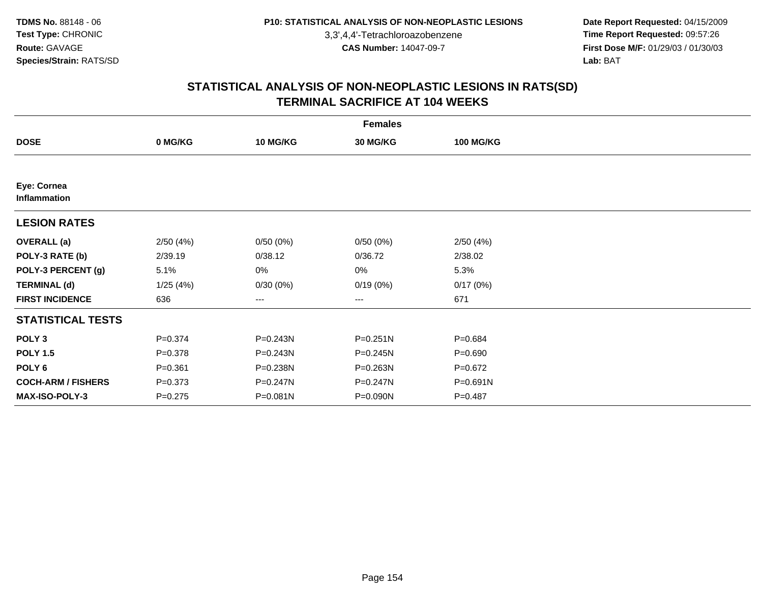**Date Report Requested:** 04/15/2009 **Time Report Requested:** 09:57:26 **First Dose M/F:** 01/29/03 / 01/30/03<br>Lab: BAT **Lab:** BAT

|                             | <b>Females</b> |                 |                 |                  |  |  |  |  |  |
|-----------------------------|----------------|-----------------|-----------------|------------------|--|--|--|--|--|
| <b>DOSE</b>                 | 0 MG/KG        | <b>10 MG/KG</b> | <b>30 MG/KG</b> | <b>100 MG/KG</b> |  |  |  |  |  |
|                             |                |                 |                 |                  |  |  |  |  |  |
| Eye: Cornea<br>Inflammation |                |                 |                 |                  |  |  |  |  |  |
| <b>LESION RATES</b>         |                |                 |                 |                  |  |  |  |  |  |
| <b>OVERALL</b> (a)          | 2/50(4%)       | 0/50(0%)        | 0/50(0%)        | 2/50(4%)         |  |  |  |  |  |
| POLY-3 RATE (b)             | 2/39.19        | 0/38.12         | 0/36.72         | 2/38.02          |  |  |  |  |  |
| POLY-3 PERCENT (g)          | 5.1%           | 0%              | 0%              | 5.3%             |  |  |  |  |  |
| <b>TERMINAL (d)</b>         | 1/25(4%)       | 0/30(0%)        | 0/19(0%)        | 0/17(0%)         |  |  |  |  |  |
| <b>FIRST INCIDENCE</b>      | 636            | ---             | ---             | 671              |  |  |  |  |  |
| <b>STATISTICAL TESTS</b>    |                |                 |                 |                  |  |  |  |  |  |
| POLY <sub>3</sub>           | $P = 0.374$    | P=0.243N        | $P = 0.251N$    | $P = 0.684$      |  |  |  |  |  |
| <b>POLY 1.5</b>             | $P = 0.378$    | $P = 0.243N$    | $P = 0.245N$    | $P = 0.690$      |  |  |  |  |  |
| POLY <sub>6</sub>           | $P = 0.361$    | P=0.238N        | P=0.263N        | $P = 0.672$      |  |  |  |  |  |
| <b>COCH-ARM / FISHERS</b>   | $P = 0.373$    | P=0.247N        | P=0.247N        | P=0.691N         |  |  |  |  |  |
| <b>MAX-ISO-POLY-3</b>       | $P=0.275$      | P=0.081N        | P=0.090N        | $P = 0.487$      |  |  |  |  |  |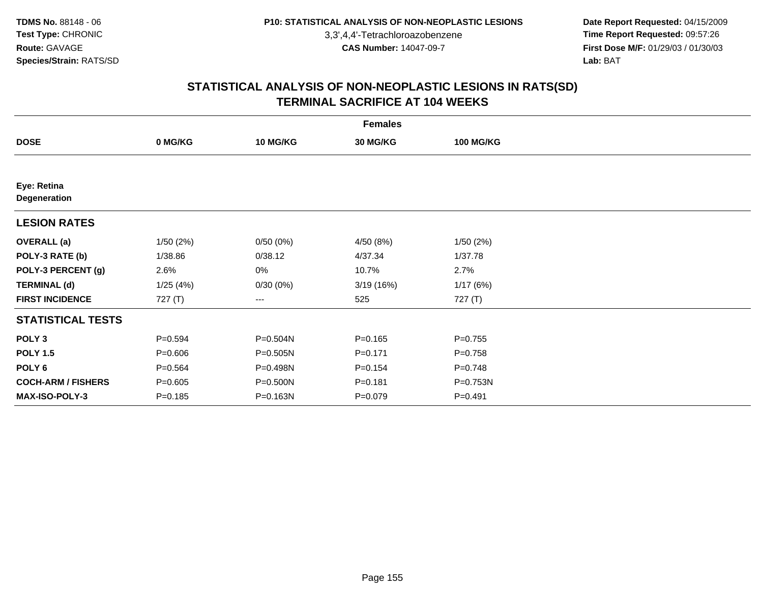**Date Report Requested:** 04/15/2009 **Time Report Requested:** 09:57:26 **First Dose M/F:** 01/29/03 / 01/30/03<br>Lab: BAT **Lab:** BAT

|                             | <b>Females</b> |                 |                 |                  |  |  |  |  |
|-----------------------------|----------------|-----------------|-----------------|------------------|--|--|--|--|
| <b>DOSE</b>                 | 0 MG/KG        | <b>10 MG/KG</b> | <b>30 MG/KG</b> | <b>100 MG/KG</b> |  |  |  |  |
|                             |                |                 |                 |                  |  |  |  |  |
| Eye: Retina<br>Degeneration |                |                 |                 |                  |  |  |  |  |
| <b>LESION RATES</b>         |                |                 |                 |                  |  |  |  |  |
| <b>OVERALL</b> (a)          | 1/50(2%)       | 0/50(0%)        | 4/50 (8%)       | 1/50(2%)         |  |  |  |  |
| POLY-3 RATE (b)             | 1/38.86        | 0/38.12         | 4/37.34         | 1/37.78          |  |  |  |  |
| POLY-3 PERCENT (g)          | 2.6%           | 0%              | 10.7%           | 2.7%             |  |  |  |  |
| <b>TERMINAL (d)</b>         | 1/25(4%)       | 0/30(0%)        | 3/19(16%)       | 1/17(6%)         |  |  |  |  |
| <b>FIRST INCIDENCE</b>      | 727 (T)        | ---             | 525             | 727 (T)          |  |  |  |  |
| <b>STATISTICAL TESTS</b>    |                |                 |                 |                  |  |  |  |  |
| POLY <sub>3</sub>           | $P = 0.594$    | P=0.504N        | $P = 0.165$     | $P = 0.755$      |  |  |  |  |
| <b>POLY 1.5</b>             | $P = 0.606$    | P=0.505N        | $P = 0.171$     | $P = 0.758$      |  |  |  |  |
| POLY <sub>6</sub>           | $P = 0.564$    | P=0.498N        | $P = 0.154$     | $P = 0.748$      |  |  |  |  |
| <b>COCH-ARM / FISHERS</b>   | $P = 0.605$    | P=0.500N        | $P = 0.181$     | P=0.753N         |  |  |  |  |
| <b>MAX-ISO-POLY-3</b>       | $P = 0.185$    | P=0.163N        | $P = 0.079$     | $P = 0.491$      |  |  |  |  |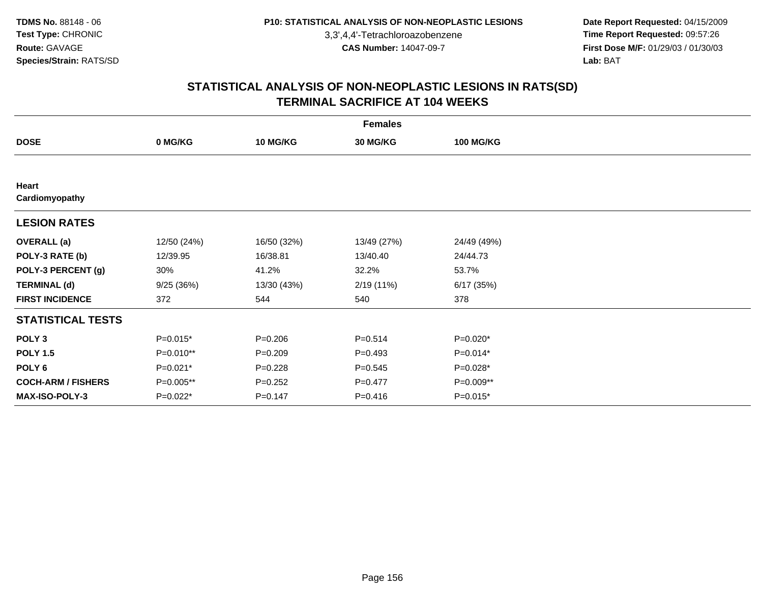**Date Report Requested:** 04/15/2009 **Time Report Requested:** 09:57:26 **First Dose M/F:** 01/29/03 / 01/30/03<br>Lab: BAT **Lab:** BAT

| <b>Females</b>            |             |                 |                 |                  |  |  |  |
|---------------------------|-------------|-----------------|-----------------|------------------|--|--|--|
| <b>DOSE</b>               | 0 MG/KG     | <b>10 MG/KG</b> | <b>30 MG/KG</b> | <b>100 MG/KG</b> |  |  |  |
|                           |             |                 |                 |                  |  |  |  |
| Heart                     |             |                 |                 |                  |  |  |  |
| Cardiomyopathy            |             |                 |                 |                  |  |  |  |
| <b>LESION RATES</b>       |             |                 |                 |                  |  |  |  |
| <b>OVERALL</b> (a)        | 12/50 (24%) | 16/50 (32%)     | 13/49 (27%)     | 24/49 (49%)      |  |  |  |
| POLY-3 RATE (b)           | 12/39.95    | 16/38.81        | 13/40.40        | 24/44.73         |  |  |  |
| POLY-3 PERCENT (g)        | 30%         | 41.2%           | 32.2%           | 53.7%            |  |  |  |
| <b>TERMINAL (d)</b>       | 9/25(36%)   | 13/30 (43%)     | 2/19 (11%)      | 6/17(35%)        |  |  |  |
| <b>FIRST INCIDENCE</b>    | 372         | 544             | 540             | 378              |  |  |  |
| <b>STATISTICAL TESTS</b>  |             |                 |                 |                  |  |  |  |
| POLY <sub>3</sub>         | $P=0.015*$  | $P = 0.206$     | $P = 0.514$     | $P=0.020*$       |  |  |  |
| <b>POLY 1.5</b>           | P=0.010**   | $P=0.209$       | $P=0.493$       | $P=0.014*$       |  |  |  |
| POLY <sub>6</sub>         | P=0.021*    | $P = 0.228$     | $P = 0.545$     | $P=0.028*$       |  |  |  |
| <b>COCH-ARM / FISHERS</b> | P=0.005**   | $P = 0.252$     | $P=0.477$       | P=0.009**        |  |  |  |
| <b>MAX-ISO-POLY-3</b>     | $P=0.022*$  | $P = 0.147$     | $P = 0.416$     | $P=0.015*$       |  |  |  |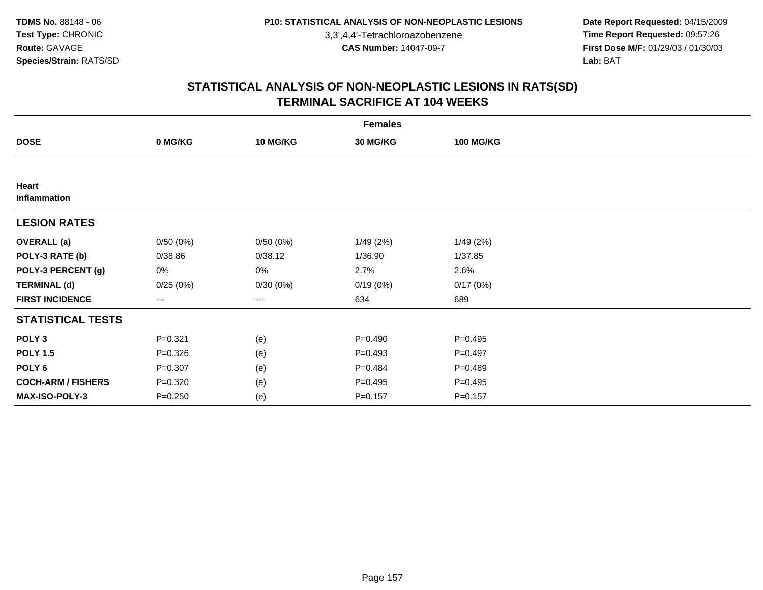**Date Report Requested:** 04/15/2009 **Time Report Requested:** 09:57:26 **First Dose M/F:** 01/29/03 / 01/30/03<br>Lab: BAT **Lab:** BAT

| <b>Females</b>            |                   |                   |                 |                  |  |  |  |
|---------------------------|-------------------|-------------------|-----------------|------------------|--|--|--|
| <b>DOSE</b>               | 0 MG/KG           | <b>10 MG/KG</b>   | <b>30 MG/KG</b> | <b>100 MG/KG</b> |  |  |  |
|                           |                   |                   |                 |                  |  |  |  |
| Heart<br>Inflammation     |                   |                   |                 |                  |  |  |  |
| <b>LESION RATES</b>       |                   |                   |                 |                  |  |  |  |
| <b>OVERALL</b> (a)        | 0/50(0%)          | 0/50(0%)          | 1/49(2%)        | 1/49(2%)         |  |  |  |
| POLY-3 RATE (b)           | 0/38.86           | 0/38.12           | 1/36.90         | 1/37.85          |  |  |  |
| POLY-3 PERCENT (g)        | 0%                | 0%                | 2.7%            | 2.6%             |  |  |  |
| <b>TERMINAL (d)</b>       | 0/25(0%)          | 0/30(0%)          | 0/19(0%)        | 0/17(0%)         |  |  |  |
| <b>FIRST INCIDENCE</b>    | $\qquad \qquad -$ | $\qquad \qquad -$ | 634             | 689              |  |  |  |
| <b>STATISTICAL TESTS</b>  |                   |                   |                 |                  |  |  |  |
| POLY <sub>3</sub>         | $P = 0.321$       | (e)               | $P = 0.490$     | $P=0.495$        |  |  |  |
| <b>POLY 1.5</b>           | $P = 0.326$       | (e)               | $P=0.493$       | $P=0.497$        |  |  |  |
| POLY <sub>6</sub>         | $P = 0.307$       | (e)               | $P=0.484$       | $P=0.489$        |  |  |  |
| <b>COCH-ARM / FISHERS</b> | $P = 0.320$       | (e)               | $P = 0.495$     | $P=0.495$        |  |  |  |
| MAX-ISO-POLY-3            | $P = 0.250$       | (e)               | $P = 0.157$     | $P = 0.157$      |  |  |  |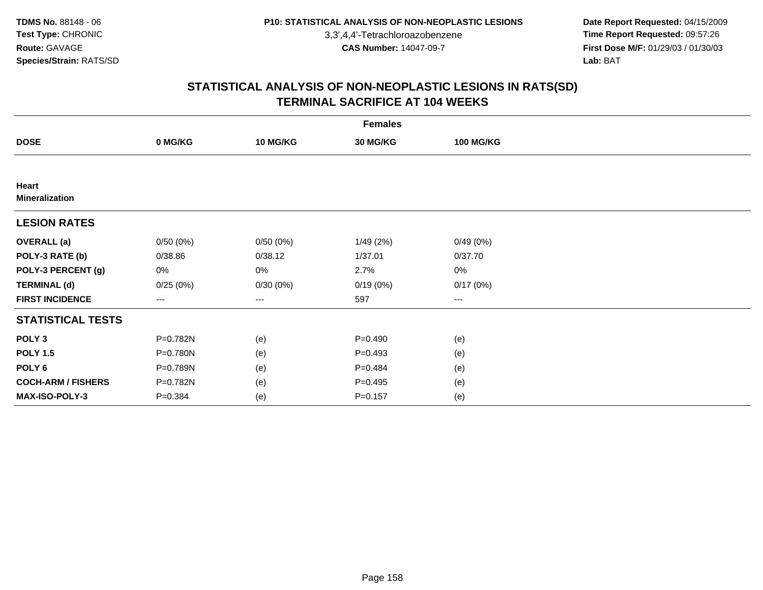**Date Report Requested:** 04/15/2009 **Time Report Requested:** 09:57:26 **First Dose M/F:** 01/29/03 / 01/30/03<br>Lab: BAT **Lab:** BAT

|                                | <b>Females</b>         |                 |                 |                  |  |  |  |  |
|--------------------------------|------------------------|-----------------|-----------------|------------------|--|--|--|--|
| <b>DOSE</b>                    | 0 MG/KG                | <b>10 MG/KG</b> | <b>30 MG/KG</b> | <b>100 MG/KG</b> |  |  |  |  |
|                                |                        |                 |                 |                  |  |  |  |  |
| Heart<br><b>Mineralization</b> |                        |                 |                 |                  |  |  |  |  |
| <b>LESION RATES</b>            |                        |                 |                 |                  |  |  |  |  |
| <b>OVERALL</b> (a)             | 0/50(0%)               | 0/50(0%)        | 1/49(2%)        | 0/49(0%)         |  |  |  |  |
| POLY-3 RATE (b)                | 0/38.86                | 0/38.12         | 1/37.01         | 0/37.70          |  |  |  |  |
| POLY-3 PERCENT (g)             | 0%                     | 0%              | 2.7%            | 0%               |  |  |  |  |
| <b>TERMINAL (d)</b>            | 0/25(0%)               | 0/30(0%)        | 0/19(0%)        | 0/17(0%)         |  |  |  |  |
| <b>FIRST INCIDENCE</b>         | $\qquad \qquad \cdots$ | ---             | 597             | $--$             |  |  |  |  |
| <b>STATISTICAL TESTS</b>       |                        |                 |                 |                  |  |  |  |  |
| POLY <sub>3</sub>              | P=0.782N               | (e)             | $P = 0.490$     | (e)              |  |  |  |  |
| <b>POLY 1.5</b>                | P=0.780N               | (e)             | $P=0.493$       | (e)              |  |  |  |  |
| POLY <sub>6</sub>              | P=0.789N               | (e)             | $P=0.484$       | (e)              |  |  |  |  |
| <b>COCH-ARM / FISHERS</b>      | P=0.782N               | (e)             | $P=0.495$       | (e)              |  |  |  |  |
| <b>MAX-ISO-POLY-3</b>          | $P = 0.384$            | (e)             | $P = 0.157$     | (e)              |  |  |  |  |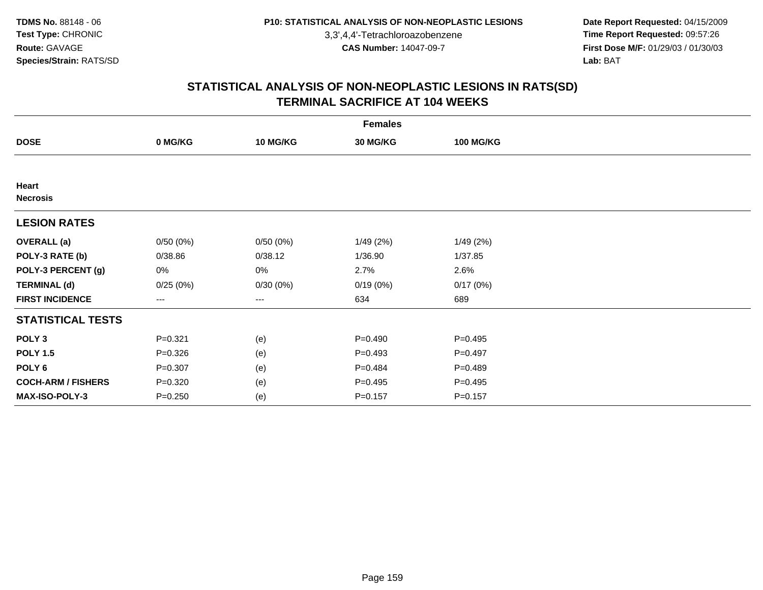**Date Report Requested:** 04/15/2009 **Time Report Requested:** 09:57:26 **First Dose M/F:** 01/29/03 / 01/30/03<br>Lab: BAT **Lab:** BAT

| <b>Females</b>            |                   |                   |                 |                  |  |  |  |
|---------------------------|-------------------|-------------------|-----------------|------------------|--|--|--|
| <b>DOSE</b>               | 0 MG/KG           | <b>10 MG/KG</b>   | <b>30 MG/KG</b> | <b>100 MG/KG</b> |  |  |  |
|                           |                   |                   |                 |                  |  |  |  |
| Heart<br><b>Necrosis</b>  |                   |                   |                 |                  |  |  |  |
| <b>LESION RATES</b>       |                   |                   |                 |                  |  |  |  |
| <b>OVERALL</b> (a)        | 0/50(0%)          | 0/50(0%)          | 1/49(2%)        | 1/49(2%)         |  |  |  |
| POLY-3 RATE (b)           | 0/38.86           | 0/38.12           | 1/36.90         | 1/37.85          |  |  |  |
| POLY-3 PERCENT (g)        | 0%                | 0%                | 2.7%            | 2.6%             |  |  |  |
| <b>TERMINAL (d)</b>       | 0/25(0%)          | 0/30(0%)          | 0/19(0%)        | 0/17(0%)         |  |  |  |
| <b>FIRST INCIDENCE</b>    | $\qquad \qquad -$ | $\qquad \qquad -$ | 634             | 689              |  |  |  |
| <b>STATISTICAL TESTS</b>  |                   |                   |                 |                  |  |  |  |
| POLY <sub>3</sub>         | $P = 0.321$       | (e)               | $P = 0.490$     | $P=0.495$        |  |  |  |
| <b>POLY 1.5</b>           | $P = 0.326$       | (e)               | $P=0.493$       | $P=0.497$        |  |  |  |
| POLY <sub>6</sub>         | $P = 0.307$       | (e)               | $P=0.484$       | $P=0.489$        |  |  |  |
| <b>COCH-ARM / FISHERS</b> | $P = 0.320$       | (e)               | $P = 0.495$     | $P=0.495$        |  |  |  |
| MAX-ISO-POLY-3            | $P = 0.250$       | (e)               | $P = 0.157$     | $P = 0.157$      |  |  |  |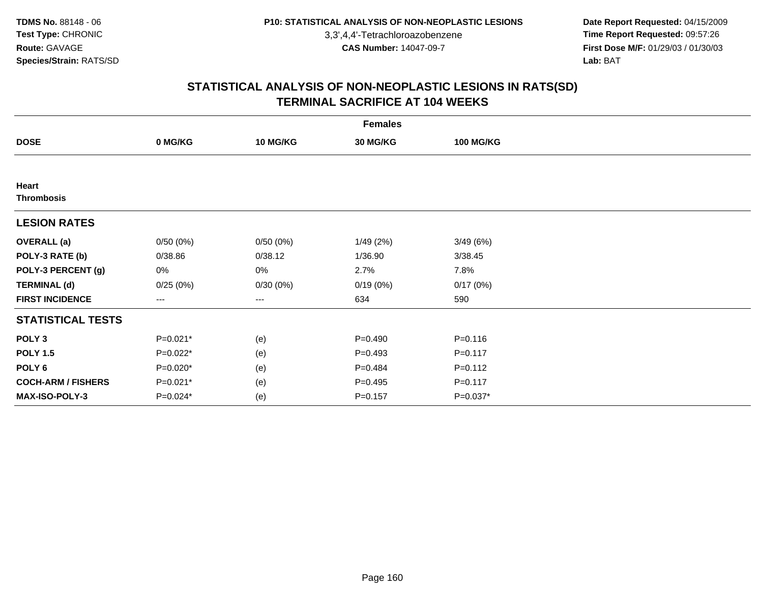**Date Report Requested:** 04/15/2009 **Time Report Requested:** 09:57:26 **First Dose M/F:** 01/29/03 / 01/30/03<br>Lab: BAT **Lab:** BAT

| <b>Females</b>            |            |                 |                 |                  |  |  |  |
|---------------------------|------------|-----------------|-----------------|------------------|--|--|--|
| <b>DOSE</b>               | 0 MG/KG    | <b>10 MG/KG</b> | <b>30 MG/KG</b> | <b>100 MG/KG</b> |  |  |  |
|                           |            |                 |                 |                  |  |  |  |
| Heart                     |            |                 |                 |                  |  |  |  |
| <b>Thrombosis</b>         |            |                 |                 |                  |  |  |  |
| <b>LESION RATES</b>       |            |                 |                 |                  |  |  |  |
| <b>OVERALL</b> (a)        | 0/50(0%)   | 0/50(0%)        | 1/49(2%)        | 3/49(6%)         |  |  |  |
| POLY-3 RATE (b)           | 0/38.86    | 0/38.12         | 1/36.90         | 3/38.45          |  |  |  |
| POLY-3 PERCENT (g)        | 0%         | 0%              | 2.7%            | 7.8%             |  |  |  |
| <b>TERMINAL (d)</b>       | 0/25(0%)   | 0/30(0%)        | 0/19(0%)        | 0/17(0%)         |  |  |  |
| <b>FIRST INCIDENCE</b>    | $---$      | $\cdots$        | 634             | 590              |  |  |  |
| <b>STATISTICAL TESTS</b>  |            |                 |                 |                  |  |  |  |
| POLY <sub>3</sub>         | $P=0.021*$ | (e)             | $P=0.490$       | $P = 0.116$      |  |  |  |
| <b>POLY 1.5</b>           | $P=0.022*$ | (e)             | $P=0.493$       | $P = 0.117$      |  |  |  |
| POLY <sub>6</sub>         | $P=0.020*$ | (e)             | $P=0.484$       | $P = 0.112$      |  |  |  |
| <b>COCH-ARM / FISHERS</b> | $P=0.021*$ | (e)             | $P=0.495$       | $P = 0.117$      |  |  |  |
| MAX-ISO-POLY-3            | $P=0.024*$ | (e)             | $P = 0.157$     | $P=0.037*$       |  |  |  |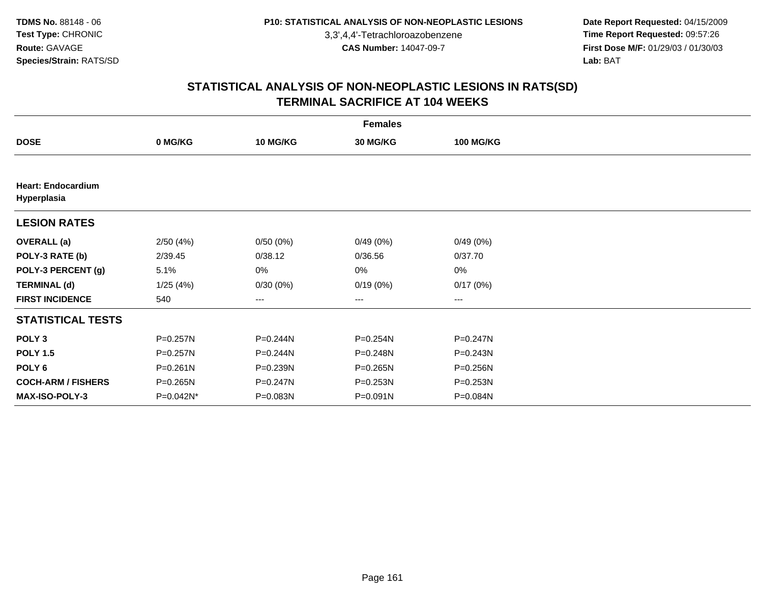**Date Report Requested:** 04/15/2009 **Time Report Requested:** 09:57:26 **First Dose M/F:** 01/29/03 / 01/30/03<br>Lab: BAT **Lab:** BAT

|                                          | <b>Females</b> |                 |                 |                   |  |  |  |  |
|------------------------------------------|----------------|-----------------|-----------------|-------------------|--|--|--|--|
| <b>DOSE</b>                              | 0 MG/KG        | <b>10 MG/KG</b> | <b>30 MG/KG</b> | <b>100 MG/KG</b>  |  |  |  |  |
|                                          |                |                 |                 |                   |  |  |  |  |
| <b>Heart: Endocardium</b><br>Hyperplasia |                |                 |                 |                   |  |  |  |  |
| <b>LESION RATES</b>                      |                |                 |                 |                   |  |  |  |  |
| <b>OVERALL</b> (a)                       | 2/50(4%)       | 0/50(0%)        | 0/49(0%)        | 0/49(0%)          |  |  |  |  |
| POLY-3 RATE (b)                          | 2/39.45        | 0/38.12         | 0/36.56         | 0/37.70           |  |  |  |  |
| POLY-3 PERCENT (g)                       | 5.1%           | 0%              | 0%              | 0%                |  |  |  |  |
| <b>TERMINAL (d)</b>                      | 1/25(4%)       | 0/30(0%)        | 0/19(0%)        | 0/17(0%)          |  |  |  |  |
| <b>FIRST INCIDENCE</b>                   | 540            | $--$            | ---             | $\qquad \qquad -$ |  |  |  |  |
| <b>STATISTICAL TESTS</b>                 |                |                 |                 |                   |  |  |  |  |
| POLY <sub>3</sub>                        | P=0.257N       | P=0.244N        | P=0.254N        | $P = 0.247N$      |  |  |  |  |
| <b>POLY 1.5</b>                          | $P = 0.257N$   | P=0.244N        | P=0.248N        | $P = 0.243N$      |  |  |  |  |
| POLY <sub>6</sub>                        | $P = 0.261N$   | P=0.239N        | $P = 0.265N$    | $P = 0.256N$      |  |  |  |  |
| <b>COCH-ARM / FISHERS</b>                | $P = 0.265N$   | P=0.247N        | $P = 0.253N$    | P=0.253N          |  |  |  |  |
| <b>MAX-ISO-POLY-3</b>                    | P=0.042N*      | P=0.083N        | $P = 0.091N$    | P=0.084N          |  |  |  |  |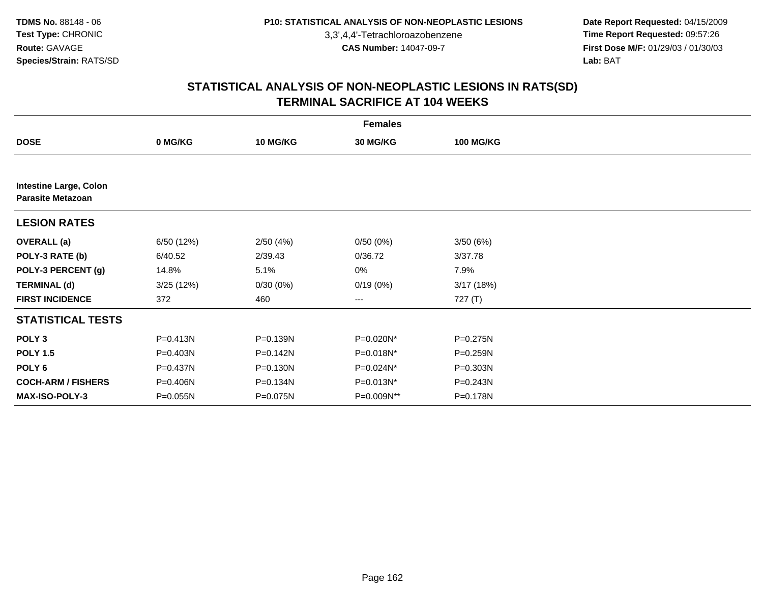**Date Report Requested:** 04/15/2009 **Time Report Requested:** 09:57:26 **First Dose M/F:** 01/29/03 / 01/30/03<br>Lab: BAT **Lab:** BAT

|                                                           |              |                 | <b>Females</b>         |                  |  |
|-----------------------------------------------------------|--------------|-----------------|------------------------|------------------|--|
| <b>DOSE</b>                                               | 0 MG/KG      | <b>10 MG/KG</b> | 30 MG/KG               | <b>100 MG/KG</b> |  |
|                                                           |              |                 |                        |                  |  |
| <b>Intestine Large, Colon</b><br><b>Parasite Metazoan</b> |              |                 |                        |                  |  |
| <b>LESION RATES</b>                                       |              |                 |                        |                  |  |
| <b>OVERALL</b> (a)                                        | 6/50 (12%)   | 2/50(4%)        | 0/50(0%)               | 3/50(6%)         |  |
| POLY-3 RATE (b)                                           | 6/40.52      | 2/39.43         | 0/36.72                | 3/37.78          |  |
| POLY-3 PERCENT (g)                                        | 14.8%        | 5.1%            | 0%                     | 7.9%             |  |
| <b>TERMINAL (d)</b>                                       | 3/25(12%)    | 0/30(0%)        | 0/19(0%)               | 3/17(18%)        |  |
| <b>FIRST INCIDENCE</b>                                    | 372          | 460             | $\qquad \qquad \cdots$ | 727 (T)          |  |
| <b>STATISTICAL TESTS</b>                                  |              |                 |                        |                  |  |
| POLY <sub>3</sub>                                         | $P = 0.413N$ | P=0.139N        | P=0.020N*              | P=0.275N         |  |
| <b>POLY 1.5</b>                                           | P=0.403N     | P=0.142N        | P=0.018N*              | $P = 0.259N$     |  |
| POLY 6                                                    | P=0.437N     | P=0.130N        | P=0.024N*              | P=0.303N         |  |
| <b>COCH-ARM / FISHERS</b>                                 | P=0.406N     | P=0.134N        | P=0.013N*              | $P = 0.243N$     |  |
| <b>MAX-ISO-POLY-3</b>                                     | P=0.055N     | P=0.075N        | P=0.009N**             | P=0.178N         |  |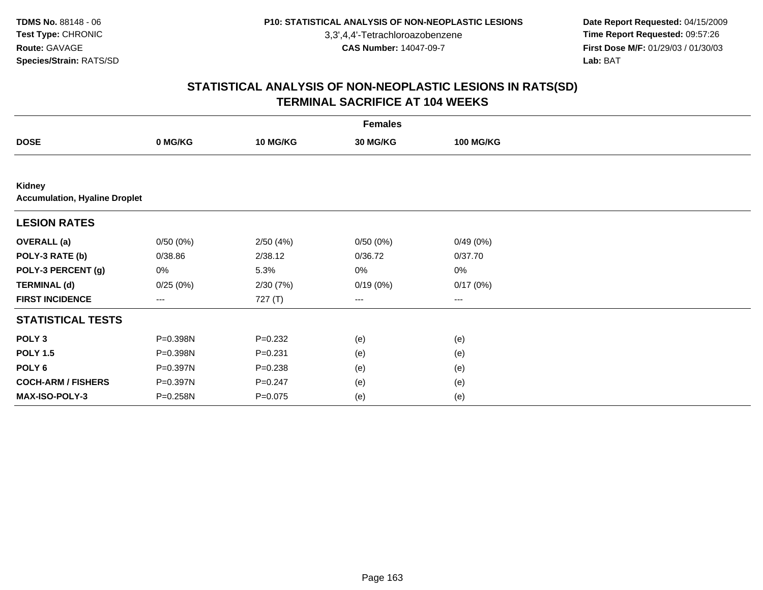**Date Report Requested:** 04/15/2009 **Time Report Requested:** 09:57:26 **First Dose M/F:** 01/29/03 / 01/30/03<br>Lab: BAT **Lab:** BAT

|                                                | <b>Females</b>      |                 |                   |                  |  |  |  |  |
|------------------------------------------------|---------------------|-----------------|-------------------|------------------|--|--|--|--|
| <b>DOSE</b>                                    | 0 MG/KG             | <b>10 MG/KG</b> | 30 MG/KG          | <b>100 MG/KG</b> |  |  |  |  |
|                                                |                     |                 |                   |                  |  |  |  |  |
| Kidney<br><b>Accumulation, Hyaline Droplet</b> |                     |                 |                   |                  |  |  |  |  |
| <b>LESION RATES</b>                            |                     |                 |                   |                  |  |  |  |  |
| <b>OVERALL</b> (a)                             | 0/50(0%)            | 2/50(4%)        | 0/50(0%)          | 0/49(0%)         |  |  |  |  |
| POLY-3 RATE (b)                                | 0/38.86             | 2/38.12         | 0/36.72           | 0/37.70          |  |  |  |  |
| POLY-3 PERCENT (g)                             | 0%                  | 5.3%            | 0%                | 0%               |  |  |  |  |
| <b>TERMINAL (d)</b>                            | 0/25(0%)            | 2/30(7%)        | 0/19(0%)          | 0/17(0%)         |  |  |  |  |
| <b>FIRST INCIDENCE</b>                         | $\qquad \qquad - -$ | 727 (T)         | $\qquad \qquad -$ | ---              |  |  |  |  |
| <b>STATISTICAL TESTS</b>                       |                     |                 |                   |                  |  |  |  |  |
| POLY <sub>3</sub>                              | P=0.398N            | $P = 0.232$     | (e)               | (e)              |  |  |  |  |
| <b>POLY 1.5</b>                                | P=0.398N            | $P = 0.231$     | (e)               | (e)              |  |  |  |  |
| POLY <sub>6</sub>                              | P=0.397N            | $P = 0.238$     | (e)               | (e)              |  |  |  |  |
| <b>COCH-ARM / FISHERS</b>                      | P=0.397N            | $P = 0.247$     | (e)               | (e)              |  |  |  |  |
| <b>MAX-ISO-POLY-3</b>                          | P=0.258N            | $P = 0.075$     | (e)               | (e)              |  |  |  |  |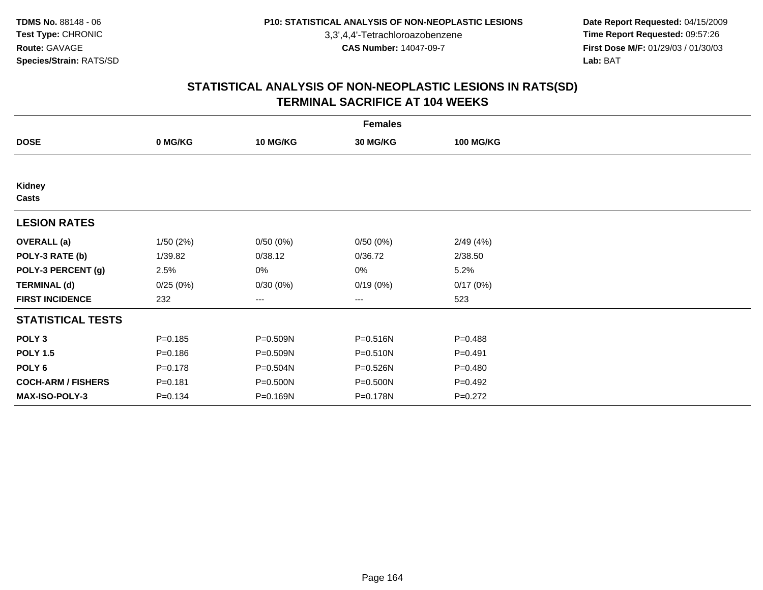**Date Report Requested:** 04/15/2009 **Time Report Requested:** 09:57:26 **First Dose M/F:** 01/29/03 / 01/30/03<br>Lab: BAT **Lab:** BAT

| <b>Females</b>            |             |                 |                 |                  |  |  |  |
|---------------------------|-------------|-----------------|-----------------|------------------|--|--|--|
| <b>DOSE</b>               | 0 MG/KG     | <b>10 MG/KG</b> | <b>30 MG/KG</b> | <b>100 MG/KG</b> |  |  |  |
|                           |             |                 |                 |                  |  |  |  |
| <b>Kidney</b><br>Casts    |             |                 |                 |                  |  |  |  |
| <b>LESION RATES</b>       |             |                 |                 |                  |  |  |  |
| <b>OVERALL</b> (a)        | 1/50 (2%)   | 0/50(0%)        | 0/50(0%)        | 2/49(4%)         |  |  |  |
| POLY-3 RATE (b)           | 1/39.82     | 0/38.12         | 0/36.72         | 2/38.50          |  |  |  |
| POLY-3 PERCENT (g)        | 2.5%        | 0%              | 0%              | 5.2%             |  |  |  |
| <b>TERMINAL (d)</b>       | 0/25(0%)    | 0/30(0%)        | 0/19(0%)        | 0/17(0%)         |  |  |  |
| <b>FIRST INCIDENCE</b>    | 232         | $---$           | ---             | 523              |  |  |  |
| <b>STATISTICAL TESTS</b>  |             |                 |                 |                  |  |  |  |
| POLY <sub>3</sub>         | $P = 0.185$ | P=0.509N        | P=0.516N        | $P = 0.488$      |  |  |  |
| <b>POLY 1.5</b>           | $P = 0.186$ | $P = 0.509N$    | $P = 0.510N$    | $P=0.491$        |  |  |  |
| POLY <sub>6</sub>         | $P = 0.178$ | P=0.504N        | P=0.526N        | $P=0.480$        |  |  |  |
| <b>COCH-ARM / FISHERS</b> | $P = 0.181$ | P=0.500N        | P=0.500N        | $P = 0.492$      |  |  |  |
| <b>MAX-ISO-POLY-3</b>     | $P = 0.134$ | P=0.169N        | P=0.178N        | $P=0.272$        |  |  |  |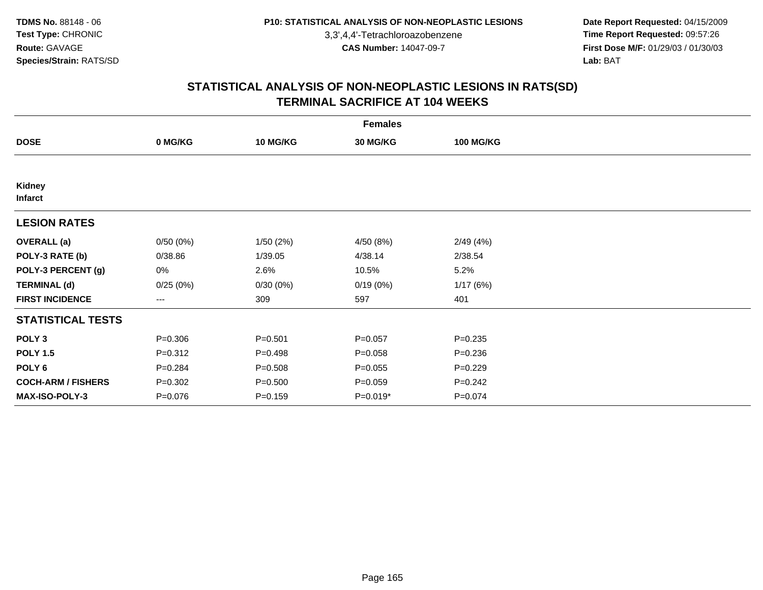**Date Report Requested:** 04/15/2009 **Time Report Requested:** 09:57:26 **First Dose M/F:** 01/29/03 / 01/30/03<br>Lab: BAT **Lab:** BAT

| <b>Females</b>            |                        |                 |                 |                  |  |  |  |
|---------------------------|------------------------|-----------------|-----------------|------------------|--|--|--|
| <b>DOSE</b>               | 0 MG/KG                | <b>10 MG/KG</b> | <b>30 MG/KG</b> | <b>100 MG/KG</b> |  |  |  |
|                           |                        |                 |                 |                  |  |  |  |
| Kidney<br><b>Infarct</b>  |                        |                 |                 |                  |  |  |  |
| <b>LESION RATES</b>       |                        |                 |                 |                  |  |  |  |
| <b>OVERALL</b> (a)        | 0/50(0%)               | 1/50(2%)        | 4/50 (8%)       | 2/49(4%)         |  |  |  |
| POLY-3 RATE (b)           | 0/38.86                | 1/39.05         | 4/38.14         | 2/38.54          |  |  |  |
| POLY-3 PERCENT (g)        | 0%                     | 2.6%            | 10.5%           | 5.2%             |  |  |  |
| <b>TERMINAL (d)</b>       | 0/25(0%)               | 0/30(0%)        | 0/19(0%)        | 1/17(6%)         |  |  |  |
| <b>FIRST INCIDENCE</b>    | $\qquad \qquad \cdots$ | 309             | 597             | 401              |  |  |  |
| <b>STATISTICAL TESTS</b>  |                        |                 |                 |                  |  |  |  |
| POLY <sub>3</sub>         | $P = 0.306$            | $P = 0.501$     | $P = 0.057$     | $P = 0.235$      |  |  |  |
| <b>POLY 1.5</b>           | $P = 0.312$            | $P = 0.498$     | $P = 0.058$     | $P = 0.236$      |  |  |  |
| POLY <sub>6</sub>         | $P = 0.284$            | $P = 0.508$     | $P = 0.055$     | $P=0.229$        |  |  |  |
| <b>COCH-ARM / FISHERS</b> | $P = 0.302$            | $P = 0.500$     | $P = 0.059$     | $P = 0.242$      |  |  |  |
| MAX-ISO-POLY-3            | P=0.076                | $P = 0.159$     | $P=0.019*$      | $P = 0.074$      |  |  |  |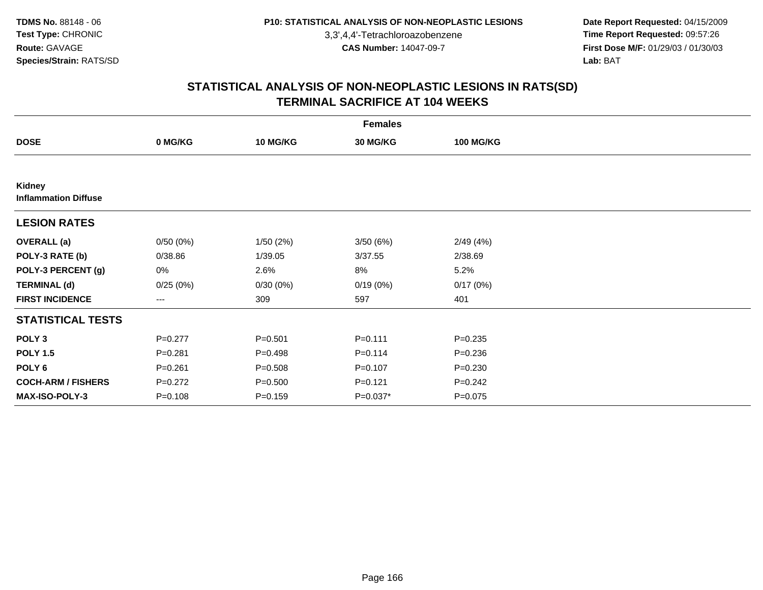**Date Report Requested:** 04/15/2009 **Time Report Requested:** 09:57:26 **First Dose M/F:** 01/29/03 / 01/30/03<br>Lab: BAT **Lab:** BAT

|                                       |                        |                 | <b>Females</b>  |                  |  |
|---------------------------------------|------------------------|-----------------|-----------------|------------------|--|
| <b>DOSE</b>                           | 0 MG/KG                | <b>10 MG/KG</b> | <b>30 MG/KG</b> | <b>100 MG/KG</b> |  |
|                                       |                        |                 |                 |                  |  |
| Kidney<br><b>Inflammation Diffuse</b> |                        |                 |                 |                  |  |
| <b>LESION RATES</b>                   |                        |                 |                 |                  |  |
| <b>OVERALL</b> (a)                    | 0/50(0%)               | 1/50(2%)        | 3/50(6%)        | 2/49(4%)         |  |
| POLY-3 RATE (b)                       | 0/38.86                | 1/39.05         | 3/37.55         | 2/38.69          |  |
| POLY-3 PERCENT (g)                    | 0%                     | 2.6%            | 8%              | 5.2%             |  |
| <b>TERMINAL (d)</b>                   | 0/25(0%)               | 0/30(0%)        | 0/19(0%)        | 0/17(0%)         |  |
| <b>FIRST INCIDENCE</b>                | $\qquad \qquad \cdots$ | 309             | 597             | 401              |  |
| <b>STATISTICAL TESTS</b>              |                        |                 |                 |                  |  |
| POLY <sub>3</sub>                     | $P=0.277$              | $P = 0.501$     | $P = 0.111$     | $P = 0.235$      |  |
| <b>POLY 1.5</b>                       | $P = 0.281$            | $P=0.498$       | $P = 0.114$     | $P=0.236$        |  |
| POLY <sub>6</sub>                     | $P = 0.261$            | $P = 0.508$     | $P = 0.107$     | $P = 0.230$      |  |
| <b>COCH-ARM / FISHERS</b>             | $P=0.272$              | $P = 0.500$     | $P = 0.121$     | $P = 0.242$      |  |
| <b>MAX-ISO-POLY-3</b>                 | $P = 0.108$            | $P = 0.159$     | $P=0.037*$      | $P = 0.075$      |  |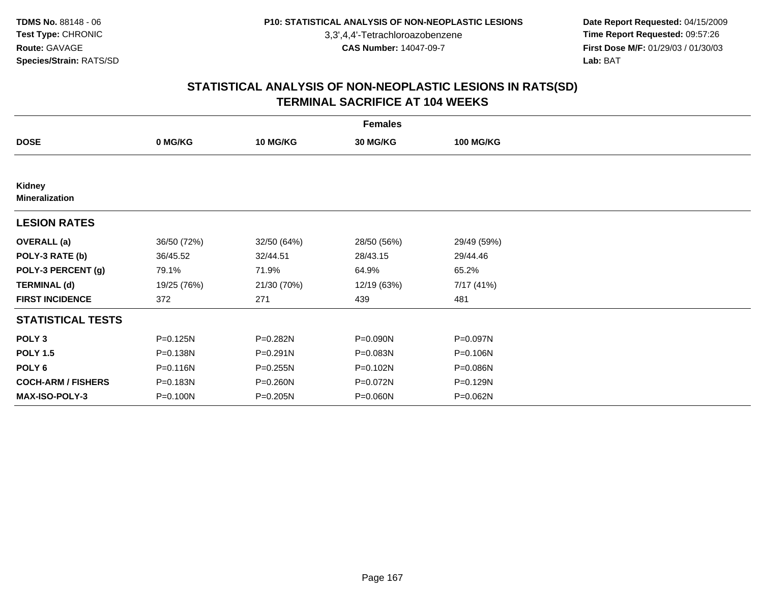**Date Report Requested:** 04/15/2009 **Time Report Requested:** 09:57:26 **First Dose M/F:** 01/29/03 / 01/30/03<br>Lab: BAT **Lab:** BAT

| <b>Females</b>                  |             |                 |                 |                  |  |  |  |
|---------------------------------|-------------|-----------------|-----------------|------------------|--|--|--|
| <b>DOSE</b>                     | 0 MG/KG     | <b>10 MG/KG</b> | <b>30 MG/KG</b> | <b>100 MG/KG</b> |  |  |  |
|                                 |             |                 |                 |                  |  |  |  |
| Kidney<br><b>Mineralization</b> |             |                 |                 |                  |  |  |  |
| <b>LESION RATES</b>             |             |                 |                 |                  |  |  |  |
| <b>OVERALL</b> (a)              | 36/50 (72%) | 32/50 (64%)     | 28/50 (56%)     | 29/49 (59%)      |  |  |  |
| POLY-3 RATE (b)                 | 36/45.52    | 32/44.51        | 28/43.15        | 29/44.46         |  |  |  |
| POLY-3 PERCENT (g)              | 79.1%       | 71.9%           | 64.9%           | 65.2%            |  |  |  |
| <b>TERMINAL (d)</b>             | 19/25 (76%) | 21/30 (70%)     | 12/19 (63%)     | 7/17 (41%)       |  |  |  |
| <b>FIRST INCIDENCE</b>          | 372         | 271             | 439             | 481              |  |  |  |
| <b>STATISTICAL TESTS</b>        |             |                 |                 |                  |  |  |  |
| POLY <sub>3</sub>               | P=0.125N    | P=0.282N        | P=0.090N        | P=0.097N         |  |  |  |
| <b>POLY 1.5</b>                 | P=0.138N    | P=0.291N        | P=0.083N        | P=0.106N         |  |  |  |
| POLY <sub>6</sub>               | P=0.116N    | P=0.255N        | P=0.102N        | P=0.086N         |  |  |  |
| <b>COCH-ARM / FISHERS</b>       | P=0.183N    | P=0.260N        | P=0.072N        | P=0.129N         |  |  |  |
| <b>MAX-ISO-POLY-3</b>           | P=0.100N    | P=0.205N        | P=0.060N        | P=0.062N         |  |  |  |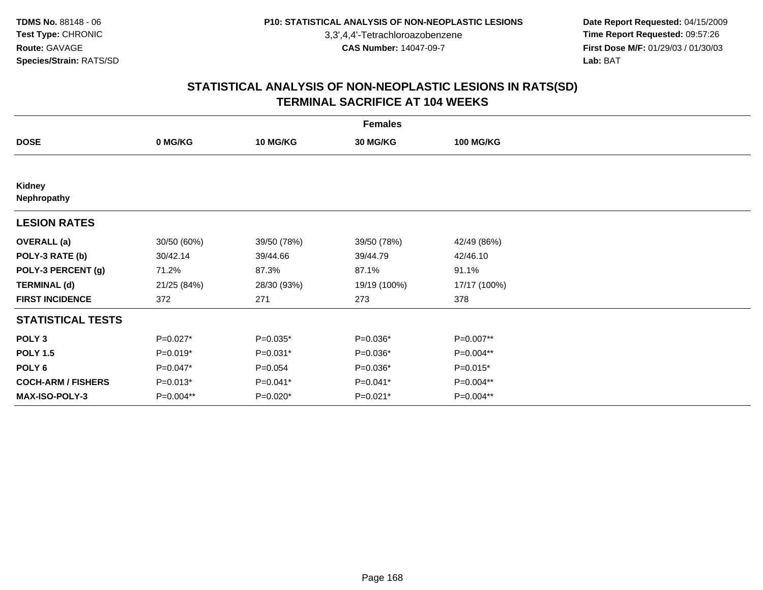**Date Report Requested:** 04/15/2009 **Time Report Requested:** 09:57:26 **First Dose M/F:** 01/29/03 / 01/30/03<br>Lab: BAT **Lab:** BAT

| <b>Females</b>               |             |                 |              |                  |  |  |  |
|------------------------------|-------------|-----------------|--------------|------------------|--|--|--|
| <b>DOSE</b>                  | 0 MG/KG     | <b>10 MG/KG</b> | 30 MG/KG     | <b>100 MG/KG</b> |  |  |  |
|                              |             |                 |              |                  |  |  |  |
| <b>Kidney</b><br>Nephropathy |             |                 |              |                  |  |  |  |
| <b>LESION RATES</b>          |             |                 |              |                  |  |  |  |
| <b>OVERALL</b> (a)           | 30/50 (60%) | 39/50 (78%)     | 39/50 (78%)  | 42/49 (86%)      |  |  |  |
| POLY-3 RATE (b)              | 30/42.14    | 39/44.66        | 39/44.79     | 42/46.10         |  |  |  |
| POLY-3 PERCENT (g)           | 71.2%       | 87.3%           | 87.1%        | 91.1%            |  |  |  |
| <b>TERMINAL (d)</b>          | 21/25 (84%) | 28/30 (93%)     | 19/19 (100%) | 17/17 (100%)     |  |  |  |
| <b>FIRST INCIDENCE</b>       | 372         | 271             | 273          | 378              |  |  |  |
| <b>STATISTICAL TESTS</b>     |             |                 |              |                  |  |  |  |
| POLY <sub>3</sub>            | P=0.027*    | P=0.035*        | $P=0.036*$   | P=0.007**        |  |  |  |
| <b>POLY 1.5</b>              | $P=0.019*$  | $P=0.031*$      | P=0.036*     | P=0.004**        |  |  |  |
| POLY <sub>6</sub>            | $P=0.047*$  | $P = 0.054$     | P=0.036*     | $P=0.015*$       |  |  |  |
| <b>COCH-ARM / FISHERS</b>    | $P=0.013*$  | $P=0.041*$      | P=0.041*     | P=0.004**        |  |  |  |
| <b>MAX-ISO-POLY-3</b>        | P=0.004**   | P=0.020*        | P=0.021*     | P=0.004**        |  |  |  |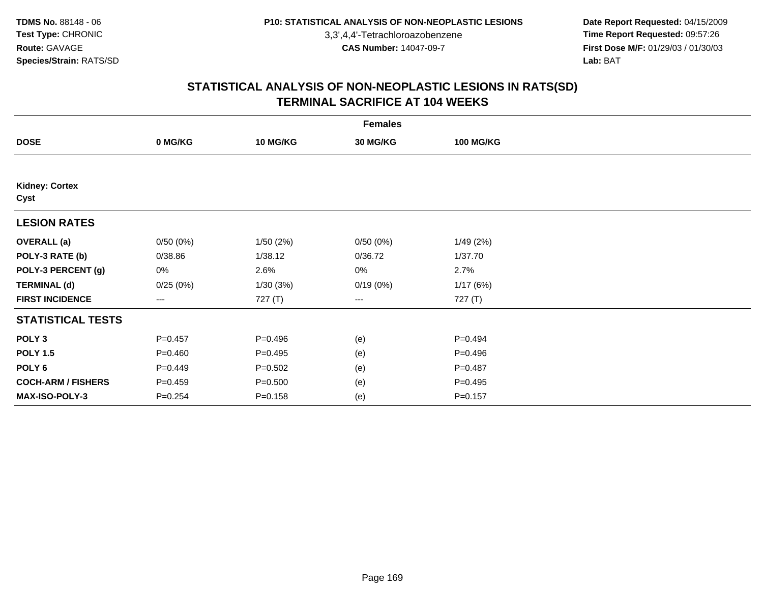**Date Report Requested:** 04/15/2009 **Time Report Requested:** 09:57:26 **First Dose M/F:** 01/29/03 / 01/30/03<br>Lab: BAT **Lab:** BAT

|                               | <b>Females</b> |                 |                 |                  |  |  |  |  |
|-------------------------------|----------------|-----------------|-----------------|------------------|--|--|--|--|
| <b>DOSE</b>                   | 0 MG/KG        | <b>10 MG/KG</b> | <b>30 MG/KG</b> | <b>100 MG/KG</b> |  |  |  |  |
|                               |                |                 |                 |                  |  |  |  |  |
| <b>Kidney: Cortex</b><br>Cyst |                |                 |                 |                  |  |  |  |  |
| <b>LESION RATES</b>           |                |                 |                 |                  |  |  |  |  |
| <b>OVERALL</b> (a)            | 0/50(0%)       | 1/50(2%)        | 0/50(0%)        | 1/49(2%)         |  |  |  |  |
| POLY-3 RATE (b)               | 0/38.86        | 1/38.12         | 0/36.72         | 1/37.70          |  |  |  |  |
| POLY-3 PERCENT (g)            | 0%             | 2.6%            | 0%              | 2.7%             |  |  |  |  |
| <b>TERMINAL (d)</b>           | 0/25(0%)       | 1/30(3%)        | 0/19(0%)        | 1/17(6%)         |  |  |  |  |
| <b>FIRST INCIDENCE</b>        | $--$           | 727 (T)         | ---             | 727 (T)          |  |  |  |  |
| <b>STATISTICAL TESTS</b>      |                |                 |                 |                  |  |  |  |  |
| POLY <sub>3</sub>             | $P = 0.457$    | $P=0.496$       | (e)             | $P=0.494$        |  |  |  |  |
| <b>POLY 1.5</b>               | $P=0.460$      | $P=0.495$       | (e)             | $P = 0.496$      |  |  |  |  |
| POLY <sub>6</sub>             | $P=0.449$      | $P = 0.502$     | (e)             | $P=0.487$        |  |  |  |  |
| <b>COCH-ARM / FISHERS</b>     | $P=0.459$      | $P = 0.500$     | (e)             | $P = 0.495$      |  |  |  |  |
| MAX-ISO-POLY-3                | $P = 0.254$    | $P = 0.158$     | (e)             | $P = 0.157$      |  |  |  |  |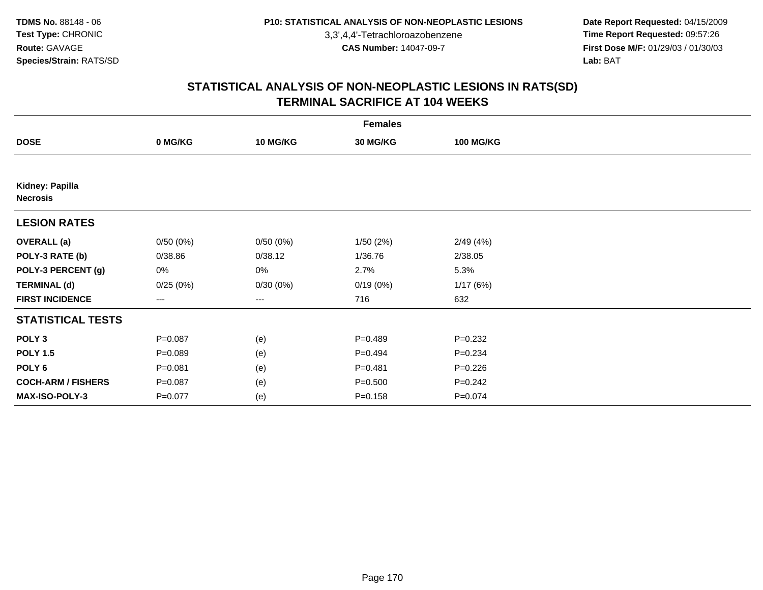**Date Report Requested:** 04/15/2009 **Time Report Requested:** 09:57:26 **First Dose M/F:** 01/29/03 / 01/30/03<br>Lab: BAT **Lab:** BAT

| <b>Females</b>                     |                        |                 |             |                  |  |  |  |
|------------------------------------|------------------------|-----------------|-------------|------------------|--|--|--|
| <b>DOSE</b>                        | 0 MG/KG                | <b>10 MG/KG</b> | 30 MG/KG    | <b>100 MG/KG</b> |  |  |  |
|                                    |                        |                 |             |                  |  |  |  |
| Kidney: Papilla<br><b>Necrosis</b> |                        |                 |             |                  |  |  |  |
| <b>LESION RATES</b>                |                        |                 |             |                  |  |  |  |
| <b>OVERALL</b> (a)                 | 0/50(0%)               | 0/50(0%)        | 1/50(2%)    | 2/49(4%)         |  |  |  |
| POLY-3 RATE (b)                    | 0/38.86                | 0/38.12         | 1/36.76     | 2/38.05          |  |  |  |
| POLY-3 PERCENT (g)                 | 0%                     | $0\%$           | 2.7%        | 5.3%             |  |  |  |
| <b>TERMINAL (d)</b>                | 0/25(0%)               | 0/30(0%)        | 0/19(0%)    | 1/17(6%)         |  |  |  |
| <b>FIRST INCIDENCE</b>             | $\qquad \qquad \cdots$ | $--$            | 716         | 632              |  |  |  |
| <b>STATISTICAL TESTS</b>           |                        |                 |             |                  |  |  |  |
| POLY <sub>3</sub>                  | $P = 0.087$            | (e)             | $P=0.489$   | $P = 0.232$      |  |  |  |
| <b>POLY 1.5</b>                    | $P = 0.089$            | (e)             | $P=0.494$   | $P = 0.234$      |  |  |  |
| POLY <sub>6</sub>                  | $P = 0.081$            | (e)             | $P = 0.481$ | $P = 0.226$      |  |  |  |
| <b>COCH-ARM / FISHERS</b>          | $P = 0.087$            | (e)             | $P = 0.500$ | $P = 0.242$      |  |  |  |
| MAX-ISO-POLY-3                     | $P = 0.077$            | (e)             | $P = 0.158$ | $P = 0.074$      |  |  |  |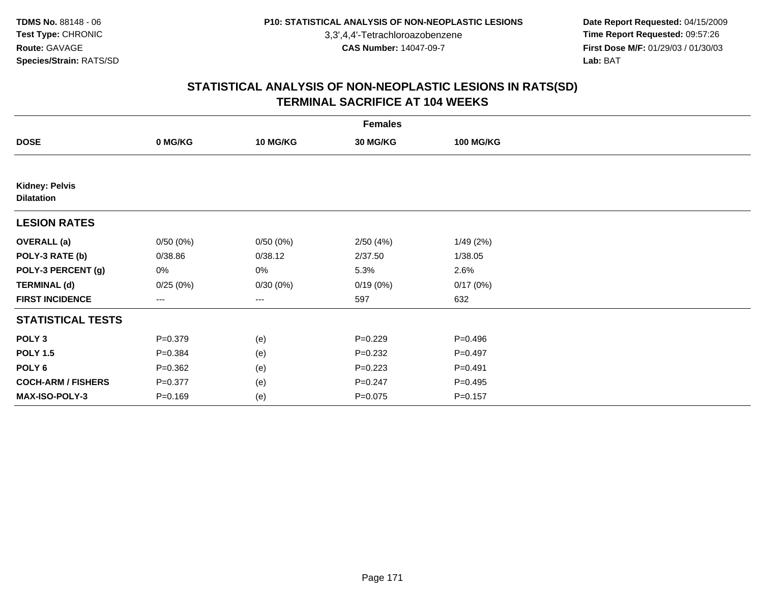**Date Report Requested:** 04/15/2009 **Time Report Requested:** 09:57:26 **First Dose M/F:** 01/29/03 / 01/30/03<br>Lab: BAT **Lab:** BAT

| <b>Females</b>                             |                   |                   |                 |                  |  |  |  |
|--------------------------------------------|-------------------|-------------------|-----------------|------------------|--|--|--|
| <b>DOSE</b>                                | 0 MG/KG           | <b>10 MG/KG</b>   | <b>30 MG/KG</b> | <b>100 MG/KG</b> |  |  |  |
|                                            |                   |                   |                 |                  |  |  |  |
| <b>Kidney: Pelvis</b><br><b>Dilatation</b> |                   |                   |                 |                  |  |  |  |
| <b>LESION RATES</b>                        |                   |                   |                 |                  |  |  |  |
| <b>OVERALL</b> (a)                         | 0/50(0%)          | 0/50(0%)          | 2/50(4%)        | 1/49(2%)         |  |  |  |
| POLY-3 RATE (b)                            | 0/38.86           | 0/38.12           | 2/37.50         | 1/38.05          |  |  |  |
| POLY-3 PERCENT (g)                         | 0%                | 0%                | 5.3%            | 2.6%             |  |  |  |
| <b>TERMINAL (d)</b>                        | 0/25(0%)          | 0/30(0%)          | 0/19(0%)        | 0/17(0%)         |  |  |  |
| <b>FIRST INCIDENCE</b>                     | $\qquad \qquad -$ | $\qquad \qquad -$ | 597             | 632              |  |  |  |
| <b>STATISTICAL TESTS</b>                   |                   |                   |                 |                  |  |  |  |
| POLY <sub>3</sub>                          | $P = 0.379$       | (e)               | $P=0.229$       | $P=0.496$        |  |  |  |
| <b>POLY 1.5</b>                            | $P = 0.384$       | (e)               | $P=0.232$       | $P=0.497$        |  |  |  |
| POLY <sub>6</sub>                          | $P = 0.362$       | (e)               | $P = 0.223$     | $P = 0.491$      |  |  |  |
| <b>COCH-ARM / FISHERS</b>                  | $P = 0.377$       | (e)               | $P = 0.247$     | $P=0.495$        |  |  |  |
| MAX-ISO-POLY-3                             | $P = 0.169$       | (e)               | $P = 0.075$     | $P = 0.157$      |  |  |  |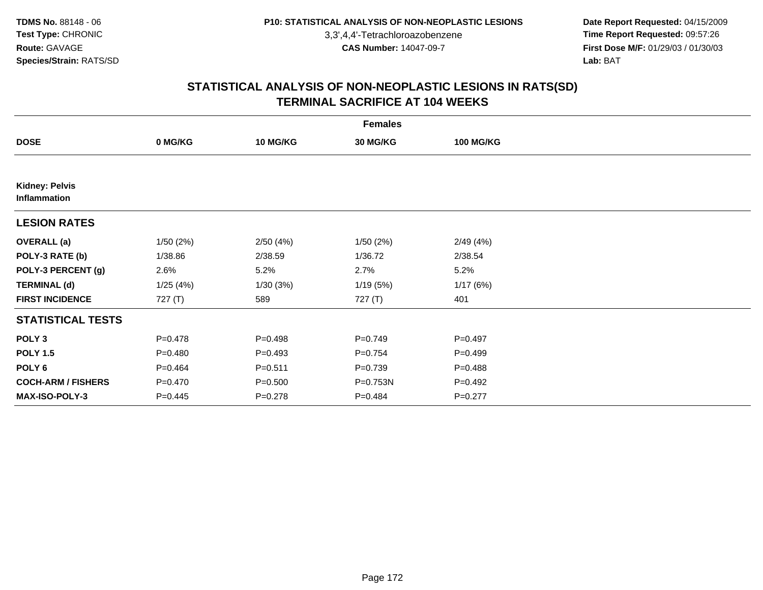**Date Report Requested:** 04/15/2009 **Time Report Requested:** 09:57:26 **First Dose M/F:** 01/29/03 / 01/30/03<br>Lab: BAT **Lab:** BAT

|                                       | <b>Females</b> |                 |                 |                  |  |  |  |  |
|---------------------------------------|----------------|-----------------|-----------------|------------------|--|--|--|--|
| <b>DOSE</b>                           | 0 MG/KG        | <b>10 MG/KG</b> | <b>30 MG/KG</b> | <b>100 MG/KG</b> |  |  |  |  |
|                                       |                |                 |                 |                  |  |  |  |  |
| <b>Kidney: Pelvis</b><br>Inflammation |                |                 |                 |                  |  |  |  |  |
| <b>LESION RATES</b>                   |                |                 |                 |                  |  |  |  |  |
| <b>OVERALL</b> (a)                    | 1/50(2%)       | 2/50(4%)        | 1/50(2%)        | 2/49(4%)         |  |  |  |  |
| POLY-3 RATE (b)                       | 1/38.86        | 2/38.59         | 1/36.72         | 2/38.54          |  |  |  |  |
| POLY-3 PERCENT (g)                    | 2.6%           | 5.2%            | 2.7%            | 5.2%             |  |  |  |  |
| <b>TERMINAL (d)</b>                   | 1/25(4%)       | 1/30(3%)        | 1/19(5%)        | 1/17(6%)         |  |  |  |  |
| <b>FIRST INCIDENCE</b>                | 727 (T)        | 589             | 727 (T)         | 401              |  |  |  |  |
| <b>STATISTICAL TESTS</b>              |                |                 |                 |                  |  |  |  |  |
| POLY <sub>3</sub>                     | $P=0.478$      | $P=0.498$       | $P = 0.749$     | $P=0.497$        |  |  |  |  |
| <b>POLY 1.5</b>                       | $P = 0.480$    | $P=0.493$       | $P = 0.754$     | $P=0.499$        |  |  |  |  |
| POLY <sub>6</sub>                     | $P=0.464$      | $P = 0.511$     | $P = 0.739$     | $P = 0.488$      |  |  |  |  |
| <b>COCH-ARM / FISHERS</b>             | $P = 0.470$    | $P = 0.500$     | P=0.753N        | $P=0.492$        |  |  |  |  |
| MAX-ISO-POLY-3                        | $P=0.445$      | $P = 0.278$     | $P = 0.484$     | $P=0.277$        |  |  |  |  |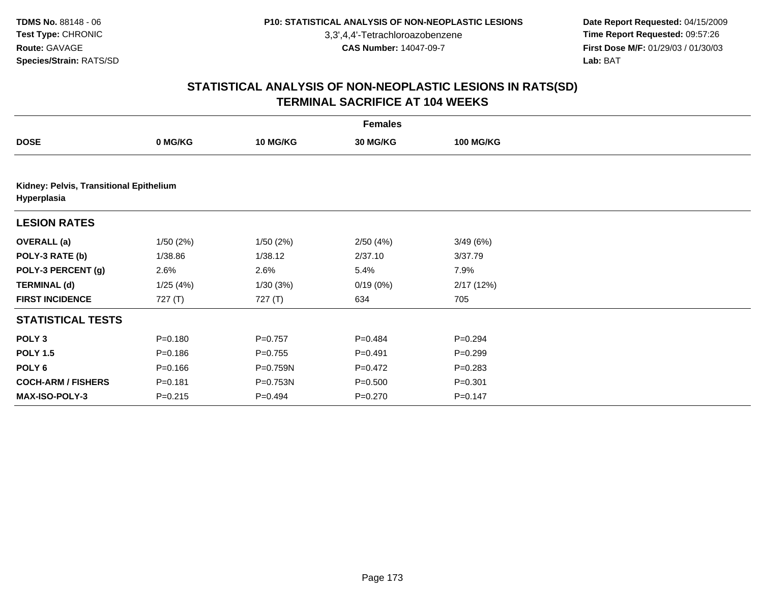**Date Report Requested:** 04/15/2009 **Time Report Requested:** 09:57:26 **First Dose M/F:** 01/29/03 / 01/30/03<br>Lab: BAT **Lab:** BAT

|                                                        |             |           | <b>Females</b> |                  |  |
|--------------------------------------------------------|-------------|-----------|----------------|------------------|--|
| <b>DOSE</b>                                            | 0 MG/KG     | 10 MG/KG  | 30 MG/KG       | <b>100 MG/KG</b> |  |
|                                                        |             |           |                |                  |  |
| Kidney: Pelvis, Transitional Epithelium<br>Hyperplasia |             |           |                |                  |  |
| <b>LESION RATES</b>                                    |             |           |                |                  |  |
| <b>OVERALL</b> (a)                                     | 1/50(2%)    | 1/50(2%)  | 2/50(4%)       | 3/49(6%)         |  |
| POLY-3 RATE (b)                                        | 1/38.86     | 1/38.12   | 2/37.10        | 3/37.79          |  |
| POLY-3 PERCENT (g)                                     | 2.6%        | 2.6%      | 5.4%           | 7.9%             |  |
| <b>TERMINAL (d)</b>                                    | 1/25(4%)    | 1/30(3%)  | 0/19(0%)       | 2/17(12%)        |  |
| <b>FIRST INCIDENCE</b>                                 | 727(T)      | 727(T)    | 634            | 705              |  |
| <b>STATISTICAL TESTS</b>                               |             |           |                |                  |  |
| POLY <sub>3</sub>                                      | $P = 0.180$ | $P=0.757$ | $P=0.484$      | $P=0.294$        |  |
| <b>POLY 1.5</b>                                        | $P = 0.186$ | $P=0.755$ | $P = 0.491$    | $P = 0.299$      |  |
| POLY 6                                                 | $P = 0.166$ | P=0.759N  | $P=0.472$      | $P = 0.283$      |  |
| <b>COCH-ARM / FISHERS</b>                              | $P = 0.181$ | P=0.753N  | $P = 0.500$    | $P = 0.301$      |  |
| <b>MAX-ISO-POLY-3</b>                                  | $P = 0.215$ | $P=0.494$ | $P = 0.270$    | $P = 0.147$      |  |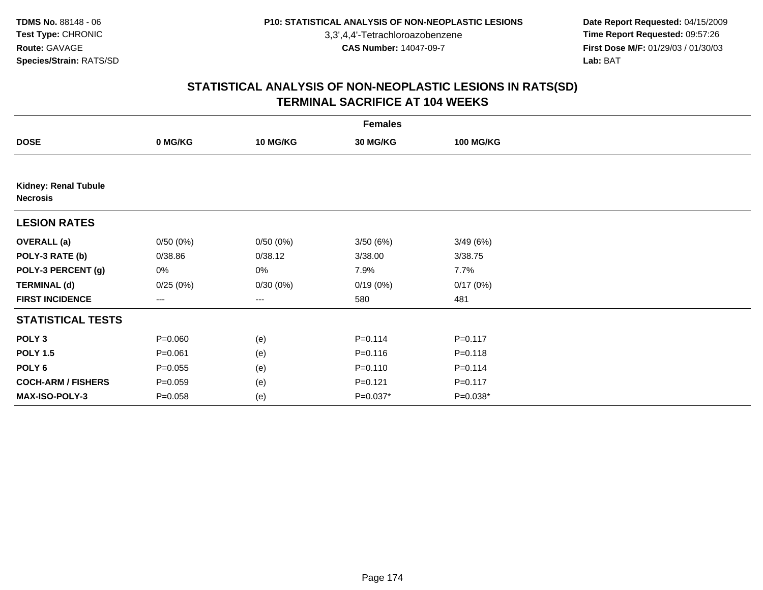**Date Report Requested:** 04/15/2009 **Time Report Requested:** 09:57:26 **First Dose M/F:** 01/29/03 / 01/30/03<br>Lab: BAT **Lab:** BAT

| <b>Females</b>                                 |             |                 |             |                  |  |  |  |
|------------------------------------------------|-------------|-----------------|-------------|------------------|--|--|--|
| <b>DOSE</b>                                    | 0 MG/KG     | <b>10 MG/KG</b> | 30 MG/KG    | <b>100 MG/KG</b> |  |  |  |
|                                                |             |                 |             |                  |  |  |  |
| <b>Kidney: Renal Tubule</b><br><b>Necrosis</b> |             |                 |             |                  |  |  |  |
| <b>LESION RATES</b>                            |             |                 |             |                  |  |  |  |
| <b>OVERALL</b> (a)                             | 0/50(0%)    | 0/50(0%)        | 3/50(6%)    | 3/49(6%)         |  |  |  |
| POLY-3 RATE (b)                                | 0/38.86     | 0/38.12         | 3/38.00     | 3/38.75          |  |  |  |
| POLY-3 PERCENT (g)                             | $0\%$       | 0%              | 7.9%        | 7.7%             |  |  |  |
| <b>TERMINAL (d)</b>                            | 0/25(0%)    | 0/30(0%)        | 0/19(0%)    | 0/17(0%)         |  |  |  |
| <b>FIRST INCIDENCE</b>                         | $---$       | ---             | 580         | 481              |  |  |  |
| <b>STATISTICAL TESTS</b>                       |             |                 |             |                  |  |  |  |
| POLY <sub>3</sub>                              | $P = 0.060$ | (e)             | $P = 0.114$ | $P = 0.117$      |  |  |  |
| <b>POLY 1.5</b>                                | $P = 0.061$ | (e)             | $P = 0.116$ | $P = 0.118$      |  |  |  |
| POLY <sub>6</sub>                              | $P = 0.055$ | (e)             | $P = 0.110$ | $P = 0.114$      |  |  |  |
| <b>COCH-ARM / FISHERS</b>                      | $P = 0.059$ | (e)             | $P=0.121$   | $P = 0.117$      |  |  |  |
| MAX-ISO-POLY-3                                 | $P = 0.058$ | (e)             | P=0.037*    | $P=0.038*$       |  |  |  |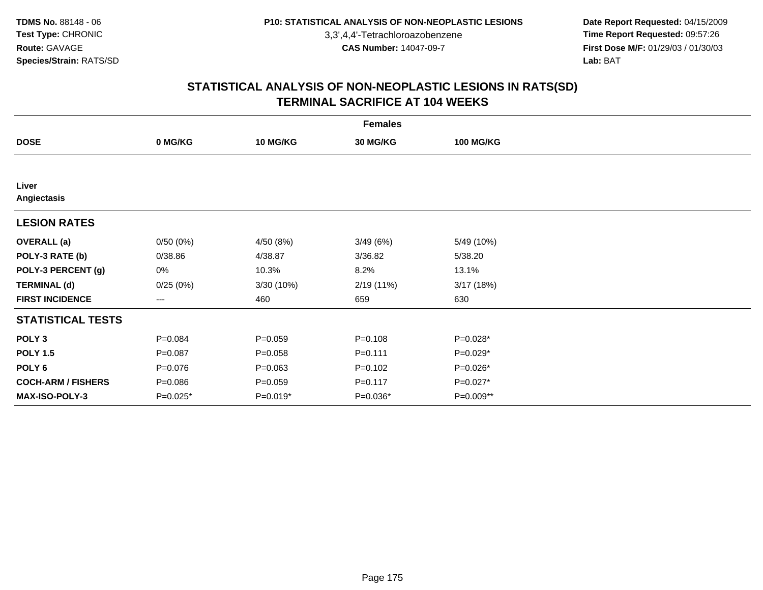**Date Report Requested:** 04/15/2009 **Time Report Requested:** 09:57:26 **First Dose M/F:** 01/29/03 / 01/30/03<br>Lab: BAT **Lab:** BAT

|                           | <b>Females</b> |                 |                 |                  |  |  |  |  |
|---------------------------|----------------|-----------------|-----------------|------------------|--|--|--|--|
| <b>DOSE</b>               | 0 MG/KG        | <b>10 MG/KG</b> | <b>30 MG/KG</b> | <b>100 MG/KG</b> |  |  |  |  |
|                           |                |                 |                 |                  |  |  |  |  |
| Liver<br>Angiectasis      |                |                 |                 |                  |  |  |  |  |
| <b>LESION RATES</b>       |                |                 |                 |                  |  |  |  |  |
| <b>OVERALL</b> (a)        | 0/50(0%)       | 4/50 (8%)       | 3/49(6%)        | 5/49 (10%)       |  |  |  |  |
| POLY-3 RATE (b)           | 0/38.86        | 4/38.87         | 3/36.82         | 5/38.20          |  |  |  |  |
| POLY-3 PERCENT (g)        | 0%             | 10.3%           | 8.2%            | 13.1%            |  |  |  |  |
| <b>TERMINAL (d)</b>       | 0/25(0%)       | 3/30(10%)       | 2/19 (11%)      | 3/17(18%)        |  |  |  |  |
| <b>FIRST INCIDENCE</b>    | $---$          | 460             | 659             | 630              |  |  |  |  |
| <b>STATISTICAL TESTS</b>  |                |                 |                 |                  |  |  |  |  |
| POLY <sub>3</sub>         | $P = 0.084$    | $P = 0.059$     | $P = 0.108$     | $P=0.028*$       |  |  |  |  |
| <b>POLY 1.5</b>           | $P = 0.087$    | $P = 0.058$     | $P=0.111$       | $P=0.029*$       |  |  |  |  |
| POLY <sub>6</sub>         | $P = 0.076$    | $P = 0.063$     | $P = 0.102$     | $P=0.026*$       |  |  |  |  |
| <b>COCH-ARM / FISHERS</b> | $P = 0.086$    | $P = 0.059$     | $P = 0.117$     | $P=0.027*$       |  |  |  |  |
| <b>MAX-ISO-POLY-3</b>     | $P=0.025*$     | $P=0.019*$      | $P=0.036*$      | $P=0.009**$      |  |  |  |  |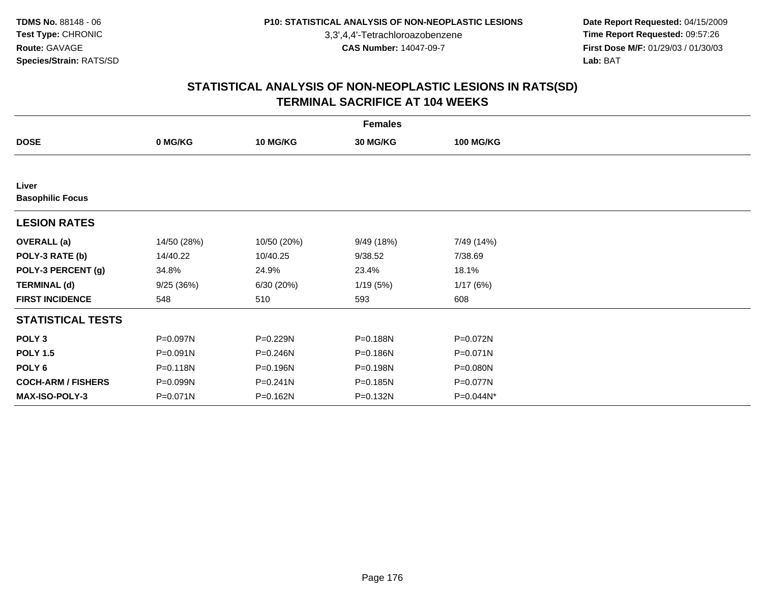**Date Report Requested:** 04/15/2009 **Time Report Requested:** 09:57:26 **First Dose M/F:** 01/29/03 / 01/30/03<br>Lab: BAT **Lab:** BAT

| <b>Females</b>            |              |                 |                 |                  |  |  |  |
|---------------------------|--------------|-----------------|-----------------|------------------|--|--|--|
| <b>DOSE</b>               | 0 MG/KG      | <b>10 MG/KG</b> | <b>30 MG/KG</b> | <b>100 MG/KG</b> |  |  |  |
|                           |              |                 |                 |                  |  |  |  |
| Liver                     |              |                 |                 |                  |  |  |  |
| <b>Basophilic Focus</b>   |              |                 |                 |                  |  |  |  |
| <b>LESION RATES</b>       |              |                 |                 |                  |  |  |  |
| <b>OVERALL</b> (a)        | 14/50 (28%)  | 10/50 (20%)     | 9/49 (18%)      | 7/49 (14%)       |  |  |  |
| POLY-3 RATE (b)           | 14/40.22     | 10/40.25        | 9/38.52         | 7/38.69          |  |  |  |
| POLY-3 PERCENT (g)        | 34.8%        | 24.9%           | 23.4%           | 18.1%            |  |  |  |
| <b>TERMINAL (d)</b>       | 9/25(36%)    | 6/30 (20%)      | 1/19(5%)        | 1/17(6%)         |  |  |  |
| <b>FIRST INCIDENCE</b>    | 548          | 510             | 593             | 608              |  |  |  |
| <b>STATISTICAL TESTS</b>  |              |                 |                 |                  |  |  |  |
| POLY <sub>3</sub>         | P=0.097N     | P=0.229N        | P=0.188N        | P=0.072N         |  |  |  |
| <b>POLY 1.5</b>           | $P = 0.091N$ | P=0.246N        | P=0.186N        | P=0.071N         |  |  |  |
| POLY <sub>6</sub>         | P=0.118N     | P=0.196N        | P=0.198N        | P=0.080N         |  |  |  |
| <b>COCH-ARM / FISHERS</b> | P=0.099N     | $P = 0.241N$    | P=0.185N        | P=0.077N         |  |  |  |
| <b>MAX-ISO-POLY-3</b>     | $P = 0.071N$ | P=0.162N        | P=0.132N        | P=0.044N*        |  |  |  |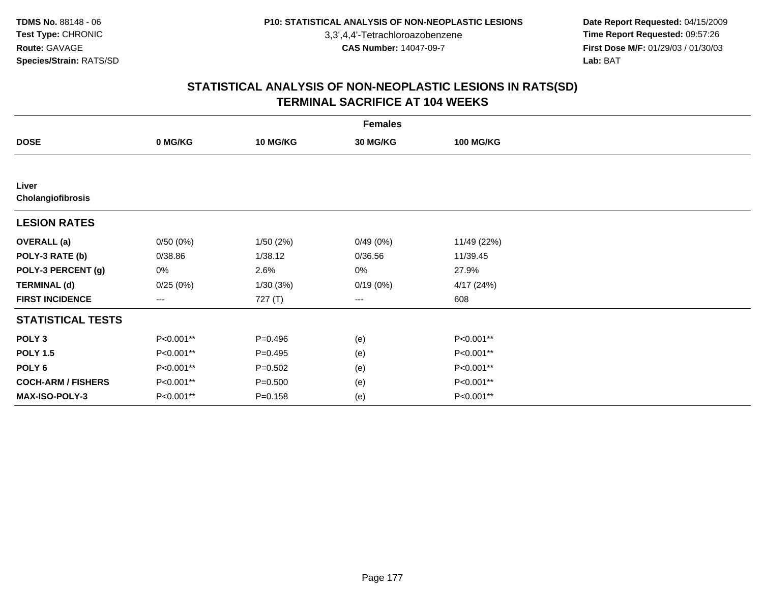**Date Report Requested:** 04/15/2009 **Time Report Requested:** 09:57:26 **First Dose M/F:** 01/29/03 / 01/30/03<br>Lab: BAT **Lab:** BAT

| <b>Females</b>             |                   |                 |                 |                  |  |  |  |
|----------------------------|-------------------|-----------------|-----------------|------------------|--|--|--|
| <b>DOSE</b>                | 0 MG/KG           | <b>10 MG/KG</b> | <b>30 MG/KG</b> | <b>100 MG/KG</b> |  |  |  |
|                            |                   |                 |                 |                  |  |  |  |
| Liver<br>Cholangiofibrosis |                   |                 |                 |                  |  |  |  |
|                            |                   |                 |                 |                  |  |  |  |
| <b>LESION RATES</b>        |                   |                 |                 |                  |  |  |  |
| <b>OVERALL</b> (a)         | 0/50(0%)          | 1/50(2%)        | 0/49(0%)        | 11/49 (22%)      |  |  |  |
| POLY-3 RATE (b)            | 0/38.86           | 1/38.12         | 0/36.56         | 11/39.45         |  |  |  |
| POLY-3 PERCENT (g)         | 0%                | 2.6%            | 0%              | 27.9%            |  |  |  |
| <b>TERMINAL (d)</b>        | 0/25(0%)          | 1/30(3%)        | 0/19(0%)        | 4/17(24%)        |  |  |  |
| <b>FIRST INCIDENCE</b>     | $\qquad \qquad -$ | 727 (T)         | ---             | 608              |  |  |  |
| <b>STATISTICAL TESTS</b>   |                   |                 |                 |                  |  |  |  |
| POLY <sub>3</sub>          | P<0.001**         | $P=0.496$       | (e)             | P<0.001**        |  |  |  |
| <b>POLY 1.5</b>            | P<0.001**         | $P=0.495$       | (e)             | P<0.001**        |  |  |  |
| POLY <sub>6</sub>          | P<0.001**         | $P = 0.502$     | (e)             | P<0.001**        |  |  |  |
| <b>COCH-ARM / FISHERS</b>  | P<0.001**         | $P = 0.500$     | (e)             | P<0.001**        |  |  |  |
| <b>MAX-ISO-POLY-3</b>      | P<0.001**         | $P = 0.158$     | (e)             | P<0.001**        |  |  |  |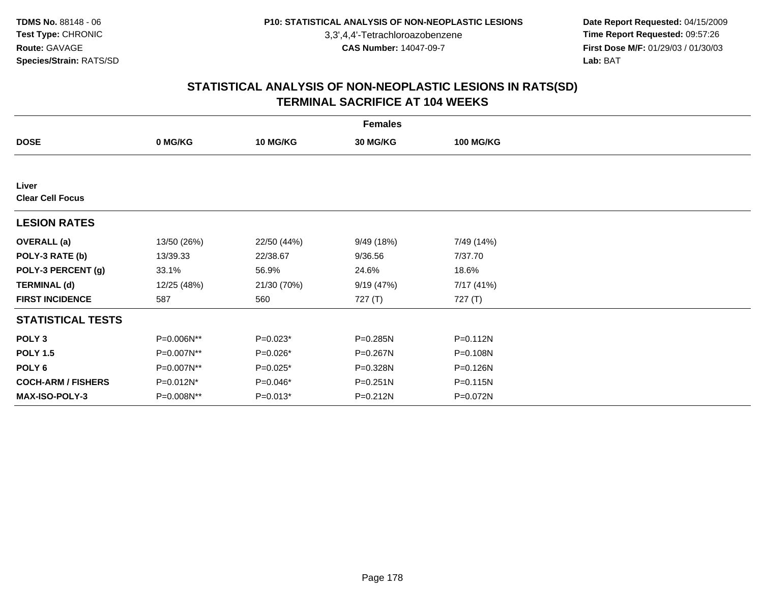**Date Report Requested:** 04/15/2009 **Time Report Requested:** 09:57:26 **First Dose M/F:** 01/29/03 / 01/30/03<br>Lab: BAT **Lab:** BAT

| <b>Females</b>                   |             |                 |                 |                  |  |  |  |
|----------------------------------|-------------|-----------------|-----------------|------------------|--|--|--|
| <b>DOSE</b>                      | 0 MG/KG     | <b>10 MG/KG</b> | <b>30 MG/KG</b> | <b>100 MG/KG</b> |  |  |  |
|                                  |             |                 |                 |                  |  |  |  |
| Liver<br><b>Clear Cell Focus</b> |             |                 |                 |                  |  |  |  |
| <b>LESION RATES</b>              |             |                 |                 |                  |  |  |  |
| <b>OVERALL</b> (a)               | 13/50 (26%) | 22/50 (44%)     | 9/49 (18%)      | 7/49 (14%)       |  |  |  |
| POLY-3 RATE (b)                  | 13/39.33    | 22/38.67        | 9/36.56         | 7/37.70          |  |  |  |
| POLY-3 PERCENT (g)               | 33.1%       | 56.9%           | 24.6%           | 18.6%            |  |  |  |
| <b>TERMINAL (d)</b>              | 12/25 (48%) | 21/30 (70%)     | 9/19 (47%)      | 7/17 (41%)       |  |  |  |
| <b>FIRST INCIDENCE</b>           | 587         | 560             | 727 (T)         | 727 (T)          |  |  |  |
| <b>STATISTICAL TESTS</b>         |             |                 |                 |                  |  |  |  |
| POLY <sub>3</sub>                | P=0.006N**  | $P=0.023*$      | P=0.285N        | $P = 0.112N$     |  |  |  |
| <b>POLY 1.5</b>                  | P=0.007N**  | $P=0.026*$      | P=0.267N        | P=0.108N         |  |  |  |
| POLY <sub>6</sub>                | P=0.007N**  | P=0.025*        | P=0.328N        | P=0.126N         |  |  |  |
| <b>COCH-ARM / FISHERS</b>        | P=0.012N*   | P=0.046*        | $P = 0.251N$    | $P = 0.115N$     |  |  |  |
| <b>MAX-ISO-POLY-3</b>            | P=0.008N**  | $P=0.013*$      | P=0.212N        | P=0.072N         |  |  |  |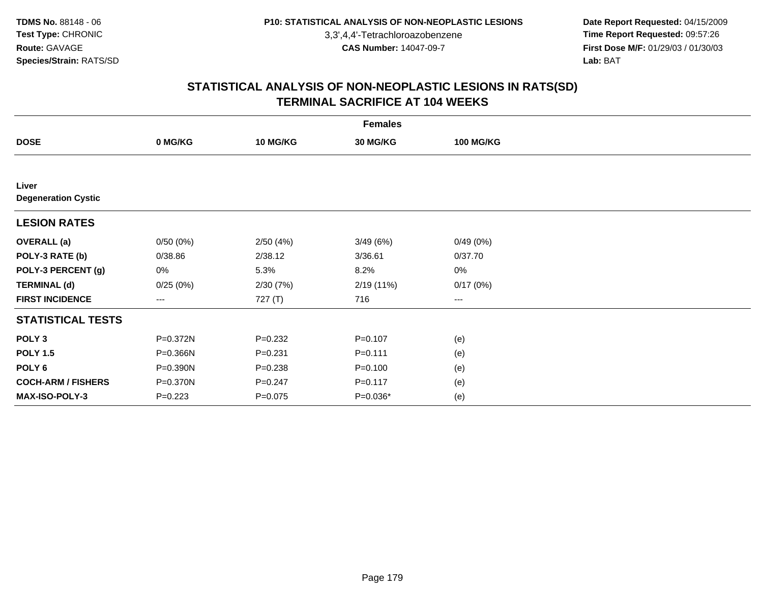**Date Report Requested:** 04/15/2009 **Time Report Requested:** 09:57:26 **First Dose M/F:** 01/29/03 / 01/30/03<br>Lab: BAT **Lab:** BAT

|                                     | <b>Females</b> |                 |                 |                  |  |  |  |  |
|-------------------------------------|----------------|-----------------|-----------------|------------------|--|--|--|--|
| <b>DOSE</b>                         | 0 MG/KG        | <b>10 MG/KG</b> | <b>30 MG/KG</b> | <b>100 MG/KG</b> |  |  |  |  |
|                                     |                |                 |                 |                  |  |  |  |  |
| Liver<br><b>Degeneration Cystic</b> |                |                 |                 |                  |  |  |  |  |
| <b>LESION RATES</b>                 |                |                 |                 |                  |  |  |  |  |
| <b>OVERALL</b> (a)                  | 0/50(0%)       | 2/50(4%)        | 3/49(6%)        | 0/49(0%)         |  |  |  |  |
| POLY-3 RATE (b)                     | 0/38.86        | 2/38.12         | 3/36.61         | 0/37.70          |  |  |  |  |
| POLY-3 PERCENT (g)                  | 0%             | 5.3%            | 8.2%            | 0%               |  |  |  |  |
| <b>TERMINAL (d)</b>                 | 0/25(0%)       | 2/30(7%)        | 2/19 (11%)      | 0/17(0%)         |  |  |  |  |
| <b>FIRST INCIDENCE</b>              | $--$           | 727 (T)         | 716             | $--$             |  |  |  |  |
| <b>STATISTICAL TESTS</b>            |                |                 |                 |                  |  |  |  |  |
| POLY <sub>3</sub>                   | P=0.372N       | $P = 0.232$     | $P = 0.107$     | (e)              |  |  |  |  |
| <b>POLY 1.5</b>                     | P=0.366N       | $P = 0.231$     | $P = 0.111$     | (e)              |  |  |  |  |
| POLY <sub>6</sub>                   | P=0.390N       | $P = 0.238$     | $P = 0.100$     | (e)              |  |  |  |  |
| <b>COCH-ARM / FISHERS</b>           | P=0.370N       | $P = 0.247$     | $P = 0.117$     | (e)              |  |  |  |  |
| MAX-ISO-POLY-3                      | $P = 0.223$    | $P = 0.075$     | P=0.036*        | (e)              |  |  |  |  |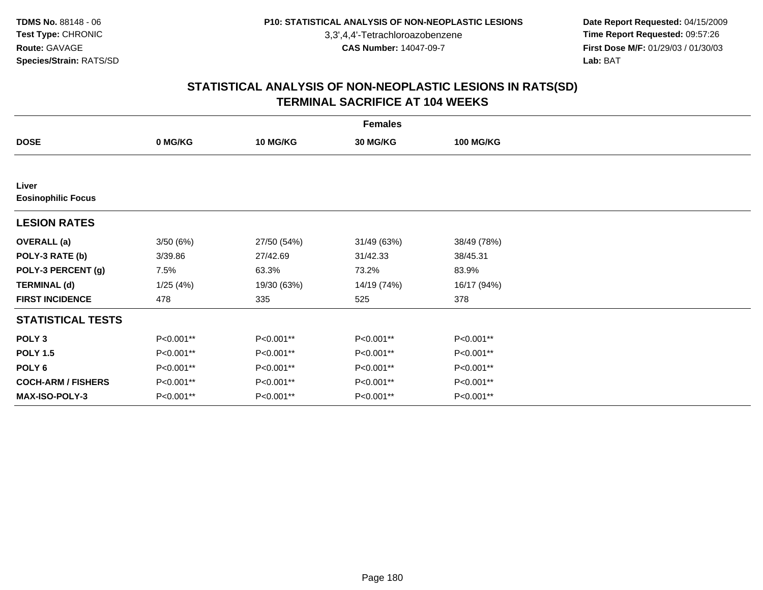**Date Report Requested:** 04/15/2009 **Time Report Requested:** 09:57:26 **First Dose M/F:** 01/29/03 / 01/30/03<br>Lab: BAT **Lab:** BAT

|                                    | <b>Females</b> |                 |                 |                  |  |  |  |  |
|------------------------------------|----------------|-----------------|-----------------|------------------|--|--|--|--|
| <b>DOSE</b>                        | 0 MG/KG        | <b>10 MG/KG</b> | <b>30 MG/KG</b> | <b>100 MG/KG</b> |  |  |  |  |
|                                    |                |                 |                 |                  |  |  |  |  |
| Liver<br><b>Eosinophilic Focus</b> |                |                 |                 |                  |  |  |  |  |
| <b>LESION RATES</b>                |                |                 |                 |                  |  |  |  |  |
| <b>OVERALL</b> (a)                 | 3/50(6%)       | 27/50 (54%)     | 31/49 (63%)     | 38/49 (78%)      |  |  |  |  |
| POLY-3 RATE (b)                    | 3/39.86        | 27/42.69        | 31/42.33        | 38/45.31         |  |  |  |  |
| POLY-3 PERCENT (g)                 | 7.5%           | 63.3%           | 73.2%           | 83.9%            |  |  |  |  |
| <b>TERMINAL (d)</b>                | 1/25(4%)       | 19/30 (63%)     | 14/19 (74%)     | 16/17 (94%)      |  |  |  |  |
| <b>FIRST INCIDENCE</b>             | 478            | 335             | 525             | 378              |  |  |  |  |
| <b>STATISTICAL TESTS</b>           |                |                 |                 |                  |  |  |  |  |
| POLY <sub>3</sub>                  | P<0.001**      | P<0.001**       | P<0.001**       | P<0.001**        |  |  |  |  |
| <b>POLY 1.5</b>                    | P<0.001**      | P<0.001**       | P<0.001**       | P<0.001**        |  |  |  |  |
| POLY <sub>6</sub>                  | P<0.001**      | P<0.001**       | P<0.001**       | P<0.001**        |  |  |  |  |
| <b>COCH-ARM / FISHERS</b>          | P<0.001**      | P<0.001**       | P<0.001**       | P<0.001**        |  |  |  |  |
| <b>MAX-ISO-POLY-3</b>              | P<0.001**      | P<0.001**       | P<0.001**       | P<0.001**        |  |  |  |  |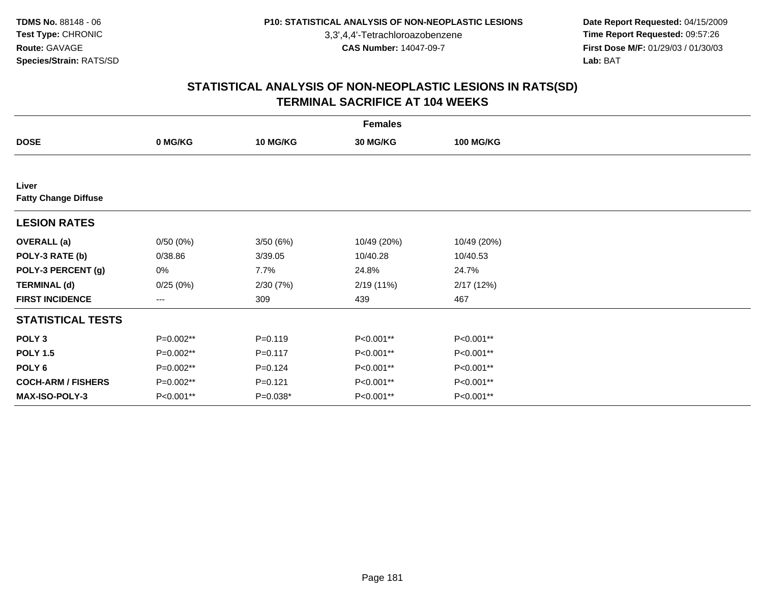**Date Report Requested:** 04/15/2009 **Time Report Requested:** 09:57:26 **First Dose M/F:** 01/29/03 / 01/30/03<br>Lab: BAT **Lab:** BAT

|                                      | <b>Females</b> |             |             |                  |  |  |  |
|--------------------------------------|----------------|-------------|-------------|------------------|--|--|--|
| <b>DOSE</b>                          | 0 MG/KG        | 10 MG/KG    | 30 MG/KG    | <b>100 MG/KG</b> |  |  |  |
|                                      |                |             |             |                  |  |  |  |
| Liver<br><b>Fatty Change Diffuse</b> |                |             |             |                  |  |  |  |
| <b>LESION RATES</b>                  |                |             |             |                  |  |  |  |
| <b>OVERALL</b> (a)                   | 0/50(0%)       | 3/50(6%)    | 10/49 (20%) | 10/49 (20%)      |  |  |  |
| POLY-3 RATE (b)                      | 0/38.86        | 3/39.05     | 10/40.28    | 10/40.53         |  |  |  |
| POLY-3 PERCENT (g)                   | 0%             | 7.7%        | 24.8%       | 24.7%            |  |  |  |
| <b>TERMINAL (d)</b>                  | 0/25(0%)       | 2/30(7%)    | 2/19 (11%)  | 2/17(12%)        |  |  |  |
| <b>FIRST INCIDENCE</b>               | $--$           | 309         | 439         | 467              |  |  |  |
| <b>STATISTICAL TESTS</b>             |                |             |             |                  |  |  |  |
| POLY <sub>3</sub>                    | P=0.002**      | $P = 0.119$ | P<0.001**   | P<0.001**        |  |  |  |
| <b>POLY 1.5</b>                      | P=0.002**      | $P = 0.117$ | P<0.001**   | P<0.001**        |  |  |  |
| POLY <sub>6</sub>                    | P=0.002**      | $P = 0.124$ | P<0.001**   | P<0.001**        |  |  |  |
| <b>COCH-ARM / FISHERS</b>            | $P=0.002**$    | $P=0.121$   | P<0.001**   | P<0.001**        |  |  |  |
| <b>MAX-ISO-POLY-3</b>                | P<0.001**      | $P=0.038*$  | P<0.001**   | P<0.001**        |  |  |  |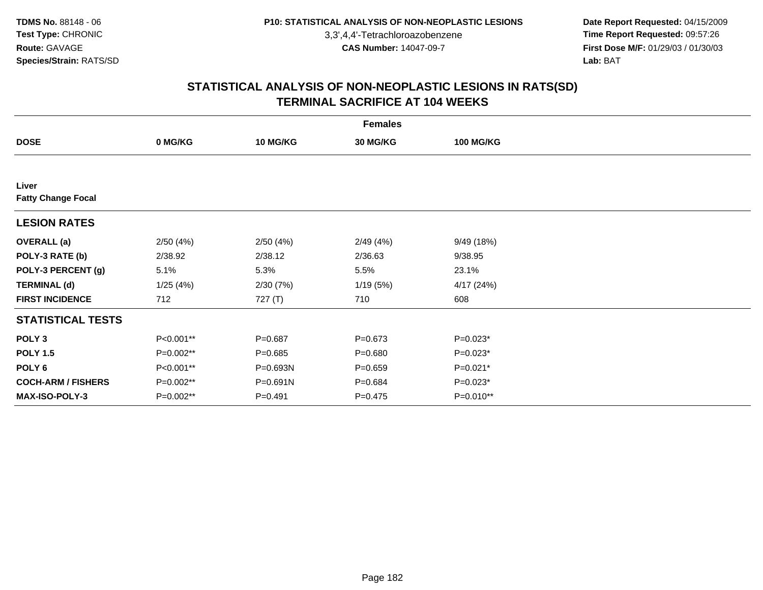**Date Report Requested:** 04/15/2009 **Time Report Requested:** 09:57:26 **First Dose M/F:** 01/29/03 / 01/30/03<br>Lab: BAT **Lab:** BAT

|                                    |           |                 | <b>Females</b>  |                  |  |
|------------------------------------|-----------|-----------------|-----------------|------------------|--|
| <b>DOSE</b>                        | 0 MG/KG   | <b>10 MG/KG</b> | <b>30 MG/KG</b> | <b>100 MG/KG</b> |  |
|                                    |           |                 |                 |                  |  |
| Liver<br><b>Fatty Change Focal</b> |           |                 |                 |                  |  |
| <b>LESION RATES</b>                |           |                 |                 |                  |  |
| <b>OVERALL</b> (a)                 | 2/50(4%)  | 2/50(4%)        | 2/49(4%)        | 9/49 (18%)       |  |
| POLY-3 RATE (b)                    | 2/38.92   | 2/38.12         | 2/36.63         | 9/38.95          |  |
| POLY-3 PERCENT (g)                 | 5.1%      | 5.3%            | 5.5%            | 23.1%            |  |
| <b>TERMINAL (d)</b>                | 1/25(4%)  | 2/30(7%)        | 1/19(5%)        | 4/17(24%)        |  |
| <b>FIRST INCIDENCE</b>             | 712       | 727 (T)         | 710             | 608              |  |
| <b>STATISTICAL TESTS</b>           |           |                 |                 |                  |  |
| POLY <sub>3</sub>                  | P<0.001** | $P = 0.687$     | $P = 0.673$     | $P=0.023*$       |  |
| <b>POLY 1.5</b>                    | P=0.002** | $P = 0.685$     | $P = 0.680$     | $P=0.023*$       |  |
| POLY <sub>6</sub>                  | P<0.001** | P=0.693N        | $P = 0.659$     | P=0.021*         |  |
| <b>COCH-ARM / FISHERS</b>          | P=0.002** | P=0.691N        | $P = 0.684$     | $P=0.023*$       |  |
| MAX-ISO-POLY-3                     | P=0.002** | $P = 0.491$     | $P=0.475$       | P=0.010**        |  |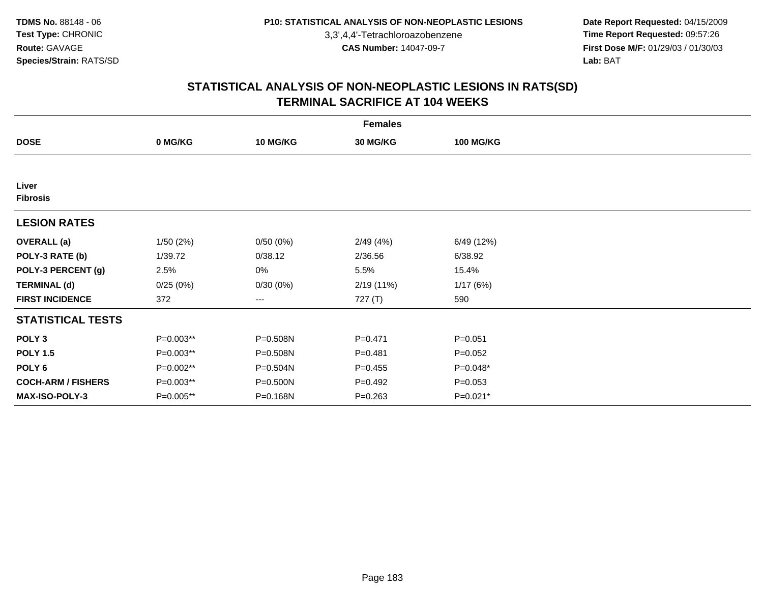**Date Report Requested:** 04/15/2009 **Time Report Requested:** 09:57:26 **First Dose M/F:** 01/29/03 / 01/30/03<br>Lab: BAT **Lab:** BAT

|                           |             |                 | <b>Females</b>  |                  |  |
|---------------------------|-------------|-----------------|-----------------|------------------|--|
| <b>DOSE</b>               | 0 MG/KG     | <b>10 MG/KG</b> | <b>30 MG/KG</b> | <b>100 MG/KG</b> |  |
|                           |             |                 |                 |                  |  |
| Liver<br><b>Fibrosis</b>  |             |                 |                 |                  |  |
| <b>LESION RATES</b>       |             |                 |                 |                  |  |
| <b>OVERALL</b> (a)        | 1/50(2%)    | 0/50(0%)        | 2/49(4%)        | 6/49 (12%)       |  |
| POLY-3 RATE (b)           | 1/39.72     | 0/38.12         | 2/36.56         | 6/38.92          |  |
| POLY-3 PERCENT (g)        | 2.5%        | 0%              | 5.5%            | 15.4%            |  |
| <b>TERMINAL (d)</b>       | 0/25(0%)    | 0/30(0%)        | 2/19(11%)       | 1/17(6%)         |  |
| <b>FIRST INCIDENCE</b>    | 372         | $--$            | 727 (T)         | 590              |  |
| <b>STATISTICAL TESTS</b>  |             |                 |                 |                  |  |
| POLY <sub>3</sub>         | P=0.003**   | P=0.508N        | $P = 0.471$     | $P = 0.051$      |  |
| <b>POLY 1.5</b>           | P=0.003**   | $P = 0.508N$    | $P = 0.481$     | $P=0.052$        |  |
| POLY <sub>6</sub>         | P=0.002**   | P=0.504N        | $P=0.455$       | $P=0.048*$       |  |
| <b>COCH-ARM / FISHERS</b> | P=0.003**   | P=0.500N        | $P=0.492$       | $P = 0.053$      |  |
| MAX-ISO-POLY-3            | $P=0.005**$ | P=0.168N        | $P = 0.263$     | $P=0.021*$       |  |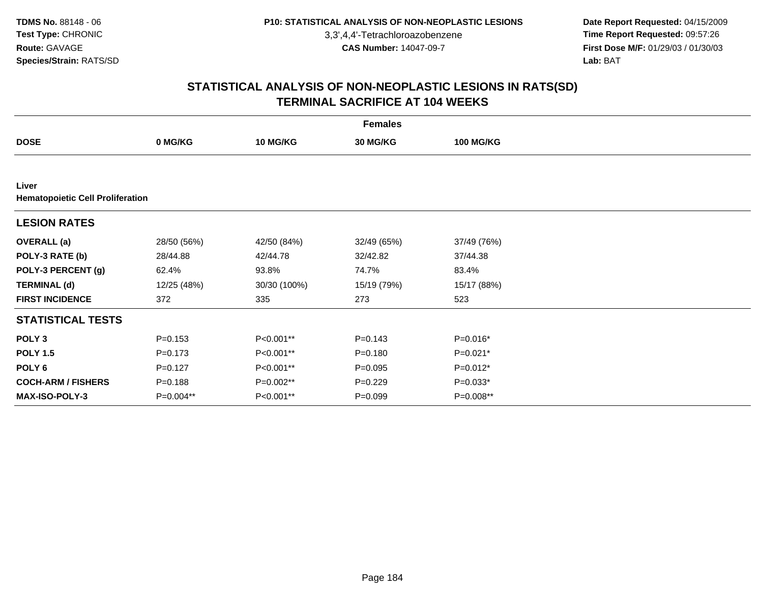**Date Report Requested:** 04/15/2009 **Time Report Requested:** 09:57:26 **First Dose M/F:** 01/29/03 / 01/30/03<br>Lab: BAT **Lab:** BAT

| <b>Females</b>                                   |             |                 |             |                  |  |  |  |
|--------------------------------------------------|-------------|-----------------|-------------|------------------|--|--|--|
| <b>DOSE</b>                                      | 0 MG/KG     | <b>10 MG/KG</b> | 30 MG/KG    | <b>100 MG/KG</b> |  |  |  |
|                                                  |             |                 |             |                  |  |  |  |
| Liver<br><b>Hematopoietic Cell Proliferation</b> |             |                 |             |                  |  |  |  |
| <b>LESION RATES</b>                              |             |                 |             |                  |  |  |  |
| <b>OVERALL</b> (a)                               | 28/50 (56%) | 42/50 (84%)     | 32/49 (65%) | 37/49 (76%)      |  |  |  |
| POLY-3 RATE (b)                                  | 28/44.88    | 42/44.78        | 32/42.82    | 37/44.38         |  |  |  |
| POLY-3 PERCENT (g)                               | 62.4%       | 93.8%           | 74.7%       | 83.4%            |  |  |  |
| <b>TERMINAL (d)</b>                              | 12/25 (48%) | 30/30 (100%)    | 15/19 (79%) | 15/17 (88%)      |  |  |  |
| <b>FIRST INCIDENCE</b>                           | 372         | 335             | 273         | 523              |  |  |  |
| <b>STATISTICAL TESTS</b>                         |             |                 |             |                  |  |  |  |
| POLY <sub>3</sub>                                | $P = 0.153$ | P<0.001**       | $P=0.143$   | $P=0.016*$       |  |  |  |
| <b>POLY 1.5</b>                                  | $P = 0.173$ | P<0.001**       | $P = 0.180$ | $P=0.021*$       |  |  |  |
| POLY <sub>6</sub>                                | $P=0.127$   | P<0.001**       | $P = 0.095$ | $P=0.012*$       |  |  |  |
| <b>COCH-ARM / FISHERS</b>                        | $P = 0.188$ | P=0.002**       | $P=0.229$   | $P=0.033*$       |  |  |  |
| <b>MAX-ISO-POLY-3</b>                            | $P=0.004**$ | P<0.001**       | $P = 0.099$ | $P=0.008**$      |  |  |  |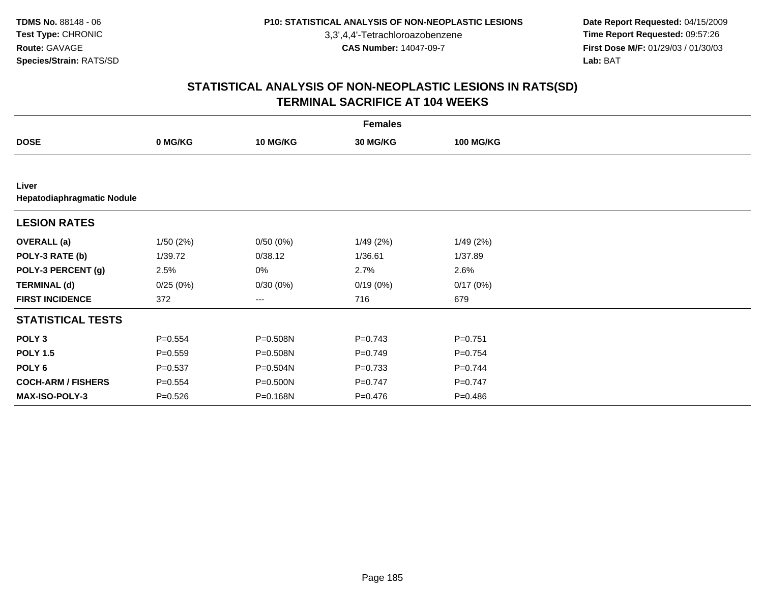**Date Report Requested:** 04/15/2009 **Time Report Requested:** 09:57:26 **First Dose M/F:** 01/29/03 / 01/30/03<br>Lab: BAT **Lab:** BAT

|                                     |             |                 | <b>Females</b> |                  |  |
|-------------------------------------|-------------|-----------------|----------------|------------------|--|
| <b>DOSE</b>                         | 0 MG/KG     | <b>10 MG/KG</b> | 30 MG/KG       | <b>100 MG/KG</b> |  |
|                                     |             |                 |                |                  |  |
| Liver<br>Hepatodiaphragmatic Nodule |             |                 |                |                  |  |
| <b>LESION RATES</b>                 |             |                 |                |                  |  |
| <b>OVERALL</b> (a)                  | 1/50(2%)    | 0/50(0%)        | 1/49 (2%)      | 1/49(2%)         |  |
| POLY-3 RATE (b)                     | 1/39.72     | 0/38.12         | 1/36.61        | 1/37.89          |  |
| POLY-3 PERCENT (g)                  | 2.5%        | 0%              | 2.7%           | 2.6%             |  |
| <b>TERMINAL (d)</b>                 | 0/25(0%)    | 0/30(0%)        | 0/19(0%)       | 0/17(0%)         |  |
| <b>FIRST INCIDENCE</b>              | 372         | $---$           | 716            | 679              |  |
| <b>STATISTICAL TESTS</b>            |             |                 |                |                  |  |
| POLY <sub>3</sub>                   | $P = 0.554$ | P=0.508N        | $P = 0.743$    | $P = 0.751$      |  |
| <b>POLY 1.5</b>                     | $P = 0.559$ | P=0.508N        | $P = 0.749$    | $P = 0.754$      |  |
| POLY <sub>6</sub>                   | $P = 0.537$ | P=0.504N        | $P = 0.733$    | $P=0.744$        |  |
| <b>COCH-ARM / FISHERS</b>           | $P = 0.554$ | P=0.500N        | $P = 0.747$    | $P=0.747$        |  |
| <b>MAX-ISO-POLY-3</b>               | $P = 0.526$ | P=0.168N        | $P = 0.476$    | $P = 0.486$      |  |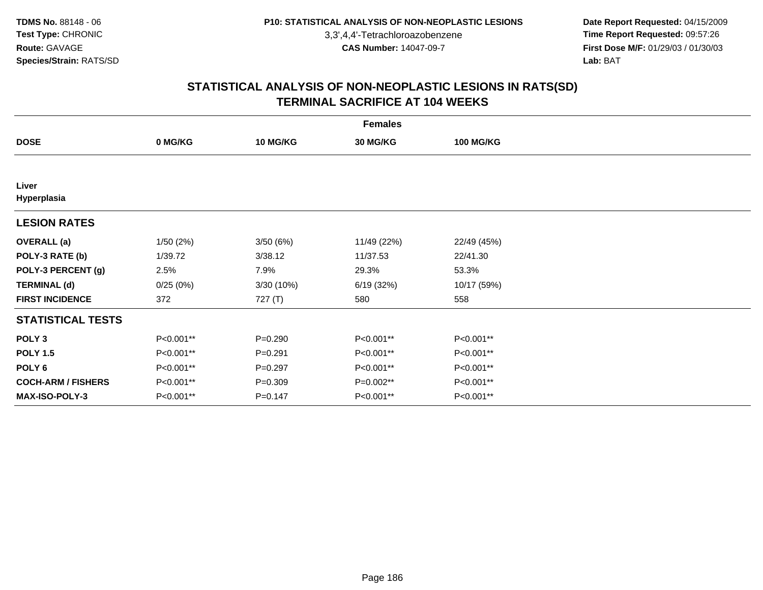**Date Report Requested:** 04/15/2009 **Time Report Requested:** 09:57:26 **First Dose M/F:** 01/29/03 / 01/30/03<br>Lab: BAT **Lab:** BAT

|                           |           |                 | <b>Females</b>  |                  |  |
|---------------------------|-----------|-----------------|-----------------|------------------|--|
| <b>DOSE</b>               | 0 MG/KG   | <b>10 MG/KG</b> | <b>30 MG/KG</b> | <b>100 MG/KG</b> |  |
|                           |           |                 |                 |                  |  |
| Liver<br>Hyperplasia      |           |                 |                 |                  |  |
| <b>LESION RATES</b>       |           |                 |                 |                  |  |
| <b>OVERALL</b> (a)        | 1/50 (2%) | 3/50(6%)        | 11/49 (22%)     | 22/49 (45%)      |  |
| POLY-3 RATE (b)           | 1/39.72   | 3/38.12         | 11/37.53        | 22/41.30         |  |
| POLY-3 PERCENT (g)        | 2.5%      | 7.9%            | 29.3%           | 53.3%            |  |
| <b>TERMINAL (d)</b>       | 0/25(0%)  | 3/30(10%)       | 6/19 (32%)      | 10/17 (59%)      |  |
| <b>FIRST INCIDENCE</b>    | 372       | 727 (T)         | 580             | 558              |  |
| <b>STATISTICAL TESTS</b>  |           |                 |                 |                  |  |
| POLY <sub>3</sub>         | P<0.001** | $P = 0.290$     | P<0.001**       | P<0.001**        |  |
| <b>POLY 1.5</b>           | P<0.001** | $P = 0.291$     | P<0.001**       | P<0.001**        |  |
| POLY <sub>6</sub>         | P<0.001** | $P = 0.297$     | P<0.001**       | P<0.001**        |  |
| <b>COCH-ARM / FISHERS</b> | P<0.001** | $P = 0.309$     | P=0.002**       | P<0.001**        |  |
| MAX-ISO-POLY-3            | P<0.001** | $P = 0.147$     | P<0.001**       | P<0.001**        |  |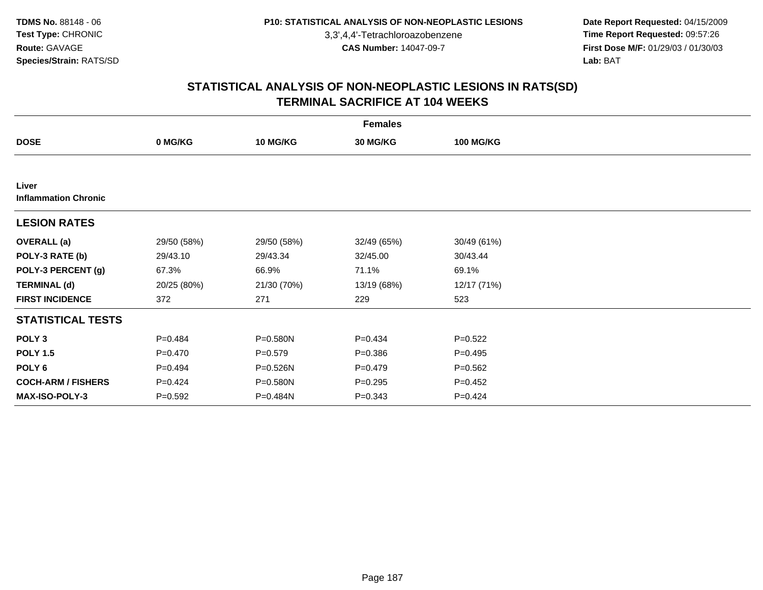**Date Report Requested:** 04/15/2009 **Time Report Requested:** 09:57:26 **First Dose M/F:** 01/29/03 / 01/30/03<br>Lab: BAT **Lab:** BAT

|                                      | <b>Females</b> |                 |             |                  |  |  |  |  |
|--------------------------------------|----------------|-----------------|-------------|------------------|--|--|--|--|
| <b>DOSE</b>                          | 0 MG/KG        | <b>10 MG/KG</b> | 30 MG/KG    | <b>100 MG/KG</b> |  |  |  |  |
|                                      |                |                 |             |                  |  |  |  |  |
| Liver<br><b>Inflammation Chronic</b> |                |                 |             |                  |  |  |  |  |
| <b>LESION RATES</b>                  |                |                 |             |                  |  |  |  |  |
| <b>OVERALL</b> (a)                   | 29/50 (58%)    | 29/50 (58%)     | 32/49 (65%) | 30/49 (61%)      |  |  |  |  |
| POLY-3 RATE (b)                      | 29/43.10       | 29/43.34        | 32/45.00    | 30/43.44         |  |  |  |  |
| POLY-3 PERCENT (g)                   | 67.3%          | 66.9%           | 71.1%       | 69.1%            |  |  |  |  |
| <b>TERMINAL (d)</b>                  | 20/25 (80%)    | 21/30 (70%)     | 13/19 (68%) | 12/17 (71%)      |  |  |  |  |
| <b>FIRST INCIDENCE</b>               | 372            | 271             | 229         | 523              |  |  |  |  |
| <b>STATISTICAL TESTS</b>             |                |                 |             |                  |  |  |  |  |
| POLY <sub>3</sub>                    | $P=0.484$      | P=0.580N        | $P=0.434$   | $P=0.522$        |  |  |  |  |
| <b>POLY 1.5</b>                      | $P = 0.470$    | $P = 0.579$     | $P = 0.386$ | $P = 0.495$      |  |  |  |  |
| POLY <sub>6</sub>                    | $P=0.494$      | P=0.526N        | $P=0.479$   | $P = 0.562$      |  |  |  |  |
| <b>COCH-ARM / FISHERS</b>            | $P=0.424$      | P=0.580N        | $P=0.295$   | $P = 0.452$      |  |  |  |  |
| <b>MAX-ISO-POLY-3</b>                | $P = 0.592$    | P=0.484N        | $P = 0.343$ | $P=0.424$        |  |  |  |  |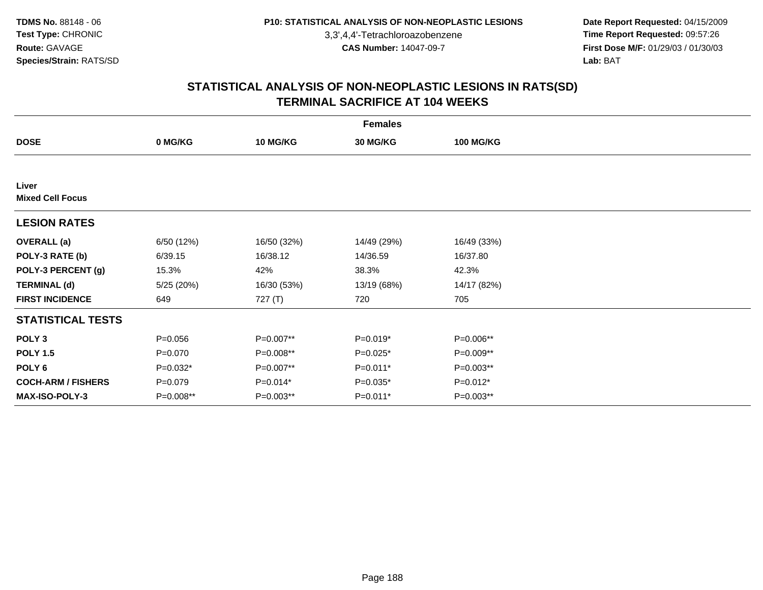**Date Report Requested:** 04/15/2009 **Time Report Requested:** 09:57:26 **First Dose M/F:** 01/29/03 / 01/30/03<br>Lab: BAT **Lab:** BAT

| <b>Females</b>                   |             |                 |                 |                  |  |  |  |
|----------------------------------|-------------|-----------------|-----------------|------------------|--|--|--|
| <b>DOSE</b>                      | 0 MG/KG     | <b>10 MG/KG</b> | <b>30 MG/KG</b> | <b>100 MG/KG</b> |  |  |  |
|                                  |             |                 |                 |                  |  |  |  |
| Liver<br><b>Mixed Cell Focus</b> |             |                 |                 |                  |  |  |  |
| <b>LESION RATES</b>              |             |                 |                 |                  |  |  |  |
| <b>OVERALL</b> (a)               | 6/50 (12%)  | 16/50 (32%)     | 14/49 (29%)     | 16/49 (33%)      |  |  |  |
| POLY-3 RATE (b)                  | 6/39.15     | 16/38.12        | 14/36.59        | 16/37.80         |  |  |  |
| POLY-3 PERCENT (g)               | 15.3%       | 42%             | 38.3%           | 42.3%            |  |  |  |
| <b>TERMINAL (d)</b>              | 5/25 (20%)  | 16/30 (53%)     | 13/19 (68%)     | 14/17 (82%)      |  |  |  |
| <b>FIRST INCIDENCE</b>           | 649         | 727 (T)         | 720             | 705              |  |  |  |
| <b>STATISTICAL TESTS</b>         |             |                 |                 |                  |  |  |  |
| POLY <sub>3</sub>                | $P = 0.056$ | P=0.007**       | $P=0.019*$      | P=0.006**        |  |  |  |
| <b>POLY 1.5</b>                  | $P = 0.070$ | P=0.008**       | P=0.025*        | P=0.009**        |  |  |  |
| POLY <sub>6</sub>                | $P=0.032*$  | P=0.007**       | P=0.011*        | P=0.003**        |  |  |  |
| <b>COCH-ARM / FISHERS</b>        | $P = 0.079$ | $P=0.014*$      | $P=0.035*$      | $P=0.012*$       |  |  |  |
| <b>MAX-ISO-POLY-3</b>            | P=0.008**   | P=0.003**       | P=0.011*        | $P=0.003**$      |  |  |  |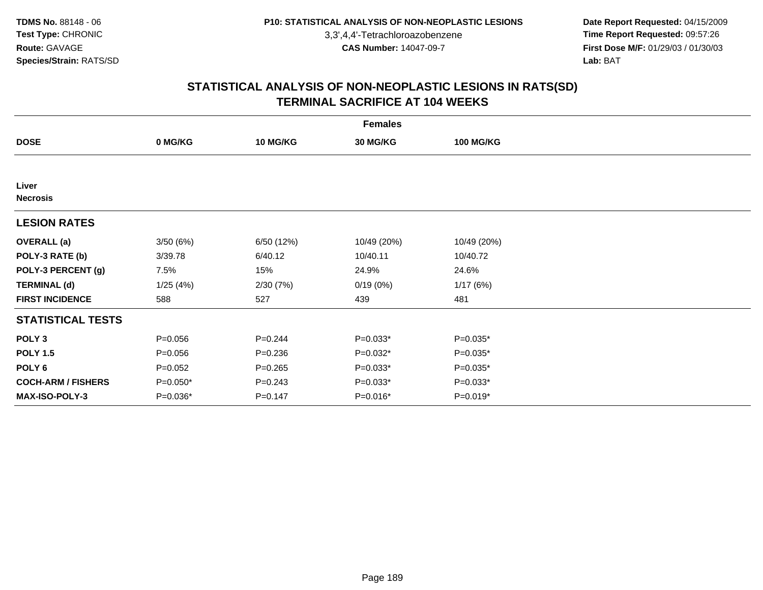**Date Report Requested:** 04/15/2009 **Time Report Requested:** 09:57:26 **First Dose M/F:** 01/29/03 / 01/30/03<br>Lab: BAT **Lab:** BAT

| <b>Females</b>            |             |                 |                 |                  |  |  |
|---------------------------|-------------|-----------------|-----------------|------------------|--|--|
| <b>DOSE</b>               | 0 MG/KG     | <b>10 MG/KG</b> | <b>30 MG/KG</b> | <b>100 MG/KG</b> |  |  |
|                           |             |                 |                 |                  |  |  |
| Liver<br><b>Necrosis</b>  |             |                 |                 |                  |  |  |
| <b>LESION RATES</b>       |             |                 |                 |                  |  |  |
| <b>OVERALL</b> (a)        | 3/50(6%)    | 6/50 (12%)      | 10/49 (20%)     | 10/49 (20%)      |  |  |
| POLY-3 RATE (b)           | 3/39.78     | 6/40.12         | 10/40.11        | 10/40.72         |  |  |
| POLY-3 PERCENT (g)        | 7.5%        | 15%             | 24.9%           | 24.6%            |  |  |
| <b>TERMINAL (d)</b>       | 1/25(4%)    | 2/30(7%)        | 0/19(0%)        | 1/17(6%)         |  |  |
| <b>FIRST INCIDENCE</b>    | 588         | 527             | 439             | 481              |  |  |
| <b>STATISTICAL TESTS</b>  |             |                 |                 |                  |  |  |
| POLY <sub>3</sub>         | $P = 0.056$ | $P = 0.244$     | $P=0.033*$      | $P=0.035*$       |  |  |
| <b>POLY 1.5</b>           | $P = 0.056$ | $P = 0.236$     | P=0.032*        | $P=0.035*$       |  |  |
| POLY <sub>6</sub>         | $P=0.052$   | $P = 0.265$     | $P=0.033*$      | $P=0.035*$       |  |  |
| <b>COCH-ARM / FISHERS</b> | $P=0.050*$  | $P = 0.243$     | $P=0.033*$      | $P=0.033*$       |  |  |
| <b>MAX-ISO-POLY-3</b>     | $P=0.036*$  | $P = 0.147$     | P=0.016*        | $P=0.019*$       |  |  |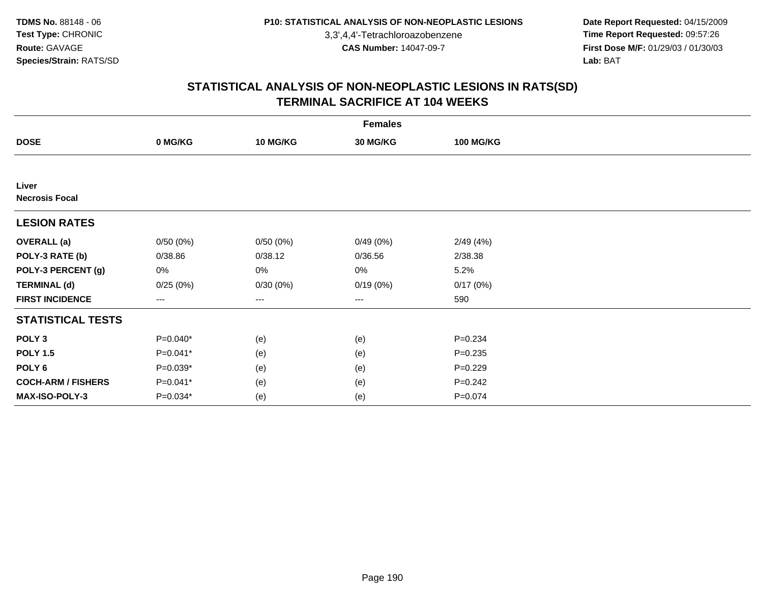**Date Report Requested:** 04/15/2009 **Time Report Requested:** 09:57:26 **First Dose M/F:** 01/29/03 / 01/30/03<br>Lab: BAT **Lab:** BAT

|                                |                   |                   | <b>Females</b>  |                  |  |
|--------------------------------|-------------------|-------------------|-----------------|------------------|--|
| <b>DOSE</b>                    | 0 MG/KG           | <b>10 MG/KG</b>   | <b>30 MG/KG</b> | <b>100 MG/KG</b> |  |
|                                |                   |                   |                 |                  |  |
| Liver<br><b>Necrosis Focal</b> |                   |                   |                 |                  |  |
| <b>LESION RATES</b>            |                   |                   |                 |                  |  |
| <b>OVERALL</b> (a)             | 0/50(0%)          | 0/50(0%)          | 0/49(0%)        | 2/49(4%)         |  |
| POLY-3 RATE (b)                | 0/38.86           | 0/38.12           | 0/36.56         | 2/38.38          |  |
| POLY-3 PERCENT (g)             | 0%                | 0%                | 0%              | 5.2%             |  |
| <b>TERMINAL (d)</b>            | 0/25(0%)          | 0/30(0%)          | 0/19(0%)        | 0/17(0%)         |  |
| <b>FIRST INCIDENCE</b>         | $\qquad \qquad -$ | $\qquad \qquad -$ | ---             | 590              |  |
| <b>STATISTICAL TESTS</b>       |                   |                   |                 |                  |  |
| POLY <sub>3</sub>              | $P=0.040*$        | (e)               | (e)             | $P = 0.234$      |  |
| <b>POLY 1.5</b>                | $P=0.041*$        | (e)               | (e)             | $P = 0.235$      |  |
| POLY <sub>6</sub>              | $P=0.039*$        | (e)               | (e)             | $P=0.229$        |  |
| <b>COCH-ARM / FISHERS</b>      | $P=0.041*$        | (e)               | (e)             | $P = 0.242$      |  |
| MAX-ISO-POLY-3                 | $P=0.034*$        | (e)               | (e)             | $P = 0.074$      |  |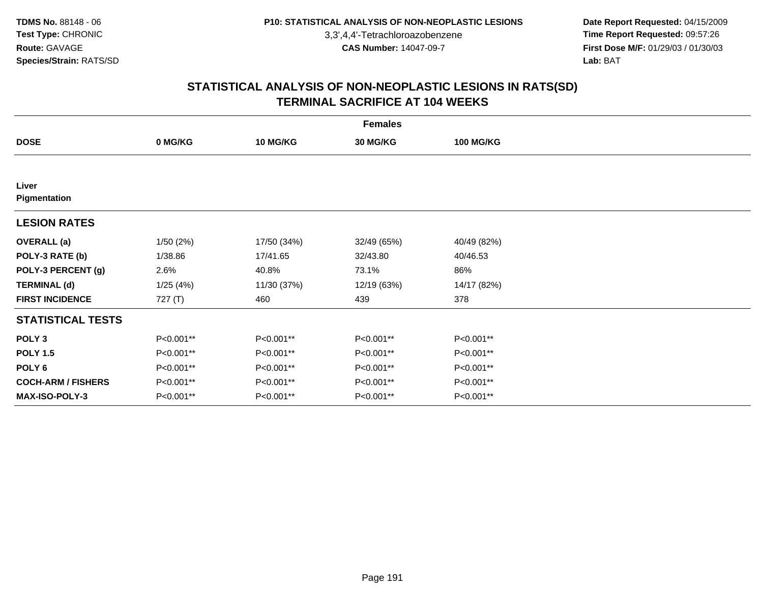**Date Report Requested:** 04/15/2009 **Time Report Requested:** 09:57:26 **First Dose M/F:** 01/29/03 / 01/30/03<br>Lab: BAT **Lab:** BAT

|                           | <b>Females</b> |                 |             |                  |  |  |  |  |
|---------------------------|----------------|-----------------|-------------|------------------|--|--|--|--|
| <b>DOSE</b>               | 0 MG/KG        | <b>10 MG/KG</b> | 30 MG/KG    | <b>100 MG/KG</b> |  |  |  |  |
|                           |                |                 |             |                  |  |  |  |  |
| Liver<br>Pigmentation     |                |                 |             |                  |  |  |  |  |
| <b>LESION RATES</b>       |                |                 |             |                  |  |  |  |  |
| <b>OVERALL</b> (a)        | 1/50(2%)       | 17/50 (34%)     | 32/49 (65%) | 40/49 (82%)      |  |  |  |  |
| POLY-3 RATE (b)           | 1/38.86        | 17/41.65        | 32/43.80    | 40/46.53         |  |  |  |  |
| POLY-3 PERCENT (g)        | 2.6%           | 40.8%           | 73.1%       | 86%              |  |  |  |  |
| <b>TERMINAL (d)</b>       | 1/25(4%)       | 11/30 (37%)     | 12/19 (63%) | 14/17 (82%)      |  |  |  |  |
| <b>FIRST INCIDENCE</b>    | 727 (T)        | 460             | 439         | 378              |  |  |  |  |
| <b>STATISTICAL TESTS</b>  |                |                 |             |                  |  |  |  |  |
| POLY <sub>3</sub>         | P<0.001**      | P<0.001**       | P<0.001**   | P<0.001**        |  |  |  |  |
| <b>POLY 1.5</b>           | P<0.001**      | P<0.001**       | P<0.001**   | P<0.001**        |  |  |  |  |
| POLY <sub>6</sub>         | P<0.001**      | P<0.001**       | P<0.001**   | P<0.001**        |  |  |  |  |
| <b>COCH-ARM / FISHERS</b> | P<0.001**      | P<0.001**       | P<0.001**   | P<0.001**        |  |  |  |  |
| <b>MAX-ISO-POLY-3</b>     | P<0.001**      | P<0.001**       | P<0.001**   | P<0.001**        |  |  |  |  |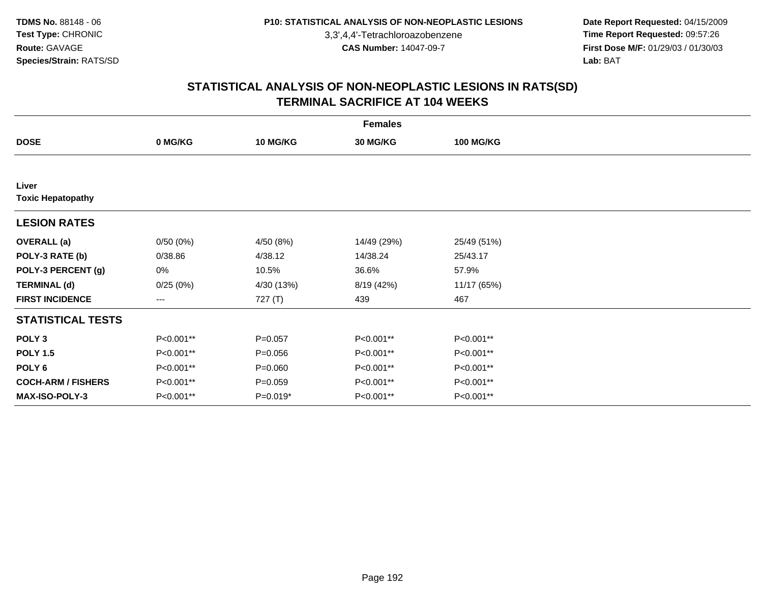**Date Report Requested:** 04/15/2009 **Time Report Requested:** 09:57:26 **First Dose M/F:** 01/29/03 / 01/30/03<br>Lab: BAT **Lab:** BAT

|                           | <b>Females</b> |                 |                 |                  |  |  |  |  |
|---------------------------|----------------|-----------------|-----------------|------------------|--|--|--|--|
| <b>DOSE</b>               | 0 MG/KG        | <b>10 MG/KG</b> | <b>30 MG/KG</b> | <b>100 MG/KG</b> |  |  |  |  |
|                           |                |                 |                 |                  |  |  |  |  |
| Liver                     |                |                 |                 |                  |  |  |  |  |
| <b>Toxic Hepatopathy</b>  |                |                 |                 |                  |  |  |  |  |
| <b>LESION RATES</b>       |                |                 |                 |                  |  |  |  |  |
| <b>OVERALL</b> (a)        | 0/50(0%)       | 4/50 (8%)       | 14/49 (29%)     | 25/49 (51%)      |  |  |  |  |
| POLY-3 RATE (b)           | 0/38.86        | 4/38.12         | 14/38.24        | 25/43.17         |  |  |  |  |
| POLY-3 PERCENT (g)        | 0%             | 10.5%           | 36.6%           | 57.9%            |  |  |  |  |
| <b>TERMINAL (d)</b>       | 0/25(0%)       | 4/30 (13%)      | 8/19 (42%)      | 11/17 (65%)      |  |  |  |  |
| <b>FIRST INCIDENCE</b>    | $--$           | 727 (T)         | 439             | 467              |  |  |  |  |
| <b>STATISTICAL TESTS</b>  |                |                 |                 |                  |  |  |  |  |
| POLY <sub>3</sub>         | P<0.001**      | $P = 0.057$     | P<0.001**       | P<0.001**        |  |  |  |  |
| <b>POLY 1.5</b>           | P<0.001**      | $P = 0.056$     | P<0.001**       | P<0.001**        |  |  |  |  |
| POLY <sub>6</sub>         | P<0.001**      | $P = 0.060$     | P<0.001**       | P<0.001**        |  |  |  |  |
| <b>COCH-ARM / FISHERS</b> | P<0.001**      | $P = 0.059$     | P<0.001**       | P<0.001**        |  |  |  |  |
| <b>MAX-ISO-POLY-3</b>     | P<0.001**      | $P=0.019*$      | P<0.001**       | P<0.001**        |  |  |  |  |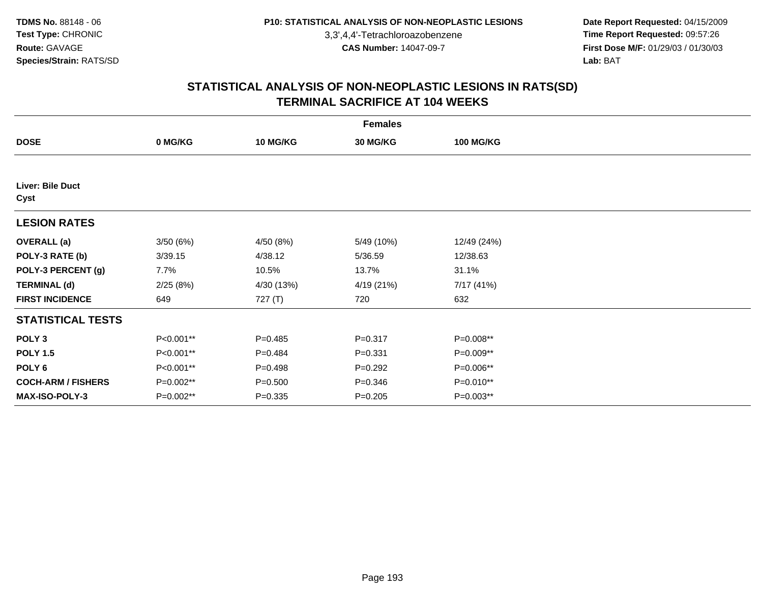**Date Report Requested:** 04/15/2009 **Time Report Requested:** 09:57:26 **First Dose M/F:** 01/29/03 / 01/30/03<br>Lab: BAT **Lab:** BAT

|                           | <b>Females</b> |                 |                 |                  |  |  |  |  |
|---------------------------|----------------|-----------------|-----------------|------------------|--|--|--|--|
| <b>DOSE</b>               | 0 MG/KG        | <b>10 MG/KG</b> | <b>30 MG/KG</b> | <b>100 MG/KG</b> |  |  |  |  |
|                           |                |                 |                 |                  |  |  |  |  |
| Liver: Bile Duct<br>Cyst  |                |                 |                 |                  |  |  |  |  |
| <b>LESION RATES</b>       |                |                 |                 |                  |  |  |  |  |
| <b>OVERALL</b> (a)        | 3/50(6%)       | 4/50 (8%)       | 5/49 (10%)      | 12/49 (24%)      |  |  |  |  |
| POLY-3 RATE (b)           | 3/39.15        | 4/38.12         | 5/36.59         | 12/38.63         |  |  |  |  |
| POLY-3 PERCENT (g)        | 7.7%           | 10.5%           | 13.7%           | 31.1%            |  |  |  |  |
| <b>TERMINAL (d)</b>       | 2/25(8%)       | 4/30 (13%)      | 4/19 (21%)      | 7/17 (41%)       |  |  |  |  |
| <b>FIRST INCIDENCE</b>    | 649            | 727 (T)         | 720             | 632              |  |  |  |  |
| <b>STATISTICAL TESTS</b>  |                |                 |                 |                  |  |  |  |  |
| POLY <sub>3</sub>         | P<0.001**      | $P = 0.485$     | $P = 0.317$     | P=0.008**        |  |  |  |  |
| <b>POLY 1.5</b>           | P<0.001**      | $P=0.484$       | $P = 0.331$     | P=0.009**        |  |  |  |  |
| POLY <sub>6</sub>         | P<0.001**      | $P = 0.498$     | $P=0.292$       | P=0.006**        |  |  |  |  |
| <b>COCH-ARM / FISHERS</b> | P=0.002**      | $P = 0.500$     | $P = 0.346$     | P=0.010**        |  |  |  |  |
| MAX-ISO-POLY-3            | P=0.002**      | $P = 0.335$     | $P = 0.205$     | P=0.003**        |  |  |  |  |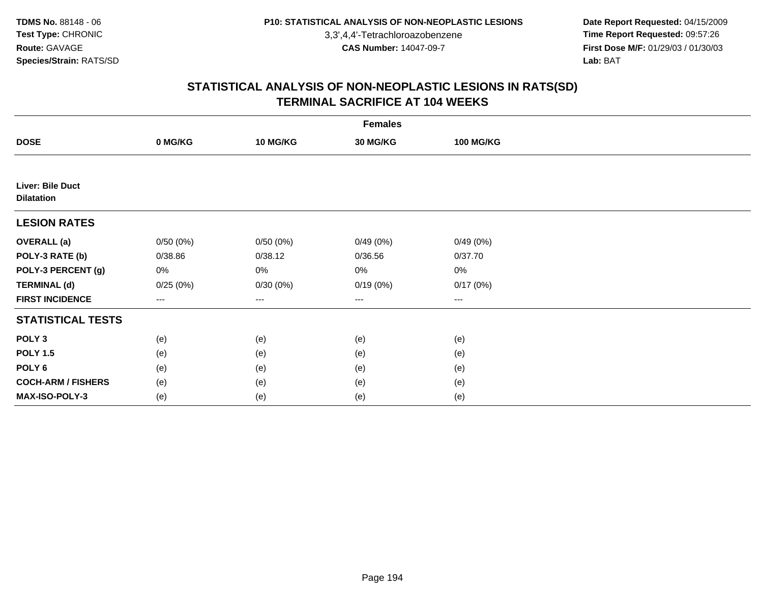**Date Report Requested:** 04/15/2009 **Time Report Requested:** 09:57:26 **First Dose M/F:** 01/29/03 / 01/30/03<br>Lab: BAT **Lab:** BAT

| <b>Females</b>                        |                        |                 |                 |                  |  |  |  |
|---------------------------------------|------------------------|-----------------|-----------------|------------------|--|--|--|
| <b>DOSE</b>                           | 0 MG/KG                | <b>10 MG/KG</b> | <b>30 MG/KG</b> | <b>100 MG/KG</b> |  |  |  |
|                                       |                        |                 |                 |                  |  |  |  |
| Liver: Bile Duct<br><b>Dilatation</b> |                        |                 |                 |                  |  |  |  |
| <b>LESION RATES</b>                   |                        |                 |                 |                  |  |  |  |
| <b>OVERALL</b> (a)                    | 0/50(0%)               | 0/50(0%)        | 0/49(0%)        | 0/49(0%)         |  |  |  |
| POLY-3 RATE (b)                       | 0/38.86                | 0/38.12         | 0/36.56         | 0/37.70          |  |  |  |
| POLY-3 PERCENT (g)                    | 0%                     | 0%              | 0%              | 0%               |  |  |  |
| <b>TERMINAL (d)</b>                   | 0/25(0%)               | 0/30(0%)        | 0/19(0%)        | 0/17(0%)         |  |  |  |
| <b>FIRST INCIDENCE</b>                | $\qquad \qquad \cdots$ | ---             | ---             | $\cdots$         |  |  |  |
| <b>STATISTICAL TESTS</b>              |                        |                 |                 |                  |  |  |  |
| POLY <sub>3</sub>                     | (e)                    | (e)             | (e)             | (e)              |  |  |  |
| <b>POLY 1.5</b>                       | (e)                    | (e)             | (e)             | (e)              |  |  |  |
| POLY <sub>6</sub>                     | (e)                    | (e)             | (e)             | (e)              |  |  |  |
| <b>COCH-ARM / FISHERS</b>             | (e)                    | (e)             | (e)             | (e)              |  |  |  |
| MAX-ISO-POLY-3                        | (e)                    | (e)             | (e)             | (e)              |  |  |  |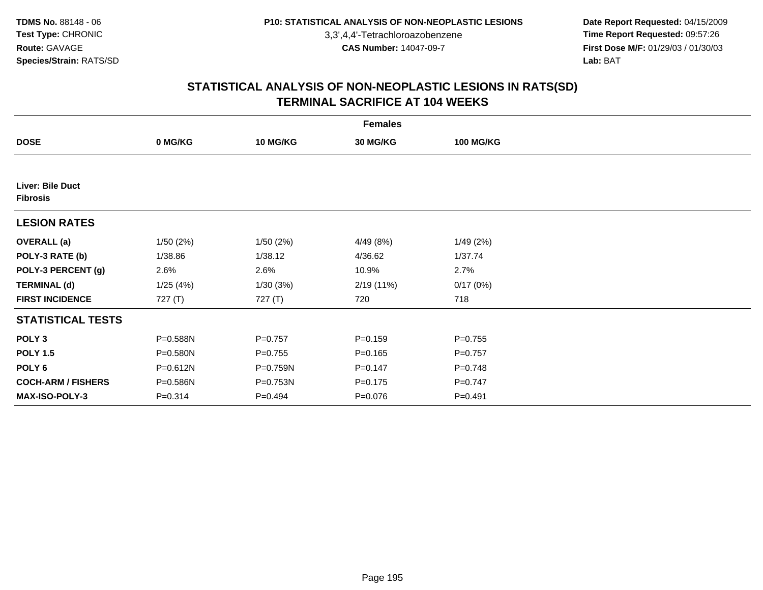**Date Report Requested:** 04/15/2009 **Time Report Requested:** 09:57:26 **First Dose M/F:** 01/29/03 / 01/30/03<br>Lab: BAT **Lab:** BAT

| <b>Females</b>                             |             |                 |                 |                  |  |  |  |
|--------------------------------------------|-------------|-----------------|-----------------|------------------|--|--|--|
| <b>DOSE</b>                                | 0 MG/KG     | <b>10 MG/KG</b> | <b>30 MG/KG</b> | <b>100 MG/KG</b> |  |  |  |
|                                            |             |                 |                 |                  |  |  |  |
| <b>Liver: Bile Duct</b><br><b>Fibrosis</b> |             |                 |                 |                  |  |  |  |
| <b>LESION RATES</b>                        |             |                 |                 |                  |  |  |  |
| <b>OVERALL</b> (a)                         | 1/50(2%)    | 1/50(2%)        | 4/49 (8%)       | 1/49(2%)         |  |  |  |
| POLY-3 RATE (b)                            | 1/38.86     | 1/38.12         | 4/36.62         | 1/37.74          |  |  |  |
| POLY-3 PERCENT (g)                         | 2.6%        | 2.6%            | 10.9%           | 2.7%             |  |  |  |
| <b>TERMINAL (d)</b>                        | 1/25(4%)    | 1/30(3%)        | 2/19(11%)       | 0/17(0%)         |  |  |  |
| <b>FIRST INCIDENCE</b>                     | 727 (T)     | 727 (T)         | 720             | 718              |  |  |  |
| <b>STATISTICAL TESTS</b>                   |             |                 |                 |                  |  |  |  |
| POLY <sub>3</sub>                          | P=0.588N    | $P = 0.757$     | $P = 0.159$     | $P=0.755$        |  |  |  |
| <b>POLY 1.5</b>                            | P=0.580N    | $P = 0.755$     | $P = 0.165$     | $P = 0.757$      |  |  |  |
| POLY <sub>6</sub>                          | P=0.612N    | P=0.759N        | $P = 0.147$     | $P = 0.748$      |  |  |  |
| <b>COCH-ARM / FISHERS</b>                  | P=0.586N    | P=0.753N        | $P = 0.175$     | $P=0.747$        |  |  |  |
| MAX-ISO-POLY-3                             | $P = 0.314$ | $P=0.494$       | $P = 0.076$     | $P = 0.491$      |  |  |  |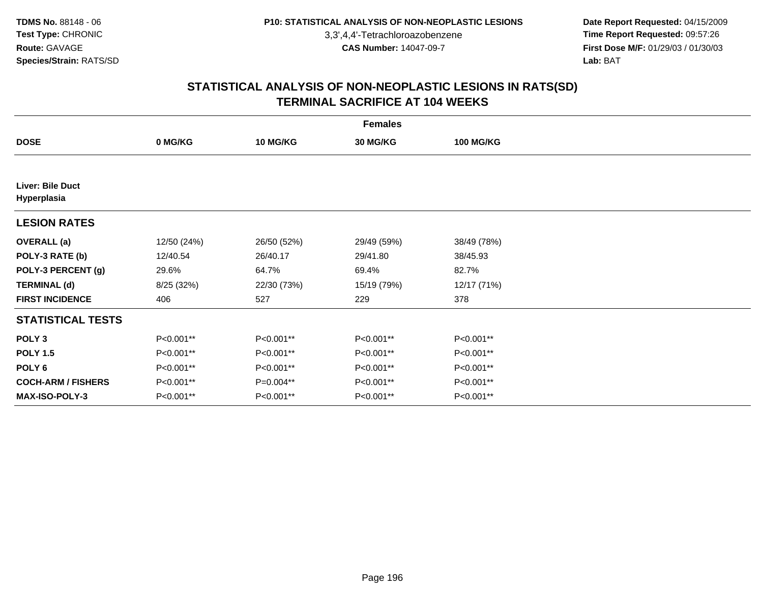**Date Report Requested:** 04/15/2009 **Time Report Requested:** 09:57:26 **First Dose M/F:** 01/29/03 / 01/30/03<br>Lab: BAT **Lab:** BAT

|                                 | <b>Females</b> |                 |             |                  |  |  |  |  |
|---------------------------------|----------------|-----------------|-------------|------------------|--|--|--|--|
| <b>DOSE</b>                     | 0 MG/KG        | <b>10 MG/KG</b> | 30 MG/KG    | <b>100 MG/KG</b> |  |  |  |  |
|                                 |                |                 |             |                  |  |  |  |  |
| Liver: Bile Duct<br>Hyperplasia |                |                 |             |                  |  |  |  |  |
| <b>LESION RATES</b>             |                |                 |             |                  |  |  |  |  |
| <b>OVERALL</b> (a)              | 12/50 (24%)    | 26/50 (52%)     | 29/49 (59%) | 38/49 (78%)      |  |  |  |  |
| POLY-3 RATE (b)                 | 12/40.54       | 26/40.17        | 29/41.80    | 38/45.93         |  |  |  |  |
| POLY-3 PERCENT (g)              | 29.6%          | 64.7%           | 69.4%       | 82.7%            |  |  |  |  |
| <b>TERMINAL (d)</b>             | 8/25 (32%)     | 22/30 (73%)     | 15/19 (79%) | 12/17 (71%)      |  |  |  |  |
| <b>FIRST INCIDENCE</b>          | 406            | 527             | 229         | 378              |  |  |  |  |
| <b>STATISTICAL TESTS</b>        |                |                 |             |                  |  |  |  |  |
| POLY <sub>3</sub>               | P<0.001**      | P<0.001**       | P<0.001**   | P<0.001**        |  |  |  |  |
| <b>POLY 1.5</b>                 | P<0.001**      | P<0.001**       | P<0.001**   | P<0.001**        |  |  |  |  |
| POLY <sub>6</sub>               | P<0.001**      | P<0.001**       | P<0.001**   | P<0.001**        |  |  |  |  |
| <b>COCH-ARM / FISHERS</b>       | P<0.001**      | P=0.004**       | P<0.001**   | P<0.001**        |  |  |  |  |
| <b>MAX-ISO-POLY-3</b>           | P<0.001**      | P<0.001**       | P<0.001**   | P<0.001**        |  |  |  |  |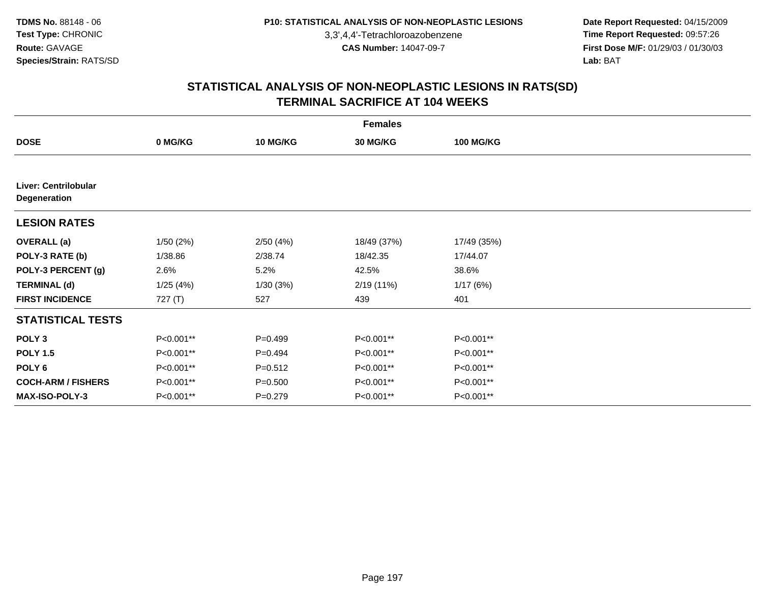**Date Report Requested:** 04/15/2009 **Time Report Requested:** 09:57:26 **First Dose M/F:** 01/29/03 / 01/30/03<br>Lab: BAT **Lab:** BAT

|                                      | <b>Females</b> |                 |                 |                  |  |  |  |  |
|--------------------------------------|----------------|-----------------|-----------------|------------------|--|--|--|--|
| <b>DOSE</b>                          | 0 MG/KG        | <b>10 MG/KG</b> | <b>30 MG/KG</b> | <b>100 MG/KG</b> |  |  |  |  |
|                                      |                |                 |                 |                  |  |  |  |  |
| Liver: Centrilobular<br>Degeneration |                |                 |                 |                  |  |  |  |  |
| <b>LESION RATES</b>                  |                |                 |                 |                  |  |  |  |  |
| <b>OVERALL</b> (a)                   | 1/50(2%)       | 2/50(4%)        | 18/49 (37%)     | 17/49 (35%)      |  |  |  |  |
| POLY-3 RATE (b)                      | 1/38.86        | 2/38.74         | 18/42.35        | 17/44.07         |  |  |  |  |
| POLY-3 PERCENT (g)                   | 2.6%           | 5.2%            | 42.5%           | 38.6%            |  |  |  |  |
| <b>TERMINAL (d)</b>                  | 1/25(4%)       | 1/30(3%)        | 2/19(11%)       | 1/17(6%)         |  |  |  |  |
| <b>FIRST INCIDENCE</b>               | 727 (T)        | 527             | 439             | 401              |  |  |  |  |
| <b>STATISTICAL TESTS</b>             |                |                 |                 |                  |  |  |  |  |
| POLY <sub>3</sub>                    | P<0.001**      | $P=0.499$       | P<0.001**       | P<0.001**        |  |  |  |  |
| <b>POLY 1.5</b>                      | P<0.001**      | $P=0.494$       | P<0.001**       | P<0.001**        |  |  |  |  |
| POLY <sub>6</sub>                    | P<0.001**      | $P = 0.512$     | P<0.001**       | P<0.001**        |  |  |  |  |
| <b>COCH-ARM / FISHERS</b>            | P<0.001**      | $P = 0.500$     | P<0.001**       | P<0.001**        |  |  |  |  |
| MAX-ISO-POLY-3                       | P<0.001**      | $P = 0.279$     | P<0.001**       | P<0.001**        |  |  |  |  |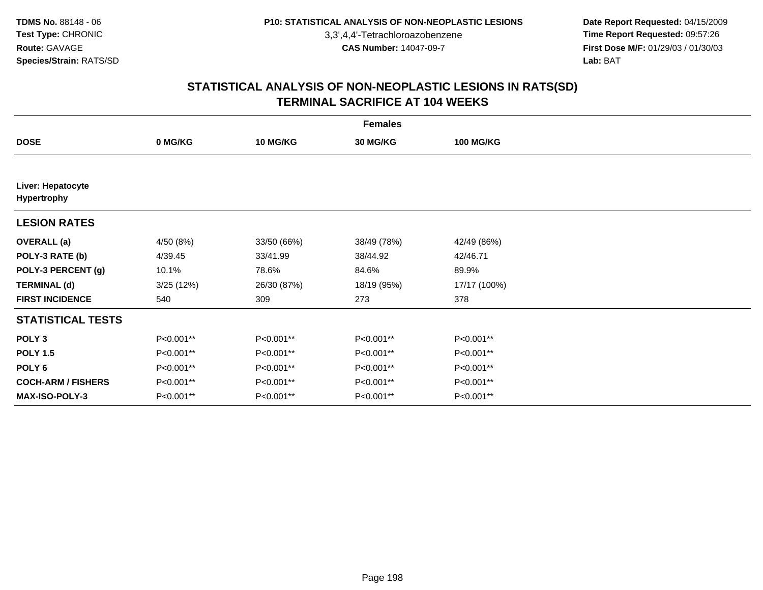**Date Report Requested:** 04/15/2009 **Time Report Requested:** 09:57:26 **First Dose M/F:** 01/29/03 / 01/30/03<br>Lab: BAT **Lab:** BAT

|                                         | <b>Females</b> |                 |                 |                  |  |  |  |  |
|-----------------------------------------|----------------|-----------------|-----------------|------------------|--|--|--|--|
| <b>DOSE</b>                             | 0 MG/KG        | <b>10 MG/KG</b> | <b>30 MG/KG</b> | <b>100 MG/KG</b> |  |  |  |  |
|                                         |                |                 |                 |                  |  |  |  |  |
| Liver: Hepatocyte<br><b>Hypertrophy</b> |                |                 |                 |                  |  |  |  |  |
| <b>LESION RATES</b>                     |                |                 |                 |                  |  |  |  |  |
| <b>OVERALL</b> (a)                      | 4/50 (8%)      | 33/50 (66%)     | 38/49 (78%)     | 42/49 (86%)      |  |  |  |  |
| POLY-3 RATE (b)                         | 4/39.45        | 33/41.99        | 38/44.92        | 42/46.71         |  |  |  |  |
| POLY-3 PERCENT (g)                      | 10.1%          | 78.6%           | 84.6%           | 89.9%            |  |  |  |  |
| <b>TERMINAL (d)</b>                     | 3/25(12%)      | 26/30 (87%)     | 18/19 (95%)     | 17/17 (100%)     |  |  |  |  |
| <b>FIRST INCIDENCE</b>                  | 540            | 309             | 273             | 378              |  |  |  |  |
| <b>STATISTICAL TESTS</b>                |                |                 |                 |                  |  |  |  |  |
| POLY <sub>3</sub>                       | P<0.001**      | P<0.001**       | P<0.001**       | P<0.001**        |  |  |  |  |
| <b>POLY 1.5</b>                         | P<0.001**      | P<0.001**       | P<0.001**       | P<0.001**        |  |  |  |  |
| POLY <sub>6</sub>                       | P<0.001**      | P<0.001**       | P<0.001**       | P<0.001**        |  |  |  |  |
| <b>COCH-ARM / FISHERS</b>               | P<0.001**      | P<0.001**       | P<0.001**       | P<0.001**        |  |  |  |  |
| <b>MAX-ISO-POLY-3</b>                   | P<0.001**      | P<0.001**       | P<0.001**       | P<0.001**        |  |  |  |  |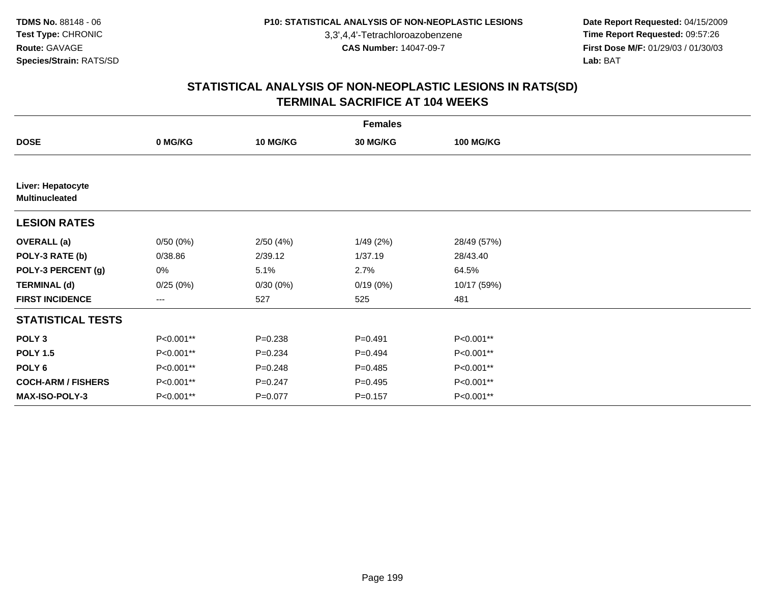**Date Report Requested:** 04/15/2009 **Time Report Requested:** 09:57:26 **First Dose M/F:** 01/29/03 / 01/30/03<br>Lab: BAT **Lab:** BAT

|                                            | <b>Females</b> |                 |             |                  |  |  |  |  |
|--------------------------------------------|----------------|-----------------|-------------|------------------|--|--|--|--|
| <b>DOSE</b>                                | 0 MG/KG        | <b>10 MG/KG</b> | 30 MG/KG    | <b>100 MG/KG</b> |  |  |  |  |
|                                            |                |                 |             |                  |  |  |  |  |
| Liver: Hepatocyte<br><b>Multinucleated</b> |                |                 |             |                  |  |  |  |  |
| <b>LESION RATES</b>                        |                |                 |             |                  |  |  |  |  |
| <b>OVERALL</b> (a)                         | 0/50(0%)       | 2/50(4%)        | 1/49 (2%)   | 28/49 (57%)      |  |  |  |  |
| POLY-3 RATE (b)                            | 0/38.86        | 2/39.12         | 1/37.19     | 28/43.40         |  |  |  |  |
| POLY-3 PERCENT (g)                         | $0\%$          | 5.1%            | 2.7%        | 64.5%            |  |  |  |  |
| <b>TERMINAL (d)</b>                        | 0/25(0%)       | 0/30(0%)        | 0/19(0%)    | 10/17 (59%)      |  |  |  |  |
| <b>FIRST INCIDENCE</b>                     | ---            | 527             | 525         | 481              |  |  |  |  |
| <b>STATISTICAL TESTS</b>                   |                |                 |             |                  |  |  |  |  |
| POLY <sub>3</sub>                          | P<0.001**      | $P = 0.238$     | $P = 0.491$ | P<0.001**        |  |  |  |  |
| <b>POLY 1.5</b>                            | P<0.001**      | $P = 0.234$     | $P=0.494$   | P<0.001**        |  |  |  |  |
| POLY 6                                     | P<0.001**      | $P = 0.248$     | $P=0.485$   | P<0.001**        |  |  |  |  |
| <b>COCH-ARM / FISHERS</b>                  | P<0.001**      | $P = 0.247$     | $P=0.495$   | P<0.001**        |  |  |  |  |
| MAX-ISO-POLY-3                             | P<0.001**      | $P=0.077$       | $P = 0.157$ | P<0.001**        |  |  |  |  |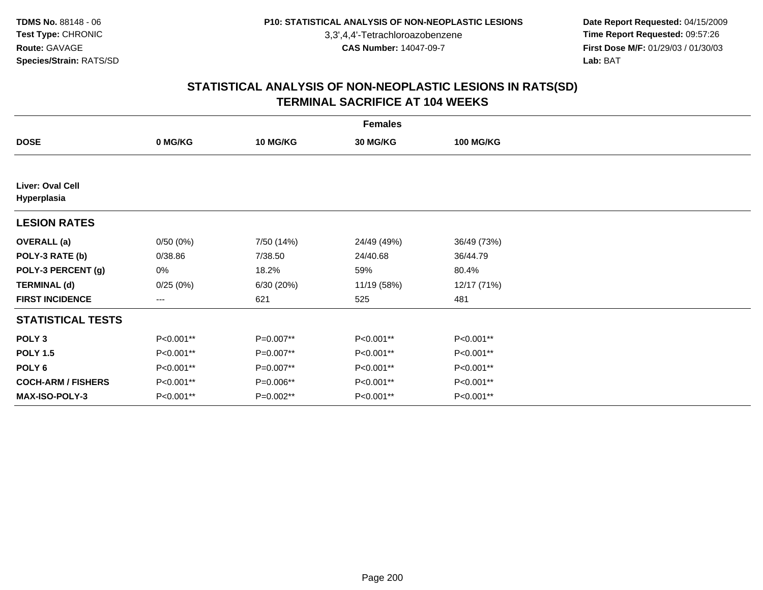**Date Report Requested:** 04/15/2009 **Time Report Requested:** 09:57:26 **First Dose M/F:** 01/29/03 / 01/30/03<br>Lab: BAT **Lab:** BAT

|                                 | <b>Females</b> |                 |             |                  |  |  |  |  |
|---------------------------------|----------------|-----------------|-------------|------------------|--|--|--|--|
| <b>DOSE</b>                     | 0 MG/KG        | <b>10 MG/KG</b> | 30 MG/KG    | <b>100 MG/KG</b> |  |  |  |  |
|                                 |                |                 |             |                  |  |  |  |  |
| Liver: Oval Cell<br>Hyperplasia |                |                 |             |                  |  |  |  |  |
| <b>LESION RATES</b>             |                |                 |             |                  |  |  |  |  |
| <b>OVERALL</b> (a)              | 0/50(0%)       | 7/50 (14%)      | 24/49 (49%) | 36/49 (73%)      |  |  |  |  |
| POLY-3 RATE (b)                 | 0/38.86        | 7/38.50         | 24/40.68    | 36/44.79         |  |  |  |  |
| POLY-3 PERCENT (g)              | 0%             | 18.2%           | 59%         | 80.4%            |  |  |  |  |
| <b>TERMINAL (d)</b>             | 0/25(0%)       | 6/30(20%)       | 11/19 (58%) | 12/17 (71%)      |  |  |  |  |
| <b>FIRST INCIDENCE</b>          | $---$          | 621             | 525         | 481              |  |  |  |  |
| <b>STATISTICAL TESTS</b>        |                |                 |             |                  |  |  |  |  |
| POLY <sub>3</sub>               | P<0.001**      | $P=0.007**$     | P<0.001**   | P<0.001**        |  |  |  |  |
| <b>POLY 1.5</b>                 | P<0.001**      | P=0.007**       | P<0.001**   | P<0.001**        |  |  |  |  |
| POLY <sub>6</sub>               | P<0.001**      | P=0.007**       | P<0.001**   | P<0.001**        |  |  |  |  |
| <b>COCH-ARM / FISHERS</b>       | P<0.001**      | $P=0.006**$     | P<0.001**   | P<0.001**        |  |  |  |  |
| <b>MAX-ISO-POLY-3</b>           | P<0.001**      | P=0.002**       | P<0.001**   | P<0.001**        |  |  |  |  |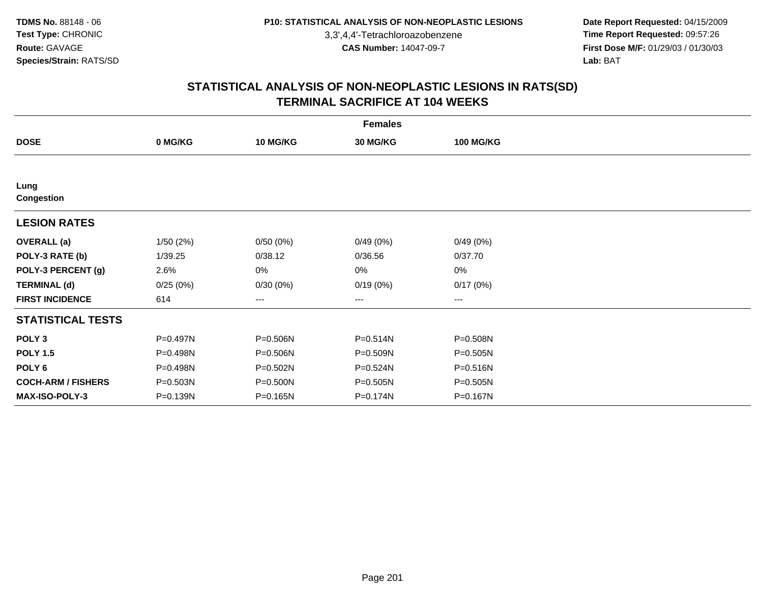**Date Report Requested:** 04/15/2009 **Time Report Requested:** 09:57:26 **First Dose M/F:** 01/29/03 / 01/30/03<br>Lab: BAT **Lab:** BAT

| <b>Females</b>            |          |                 |              |                        |  |  |  |
|---------------------------|----------|-----------------|--------------|------------------------|--|--|--|
| <b>DOSE</b>               | 0 MG/KG  | <b>10 MG/KG</b> | 30 MG/KG     | <b>100 MG/KG</b>       |  |  |  |
|                           |          |                 |              |                        |  |  |  |
| Lung<br><b>Congestion</b> |          |                 |              |                        |  |  |  |
| <b>LESION RATES</b>       |          |                 |              |                        |  |  |  |
| <b>OVERALL</b> (a)        | 1/50(2%) | 0/50(0%)        | 0/49(0%)     | 0/49(0%)               |  |  |  |
| POLY-3 RATE (b)           | 1/39.25  | 0/38.12         | 0/36.56      | 0/37.70                |  |  |  |
| POLY-3 PERCENT (g)        | 2.6%     | 0%              | 0%           | 0%                     |  |  |  |
| <b>TERMINAL (d)</b>       | 0/25(0%) | 0/30(0%)        | 0/19(0%)     | 0/17(0%)               |  |  |  |
| <b>FIRST INCIDENCE</b>    | 614      | $---$           | ---          | $\qquad \qquad \cdots$ |  |  |  |
| <b>STATISTICAL TESTS</b>  |          |                 |              |                        |  |  |  |
| POLY <sub>3</sub>         | P=0.497N | P=0.506N        | $P = 0.514N$ | P=0.508N               |  |  |  |
| <b>POLY 1.5</b>           | P=0.498N | P=0.506N        | P=0.509N     | P=0.505N               |  |  |  |
| POLY <sub>6</sub>         | P=0.498N | P=0.502N        | P=0.524N     | P=0.516N               |  |  |  |
| <b>COCH-ARM / FISHERS</b> | P=0.503N | P=0.500N        | P=0.505N     | P=0.505N               |  |  |  |
| <b>MAX-ISO-POLY-3</b>     | P=0.139N | P=0.165N        | P=0.174N     | P=0.167N               |  |  |  |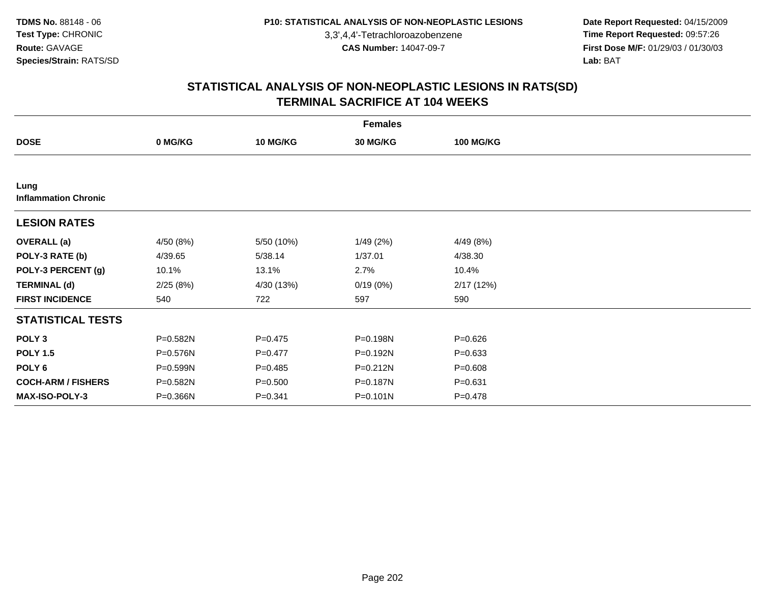**Date Report Requested:** 04/15/2009 **Time Report Requested:** 09:57:26 **First Dose M/F:** 01/29/03 / 01/30/03<br>Lab: BAT **Lab:** BAT

| <b>Females</b>                      |           |                 |                 |                  |  |  |  |
|-------------------------------------|-----------|-----------------|-----------------|------------------|--|--|--|
| <b>DOSE</b>                         | 0 MG/KG   | <b>10 MG/KG</b> | <b>30 MG/KG</b> | <b>100 MG/KG</b> |  |  |  |
|                                     |           |                 |                 |                  |  |  |  |
| Lung<br><b>Inflammation Chronic</b> |           |                 |                 |                  |  |  |  |
| <b>LESION RATES</b>                 |           |                 |                 |                  |  |  |  |
| <b>OVERALL</b> (a)                  | 4/50 (8%) | 5/50 (10%)      | 1/49(2%)        | 4/49(8%)         |  |  |  |
| POLY-3 RATE (b)                     | 4/39.65   | 5/38.14         | 1/37.01         | 4/38.30          |  |  |  |
| POLY-3 PERCENT (g)                  | 10.1%     | 13.1%           | 2.7%            | 10.4%            |  |  |  |
| <b>TERMINAL (d)</b>                 | 2/25(8%)  | 4/30 (13%)      | 0/19(0%)        | 2/17(12%)        |  |  |  |
| <b>FIRST INCIDENCE</b>              | 540       | 722             | 597             | 590              |  |  |  |
| <b>STATISTICAL TESTS</b>            |           |                 |                 |                  |  |  |  |
| POLY <sub>3</sub>                   | P=0.582N  | $P=0.475$       | P=0.198N        | $P = 0.626$      |  |  |  |
| <b>POLY 1.5</b>                     | P=0.576N  | $P=0.477$       | P=0.192N        | $P = 0.633$      |  |  |  |
| POLY <sub>6</sub>                   | P=0.599N  | $P=0.485$       | P=0.212N        | $P = 0.608$      |  |  |  |
| <b>COCH-ARM / FISHERS</b>           | P=0.582N  | $P = 0.500$     | P=0.187N        | $P = 0.631$      |  |  |  |
| <b>MAX-ISO-POLY-3</b>               | P=0.366N  | $P = 0.341$     | P=0.101N        | $P=0.478$        |  |  |  |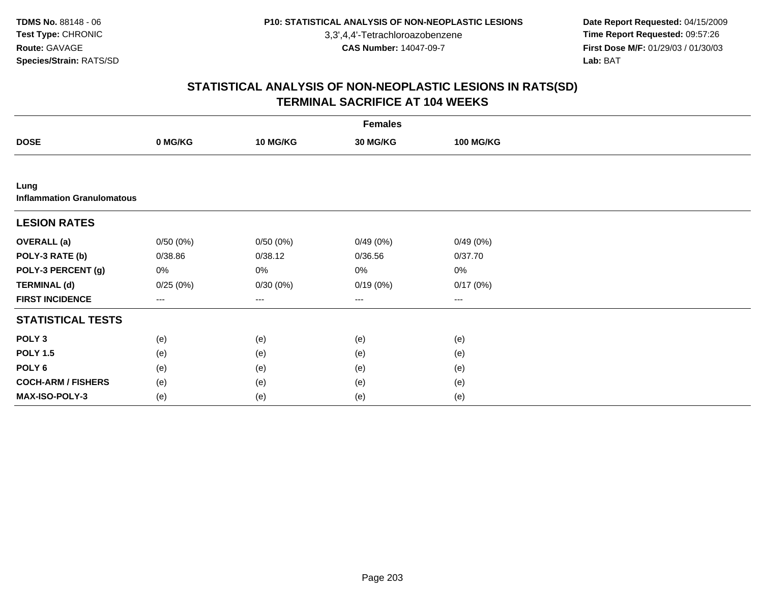**Date Report Requested:** 04/15/2009 **Time Report Requested:** 09:57:26 **First Dose M/F:** 01/29/03 / 01/30/03<br>Lab: BAT **Lab:** BAT

|                                           | <b>Females</b> |          |          |                        |  |  |  |  |
|-------------------------------------------|----------------|----------|----------|------------------------|--|--|--|--|
| <b>DOSE</b>                               | 0 MG/KG        | 10 MG/KG | 30 MG/KG | <b>100 MG/KG</b>       |  |  |  |  |
|                                           |                |          |          |                        |  |  |  |  |
| Lung<br><b>Inflammation Granulomatous</b> |                |          |          |                        |  |  |  |  |
| <b>LESION RATES</b>                       |                |          |          |                        |  |  |  |  |
| <b>OVERALL</b> (a)                        | 0/50(0%)       | 0/50(0%) | 0/49(0%) | 0/49(0%)               |  |  |  |  |
| POLY-3 RATE (b)                           | 0/38.86        | 0/38.12  | 0/36.56  | 0/37.70                |  |  |  |  |
| POLY-3 PERCENT (g)                        | 0%             | 0%       | 0%       | 0%                     |  |  |  |  |
| <b>TERMINAL (d)</b>                       | 0/25(0%)       | 0/30(0%) | 0/19(0%) | 0/17(0%)               |  |  |  |  |
| <b>FIRST INCIDENCE</b>                    | $--$           | ---      | ---      | $\qquad \qquad \cdots$ |  |  |  |  |
| <b>STATISTICAL TESTS</b>                  |                |          |          |                        |  |  |  |  |
| POLY <sub>3</sub>                         | (e)            | (e)      | (e)      | (e)                    |  |  |  |  |
| <b>POLY 1.5</b>                           | (e)            | (e)      | (e)      | (e)                    |  |  |  |  |
| POLY <sub>6</sub>                         | (e)            | (e)      | (e)      | (e)                    |  |  |  |  |
| <b>COCH-ARM / FISHERS</b>                 | (e)            | (e)      | (e)      | (e)                    |  |  |  |  |
| <b>MAX-ISO-POLY-3</b>                     | (e)            | (e)      | (e)      | (e)                    |  |  |  |  |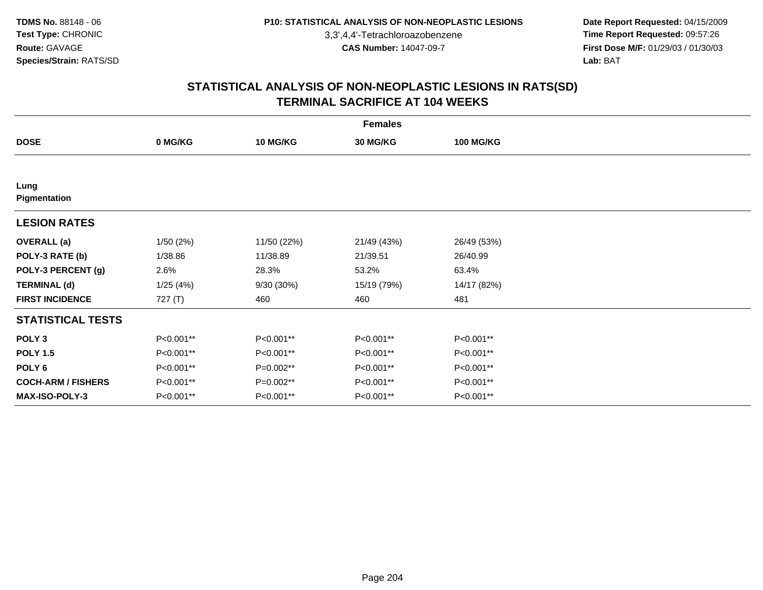**Date Report Requested:** 04/15/2009 **Time Report Requested:** 09:57:26 **First Dose M/F:** 01/29/03 / 01/30/03<br>Lab: BAT **Lab:** BAT

|                           | <b>Females</b> |                 |                 |                  |  |  |  |  |
|---------------------------|----------------|-----------------|-----------------|------------------|--|--|--|--|
| <b>DOSE</b>               | 0 MG/KG        | <b>10 MG/KG</b> | <b>30 MG/KG</b> | <b>100 MG/KG</b> |  |  |  |  |
|                           |                |                 |                 |                  |  |  |  |  |
| Lung<br>Pigmentation      |                |                 |                 |                  |  |  |  |  |
| <b>LESION RATES</b>       |                |                 |                 |                  |  |  |  |  |
| <b>OVERALL</b> (a)        | 1/50(2%)       | 11/50 (22%)     | 21/49 (43%)     | 26/49 (53%)      |  |  |  |  |
| POLY-3 RATE (b)           | 1/38.86        | 11/38.89        | 21/39.51        | 26/40.99         |  |  |  |  |
| POLY-3 PERCENT (g)        | 2.6%           | 28.3%           | 53.2%           | 63.4%            |  |  |  |  |
| <b>TERMINAL (d)</b>       | 1/25(4%)       | 9/30 (30%)      | 15/19 (79%)     | 14/17 (82%)      |  |  |  |  |
| <b>FIRST INCIDENCE</b>    | 727 (T)        | 460             | 460             | 481              |  |  |  |  |
| <b>STATISTICAL TESTS</b>  |                |                 |                 |                  |  |  |  |  |
| POLY <sub>3</sub>         | P<0.001**      | P<0.001**       | P<0.001**       | P<0.001**        |  |  |  |  |
| <b>POLY 1.5</b>           | P<0.001**      | P<0.001**       | P<0.001**       | P<0.001**        |  |  |  |  |
| POLY <sub>6</sub>         | P<0.001**      | P=0.002**       | P<0.001**       | P<0.001**        |  |  |  |  |
| <b>COCH-ARM / FISHERS</b> | P<0.001**      | P=0.002**       | P<0.001**       | P<0.001**        |  |  |  |  |
| <b>MAX-ISO-POLY-3</b>     | P<0.001**      | P<0.001**       | P<0.001**       | P<0.001**        |  |  |  |  |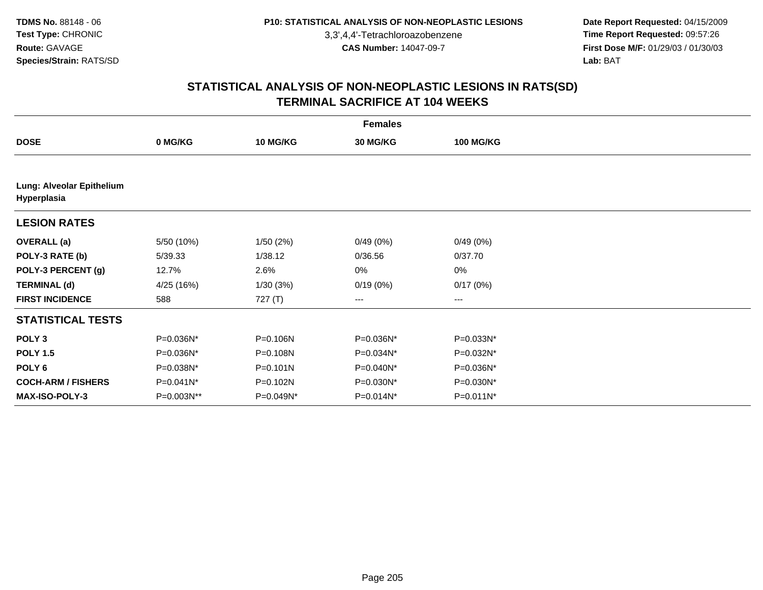**Date Report Requested:** 04/15/2009 **Time Report Requested:** 09:57:26 **First Dose M/F:** 01/29/03 / 01/30/03<br>Lab: BAT **Lab:** BAT

|                                          | <b>Females</b> |                 |                        |                  |  |  |  |  |
|------------------------------------------|----------------|-----------------|------------------------|------------------|--|--|--|--|
| <b>DOSE</b>                              | 0 MG/KG        | <b>10 MG/KG</b> | 30 MG/KG               | <b>100 MG/KG</b> |  |  |  |  |
|                                          |                |                 |                        |                  |  |  |  |  |
| Lung: Alveolar Epithelium<br>Hyperplasia |                |                 |                        |                  |  |  |  |  |
| <b>LESION RATES</b>                      |                |                 |                        |                  |  |  |  |  |
| <b>OVERALL</b> (a)                       | 5/50 (10%)     | 1/50(2%)        | 0/49(0%)               | 0/49(0%)         |  |  |  |  |
| POLY-3 RATE (b)                          | 5/39.33        | 1/38.12         | 0/36.56                | 0/37.70          |  |  |  |  |
| POLY-3 PERCENT (g)                       | 12.7%          | 2.6%            | 0%                     | 0%               |  |  |  |  |
| <b>TERMINAL (d)</b>                      | 4/25 (16%)     | 1/30(3%)        | 0/19(0%)               | 0/17(0%)         |  |  |  |  |
| <b>FIRST INCIDENCE</b>                   | 588            | 727 (T)         | $\qquad \qquad \cdots$ | ---              |  |  |  |  |
| <b>STATISTICAL TESTS</b>                 |                |                 |                        |                  |  |  |  |  |
| POLY <sub>3</sub>                        | P=0.036N*      | P=0.106N        | P=0.036N*              | P=0.033N*        |  |  |  |  |
| <b>POLY 1.5</b>                          | P=0.036N*      | P=0.108N        | P=0.034N*              | P=0.032N*        |  |  |  |  |
| POLY 6                                   | P=0.038N*      | P=0.101N        | P=0.040N*              | P=0.036N*        |  |  |  |  |
| <b>COCH-ARM / FISHERS</b>                | P=0.041N*      | P=0.102N        | P=0.030N*              | P=0.030N*        |  |  |  |  |
| <b>MAX-ISO-POLY-3</b>                    | P=0.003N**     | P=0.049N*       | P=0.014N*              | P=0.011N*        |  |  |  |  |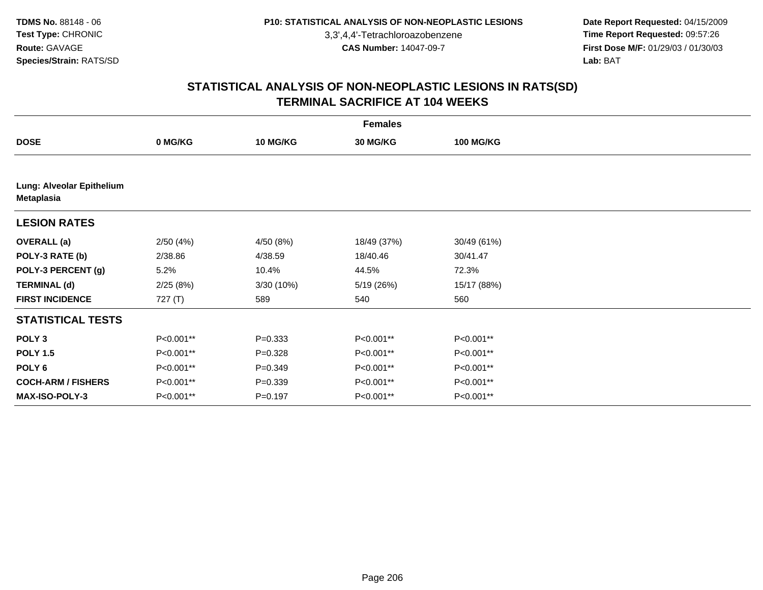**Date Report Requested:** 04/15/2009 **Time Report Requested:** 09:57:26 **First Dose M/F:** 01/29/03 / 01/30/03<br>Lab: BAT **Lab:** BAT

|                                                | <b>Females</b> |             |             |                  |  |  |  |  |
|------------------------------------------------|----------------|-------------|-------------|------------------|--|--|--|--|
| <b>DOSE</b>                                    | 0 MG/KG        | 10 MG/KG    | 30 MG/KG    | <b>100 MG/KG</b> |  |  |  |  |
|                                                |                |             |             |                  |  |  |  |  |
| Lung: Alveolar Epithelium<br><b>Metaplasia</b> |                |             |             |                  |  |  |  |  |
| <b>LESION RATES</b>                            |                |             |             |                  |  |  |  |  |
| <b>OVERALL</b> (a)                             | 2/50(4%)       | 4/50 (8%)   | 18/49 (37%) | 30/49 (61%)      |  |  |  |  |
| POLY-3 RATE (b)                                | 2/38.86        | 4/38.59     | 18/40.46    | 30/41.47         |  |  |  |  |
| POLY-3 PERCENT (g)                             | 5.2%           | 10.4%       | 44.5%       | 72.3%            |  |  |  |  |
| <b>TERMINAL (d)</b>                            | 2/25(8%)       | 3/30 (10%)  | 5/19 (26%)  | 15/17 (88%)      |  |  |  |  |
| <b>FIRST INCIDENCE</b>                         | 727 (T)        | 589         | 540         | 560              |  |  |  |  |
| <b>STATISTICAL TESTS</b>                       |                |             |             |                  |  |  |  |  |
| POLY <sub>3</sub>                              | P<0.001**      | $P = 0.333$ | P<0.001**   | P<0.001**        |  |  |  |  |
| <b>POLY 1.5</b>                                | P<0.001**      | $P = 0.328$ | P<0.001**   | P<0.001**        |  |  |  |  |
| POLY 6                                         | P<0.001**      | $P = 0.349$ | P<0.001**   | P<0.001**        |  |  |  |  |
| <b>COCH-ARM / FISHERS</b>                      | P<0.001**      | $P = 0.339$ | P<0.001**   | P<0.001**        |  |  |  |  |
| MAX-ISO-POLY-3                                 | P<0.001**      | $P = 0.197$ | P<0.001**   | P<0.001**        |  |  |  |  |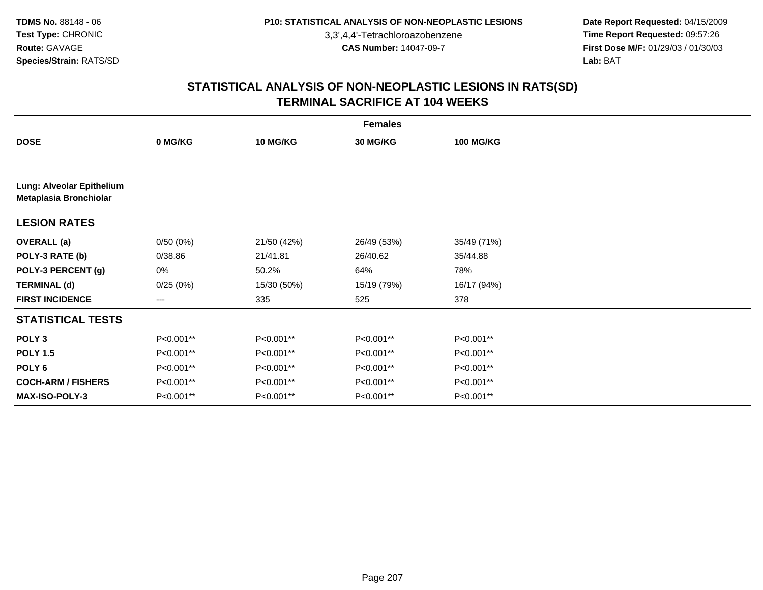**Date Report Requested:** 04/15/2009 **Time Report Requested:** 09:57:26 **First Dose M/F:** 01/29/03 / 01/30/03<br>Lab: BAT **Lab:** BAT

|                                                     | <b>Females</b> |                 |             |                  |  |  |  |  |
|-----------------------------------------------------|----------------|-----------------|-------------|------------------|--|--|--|--|
| <b>DOSE</b>                                         | 0 MG/KG        | <b>10 MG/KG</b> | 30 MG/KG    | <b>100 MG/KG</b> |  |  |  |  |
|                                                     |                |                 |             |                  |  |  |  |  |
| Lung: Alveolar Epithelium<br>Metaplasia Bronchiolar |                |                 |             |                  |  |  |  |  |
| <b>LESION RATES</b>                                 |                |                 |             |                  |  |  |  |  |
| <b>OVERALL</b> (a)                                  | 0/50(0%)       | 21/50 (42%)     | 26/49 (53%) | 35/49 (71%)      |  |  |  |  |
| POLY-3 RATE (b)                                     | 0/38.86        | 21/41.81        | 26/40.62    | 35/44.88         |  |  |  |  |
| POLY-3 PERCENT (g)                                  | 0%             | 50.2%           | 64%         | 78%              |  |  |  |  |
| <b>TERMINAL (d)</b>                                 | 0/25(0%)       | 15/30 (50%)     | 15/19 (79%) | 16/17 (94%)      |  |  |  |  |
| <b>FIRST INCIDENCE</b>                              | $---$          | 335             | 525         | 378              |  |  |  |  |
| <b>STATISTICAL TESTS</b>                            |                |                 |             |                  |  |  |  |  |
| POLY <sub>3</sub>                                   | P<0.001**      | P<0.001**       | P<0.001**   | P<0.001**        |  |  |  |  |
| <b>POLY 1.5</b>                                     | P<0.001**      | P<0.001**       | P<0.001**   | P<0.001**        |  |  |  |  |
| POLY <sub>6</sub>                                   | P<0.001**      | P<0.001**       | P<0.001**   | P<0.001**        |  |  |  |  |
| <b>COCH-ARM / FISHERS</b>                           | P<0.001**      | P<0.001**       | P<0.001**   | P<0.001**        |  |  |  |  |
| <b>MAX-ISO-POLY-3</b>                               | P<0.001**      | P<0.001**       | P<0.001**   | P<0.001**        |  |  |  |  |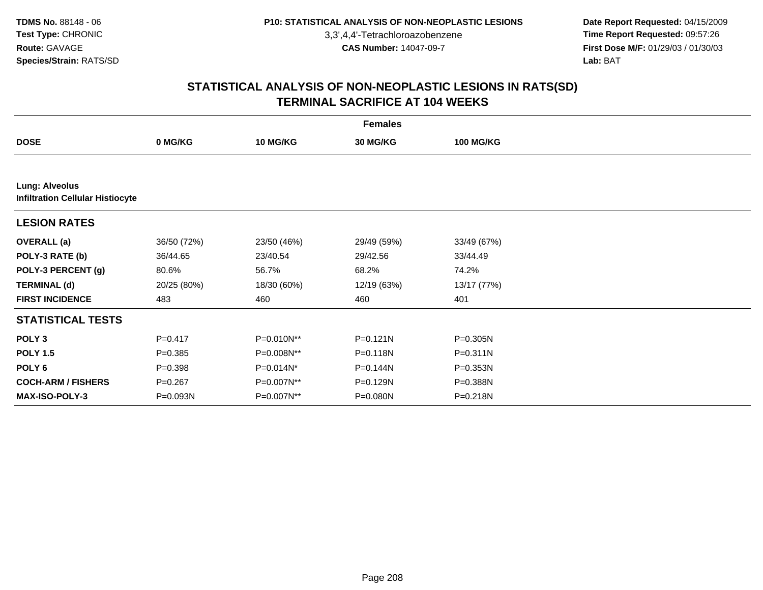**Date Report Requested:** 04/15/2009 **Time Report Requested:** 09:57:26 **First Dose M/F:** 01/29/03 / 01/30/03<br>Lab: BAT **Lab:** BAT

| <b>Females</b>                                                   |              |                 |              |                  |  |  |  |
|------------------------------------------------------------------|--------------|-----------------|--------------|------------------|--|--|--|
| <b>DOSE</b>                                                      | 0 MG/KG      | <b>10 MG/KG</b> | 30 MG/KG     | <b>100 MG/KG</b> |  |  |  |
|                                                                  |              |                 |              |                  |  |  |  |
| <b>Lung: Alveolus</b><br><b>Infiltration Cellular Histiocyte</b> |              |                 |              |                  |  |  |  |
| <b>LESION RATES</b>                                              |              |                 |              |                  |  |  |  |
| <b>OVERALL</b> (a)                                               | 36/50 (72%)  | 23/50 (46%)     | 29/49 (59%)  | 33/49 (67%)      |  |  |  |
| POLY-3 RATE (b)                                                  | 36/44.65     | 23/40.54        | 29/42.56     | 33/44.49         |  |  |  |
| POLY-3 PERCENT (g)                                               | 80.6%        | 56.7%           | 68.2%        | 74.2%            |  |  |  |
| <b>TERMINAL (d)</b>                                              | 20/25 (80%)  | 18/30 (60%)     | 12/19 (63%)  | 13/17 (77%)      |  |  |  |
| <b>FIRST INCIDENCE</b>                                           | 483          | 460             | 460          | 401              |  |  |  |
| <b>STATISTICAL TESTS</b>                                         |              |                 |              |                  |  |  |  |
| POLY <sub>3</sub>                                                | $P = 0.417$  | P=0.010N**      | $P = 0.121N$ | P=0.305N         |  |  |  |
| <b>POLY 1.5</b>                                                  | $P = 0.385$  | P=0.008N**      | P=0.118N     | $P = 0.311N$     |  |  |  |
| POLY <sub>6</sub>                                                | $P = 0.398$  | P=0.014N*       | P=0.144N     | P=0.353N         |  |  |  |
| <b>COCH-ARM / FISHERS</b>                                        | $P = 0.267$  | P=0.007N**      | P=0.129N     | P=0.388N         |  |  |  |
| <b>MAX-ISO-POLY-3</b>                                            | $P = 0.093N$ | P=0.007N**      | $P = 0.080N$ | $P = 0.218N$     |  |  |  |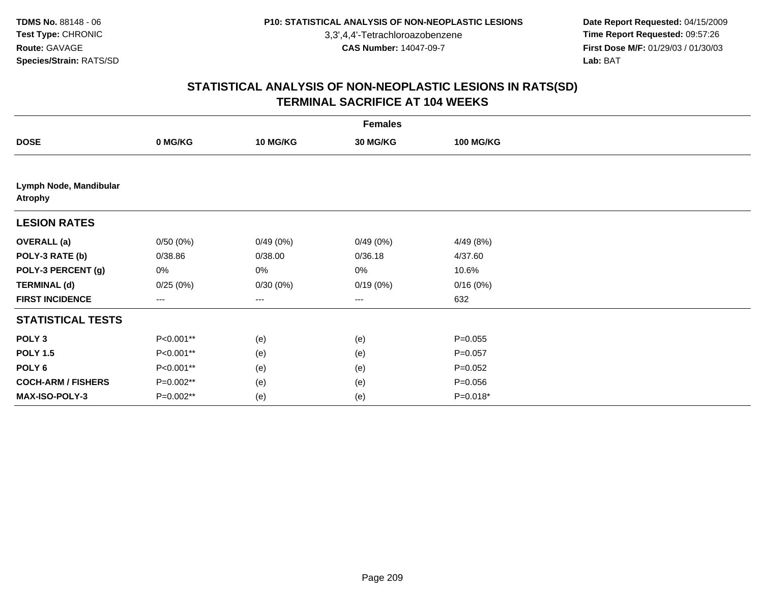**Date Report Requested:** 04/15/2009 **Time Report Requested:** 09:57:26 **First Dose M/F:** 01/29/03 / 01/30/03<br>Lab: BAT **Lab:** BAT

| <b>Females</b>                           |             |          |          |                  |  |  |  |
|------------------------------------------|-------------|----------|----------|------------------|--|--|--|
| <b>DOSE</b>                              | 0 MG/KG     | 10 MG/KG | 30 MG/KG | <b>100 MG/KG</b> |  |  |  |
|                                          |             |          |          |                  |  |  |  |
| Lymph Node, Mandibular<br><b>Atrophy</b> |             |          |          |                  |  |  |  |
| <b>LESION RATES</b>                      |             |          |          |                  |  |  |  |
| <b>OVERALL</b> (a)                       | 0/50(0%)    | 0/49(0%) | 0/49(0%) | 4/49 (8%)        |  |  |  |
| POLY-3 RATE (b)                          | 0/38.86     | 0/38.00  | 0/36.18  | 4/37.60          |  |  |  |
| POLY-3 PERCENT (g)                       | 0%          | 0%       | 0%       | 10.6%            |  |  |  |
| <b>TERMINAL (d)</b>                      | 0/25(0%)    | 0/30(0%) | 0/19(0%) | 0/16(0%)         |  |  |  |
| <b>FIRST INCIDENCE</b>                   | ---         | ---      | $\cdots$ | 632              |  |  |  |
| <b>STATISTICAL TESTS</b>                 |             |          |          |                  |  |  |  |
| POLY <sub>3</sub>                        | P<0.001**   | (e)      | (e)      | $P = 0.055$      |  |  |  |
| <b>POLY 1.5</b>                          | P<0.001**   | (e)      | (e)      | $P = 0.057$      |  |  |  |
| POLY <sub>6</sub>                        | P<0.001**   | (e)      | (e)      | $P=0.052$        |  |  |  |
| <b>COCH-ARM / FISHERS</b>                | P=0.002**   | (e)      | (e)      | $P = 0.056$      |  |  |  |
| MAX-ISO-POLY-3                           | $P=0.002**$ | (e)      | (e)      | P=0.018*         |  |  |  |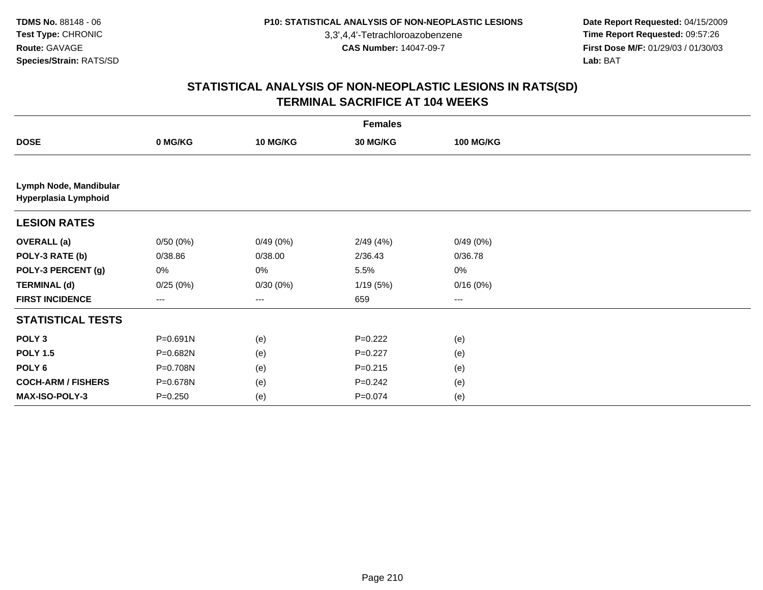**Date Report Requested:** 04/15/2009 **Time Report Requested:** 09:57:26 **First Dose M/F:** 01/29/03 / 01/30/03<br>Lab: BAT **Lab:** BAT

|                                                | <b>Females</b> |                 |             |                  |  |  |  |  |
|------------------------------------------------|----------------|-----------------|-------------|------------------|--|--|--|--|
| <b>DOSE</b>                                    | 0 MG/KG        | <b>10 MG/KG</b> | 30 MG/KG    | <b>100 MG/KG</b> |  |  |  |  |
|                                                |                |                 |             |                  |  |  |  |  |
| Lymph Node, Mandibular<br>Hyperplasia Lymphoid |                |                 |             |                  |  |  |  |  |
| <b>LESION RATES</b>                            |                |                 |             |                  |  |  |  |  |
| <b>OVERALL</b> (a)                             | 0/50(0%)       | 0/49(0%)        | 2/49(4%)    | 0/49(0%)         |  |  |  |  |
| POLY-3 RATE (b)                                | 0/38.86        | 0/38.00         | 2/36.43     | 0/36.78          |  |  |  |  |
| POLY-3 PERCENT (g)                             | 0%             | 0%              | 5.5%        | 0%               |  |  |  |  |
| <b>TERMINAL (d)</b>                            | 0/25(0%)       | 0/30(0%)        | 1/19(5%)    | 0/16(0%)         |  |  |  |  |
| <b>FIRST INCIDENCE</b>                         | ---            | ---             | 659         | ---              |  |  |  |  |
| <b>STATISTICAL TESTS</b>                       |                |                 |             |                  |  |  |  |  |
| POLY <sub>3</sub>                              | P=0.691N       | (e)             | $P=0.222$   | (e)              |  |  |  |  |
| <b>POLY 1.5</b>                                | P=0.682N       | (e)             | $P=0.227$   | (e)              |  |  |  |  |
| POLY <sub>6</sub>                              | P=0.708N       | (e)             | $P = 0.215$ | (e)              |  |  |  |  |
| <b>COCH-ARM / FISHERS</b>                      | P=0.678N       | (e)             | $P = 0.242$ | (e)              |  |  |  |  |
| MAX-ISO-POLY-3                                 | $P = 0.250$    | (e)             | $P = 0.074$ | (e)              |  |  |  |  |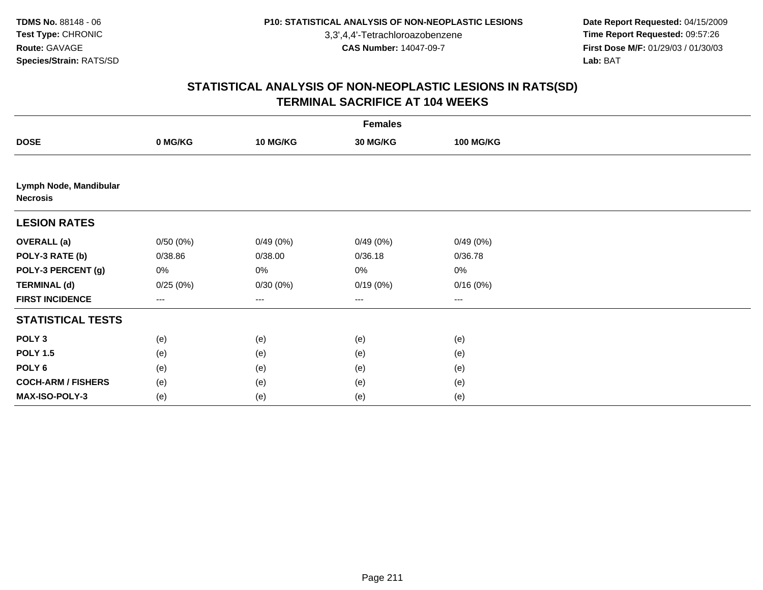**Date Report Requested:** 04/15/2009 **Time Report Requested:** 09:57:26 **First Dose M/F:** 01/29/03 / 01/30/03<br>Lab: BAT **Lab:** BAT

| <b>Females</b>                            |          |          |                   |                   |  |  |  |
|-------------------------------------------|----------|----------|-------------------|-------------------|--|--|--|
| <b>DOSE</b>                               | 0 MG/KG  | 10 MG/KG | 30 MG/KG          | <b>100 MG/KG</b>  |  |  |  |
|                                           |          |          |                   |                   |  |  |  |
| Lymph Node, Mandibular<br><b>Necrosis</b> |          |          |                   |                   |  |  |  |
| <b>LESION RATES</b>                       |          |          |                   |                   |  |  |  |
| <b>OVERALL</b> (a)                        | 0/50(0%) | 0/49(0%) | 0/49(0%)          | 0/49(0%)          |  |  |  |
| POLY-3 RATE (b)                           | 0/38.86  | 0/38.00  | 0/36.18           | 0/36.78           |  |  |  |
| POLY-3 PERCENT (g)                        | 0%       | 0%       | 0%                | $0\%$             |  |  |  |
| <b>TERMINAL (d)</b>                       | 0/25(0%) | 0/30(0%) | 0/19(0%)          | 0/16(0%)          |  |  |  |
| <b>FIRST INCIDENCE</b>                    | $--$     | $---$    | $\qquad \qquad -$ | $\qquad \qquad -$ |  |  |  |
| <b>STATISTICAL TESTS</b>                  |          |          |                   |                   |  |  |  |
| POLY <sub>3</sub>                         | (e)      | (e)      | (e)               | (e)               |  |  |  |
| <b>POLY 1.5</b>                           | (e)      | (e)      | (e)               | (e)               |  |  |  |
| POLY <sub>6</sub>                         | (e)      | (e)      | (e)               | (e)               |  |  |  |
| <b>COCH-ARM / FISHERS</b>                 | (e)      | (e)      | (e)               | (e)               |  |  |  |
| MAX-ISO-POLY-3                            | (e)      | (e)      | (e)               | (e)               |  |  |  |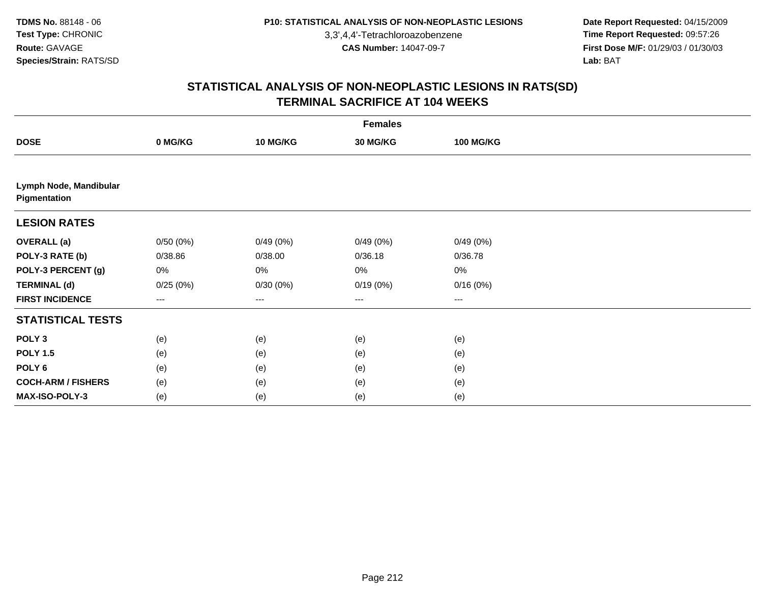**Date Report Requested:** 04/15/2009 **Time Report Requested:** 09:57:26 **First Dose M/F:** 01/29/03 / 01/30/03<br>Lab: BAT **Lab:** BAT

| <b>Females</b>                         |          |                 |                        |                  |  |  |  |
|----------------------------------------|----------|-----------------|------------------------|------------------|--|--|--|
| <b>DOSE</b>                            | 0 MG/KG  | <b>10 MG/KG</b> | 30 MG/KG               | <b>100 MG/KG</b> |  |  |  |
|                                        |          |                 |                        |                  |  |  |  |
| Lymph Node, Mandibular<br>Pigmentation |          |                 |                        |                  |  |  |  |
| <b>LESION RATES</b>                    |          |                 |                        |                  |  |  |  |
| <b>OVERALL</b> (a)                     | 0/50(0%) | 0/49(0%)        | 0/49(0%)               | 0/49(0%)         |  |  |  |
| POLY-3 RATE (b)                        | 0/38.86  | 0/38.00         | 0/36.18                | 0/36.78          |  |  |  |
| POLY-3 PERCENT (g)                     | 0%       | 0%              | 0%                     | 0%               |  |  |  |
| <b>TERMINAL (d)</b>                    | 0/25(0%) | 0/30(0%)        | 0/19(0%)               | 0/16(0%)         |  |  |  |
| <b>FIRST INCIDENCE</b>                 | ---      | ---             | $\qquad \qquad \cdots$ | ---              |  |  |  |
| <b>STATISTICAL TESTS</b>               |          |                 |                        |                  |  |  |  |
| POLY <sub>3</sub>                      | (e)      | (e)             | (e)                    | (e)              |  |  |  |
| <b>POLY 1.5</b>                        | (e)      | (e)             | (e)                    | (e)              |  |  |  |
| POLY <sub>6</sub>                      | (e)      | (e)             | (e)                    | (e)              |  |  |  |
| <b>COCH-ARM / FISHERS</b>              | (e)      | (e)             | (e)                    | (e)              |  |  |  |
| MAX-ISO-POLY-3                         | (e)      | (e)             | (e)                    | (e)              |  |  |  |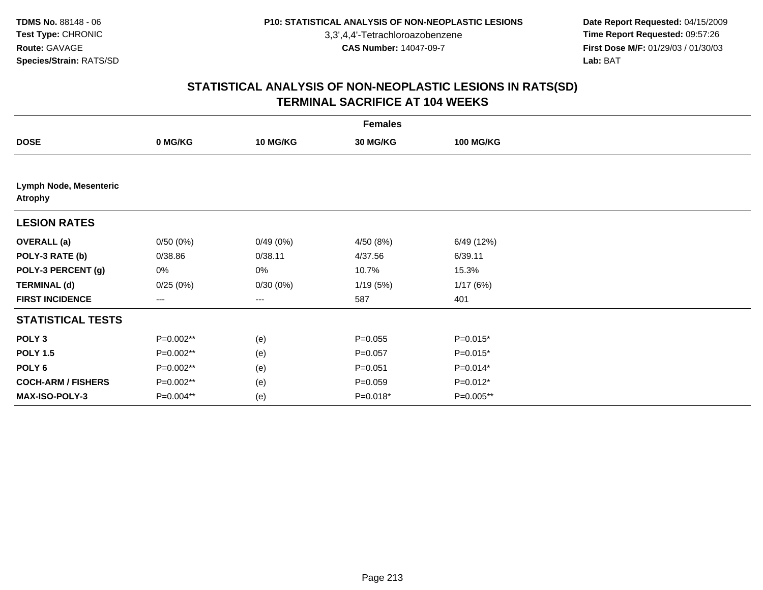**Date Report Requested:** 04/15/2009 **Time Report Requested:** 09:57:26 **First Dose M/F:** 01/29/03 / 01/30/03<br>Lab: BAT **Lab:** BAT

| <b>Females</b>                           |           |                 |             |                  |  |  |  |
|------------------------------------------|-----------|-----------------|-------------|------------------|--|--|--|
| <b>DOSE</b>                              | 0 MG/KG   | <b>10 MG/KG</b> | 30 MG/KG    | <b>100 MG/KG</b> |  |  |  |
|                                          |           |                 |             |                  |  |  |  |
| Lymph Node, Mesenteric<br><b>Atrophy</b> |           |                 |             |                  |  |  |  |
| <b>LESION RATES</b>                      |           |                 |             |                  |  |  |  |
| <b>OVERALL</b> (a)                       | 0/50(0%)  | 0/49(0%)        | 4/50 (8%)   | 6/49 (12%)       |  |  |  |
| POLY-3 RATE (b)                          | 0/38.86   | 0/38.11         | 4/37.56     | 6/39.11          |  |  |  |
| POLY-3 PERCENT (g)                       | 0%        | 0%              | 10.7%       | 15.3%            |  |  |  |
| <b>TERMINAL (d)</b>                      | 0/25(0%)  | 0/30(0%)        | 1/19(5%)    | 1/17(6%)         |  |  |  |
| <b>FIRST INCIDENCE</b>                   | ---       | ---             | 587         | 401              |  |  |  |
| <b>STATISTICAL TESTS</b>                 |           |                 |             |                  |  |  |  |
| POLY <sub>3</sub>                        | P=0.002** | (e)             | $P = 0.055$ | P=0.015*         |  |  |  |
| <b>POLY 1.5</b>                          | P=0.002** | (e)             | $P = 0.057$ | P=0.015*         |  |  |  |
| POLY <sub>6</sub>                        | P=0.002** | (e)             | $P = 0.051$ | $P=0.014*$       |  |  |  |
| <b>COCH-ARM / FISHERS</b>                | P=0.002** | (e)             | $P = 0.059$ | $P=0.012*$       |  |  |  |
| MAX-ISO-POLY-3                           | P=0.004** | (e)             | $P=0.018*$  | P=0.005**        |  |  |  |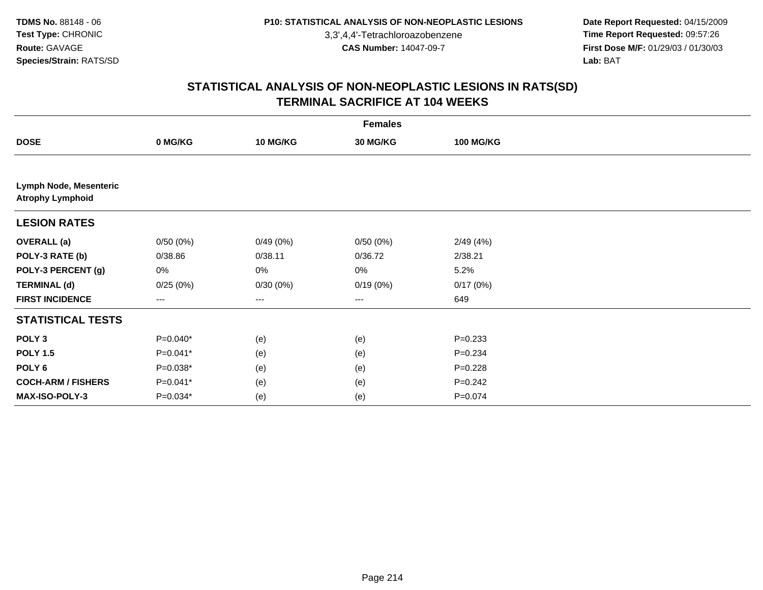**Date Report Requested:** 04/15/2009 **Time Report Requested:** 09:57:26 **First Dose M/F:** 01/29/03 / 01/30/03<br>Lab: BAT **Lab:** BAT

|                                                   | <b>Females</b> |                 |                   |                  |  |  |  |  |
|---------------------------------------------------|----------------|-----------------|-------------------|------------------|--|--|--|--|
| <b>DOSE</b>                                       | 0 MG/KG        | <b>10 MG/KG</b> | <b>30 MG/KG</b>   | <b>100 MG/KG</b> |  |  |  |  |
|                                                   |                |                 |                   |                  |  |  |  |  |
| Lymph Node, Mesenteric<br><b>Atrophy Lymphoid</b> |                |                 |                   |                  |  |  |  |  |
| <b>LESION RATES</b>                               |                |                 |                   |                  |  |  |  |  |
| <b>OVERALL</b> (a)                                | 0/50(0%)       | 0/49(0%)        | 0/50(0%)          | 2/49(4%)         |  |  |  |  |
| POLY-3 RATE (b)                                   | 0/38.86        | 0/38.11         | 0/36.72           | 2/38.21          |  |  |  |  |
| POLY-3 PERCENT (g)                                | 0%             | 0%              | 0%                | 5.2%             |  |  |  |  |
| <b>TERMINAL (d)</b>                               | 0/25(0%)       | 0/30(0%)        | 0/19(0%)          | 0/17(0%)         |  |  |  |  |
| <b>FIRST INCIDENCE</b>                            | $---$          | ---             | $\qquad \qquad -$ | 649              |  |  |  |  |
| <b>STATISTICAL TESTS</b>                          |                |                 |                   |                  |  |  |  |  |
| POLY <sub>3</sub>                                 | $P=0.040*$     | (e)             | (e)               | $P = 0.233$      |  |  |  |  |
| <b>POLY 1.5</b>                                   | P=0.041*       | (e)             | (e)               | $P = 0.234$      |  |  |  |  |
| POLY <sub>6</sub>                                 | $P=0.038*$     | (e)             | (e)               | $P = 0.228$      |  |  |  |  |
| <b>COCH-ARM / FISHERS</b>                         | P=0.041*       | (e)             | (e)               | $P = 0.242$      |  |  |  |  |
| MAX-ISO-POLY-3                                    | $P=0.034*$     | (e)             | (e)               | $P = 0.074$      |  |  |  |  |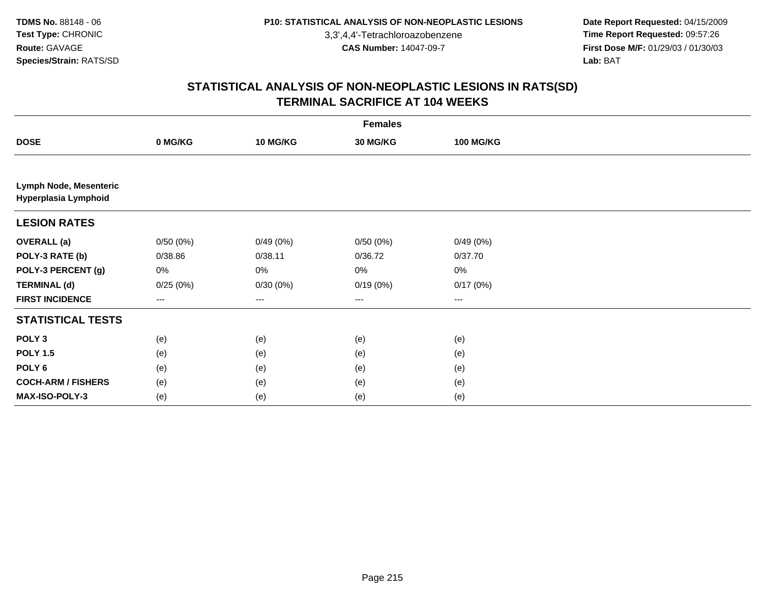**Date Report Requested:** 04/15/2009 **Time Report Requested:** 09:57:26 **First Dose M/F:** 01/29/03 / 01/30/03<br>Lab: BAT **Lab:** BAT

|                                                | <b>Females</b> |                 |                   |                  |  |  |  |  |  |
|------------------------------------------------|----------------|-----------------|-------------------|------------------|--|--|--|--|--|
| <b>DOSE</b>                                    | 0 MG/KG        | <b>10 MG/KG</b> | 30 MG/KG          | <b>100 MG/KG</b> |  |  |  |  |  |
|                                                |                |                 |                   |                  |  |  |  |  |  |
| Lymph Node, Mesenteric<br>Hyperplasia Lymphoid |                |                 |                   |                  |  |  |  |  |  |
| <b>LESION RATES</b>                            |                |                 |                   |                  |  |  |  |  |  |
| <b>OVERALL</b> (a)                             | 0/50(0%)       | 0/49(0%)        | 0/50(0%)          | 0/49(0%)         |  |  |  |  |  |
| POLY-3 RATE (b)                                | 0/38.86        | 0/38.11         | 0/36.72           | 0/37.70          |  |  |  |  |  |
| POLY-3 PERCENT (g)                             | 0%             | 0%              | 0%                | 0%               |  |  |  |  |  |
| <b>TERMINAL (d)</b>                            | 0/25(0%)       | 0/30(0%)        | 0/19(0%)          | 0/17(0%)         |  |  |  |  |  |
| <b>FIRST INCIDENCE</b>                         | $---$          | ---             | $\qquad \qquad -$ | ---              |  |  |  |  |  |
| <b>STATISTICAL TESTS</b>                       |                |                 |                   |                  |  |  |  |  |  |
| POLY <sub>3</sub>                              | (e)            | (e)             | (e)               | (e)              |  |  |  |  |  |
| <b>POLY 1.5</b>                                | (e)            | (e)             | (e)               | (e)              |  |  |  |  |  |
| POLY <sub>6</sub>                              | (e)            | (e)             | (e)               | (e)              |  |  |  |  |  |
| <b>COCH-ARM / FISHERS</b>                      | (e)            | (e)             | (e)               | (e)              |  |  |  |  |  |
| MAX-ISO-POLY-3                                 | (e)            | (e)             | (e)               | (e)              |  |  |  |  |  |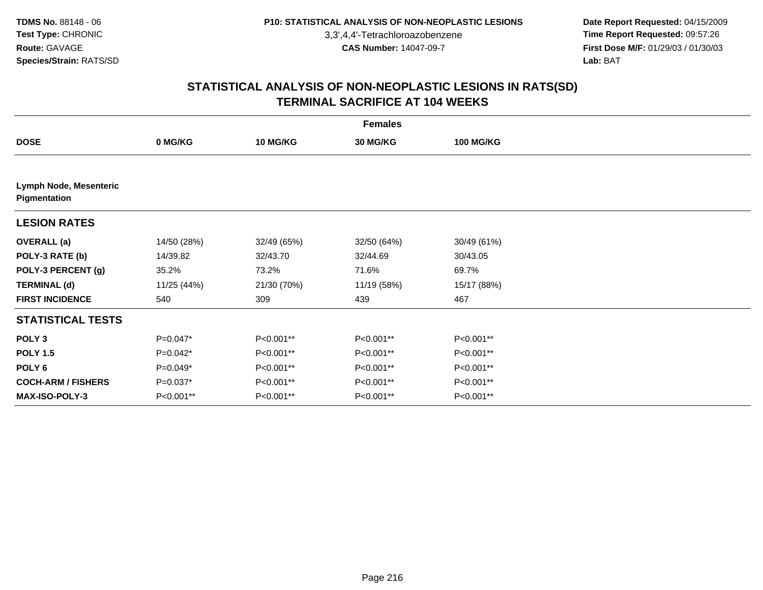**Date Report Requested:** 04/15/2009 **Time Report Requested:** 09:57:26 **First Dose M/F:** 01/29/03 / 01/30/03<br>Lab: BAT **Lab:** BAT

|                                               | <b>Females</b> |                 |             |                  |  |  |  |  |
|-----------------------------------------------|----------------|-----------------|-------------|------------------|--|--|--|--|
| <b>DOSE</b>                                   | 0 MG/KG        | <b>10 MG/KG</b> | 30 MG/KG    | <b>100 MG/KG</b> |  |  |  |  |
|                                               |                |                 |             |                  |  |  |  |  |
| <b>Lymph Node, Mesenteric</b><br>Pigmentation |                |                 |             |                  |  |  |  |  |
| <b>LESION RATES</b>                           |                |                 |             |                  |  |  |  |  |
| <b>OVERALL</b> (a)                            | 14/50 (28%)    | 32/49 (65%)     | 32/50 (64%) | 30/49 (61%)      |  |  |  |  |
| POLY-3 RATE (b)                               | 14/39.82       | 32/43.70        | 32/44.69    | 30/43.05         |  |  |  |  |
| POLY-3 PERCENT (g)                            | 35.2%          | 73.2%           | 71.6%       | 69.7%            |  |  |  |  |
| <b>TERMINAL (d)</b>                           | 11/25 (44%)    | 21/30 (70%)     | 11/19 (58%) | 15/17 (88%)      |  |  |  |  |
| <b>FIRST INCIDENCE</b>                        | 540            | 309             | 439         | 467              |  |  |  |  |
| <b>STATISTICAL TESTS</b>                      |                |                 |             |                  |  |  |  |  |
| POLY <sub>3</sub>                             | $P=0.047*$     | P<0.001**       | P<0.001**   | P<0.001**        |  |  |  |  |
| <b>POLY 1.5</b>                               | $P=0.042*$     | P<0.001**       | P<0.001**   | P<0.001**        |  |  |  |  |
| POLY 6                                        | $P=0.049*$     | P<0.001**       | P<0.001**   | P<0.001**        |  |  |  |  |
| <b>COCH-ARM / FISHERS</b>                     | $P=0.037*$     | P<0.001**       | P<0.001**   | P<0.001**        |  |  |  |  |
| MAX-ISO-POLY-3                                | P<0.001**      | P<0.001**       | P<0.001**   | P<0.001**        |  |  |  |  |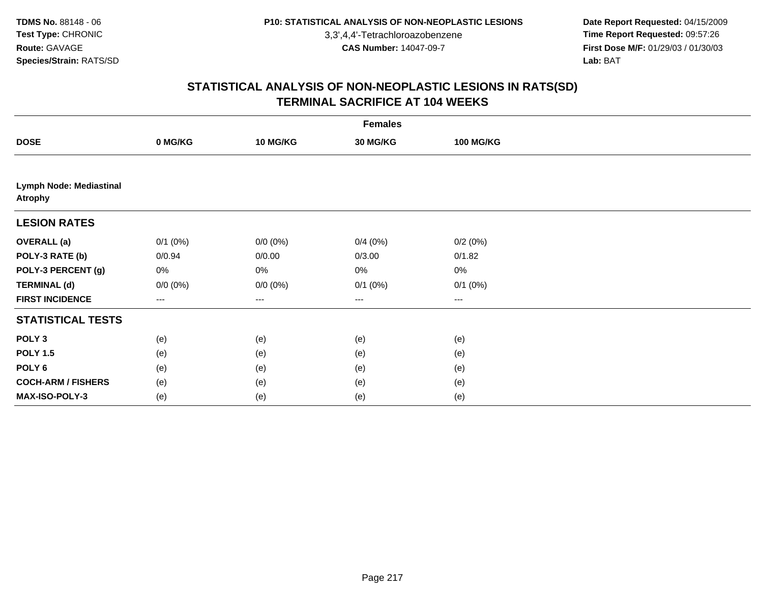**Date Report Requested:** 04/15/2009 **Time Report Requested:** 09:57:26 **First Dose M/F:** 01/29/03 / 01/30/03<br>Lab: BAT **Lab:** BAT

| <b>Females</b>                            |              |                 |                   |                  |  |  |  |
|-------------------------------------------|--------------|-----------------|-------------------|------------------|--|--|--|
| <b>DOSE</b>                               | 0 MG/KG      | <b>10 MG/KG</b> | 30 MG/KG          | <b>100 MG/KG</b> |  |  |  |
|                                           |              |                 |                   |                  |  |  |  |
| Lymph Node: Mediastinal<br><b>Atrophy</b> |              |                 |                   |                  |  |  |  |
| <b>LESION RATES</b>                       |              |                 |                   |                  |  |  |  |
| <b>OVERALL (a)</b>                        | $0/1$ $(0%)$ | $0/0 (0\%)$     | 0/4(0%)           | 0/2(0%)          |  |  |  |
| POLY-3 RATE (b)                           | 0/0.94       | 0/0.00          | 0/3.00            | 0/1.82           |  |  |  |
| POLY-3 PERCENT (g)                        | 0%           | 0%              | 0%                | 0%               |  |  |  |
| <b>TERMINAL (d)</b>                       | $0/0 (0\%)$  | $0/0 (0\%)$     | $0/1$ $(0%)$      | $0/1$ $(0%)$     |  |  |  |
| <b>FIRST INCIDENCE</b>                    | ---          | ---             | $\qquad \qquad -$ | $---$            |  |  |  |
| <b>STATISTICAL TESTS</b>                  |              |                 |                   |                  |  |  |  |
| POLY <sub>3</sub>                         | (e)          | (e)             | (e)               | (e)              |  |  |  |
| <b>POLY 1.5</b>                           | (e)          | (e)             | (e)               | (e)              |  |  |  |
| POLY <sub>6</sub>                         | (e)          | (e)             | (e)               | (e)              |  |  |  |
| <b>COCH-ARM / FISHERS</b>                 | (e)          | (e)             | (e)               | (e)              |  |  |  |
| MAX-ISO-POLY-3                            | (e)          | (e)             | (e)               | (e)              |  |  |  |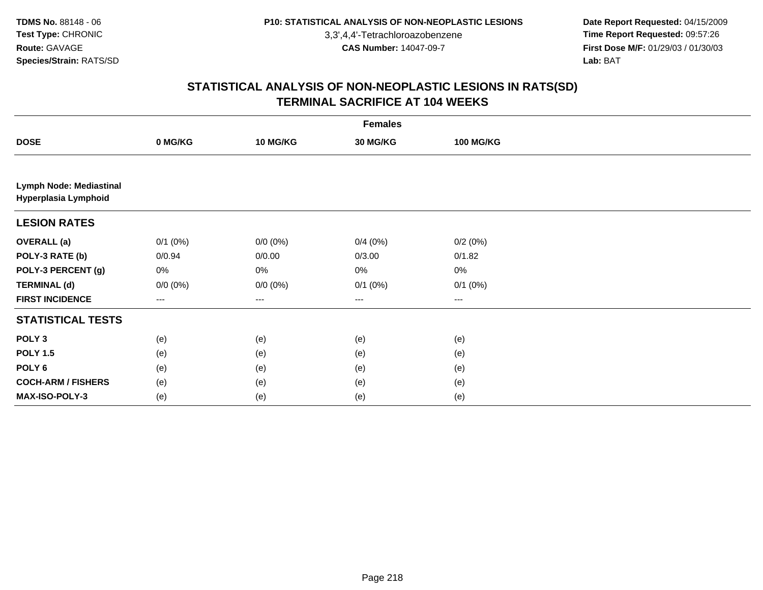**Date Report Requested:** 04/15/2009 **Time Report Requested:** 09:57:26 **First Dose M/F:** 01/29/03 / 01/30/03<br>Lab: BAT **Lab:** BAT

|                                                 | <b>Females</b> |                 |                   |                  |  |  |  |  |
|-------------------------------------------------|----------------|-----------------|-------------------|------------------|--|--|--|--|
| <b>DOSE</b>                                     | 0 MG/KG        | <b>10 MG/KG</b> | 30 MG/KG          | <b>100 MG/KG</b> |  |  |  |  |
|                                                 |                |                 |                   |                  |  |  |  |  |
| Lymph Node: Mediastinal<br>Hyperplasia Lymphoid |                |                 |                   |                  |  |  |  |  |
| <b>LESION RATES</b>                             |                |                 |                   |                  |  |  |  |  |
| <b>OVERALL</b> (a)                              | $0/1$ (0%)     | $0/0 (0\%)$     | 0/4(0%)           | 0/2(0%)          |  |  |  |  |
| POLY-3 RATE (b)                                 | 0/0.94         | 0/0.00          | 0/3.00            | 0/1.82           |  |  |  |  |
| POLY-3 PERCENT (g)                              | 0%             | 0%              | 0%                | 0%               |  |  |  |  |
| <b>TERMINAL (d)</b>                             | $0/0 (0\%)$    | $0/0 (0\%)$     | $0/1$ $(0%)$      | $0/1$ $(0%)$     |  |  |  |  |
| <b>FIRST INCIDENCE</b>                          | $---$          | ---             | $\qquad \qquad -$ | ---              |  |  |  |  |
| <b>STATISTICAL TESTS</b>                        |                |                 |                   |                  |  |  |  |  |
| POLY <sub>3</sub>                               | (e)            | (e)             | (e)               | (e)              |  |  |  |  |
| <b>POLY 1.5</b>                                 | (e)            | (e)             | (e)               | (e)              |  |  |  |  |
| POLY <sub>6</sub>                               | (e)            | (e)             | (e)               | (e)              |  |  |  |  |
| <b>COCH-ARM / FISHERS</b>                       | (e)            | (e)             | (e)               | (e)              |  |  |  |  |
| MAX-ISO-POLY-3                                  | (e)            | (e)             | (e)               | (e)              |  |  |  |  |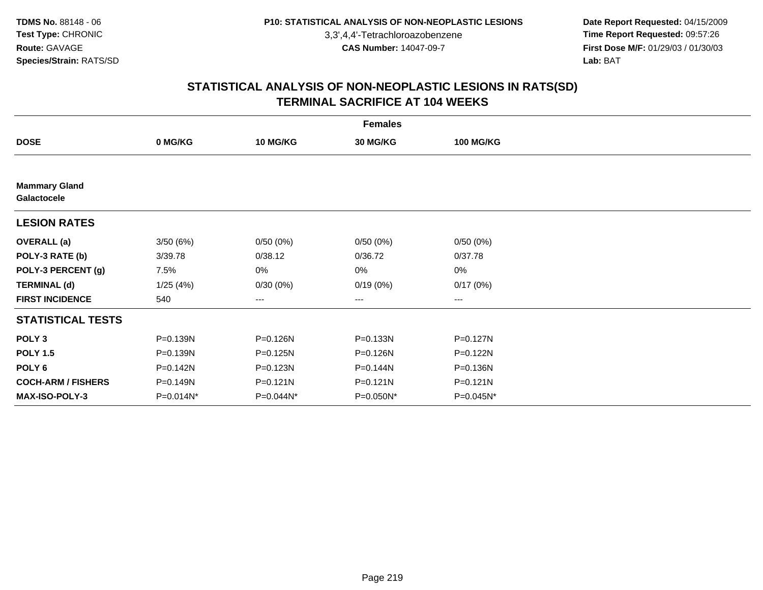**Date Report Requested:** 04/15/2009 **Time Report Requested:** 09:57:26 **First Dose M/F:** 01/29/03 / 01/30/03<br>Lab: BAT **Lab:** BAT

|                                     | <b>Females</b> |                 |                 |                  |  |  |  |  |
|-------------------------------------|----------------|-----------------|-----------------|------------------|--|--|--|--|
| <b>DOSE</b>                         | 0 MG/KG        | <b>10 MG/KG</b> | <b>30 MG/KG</b> | <b>100 MG/KG</b> |  |  |  |  |
|                                     |                |                 |                 |                  |  |  |  |  |
| <b>Mammary Gland</b><br>Galactocele |                |                 |                 |                  |  |  |  |  |
| <b>LESION RATES</b>                 |                |                 |                 |                  |  |  |  |  |
| <b>OVERALL</b> (a)                  | 3/50(6%)       | 0/50(0%)        | 0/50(0%)        | 0/50(0%)         |  |  |  |  |
| POLY-3 RATE (b)                     | 3/39.78        | 0/38.12         | 0/36.72         | 0/37.78          |  |  |  |  |
| POLY-3 PERCENT (g)                  | 7.5%           | 0%              | 0%              | 0%               |  |  |  |  |
| <b>TERMINAL (d)</b>                 | 1/25(4%)       | 0/30(0%)        | 0/19(0%)        | 0/17(0%)         |  |  |  |  |
| <b>FIRST INCIDENCE</b>              | 540            | ---             | ---             | ---              |  |  |  |  |
| <b>STATISTICAL TESTS</b>            |                |                 |                 |                  |  |  |  |  |
| POLY <sub>3</sub>                   | P=0.139N       | P=0.126N        | $P = 0.133N$    | P=0.127N         |  |  |  |  |
| <b>POLY 1.5</b>                     | P=0.139N       | P=0.125N        | P=0.126N        | P=0.122N         |  |  |  |  |
| POLY <sub>6</sub>                   | $P = 0.142N$   | P=0.123N        | P=0.144N        | P=0.136N         |  |  |  |  |
| <b>COCH-ARM / FISHERS</b>           | P=0.149N       | $P = 0.121N$    | P=0.121N        | $P = 0.121N$     |  |  |  |  |
| MAX-ISO-POLY-3                      | P=0.014N*      | P=0.044N*       | P=0.050N*       | P=0.045N*        |  |  |  |  |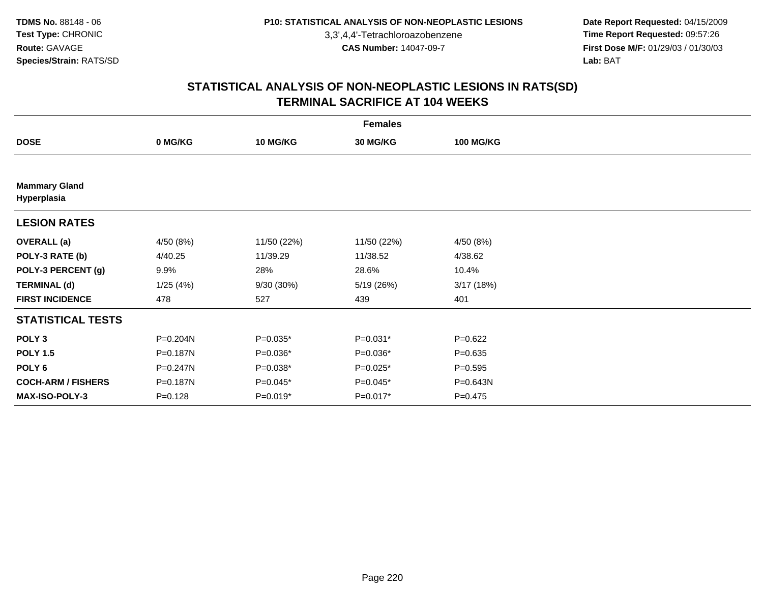**Date Report Requested:** 04/15/2009 **Time Report Requested:** 09:57:26 **First Dose M/F:** 01/29/03 / 01/30/03<br>Lab: BAT **Lab:** BAT

|                                     | <b>Females</b> |                 |                 |                  |  |  |  |  |
|-------------------------------------|----------------|-----------------|-----------------|------------------|--|--|--|--|
| <b>DOSE</b>                         | 0 MG/KG        | <b>10 MG/KG</b> | <b>30 MG/KG</b> | <b>100 MG/KG</b> |  |  |  |  |
|                                     |                |                 |                 |                  |  |  |  |  |
| <b>Mammary Gland</b><br>Hyperplasia |                |                 |                 |                  |  |  |  |  |
| <b>LESION RATES</b>                 |                |                 |                 |                  |  |  |  |  |
| <b>OVERALL</b> (a)                  | 4/50 (8%)      | 11/50 (22%)     | 11/50 (22%)     | 4/50 (8%)        |  |  |  |  |
| POLY-3 RATE (b)                     | 4/40.25        | 11/39.29        | 11/38.52        | 4/38.62          |  |  |  |  |
| POLY-3 PERCENT (g)                  | 9.9%           | 28%             | 28.6%           | 10.4%            |  |  |  |  |
| <b>TERMINAL (d)</b>                 | 1/25(4%)       | $9/30(30\%)$    | 5/19 (26%)      | 3/17(18%)        |  |  |  |  |
| <b>FIRST INCIDENCE</b>              | 478            | 527             | 439             | 401              |  |  |  |  |
| <b>STATISTICAL TESTS</b>            |                |                 |                 |                  |  |  |  |  |
| POLY <sub>3</sub>                   | P=0.204N       | $P=0.035*$      | $P=0.031*$      | $P=0.622$        |  |  |  |  |
| <b>POLY 1.5</b>                     | P=0.187N       | $P=0.036*$      | $P=0.036*$      | $P = 0.635$      |  |  |  |  |
| POLY <sub>6</sub>                   | P=0.247N       | $P=0.038*$      | $P=0.025*$      | $P = 0.595$      |  |  |  |  |
| <b>COCH-ARM / FISHERS</b>           | P=0.187N       | $P=0.045*$      | P=0.045*        | P=0.643N         |  |  |  |  |
| MAX-ISO-POLY-3                      | $P = 0.128$    | P=0.019*        | P=0.017*        | $P=0.475$        |  |  |  |  |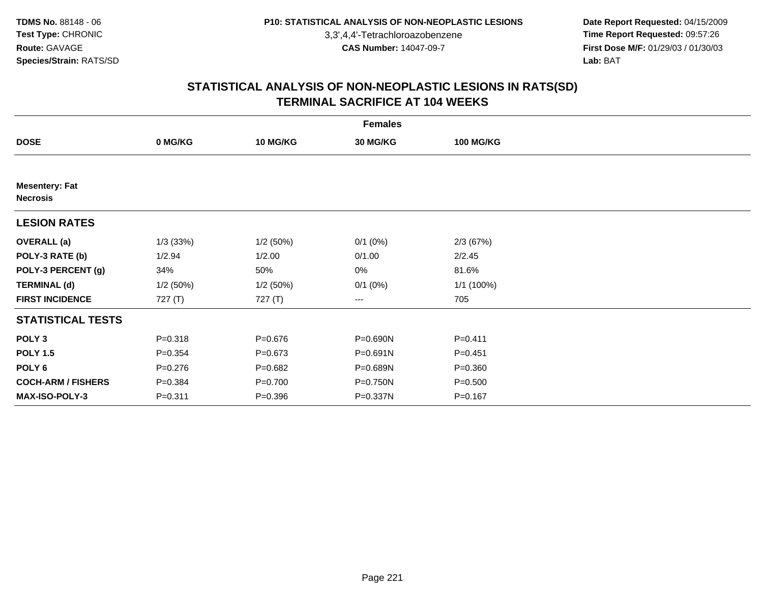**Date Report Requested:** 04/15/2009 **Time Report Requested:** 09:57:26 **First Dose M/F:** 01/29/03 / 01/30/03<br>Lab: BAT **Lab:** BAT

| <b>Females</b>                           |             |                 |                 |                  |  |  |  |
|------------------------------------------|-------------|-----------------|-----------------|------------------|--|--|--|
| <b>DOSE</b>                              | 0 MG/KG     | <b>10 MG/KG</b> | <b>30 MG/KG</b> | <b>100 MG/KG</b> |  |  |  |
|                                          |             |                 |                 |                  |  |  |  |
| <b>Mesentery: Fat</b><br><b>Necrosis</b> |             |                 |                 |                  |  |  |  |
| <b>LESION RATES</b>                      |             |                 |                 |                  |  |  |  |
| <b>OVERALL</b> (a)                       | 1/3(33%)    | 1/2(50%)        | $0/1$ (0%)      | 2/3(67%)         |  |  |  |
| POLY-3 RATE (b)                          | 1/2.94      | 1/2.00          | 0/1.00          | 2/2.45           |  |  |  |
| POLY-3 PERCENT (g)                       | 34%         | 50%             | 0%              | 81.6%            |  |  |  |
| <b>TERMINAL (d)</b>                      | 1/2(50%)    | 1/2(50%)        | $0/1$ $(0%)$    | 1/1 (100%)       |  |  |  |
| <b>FIRST INCIDENCE</b>                   | 727 (T)     | 727(T)          | ---             | 705              |  |  |  |
| <b>STATISTICAL TESTS</b>                 |             |                 |                 |                  |  |  |  |
| POLY <sub>3</sub>                        | $P = 0.318$ | $P = 0.676$     | P=0.690N        | $P = 0.411$      |  |  |  |
| <b>POLY 1.5</b>                          | $P = 0.354$ | $P = 0.673$     | P=0.691N        | $P = 0.451$      |  |  |  |
| POLY <sub>6</sub>                        | $P = 0.276$ | $P = 0.682$     | P=0.689N        | $P = 0.360$      |  |  |  |
| <b>COCH-ARM / FISHERS</b>                | $P = 0.384$ | $P=0.700$       | P=0.750N        | $P = 0.500$      |  |  |  |
| <b>MAX-ISO-POLY-3</b>                    | $P = 0.311$ | $P = 0.396$     | P=0.337N        | $P = 0.167$      |  |  |  |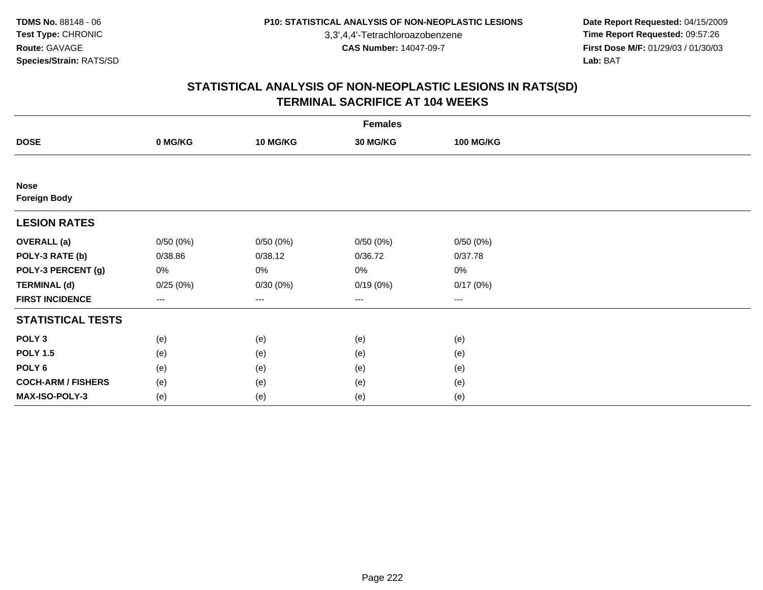**Date Report Requested:** 04/15/2009 **Time Report Requested:** 09:57:26 **First Dose M/F:** 01/29/03 / 01/30/03<br>Lab: BAT **Lab:** BAT

| <b>Females</b>            |                   |                   |          |                   |  |  |
|---------------------------|-------------------|-------------------|----------|-------------------|--|--|
| <b>DOSE</b>               | 0 MG/KG           | <b>10 MG/KG</b>   | 30 MG/KG | <b>100 MG/KG</b>  |  |  |
|                           |                   |                   |          |                   |  |  |
| <b>Nose</b>               |                   |                   |          |                   |  |  |
| <b>Foreign Body</b>       |                   |                   |          |                   |  |  |
| <b>LESION RATES</b>       |                   |                   |          |                   |  |  |
| <b>OVERALL</b> (a)        | 0/50(0%)          | 0/50(0%)          | 0/50(0%) | 0/50(0%)          |  |  |
| POLY-3 RATE (b)           | 0/38.86           | 0/38.12           | 0/36.72  | 0/37.78           |  |  |
| POLY-3 PERCENT (g)        | 0%                | 0%                | 0%       | 0%                |  |  |
| <b>TERMINAL (d)</b>       | 0/25(0%)          | 0/30(0%)          | 0/19(0%) | 0/17(0%)          |  |  |
| <b>FIRST INCIDENCE</b>    | $\qquad \qquad -$ | $\qquad \qquad -$ | $---$    | $\qquad \qquad -$ |  |  |
| <b>STATISTICAL TESTS</b>  |                   |                   |          |                   |  |  |
| POLY <sub>3</sub>         | (e)               | (e)               | (e)      | (e)               |  |  |
| <b>POLY 1.5</b>           | (e)               | (e)               | (e)      | (e)               |  |  |
| POLY <sub>6</sub>         | (e)               | (e)               | (e)      | (e)               |  |  |
| <b>COCH-ARM / FISHERS</b> | (e)               | (e)               | (e)      | (e)               |  |  |
| MAX-ISO-POLY-3            | (e)               | (e)               | (e)      | (e)               |  |  |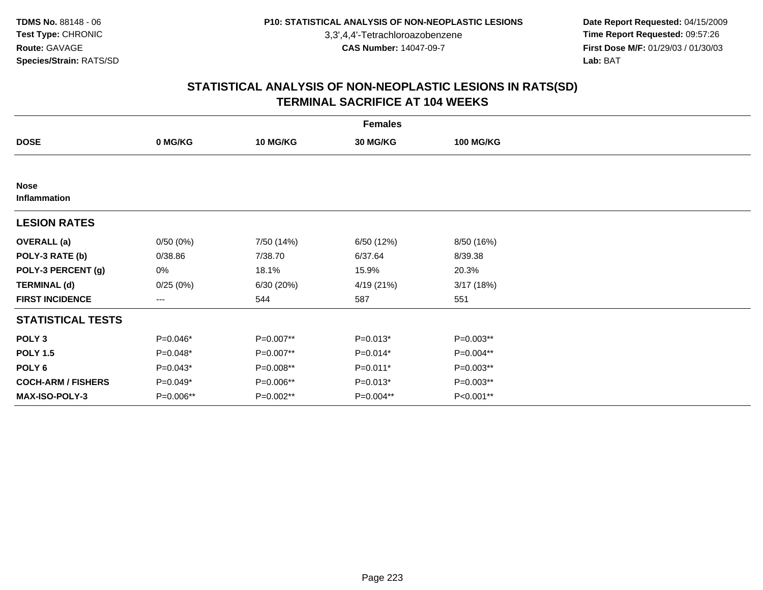**Date Report Requested:** 04/15/2009 **Time Report Requested:** 09:57:26 **First Dose M/F:** 01/29/03 / 01/30/03<br>Lab: BAT **Lab:** BAT

| <b>Females</b>              |                   |                 |                 |                  |  |  |
|-----------------------------|-------------------|-----------------|-----------------|------------------|--|--|
| <b>DOSE</b>                 | 0 MG/KG           | <b>10 MG/KG</b> | <b>30 MG/KG</b> | <b>100 MG/KG</b> |  |  |
|                             |                   |                 |                 |                  |  |  |
| <b>Nose</b><br>Inflammation |                   |                 |                 |                  |  |  |
| <b>LESION RATES</b>         |                   |                 |                 |                  |  |  |
| <b>OVERALL</b> (a)          | 0/50(0%)          | 7/50 (14%)      | 6/50 (12%)      | 8/50 (16%)       |  |  |
| POLY-3 RATE (b)             | 0/38.86           | 7/38.70         | 6/37.64         | 8/39.38          |  |  |
| POLY-3 PERCENT (g)          | 0%                | 18.1%           | 15.9%           | 20.3%            |  |  |
| <b>TERMINAL (d)</b>         | 0/25(0%)          | 6/30(20%)       | 4/19 (21%)      | 3/17(18%)        |  |  |
| <b>FIRST INCIDENCE</b>      | $\qquad \qquad -$ | 544             | 587             | 551              |  |  |
| <b>STATISTICAL TESTS</b>    |                   |                 |                 |                  |  |  |
| POLY <sub>3</sub>           | P=0.046*          | P=0.007**       | $P=0.013*$      | P=0.003**        |  |  |
| <b>POLY 1.5</b>             | $P=0.048*$        | P=0.007**       | $P=0.014*$      | P=0.004**        |  |  |
| POLY <sub>6</sub>           | $P=0.043*$        | P=0.008**       | $P=0.011*$      | P=0.003**        |  |  |
| <b>COCH-ARM / FISHERS</b>   | $P=0.049*$        | P=0.006**       | $P=0.013*$      | P=0.003**        |  |  |
| MAX-ISO-POLY-3              | P=0.006**         | P=0.002**       | P=0.004**       | P<0.001**        |  |  |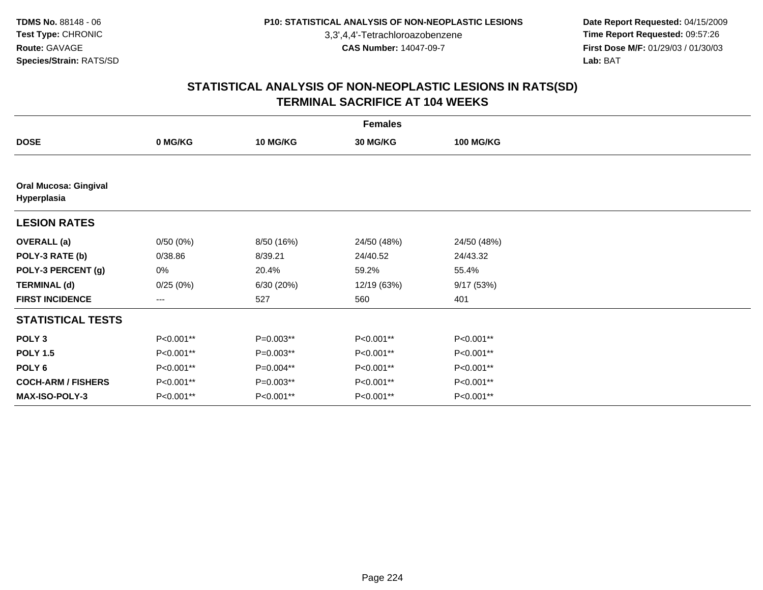**Date Report Requested:** 04/15/2009 **Time Report Requested:** 09:57:26 **First Dose M/F:** 01/29/03 / 01/30/03<br>Lab: BAT **Lab:** BAT

| <b>Females</b>                              |           |                 |             |                  |  |  |
|---------------------------------------------|-----------|-----------------|-------------|------------------|--|--|
| <b>DOSE</b>                                 | 0 MG/KG   | <b>10 MG/KG</b> | 30 MG/KG    | <b>100 MG/KG</b> |  |  |
|                                             |           |                 |             |                  |  |  |
| <b>Oral Mucosa: Gingival</b><br>Hyperplasia |           |                 |             |                  |  |  |
| <b>LESION RATES</b>                         |           |                 |             |                  |  |  |
| <b>OVERALL</b> (a)                          | 0/50(0%)  | 8/50 (16%)      | 24/50 (48%) | 24/50 (48%)      |  |  |
| POLY-3 RATE (b)                             | 0/38.86   | 8/39.21         | 24/40.52    | 24/43.32         |  |  |
| POLY-3 PERCENT (g)                          | 0%        | 20.4%           | 59.2%       | 55.4%            |  |  |
| <b>TERMINAL (d)</b>                         | 0/25(0%)  | 6/30(20%)       | 12/19 (63%) | 9/17 (53%)       |  |  |
| <b>FIRST INCIDENCE</b>                      | ---       | 527             | 560         | 401              |  |  |
| <b>STATISTICAL TESTS</b>                    |           |                 |             |                  |  |  |
| POLY <sub>3</sub>                           | P<0.001** | P=0.003**       | P<0.001**   | P<0.001**        |  |  |
| <b>POLY 1.5</b>                             | P<0.001** | P=0.003**       | P<0.001**   | P<0.001**        |  |  |
| POLY 6                                      | P<0.001** | P=0.004**       | P<0.001**   | P<0.001**        |  |  |
| <b>COCH-ARM / FISHERS</b>                   | P<0.001** | $P=0.003**$     | P<0.001**   | P<0.001**        |  |  |
| <b>MAX-ISO-POLY-3</b>                       | P<0.001** | P<0.001**       | P<0.001**   | P<0.001**        |  |  |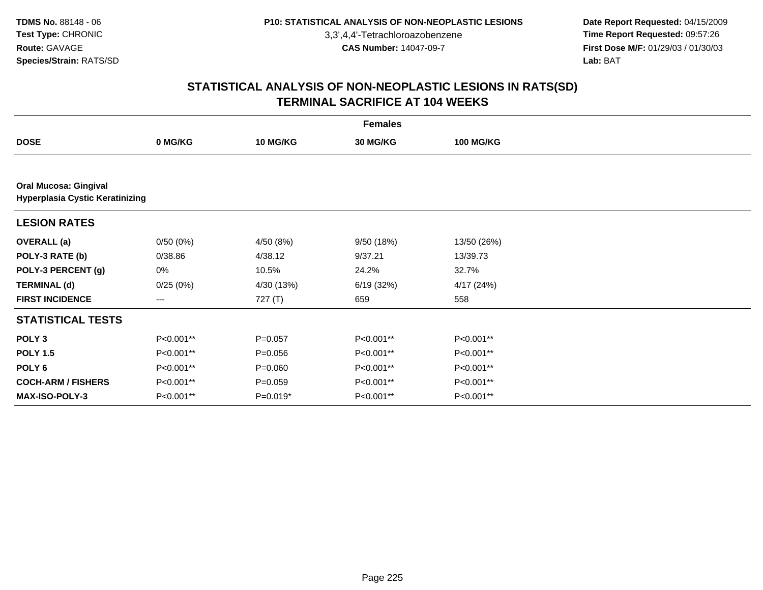**Date Report Requested:** 04/15/2009 **Time Report Requested:** 09:57:26 **First Dose M/F:** 01/29/03 / 01/30/03<br>Lab: BAT **Lab:** BAT

|                                                                        | <b>Females</b> |             |            |                  |  |  |  |
|------------------------------------------------------------------------|----------------|-------------|------------|------------------|--|--|--|
| <b>DOSE</b>                                                            | 0 MG/KG        | 10 MG/KG    | 30 MG/KG   | <b>100 MG/KG</b> |  |  |  |
|                                                                        |                |             |            |                  |  |  |  |
| <b>Oral Mucosa: Gingival</b><br><b>Hyperplasia Cystic Keratinizing</b> |                |             |            |                  |  |  |  |
| <b>LESION RATES</b>                                                    |                |             |            |                  |  |  |  |
| <b>OVERALL</b> (a)                                                     | 0/50(0%)       | 4/50 (8%)   | 9/50 (18%) | 13/50 (26%)      |  |  |  |
| POLY-3 RATE (b)                                                        | 0/38.86        | 4/38.12     | 9/37.21    | 13/39.73         |  |  |  |
| POLY-3 PERCENT (g)                                                     | 0%             | 10.5%       | 24.2%      | 32.7%            |  |  |  |
| <b>TERMINAL (d)</b>                                                    | 0/25(0%)       | 4/30 (13%)  | 6/19(32%)  | 4/17(24%)        |  |  |  |
| <b>FIRST INCIDENCE</b>                                                 | $---$          | 727 (T)     | 659        | 558              |  |  |  |
| <b>STATISTICAL TESTS</b>                                               |                |             |            |                  |  |  |  |
| POLY <sub>3</sub>                                                      | P<0.001**      | $P=0.057$   | P<0.001**  | P<0.001**        |  |  |  |
| <b>POLY 1.5</b>                                                        | P<0.001**      | $P = 0.056$ | P<0.001**  | P<0.001**        |  |  |  |
| POLY <sub>6</sub>                                                      | P<0.001**      | $P = 0.060$ | P<0.001**  | P<0.001**        |  |  |  |
| <b>COCH-ARM / FISHERS</b>                                              | P<0.001**      | $P=0.059$   | P<0.001**  | P<0.001**        |  |  |  |
| <b>MAX-ISO-POLY-3</b>                                                  | P<0.001**      | $P=0.019*$  | P<0.001**  | P<0.001**        |  |  |  |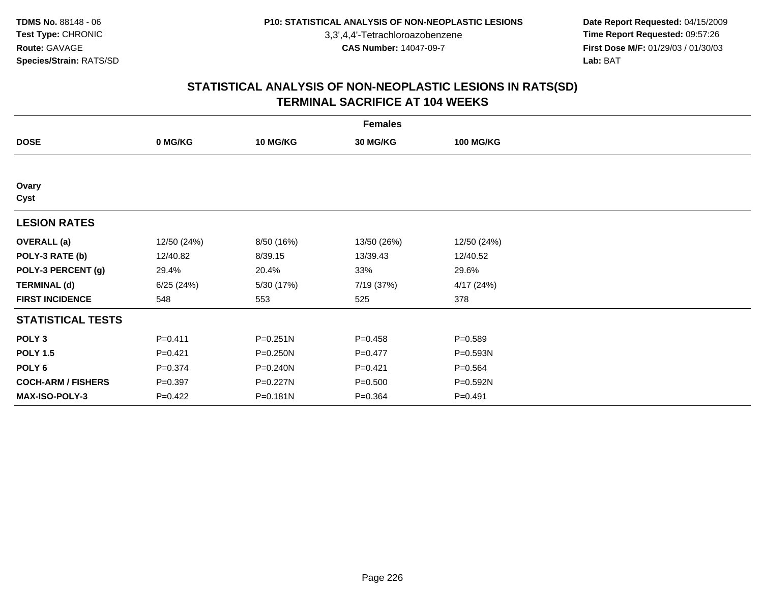**Date Report Requested:** 04/15/2009 **Time Report Requested:** 09:57:26 **First Dose M/F:** 01/29/03 / 01/30/03<br>Lab: BAT **Lab:** BAT

| <b>Females</b>            |             |                 |                 |                  |  |  |
|---------------------------|-------------|-----------------|-----------------|------------------|--|--|
| <b>DOSE</b>               | 0 MG/KG     | <b>10 MG/KG</b> | <b>30 MG/KG</b> | <b>100 MG/KG</b> |  |  |
|                           |             |                 |                 |                  |  |  |
| Ovary<br>Cyst             |             |                 |                 |                  |  |  |
| <b>LESION RATES</b>       |             |                 |                 |                  |  |  |
| <b>OVERALL</b> (a)        | 12/50 (24%) | 8/50 (16%)      | 13/50 (26%)     | 12/50 (24%)      |  |  |
| POLY-3 RATE (b)           | 12/40.82    | 8/39.15         | 13/39.43        | 12/40.52         |  |  |
| POLY-3 PERCENT (g)        | 29.4%       | 20.4%           | 33%             | 29.6%            |  |  |
| <b>TERMINAL (d)</b>       | 6/25(24%)   | 5/30 (17%)      | 7/19 (37%)      | 4/17(24%)        |  |  |
| <b>FIRST INCIDENCE</b>    | 548         | 553             | 525             | 378              |  |  |
| <b>STATISTICAL TESTS</b>  |             |                 |                 |                  |  |  |
| POLY <sub>3</sub>         | $P = 0.411$ | P=0.251N        | $P = 0.458$     | $P = 0.589$      |  |  |
| <b>POLY 1.5</b>           | $P = 0.421$ | P=0.250N        | $P=0.477$       | P=0.593N         |  |  |
| POLY <sub>6</sub>         | $P = 0.374$ | P=0.240N        | $P = 0.421$     | $P = 0.564$      |  |  |
| <b>COCH-ARM / FISHERS</b> | $P = 0.397$ | P=0.227N        | $P = 0.500$     | P=0.592N         |  |  |
| <b>MAX-ISO-POLY-3</b>     | $P=0.422$   | P=0.181N        | $P = 0.364$     | $P = 0.491$      |  |  |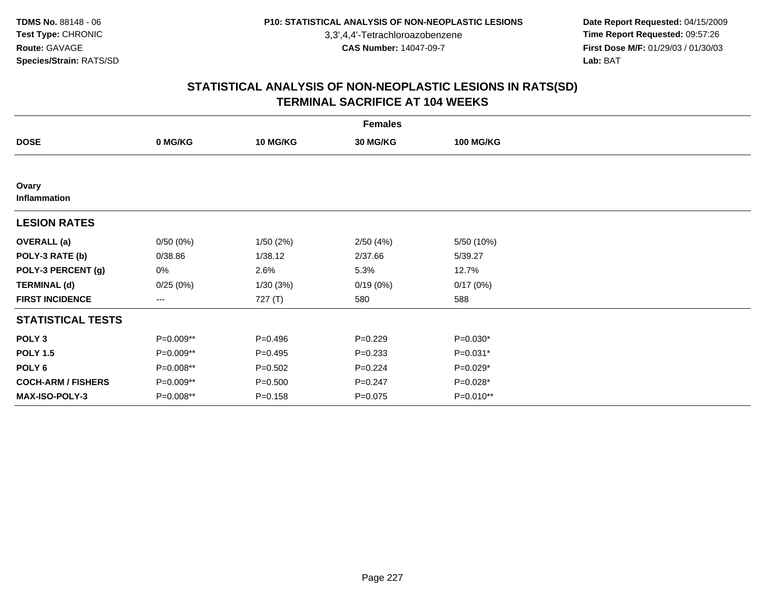**Date Report Requested:** 04/15/2009 **Time Report Requested:** 09:57:26 **First Dose M/F:** 01/29/03 / 01/30/03<br>Lab: BAT **Lab:** BAT

| <b>Females</b>            |                        |                 |                 |                  |  |  |  |
|---------------------------|------------------------|-----------------|-----------------|------------------|--|--|--|
| <b>DOSE</b>               | 0 MG/KG                | <b>10 MG/KG</b> | <b>30 MG/KG</b> | <b>100 MG/KG</b> |  |  |  |
|                           |                        |                 |                 |                  |  |  |  |
| Ovary<br>Inflammation     |                        |                 |                 |                  |  |  |  |
| <b>LESION RATES</b>       |                        |                 |                 |                  |  |  |  |
| <b>OVERALL</b> (a)        | 0/50(0%)               | 1/50(2%)        | 2/50(4%)        | 5/50 (10%)       |  |  |  |
| POLY-3 RATE (b)           | 0/38.86                | 1/38.12         | 2/37.66         | 5/39.27          |  |  |  |
| POLY-3 PERCENT (g)        | 0%                     | 2.6%            | 5.3%            | 12.7%            |  |  |  |
| <b>TERMINAL (d)</b>       | 0/25(0%)               | 1/30(3%)        | 0/19(0%)        | 0/17(0%)         |  |  |  |
| <b>FIRST INCIDENCE</b>    | $\qquad \qquad \cdots$ | 727(T)          | 580             | 588              |  |  |  |
| <b>STATISTICAL TESTS</b>  |                        |                 |                 |                  |  |  |  |
| POLY <sub>3</sub>         | P=0.009**              | $P=0.496$       | $P=0.229$       | $P=0.030*$       |  |  |  |
| <b>POLY 1.5</b>           | P=0.009**              | $P=0.495$       | $P = 0.233$     | $P=0.031*$       |  |  |  |
| POLY <sub>6</sub>         | P=0.008**              | $P = 0.502$     | $P=0.224$       | $P=0.029*$       |  |  |  |
| <b>COCH-ARM / FISHERS</b> | P=0.009**              | $P = 0.500$     | $P = 0.247$     | $P=0.028*$       |  |  |  |
| MAX-ISO-POLY-3            | P=0.008**              | $P = 0.158$     | $P = 0.075$     | $P=0.010**$      |  |  |  |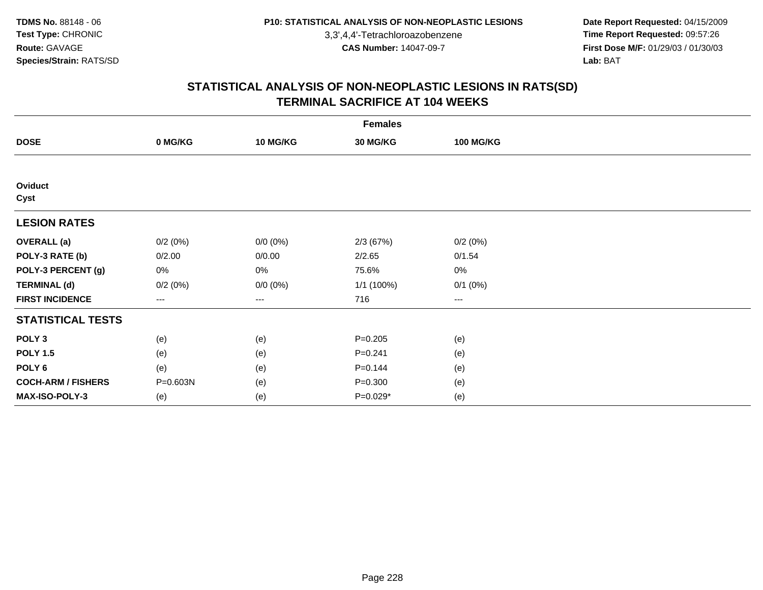**Date Report Requested:** 04/15/2009 **Time Report Requested:** 09:57:26 **First Dose M/F:** 01/29/03 / 01/30/03<br>Lab: BAT **Lab:** BAT

| <b>Females</b>            |                        |                 |             |                  |  |  |  |
|---------------------------|------------------------|-----------------|-------------|------------------|--|--|--|
| <b>DOSE</b>               | 0 MG/KG                | <b>10 MG/KG</b> | 30 MG/KG    | <b>100 MG/KG</b> |  |  |  |
|                           |                        |                 |             |                  |  |  |  |
| Oviduct<br>Cyst           |                        |                 |             |                  |  |  |  |
| <b>LESION RATES</b>       |                        |                 |             |                  |  |  |  |
| <b>OVERALL</b> (a)        | 0/2(0%)                | $0/0 (0\%)$     | 2/3 (67%)   | 0/2(0%)          |  |  |  |
| POLY-3 RATE (b)           | 0/2.00                 | 0/0.00          | 2/2.65      | 0/1.54           |  |  |  |
| POLY-3 PERCENT (g)        | 0%                     | 0%              | 75.6%       | 0%               |  |  |  |
| <b>TERMINAL (d)</b>       | 0/2(0%)                | $0/0 (0\%)$     | 1/1 (100%)  | $0/1$ $(0%)$     |  |  |  |
| <b>FIRST INCIDENCE</b>    | $\qquad \qquad \cdots$ | $--$            | 716         | $--$             |  |  |  |
| <b>STATISTICAL TESTS</b>  |                        |                 |             |                  |  |  |  |
| POLY <sub>3</sub>         | (e)                    | (e)             | $P = 0.205$ | (e)              |  |  |  |
| <b>POLY 1.5</b>           | (e)                    | (e)             | $P = 0.241$ | (e)              |  |  |  |
| POLY <sub>6</sub>         | (e)                    | (e)             | $P = 0.144$ | (e)              |  |  |  |
| <b>COCH-ARM / FISHERS</b> | P=0.603N               | (e)             | $P = 0.300$ | (e)              |  |  |  |
| MAX-ISO-POLY-3            | (e)                    | (e)             | P=0.029*    | (e)              |  |  |  |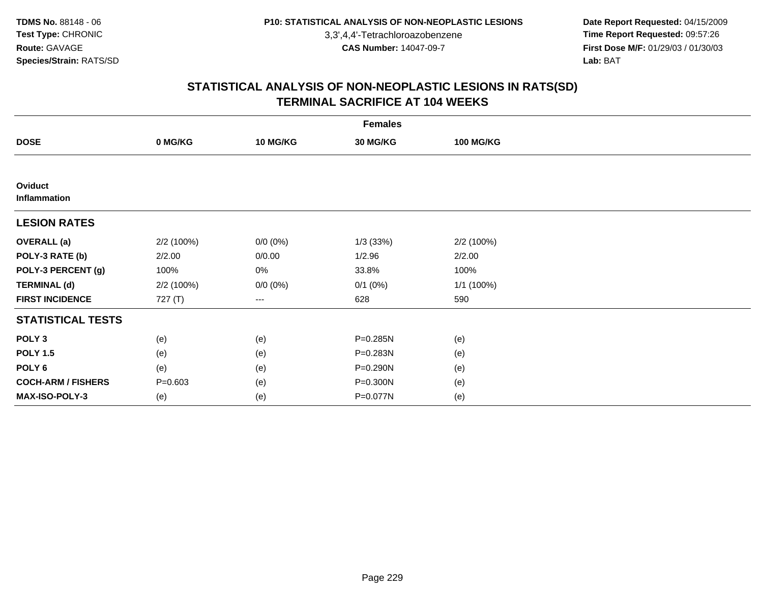**Date Report Requested:** 04/15/2009 **Time Report Requested:** 09:57:26 **First Dose M/F:** 01/29/03 / 01/30/03<br>Lab: BAT **Lab:** BAT

| <b>Females</b>            |             |                 |              |                  |  |  |  |
|---------------------------|-------------|-----------------|--------------|------------------|--|--|--|
| <b>DOSE</b>               | 0 MG/KG     | <b>10 MG/KG</b> | 30 MG/KG     | <b>100 MG/KG</b> |  |  |  |
|                           |             |                 |              |                  |  |  |  |
| Oviduct<br>Inflammation   |             |                 |              |                  |  |  |  |
| <b>LESION RATES</b>       |             |                 |              |                  |  |  |  |
| <b>OVERALL</b> (a)        | 2/2 (100%)  | $0/0 (0\%)$     | 1/3(33%)     | 2/2 (100%)       |  |  |  |
| POLY-3 RATE (b)           | 2/2.00      | 0/0.00          | 1/2.96       | 2/2.00           |  |  |  |
| POLY-3 PERCENT (g)        | 100%        | 0%              | 33.8%        | 100%             |  |  |  |
| <b>TERMINAL (d)</b>       | 2/2 (100%)  | $0/0 (0\%)$     | $0/1$ $(0%)$ | 1/1 (100%)       |  |  |  |
| <b>FIRST INCIDENCE</b>    | 727 (T)     | $--$            | 628          | 590              |  |  |  |
| <b>STATISTICAL TESTS</b>  |             |                 |              |                  |  |  |  |
| POLY <sub>3</sub>         | (e)         | (e)             | P=0.285N     | (e)              |  |  |  |
| <b>POLY 1.5</b>           | (e)         | (e)             | P=0.283N     | (e)              |  |  |  |
| POLY <sub>6</sub>         | (e)         | (e)             | P=0.290N     | (e)              |  |  |  |
| <b>COCH-ARM / FISHERS</b> | $P = 0.603$ | (e)             | P=0.300N     | (e)              |  |  |  |
| <b>MAX-ISO-POLY-3</b>     | (e)         | (e)             | P=0.077N     | (e)              |  |  |  |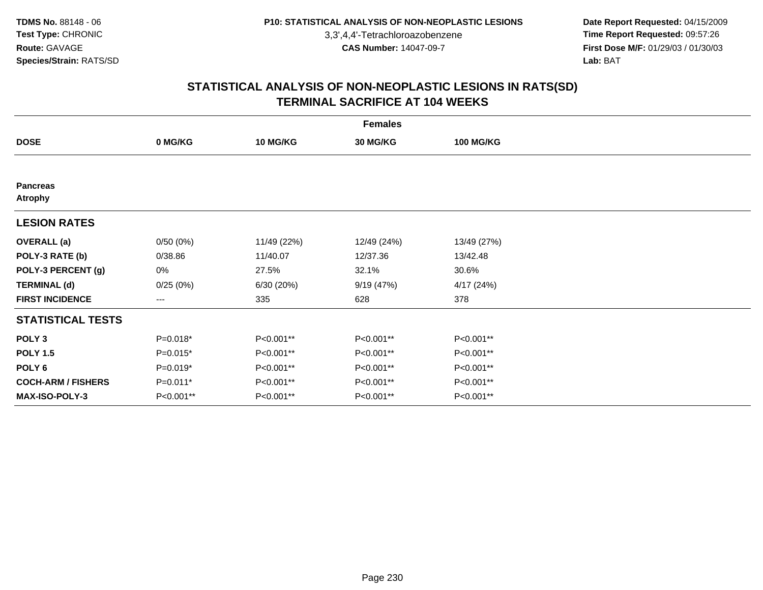**Date Report Requested:** 04/15/2009 **Time Report Requested:** 09:57:26 **First Dose M/F:** 01/29/03 / 01/30/03<br>Lab: BAT **Lab:** BAT

|                                   | <b>Females</b>         |                 |                 |                  |  |  |  |  |
|-----------------------------------|------------------------|-----------------|-----------------|------------------|--|--|--|--|
| <b>DOSE</b>                       | 0 MG/KG                | <b>10 MG/KG</b> | <b>30 MG/KG</b> | <b>100 MG/KG</b> |  |  |  |  |
|                                   |                        |                 |                 |                  |  |  |  |  |
| <b>Pancreas</b><br><b>Atrophy</b> |                        |                 |                 |                  |  |  |  |  |
| <b>LESION RATES</b>               |                        |                 |                 |                  |  |  |  |  |
| <b>OVERALL</b> (a)                | 0/50(0%)               | 11/49 (22%)     | 12/49 (24%)     | 13/49 (27%)      |  |  |  |  |
| POLY-3 RATE (b)                   | 0/38.86                | 11/40.07        | 12/37.36        | 13/42.48         |  |  |  |  |
| POLY-3 PERCENT (g)                | 0%                     | 27.5%           | 32.1%           | 30.6%            |  |  |  |  |
| <b>TERMINAL (d)</b>               | 0/25(0%)               | 6/30(20%)       | 9/19 (47%)      | 4/17(24%)        |  |  |  |  |
| <b>FIRST INCIDENCE</b>            | $\qquad \qquad \cdots$ | 335             | 628             | 378              |  |  |  |  |
| <b>STATISTICAL TESTS</b>          |                        |                 |                 |                  |  |  |  |  |
| POLY <sub>3</sub>                 | $P=0.018*$             | P<0.001**       | P<0.001**       | P<0.001**        |  |  |  |  |
| <b>POLY 1.5</b>                   | $P=0.015*$             | P<0.001**       | P<0.001**       | P<0.001**        |  |  |  |  |
| POLY <sub>6</sub>                 | $P=0.019*$             | P<0.001**       | P<0.001**       | P<0.001**        |  |  |  |  |
| <b>COCH-ARM / FISHERS</b>         | $P=0.011*$             | P<0.001**       | P<0.001**       | P<0.001**        |  |  |  |  |
| MAX-ISO-POLY-3                    | P<0.001**              | P<0.001**       | P<0.001**       | P<0.001**        |  |  |  |  |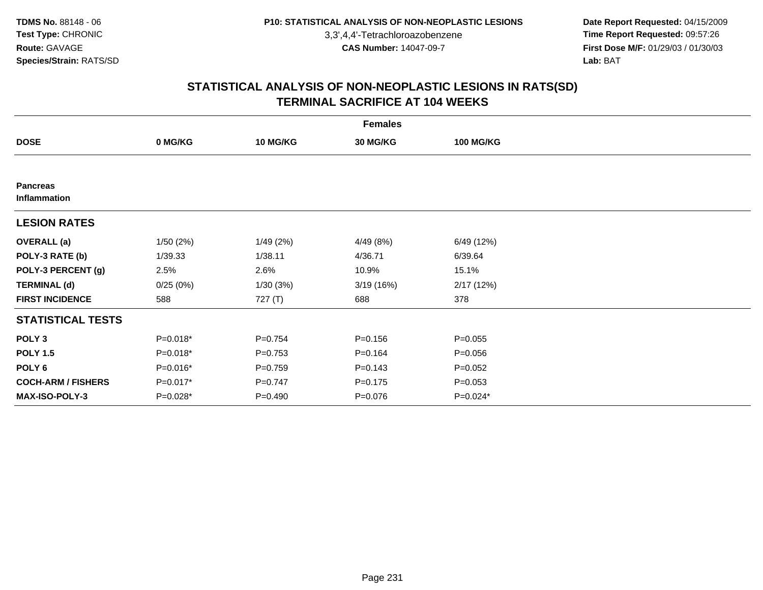**Date Report Requested:** 04/15/2009 **Time Report Requested:** 09:57:26 **First Dose M/F:** 01/29/03 / 01/30/03<br>Lab: BAT **Lab:** BAT

|                                 |            |                 | <b>Females</b>  |                  |  |
|---------------------------------|------------|-----------------|-----------------|------------------|--|
| <b>DOSE</b>                     | 0 MG/KG    | <b>10 MG/KG</b> | <b>30 MG/KG</b> | <b>100 MG/KG</b> |  |
|                                 |            |                 |                 |                  |  |
| <b>Pancreas</b><br>Inflammation |            |                 |                 |                  |  |
| <b>LESION RATES</b>             |            |                 |                 |                  |  |
| <b>OVERALL</b> (a)              | 1/50(2%)   | 1/49(2%)        | 4/49 (8%)       | 6/49 (12%)       |  |
| POLY-3 RATE (b)                 | 1/39.33    | 1/38.11         | 4/36.71         | 6/39.64          |  |
| POLY-3 PERCENT (g)              | 2.5%       | 2.6%            | 10.9%           | 15.1%            |  |
| <b>TERMINAL (d)</b>             | 0/25(0%)   | 1/30(3%)        | 3/19(16%)       | 2/17(12%)        |  |
| <b>FIRST INCIDENCE</b>          | 588        | 727(T)          | 688             | 378              |  |
| <b>STATISTICAL TESTS</b>        |            |                 |                 |                  |  |
| POLY <sub>3</sub>               | $P=0.018*$ | $P = 0.754$     | $P = 0.156$     | $P = 0.055$      |  |
| <b>POLY 1.5</b>                 | $P=0.018*$ | $P = 0.753$     | $P=0.164$       | $P = 0.056$      |  |
| POLY <sub>6</sub>               | $P=0.016*$ | $P = 0.759$     | $P = 0.143$     | $P=0.052$        |  |
| <b>COCH-ARM / FISHERS</b>       | $P=0.017*$ | $P = 0.747$     | $P = 0.175$     | $P = 0.053$      |  |
| MAX-ISO-POLY-3                  | $P=0.028*$ | $P = 0.490$     | $P = 0.076$     | $P=0.024*$       |  |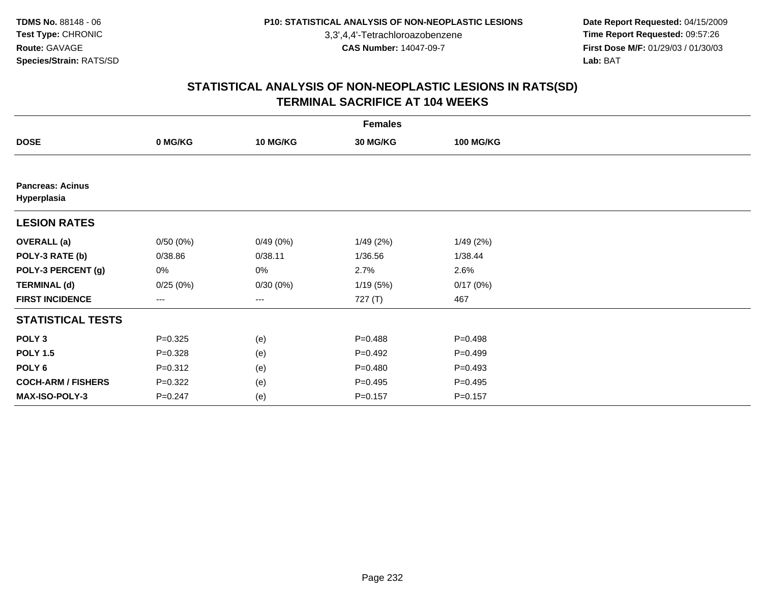**Date Report Requested:** 04/15/2009 **Time Report Requested:** 09:57:26 **First Dose M/F:** 01/29/03 / 01/30/03<br>Lab: BAT **Lab:** BAT

| <b>Females</b>                         |                        |                   |                 |                  |  |  |  |
|----------------------------------------|------------------------|-------------------|-----------------|------------------|--|--|--|
| <b>DOSE</b>                            | 0 MG/KG                | <b>10 MG/KG</b>   | <b>30 MG/KG</b> | <b>100 MG/KG</b> |  |  |  |
|                                        |                        |                   |                 |                  |  |  |  |
| <b>Pancreas: Acinus</b><br>Hyperplasia |                        |                   |                 |                  |  |  |  |
| <b>LESION RATES</b>                    |                        |                   |                 |                  |  |  |  |
| <b>OVERALL</b> (a)                     | 0/50(0%)               | 0/49(0%)          | 1/49(2%)        | 1/49(2%)         |  |  |  |
| POLY-3 RATE (b)                        | 0/38.86                | 0/38.11           | 1/36.56         | 1/38.44          |  |  |  |
| POLY-3 PERCENT (g)                     | 0%                     | 0%                | 2.7%            | 2.6%             |  |  |  |
| <b>TERMINAL (d)</b>                    | 0/25(0%)               | 0/30(0%)          | 1/19(5%)        | 0/17(0%)         |  |  |  |
| <b>FIRST INCIDENCE</b>                 | $\qquad \qquad \cdots$ | $\qquad \qquad -$ | 727(T)          | 467              |  |  |  |
| <b>STATISTICAL TESTS</b>               |                        |                   |                 |                  |  |  |  |
| POLY <sub>3</sub>                      | $P = 0.325$            | (e)               | $P = 0.488$     | $P=0.498$        |  |  |  |
| <b>POLY 1.5</b>                        | $P = 0.328$            | (e)               | $P=0.492$       | $P=0.499$        |  |  |  |
| POLY <sub>6</sub>                      | $P = 0.312$            | (e)               | $P = 0.480$     | $P=0.493$        |  |  |  |
| <b>COCH-ARM / FISHERS</b>              | $P=0.322$              | (e)               | $P = 0.495$     | $P=0.495$        |  |  |  |
| <b>MAX-ISO-POLY-3</b>                  | $P = 0.247$            | (e)               | $P = 0.157$     | $P = 0.157$      |  |  |  |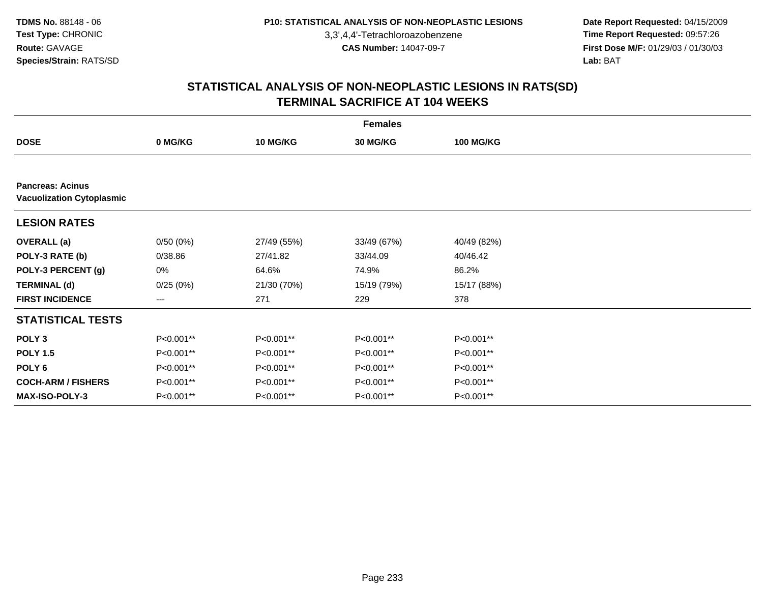**Date Report Requested:** 04/15/2009 **Time Report Requested:** 09:57:26 **First Dose M/F:** 01/29/03 / 01/30/03<br>Lab: BAT **Lab:** BAT

|                                                             |           |             | <b>Females</b>  |                  |  |
|-------------------------------------------------------------|-----------|-------------|-----------------|------------------|--|
| <b>DOSE</b>                                                 | 0 MG/KG   | 10 MG/KG    | <b>30 MG/KG</b> | <b>100 MG/KG</b> |  |
|                                                             |           |             |                 |                  |  |
| <b>Pancreas: Acinus</b><br><b>Vacuolization Cytoplasmic</b> |           |             |                 |                  |  |
| <b>LESION RATES</b>                                         |           |             |                 |                  |  |
| <b>OVERALL</b> (a)                                          | 0/50(0%)  | 27/49 (55%) | 33/49 (67%)     | 40/49 (82%)      |  |
| POLY-3 RATE (b)                                             | 0/38.86   | 27/41.82    | 33/44.09        | 40/46.42         |  |
| POLY-3 PERCENT (g)                                          | 0%        | 64.6%       | 74.9%           | 86.2%            |  |
| <b>TERMINAL (d)</b>                                         | 0/25(0%)  | 21/30 (70%) | 15/19 (79%)     | 15/17 (88%)      |  |
| <b>FIRST INCIDENCE</b>                                      | ---       | 271         | 229             | 378              |  |
| <b>STATISTICAL TESTS</b>                                    |           |             |                 |                  |  |
| POLY <sub>3</sub>                                           | P<0.001** | P<0.001**   | P<0.001**       | P<0.001**        |  |
| <b>POLY 1.5</b>                                             | P<0.001** | P<0.001**   | P<0.001**       | P<0.001**        |  |
| POLY 6                                                      | P<0.001** | P<0.001**   | P<0.001**       | P<0.001**        |  |
| <b>COCH-ARM / FISHERS</b>                                   | P<0.001** | P<0.001**   | P<0.001**       | P<0.001**        |  |
| <b>MAX-ISO-POLY-3</b>                                       | P<0.001** | P<0.001**   | P<0.001**       | P<0.001**        |  |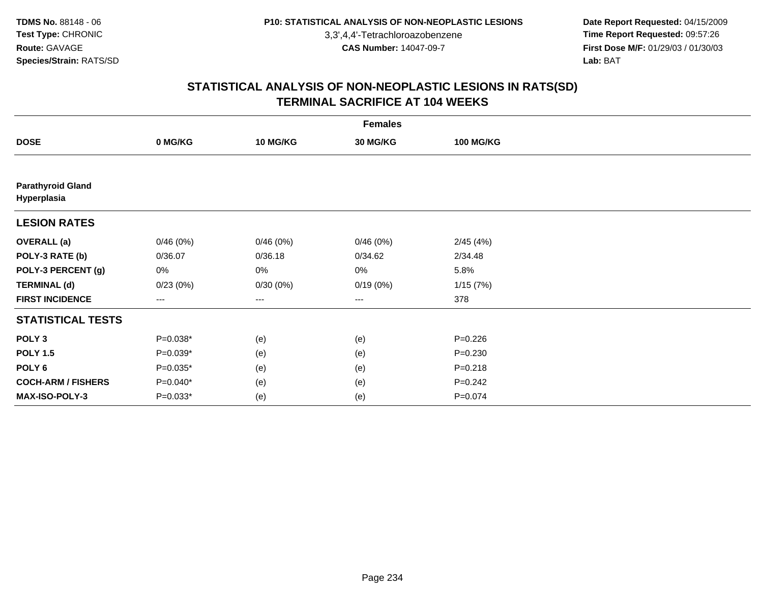**Date Report Requested:** 04/15/2009 **Time Report Requested:** 09:57:26 **First Dose M/F:** 01/29/03 / 01/30/03<br>Lab: BAT **Lab:** BAT

| <b>Females</b>                          |                   |                   |                 |                  |  |  |  |
|-----------------------------------------|-------------------|-------------------|-----------------|------------------|--|--|--|
| <b>DOSE</b>                             | 0 MG/KG           | <b>10 MG/KG</b>   | <b>30 MG/KG</b> | <b>100 MG/KG</b> |  |  |  |
|                                         |                   |                   |                 |                  |  |  |  |
| <b>Parathyroid Gland</b><br>Hyperplasia |                   |                   |                 |                  |  |  |  |
| <b>LESION RATES</b>                     |                   |                   |                 |                  |  |  |  |
| <b>OVERALL</b> (a)                      | 0/46(0%)          | 0/46(0%)          | 0/46(0%)        | 2/45(4%)         |  |  |  |
| POLY-3 RATE (b)                         | 0/36.07           | 0/36.18           | 0/34.62         | 2/34.48          |  |  |  |
| POLY-3 PERCENT (g)                      | 0%                | 0%                | 0%              | 5.8%             |  |  |  |
| <b>TERMINAL (d)</b>                     | 0/23(0%)          | 0/30(0%)          | 0/19(0%)        | 1/15(7%)         |  |  |  |
| <b>FIRST INCIDENCE</b>                  | $\qquad \qquad -$ | $\qquad \qquad -$ | ---             | 378              |  |  |  |
| <b>STATISTICAL TESTS</b>                |                   |                   |                 |                  |  |  |  |
| POLY <sub>3</sub>                       | $P=0.038*$        | (e)               | (e)             | $P = 0.226$      |  |  |  |
| <b>POLY 1.5</b>                         | $P=0.039*$        | (e)               | (e)             | $P = 0.230$      |  |  |  |
| POLY <sub>6</sub>                       | $P=0.035*$        | (e)               | (e)             | $P = 0.218$      |  |  |  |
| <b>COCH-ARM / FISHERS</b>               | $P=0.040*$        | (e)               | (e)             | $P=0.242$        |  |  |  |
| MAX-ISO-POLY-3                          | $P=0.033*$        | (e)               | (e)             | $P = 0.074$      |  |  |  |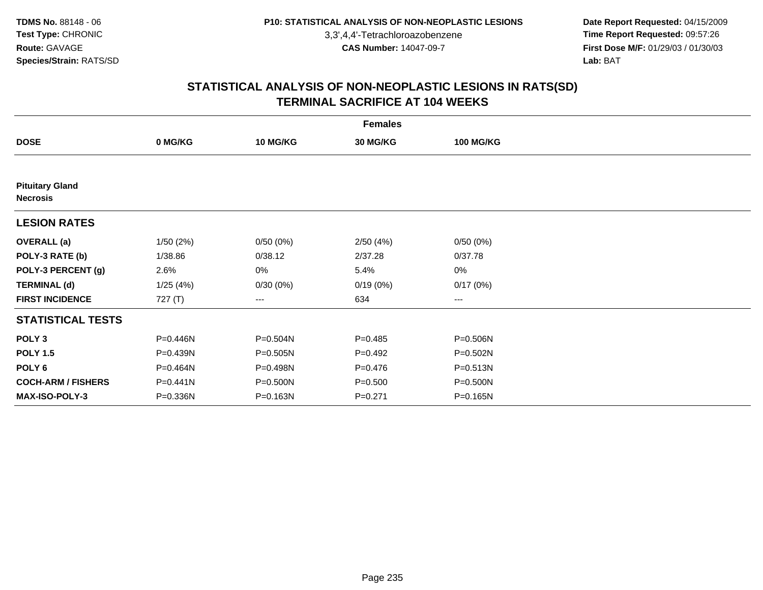**Date Report Requested:** 04/15/2009 **Time Report Requested:** 09:57:26 **First Dose M/F:** 01/29/03 / 01/30/03<br>Lab: BAT **Lab:** BAT

| <b>Females</b>                            |          |                 |             |                  |  |  |  |
|-------------------------------------------|----------|-----------------|-------------|------------------|--|--|--|
| <b>DOSE</b>                               | 0 MG/KG  | <b>10 MG/KG</b> | 30 MG/KG    | <b>100 MG/KG</b> |  |  |  |
|                                           |          |                 |             |                  |  |  |  |
| <b>Pituitary Gland</b><br><b>Necrosis</b> |          |                 |             |                  |  |  |  |
| <b>LESION RATES</b>                       |          |                 |             |                  |  |  |  |
| <b>OVERALL</b> (a)                        | 1/50(2%) | 0/50(0%)        | 2/50(4%)    | 0/50(0%)         |  |  |  |
| POLY-3 RATE (b)                           | 1/38.86  | 0/38.12         | 2/37.28     | 0/37.78          |  |  |  |
| POLY-3 PERCENT (g)                        | 2.6%     | 0%              | 5.4%        | 0%               |  |  |  |
| <b>TERMINAL (d)</b>                       | 1/25(4%) | 0/30(0%)        | 0/19(0%)    | 0/17(0%)         |  |  |  |
| <b>FIRST INCIDENCE</b>                    | 727 (T)  | ---             | 634         | $--$             |  |  |  |
| <b>STATISTICAL TESTS</b>                  |          |                 |             |                  |  |  |  |
| POLY <sub>3</sub>                         | P=0.446N | P=0.504N        | $P=0.485$   | P=0.506N         |  |  |  |
| <b>POLY 1.5</b>                           | P=0.439N | $P = 0.505N$    | $P=0.492$   | P=0.502N         |  |  |  |
| POLY <sub>6</sub>                         | P=0.464N | P=0.498N        | $P = 0.476$ | P=0.513N         |  |  |  |
| <b>COCH-ARM / FISHERS</b>                 | P=0.441N | P=0.500N        | $P = 0.500$ | P=0.500N         |  |  |  |
| MAX-ISO-POLY-3                            | P=0.336N | P=0.163N        | $P=0.271$   | P=0.165N         |  |  |  |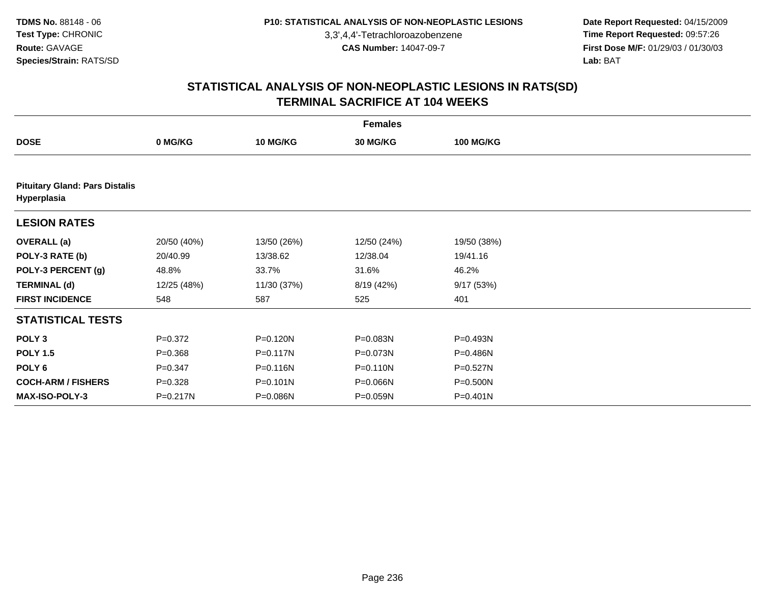**Date Report Requested:** 04/15/2009 **Time Report Requested:** 09:57:26 **First Dose M/F:** 01/29/03 / 01/30/03<br>Lab: BAT **Lab:** BAT

| <b>Females</b>                                       |              |                 |              |                  |  |  |  |
|------------------------------------------------------|--------------|-----------------|--------------|------------------|--|--|--|
| <b>DOSE</b>                                          | 0 MG/KG      | <b>10 MG/KG</b> | 30 MG/KG     | <b>100 MG/KG</b> |  |  |  |
|                                                      |              |                 |              |                  |  |  |  |
| <b>Pituitary Gland: Pars Distalis</b><br>Hyperplasia |              |                 |              |                  |  |  |  |
| <b>LESION RATES</b>                                  |              |                 |              |                  |  |  |  |
| <b>OVERALL</b> (a)                                   | 20/50 (40%)  | 13/50 (26%)     | 12/50 (24%)  | 19/50 (38%)      |  |  |  |
| POLY-3 RATE (b)                                      | 20/40.99     | 13/38.62        | 12/38.04     | 19/41.16         |  |  |  |
| POLY-3 PERCENT (g)                                   | 48.8%        | 33.7%           | 31.6%        | 46.2%            |  |  |  |
| <b>TERMINAL (d)</b>                                  | 12/25 (48%)  | 11/30 (37%)     | 8/19 (42%)   | 9/17(53%)        |  |  |  |
| <b>FIRST INCIDENCE</b>                               | 548          | 587             | 525          | 401              |  |  |  |
| <b>STATISTICAL TESTS</b>                             |              |                 |              |                  |  |  |  |
| POLY <sub>3</sub>                                    | $P = 0.372$  | P=0.120N        | P=0.083N     | P=0.493N         |  |  |  |
| <b>POLY 1.5</b>                                      | $P = 0.368$  | P=0.117N        | P=0.073N     | P=0.486N         |  |  |  |
| POLY <sub>6</sub>                                    | $P = 0.347$  | P=0.116N        | $P = 0.110N$ | P=0.527N         |  |  |  |
| <b>COCH-ARM / FISHERS</b>                            | $P = 0.328$  | $P = 0.101N$    | P=0.066N     | P=0.500N         |  |  |  |
| <b>MAX-ISO-POLY-3</b>                                | $P = 0.217N$ | P=0.086N        | P=0.059N     | P=0.401N         |  |  |  |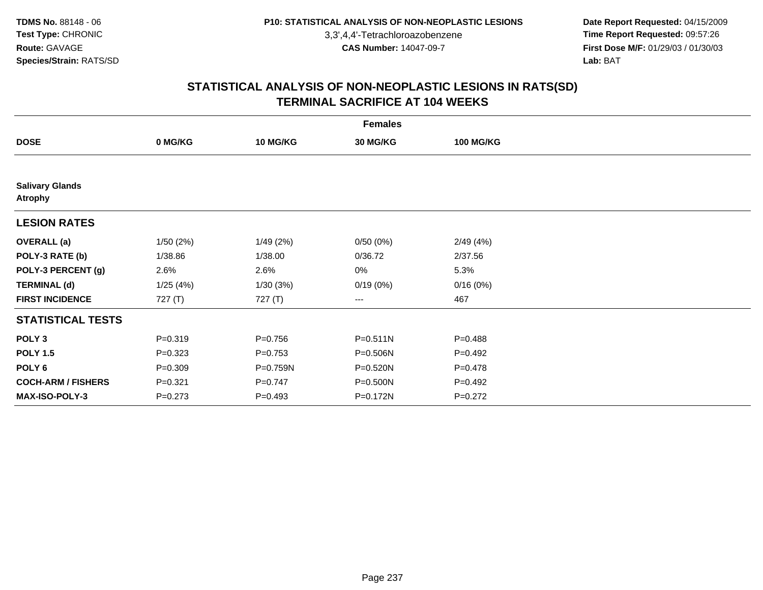**Date Report Requested:** 04/15/2009 **Time Report Requested:** 09:57:26 **First Dose M/F:** 01/29/03 / 01/30/03<br>Lab: BAT **Lab:** BAT

| <b>Females</b>                    |             |                 |                 |                  |  |  |  |
|-----------------------------------|-------------|-----------------|-----------------|------------------|--|--|--|
| <b>DOSE</b>                       | 0 MG/KG     | <b>10 MG/KG</b> | <b>30 MG/KG</b> | <b>100 MG/KG</b> |  |  |  |
|                                   |             |                 |                 |                  |  |  |  |
| <b>Salivary Glands</b><br>Atrophy |             |                 |                 |                  |  |  |  |
| <b>LESION RATES</b>               |             |                 |                 |                  |  |  |  |
| <b>OVERALL</b> (a)                | 1/50(2%)    | 1/49(2%)        | 0/50(0%)        | 2/49 (4%)        |  |  |  |
| POLY-3 RATE (b)                   | 1/38.86     | 1/38.00         | 0/36.72         | 2/37.56          |  |  |  |
| POLY-3 PERCENT (g)                | 2.6%        | 2.6%            | 0%              | 5.3%             |  |  |  |
| <b>TERMINAL (d)</b>               | 1/25(4%)    | 1/30(3%)        | 0/19(0%)        | 0/16(0%)         |  |  |  |
| <b>FIRST INCIDENCE</b>            | 727 (T)     | 727 (T)         | ---             | 467              |  |  |  |
| <b>STATISTICAL TESTS</b>          |             |                 |                 |                  |  |  |  |
| POLY <sub>3</sub>                 | $P = 0.319$ | $P = 0.756$     | $P = 0.511N$    | $P=0.488$        |  |  |  |
| <b>POLY 1.5</b>                   | $P = 0.323$ | $P = 0.753$     | P=0.506N        | $P=0.492$        |  |  |  |
| POLY <sub>6</sub>                 | $P = 0.309$ | P=0.759N        | P=0.520N        | $P=0.478$        |  |  |  |
| <b>COCH-ARM / FISHERS</b>         | $P = 0.321$ | $P = 0.747$     | P=0.500N        | $P=0.492$        |  |  |  |
| MAX-ISO-POLY-3                    | $P = 0.273$ | $P=0.493$       | P=0.172N        | $P = 0.272$      |  |  |  |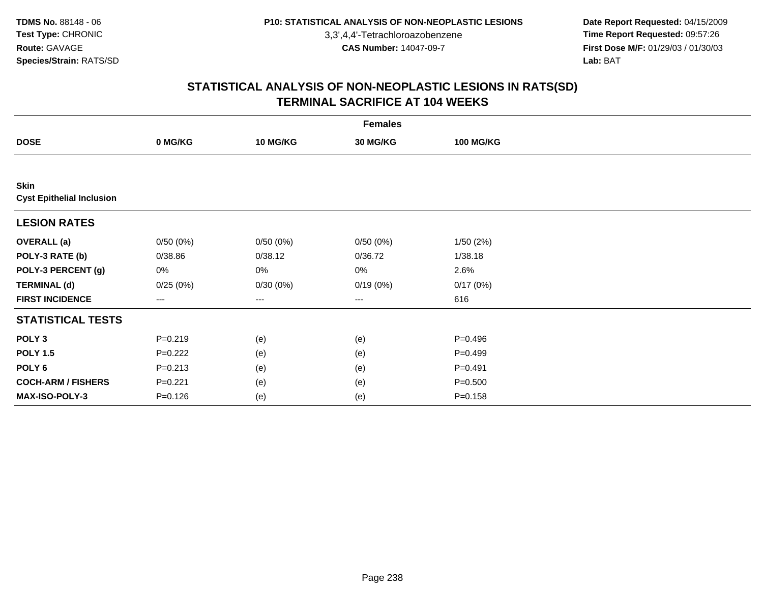**Date Report Requested:** 04/15/2009 **Time Report Requested:** 09:57:26 **First Dose M/F:** 01/29/03 / 01/30/03<br>Lab: BAT **Lab:** BAT

|                                                 | <b>Females</b>         |          |          |                  |  |  |  |  |
|-------------------------------------------------|------------------------|----------|----------|------------------|--|--|--|--|
| <b>DOSE</b>                                     | 0 MG/KG                | 10 MG/KG | 30 MG/KG | <b>100 MG/KG</b> |  |  |  |  |
|                                                 |                        |          |          |                  |  |  |  |  |
| <b>Skin</b><br><b>Cyst Epithelial Inclusion</b> |                        |          |          |                  |  |  |  |  |
| <b>LESION RATES</b>                             |                        |          |          |                  |  |  |  |  |
| <b>OVERALL</b> (a)                              | 0/50(0%)               | 0/50(0%) | 0/50(0%) | 1/50(2%)         |  |  |  |  |
| POLY-3 RATE (b)                                 | 0/38.86                | 0/38.12  | 0/36.72  | 1/38.18          |  |  |  |  |
| POLY-3 PERCENT (g)                              | 0%                     | 0%       | 0%       | 2.6%             |  |  |  |  |
| <b>TERMINAL (d)</b>                             | 0/25(0%)               | 0/30(0%) | 0/19(0%) | 0/17(0%)         |  |  |  |  |
| <b>FIRST INCIDENCE</b>                          | $\qquad \qquad \cdots$ | ---      | ---      | 616              |  |  |  |  |
| <b>STATISTICAL TESTS</b>                        |                        |          |          |                  |  |  |  |  |
| POLY <sub>3</sub>                               | $P = 0.219$            | (e)      | (e)      | $P=0.496$        |  |  |  |  |
| <b>POLY 1.5</b>                                 | $P=0.222$              | (e)      | (e)      | $P=0.499$        |  |  |  |  |
| POLY <sub>6</sub>                               | $P = 0.213$            | (e)      | (e)      | $P = 0.491$      |  |  |  |  |
| <b>COCH-ARM / FISHERS</b>                       | $P=0.221$              | (e)      | (e)      | $P = 0.500$      |  |  |  |  |
| MAX-ISO-POLY-3                                  | $P = 0.126$            | (e)      | (e)      | $P = 0.158$      |  |  |  |  |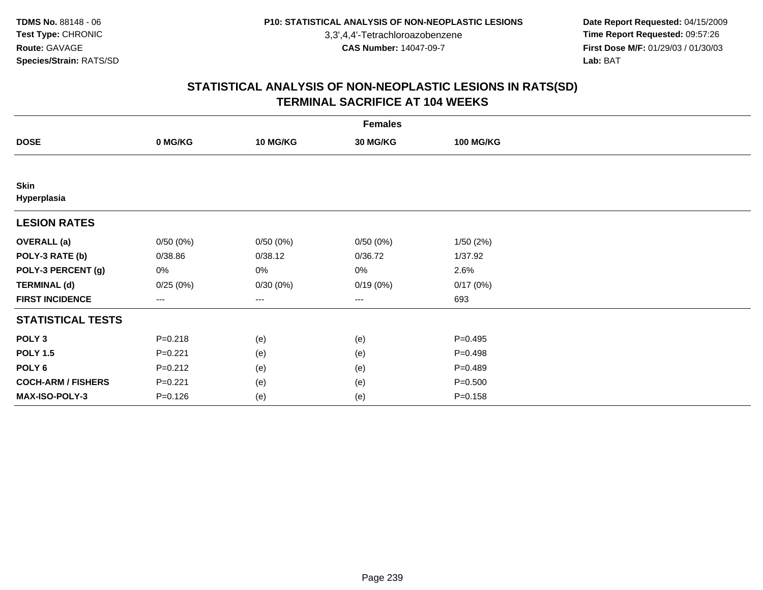**Date Report Requested:** 04/15/2009 **Time Report Requested:** 09:57:26 **First Dose M/F:** 01/29/03 / 01/30/03<br>Lab: BAT **Lab:** BAT

|                            | <b>Females</b>         |          |          |                  |  |  |  |  |
|----------------------------|------------------------|----------|----------|------------------|--|--|--|--|
| <b>DOSE</b>                | 0 MG/KG                | 10 MG/KG | 30 MG/KG | <b>100 MG/KG</b> |  |  |  |  |
|                            |                        |          |          |                  |  |  |  |  |
| <b>Skin</b><br>Hyperplasia |                        |          |          |                  |  |  |  |  |
| <b>LESION RATES</b>        |                        |          |          |                  |  |  |  |  |
| <b>OVERALL</b> (a)         | 0/50(0%)               | 0/50(0%) | 0/50(0%) | 1/50(2%)         |  |  |  |  |
| POLY-3 RATE (b)            | 0/38.86                | 0/38.12  | 0/36.72  | 1/37.92          |  |  |  |  |
| POLY-3 PERCENT (g)         | 0%                     | 0%       | 0%       | 2.6%             |  |  |  |  |
| <b>TERMINAL (d)</b>        | 0/25(0%)               | 0/30(0%) | 0/19(0%) | 0/17(0%)         |  |  |  |  |
| <b>FIRST INCIDENCE</b>     | $\qquad \qquad \cdots$ | ---      | ---      | 693              |  |  |  |  |
| <b>STATISTICAL TESTS</b>   |                        |          |          |                  |  |  |  |  |
| POLY <sub>3</sub>          | $P = 0.218$            | (e)      | (e)      | $P=0.495$        |  |  |  |  |
| <b>POLY 1.5</b>            | $P = 0.221$            | (e)      | (e)      | $P=0.498$        |  |  |  |  |
| POLY <sub>6</sub>          | $P = 0.212$            | (e)      | (e)      | $P=0.489$        |  |  |  |  |
| <b>COCH-ARM / FISHERS</b>  | $P=0.221$              | (e)      | (e)      | $P = 0.500$      |  |  |  |  |
| MAX-ISO-POLY-3             | $P = 0.126$            | (e)      | (e)      | $P = 0.158$      |  |  |  |  |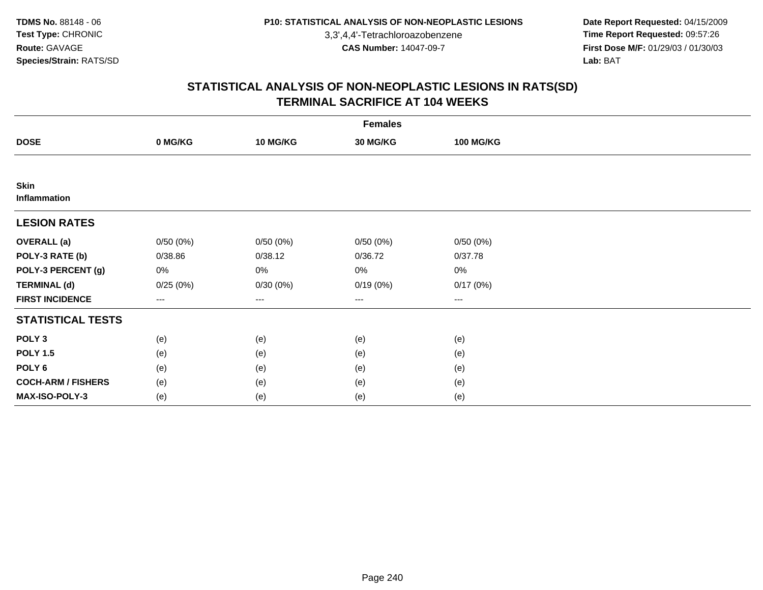**Date Report Requested:** 04/15/2009 **Time Report Requested:** 09:57:26 **First Dose M/F:** 01/29/03 / 01/30/03<br>Lab: BAT **Lab:** BAT

| <b>Females</b>            |                        |          |          |                  |  |  |  |
|---------------------------|------------------------|----------|----------|------------------|--|--|--|
| <b>DOSE</b>               | 0 MG/KG                | 10 MG/KG | 30 MG/KG | <b>100 MG/KG</b> |  |  |  |
|                           |                        |          |          |                  |  |  |  |
| <b>Skin</b>               |                        |          |          |                  |  |  |  |
| Inflammation              |                        |          |          |                  |  |  |  |
| <b>LESION RATES</b>       |                        |          |          |                  |  |  |  |
| <b>OVERALL</b> (a)        | 0/50(0%)               | 0/50(0%) | 0/50(0%) | 0/50(0%)         |  |  |  |
| POLY-3 RATE (b)           | 0/38.86                | 0/38.12  | 0/36.72  | 0/37.78          |  |  |  |
| POLY-3 PERCENT (g)        | 0%                     | 0%       | 0%       | 0%               |  |  |  |
| <b>TERMINAL (d)</b>       | 0/25(0%)               | 0/30(0%) | 0/19(0%) | 0/17(0%)         |  |  |  |
| <b>FIRST INCIDENCE</b>    | $\qquad \qquad \cdots$ | ---      | ---      | $--$             |  |  |  |
| <b>STATISTICAL TESTS</b>  |                        |          |          |                  |  |  |  |
| POLY <sub>3</sub>         | (e)                    | (e)      | (e)      | (e)              |  |  |  |
| <b>POLY 1.5</b>           | (e)                    | (e)      | (e)      | (e)              |  |  |  |
| POLY <sub>6</sub>         | (e)                    | (e)      | (e)      | (e)              |  |  |  |
| <b>COCH-ARM / FISHERS</b> | (e)                    | (e)      | (e)      | (e)              |  |  |  |
| MAX-ISO-POLY-3            | (e)                    | (e)      | (e)      | (e)              |  |  |  |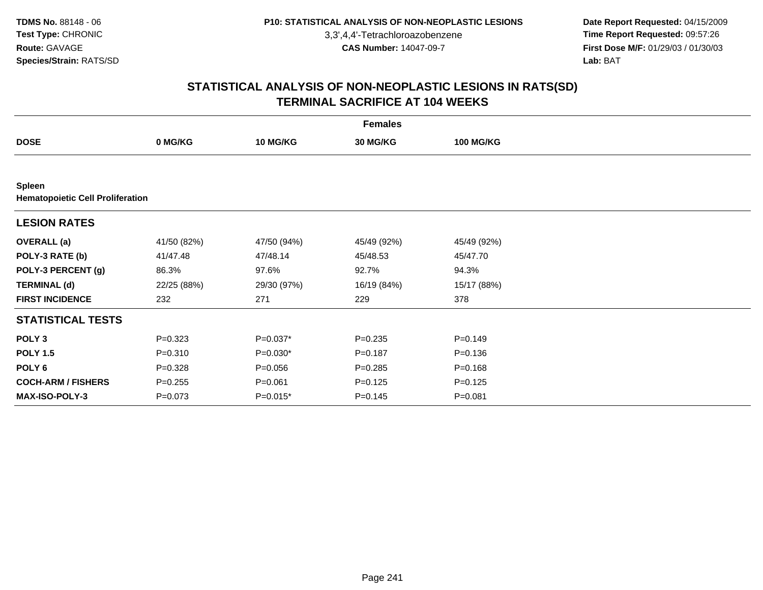**Date Report Requested:** 04/15/2009 **Time Report Requested:** 09:57:26 **First Dose M/F:** 01/29/03 / 01/30/03<br>Lab: BAT **Lab:** BAT

|                                                          | <b>Females</b> |                 |             |                  |  |  |  |  |
|----------------------------------------------------------|----------------|-----------------|-------------|------------------|--|--|--|--|
| <b>DOSE</b>                                              | 0 MG/KG        | <b>10 MG/KG</b> | 30 MG/KG    | <b>100 MG/KG</b> |  |  |  |  |
|                                                          |                |                 |             |                  |  |  |  |  |
| <b>Spleen</b><br><b>Hematopoietic Cell Proliferation</b> |                |                 |             |                  |  |  |  |  |
| <b>LESION RATES</b>                                      |                |                 |             |                  |  |  |  |  |
| <b>OVERALL</b> (a)                                       | 41/50 (82%)    | 47/50 (94%)     | 45/49 (92%) | 45/49 (92%)      |  |  |  |  |
| POLY-3 RATE (b)                                          | 41/47.48       | 47/48.14        | 45/48.53    | 45/47.70         |  |  |  |  |
| POLY-3 PERCENT (g)                                       | 86.3%          | 97.6%           | 92.7%       | 94.3%            |  |  |  |  |
| <b>TERMINAL (d)</b>                                      | 22/25 (88%)    | 29/30 (97%)     | 16/19 (84%) | 15/17 (88%)      |  |  |  |  |
| <b>FIRST INCIDENCE</b>                                   | 232            | 271             | 229         | 378              |  |  |  |  |
| <b>STATISTICAL TESTS</b>                                 |                |                 |             |                  |  |  |  |  |
| POLY <sub>3</sub>                                        | $P = 0.323$    | $P=0.037*$      | $P = 0.235$ | $P = 0.149$      |  |  |  |  |
| <b>POLY 1.5</b>                                          | $P = 0.310$    | $P=0.030*$      | $P = 0.187$ | $P = 0.136$      |  |  |  |  |
| POLY <sub>6</sub>                                        | $P = 0.328$    | $P = 0.056$     | $P = 0.285$ | $P = 0.168$      |  |  |  |  |
| <b>COCH-ARM / FISHERS</b>                                | $P = 0.255$    | $P = 0.061$     | $P = 0.125$ | $P = 0.125$      |  |  |  |  |
| <b>MAX-ISO-POLY-3</b>                                    | $P = 0.073$    | $P=0.015*$      | $P = 0.145$ | $P = 0.081$      |  |  |  |  |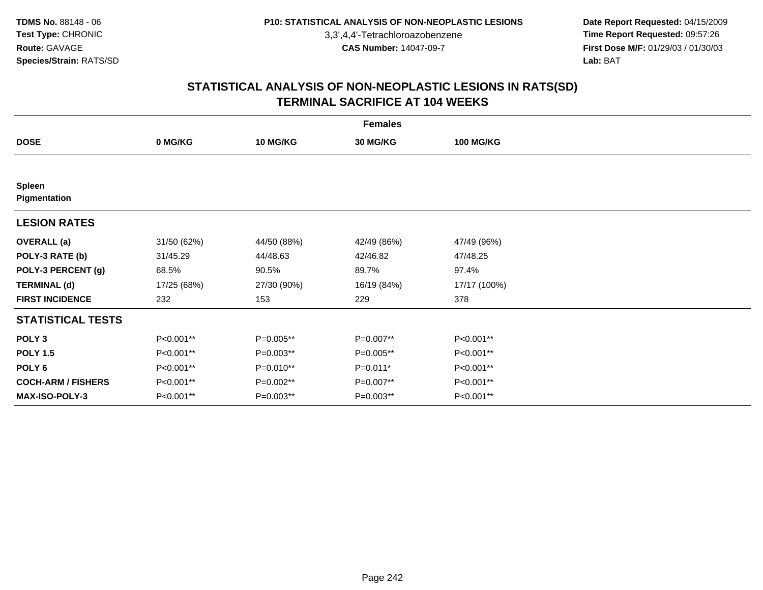**Date Report Requested:** 04/15/2009 **Time Report Requested:** 09:57:26 **First Dose M/F:** 01/29/03 / 01/30/03<br>Lab: BAT **Lab:** BAT

| <b>Females</b>                |             |                 |                 |                  |  |  |  |
|-------------------------------|-------------|-----------------|-----------------|------------------|--|--|--|
| <b>DOSE</b>                   | 0 MG/KG     | <b>10 MG/KG</b> | <b>30 MG/KG</b> | <b>100 MG/KG</b> |  |  |  |
|                               |             |                 |                 |                  |  |  |  |
| <b>Spleen</b><br>Pigmentation |             |                 |                 |                  |  |  |  |
| <b>LESION RATES</b>           |             |                 |                 |                  |  |  |  |
| <b>OVERALL</b> (a)            | 31/50 (62%) | 44/50 (88%)     | 42/49 (86%)     | 47/49 (96%)      |  |  |  |
| POLY-3 RATE (b)               | 31/45.29    | 44/48.63        | 42/46.82        | 47/48.25         |  |  |  |
| POLY-3 PERCENT (g)            | 68.5%       | 90.5%           | 89.7%           | 97.4%            |  |  |  |
| <b>TERMINAL (d)</b>           | 17/25 (68%) | 27/30 (90%)     | 16/19 (84%)     | 17/17 (100%)     |  |  |  |
| <b>FIRST INCIDENCE</b>        | 232         | 153             | 229             | 378              |  |  |  |
| <b>STATISTICAL TESTS</b>      |             |                 |                 |                  |  |  |  |
| POLY <sub>3</sub>             | P<0.001**   | $P=0.005**$     | P=0.007**       | P<0.001**        |  |  |  |
| <b>POLY 1.5</b>               | P<0.001**   | $P=0.003**$     | P=0.005**       | P<0.001**        |  |  |  |
| POLY <sub>6</sub>             | P<0.001**   | $P=0.010**$     | $P=0.011*$      | P<0.001**        |  |  |  |
| <b>COCH-ARM / FISHERS</b>     | P<0.001**   | P=0.002**       | P=0.007**       | P<0.001**        |  |  |  |
| MAX-ISO-POLY-3                | P<0.001**   | P=0.003**       | $P=0.003**$     | P<0.001**        |  |  |  |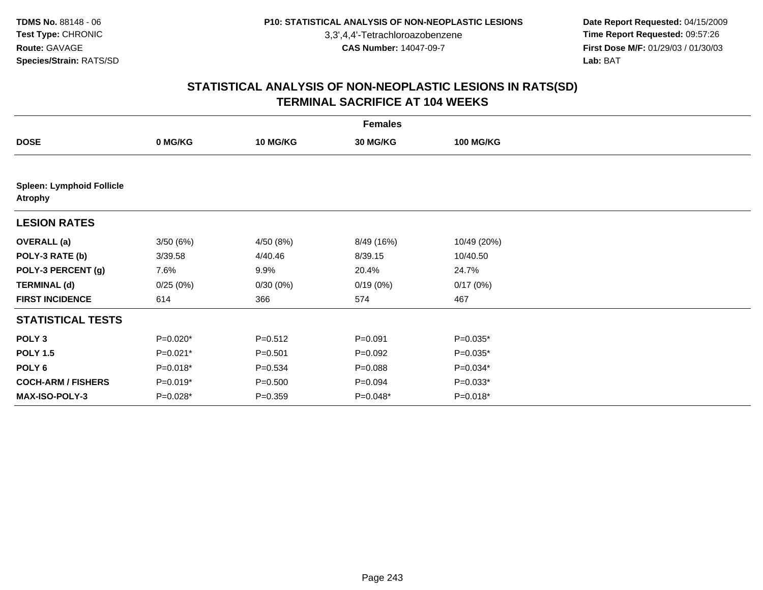**Date Report Requested:** 04/15/2009 **Time Report Requested:** 09:57:26 **First Dose M/F:** 01/29/03 / 01/30/03<br>Lab: BAT **Lab:** BAT

|                                                    | <b>Females</b> |                 |             |                  |  |  |  |  |
|----------------------------------------------------|----------------|-----------------|-------------|------------------|--|--|--|--|
| <b>DOSE</b>                                        | 0 MG/KG        | <b>10 MG/KG</b> | 30 MG/KG    | <b>100 MG/KG</b> |  |  |  |  |
|                                                    |                |                 |             |                  |  |  |  |  |
| <b>Spleen: Lymphoid Follicle</b><br><b>Atrophy</b> |                |                 |             |                  |  |  |  |  |
| <b>LESION RATES</b>                                |                |                 |             |                  |  |  |  |  |
| <b>OVERALL</b> (a)                                 | 3/50(6%)       | 4/50 (8%)       | 8/49 (16%)  | 10/49 (20%)      |  |  |  |  |
| POLY-3 RATE (b)                                    | 3/39.58        | 4/40.46         | 8/39.15     | 10/40.50         |  |  |  |  |
| POLY-3 PERCENT (g)                                 | 7.6%           | 9.9%            | 20.4%       | 24.7%            |  |  |  |  |
| <b>TERMINAL (d)</b>                                | 0/25(0%)       | 0/30(0%)        | 0/19(0%)    | 0/17(0%)         |  |  |  |  |
| <b>FIRST INCIDENCE</b>                             | 614            | 366             | 574         | 467              |  |  |  |  |
| <b>STATISTICAL TESTS</b>                           |                |                 |             |                  |  |  |  |  |
| POLY <sub>3</sub>                                  | P=0.020*       | $P = 0.512$     | $P = 0.091$ | P=0.035*         |  |  |  |  |
| <b>POLY 1.5</b>                                    | $P=0.021*$     | $P = 0.501$     | $P=0.092$   | $P=0.035*$       |  |  |  |  |
| POLY <sub>6</sub>                                  | P=0.018*       | $P = 0.534$     | $P = 0.088$ | P=0.034*         |  |  |  |  |
| <b>COCH-ARM / FISHERS</b>                          | P=0.019*       | $P = 0.500$     | $P=0.094$   | $P=0.033*$       |  |  |  |  |
| MAX-ISO-POLY-3                                     | P=0.028*       | $P = 0.359$     | P=0.048*    | P=0.018*         |  |  |  |  |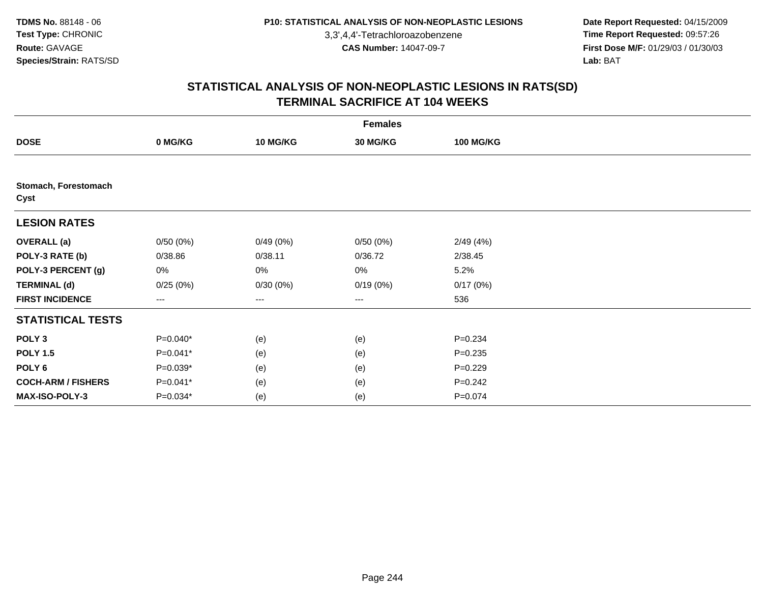**Date Report Requested:** 04/15/2009 **Time Report Requested:** 09:57:26 **First Dose M/F:** 01/29/03 / 01/30/03<br>Lab: BAT **Lab:** BAT

|                              | <b>Females</b>         |          |                 |                  |  |  |  |  |
|------------------------------|------------------------|----------|-----------------|------------------|--|--|--|--|
| <b>DOSE</b>                  | 0 MG/KG                | 10 MG/KG | <b>30 MG/KG</b> | <b>100 MG/KG</b> |  |  |  |  |
|                              |                        |          |                 |                  |  |  |  |  |
| Stomach, Forestomach<br>Cyst |                        |          |                 |                  |  |  |  |  |
| <b>LESION RATES</b>          |                        |          |                 |                  |  |  |  |  |
| <b>OVERALL</b> (a)           | 0/50(0%)               | 0/49(0%) | 0/50(0%)        | 2/49(4%)         |  |  |  |  |
| POLY-3 RATE (b)              | 0/38.86                | 0/38.11  | 0/36.72         | 2/38.45          |  |  |  |  |
| POLY-3 PERCENT (g)           | 0%                     | $0\%$    | 0%              | 5.2%             |  |  |  |  |
| <b>TERMINAL (d)</b>          | 0/25(0%)               | 0/30(0%) | 0/19(0%)        | 0/17(0%)         |  |  |  |  |
| <b>FIRST INCIDENCE</b>       | $\qquad \qquad \cdots$ | ---      | ---             | 536              |  |  |  |  |
| <b>STATISTICAL TESTS</b>     |                        |          |                 |                  |  |  |  |  |
| POLY <sub>3</sub>            | $P=0.040*$             | (e)      | (e)             | $P = 0.234$      |  |  |  |  |
| <b>POLY 1.5</b>              | $P=0.041*$             | (e)      | (e)             | $P = 0.235$      |  |  |  |  |
| POLY <sub>6</sub>            | $P=0.039*$             | (e)      | (e)             | $P=0.229$        |  |  |  |  |
| <b>COCH-ARM / FISHERS</b>    | $P=0.041*$             | (e)      | (e)             | $P = 0.242$      |  |  |  |  |
| MAX-ISO-POLY-3               | $P=0.034*$             | (e)      | (e)             | $P = 0.074$      |  |  |  |  |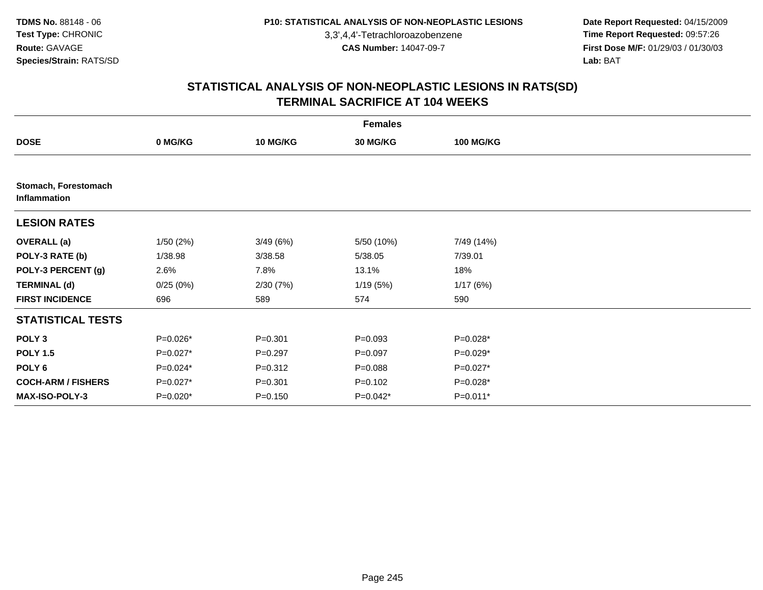**Date Report Requested:** 04/15/2009 **Time Report Requested:** 09:57:26 **First Dose M/F:** 01/29/03 / 01/30/03<br>Lab: BAT **Lab:** BAT

|                                      | <b>Females</b> |             |             |                  |  |  |  |  |
|--------------------------------------|----------------|-------------|-------------|------------------|--|--|--|--|
| <b>DOSE</b>                          | 0 MG/KG        | 10 MG/KG    | 30 MG/KG    | <b>100 MG/KG</b> |  |  |  |  |
|                                      |                |             |             |                  |  |  |  |  |
| Stomach, Forestomach<br>Inflammation |                |             |             |                  |  |  |  |  |
| <b>LESION RATES</b>                  |                |             |             |                  |  |  |  |  |
| <b>OVERALL</b> (a)                   | 1/50(2%)       | 3/49(6%)    | 5/50 (10%)  | 7/49 (14%)       |  |  |  |  |
| POLY-3 RATE (b)                      | 1/38.98        | 3/38.58     | 5/38.05     | 7/39.01          |  |  |  |  |
| POLY-3 PERCENT (g)                   | 2.6%           | 7.8%        | 13.1%       | 18%              |  |  |  |  |
| <b>TERMINAL (d)</b>                  | 0/25(0%)       | 2/30(7%)    | 1/19(5%)    | 1/17(6%)         |  |  |  |  |
| <b>FIRST INCIDENCE</b>               | 696            | 589         | 574         | 590              |  |  |  |  |
| <b>STATISTICAL TESTS</b>             |                |             |             |                  |  |  |  |  |
| POLY <sub>3</sub>                    | $P=0.026*$     | $P = 0.301$ | $P = 0.093$ | P=0.028*         |  |  |  |  |
| <b>POLY 1.5</b>                      | $P=0.027*$     | $P = 0.297$ | $P = 0.097$ | P=0.029*         |  |  |  |  |
| POLY 6                               | $P=0.024*$     | $P = 0.312$ | $P = 0.088$ | P=0.027*         |  |  |  |  |
| <b>COCH-ARM / FISHERS</b>            | $P=0.027*$     | $P = 0.301$ | $P = 0.102$ | P=0.028*         |  |  |  |  |
| <b>MAX-ISO-POLY-3</b>                | $P=0.020*$     | $P = 0.150$ | $P=0.042*$  | P=0.011*         |  |  |  |  |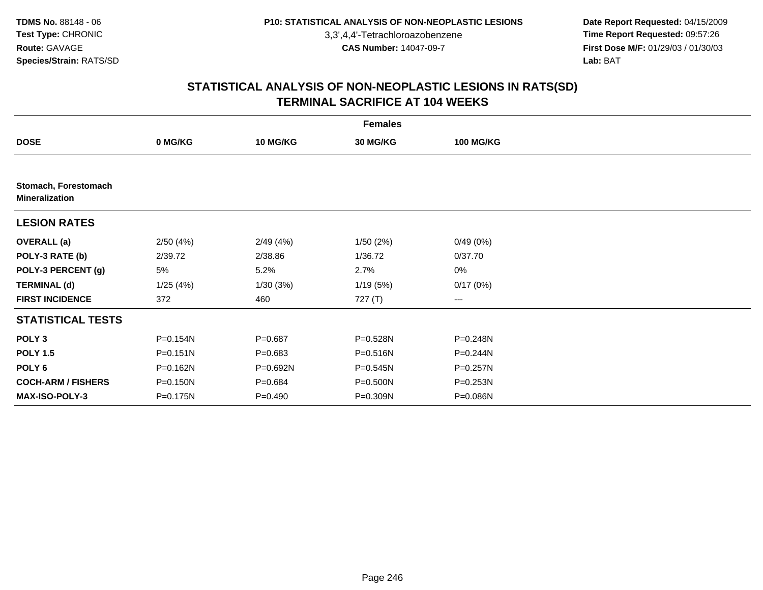**Date Report Requested:** 04/15/2009 **Time Report Requested:** 09:57:26 **First Dose M/F:** 01/29/03 / 01/30/03<br>Lab: BAT **Lab:** BAT

| <b>Females</b>                                |              |             |              |                  |  |  |  |
|-----------------------------------------------|--------------|-------------|--------------|------------------|--|--|--|
| <b>DOSE</b>                                   | 0 MG/KG      | 10 MG/KG    | 30 MG/KG     | <b>100 MG/KG</b> |  |  |  |
|                                               |              |             |              |                  |  |  |  |
| Stomach, Forestomach<br><b>Mineralization</b> |              |             |              |                  |  |  |  |
| <b>LESION RATES</b>                           |              |             |              |                  |  |  |  |
| <b>OVERALL</b> (a)                            | 2/50(4%)     | 2/49(4%)    | 1/50(2%)     | 0/49(0%)         |  |  |  |
| POLY-3 RATE (b)                               | 2/39.72      | 2/38.86     | 1/36.72      | 0/37.70          |  |  |  |
| POLY-3 PERCENT (g)                            | 5%           | 5.2%        | 2.7%         | $0\%$            |  |  |  |
| <b>TERMINAL (d)</b>                           | 1/25(4%)     | 1/30(3%)    | 1/19(5%)     | 0/17(0%)         |  |  |  |
| <b>FIRST INCIDENCE</b>                        | 372          | 460         | 727 (T)      | ---              |  |  |  |
| <b>STATISTICAL TESTS</b>                      |              |             |              |                  |  |  |  |
| POLY <sub>3</sub>                             | P=0.154N     | $P = 0.687$ | P=0.528N     | P=0.248N         |  |  |  |
| <b>POLY 1.5</b>                               | $P = 0.151N$ | $P = 0.683$ | P=0.516N     | P=0.244N         |  |  |  |
| POLY <sub>6</sub>                             | P=0.162N     | P=0.692N    | $P = 0.545N$ | P=0.257N         |  |  |  |
| <b>COCH-ARM / FISHERS</b>                     | P=0.150N     | $P = 0.684$ | P=0.500N     | P=0.253N         |  |  |  |
| <b>MAX-ISO-POLY-3</b>                         | P=0.175N     | $P=0.490$   | P=0.309N     | P=0.086N         |  |  |  |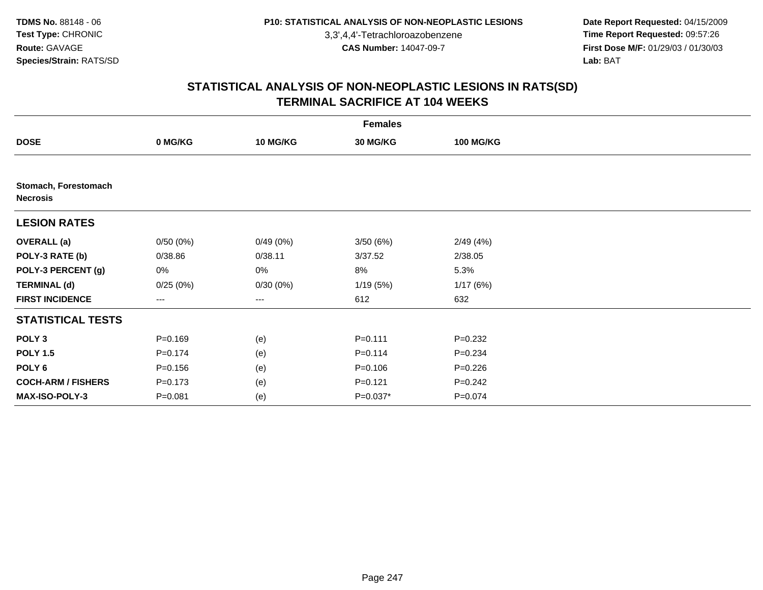**Date Report Requested:** 04/15/2009 **Time Report Requested:** 09:57:26 **First Dose M/F:** 01/29/03 / 01/30/03<br>Lab: BAT **Lab:** BAT

|                                         | <b>Females</b> |          |             |                  |  |  |  |  |
|-----------------------------------------|----------------|----------|-------------|------------------|--|--|--|--|
| <b>DOSE</b>                             | 0 MG/KG        | 10 MG/KG | 30 MG/KG    | <b>100 MG/KG</b> |  |  |  |  |
|                                         |                |          |             |                  |  |  |  |  |
| Stomach, Forestomach<br><b>Necrosis</b> |                |          |             |                  |  |  |  |  |
| <b>LESION RATES</b>                     |                |          |             |                  |  |  |  |  |
| <b>OVERALL</b> (a)                      | 0/50(0%)       | 0/49(0%) | 3/50(6%)    | 2/49(4%)         |  |  |  |  |
| POLY-3 RATE (b)                         | 0/38.86        | 0/38.11  | 3/37.52     | 2/38.05          |  |  |  |  |
| POLY-3 PERCENT (g)                      | 0%             | 0%       | 8%          | 5.3%             |  |  |  |  |
| <b>TERMINAL (d)</b>                     | 0/25(0%)       | 0/30(0%) | 1/19(5%)    | 1/17(6%)         |  |  |  |  |
| <b>FIRST INCIDENCE</b>                  | ---            | ---      | 612         | 632              |  |  |  |  |
| <b>STATISTICAL TESTS</b>                |                |          |             |                  |  |  |  |  |
| POLY <sub>3</sub>                       | $P = 0.169$    | (e)      | $P = 0.111$ | $P = 0.232$      |  |  |  |  |
| <b>POLY 1.5</b>                         | $P = 0.174$    | (e)      | $P = 0.114$ | $P = 0.234$      |  |  |  |  |
| POLY 6                                  | $P = 0.156$    | (e)      | $P = 0.106$ | $P = 0.226$      |  |  |  |  |
| <b>COCH-ARM / FISHERS</b>               | $P = 0.173$    | (e)      | $P = 0.121$ | $P = 0.242$      |  |  |  |  |
| MAX-ISO-POLY-3                          | $P = 0.081$    | (e)      | P=0.037*    | $P = 0.074$      |  |  |  |  |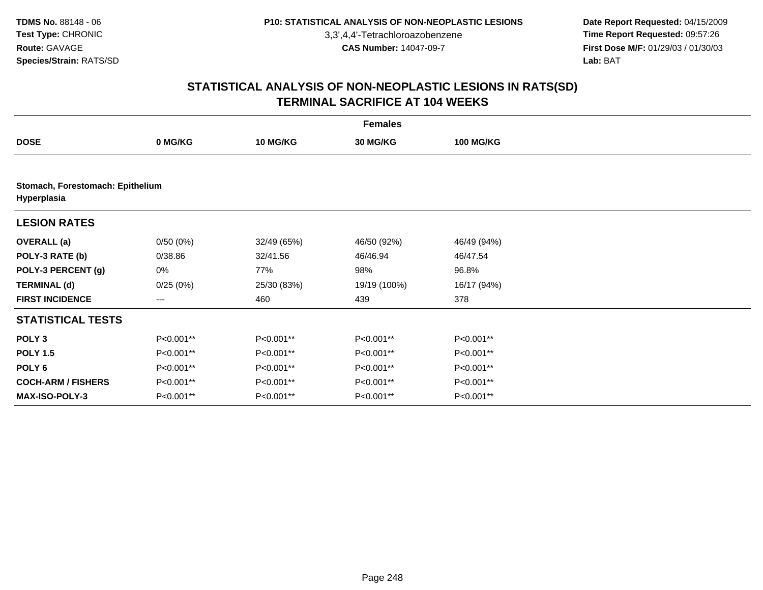**Date Report Requested:** 04/15/2009 **Time Report Requested:** 09:57:26 **First Dose M/F:** 01/29/03 / 01/30/03<br>Lab: BAT **Lab:** BAT

|                                                 | <b>Females</b> |                 |              |                  |  |  |  |  |
|-------------------------------------------------|----------------|-----------------|--------------|------------------|--|--|--|--|
| <b>DOSE</b>                                     | 0 MG/KG        | <b>10 MG/KG</b> | 30 MG/KG     | <b>100 MG/KG</b> |  |  |  |  |
|                                                 |                |                 |              |                  |  |  |  |  |
| Stomach, Forestomach: Epithelium<br>Hyperplasia |                |                 |              |                  |  |  |  |  |
| <b>LESION RATES</b>                             |                |                 |              |                  |  |  |  |  |
| <b>OVERALL</b> (a)                              | 0/50(0%)       | 32/49 (65%)     | 46/50 (92%)  | 46/49 (94%)      |  |  |  |  |
| POLY-3 RATE (b)                                 | 0/38.86        | 32/41.56        | 46/46.94     | 46/47.54         |  |  |  |  |
| POLY-3 PERCENT (g)                              | 0%             | 77%             | 98%          | 96.8%            |  |  |  |  |
| <b>TERMINAL (d)</b>                             | 0/25(0%)       | 25/30 (83%)     | 19/19 (100%) | 16/17 (94%)      |  |  |  |  |
| <b>FIRST INCIDENCE</b>                          | ---            | 460             | 439          | 378              |  |  |  |  |
| <b>STATISTICAL TESTS</b>                        |                |                 |              |                  |  |  |  |  |
| POLY <sub>3</sub>                               | P<0.001**      | P<0.001**       | P<0.001**    | P<0.001**        |  |  |  |  |
| <b>POLY 1.5</b>                                 | P<0.001**      | P<0.001**       | P<0.001**    | P<0.001**        |  |  |  |  |
| POLY 6                                          | P<0.001**      | P<0.001**       | P<0.001**    | P<0.001**        |  |  |  |  |
| <b>COCH-ARM / FISHERS</b>                       | P<0.001**      | P<0.001**       | P<0.001**    | P<0.001**        |  |  |  |  |
| <b>MAX-ISO-POLY-3</b>                           | P<0.001**      | P<0.001**       | P<0.001**    | P<0.001**        |  |  |  |  |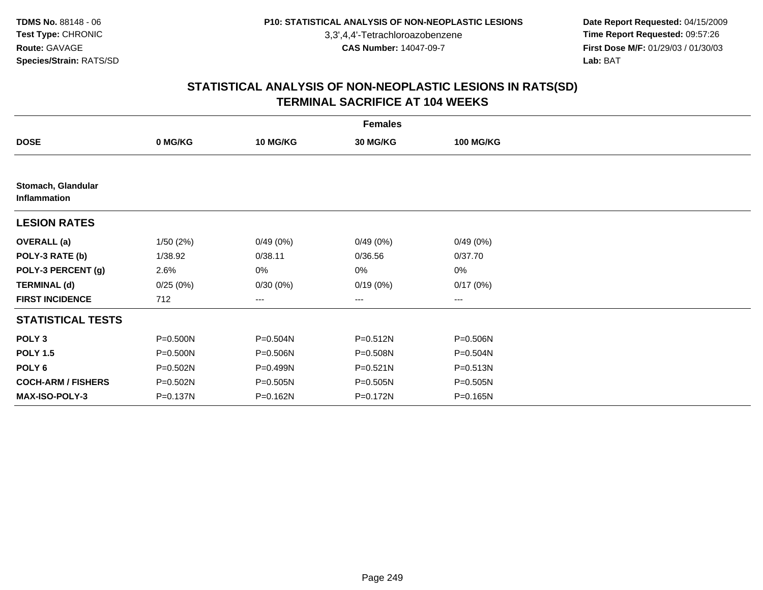**Date Report Requested:** 04/15/2009 **Time Report Requested:** 09:57:26 **First Dose M/F:** 01/29/03 / 01/30/03<br>Lab: BAT **Lab:** BAT

|                                    | <b>Females</b> |                 |              |                  |  |  |  |  |
|------------------------------------|----------------|-----------------|--------------|------------------|--|--|--|--|
| <b>DOSE</b>                        | 0 MG/KG        | <b>10 MG/KG</b> | 30 MG/KG     | <b>100 MG/KG</b> |  |  |  |  |
|                                    |                |                 |              |                  |  |  |  |  |
| Stomach, Glandular<br>Inflammation |                |                 |              |                  |  |  |  |  |
| <b>LESION RATES</b>                |                |                 |              |                  |  |  |  |  |
| <b>OVERALL</b> (a)                 | 1/50(2%)       | 0/49(0%)        | 0/49(0%)     | 0/49(0%)         |  |  |  |  |
| POLY-3 RATE (b)                    | 1/38.92        | 0/38.11         | 0/36.56      | 0/37.70          |  |  |  |  |
| POLY-3 PERCENT (g)                 | 2.6%           | 0%              | 0%           | 0%               |  |  |  |  |
| <b>TERMINAL (d)</b>                | 0/25(0%)       | 0/30(0%)        | 0/19(0%)     | 0/17(0%)         |  |  |  |  |
| <b>FIRST INCIDENCE</b>             | 712            | ---             | $---$        | ---              |  |  |  |  |
| <b>STATISTICAL TESTS</b>           |                |                 |              |                  |  |  |  |  |
| POLY <sub>3</sub>                  | P=0.500N       | P=0.504N        | $P = 0.512N$ | P=0.506N         |  |  |  |  |
| <b>POLY 1.5</b>                    | P=0.500N       | $P = 0.506N$    | P=0.508N     | P=0.504N         |  |  |  |  |
| POLY 6                             | P=0.502N       | P=0.499N        | $P = 0.521N$ | $P = 0.513N$     |  |  |  |  |
| <b>COCH-ARM / FISHERS</b>          | P=0.502N       | P=0.505N        | P=0.505N     | $P = 0.505N$     |  |  |  |  |
| <b>MAX-ISO-POLY-3</b>              | P=0.137N       | P=0.162N        | P=0.172N     | $P = 0.165N$     |  |  |  |  |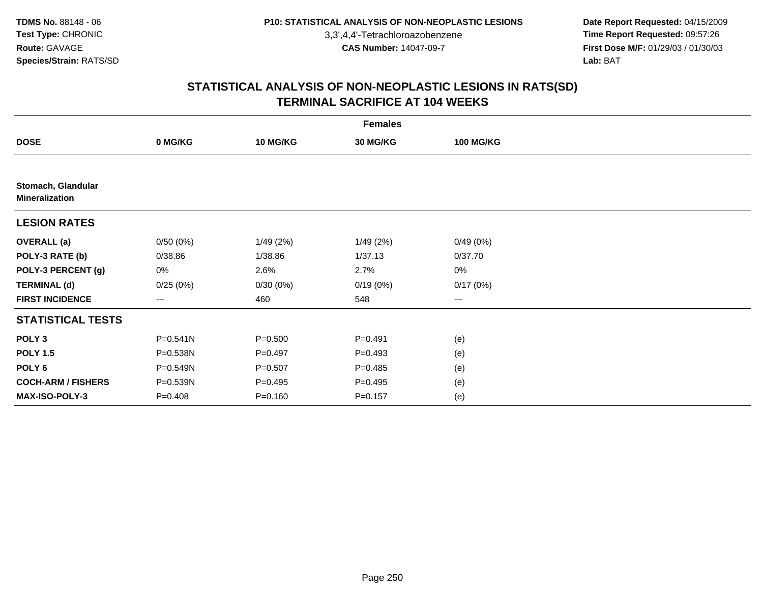**Date Report Requested:** 04/15/2009 **Time Report Requested:** 09:57:26 **First Dose M/F:** 01/29/03 / 01/30/03<br>Lab: BAT **Lab:** BAT

|                                             | <b>Females</b> |                 |             |                  |  |  |  |  |
|---------------------------------------------|----------------|-----------------|-------------|------------------|--|--|--|--|
| <b>DOSE</b>                                 | 0 MG/KG        | <b>10 MG/KG</b> | 30 MG/KG    | <b>100 MG/KG</b> |  |  |  |  |
|                                             |                |                 |             |                  |  |  |  |  |
| Stomach, Glandular<br><b>Mineralization</b> |                |                 |             |                  |  |  |  |  |
| <b>LESION RATES</b>                         |                |                 |             |                  |  |  |  |  |
| <b>OVERALL</b> (a)                          | 0/50(0%)       | 1/49(2%)        | 1/49(2%)    | 0/49(0%)         |  |  |  |  |
| POLY-3 RATE (b)                             | 0/38.86        | 1/38.86         | 1/37.13     | 0/37.70          |  |  |  |  |
| POLY-3 PERCENT (g)                          | 0%             | 2.6%            | 2.7%        | $0\%$            |  |  |  |  |
| <b>TERMINAL (d)</b>                         | 0/25(0%)       | 0/30(0%)        | 0/19(0%)    | 0/17(0%)         |  |  |  |  |
| <b>FIRST INCIDENCE</b>                      | ---            | 460             | 548         | ---              |  |  |  |  |
| <b>STATISTICAL TESTS</b>                    |                |                 |             |                  |  |  |  |  |
| POLY <sub>3</sub>                           | $P = 0.541N$   | $P = 0.500$     | $P = 0.491$ | (e)              |  |  |  |  |
| <b>POLY 1.5</b>                             | P=0.538N       | $P=0.497$       | $P = 0.493$ | (e)              |  |  |  |  |
| POLY 6                                      | P=0.549N       | $P = 0.507$     | $P = 0.485$ | (e)              |  |  |  |  |
| <b>COCH-ARM / FISHERS</b>                   | P=0.539N       | $P = 0.495$     | $P = 0.495$ | (e)              |  |  |  |  |
| MAX-ISO-POLY-3                              | $P = 0.408$    | $P = 0.160$     | $P = 0.157$ | (e)              |  |  |  |  |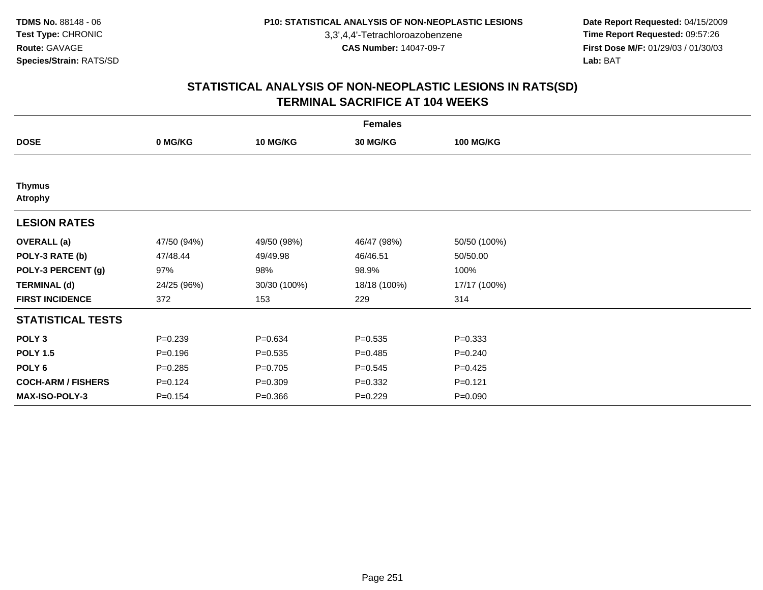**Date Report Requested:** 04/15/2009 **Time Report Requested:** 09:57:26 **First Dose M/F:** 01/29/03 / 01/30/03<br>Lab: BAT **Lab:** BAT

| <b>Females</b>                  |             |                 |                 |                  |  |  |  |
|---------------------------------|-------------|-----------------|-----------------|------------------|--|--|--|
| <b>DOSE</b>                     | 0 MG/KG     | <b>10 MG/KG</b> | <b>30 MG/KG</b> | <b>100 MG/KG</b> |  |  |  |
|                                 |             |                 |                 |                  |  |  |  |
| <b>Thymus</b><br><b>Atrophy</b> |             |                 |                 |                  |  |  |  |
| <b>LESION RATES</b>             |             |                 |                 |                  |  |  |  |
| <b>OVERALL</b> (a)              | 47/50 (94%) | 49/50 (98%)     | 46/47 (98%)     | 50/50 (100%)     |  |  |  |
| POLY-3 RATE (b)                 | 47/48.44    | 49/49.98        | 46/46.51        | 50/50.00         |  |  |  |
| POLY-3 PERCENT (g)              | 97%         | 98%             | 98.9%           | 100%             |  |  |  |
| <b>TERMINAL (d)</b>             | 24/25 (96%) | 30/30 (100%)    | 18/18 (100%)    | 17/17 (100%)     |  |  |  |
| <b>FIRST INCIDENCE</b>          | 372         | 153             | 229             | 314              |  |  |  |
| <b>STATISTICAL TESTS</b>        |             |                 |                 |                  |  |  |  |
| POLY <sub>3</sub>               | $P = 0.239$ | $P = 0.634$     | $P = 0.535$     | $P = 0.333$      |  |  |  |
| <b>POLY 1.5</b>                 | $P = 0.196$ | $P = 0.535$     | $P = 0.485$     | $P = 0.240$      |  |  |  |
| POLY <sub>6</sub>               | $P = 0.285$ | $P=0.705$       | $P = 0.545$     | $P=0.425$        |  |  |  |
| <b>COCH-ARM / FISHERS</b>       | $P = 0.124$ | $P = 0.309$     | $P = 0.332$     | $P = 0.121$      |  |  |  |
| <b>MAX-ISO-POLY-3</b>           | $P = 0.154$ | $P = 0.366$     | $P=0.229$       | $P = 0.090$      |  |  |  |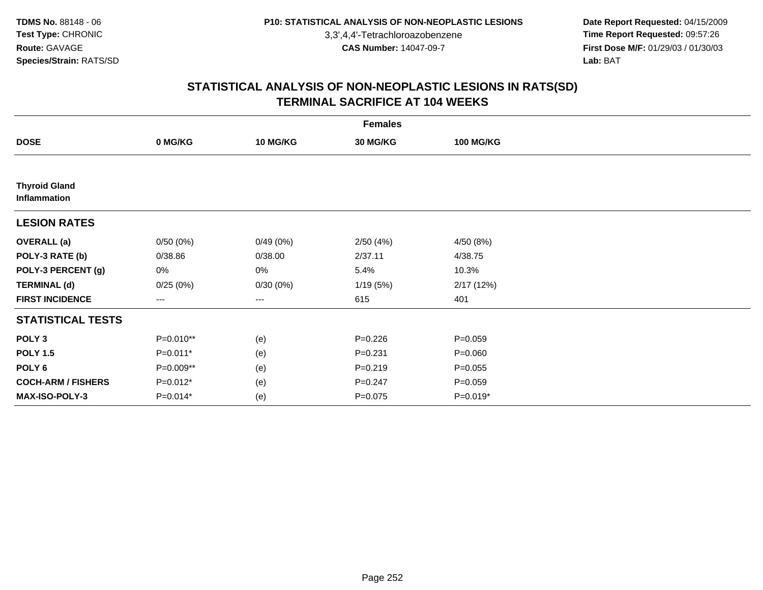**Date Report Requested:** 04/15/2009 **Time Report Requested:** 09:57:26 **First Dose M/F:** 01/29/03 / 01/30/03<br>Lab: BAT **Lab:** BAT

|                                      | <b>Females</b>         |                 |                 |                  |  |  |  |  |
|--------------------------------------|------------------------|-----------------|-----------------|------------------|--|--|--|--|
| <b>DOSE</b>                          | 0 MG/KG                | <b>10 MG/KG</b> | <b>30 MG/KG</b> | <b>100 MG/KG</b> |  |  |  |  |
|                                      |                        |                 |                 |                  |  |  |  |  |
| <b>Thyroid Gland</b><br>Inflammation |                        |                 |                 |                  |  |  |  |  |
| <b>LESION RATES</b>                  |                        |                 |                 |                  |  |  |  |  |
| <b>OVERALL</b> (a)                   | 0/50(0%)               | 0/49(0%)        | 2/50(4%)        | 4/50 (8%)        |  |  |  |  |
| POLY-3 RATE (b)                      | 0/38.86                | 0/38.00         | 2/37.11         | 4/38.75          |  |  |  |  |
| POLY-3 PERCENT (g)                   | 0%                     | 0%              | 5.4%            | 10.3%            |  |  |  |  |
| <b>TERMINAL (d)</b>                  | 0/25(0%)               | 0/30(0%)        | 1/19(5%)        | 2/17(12%)        |  |  |  |  |
| <b>FIRST INCIDENCE</b>               | $\qquad \qquad \cdots$ | ---             | 615             | 401              |  |  |  |  |
| <b>STATISTICAL TESTS</b>             |                        |                 |                 |                  |  |  |  |  |
| POLY <sub>3</sub>                    | P=0.010**              | (e)             | $P=0.226$       | $P = 0.059$      |  |  |  |  |
| <b>POLY 1.5</b>                      | $P=0.011*$             | (e)             | $P = 0.231$     | $P = 0.060$      |  |  |  |  |
| POLY <sub>6</sub>                    | P=0.009**              | (e)             | $P = 0.219$     | $P = 0.055$      |  |  |  |  |
| <b>COCH-ARM / FISHERS</b>            | $P=0.012*$             | (e)             | $P = 0.247$     | $P=0.059$        |  |  |  |  |
| <b>MAX-ISO-POLY-3</b>                | $P=0.014*$             | (e)             | $P = 0.075$     | $P=0.019*$       |  |  |  |  |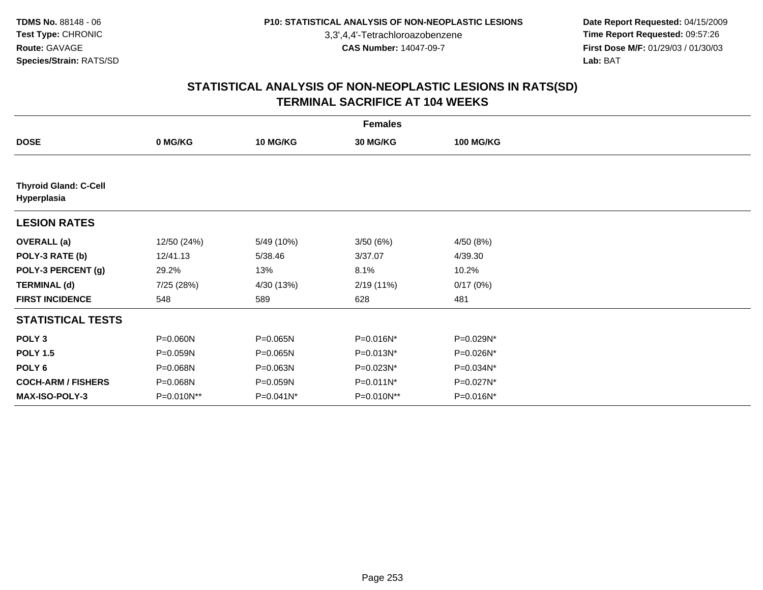**Date Report Requested:** 04/15/2009 **Time Report Requested:** 09:57:26 **First Dose M/F:** 01/29/03 / 01/30/03<br>Lab: BAT **Lab:** BAT

|                                             |             |                 | <b>Females</b> |                  |  |
|---------------------------------------------|-------------|-----------------|----------------|------------------|--|
| <b>DOSE</b>                                 | 0 MG/KG     | <b>10 MG/KG</b> | 30 MG/KG       | <b>100 MG/KG</b> |  |
|                                             |             |                 |                |                  |  |
| <b>Thyroid Gland: C-Cell</b><br>Hyperplasia |             |                 |                |                  |  |
| <b>LESION RATES</b>                         |             |                 |                |                  |  |
| <b>OVERALL</b> (a)                          | 12/50 (24%) | 5/49 (10%)      | 3/50(6%)       | 4/50 (8%)        |  |
| POLY-3 RATE (b)                             | 12/41.13    | 5/38.46         | 3/37.07        | 4/39.30          |  |
| POLY-3 PERCENT (g)                          | 29.2%       | 13%             | 8.1%           | 10.2%            |  |
| <b>TERMINAL (d)</b>                         | 7/25 (28%)  | 4/30 (13%)      | 2/19(11%)      | 0/17(0%)         |  |
| <b>FIRST INCIDENCE</b>                      | 548         | 589             | 628            | 481              |  |
| <b>STATISTICAL TESTS</b>                    |             |                 |                |                  |  |
| POLY <sub>3</sub>                           | P=0.060N    | $P = 0.065N$    | P=0.016N*      | P=0.029N*        |  |
| <b>POLY 1.5</b>                             | P=0.059N    | $P = 0.065N$    | P=0.013N*      | P=0.026N*        |  |
| POLY <sub>6</sub>                           | P=0.068N    | P=0.063N        | P=0.023N*      | P=0.034N*        |  |
| <b>COCH-ARM / FISHERS</b>                   | P=0.068N    | P=0.059N        | $P=0.011N^*$   | P=0.027N*        |  |
| MAX-ISO-POLY-3                              | P=0.010N**  | P=0.041N*       | P=0.010N**     | P=0.016N*        |  |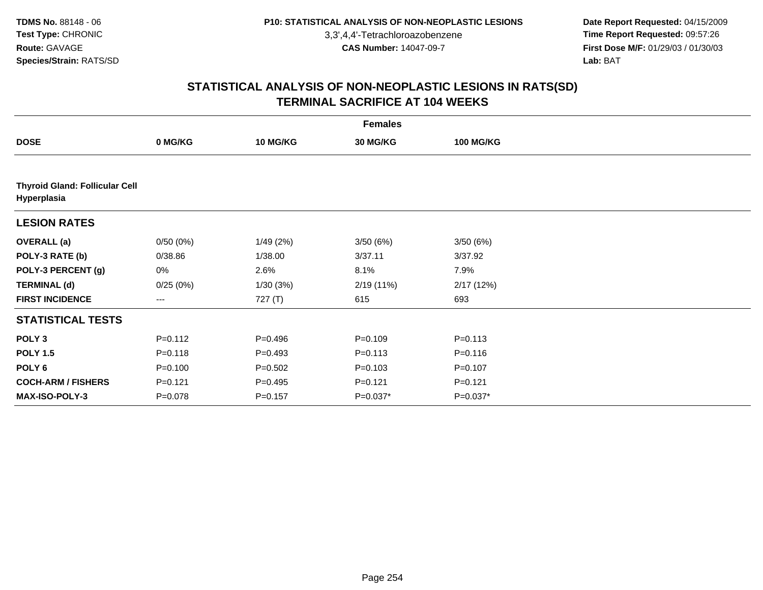**Date Report Requested:** 04/15/2009 **Time Report Requested:** 09:57:26 **First Dose M/F:** 01/29/03 / 01/30/03<br>Lab: BAT **Lab:** BAT

|                                                      |             |             | <b>Females</b> |                  |  |
|------------------------------------------------------|-------------|-------------|----------------|------------------|--|
| <b>DOSE</b>                                          | 0 MG/KG     | 10 MG/KG    | 30 MG/KG       | <b>100 MG/KG</b> |  |
|                                                      |             |             |                |                  |  |
| <b>Thyroid Gland: Follicular Cell</b><br>Hyperplasia |             |             |                |                  |  |
| <b>LESION RATES</b>                                  |             |             |                |                  |  |
| <b>OVERALL</b> (a)                                   | 0/50(0%)    | 1/49(2%)    | 3/50(6%)       | 3/50(6%)         |  |
| POLY-3 RATE (b)                                      | 0/38.86     | 1/38.00     | 3/37.11        | 3/37.92          |  |
| POLY-3 PERCENT (g)                                   | 0%          | 2.6%        | 8.1%           | 7.9%             |  |
| <b>TERMINAL (d)</b>                                  | 0/25(0%)    | 1/30(3%)    | 2/19(11%)      | 2/17(12%)        |  |
| <b>FIRST INCIDENCE</b>                               | ---         | 727(T)      | 615            | 693              |  |
| <b>STATISTICAL TESTS</b>                             |             |             |                |                  |  |
| POLY <sub>3</sub>                                    | $P = 0.112$ | $P=0.496$   | $P = 0.109$    | $P = 0.113$      |  |
| <b>POLY 1.5</b>                                      | $P = 0.118$ | $P=0.493$   | $P = 0.113$    | $P = 0.116$      |  |
| POLY 6                                               | $P = 0.100$ | $P = 0.502$ | $P = 0.103$    | $P = 0.107$      |  |
| <b>COCH-ARM / FISHERS</b>                            | $P = 0.121$ | $P=0.495$   | $P = 0.121$    | $P = 0.121$      |  |
| <b>MAX-ISO-POLY-3</b>                                | $P = 0.078$ | $P = 0.157$ | $P=0.037*$     | $P=0.037*$       |  |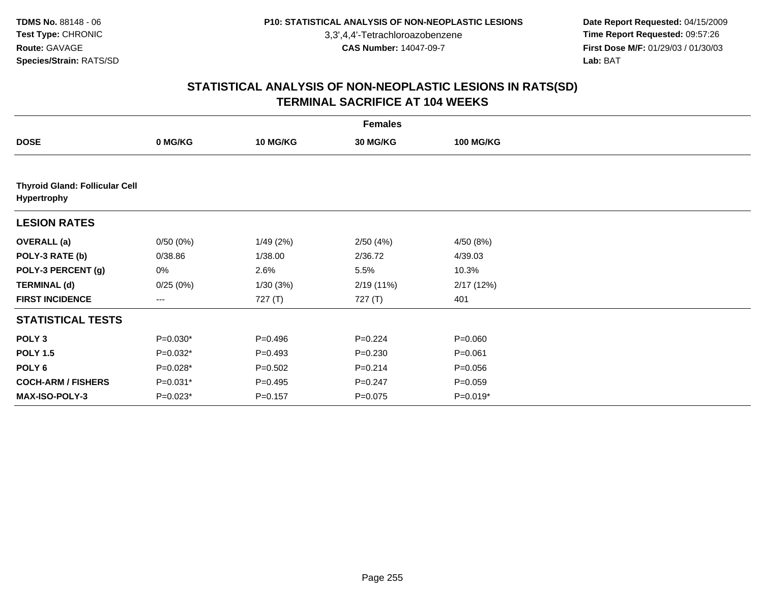**Date Report Requested:** 04/15/2009 **Time Report Requested:** 09:57:26 **First Dose M/F:** 01/29/03 / 01/30/03<br>Lab: BAT **Lab:** BAT

|                                                      |            |             | <b>Females</b> |                  |  |
|------------------------------------------------------|------------|-------------|----------------|------------------|--|
| <b>DOSE</b>                                          | 0 MG/KG    | 10 MG/KG    | 30 MG/KG       | <b>100 MG/KG</b> |  |
|                                                      |            |             |                |                  |  |
| <b>Thyroid Gland: Follicular Cell</b><br>Hypertrophy |            |             |                |                  |  |
| <b>LESION RATES</b>                                  |            |             |                |                  |  |
| <b>OVERALL</b> (a)                                   | 0/50(0%)   | 1/49(2%)    | 2/50(4%)       | 4/50 (8%)        |  |
| POLY-3 RATE (b)                                      | 0/38.86    | 1/38.00     | 2/36.72        | 4/39.03          |  |
| POLY-3 PERCENT (g)                                   | 0%         | 2.6%        | 5.5%           | 10.3%            |  |
| <b>TERMINAL (d)</b>                                  | 0/25(0%)   | 1/30(3%)    | 2/19(11%)      | 2/17(12%)        |  |
| <b>FIRST INCIDENCE</b>                               | ---        | 727 (T)     | 727 (T)        | 401              |  |
| <b>STATISTICAL TESTS</b>                             |            |             |                |                  |  |
| POLY <sub>3</sub>                                    | $P=0.030*$ | $P=0.496$   | $P=0.224$      | $P = 0.060$      |  |
| <b>POLY 1.5</b>                                      | $P=0.032*$ | $P=0.493$   | $P = 0.230$    | $P = 0.061$      |  |
| POLY 6                                               | $P=0.028*$ | $P=0.502$   | $P = 0.214$    | $P = 0.056$      |  |
| <b>COCH-ARM / FISHERS</b>                            | $P=0.031*$ | $P=0.495$   | $P = 0.247$    | $P = 0.059$      |  |
| <b>MAX-ISO-POLY-3</b>                                | P=0.023*   | $P = 0.157$ | $P = 0.075$    | P=0.019*         |  |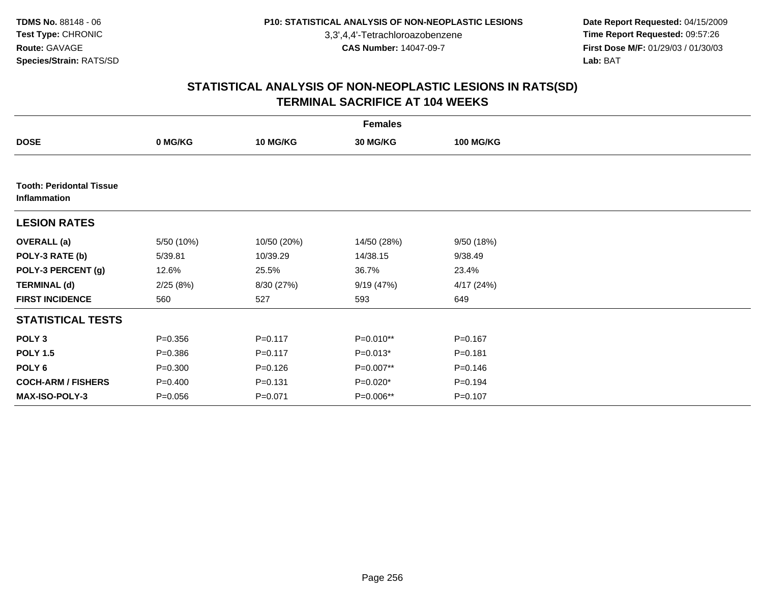**Date Report Requested:** 04/15/2009 **Time Report Requested:** 09:57:26 **First Dose M/F:** 01/29/03 / 01/30/03<br>Lab: BAT **Lab:** BAT

| <b>Females</b>                                  |             |                 |             |                  |  |  |
|-------------------------------------------------|-------------|-----------------|-------------|------------------|--|--|
| <b>DOSE</b>                                     | 0 MG/KG     | <b>10 MG/KG</b> | 30 MG/KG    | <b>100 MG/KG</b> |  |  |
|                                                 |             |                 |             |                  |  |  |
| <b>Tooth: Peridontal Tissue</b><br>Inflammation |             |                 |             |                  |  |  |
| <b>LESION RATES</b>                             |             |                 |             |                  |  |  |
| <b>OVERALL</b> (a)                              | 5/50 (10%)  | 10/50 (20%)     | 14/50 (28%) | 9/50 (18%)       |  |  |
| POLY-3 RATE (b)                                 | 5/39.81     | 10/39.29        | 14/38.15    | 9/38.49          |  |  |
| POLY-3 PERCENT (g)                              | 12.6%       | 25.5%           | 36.7%       | 23.4%            |  |  |
| <b>TERMINAL (d)</b>                             | 2/25(8%)    | 8/30 (27%)      | 9/19(47%)   | 4/17(24%)        |  |  |
| <b>FIRST INCIDENCE</b>                          | 560         | 527             | 593         | 649              |  |  |
| <b>STATISTICAL TESTS</b>                        |             |                 |             |                  |  |  |
| POLY <sub>3</sub>                               | $P = 0.356$ | $P = 0.117$     | P=0.010**   | $P = 0.167$      |  |  |
| <b>POLY 1.5</b>                                 | $P = 0.386$ | $P = 0.117$     | $P=0.013*$  | $P = 0.181$      |  |  |
| POLY 6                                          | $P = 0.300$ | $P = 0.126$     | P=0.007**   | $P = 0.146$      |  |  |
| <b>COCH-ARM / FISHERS</b>                       | $P = 0.400$ | $P = 0.131$     | $P=0.020*$  | $P = 0.194$      |  |  |
| MAX-ISO-POLY-3                                  | $P = 0.056$ | $P = 0.071$     | P=0.006**   | $P = 0.107$      |  |  |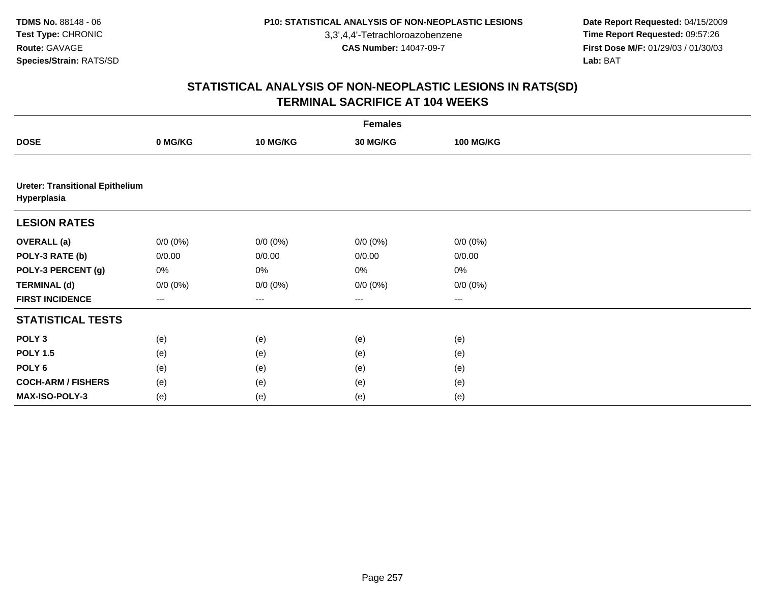**Date Report Requested:** 04/15/2009 **Time Report Requested:** 09:57:26 **First Dose M/F:** 01/29/03 / 01/30/03<br>Lab: BAT **Lab:** BAT

|                                                       | <b>Females</b> |             |             |                  |  |  |  |
|-------------------------------------------------------|----------------|-------------|-------------|------------------|--|--|--|
| <b>DOSE</b>                                           | 0 MG/KG        | 10 MG/KG    | 30 MG/KG    | <b>100 MG/KG</b> |  |  |  |
|                                                       |                |             |             |                  |  |  |  |
| <b>Ureter: Transitional Epithelium</b><br>Hyperplasia |                |             |             |                  |  |  |  |
| <b>LESION RATES</b>                                   |                |             |             |                  |  |  |  |
| <b>OVERALL</b> (a)                                    | $0/0 (0\%)$    | $0/0 (0\%)$ | $0/0 (0\%)$ | $0/0 (0\%)$      |  |  |  |
| POLY-3 RATE (b)                                       | 0/0.00         | 0/0.00      | 0/0.00      | 0/0.00           |  |  |  |
| POLY-3 PERCENT (g)                                    | 0%             | 0%          | 0%          | $0\%$            |  |  |  |
| <b>TERMINAL (d)</b>                                   | $0/0 (0\%)$    | $0/0 (0\%)$ | $0/0 (0\%)$ | $0/0 (0\%)$      |  |  |  |
| <b>FIRST INCIDENCE</b>                                | ---            | ---         | $---$       | ---              |  |  |  |
| <b>STATISTICAL TESTS</b>                              |                |             |             |                  |  |  |  |
| POLY <sub>3</sub>                                     | (e)            | (e)         | (e)         | (e)              |  |  |  |
| <b>POLY 1.5</b>                                       | (e)            | (e)         | (e)         | (e)              |  |  |  |
| POLY <sub>6</sub>                                     | (e)            | (e)         | (e)         | (e)              |  |  |  |
| <b>COCH-ARM / FISHERS</b>                             | (e)            | (e)         | (e)         | (e)              |  |  |  |
| <b>MAX-ISO-POLY-3</b>                                 | (e)            | (e)         | (e)         | (e)              |  |  |  |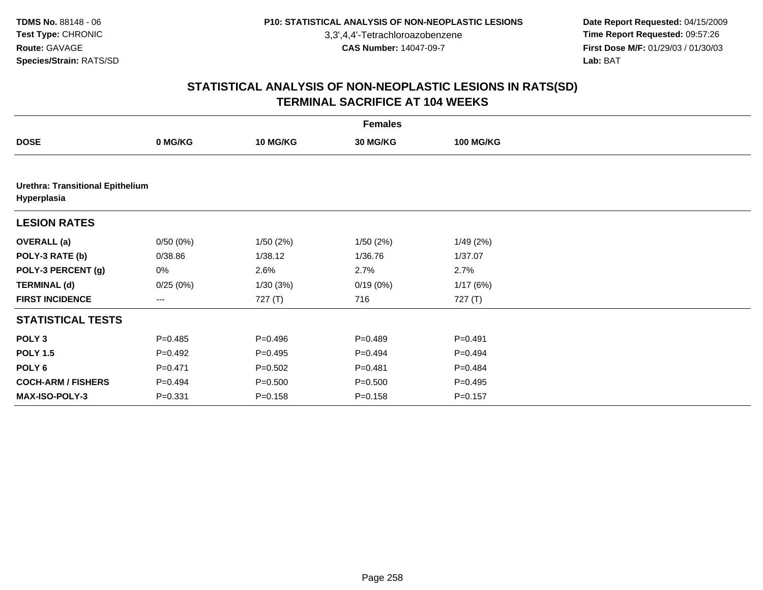**Date Report Requested:** 04/15/2009 **Time Report Requested:** 09:57:26 **First Dose M/F:** 01/29/03 / 01/30/03<br>Lab: BAT **Lab:** BAT

|                                                        | <b>Females</b> |                 |             |                  |  |  |  |  |
|--------------------------------------------------------|----------------|-----------------|-------------|------------------|--|--|--|--|
| <b>DOSE</b>                                            | 0 MG/KG        | <b>10 MG/KG</b> | 30 MG/KG    | <b>100 MG/KG</b> |  |  |  |  |
|                                                        |                |                 |             |                  |  |  |  |  |
| <b>Urethra: Transitional Epithelium</b><br>Hyperplasia |                |                 |             |                  |  |  |  |  |
| <b>LESION RATES</b>                                    |                |                 |             |                  |  |  |  |  |
| <b>OVERALL</b> (a)                                     | 0/50(0%)       | 1/50(2%)        | 1/50(2%)    | 1/49(2%)         |  |  |  |  |
| POLY-3 RATE (b)                                        | 0/38.86        | 1/38.12         | 1/36.76     | 1/37.07          |  |  |  |  |
| POLY-3 PERCENT (g)                                     | 0%             | 2.6%            | 2.7%        | 2.7%             |  |  |  |  |
| <b>TERMINAL (d)</b>                                    | 0/25(0%)       | 1/30(3%)        | 0/19(0%)    | 1/17(6%)         |  |  |  |  |
| <b>FIRST INCIDENCE</b>                                 | ---            | 727 (T)         | 716         | 727 (T)          |  |  |  |  |
| <b>STATISTICAL TESTS</b>                               |                |                 |             |                  |  |  |  |  |
| POLY <sub>3</sub>                                      | $P = 0.485$    | $P = 0.496$     | $P=0.489$   | $P=0.491$        |  |  |  |  |
| <b>POLY 1.5</b>                                        | $P=0.492$      | $P = 0.495$     | $P=0.494$   | $P=0.494$        |  |  |  |  |
| POLY <sub>6</sub>                                      | $P=0.471$      | $P = 0.502$     | $P = 0.481$ | $P = 0.484$      |  |  |  |  |
| <b>COCH-ARM / FISHERS</b>                              | $P=0.494$      | $P = 0.500$     | $P = 0.500$ | $P = 0.495$      |  |  |  |  |
| <b>MAX-ISO-POLY-3</b>                                  | $P = 0.331$    | $P = 0.158$     | $P = 0.158$ | $P = 0.157$      |  |  |  |  |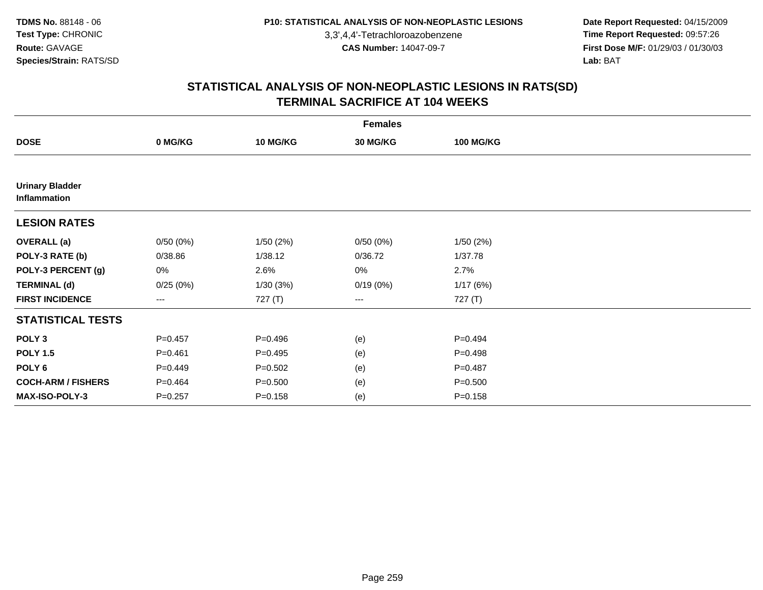**Date Report Requested:** 04/15/2009 **Time Report Requested:** 09:57:26 **First Dose M/F:** 01/29/03 / 01/30/03<br>Lab: BAT **Lab:** BAT

|                                        |             |                 | <b>Females</b>         |                  |  |
|----------------------------------------|-------------|-----------------|------------------------|------------------|--|
| <b>DOSE</b>                            | 0 MG/KG     | <b>10 MG/KG</b> | 30 MG/KG               | <b>100 MG/KG</b> |  |
|                                        |             |                 |                        |                  |  |
| <b>Urinary Bladder</b><br>Inflammation |             |                 |                        |                  |  |
| <b>LESION RATES</b>                    |             |                 |                        |                  |  |
| <b>OVERALL</b> (a)                     | 0/50(0%)    | 1/50(2%)        | 0/50(0%)               | 1/50(2%)         |  |
| POLY-3 RATE (b)                        | 0/38.86     | 1/38.12         | 0/36.72                | 1/37.78          |  |
| POLY-3 PERCENT (g)                     | 0%          | 2.6%            | 0%                     | 2.7%             |  |
| <b>TERMINAL (d)</b>                    | 0/25(0%)    | 1/30(3%)        | 0/19(0%)               | 1/17(6%)         |  |
| <b>FIRST INCIDENCE</b>                 | ---         | 727(T)          | $\qquad \qquad \cdots$ | 727 (T)          |  |
| <b>STATISTICAL TESTS</b>               |             |                 |                        |                  |  |
| POLY <sub>3</sub>                      | $P=0.457$   | $P=0.496$       | (e)                    | $P = 0.494$      |  |
| <b>POLY 1.5</b>                        | $P = 0.461$ | $P=0.495$       | (e)                    | $P = 0.498$      |  |
| POLY <sub>6</sub>                      | $P=0.449$   | $P = 0.502$     | (e)                    | $P = 0.487$      |  |
| <b>COCH-ARM / FISHERS</b>              | $P=0.464$   | $P = 0.500$     | (e)                    | $P = 0.500$      |  |
| MAX-ISO-POLY-3                         | $P = 0.257$ | $P = 0.158$     | (e)                    | $P = 0.158$      |  |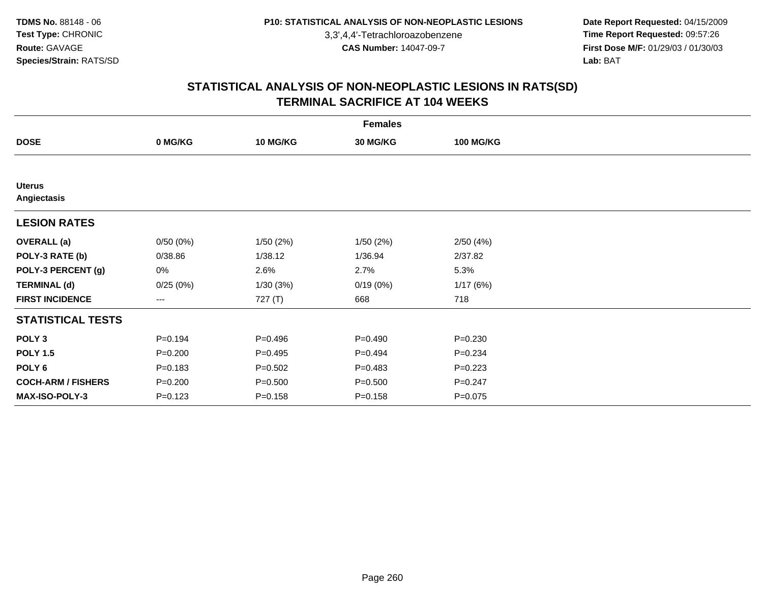**Date Report Requested:** 04/15/2009 **Time Report Requested:** 09:57:26 **First Dose M/F:** 01/29/03 / 01/30/03<br>Lab: BAT **Lab:** BAT

| <b>Females</b>               |             |                 |                 |                  |  |  |
|------------------------------|-------------|-----------------|-----------------|------------------|--|--|
| <b>DOSE</b>                  | 0 MG/KG     | <b>10 MG/KG</b> | <b>30 MG/KG</b> | <b>100 MG/KG</b> |  |  |
|                              |             |                 |                 |                  |  |  |
| <b>Uterus</b><br>Angiectasis |             |                 |                 |                  |  |  |
| <b>LESION RATES</b>          |             |                 |                 |                  |  |  |
| <b>OVERALL</b> (a)           | 0/50(0%)    | 1/50(2%)        | 1/50(2%)        | 2/50(4%)         |  |  |
| POLY-3 RATE (b)              | 0/38.86     | 1/38.12         | 1/36.94         | 2/37.82          |  |  |
| POLY-3 PERCENT (g)           | 0%          | 2.6%            | 2.7%            | 5.3%             |  |  |
| <b>TERMINAL (d)</b>          | 0/25(0%)    | 1/30(3%)        | 0/19(0%)        | 1/17(6%)         |  |  |
| <b>FIRST INCIDENCE</b>       | $---$       | 727 (T)         | 668             | 718              |  |  |
| <b>STATISTICAL TESTS</b>     |             |                 |                 |                  |  |  |
| POLY <sub>3</sub>            | $P = 0.194$ | $P=0.496$       | $P = 0.490$     | $P = 0.230$      |  |  |
| <b>POLY 1.5</b>              | $P = 0.200$ | $P=0.495$       | $P=0.494$       | $P = 0.234$      |  |  |
| POLY <sub>6</sub>            | $P = 0.183$ | $P = 0.502$     | $P=0.483$       | $P=0.223$        |  |  |
| <b>COCH-ARM / FISHERS</b>    | $P = 0.200$ | $P = 0.500$     | $P = 0.500$     | $P = 0.247$      |  |  |
| <b>MAX-ISO-POLY-3</b>        | $P = 0.123$ | $P = 0.158$     | $P = 0.158$     | $P = 0.075$      |  |  |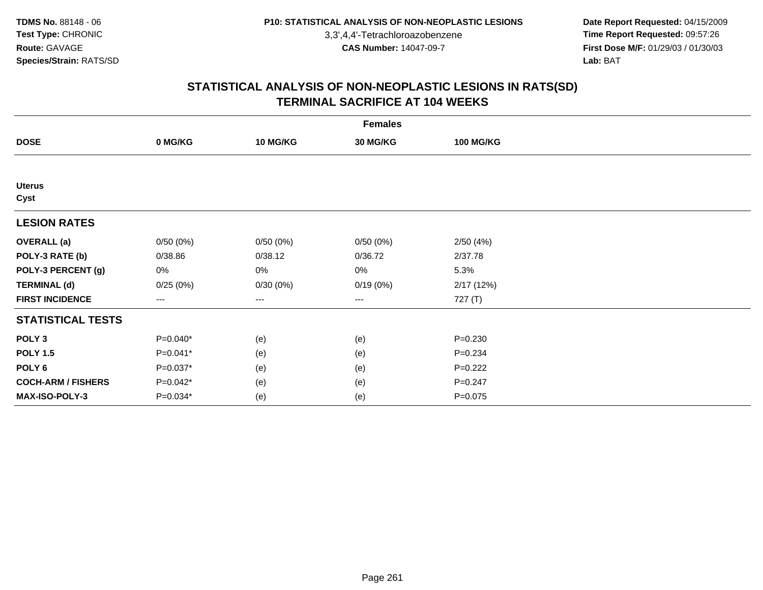**Date Report Requested:** 04/15/2009 **Time Report Requested:** 09:57:26 **First Dose M/F:** 01/29/03 / 01/30/03<br>Lab: BAT **Lab:** BAT

| <b>Females</b>            |            |                        |                 |                  |  |  |  |
|---------------------------|------------|------------------------|-----------------|------------------|--|--|--|
| <b>DOSE</b>               | 0 MG/KG    | <b>10 MG/KG</b>        | <b>30 MG/KG</b> | <b>100 MG/KG</b> |  |  |  |
|                           |            |                        |                 |                  |  |  |  |
| <b>Uterus</b>             |            |                        |                 |                  |  |  |  |
| Cyst                      |            |                        |                 |                  |  |  |  |
| <b>LESION RATES</b>       |            |                        |                 |                  |  |  |  |
| <b>OVERALL</b> (a)        | 0/50(0%)   | 0/50(0%)               | 0/50(0%)        | 2/50(4%)         |  |  |  |
| POLY-3 RATE (b)           | 0/38.86    | 0/38.12                | 0/36.72         | 2/37.78          |  |  |  |
| POLY-3 PERCENT (g)        | 0%         | $0\%$                  | 0%              | 5.3%             |  |  |  |
| <b>TERMINAL (d)</b>       | 0/25(0%)   | 0/30(0%)               | 0/19(0%)        | 2/17(12%)        |  |  |  |
| <b>FIRST INCIDENCE</b>    | $--$       | $\qquad \qquad \cdots$ | ---             | 727 (T)          |  |  |  |
| <b>STATISTICAL TESTS</b>  |            |                        |                 |                  |  |  |  |
| POLY <sub>3</sub>         | $P=0.040*$ | (e)                    | (e)             | $P = 0.230$      |  |  |  |
| <b>POLY 1.5</b>           | P=0.041*   | (e)                    | (e)             | $P = 0.234$      |  |  |  |
| POLY <sub>6</sub>         | $P=0.037*$ | (e)                    | (e)             | $P=0.222$        |  |  |  |
| <b>COCH-ARM / FISHERS</b> | $P=0.042*$ | (e)                    | (e)             | $P = 0.247$      |  |  |  |
| MAX-ISO-POLY-3            | $P=0.034*$ | (e)                    | (e)             | $P = 0.075$      |  |  |  |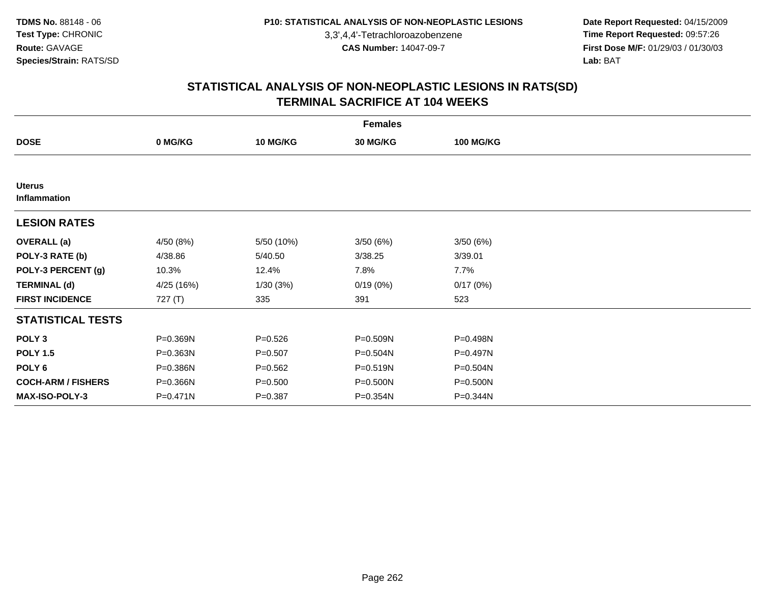**Date Report Requested:** 04/15/2009 **Time Report Requested:** 09:57:26 **First Dose M/F:** 01/29/03 / 01/30/03<br>Lab: BAT **Lab:** BAT

|                               |            |                 | <b>Females</b>  |                  |  |
|-------------------------------|------------|-----------------|-----------------|------------------|--|
| <b>DOSE</b>                   | 0 MG/KG    | <b>10 MG/KG</b> | <b>30 MG/KG</b> | <b>100 MG/KG</b> |  |
|                               |            |                 |                 |                  |  |
| <b>Uterus</b><br>Inflammation |            |                 |                 |                  |  |
| <b>LESION RATES</b>           |            |                 |                 |                  |  |
| <b>OVERALL</b> (a)            | 4/50 (8%)  | 5/50 (10%)      | 3/50(6%)        | 3/50(6%)         |  |
| POLY-3 RATE (b)               | 4/38.86    | 5/40.50         | 3/38.25         | 3/39.01          |  |
| POLY-3 PERCENT (g)            | 10.3%      | 12.4%           | 7.8%            | 7.7%             |  |
| <b>TERMINAL (d)</b>           | 4/25 (16%) | 1/30(3%)        | 0/19(0%)        | 0/17(0%)         |  |
| <b>FIRST INCIDENCE</b>        | 727 (T)    | 335             | 391             | 523              |  |
| <b>STATISTICAL TESTS</b>      |            |                 |                 |                  |  |
| POLY <sub>3</sub>             | P=0.369N   | $P = 0.526$     | P=0.509N        | P=0.498N         |  |
| <b>POLY 1.5</b>               | P=0.363N   | $P = 0.507$     | P=0.504N        | P=0.497N         |  |
| POLY <sub>6</sub>             | P=0.386N   | $P = 0.562$     | P=0.519N        | P=0.504N         |  |
| <b>COCH-ARM / FISHERS</b>     | P=0.366N   | $P = 0.500$     | P=0.500N        | P=0.500N         |  |
| MAX-ISO-POLY-3                | P=0.471N   | $P = 0.387$     | P=0.354N        | P=0.344N         |  |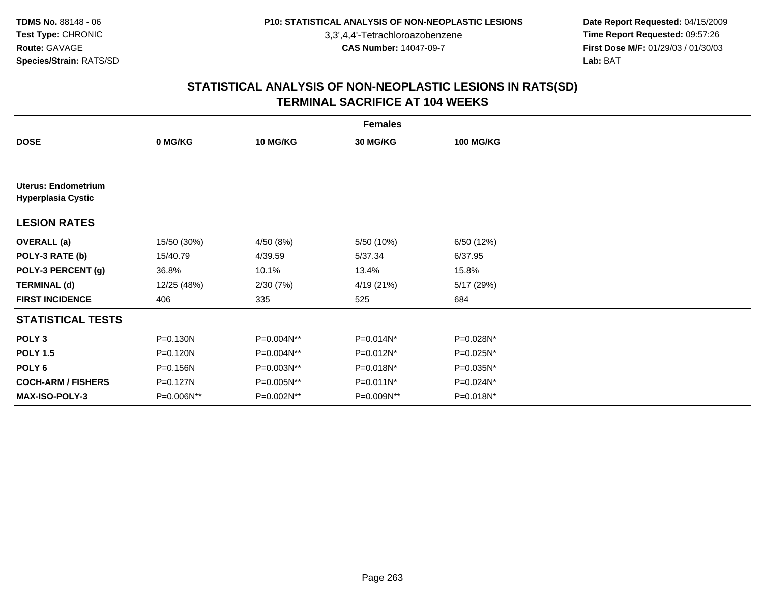**Date Report Requested:** 04/15/2009 **Time Report Requested:** 09:57:26 **First Dose M/F:** 01/29/03 / 01/30/03<br>Lab: BAT **Lab:** BAT

|                                                         |              |                 | <b>Females</b> |                  |  |
|---------------------------------------------------------|--------------|-----------------|----------------|------------------|--|
| <b>DOSE</b>                                             | 0 MG/KG      | <b>10 MG/KG</b> | 30 MG/KG       | <b>100 MG/KG</b> |  |
|                                                         |              |                 |                |                  |  |
| <b>Uterus: Endometrium</b><br><b>Hyperplasia Cystic</b> |              |                 |                |                  |  |
| <b>LESION RATES</b>                                     |              |                 |                |                  |  |
| <b>OVERALL</b> (a)                                      | 15/50 (30%)  | 4/50 (8%)       | 5/50 (10%)     | 6/50 (12%)       |  |
| POLY-3 RATE (b)                                         | 15/40.79     | 4/39.59         | 5/37.34        | 6/37.95          |  |
| POLY-3 PERCENT (g)                                      | 36.8%        | 10.1%           | 13.4%          | 15.8%            |  |
| <b>TERMINAL (d)</b>                                     | 12/25 (48%)  | 2/30(7%)        | 4/19 (21%)     | 5/17 (29%)       |  |
| <b>FIRST INCIDENCE</b>                                  | 406          | 335             | 525            | 684              |  |
| <b>STATISTICAL TESTS</b>                                |              |                 |                |                  |  |
| POLY <sub>3</sub>                                       | $P = 0.130N$ | P=0.004N**      | P=0.014N*      | P=0.028N*        |  |
| <b>POLY 1.5</b>                                         | $P = 0.120N$ | P=0.004N**      | P=0.012N*      | P=0.025N*        |  |
| POLY 6                                                  | $P = 0.156N$ | P=0.003N**      | P=0.018N*      | P=0.035N*        |  |
| <b>COCH-ARM / FISHERS</b>                               | P=0.127N     | P=0.005N**      | P=0.011N*      | P=0.024N*        |  |
| <b>MAX-ISO-POLY-3</b>                                   | P=0.006N**   | P=0.002N**      | P=0.009N**     | P=0.018N*        |  |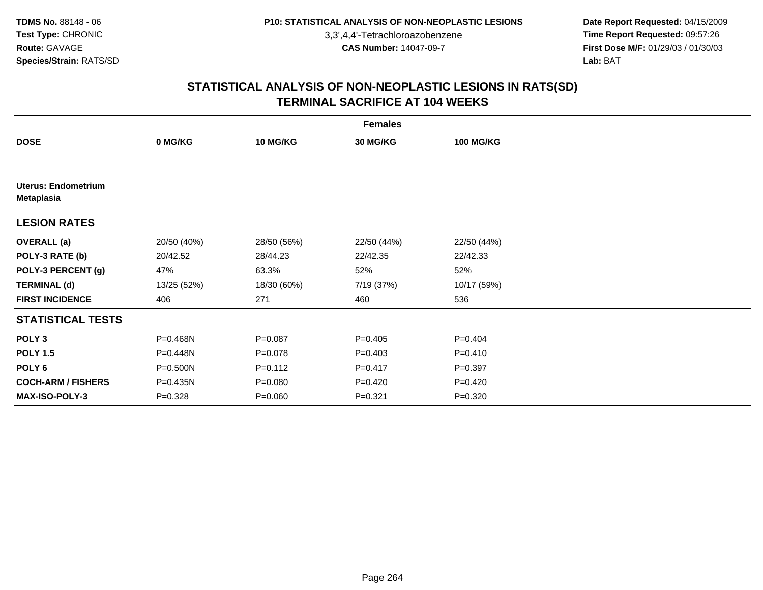**Date Report Requested:** 04/15/2009 **Time Report Requested:** 09:57:26 **First Dose M/F:** 01/29/03 / 01/30/03<br>Lab: BAT **Lab:** BAT

|                                                 |             |                 | <b>Females</b> |                  |  |
|-------------------------------------------------|-------------|-----------------|----------------|------------------|--|
| <b>DOSE</b>                                     | 0 MG/KG     | <b>10 MG/KG</b> | 30 MG/KG       | <b>100 MG/KG</b> |  |
|                                                 |             |                 |                |                  |  |
| <b>Uterus: Endometrium</b><br><b>Metaplasia</b> |             |                 |                |                  |  |
| <b>LESION RATES</b>                             |             |                 |                |                  |  |
| <b>OVERALL</b> (a)                              | 20/50 (40%) | 28/50 (56%)     | 22/50 (44%)    | 22/50 (44%)      |  |
| POLY-3 RATE (b)                                 | 20/42.52    | 28/44.23        | 22/42.35       | 22/42.33         |  |
| POLY-3 PERCENT (g)                              | 47%         | 63.3%           | 52%            | 52%              |  |
| <b>TERMINAL (d)</b>                             | 13/25 (52%) | 18/30 (60%)     | 7/19 (37%)     | 10/17 (59%)      |  |
| <b>FIRST INCIDENCE</b>                          | 406         | 271             | 460            | 536              |  |
| <b>STATISTICAL TESTS</b>                        |             |                 |                |                  |  |
| POLY <sub>3</sub>                               | P=0.468N    | $P = 0.087$     | $P=0.405$      | $P = 0.404$      |  |
| <b>POLY 1.5</b>                                 | P=0.448N    | $P = 0.078$     | $P=0.403$      | $P = 0.410$      |  |
| POLY 6                                          | P=0.500N    | $P=0.112$       | $P = 0.417$    | $P = 0.397$      |  |
| <b>COCH-ARM / FISHERS</b>                       | P=0.435N    | $P = 0.080$     | $P=0.420$      | $P=0.420$        |  |
| <b>MAX-ISO-POLY-3</b>                           | $P = 0.328$ | $P = 0.060$     | $P = 0.321$    | $P = 0.320$      |  |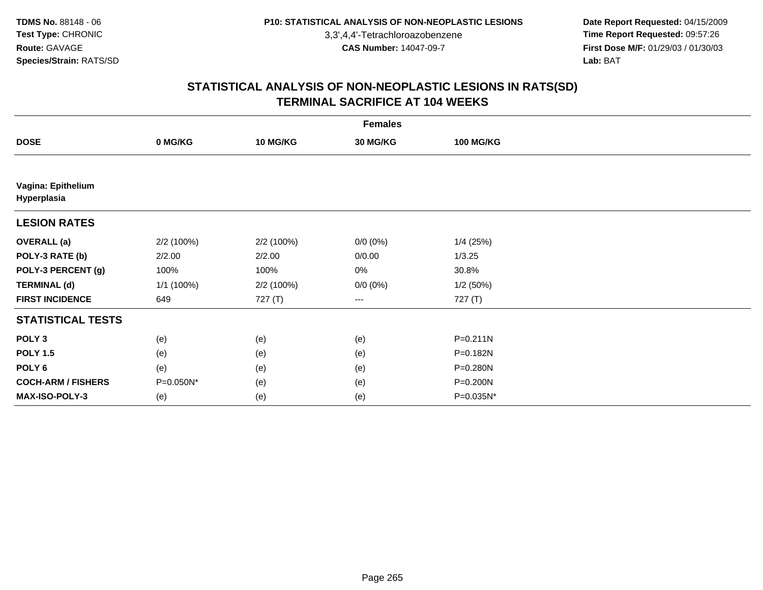**Date Report Requested:** 04/15/2009 **Time Report Requested:** 09:57:26 **First Dose M/F:** 01/29/03 / 01/30/03<br>Lab: BAT **Lab:** BAT

| <b>Females</b>                    |            |                 |                 |                  |  |
|-----------------------------------|------------|-----------------|-----------------|------------------|--|
| <b>DOSE</b>                       | 0 MG/KG    | <b>10 MG/KG</b> | <b>30 MG/KG</b> | <b>100 MG/KG</b> |  |
|                                   |            |                 |                 |                  |  |
| Vagina: Epithelium<br>Hyperplasia |            |                 |                 |                  |  |
| <b>LESION RATES</b>               |            |                 |                 |                  |  |
| <b>OVERALL</b> (a)                | 2/2 (100%) | 2/2 (100%)      | $0/0 (0\%)$     | $1/4$ (25%)      |  |
| POLY-3 RATE (b)                   | 2/2.00     | 2/2.00          | 0/0.00          | 1/3.25           |  |
| POLY-3 PERCENT (g)                | 100%       | 100%            | 0%              | 30.8%            |  |
| <b>TERMINAL (d)</b>               | 1/1 (100%) | 2/2 (100%)      | $0/0 (0\%)$     | 1/2(50%)         |  |
| <b>FIRST INCIDENCE</b>            | 649        | 727(T)          | ---             | 727 (T)          |  |
| <b>STATISTICAL TESTS</b>          |            |                 |                 |                  |  |
| POLY <sub>3</sub>                 | (e)        | (e)             | (e)             | $P = 0.211N$     |  |
| <b>POLY 1.5</b>                   | (e)        | (e)             | (e)             | P=0.182N         |  |
| POLY <sub>6</sub>                 | (e)        | (e)             | (e)             | P=0.280N         |  |
| <b>COCH-ARM / FISHERS</b>         | P=0.050N*  | (e)             | (e)             | P=0.200N         |  |
| <b>MAX-ISO-POLY-3</b>             | (e)        | (e)             | (e)             | P=0.035N*        |  |